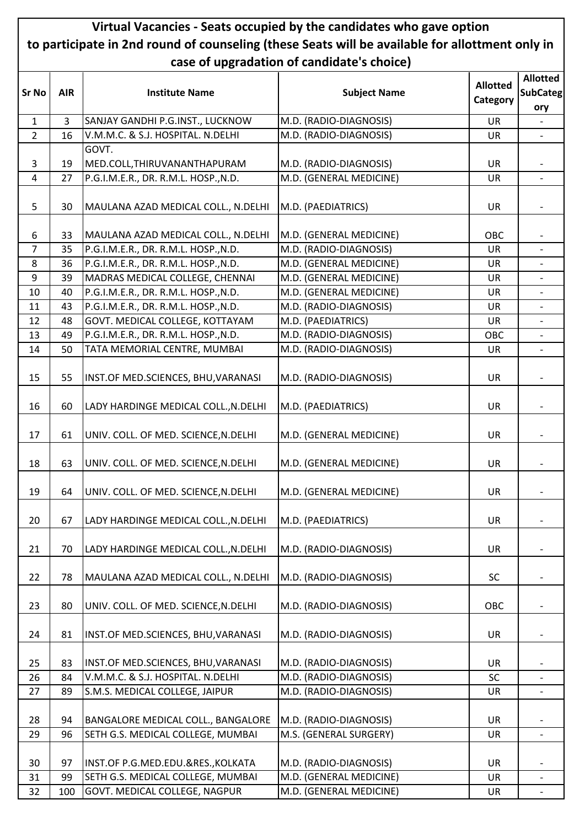## **Virtual Vacancies - Seats occupied by the candidates who gave option to participate in 2nd round of counseling (these Seats will be available for allottment only in case of upgradation of candidate's choice)**

| <b>Sr No</b>   | <b>AIR</b> | <b>Institute Name</b>                 | <b>Subject Name</b>     | <b>Allotted</b><br>Category | <b>Allotted</b><br><b>SubCateg</b><br>ory |
|----------------|------------|---------------------------------------|-------------------------|-----------------------------|-------------------------------------------|
| $\mathbf{1}$   | 3          | SANJAY GANDHI P.G.INST., LUCKNOW      | M.D. (RADIO-DIAGNOSIS)  | <b>UR</b>                   |                                           |
| $\overline{2}$ | 16         | V.M.M.C. & S.J. HOSPITAL. N.DELHI     | M.D. (RADIO-DIAGNOSIS)  | <b>UR</b>                   |                                           |
|                |            | GOVT.                                 |                         |                             |                                           |
| 3              | 19         | MED.COLL, THIRUVANANTHAPURAM          | M.D. (RADIO-DIAGNOSIS)  | <b>UR</b>                   |                                           |
| $\overline{4}$ | 27         | P.G.I.M.E.R., DR. R.M.L. HOSP., N.D.  | M.D. (GENERAL MEDICINE) | <b>UR</b>                   | $\overline{\phantom{a}}$                  |
| 5              | 30         | MAULANA AZAD MEDICAL COLL., N.DELHI   | M.D. (PAEDIATRICS)      | <b>UR</b>                   | $\overline{\phantom{a}}$                  |
| 6              | 33         | MAULANA AZAD MEDICAL COLL., N.DELHI   | M.D. (GENERAL MEDICINE) | OBC                         |                                           |
| $\overline{7}$ | 35         | P.G.I.M.E.R., DR. R.M.L. HOSP., N.D.  | M.D. (RADIO-DIAGNOSIS)  | <b>UR</b>                   | $\blacksquare$                            |
| 8              | 36         | P.G.I.M.E.R., DR. R.M.L. HOSP., N.D.  | M.D. (GENERAL MEDICINE) | <b>UR</b>                   |                                           |
| 9              | 39         | MADRAS MEDICAL COLLEGE, CHENNAI       | M.D. (GENERAL MEDICINE) | <b>UR</b>                   | $\overline{\phantom{a}}$                  |
| 10             | 40         | P.G.I.M.E.R., DR. R.M.L. HOSP., N.D.  | M.D. (GENERAL MEDICINE) | <b>UR</b>                   | $\overline{\phantom{0}}$                  |
| 11             | 43         | P.G.I.M.E.R., DR. R.M.L. HOSP., N.D.  | M.D. (RADIO-DIAGNOSIS)  | UR                          | $\overline{\phantom{0}}$                  |
| 12             | 48         | GOVT. MEDICAL COLLEGE, KOTTAYAM       | M.D. (PAEDIATRICS)      | <b>UR</b>                   |                                           |
| 13             | 49         | P.G.I.M.E.R., DR. R.M.L. HOSP., N.D.  | M.D. (RADIO-DIAGNOSIS)  | OBC                         | $\blacksquare$                            |
| 14             | 50         | TATA MEMORIAL CENTRE, MUMBAI          | M.D. (RADIO-DIAGNOSIS)  | <b>UR</b>                   | $\overline{\phantom{0}}$                  |
| 15             | 55         | INST.OF MED.SCIENCES, BHU, VARANASI   | M.D. (RADIO-DIAGNOSIS)  | <b>UR</b>                   | $\overline{\phantom{a}}$                  |
| 16             | 60         | LADY HARDINGE MEDICAL COLL., N.DELHI  | M.D. (PAEDIATRICS)      | <b>UR</b>                   | $\overline{\phantom{a}}$                  |
| 17             | 61         | UNIV. COLL. OF MED. SCIENCE, N.DELHI  | M.D. (GENERAL MEDICINE) | <b>UR</b>                   |                                           |
| 18             | 63         | UNIV. COLL. OF MED. SCIENCE, N. DELHI | M.D. (GENERAL MEDICINE) | <b>UR</b>                   |                                           |
| 19             | 64         | UNIV. COLL. OF MED. SCIENCE, N.DELHI  | M.D. (GENERAL MEDICINE) | <b>UR</b>                   | $\overline{a}$                            |
| 20             | 67         | LADY HARDINGE MEDICAL COLL., N.DELHI  | M.D. (PAEDIATRICS)      | <b>UR</b>                   |                                           |
| 21             | 70         | LADY HARDINGE MEDICAL COLL., N.DELHI  | M.D. (RADIO-DIAGNOSIS)  | <b>UR</b>                   |                                           |
| 22             | 78         | MAULANA AZAD MEDICAL COLL., N.DELHI   | M.D. (RADIO-DIAGNOSIS)  | SC                          | $\overline{a}$                            |
| 23             | 80         | UNIV. COLL. OF MED. SCIENCE, N. DELHI | M.D. (RADIO-DIAGNOSIS)  | OBC                         |                                           |
| 24             | 81         | INST.OF MED.SCIENCES, BHU, VARANASI   | M.D. (RADIO-DIAGNOSIS)  | <b>UR</b>                   |                                           |
| 25             | 83         | INST.OF MED.SCIENCES, BHU, VARANASI   | M.D. (RADIO-DIAGNOSIS)  | <b>UR</b>                   |                                           |
| 26             | 84         | V.M.M.C. & S.J. HOSPITAL. N.DELHI     | M.D. (RADIO-DIAGNOSIS)  | <b>SC</b>                   | $\overline{\phantom{a}}$                  |
| 27             | 89         | S.M.S. MEDICAL COLLEGE, JAIPUR        | M.D. (RADIO-DIAGNOSIS)  | <b>UR</b>                   |                                           |
| 28             | 94         | BANGALORE MEDICAL COLL., BANGALORE    | M.D. (RADIO-DIAGNOSIS)  | <b>UR</b>                   | $\overline{\phantom{a}}$                  |
| 29             | 96         | SETH G.S. MEDICAL COLLEGE, MUMBAI     | M.S. (GENERAL SURGERY)  | <b>UR</b>                   |                                           |
| 30             | 97         | INST.OF P.G.MED.EDU.&RES., KOLKATA    | M.D. (RADIO-DIAGNOSIS)  | <b>UR</b>                   | $\overline{a}$                            |
| 31             | 99         | SETH G.S. MEDICAL COLLEGE, MUMBAI     | M.D. (GENERAL MEDICINE) | <b>UR</b>                   |                                           |
| 32             | 100        | GOVT. MEDICAL COLLEGE, NAGPUR         | M.D. (GENERAL MEDICINE) | <b>UR</b>                   |                                           |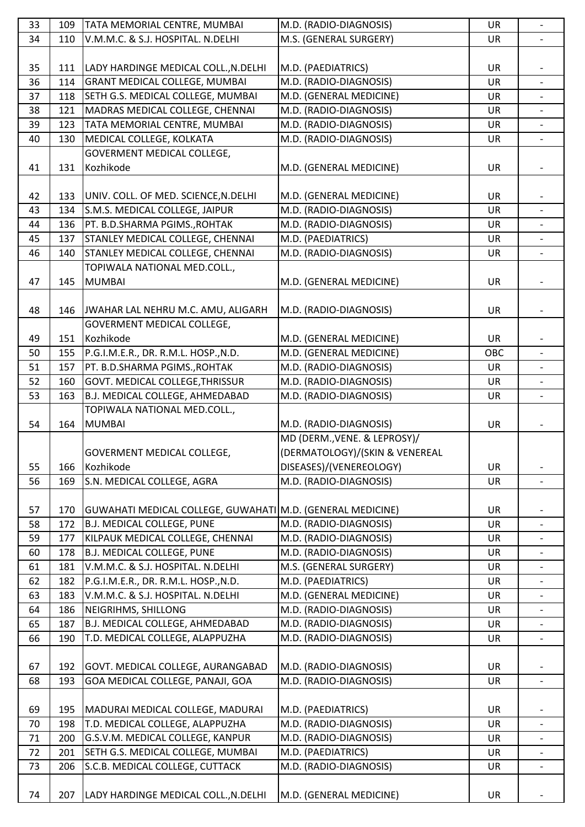| 33 | 109 | TATA MEMORIAL CENTRE, MUMBAI                               | M.D. (RADIO-DIAGNOSIS)                           | <b>UR</b> | $\overline{\phantom{a}}$     |
|----|-----|------------------------------------------------------------|--------------------------------------------------|-----------|------------------------------|
| 34 | 110 | V.M.M.C. & S.J. HOSPITAL. N.DELHI                          | M.S. (GENERAL SURGERY)                           | <b>UR</b> | $\overline{a}$               |
|    |     |                                                            |                                                  |           |                              |
| 35 | 111 | LADY HARDINGE MEDICAL COLL., N.DELHI                       | M.D. (PAEDIATRICS)                               | UR        |                              |
| 36 | 114 | <b>GRANT MEDICAL COLLEGE, MUMBAI</b>                       | M.D. (RADIO-DIAGNOSIS)                           | <b>UR</b> |                              |
| 37 | 118 | SETH G.S. MEDICAL COLLEGE, MUMBAI                          | M.D. (GENERAL MEDICINE)                          | UR        |                              |
|    |     | MADRAS MEDICAL COLLEGE, CHENNAI                            | M.D. (RADIO-DIAGNOSIS)                           |           |                              |
| 38 | 121 |                                                            |                                                  | UR        |                              |
| 39 | 123 | TATA MEMORIAL CENTRE, MUMBAI                               | M.D. (RADIO-DIAGNOSIS)                           | UR        |                              |
| 40 | 130 | MEDICAL COLLEGE, KOLKATA                                   | M.D. (RADIO-DIAGNOSIS)                           | <b>UR</b> | $\overline{\phantom{a}}$     |
|    |     | GOVERMENT MEDICAL COLLEGE,                                 |                                                  |           |                              |
| 41 | 131 | Kozhikode                                                  | M.D. (GENERAL MEDICINE)                          | UR        | $\overline{\phantom{0}}$     |
|    |     |                                                            |                                                  |           |                              |
| 42 | 133 | UNIV. COLL. OF MED. SCIENCE, N. DELHI                      | M.D. (GENERAL MEDICINE)                          | UR        |                              |
| 43 | 134 | S.M.S. MEDICAL COLLEGE, JAIPUR                             | M.D. (RADIO-DIAGNOSIS)                           | <b>UR</b> |                              |
| 44 | 136 | PT. B.D.SHARMA PGIMS., ROHTAK                              | M.D. (RADIO-DIAGNOSIS)                           | <b>UR</b> |                              |
| 45 | 137 | STANLEY MEDICAL COLLEGE, CHENNAI                           | M.D. (PAEDIATRICS)                               | UR        | $\blacksquare$               |
| 46 | 140 | STANLEY MEDICAL COLLEGE, CHENNAI                           | M.D. (RADIO-DIAGNOSIS)                           | UR        |                              |
|    |     | TOPIWALA NATIONAL MED.COLL.,                               |                                                  |           |                              |
| 47 | 145 | <b>MUMBAI</b>                                              | M.D. (GENERAL MEDICINE)                          | <b>UR</b> |                              |
|    |     |                                                            |                                                  |           |                              |
| 48 | 146 | JWAHAR LAL NEHRU M.C. AMU, ALIGARH                         | M.D. (RADIO-DIAGNOSIS)                           | <b>UR</b> |                              |
|    |     | GOVERMENT MEDICAL COLLEGE,                                 |                                                  |           |                              |
| 49 | 151 | Kozhikode                                                  | M.D. (GENERAL MEDICINE)                          | <b>UR</b> |                              |
| 50 | 155 | P.G.I.M.E.R., DR. R.M.L. HOSP., N.D.                       | M.D. (GENERAL MEDICINE)                          | OBC       |                              |
|    |     |                                                            |                                                  |           |                              |
| 51 | 157 | PT. B.D.SHARMA PGIMS., ROHTAK                              | M.D. (RADIO-DIAGNOSIS)                           | UR        |                              |
| 52 | 160 | <b>GOVT. MEDICAL COLLEGE, THRISSUR</b>                     | M.D. (RADIO-DIAGNOSIS)                           | <b>UR</b> |                              |
| 53 | 163 | B.J. MEDICAL COLLEGE, AHMEDABAD                            | M.D. (RADIO-DIAGNOSIS)                           | UR        |                              |
|    |     |                                                            |                                                  |           |                              |
|    |     | TOPIWALA NATIONAL MED.COLL.,                               |                                                  |           |                              |
| 54 | 164 | <b>MUMBAI</b>                                              | M.D. (RADIO-DIAGNOSIS)                           | UR        |                              |
|    |     |                                                            | MD (DERM., VENE. & LEPROSY)/                     |           |                              |
|    |     | GOVERMENT MEDICAL COLLEGE,                                 | (DERMATOLOGY)/(SKIN & VENEREAL                   |           |                              |
| 55 | 166 | Kozhikode                                                  | DISEASES)/(VENEREOLOGY)                          | <b>UR</b> | $\qquad \qquad \blacksquare$ |
| 56 | 169 | S.N. MEDICAL COLLEGE, AGRA                                 | M.D. (RADIO-DIAGNOSIS)                           | <b>UR</b> |                              |
|    |     |                                                            |                                                  |           |                              |
| 57 | 170 | GUWAHATI MEDICAL COLLEGE, GUWAHATI M.D. (GENERAL MEDICINE) |                                                  | UR        | $\overline{\phantom{a}}$     |
| 58 | 172 | <b>B.J. MEDICAL COLLEGE, PUNE</b>                          | M.D. (RADIO-DIAGNOSIS)                           | <b>UR</b> |                              |
|    |     |                                                            |                                                  |           |                              |
| 59 | 177 | KILPAUK MEDICAL COLLEGE, CHENNAI                           | M.D. (RADIO-DIAGNOSIS)<br>M.D. (RADIO-DIAGNOSIS) | UR        |                              |
| 60 | 178 | <b>B.J. MEDICAL COLLEGE, PUNE</b>                          |                                                  | <b>UR</b> |                              |
| 61 | 181 | V.M.M.C. & S.J. HOSPITAL. N.DELHI                          | M.S. (GENERAL SURGERY)                           | UR        | $\overline{a}$               |
| 62 | 182 | P.G.I.M.E.R., DR. R.M.L. HOSP., N.D.                       | M.D. (PAEDIATRICS)                               | <b>UR</b> |                              |
| 63 | 183 | V.M.M.C. & S.J. HOSPITAL. N.DELHI                          | M.D. (GENERAL MEDICINE)                          | UR        |                              |
| 64 | 186 | NEIGRIHMS, SHILLONG                                        | M.D. (RADIO-DIAGNOSIS)                           | UR        | $\overline{\phantom{a}}$     |
| 65 | 187 | B.J. MEDICAL COLLEGE, AHMEDABAD                            | M.D. (RADIO-DIAGNOSIS)                           | <b>UR</b> |                              |
| 66 | 190 | T.D. MEDICAL COLLEGE, ALAPPUZHA                            | M.D. (RADIO-DIAGNOSIS)                           | UR        | $\overline{\phantom{a}}$     |
|    |     |                                                            |                                                  |           |                              |
| 67 | 192 | GOVT. MEDICAL COLLEGE, AURANGABAD                          | M.D. (RADIO-DIAGNOSIS)                           | <b>UR</b> |                              |
| 68 | 193 | GOA MEDICAL COLLEGE, PANAJI, GOA                           | M.D. (RADIO-DIAGNOSIS)                           | UR        | $\overline{\phantom{a}}$     |
|    |     |                                                            |                                                  |           |                              |
| 69 | 195 | MADURAI MEDICAL COLLEGE, MADURAI                           | M.D. (PAEDIATRICS)                               | <b>UR</b> |                              |
| 70 | 198 | T.D. MEDICAL COLLEGE, ALAPPUZHA                            | M.D. (RADIO-DIAGNOSIS)                           | UR        |                              |
| 71 | 200 | G.S.V.M. MEDICAL COLLEGE, KANPUR                           | M.D. (RADIO-DIAGNOSIS)                           | UR        |                              |
| 72 | 201 | SETH G.S. MEDICAL COLLEGE, MUMBAI                          | M.D. (PAEDIATRICS)                               | <b>UR</b> |                              |
| 73 | 206 | S.C.B. MEDICAL COLLEGE, CUTTACK                            | M.D. (RADIO-DIAGNOSIS)                           | UR        |                              |
|    |     |                                                            |                                                  |           |                              |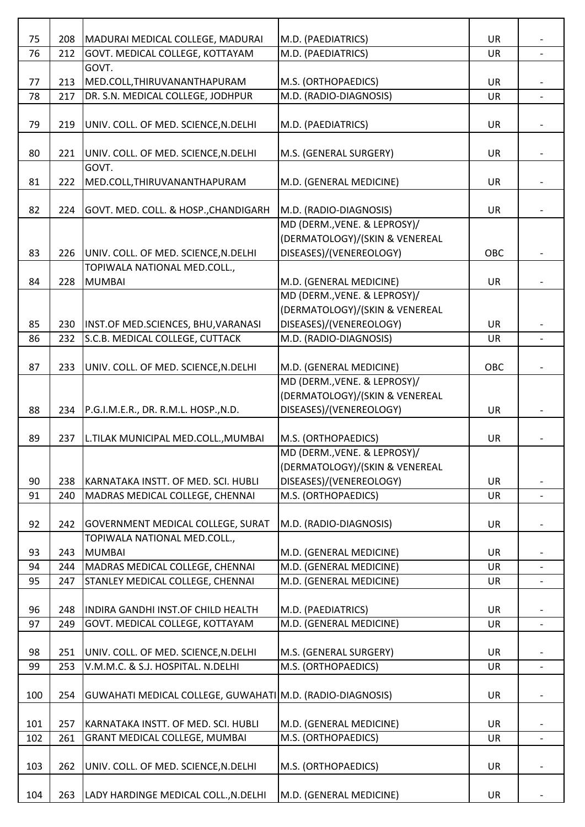| 75  | 208 | MADURAI MEDICAL COLLEGE, MADURAI                          | M.D. (PAEDIATRICS)                                      | <b>UR</b> |                          |
|-----|-----|-----------------------------------------------------------|---------------------------------------------------------|-----------|--------------------------|
| 76  | 212 | GOVT. MEDICAL COLLEGE, KOTTAYAM                           | M.D. (PAEDIATRICS)                                      | <b>UR</b> |                          |
|     |     | GOVT.                                                     |                                                         |           |                          |
| 77  | 213 | MED.COLL, THIRUVANANTHAPURAM                              | M.S. (ORTHOPAEDICS)                                     | <b>UR</b> |                          |
| 78  | 217 | DR. S.N. MEDICAL COLLEGE, JODHPUR                         | M.D. (RADIO-DIAGNOSIS)                                  | <b>UR</b> | $\overline{a}$           |
|     |     |                                                           |                                                         |           |                          |
| 79  | 219 | UNIV. COLL. OF MED. SCIENCE, N. DELHI                     | M.D. (PAEDIATRICS)                                      | <b>UR</b> |                          |
|     |     |                                                           |                                                         |           |                          |
| 80  | 221 | UNIV. COLL. OF MED. SCIENCE, N. DELHI                     | M.S. (GENERAL SURGERY)                                  | <b>UR</b> |                          |
|     |     | GOVT.                                                     |                                                         |           |                          |
| 81  | 222 | MED.COLL, THIRUVANANTHAPURAM                              | M.D. (GENERAL MEDICINE)                                 | <b>UR</b> |                          |
|     |     |                                                           |                                                         |           |                          |
| 82  | 224 | GOVT. MED. COLL. & HOSP., CHANDIGARH                      | M.D. (RADIO-DIAGNOSIS)                                  | <b>UR</b> |                          |
|     |     |                                                           | MD (DERM., VENE. & LEPROSY)/                            |           |                          |
|     |     |                                                           | (DERMATOLOGY)/(SKIN & VENEREAL                          |           |                          |
| 83  | 226 | UNIV. COLL. OF MED. SCIENCE, N. DELHI                     | DISEASES)/(VENEREOLOGY)                                 | OBC       |                          |
|     |     | TOPIWALA NATIONAL MED.COLL.,                              |                                                         |           |                          |
| 84  | 228 | <b>MUMBAI</b>                                             | M.D. (GENERAL MEDICINE)<br>MD (DERM., VENE. & LEPROSY)/ | <b>UR</b> |                          |
|     |     |                                                           | (DERMATOLOGY)/(SKIN & VENEREAL                          |           |                          |
| 85  | 230 | INST.OF MED.SCIENCES, BHU, VARANASI                       | DISEASES)/(VENEREOLOGY)                                 | <b>UR</b> |                          |
| 86  | 232 | S.C.B. MEDICAL COLLEGE, CUTTACK                           | M.D. (RADIO-DIAGNOSIS)                                  | <b>UR</b> |                          |
|     |     |                                                           |                                                         |           |                          |
| 87  | 233 | UNIV. COLL. OF MED. SCIENCE, N. DELHI                     | M.D. (GENERAL MEDICINE)                                 | OBC       |                          |
|     |     |                                                           | MD (DERM., VENE. & LEPROSY)/                            |           |                          |
|     |     |                                                           | (DERMATOLOGY)/(SKIN & VENEREAL                          |           |                          |
| 88  | 234 | P.G.I.M.E.R., DR. R.M.L. HOSP., N.D.                      | DISEASES)/(VENEREOLOGY)                                 | <b>UR</b> |                          |
|     |     |                                                           |                                                         |           |                          |
| 89  | 237 | L.TILAK MUNICIPAL MED.COLL., MUMBAI                       | M.S. (ORTHOPAEDICS)                                     | <b>UR</b> |                          |
|     |     |                                                           | MD (DERM., VENE. & LEPROSY)/                            |           |                          |
|     |     |                                                           | (DERMATOLOGY)/(SKIN & VENEREAL                          |           |                          |
| 90  | 238 | KARNATAKA INSTT. OF MED. SCI. HUBLI                       | DISEASES)/(VENEREOLOGY)                                 | <b>UR</b> |                          |
| 91  | 240 | MADRAS MEDICAL COLLEGE, CHENNAI                           | M.S. (ORTHOPAEDICS)                                     | UR        |                          |
|     |     |                                                           |                                                         |           |                          |
| 92  | 242 | <b>GOVERNMENT MEDICAL COLLEGE, SURAT</b>                  | M.D. (RADIO-DIAGNOSIS)                                  | UR        |                          |
|     |     | TOPIWALA NATIONAL MED.COLL.,                              |                                                         |           |                          |
| 93  | 243 | <b>MUMBAI</b>                                             | M.D. (GENERAL MEDICINE)                                 | <b>UR</b> |                          |
| 94  | 244 | MADRAS MEDICAL COLLEGE, CHENNAI                           | M.D. (GENERAL MEDICINE)                                 | UR        |                          |
| 95  | 247 | STANLEY MEDICAL COLLEGE, CHENNAI                          | M.D. (GENERAL MEDICINE)                                 | <b>UR</b> |                          |
|     |     |                                                           |                                                         |           |                          |
| 96  | 248 | INDIRA GANDHI INST.OF CHILD HEALTH                        | M.D. (PAEDIATRICS)                                      | <b>UR</b> |                          |
| 97  | 249 | GOVT. MEDICAL COLLEGE, KOTTAYAM                           | M.D. (GENERAL MEDICINE)                                 | UR        |                          |
| 98  | 251 | UNIV. COLL. OF MED. SCIENCE, N. DELHI                     | M.S. (GENERAL SURGERY)                                  | <b>UR</b> |                          |
| 99  | 253 | V.M.M.C. & S.J. HOSPITAL. N.DELHI                         | M.S. (ORTHOPAEDICS)                                     | UR        |                          |
|     |     |                                                           |                                                         |           |                          |
| 100 | 254 | GUWAHATI MEDICAL COLLEGE, GUWAHATI M.D. (RADIO-DIAGNOSIS) |                                                         | UR        |                          |
|     |     |                                                           |                                                         |           |                          |
| 101 | 257 | KARNATAKA INSTT. OF MED. SCI. HUBLI                       | M.D. (GENERAL MEDICINE)                                 | <b>UR</b> |                          |
| 102 | 261 | <b>GRANT MEDICAL COLLEGE, MUMBAI</b>                      | M.S. (ORTHOPAEDICS)                                     | UR        | $\overline{\phantom{0}}$ |
|     |     |                                                           |                                                         |           |                          |
| 103 | 262 | UNIV. COLL. OF MED. SCIENCE, N. DELHI                     | M.S. (ORTHOPAEDICS)                                     | UR        |                          |
|     |     |                                                           |                                                         |           |                          |
| 104 | 263 | LADY HARDINGE MEDICAL COLL., N.DELHI                      | M.D. (GENERAL MEDICINE)                                 | UR        |                          |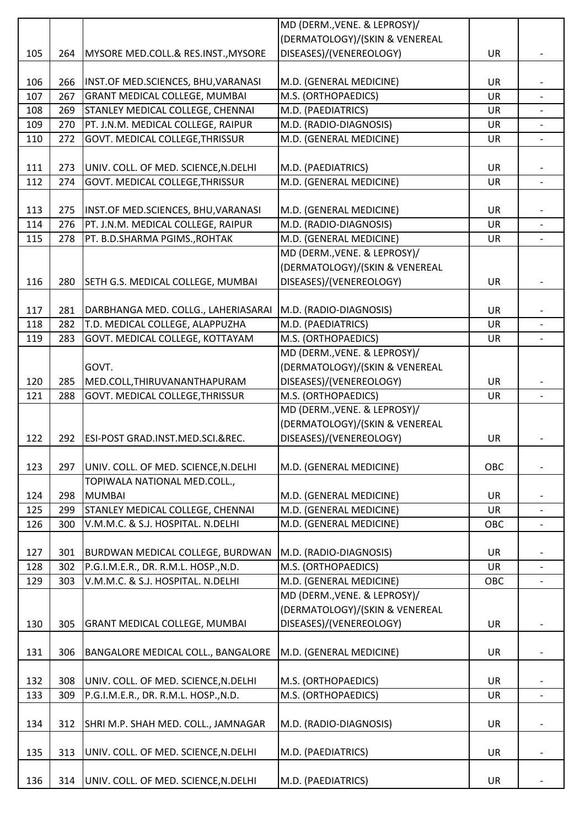|     |     |                                           | MD (DERM., VENE. & LEPROSY)/   |           |                          |
|-----|-----|-------------------------------------------|--------------------------------|-----------|--------------------------|
|     |     |                                           | (DERMATOLOGY)/(SKIN & VENEREAL |           |                          |
| 105 | 264 | MYSORE MED.COLL.& RES.INST., MYSORE       | DISEASES)/(VENEREOLOGY)        | <b>UR</b> |                          |
|     |     |                                           |                                |           |                          |
| 106 | 266 | INST.OF MED.SCIENCES, BHU, VARANASI       | M.D. (GENERAL MEDICINE)        | UR        |                          |
| 107 | 267 | <b>GRANT MEDICAL COLLEGE, MUMBAI</b>      | M.S. (ORTHOPAEDICS)            | <b>UR</b> |                          |
| 108 | 269 | STANLEY MEDICAL COLLEGE, CHENNAI          | M.D. (PAEDIATRICS)             | UR        |                          |
| 109 | 270 | PT. J.N.M. MEDICAL COLLEGE, RAIPUR        | M.D. (RADIO-DIAGNOSIS)         | <b>UR</b> |                          |
| 110 | 272 | GOVT. MEDICAL COLLEGE, THRISSUR           | M.D. (GENERAL MEDICINE)        | UR        |                          |
| 111 | 273 | UNIV. COLL. OF MED. SCIENCE, N. DELHI     | M.D. (PAEDIATRICS)             | UR        |                          |
| 112 | 274 | GOVT. MEDICAL COLLEGE, THRISSUR           | M.D. (GENERAL MEDICINE)        | UR        | $\overline{\phantom{a}}$ |
|     |     |                                           |                                |           |                          |
| 113 | 275 | INST.OF MED.SCIENCES, BHU, VARANASI       | M.D. (GENERAL MEDICINE)        | UR        |                          |
| 114 | 276 | PT. J.N.M. MEDICAL COLLEGE, RAIPUR        | M.D. (RADIO-DIAGNOSIS)         | <b>UR</b> |                          |
| 115 | 278 | PT. B.D.SHARMA PGIMS., ROHTAK             | M.D. (GENERAL MEDICINE)        | <b>UR</b> |                          |
|     |     |                                           | MD (DERM., VENE. & LEPROSY)/   |           |                          |
|     |     |                                           | (DERMATOLOGY)/(SKIN & VENEREAL |           |                          |
| 116 | 280 | SETH G.S. MEDICAL COLLEGE, MUMBAI         | DISEASES)/(VENEREOLOGY)        | UR        |                          |
|     |     |                                           |                                |           |                          |
| 117 | 281 | DARBHANGA MED. COLLG., LAHERIASARAI       | M.D. (RADIO-DIAGNOSIS)         | <b>UR</b> |                          |
| 118 | 282 | T.D. MEDICAL COLLEGE, ALAPPUZHA           | M.D. (PAEDIATRICS)             | <b>UR</b> |                          |
| 119 | 283 | GOVT. MEDICAL COLLEGE, KOTTAYAM           | M.S. (ORTHOPAEDICS)            | UR        |                          |
|     |     |                                           | MD (DERM., VENE. & LEPROSY)/   |           |                          |
|     |     | GOVT.                                     | (DERMATOLOGY)/(SKIN & VENEREAL |           |                          |
| 120 | 285 | MED.COLL, THIRUVANANTHAPURAM              | DISEASES)/(VENEREOLOGY)        | UR        |                          |
| 121 | 288 | GOVT. MEDICAL COLLEGE, THRISSUR           | M.S. (ORTHOPAEDICS)            | UR        |                          |
|     |     |                                           | MD (DERM., VENE. & LEPROSY)/   |           |                          |
|     |     |                                           | (DERMATOLOGY)/(SKIN & VENEREAL |           |                          |
| 122 | 292 | ESI-POST GRAD.INST.MED.SCI.&REC.          | DISEASES)/(VENEREOLOGY)        | <b>UR</b> |                          |
| 123 | 297 | UNIV. COLL. OF MED. SCIENCE, N. DELHI     | M.D. (GENERAL MEDICINE)        | OBC       |                          |
|     |     | TOPIWALA NATIONAL MED.COLL.,              |                                |           |                          |
| 124 | 298 | <b>MUMBAI</b>                             | M.D. (GENERAL MEDICINE)        | <b>UR</b> |                          |
| 125 | 299 | STANLEY MEDICAL COLLEGE, CHENNAI          | M.D. (GENERAL MEDICINE)        | UR        |                          |
| 126 | 300 | V.M.M.C. & S.J. HOSPITAL. N.DELHI         | M.D. (GENERAL MEDICINE)        | OBC       |                          |
|     |     |                                           |                                |           |                          |
| 127 | 301 | <b>BURDWAN MEDICAL COLLEGE, BURDWAN</b>   | M.D. (RADIO-DIAGNOSIS)         | UR        |                          |
| 128 | 302 | P.G.I.M.E.R., DR. R.M.L. HOSP., N.D.      | M.S. (ORTHOPAEDICS)            | <b>UR</b> |                          |
| 129 | 303 | V.M.M.C. & S.J. HOSPITAL. N.DELHI         | M.D. (GENERAL MEDICINE)        | OBC       |                          |
|     |     |                                           | MD (DERM., VENE. & LEPROSY)/   |           |                          |
|     |     |                                           | (DERMATOLOGY)/(SKIN & VENEREAL |           |                          |
| 130 | 305 | <b>GRANT MEDICAL COLLEGE, MUMBAI</b>      | DISEASES)/(VENEREOLOGY)        | <b>UR</b> |                          |
|     |     |                                           |                                |           |                          |
| 131 | 306 | <b>BANGALORE MEDICAL COLL., BANGALORE</b> | M.D. (GENERAL MEDICINE)        | UR        |                          |
|     |     |                                           |                                |           |                          |
| 132 | 308 | UNIV. COLL. OF MED. SCIENCE, N. DELHI     | M.S. (ORTHOPAEDICS)            | <b>UR</b> |                          |
| 133 | 309 | P.G.I.M.E.R., DR. R.M.L. HOSP., N.D.      | M.S. (ORTHOPAEDICS)            | <b>UR</b> | $\blacksquare$           |
|     |     |                                           |                                |           |                          |
| 134 | 312 | SHRI M.P. SHAH MED. COLL., JAMNAGAR       | M.D. (RADIO-DIAGNOSIS)         | UR        |                          |
|     |     |                                           |                                |           |                          |
| 135 | 313 | UNIV. COLL. OF MED. SCIENCE, N. DELHI     | M.D. (PAEDIATRICS)             | UR        |                          |
|     |     |                                           |                                |           |                          |
| 136 | 314 | UNIV. COLL. OF MED. SCIENCE, N. DELHI     | M.D. (PAEDIATRICS)             | UR        |                          |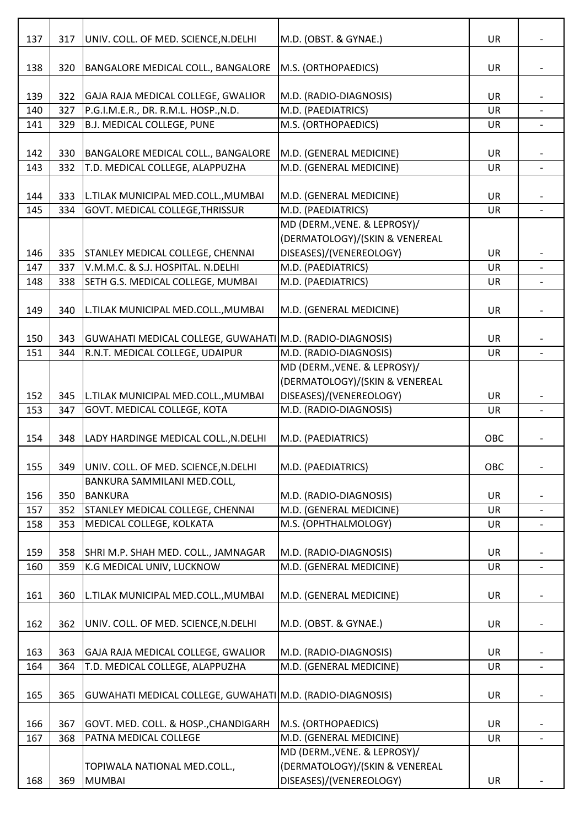| 137        | 317        | UNIV. COLL. OF MED. SCIENCE, N. DELHI                                  | M.D. (OBST. & GYNAE.)                                     | <b>UR</b>       |                |
|------------|------------|------------------------------------------------------------------------|-----------------------------------------------------------|-----------------|----------------|
|            |            |                                                                        |                                                           |                 |                |
| 138        | 320        | <b>BANGALORE MEDICAL COLL., BANGALORE</b>                              | M.S. (ORTHOPAEDICS)                                       | UR              |                |
|            |            |                                                                        |                                                           |                 |                |
| 139        | 322        | GAJA RAJA MEDICAL COLLEGE, GWALIOR                                     | M.D. (RADIO-DIAGNOSIS)                                    | UR              |                |
| 140        | 327        | P.G.I.M.E.R., DR. R.M.L. HOSP., N.D.                                   | M.D. (PAEDIATRICS)                                        | <b>UR</b>       |                |
| 141        | 329        | <b>B.J. MEDICAL COLLEGE, PUNE</b>                                      | M.S. (ORTHOPAEDICS)                                       | UR              |                |
|            |            |                                                                        |                                                           |                 |                |
| 142        | 330        | BANGALORE MEDICAL COLL., BANGALORE                                     | M.D. (GENERAL MEDICINE)                                   | UR              |                |
| 143        | 332        | T.D. MEDICAL COLLEGE, ALAPPUZHA                                        | M.D. (GENERAL MEDICINE)                                   | UR              | $\blacksquare$ |
|            |            |                                                                        |                                                           |                 |                |
| 144<br>145 | 333<br>334 | L.TILAK MUNICIPAL MED.COLL., MUMBAI<br>GOVT. MEDICAL COLLEGE, THRISSUR | M.D. (GENERAL MEDICINE)<br>M.D. (PAEDIATRICS)             | UR<br><b>UR</b> |                |
|            |            |                                                                        | MD (DERM., VENE. & LEPROSY)/                              |                 |                |
|            |            |                                                                        | (DERMATOLOGY)/(SKIN & VENEREAL                            |                 |                |
| 146        | 335        | STANLEY MEDICAL COLLEGE, CHENNAI                                       | DISEASES)/(VENEREOLOGY)                                   | UR              |                |
| 147        | 337        | V.M.M.C. & S.J. HOSPITAL. N.DELHI                                      | M.D. (PAEDIATRICS)                                        | UR              |                |
| 148        | 338        | SETH G.S. MEDICAL COLLEGE, MUMBAI                                      | M.D. (PAEDIATRICS)                                        | UR              |                |
|            |            |                                                                        |                                                           |                 |                |
| 149        | 340        | L.TILAK MUNICIPAL MED.COLL., MUMBAI                                    | M.D. (GENERAL MEDICINE)                                   | UR              |                |
|            |            |                                                                        |                                                           |                 |                |
| 150        | 343        | GUWAHATI MEDICAL COLLEGE, GUWAHATI M.D. (RADIO-DIAGNOSIS)              |                                                           | UR              |                |
| 151        | 344        | R.N.T. MEDICAL COLLEGE, UDAIPUR                                        | M.D. (RADIO-DIAGNOSIS)                                    | UR              |                |
|            |            |                                                                        | MD (DERM., VENE. & LEPROSY)/                              |                 |                |
|            |            |                                                                        | (DERMATOLOGY)/(SKIN & VENEREAL                            |                 |                |
| 152        | 345        | L.TILAK MUNICIPAL MED.COLL., MUMBAI                                    | DISEASES)/(VENEREOLOGY)                                   | <b>UR</b>       |                |
| 153        | 347        | GOVT. MEDICAL COLLEGE, KOTA                                            | M.D. (RADIO-DIAGNOSIS)                                    | UR              |                |
|            |            |                                                                        |                                                           |                 |                |
| 154        | 348        | LADY HARDINGE MEDICAL COLL., N.DELHI                                   | M.D. (PAEDIATRICS)                                        | <b>OBC</b>      |                |
|            |            |                                                                        |                                                           |                 |                |
| 155        | 349        | UNIV. COLL. OF MED. SCIENCE, N. DELHI                                  | M.D. (PAEDIATRICS)                                        | OBC             |                |
|            |            | BANKURA SAMMILANI MED.COLL,                                            |                                                           |                 |                |
| 156        | 350        | <b>BANKURA</b>                                                         | M.D. (RADIO-DIAGNOSIS)                                    | UR              |                |
| 157        | 352        | STANLEY MEDICAL COLLEGE, CHENNAI                                       | M.D. (GENERAL MEDICINE)                                   | <b>UR</b>       |                |
| 158        | 353        | MEDICAL COLLEGE, KOLKATA                                               | M.S. (OPHTHALMOLOGY)                                      |                 |                |
|            |            |                                                                        |                                                           | <b>UR</b>       |                |
| 159        |            |                                                                        |                                                           |                 |                |
|            | 358        | SHRI M.P. SHAH MED. COLL., JAMNAGAR                                    | M.D. (RADIO-DIAGNOSIS)                                    | <b>UR</b>       |                |
| 160        | 359        | K.G MEDICAL UNIV, LUCKNOW                                              | M.D. (GENERAL MEDICINE)                                   | <b>UR</b>       |                |
|            |            |                                                                        |                                                           |                 |                |
| 161        | 360        | L.TILAK MUNICIPAL MED.COLL., MUMBAI                                    | M.D. (GENERAL MEDICINE)                                   | UR              |                |
|            |            |                                                                        |                                                           |                 |                |
| 162        | 362        | UNIV. COLL. OF MED. SCIENCE, N. DELHI                                  | M.D. (OBST. & GYNAE.)                                     | UR              |                |
|            |            |                                                                        |                                                           |                 |                |
| 163        | 363        | GAJA RAJA MEDICAL COLLEGE, GWALIOR                                     | M.D. (RADIO-DIAGNOSIS)                                    | <b>UR</b>       |                |
| 164        | 364        | T.D. MEDICAL COLLEGE, ALAPPUZHA                                        | M.D. (GENERAL MEDICINE)                                   | UR              |                |
|            |            |                                                                        |                                                           |                 |                |
| 165        | 365        | GUWAHATI MEDICAL COLLEGE, GUWAHATI M.D. (RADIO-DIAGNOSIS)              |                                                           | <b>UR</b>       |                |
|            |            |                                                                        |                                                           |                 |                |
| 166        | 367        | GOVT. MED. COLL. & HOSP., CHANDIGARH                                   | M.S. (ORTHOPAEDICS)                                       | <b>UR</b>       |                |
| 167        | 368        | PATNA MEDICAL COLLEGE                                                  | M.D. (GENERAL MEDICINE)                                   | UR              |                |
|            |            |                                                                        | MD (DERM., VENE. & LEPROSY)/                              |                 |                |
| 168        | 369        | TOPIWALA NATIONAL MED.COLL.,<br><b>MUMBAI</b>                          | (DERMATOLOGY)/(SKIN & VENEREAL<br>DISEASES)/(VENEREOLOGY) | UR              |                |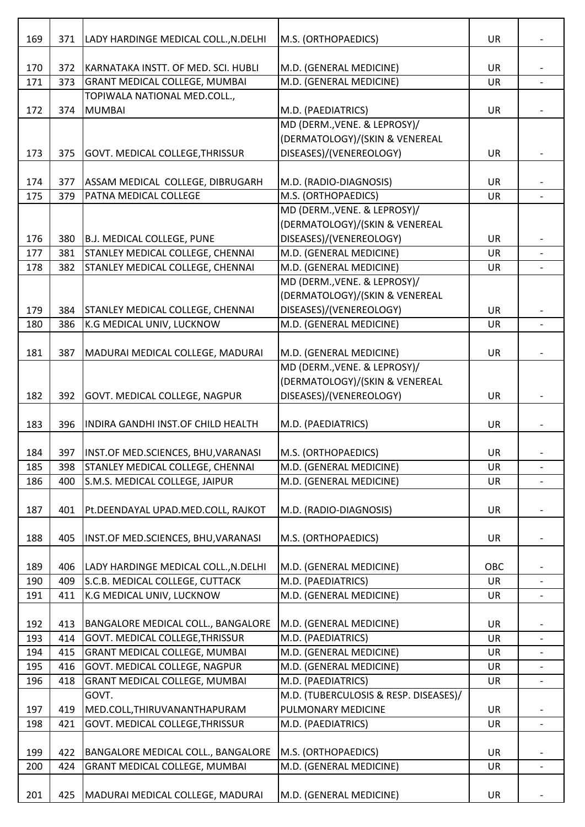| 169<br>371<br>M.S. (ORTHOPAEDICS)<br>LADY HARDINGE MEDICAL COLL., N.DELHI<br>KARNATAKA INSTT. OF MED. SCI. HUBLI<br>M.D. (GENERAL MEDICINE)<br>170<br>372 |           |                          |
|-----------------------------------------------------------------------------------------------------------------------------------------------------------|-----------|--------------------------|
|                                                                                                                                                           | <b>UR</b> |                          |
|                                                                                                                                                           | UR        |                          |
| M.D. (GENERAL MEDICINE)<br>171<br>373<br><b>GRANT MEDICAL COLLEGE, MUMBAI</b>                                                                             | <b>UR</b> |                          |
| TOPIWALA NATIONAL MED.COLL.,                                                                                                                              |           |                          |
| M.D. (PAEDIATRICS)<br>172<br>374<br><b>MUMBAI</b>                                                                                                         | <b>UR</b> |                          |
| MD (DERM., VENE. & LEPROSY)/                                                                                                                              |           |                          |
| (DERMATOLOGY)/(SKIN & VENEREAL                                                                                                                            |           |                          |
| DISEASES)/(VENEREOLOGY)<br>173<br>375<br><b>GOVT. MEDICAL COLLEGE, THRISSUR</b>                                                                           | <b>UR</b> |                          |
|                                                                                                                                                           |           |                          |
| ASSAM MEDICAL COLLEGE, DIBRUGARH<br>M.D. (RADIO-DIAGNOSIS)<br>174<br>377                                                                                  | <b>UR</b> |                          |
| 175<br>PATNA MEDICAL COLLEGE<br>M.S. (ORTHOPAEDICS)<br>379                                                                                                | <b>UR</b> |                          |
| MD (DERM., VENE. & LEPROSY)/                                                                                                                              |           |                          |
| (DERMATOLOGY)/(SKIN & VENEREAL                                                                                                                            |           |                          |
| DISEASES)/(VENEREOLOGY)<br>176<br>380<br>B.J. MEDICAL COLLEGE, PUNE                                                                                       | UR        |                          |
| STANLEY MEDICAL COLLEGE, CHENNAI<br>M.D. (GENERAL MEDICINE)<br>177<br>381                                                                                 | UR        |                          |
| M.D. (GENERAL MEDICINE)<br>STANLEY MEDICAL COLLEGE, CHENNAI<br>178<br>382                                                                                 | UR        | $\overline{\phantom{0}}$ |
| MD (DERM., VENE. & LEPROSY)/                                                                                                                              |           |                          |
| (DERMATOLOGY)/(SKIN & VENEREAL                                                                                                                            |           |                          |
| DISEASES)/(VENEREOLOGY)<br>179<br>STANLEY MEDICAL COLLEGE, CHENNAI<br>384                                                                                 | UR        |                          |
| K.G MEDICAL UNIV, LUCKNOW<br>M.D. (GENERAL MEDICINE)<br>180<br>386                                                                                        | UR        |                          |
|                                                                                                                                                           |           |                          |
| 181<br>387<br>MADURAI MEDICAL COLLEGE, MADURAI<br>M.D. (GENERAL MEDICINE)                                                                                 | <b>UR</b> |                          |
| MD (DERM., VENE. & LEPROSY)/                                                                                                                              |           |                          |
| (DERMATOLOGY)/(SKIN & VENEREAL                                                                                                                            |           |                          |
| GOVT. MEDICAL COLLEGE, NAGPUR<br>DISEASES)/(VENEREOLOGY)<br>182<br>392                                                                                    | <b>UR</b> |                          |
|                                                                                                                                                           |           |                          |
| 183<br>396<br>M.D. (PAEDIATRICS)<br>INDIRA GANDHI INST.OF CHILD HEALTH                                                                                    | <b>UR</b> |                          |
|                                                                                                                                                           |           |                          |
| 184<br>397   INST.OF MED.SCIENCES, BHU, VARANASI<br>M.S. (ORTHOPAEDICS)                                                                                   | <b>UR</b> |                          |
| 185<br>398<br><b>STANLEY MEDICAL COLLEGE, CHENNAI</b><br>M.D. (GENERAL MEDICINE)                                                                          | UR        | $\overline{\phantom{0}}$ |
| S.M.S. MEDICAL COLLEGE, JAIPUR<br>M.D. (GENERAL MEDICINE)<br>186<br>400                                                                                   | <b>UR</b> |                          |
|                                                                                                                                                           |           |                          |
| 187<br>Pt.DEENDAYAL UPAD.MED.COLL, RAJKOT<br>M.D. (RADIO-DIAGNOSIS)<br>401                                                                                | UR        |                          |
|                                                                                                                                                           |           |                          |
| 188<br>405<br>INST.OF MED.SCIENCES, BHU, VARANASI<br>M.S. (ORTHOPAEDICS)                                                                                  | UR        |                          |
|                                                                                                                                                           |           |                          |
| 189<br>406<br>LADY HARDINGE MEDICAL COLL., N.DELHI<br>M.D. (GENERAL MEDICINE)                                                                             | OBC       |                          |
| 409<br>S.C.B. MEDICAL COLLEGE, CUTTACK<br>M.D. (PAEDIATRICS)<br>190                                                                                       | <b>UR</b> | $\overline{\phantom{a}}$ |
| 411<br>K.G MEDICAL UNIV, LUCKNOW<br>M.D. (GENERAL MEDICINE)<br>191                                                                                        | UR        |                          |
|                                                                                                                                                           |           |                          |
| 192<br>BANGALORE MEDICAL COLL., BANGALORE<br>M.D. (GENERAL MEDICINE)<br>413                                                                               | <b>UR</b> |                          |
| 193<br>GOVT. MEDICAL COLLEGE, THRISSUR<br>M.D. (PAEDIATRICS)<br>414                                                                                       | UR        |                          |
| M.D. (GENERAL MEDICINE)<br><b>GRANT MEDICAL COLLEGE, MUMBAI</b><br>194<br>415                                                                             | <b>UR</b> |                          |
|                                                                                                                                                           | UR        |                          |
|                                                                                                                                                           | <b>UR</b> |                          |
| GOVT. MEDICAL COLLEGE, NAGPUR<br>M.D. (GENERAL MEDICINE)<br>195<br>416                                                                                    |           |                          |
| <b>GRANT MEDICAL COLLEGE, MUMBAI</b><br>M.D. (PAEDIATRICS)<br>196<br>418                                                                                  |           |                          |
| M.D. (TUBERCULOSIS & RESP. DISEASES)/<br>GOVT.                                                                                                            |           |                          |
| PULMONARY MEDICINE<br>MED.COLL, THIRUVANANTHAPURAM<br>197<br>419                                                                                          | UR        |                          |
| 198<br>421<br>GOVT. MEDICAL COLLEGE, THRISSUR<br>M.D. (PAEDIATRICS)                                                                                       | <b>UR</b> |                          |
|                                                                                                                                                           |           |                          |
| 199<br><b>BANGALORE MEDICAL COLL., BANGALORE</b><br>M.S. (ORTHOPAEDICS)<br>422                                                                            | <b>UR</b> |                          |
| M.D. (GENERAL MEDICINE)<br><b>GRANT MEDICAL COLLEGE, MUMBAI</b><br>200<br>424                                                                             | UR        |                          |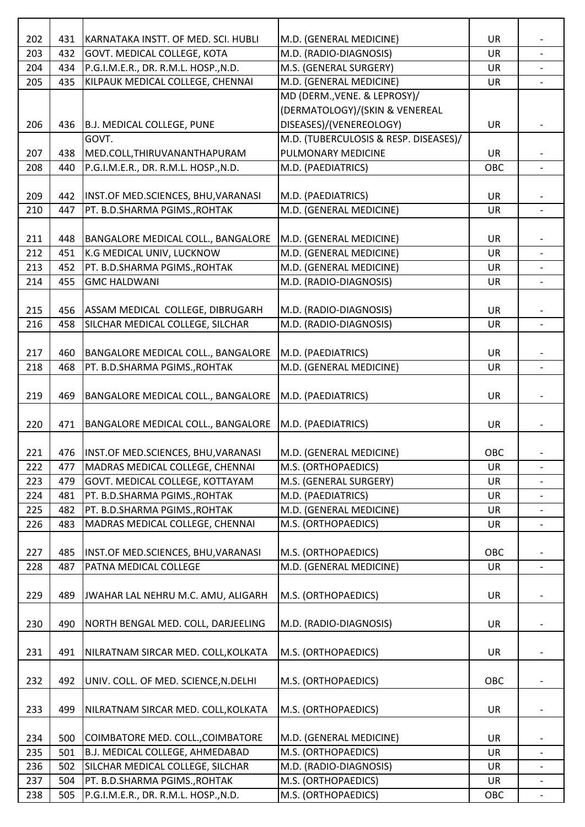| 202 | 431 | KARNATAKA INSTT. OF MED. SCI. HUBLI       | M.D. (GENERAL MEDICINE)               | <b>UR</b> |                          |
|-----|-----|-------------------------------------------|---------------------------------------|-----------|--------------------------|
| 203 | 432 | GOVT. MEDICAL COLLEGE, KOTA               | M.D. (RADIO-DIAGNOSIS)                | UR        |                          |
| 204 | 434 | P.G.I.M.E.R., DR. R.M.L. HOSP., N.D.      | M.S. (GENERAL SURGERY)                | UR        |                          |
| 205 | 435 | KILPAUK MEDICAL COLLEGE, CHENNAI          | M.D. (GENERAL MEDICINE)               | UR        |                          |
|     |     |                                           | MD (DERM., VENE. & LEPROSY)/          |           |                          |
|     |     |                                           | (DERMATOLOGY)/(SKIN & VENEREAL        |           |                          |
| 206 | 436 | B.J. MEDICAL COLLEGE, PUNE                | DISEASES)/(VENEREOLOGY)               | UR        |                          |
|     |     | GOVT.                                     | M.D. (TUBERCULOSIS & RESP. DISEASES)/ |           |                          |
| 207 | 438 | MED.COLL, THIRUVANANTHAPURAM              | PULMONARY MEDICINE                    | UR        |                          |
| 208 | 440 | P.G.I.M.E.R., DR. R.M.L. HOSP., N.D.      | M.D. (PAEDIATRICS)                    | OBC       |                          |
|     |     |                                           |                                       |           |                          |
| 209 | 442 | INST.OF MED.SCIENCES, BHU, VARANASI       | M.D. (PAEDIATRICS)                    | UR        |                          |
| 210 | 447 | PT. B.D.SHARMA PGIMS., ROHTAK             | M.D. (GENERAL MEDICINE)               | UR        |                          |
|     |     |                                           |                                       |           |                          |
| 211 | 448 | BANGALORE MEDICAL COLL., BANGALORE        | M.D. (GENERAL MEDICINE)               | UR        |                          |
| 212 | 451 | K.G MEDICAL UNIV, LUCKNOW                 | M.D. (GENERAL MEDICINE)               | UR        |                          |
| 213 | 452 | PT. B.D.SHARMA PGIMS., ROHTAK             | M.D. (GENERAL MEDICINE)               | UR        |                          |
| 214 | 455 | <b>GMC HALDWANI</b>                       | M.D. (RADIO-DIAGNOSIS)                | UR        |                          |
|     |     |                                           |                                       |           |                          |
| 215 | 456 | ASSAM MEDICAL COLLEGE, DIBRUGARH          | M.D. (RADIO-DIAGNOSIS)                | <b>UR</b> |                          |
| 216 | 458 | SILCHAR MEDICAL COLLEGE, SILCHAR          | M.D. (RADIO-DIAGNOSIS)                | UR        |                          |
| 217 | 460 |                                           |                                       | UR        |                          |
|     |     | BANGALORE MEDICAL COLL., BANGALORE        | M.D. (PAEDIATRICS)                    |           |                          |
| 218 | 468 | PT. B.D.SHARMA PGIMS., ROHTAK             | M.D. (GENERAL MEDICINE)               | UR        | $\overline{\phantom{0}}$ |
| 219 | 469 | BANGALORE MEDICAL COLL., BANGALORE        | M.D. (PAEDIATRICS)                    | <b>UR</b> |                          |
|     |     |                                           |                                       |           |                          |
| 220 | 471 | BANGALORE MEDICAL COLL., BANGALORE        | M.D. (PAEDIATRICS)                    | UR        |                          |
|     |     |                                           |                                       |           |                          |
| 221 |     | 476   INST.OF MED.SCIENCES, BHU, VARANASI | M.D. (GENERAL MEDICINE)               | OBC       |                          |
| 222 | 477 | MADRAS MEDICAL COLLEGE, CHENNAI           | M.S. (ORTHOPAEDICS)                   | UR        | $\qquad \qquad -$        |
| 223 | 479 | GOVT. MEDICAL COLLEGE, KOTTAYAM           | M.S. (GENERAL SURGERY)                | <b>UR</b> |                          |
| 224 | 481 | PT. B.D.SHARMA PGIMS., ROHTAK             | M.D. (PAEDIATRICS)                    | UR        |                          |
| 225 | 482 | PT. B.D.SHARMA PGIMS., ROHTAK             | M.D. (GENERAL MEDICINE)               | UR        | $\overline{\phantom{a}}$ |
| 226 | 483 | MADRAS MEDICAL COLLEGE, CHENNAI           | M.S. (ORTHOPAEDICS)                   | UR        |                          |
|     |     |                                           |                                       |           |                          |
| 227 | 485 | INST.OF MED.SCIENCES, BHU, VARANASI       | M.S. (ORTHOPAEDICS)                   | OBC       |                          |
| 228 | 487 | PATNA MEDICAL COLLEGE                     | M.D. (GENERAL MEDICINE)               | <b>UR</b> |                          |
|     |     |                                           |                                       |           |                          |
| 229 | 489 | JWAHAR LAL NEHRU M.C. AMU, ALIGARH        | M.S. (ORTHOPAEDICS)                   | UR        |                          |
|     |     |                                           |                                       |           |                          |
| 230 | 490 | NORTH BENGAL MED. COLL, DARJEELING        | M.D. (RADIO-DIAGNOSIS)                | UR        |                          |
|     |     |                                           |                                       |           |                          |
| 231 | 491 | NILRATNAM SIRCAR MED. COLL, KOLKATA       | M.S. (ORTHOPAEDICS)                   | UR        |                          |
|     |     |                                           |                                       |           |                          |
| 232 | 492 | UNIV. COLL. OF MED. SCIENCE, N. DELHI     | M.S. (ORTHOPAEDICS)                   | OBC       |                          |
|     |     |                                           |                                       |           |                          |
| 233 | 499 | NILRATNAM SIRCAR MED. COLL, KOLKATA       | M.S. (ORTHOPAEDICS)                   | UR        |                          |
|     |     |                                           |                                       |           |                          |
| 234 | 500 | COIMBATORE MED. COLL., COIMBATORE         | M.D. (GENERAL MEDICINE)               | <b>UR</b> |                          |
| 235 | 501 | B.J. MEDICAL COLLEGE, AHMEDABAD           | M.S. (ORTHOPAEDICS)                   | <b>UR</b> |                          |
| 236 | 502 | SILCHAR MEDICAL COLLEGE, SILCHAR          | M.D. (RADIO-DIAGNOSIS)                | UR        |                          |
| 237 | 504 | PT. B.D.SHARMA PGIMS., ROHTAK             | M.S. (ORTHOPAEDICS)                   | UR        | $\overline{\phantom{a}}$ |
| 238 | 505 | P.G.I.M.E.R., DR. R.M.L. HOSP., N.D.      | M.S. (ORTHOPAEDICS)                   | OBC       |                          |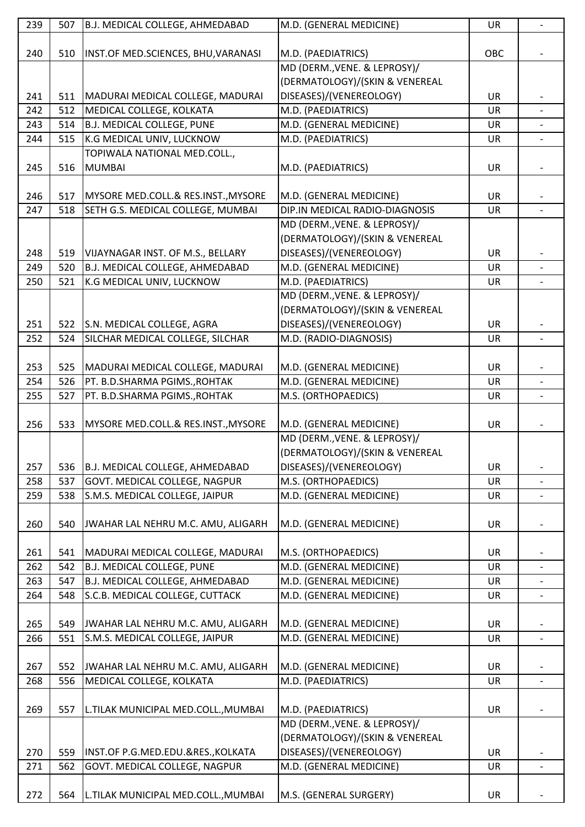| 239 |     |                                                           |                                |           |                          |
|-----|-----|-----------------------------------------------------------|--------------------------------|-----------|--------------------------|
|     | 507 | B.J. MEDICAL COLLEGE, AHMEDABAD                           | M.D. (GENERAL MEDICINE)        | UR        | $\overline{\phantom{0}}$ |
|     |     |                                                           |                                |           |                          |
| 240 | 510 | INST.OF MED.SCIENCES, BHU, VARANASI                       | M.D. (PAEDIATRICS)             | OBC       |                          |
|     |     |                                                           | MD (DERM., VENE. & LEPROSY)/   |           |                          |
|     |     |                                                           | (DERMATOLOGY)/(SKIN & VENEREAL |           |                          |
| 241 | 511 | MADURAI MEDICAL COLLEGE, MADURAI                          | DISEASES)/(VENEREOLOGY)        | <b>UR</b> |                          |
| 242 | 512 | MEDICAL COLLEGE, KOLKATA                                  | M.D. (PAEDIATRICS)             | UR        |                          |
| 243 | 514 | <b>B.J. MEDICAL COLLEGE, PUNE</b>                         | M.D. (GENERAL MEDICINE)        | UR        |                          |
| 244 | 515 | K.G MEDICAL UNIV, LUCKNOW<br>TOPIWALA NATIONAL MED.COLL., | M.D. (PAEDIATRICS)             | UR        |                          |
| 245 | 516 | <b>MUMBAI</b>                                             | M.D. (PAEDIATRICS)             | <b>UR</b> |                          |
|     |     |                                                           |                                |           |                          |
| 246 | 517 | MYSORE MED.COLL.& RES.INST., MYSORE                       | M.D. (GENERAL MEDICINE)        | <b>UR</b> |                          |
| 247 | 518 | SETH G.S. MEDICAL COLLEGE, MUMBAI                         | DIP.IN MEDICAL RADIO-DIAGNOSIS | UR        |                          |
|     |     |                                                           | MD (DERM., VENE. & LEPROSY)/   |           |                          |
|     |     |                                                           | (DERMATOLOGY)/(SKIN & VENEREAL |           |                          |
| 248 | 519 | VIJAYNAGAR INST. OF M.S., BELLARY                         | DISEASES)/(VENEREOLOGY)        | <b>UR</b> |                          |
| 249 | 520 | <b>B.J. MEDICAL COLLEGE, AHMEDABAD</b>                    | M.D. (GENERAL MEDICINE)        | <b>UR</b> |                          |
| 250 | 521 | K.G MEDICAL UNIV, LUCKNOW                                 | M.D. (PAEDIATRICS)             | <b>UR</b> |                          |
|     |     |                                                           | MD (DERM., VENE. & LEPROSY)/   |           |                          |
|     |     |                                                           | (DERMATOLOGY)/(SKIN & VENEREAL |           |                          |
| 251 | 522 | S.N. MEDICAL COLLEGE, AGRA                                | DISEASES)/(VENEREOLOGY)        | UR        |                          |
| 252 | 524 | SILCHAR MEDICAL COLLEGE, SILCHAR                          | M.D. (RADIO-DIAGNOSIS)         | UR        |                          |
|     |     |                                                           |                                |           |                          |
| 253 | 525 | MADURAI MEDICAL COLLEGE, MADURAI                          | M.D. (GENERAL MEDICINE)        | <b>UR</b> |                          |
| 254 | 526 | PT. B.D.SHARMA PGIMS., ROHTAK                             | M.D. (GENERAL MEDICINE)        | UR        |                          |
| 255 | 527 | PT. B.D.SHARMA PGIMS., ROHTAK                             | M.S. (ORTHOPAEDICS)            | UR        |                          |
|     |     |                                                           |                                |           |                          |
| 256 | 533 | MYSORE MED.COLL.& RES.INST., MYSORE                       | M.D. (GENERAL MEDICINE)        | UR        |                          |
|     |     |                                                           | MD (DERM., VENE. & LEPROSY)/   |           |                          |
|     |     |                                                           | (DERMATOLOGY)/(SKIN & VENEREAL |           |                          |
| 257 | 536 | B.J. MEDICAL COLLEGE, AHMEDABAD                           | DISEASES)/(VENEREOLOGY)        | <b>UR</b> |                          |
| 258 | 537 | GOVT. MEDICAL COLLEGE, NAGPUR                             | M.S. (ORTHOPAEDICS)            | UR        |                          |
| 259 | 538 | S.M.S. MEDICAL COLLEGE, JAIPUR                            | M.D. (GENERAL MEDICINE)        | UR        |                          |
|     |     |                                                           |                                |           |                          |
| 260 | 540 | JWAHAR LAL NEHRU M.C. AMU, ALIGARH                        | M.D. (GENERAL MEDICINE)        | <b>UR</b> |                          |
|     |     |                                                           |                                |           |                          |
| 261 | 541 | MADURAI MEDICAL COLLEGE, MADURAI                          | M.S. (ORTHOPAEDICS)            | UR        |                          |
|     |     |                                                           |                                |           |                          |
| 262 | 542 | <b>B.J. MEDICAL COLLEGE, PUNE</b>                         | M.D. (GENERAL MEDICINE)        | UR        | $\overline{\phantom{0}}$ |
| 263 | 547 | <b>B.J. MEDICAL COLLEGE, AHMEDABAD</b>                    | M.D. (GENERAL MEDICINE)        | <b>UR</b> |                          |
| 264 | 548 | S.C.B. MEDICAL COLLEGE, CUTTACK                           | M.D. (GENERAL MEDICINE)        | <b>UR</b> | $\overline{\phantom{a}}$ |
|     |     |                                                           |                                |           |                          |
| 265 | 549 | JWAHAR LAL NEHRU M.C. AMU, ALIGARH                        | M.D. (GENERAL MEDICINE)        | <b>UR</b> |                          |
| 266 | 551 | S.M.S. MEDICAL COLLEGE, JAIPUR                            | M.D. (GENERAL MEDICINE)        | <b>UR</b> | $\overline{\phantom{a}}$ |
|     |     |                                                           |                                |           |                          |
| 267 | 552 | JWAHAR LAL NEHRU M.C. AMU, ALIGARH                        | M.D. (GENERAL MEDICINE)        | <b>UR</b> |                          |
| 268 | 556 | MEDICAL COLLEGE, KOLKATA                                  | M.D. (PAEDIATRICS)             | UR        |                          |
|     |     |                                                           |                                |           |                          |
| 269 | 557 | L.TILAK MUNICIPAL MED.COLL., MUMBAI                       | M.D. (PAEDIATRICS)             | <b>UR</b> |                          |
|     |     |                                                           | MD (DERM., VENE. & LEPROSY)/   |           |                          |
|     |     |                                                           | (DERMATOLOGY)/(SKIN & VENEREAL |           |                          |
| 270 | 559 | INST.OF P.G.MED.EDU.&RES., KOLKATA                        | DISEASES)/(VENEREOLOGY)        | <b>UR</b> |                          |
| 271 | 562 | GOVT. MEDICAL COLLEGE, NAGPUR                             | M.D. (GENERAL MEDICINE)        | <b>UR</b> |                          |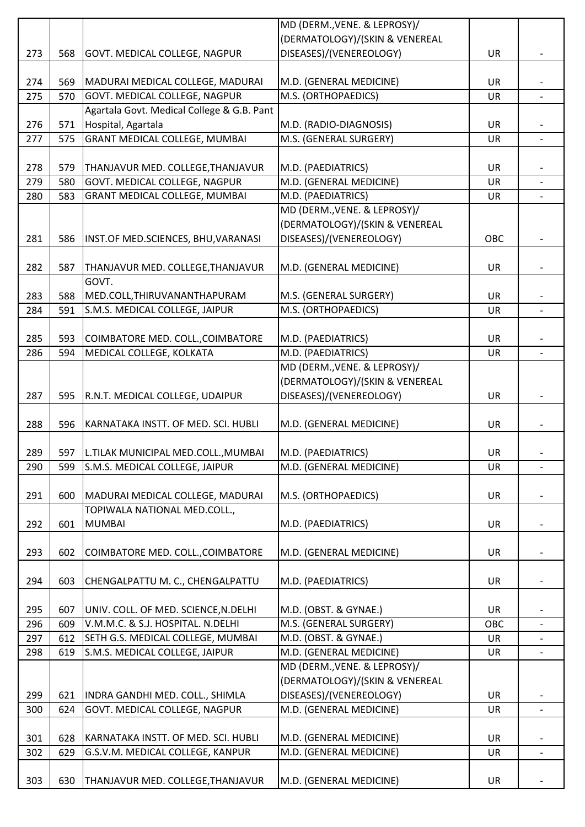|     |     |                                                                             | MD (DERM., VENE. & LEPROSY)/   |           |                |
|-----|-----|-----------------------------------------------------------------------------|--------------------------------|-----------|----------------|
|     |     |                                                                             | (DERMATOLOGY)/(SKIN & VENEREAL |           |                |
| 273 | 568 | GOVT. MEDICAL COLLEGE, NAGPUR                                               | DISEASES)/(VENEREOLOGY)        | UR        |                |
|     |     |                                                                             |                                |           |                |
| 274 | 569 | MADURAI MEDICAL COLLEGE, MADURAI                                            | M.D. (GENERAL MEDICINE)        | UR        |                |
| 275 | 570 | GOVT. MEDICAL COLLEGE, NAGPUR                                               | M.S. (ORTHOPAEDICS)            | UR        |                |
|     |     | Agartala Govt. Medical College & G.B. Pant                                  |                                |           |                |
| 276 | 571 | Hospital, Agartala                                                          | M.D. (RADIO-DIAGNOSIS)         | UR        |                |
| 277 | 575 | <b>GRANT MEDICAL COLLEGE, MUMBAI</b>                                        | M.S. (GENERAL SURGERY)         | UR        |                |
|     |     |                                                                             |                                |           |                |
| 278 | 579 | THANJAVUR MED. COLLEGE, THANJAVUR                                           | M.D. (PAEDIATRICS)             | <b>UR</b> |                |
| 279 | 580 | GOVT. MEDICAL COLLEGE, NAGPUR                                               | M.D. (GENERAL MEDICINE)        | UR        |                |
|     |     |                                                                             |                                |           |                |
| 280 | 583 | <b>GRANT MEDICAL COLLEGE, MUMBAI</b>                                        | M.D. (PAEDIATRICS)             | UR        |                |
|     |     |                                                                             | MD (DERM., VENE. & LEPROSY)/   |           |                |
|     |     |                                                                             | (DERMATOLOGY)/(SKIN & VENEREAL |           |                |
| 281 | 586 | INST.OF MED.SCIENCES, BHU, VARANASI                                         | DISEASES)/(VENEREOLOGY)        | OBC       |                |
|     |     |                                                                             |                                |           |                |
| 282 | 587 | THANJAVUR MED. COLLEGE, THANJAVUR                                           | M.D. (GENERAL MEDICINE)        | UR        |                |
|     |     | GOVT.                                                                       |                                |           |                |
| 283 | 588 | MED.COLL, THIRUVANANTHAPURAM                                                | M.S. (GENERAL SURGERY)         | UR        |                |
| 284 | 591 | S.M.S. MEDICAL COLLEGE, JAIPUR                                              | M.S. (ORTHOPAEDICS)            | <b>UR</b> |                |
|     |     |                                                                             |                                |           |                |
| 285 | 593 | COIMBATORE MED. COLL., COIMBATORE                                           | M.D. (PAEDIATRICS)             | <b>UR</b> |                |
| 286 | 594 | MEDICAL COLLEGE, KOLKATA                                                    | M.D. (PAEDIATRICS)             | UR        |                |
|     |     |                                                                             | MD (DERM., VENE. & LEPROSY)/   |           |                |
|     |     |                                                                             | (DERMATOLOGY)/(SKIN & VENEREAL |           |                |
| 287 | 595 | R.N.T. MEDICAL COLLEGE, UDAIPUR                                             | DISEASES)/(VENEREOLOGY)        | UR        |                |
|     |     |                                                                             |                                |           |                |
| 288 | 596 | KARNATAKA INSTT. OF MED. SCI. HUBLI                                         | M.D. (GENERAL MEDICINE)        | UR        |                |
|     |     |                                                                             |                                |           |                |
| 289 |     |                                                                             |                                | <b>UR</b> |                |
| 290 | 599 | 597   L.TILAK MUNICIPAL MED.COLL., MUMBAI<br>S.M.S. MEDICAL COLLEGE, JAIPUR | M.D. (PAEDIATRICS)             | UR        |                |
|     |     |                                                                             | M.D. (GENERAL MEDICINE)        |           |                |
|     |     |                                                                             |                                |           |                |
| 291 | 600 | MADURAI MEDICAL COLLEGE, MADURAI                                            | M.S. (ORTHOPAEDICS)            | UR        |                |
|     |     | TOPIWALA NATIONAL MED.COLL.,                                                |                                |           |                |
| 292 | 601 | <b>MUMBAI</b>                                                               | M.D. (PAEDIATRICS)             | <b>UR</b> |                |
|     |     |                                                                             |                                |           |                |
| 293 | 602 | COIMBATORE MED. COLL., COIMBATORE                                           | M.D. (GENERAL MEDICINE)        | UR        |                |
|     |     |                                                                             |                                |           |                |
| 294 | 603 | CHENGALPATTU M. C., CHENGALPATTU                                            | M.D. (PAEDIATRICS)             | <b>UR</b> |                |
|     |     |                                                                             |                                |           |                |
| 295 | 607 | UNIV. COLL. OF MED. SCIENCE, N. DELHI                                       | M.D. (OBST. & GYNAE.)          | <b>UR</b> |                |
| 296 | 609 | V.M.M.C. & S.J. HOSPITAL. N.DELHI                                           | M.S. (GENERAL SURGERY)         | OBC       |                |
| 297 | 612 | SETH G.S. MEDICAL COLLEGE, MUMBAI                                           | M.D. (OBST. & GYNAE.)          | <b>UR</b> |                |
| 298 | 619 | S.M.S. MEDICAL COLLEGE, JAIPUR                                              | M.D. (GENERAL MEDICINE)        | UR        |                |
|     |     |                                                                             | MD (DERM., VENE. & LEPROSY)/   |           |                |
|     |     |                                                                             | (DERMATOLOGY)/(SKIN & VENEREAL |           |                |
| 299 | 621 | INDRA GANDHI MED. COLL., SHIMLA                                             | DISEASES)/(VENEREOLOGY)        | <b>UR</b> |                |
| 300 | 624 | GOVT. MEDICAL COLLEGE, NAGPUR                                               | M.D. (GENERAL MEDICINE)        | <b>UR</b> | $\overline{a}$ |
|     |     |                                                                             |                                |           |                |
| 301 | 628 | KARNATAKA INSTT. OF MED. SCI. HUBLI                                         | M.D. (GENERAL MEDICINE)        | UR        |                |
|     |     |                                                                             | M.D. (GENERAL MEDICINE)        |           |                |
| 302 | 629 | G.S.V.M. MEDICAL COLLEGE, KANPUR                                            |                                | <b>UR</b> |                |
|     |     |                                                                             |                                |           |                |
| 303 | 630 | THANJAVUR MED. COLLEGE, THANJAVUR                                           | M.D. (GENERAL MEDICINE)        | <b>UR</b> |                |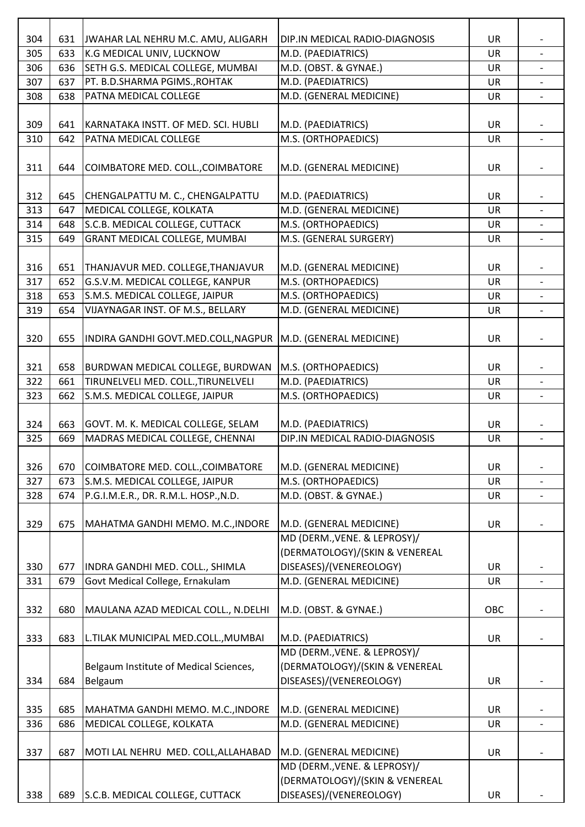| 631<br>JWAHAR LAL NEHRU M.C. AMU, ALIGARH<br>DIP.IN MEDICAL RADIO-DIAGNOSIS<br>UR<br>305<br>633<br>K.G MEDICAL UNIV, LUCKNOW<br>UR<br>M.D. (PAEDIATRICS)<br>SETH G.S. MEDICAL COLLEGE, MUMBAI<br>M.D. (OBST. & GYNAE.)<br>306<br>636<br>UR<br>307<br>637<br>PT. B.D.SHARMA PGIMS., ROHTAK<br>M.D. (PAEDIATRICS)<br>UR<br>PATNA MEDICAL COLLEGE<br>M.D. (GENERAL MEDICINE)<br>308<br>638<br>UR<br>309<br>KARNATAKA INSTT. OF MED. SCI. HUBLI<br>M.D. (PAEDIATRICS)<br>641<br>UR<br>M.S. (ORTHOPAEDICS)<br>310<br>642<br>PATNA MEDICAL COLLEGE<br>UR<br>$\overline{\phantom{a}}$<br>311<br>644<br>COIMBATORE MED. COLL., COIMBATORE<br>M.D. (GENERAL MEDICINE)<br>UR<br>312<br>CHENGALPATTU M. C., CHENGALPATTU<br>M.D. (PAEDIATRICS)<br>UR<br>645<br>MEDICAL COLLEGE, KOLKATA<br>M.D. (GENERAL MEDICINE)<br>313<br><b>UR</b><br>647<br>$\overline{a}$<br>314<br>S.C.B. MEDICAL COLLEGE, CUTTACK<br>M.S. (ORTHOPAEDICS)<br>648<br>UR<br>315<br><b>GRANT MEDICAL COLLEGE, MUMBAI</b><br>M.S. (GENERAL SURGERY)<br>649<br>UR<br>316<br>M.D. (GENERAL MEDICINE)<br>651<br>THANJAVUR MED. COLLEGE, THANJAVUR<br>UR<br>G.S.V.M. MEDICAL COLLEGE, KANPUR<br>M.S. (ORTHOPAEDICS)<br>317<br>652<br>UR<br>S.M.S. MEDICAL COLLEGE, JAIPUR<br>M.S. (ORTHOPAEDICS)<br>318<br>653<br>UR<br>VIJAYNAGAR INST. OF M.S., BELLARY<br>M.D. (GENERAL MEDICINE)<br>319<br>654<br>UR<br>$\overline{\phantom{0}}$<br>INDIRA GANDHI GOVT.MED.COLL, NAGPUR<br>M.D. (GENERAL MEDICINE)<br>320<br>655<br>UR<br>321<br>658<br>M.S. (ORTHOPAEDICS)<br><b>BURDWAN MEDICAL COLLEGE, BURDWAN</b><br>UR<br>TIRUNELVELI MED. COLL., TIRUNELVELI<br>M.D. (PAEDIATRICS)<br>322<br>661<br>UR<br>S.M.S. MEDICAL COLLEGE, JAIPUR<br>M.S. (ORTHOPAEDICS)<br>323<br>662<br>UR<br>324<br>M.D. (PAEDIATRICS)<br>UR<br>663<br>GOVT. M. K. MEDICAL COLLEGE, SELAM<br>DIP.IN MEDICAL RADIO-DIAGNOSIS<br>MADRAS MEDICAL COLLEGE, CHENNAI<br>325<br>669<br>UR<br>$\overline{a}$<br>326<br>670<br>COIMBATORE MED. COLL., COIMBATORE<br>M.D. (GENERAL MEDICINE)<br><b>UR</b><br>M.S. (ORTHOPAEDICS)<br>S.M.S. MEDICAL COLLEGE, JAIPUR<br>327<br>673<br><b>UR</b><br>P.G.I.M.E.R., DR. R.M.L. HOSP., N.D.<br>M.D. (OBST. & GYNAE.)<br>328<br>674<br>UR<br>329<br>675<br>MAHATMA GANDHI MEMO. M.C., INDORE<br>M.D. (GENERAL MEDICINE)<br><b>UR</b><br>MD (DERM., VENE. & LEPROSY)/<br>(DERMATOLOGY)/(SKIN & VENEREAL<br>330<br>DISEASES)/(VENEREOLOGY)<br>INDRA GANDHI MED. COLL., SHIMLA<br><b>UR</b><br>677<br>331<br>679<br>Govt Medical College, Ernakulam<br>M.D. (GENERAL MEDICINE)<br><b>UR</b><br>MAULANA AZAD MEDICAL COLL., N.DELHI<br>M.D. (OBST. & GYNAE.)<br>332<br>680<br>OBC<br>333<br>683<br>L.TILAK MUNICIPAL MED.COLL., MUMBAI<br>M.D. (PAEDIATRICS)<br><b>UR</b><br>MD (DERM., VENE. & LEPROSY)/<br>(DERMATOLOGY)/(SKIN & VENEREAL<br>Belgaum Institute of Medical Sciences,<br>684<br>DISEASES)/(VENEREOLOGY)<br>334<br>Belgaum<br>UR<br>MAHATMA GANDHI MEMO. M.C., INDORE<br>M.D. (GENERAL MEDICINE)<br>335<br>685<br>UR<br>336<br>MEDICAL COLLEGE, KOLKATA<br>M.D. (GENERAL MEDICINE)<br>686<br><b>UR</b><br>337<br>M.D. (GENERAL MEDICINE)<br>687<br>MOTI LAL NEHRU MED. COLL, ALLAHABAD<br><b>UR</b><br>MD (DERM., VENE. & LEPROSY)/<br>(DERMATOLOGY)/(SKIN & VENEREAL<br>DISEASES)/(VENEREOLOGY)<br>338<br>689<br>S.C.B. MEDICAL COLLEGE, CUTTACK<br><b>UR</b> |     |  |  |  |
|-----------------------------------------------------------------------------------------------------------------------------------------------------------------------------------------------------------------------------------------------------------------------------------------------------------------------------------------------------------------------------------------------------------------------------------------------------------------------------------------------------------------------------------------------------------------------------------------------------------------------------------------------------------------------------------------------------------------------------------------------------------------------------------------------------------------------------------------------------------------------------------------------------------------------------------------------------------------------------------------------------------------------------------------------------------------------------------------------------------------------------------------------------------------------------------------------------------------------------------------------------------------------------------------------------------------------------------------------------------------------------------------------------------------------------------------------------------------------------------------------------------------------------------------------------------------------------------------------------------------------------------------------------------------------------------------------------------------------------------------------------------------------------------------------------------------------------------------------------------------------------------------------------------------------------------------------------------------------------------------------------------------------------------------------------------------------------------------------------------------------------------------------------------------------------------------------------------------------------------------------------------------------------------------------------------------------------------------------------------------------------------------------------------------------------------------------------------------------------------------------------------------------------------------------------------------------------------------------------------------------------------------------------------------------------------------------------------------------------------------------------------------------------------------------------------------------------------------------------------------------------------------------------------------------------------------------------------------------------------------------------------------------------------------------------------------------------------------------------------------------------------------------------------------------------------------------------------------------------------------------------------------------------------------------------------------------------------|-----|--|--|--|
|                                                                                                                                                                                                                                                                                                                                                                                                                                                                                                                                                                                                                                                                                                                                                                                                                                                                                                                                                                                                                                                                                                                                                                                                                                                                                                                                                                                                                                                                                                                                                                                                                                                                                                                                                                                                                                                                                                                                                                                                                                                                                                                                                                                                                                                                                                                                                                                                                                                                                                                                                                                                                                                                                                                                                                                                                                                                                                                                                                                                                                                                                                                                                                                                                                                                                                                                   | 304 |  |  |  |
|                                                                                                                                                                                                                                                                                                                                                                                                                                                                                                                                                                                                                                                                                                                                                                                                                                                                                                                                                                                                                                                                                                                                                                                                                                                                                                                                                                                                                                                                                                                                                                                                                                                                                                                                                                                                                                                                                                                                                                                                                                                                                                                                                                                                                                                                                                                                                                                                                                                                                                                                                                                                                                                                                                                                                                                                                                                                                                                                                                                                                                                                                                                                                                                                                                                                                                                                   |     |  |  |  |
|                                                                                                                                                                                                                                                                                                                                                                                                                                                                                                                                                                                                                                                                                                                                                                                                                                                                                                                                                                                                                                                                                                                                                                                                                                                                                                                                                                                                                                                                                                                                                                                                                                                                                                                                                                                                                                                                                                                                                                                                                                                                                                                                                                                                                                                                                                                                                                                                                                                                                                                                                                                                                                                                                                                                                                                                                                                                                                                                                                                                                                                                                                                                                                                                                                                                                                                                   |     |  |  |  |
|                                                                                                                                                                                                                                                                                                                                                                                                                                                                                                                                                                                                                                                                                                                                                                                                                                                                                                                                                                                                                                                                                                                                                                                                                                                                                                                                                                                                                                                                                                                                                                                                                                                                                                                                                                                                                                                                                                                                                                                                                                                                                                                                                                                                                                                                                                                                                                                                                                                                                                                                                                                                                                                                                                                                                                                                                                                                                                                                                                                                                                                                                                                                                                                                                                                                                                                                   |     |  |  |  |
|                                                                                                                                                                                                                                                                                                                                                                                                                                                                                                                                                                                                                                                                                                                                                                                                                                                                                                                                                                                                                                                                                                                                                                                                                                                                                                                                                                                                                                                                                                                                                                                                                                                                                                                                                                                                                                                                                                                                                                                                                                                                                                                                                                                                                                                                                                                                                                                                                                                                                                                                                                                                                                                                                                                                                                                                                                                                                                                                                                                                                                                                                                                                                                                                                                                                                                                                   |     |  |  |  |
|                                                                                                                                                                                                                                                                                                                                                                                                                                                                                                                                                                                                                                                                                                                                                                                                                                                                                                                                                                                                                                                                                                                                                                                                                                                                                                                                                                                                                                                                                                                                                                                                                                                                                                                                                                                                                                                                                                                                                                                                                                                                                                                                                                                                                                                                                                                                                                                                                                                                                                                                                                                                                                                                                                                                                                                                                                                                                                                                                                                                                                                                                                                                                                                                                                                                                                                                   |     |  |  |  |
|                                                                                                                                                                                                                                                                                                                                                                                                                                                                                                                                                                                                                                                                                                                                                                                                                                                                                                                                                                                                                                                                                                                                                                                                                                                                                                                                                                                                                                                                                                                                                                                                                                                                                                                                                                                                                                                                                                                                                                                                                                                                                                                                                                                                                                                                                                                                                                                                                                                                                                                                                                                                                                                                                                                                                                                                                                                                                                                                                                                                                                                                                                                                                                                                                                                                                                                                   |     |  |  |  |
|                                                                                                                                                                                                                                                                                                                                                                                                                                                                                                                                                                                                                                                                                                                                                                                                                                                                                                                                                                                                                                                                                                                                                                                                                                                                                                                                                                                                                                                                                                                                                                                                                                                                                                                                                                                                                                                                                                                                                                                                                                                                                                                                                                                                                                                                                                                                                                                                                                                                                                                                                                                                                                                                                                                                                                                                                                                                                                                                                                                                                                                                                                                                                                                                                                                                                                                                   |     |  |  |  |
|                                                                                                                                                                                                                                                                                                                                                                                                                                                                                                                                                                                                                                                                                                                                                                                                                                                                                                                                                                                                                                                                                                                                                                                                                                                                                                                                                                                                                                                                                                                                                                                                                                                                                                                                                                                                                                                                                                                                                                                                                                                                                                                                                                                                                                                                                                                                                                                                                                                                                                                                                                                                                                                                                                                                                                                                                                                                                                                                                                                                                                                                                                                                                                                                                                                                                                                                   |     |  |  |  |
|                                                                                                                                                                                                                                                                                                                                                                                                                                                                                                                                                                                                                                                                                                                                                                                                                                                                                                                                                                                                                                                                                                                                                                                                                                                                                                                                                                                                                                                                                                                                                                                                                                                                                                                                                                                                                                                                                                                                                                                                                                                                                                                                                                                                                                                                                                                                                                                                                                                                                                                                                                                                                                                                                                                                                                                                                                                                                                                                                                                                                                                                                                                                                                                                                                                                                                                                   |     |  |  |  |
|                                                                                                                                                                                                                                                                                                                                                                                                                                                                                                                                                                                                                                                                                                                                                                                                                                                                                                                                                                                                                                                                                                                                                                                                                                                                                                                                                                                                                                                                                                                                                                                                                                                                                                                                                                                                                                                                                                                                                                                                                                                                                                                                                                                                                                                                                                                                                                                                                                                                                                                                                                                                                                                                                                                                                                                                                                                                                                                                                                                                                                                                                                                                                                                                                                                                                                                                   |     |  |  |  |
|                                                                                                                                                                                                                                                                                                                                                                                                                                                                                                                                                                                                                                                                                                                                                                                                                                                                                                                                                                                                                                                                                                                                                                                                                                                                                                                                                                                                                                                                                                                                                                                                                                                                                                                                                                                                                                                                                                                                                                                                                                                                                                                                                                                                                                                                                                                                                                                                                                                                                                                                                                                                                                                                                                                                                                                                                                                                                                                                                                                                                                                                                                                                                                                                                                                                                                                                   |     |  |  |  |
|                                                                                                                                                                                                                                                                                                                                                                                                                                                                                                                                                                                                                                                                                                                                                                                                                                                                                                                                                                                                                                                                                                                                                                                                                                                                                                                                                                                                                                                                                                                                                                                                                                                                                                                                                                                                                                                                                                                                                                                                                                                                                                                                                                                                                                                                                                                                                                                                                                                                                                                                                                                                                                                                                                                                                                                                                                                                                                                                                                                                                                                                                                                                                                                                                                                                                                                                   |     |  |  |  |
|                                                                                                                                                                                                                                                                                                                                                                                                                                                                                                                                                                                                                                                                                                                                                                                                                                                                                                                                                                                                                                                                                                                                                                                                                                                                                                                                                                                                                                                                                                                                                                                                                                                                                                                                                                                                                                                                                                                                                                                                                                                                                                                                                                                                                                                                                                                                                                                                                                                                                                                                                                                                                                                                                                                                                                                                                                                                                                                                                                                                                                                                                                                                                                                                                                                                                                                                   |     |  |  |  |
|                                                                                                                                                                                                                                                                                                                                                                                                                                                                                                                                                                                                                                                                                                                                                                                                                                                                                                                                                                                                                                                                                                                                                                                                                                                                                                                                                                                                                                                                                                                                                                                                                                                                                                                                                                                                                                                                                                                                                                                                                                                                                                                                                                                                                                                                                                                                                                                                                                                                                                                                                                                                                                                                                                                                                                                                                                                                                                                                                                                                                                                                                                                                                                                                                                                                                                                                   |     |  |  |  |
|                                                                                                                                                                                                                                                                                                                                                                                                                                                                                                                                                                                                                                                                                                                                                                                                                                                                                                                                                                                                                                                                                                                                                                                                                                                                                                                                                                                                                                                                                                                                                                                                                                                                                                                                                                                                                                                                                                                                                                                                                                                                                                                                                                                                                                                                                                                                                                                                                                                                                                                                                                                                                                                                                                                                                                                                                                                                                                                                                                                                                                                                                                                                                                                                                                                                                                                                   |     |  |  |  |
|                                                                                                                                                                                                                                                                                                                                                                                                                                                                                                                                                                                                                                                                                                                                                                                                                                                                                                                                                                                                                                                                                                                                                                                                                                                                                                                                                                                                                                                                                                                                                                                                                                                                                                                                                                                                                                                                                                                                                                                                                                                                                                                                                                                                                                                                                                                                                                                                                                                                                                                                                                                                                                                                                                                                                                                                                                                                                                                                                                                                                                                                                                                                                                                                                                                                                                                                   |     |  |  |  |
|                                                                                                                                                                                                                                                                                                                                                                                                                                                                                                                                                                                                                                                                                                                                                                                                                                                                                                                                                                                                                                                                                                                                                                                                                                                                                                                                                                                                                                                                                                                                                                                                                                                                                                                                                                                                                                                                                                                                                                                                                                                                                                                                                                                                                                                                                                                                                                                                                                                                                                                                                                                                                                                                                                                                                                                                                                                                                                                                                                                                                                                                                                                                                                                                                                                                                                                                   |     |  |  |  |
|                                                                                                                                                                                                                                                                                                                                                                                                                                                                                                                                                                                                                                                                                                                                                                                                                                                                                                                                                                                                                                                                                                                                                                                                                                                                                                                                                                                                                                                                                                                                                                                                                                                                                                                                                                                                                                                                                                                                                                                                                                                                                                                                                                                                                                                                                                                                                                                                                                                                                                                                                                                                                                                                                                                                                                                                                                                                                                                                                                                                                                                                                                                                                                                                                                                                                                                                   |     |  |  |  |
|                                                                                                                                                                                                                                                                                                                                                                                                                                                                                                                                                                                                                                                                                                                                                                                                                                                                                                                                                                                                                                                                                                                                                                                                                                                                                                                                                                                                                                                                                                                                                                                                                                                                                                                                                                                                                                                                                                                                                                                                                                                                                                                                                                                                                                                                                                                                                                                                                                                                                                                                                                                                                                                                                                                                                                                                                                                                                                                                                                                                                                                                                                                                                                                                                                                                                                                                   |     |  |  |  |
|                                                                                                                                                                                                                                                                                                                                                                                                                                                                                                                                                                                                                                                                                                                                                                                                                                                                                                                                                                                                                                                                                                                                                                                                                                                                                                                                                                                                                                                                                                                                                                                                                                                                                                                                                                                                                                                                                                                                                                                                                                                                                                                                                                                                                                                                                                                                                                                                                                                                                                                                                                                                                                                                                                                                                                                                                                                                                                                                                                                                                                                                                                                                                                                                                                                                                                                                   |     |  |  |  |
|                                                                                                                                                                                                                                                                                                                                                                                                                                                                                                                                                                                                                                                                                                                                                                                                                                                                                                                                                                                                                                                                                                                                                                                                                                                                                                                                                                                                                                                                                                                                                                                                                                                                                                                                                                                                                                                                                                                                                                                                                                                                                                                                                                                                                                                                                                                                                                                                                                                                                                                                                                                                                                                                                                                                                                                                                                                                                                                                                                                                                                                                                                                                                                                                                                                                                                                                   |     |  |  |  |
|                                                                                                                                                                                                                                                                                                                                                                                                                                                                                                                                                                                                                                                                                                                                                                                                                                                                                                                                                                                                                                                                                                                                                                                                                                                                                                                                                                                                                                                                                                                                                                                                                                                                                                                                                                                                                                                                                                                                                                                                                                                                                                                                                                                                                                                                                                                                                                                                                                                                                                                                                                                                                                                                                                                                                                                                                                                                                                                                                                                                                                                                                                                                                                                                                                                                                                                                   |     |  |  |  |
|                                                                                                                                                                                                                                                                                                                                                                                                                                                                                                                                                                                                                                                                                                                                                                                                                                                                                                                                                                                                                                                                                                                                                                                                                                                                                                                                                                                                                                                                                                                                                                                                                                                                                                                                                                                                                                                                                                                                                                                                                                                                                                                                                                                                                                                                                                                                                                                                                                                                                                                                                                                                                                                                                                                                                                                                                                                                                                                                                                                                                                                                                                                                                                                                                                                                                                                                   |     |  |  |  |
|                                                                                                                                                                                                                                                                                                                                                                                                                                                                                                                                                                                                                                                                                                                                                                                                                                                                                                                                                                                                                                                                                                                                                                                                                                                                                                                                                                                                                                                                                                                                                                                                                                                                                                                                                                                                                                                                                                                                                                                                                                                                                                                                                                                                                                                                                                                                                                                                                                                                                                                                                                                                                                                                                                                                                                                                                                                                                                                                                                                                                                                                                                                                                                                                                                                                                                                                   |     |  |  |  |
|                                                                                                                                                                                                                                                                                                                                                                                                                                                                                                                                                                                                                                                                                                                                                                                                                                                                                                                                                                                                                                                                                                                                                                                                                                                                                                                                                                                                                                                                                                                                                                                                                                                                                                                                                                                                                                                                                                                                                                                                                                                                                                                                                                                                                                                                                                                                                                                                                                                                                                                                                                                                                                                                                                                                                                                                                                                                                                                                                                                                                                                                                                                                                                                                                                                                                                                                   |     |  |  |  |
|                                                                                                                                                                                                                                                                                                                                                                                                                                                                                                                                                                                                                                                                                                                                                                                                                                                                                                                                                                                                                                                                                                                                                                                                                                                                                                                                                                                                                                                                                                                                                                                                                                                                                                                                                                                                                                                                                                                                                                                                                                                                                                                                                                                                                                                                                                                                                                                                                                                                                                                                                                                                                                                                                                                                                                                                                                                                                                                                                                                                                                                                                                                                                                                                                                                                                                                                   |     |  |  |  |
|                                                                                                                                                                                                                                                                                                                                                                                                                                                                                                                                                                                                                                                                                                                                                                                                                                                                                                                                                                                                                                                                                                                                                                                                                                                                                                                                                                                                                                                                                                                                                                                                                                                                                                                                                                                                                                                                                                                                                                                                                                                                                                                                                                                                                                                                                                                                                                                                                                                                                                                                                                                                                                                                                                                                                                                                                                                                                                                                                                                                                                                                                                                                                                                                                                                                                                                                   |     |  |  |  |
|                                                                                                                                                                                                                                                                                                                                                                                                                                                                                                                                                                                                                                                                                                                                                                                                                                                                                                                                                                                                                                                                                                                                                                                                                                                                                                                                                                                                                                                                                                                                                                                                                                                                                                                                                                                                                                                                                                                                                                                                                                                                                                                                                                                                                                                                                                                                                                                                                                                                                                                                                                                                                                                                                                                                                                                                                                                                                                                                                                                                                                                                                                                                                                                                                                                                                                                                   |     |  |  |  |
|                                                                                                                                                                                                                                                                                                                                                                                                                                                                                                                                                                                                                                                                                                                                                                                                                                                                                                                                                                                                                                                                                                                                                                                                                                                                                                                                                                                                                                                                                                                                                                                                                                                                                                                                                                                                                                                                                                                                                                                                                                                                                                                                                                                                                                                                                                                                                                                                                                                                                                                                                                                                                                                                                                                                                                                                                                                                                                                                                                                                                                                                                                                                                                                                                                                                                                                                   |     |  |  |  |
|                                                                                                                                                                                                                                                                                                                                                                                                                                                                                                                                                                                                                                                                                                                                                                                                                                                                                                                                                                                                                                                                                                                                                                                                                                                                                                                                                                                                                                                                                                                                                                                                                                                                                                                                                                                                                                                                                                                                                                                                                                                                                                                                                                                                                                                                                                                                                                                                                                                                                                                                                                                                                                                                                                                                                                                                                                                                                                                                                                                                                                                                                                                                                                                                                                                                                                                                   |     |  |  |  |
|                                                                                                                                                                                                                                                                                                                                                                                                                                                                                                                                                                                                                                                                                                                                                                                                                                                                                                                                                                                                                                                                                                                                                                                                                                                                                                                                                                                                                                                                                                                                                                                                                                                                                                                                                                                                                                                                                                                                                                                                                                                                                                                                                                                                                                                                                                                                                                                                                                                                                                                                                                                                                                                                                                                                                                                                                                                                                                                                                                                                                                                                                                                                                                                                                                                                                                                                   |     |  |  |  |
|                                                                                                                                                                                                                                                                                                                                                                                                                                                                                                                                                                                                                                                                                                                                                                                                                                                                                                                                                                                                                                                                                                                                                                                                                                                                                                                                                                                                                                                                                                                                                                                                                                                                                                                                                                                                                                                                                                                                                                                                                                                                                                                                                                                                                                                                                                                                                                                                                                                                                                                                                                                                                                                                                                                                                                                                                                                                                                                                                                                                                                                                                                                                                                                                                                                                                                                                   |     |  |  |  |
|                                                                                                                                                                                                                                                                                                                                                                                                                                                                                                                                                                                                                                                                                                                                                                                                                                                                                                                                                                                                                                                                                                                                                                                                                                                                                                                                                                                                                                                                                                                                                                                                                                                                                                                                                                                                                                                                                                                                                                                                                                                                                                                                                                                                                                                                                                                                                                                                                                                                                                                                                                                                                                                                                                                                                                                                                                                                                                                                                                                                                                                                                                                                                                                                                                                                                                                                   |     |  |  |  |
|                                                                                                                                                                                                                                                                                                                                                                                                                                                                                                                                                                                                                                                                                                                                                                                                                                                                                                                                                                                                                                                                                                                                                                                                                                                                                                                                                                                                                                                                                                                                                                                                                                                                                                                                                                                                                                                                                                                                                                                                                                                                                                                                                                                                                                                                                                                                                                                                                                                                                                                                                                                                                                                                                                                                                                                                                                                                                                                                                                                                                                                                                                                                                                                                                                                                                                                                   |     |  |  |  |
|                                                                                                                                                                                                                                                                                                                                                                                                                                                                                                                                                                                                                                                                                                                                                                                                                                                                                                                                                                                                                                                                                                                                                                                                                                                                                                                                                                                                                                                                                                                                                                                                                                                                                                                                                                                                                                                                                                                                                                                                                                                                                                                                                                                                                                                                                                                                                                                                                                                                                                                                                                                                                                                                                                                                                                                                                                                                                                                                                                                                                                                                                                                                                                                                                                                                                                                                   |     |  |  |  |
|                                                                                                                                                                                                                                                                                                                                                                                                                                                                                                                                                                                                                                                                                                                                                                                                                                                                                                                                                                                                                                                                                                                                                                                                                                                                                                                                                                                                                                                                                                                                                                                                                                                                                                                                                                                                                                                                                                                                                                                                                                                                                                                                                                                                                                                                                                                                                                                                                                                                                                                                                                                                                                                                                                                                                                                                                                                                                                                                                                                                                                                                                                                                                                                                                                                                                                                                   |     |  |  |  |
|                                                                                                                                                                                                                                                                                                                                                                                                                                                                                                                                                                                                                                                                                                                                                                                                                                                                                                                                                                                                                                                                                                                                                                                                                                                                                                                                                                                                                                                                                                                                                                                                                                                                                                                                                                                                                                                                                                                                                                                                                                                                                                                                                                                                                                                                                                                                                                                                                                                                                                                                                                                                                                                                                                                                                                                                                                                                                                                                                                                                                                                                                                                                                                                                                                                                                                                                   |     |  |  |  |
|                                                                                                                                                                                                                                                                                                                                                                                                                                                                                                                                                                                                                                                                                                                                                                                                                                                                                                                                                                                                                                                                                                                                                                                                                                                                                                                                                                                                                                                                                                                                                                                                                                                                                                                                                                                                                                                                                                                                                                                                                                                                                                                                                                                                                                                                                                                                                                                                                                                                                                                                                                                                                                                                                                                                                                                                                                                                                                                                                                                                                                                                                                                                                                                                                                                                                                                                   |     |  |  |  |
|                                                                                                                                                                                                                                                                                                                                                                                                                                                                                                                                                                                                                                                                                                                                                                                                                                                                                                                                                                                                                                                                                                                                                                                                                                                                                                                                                                                                                                                                                                                                                                                                                                                                                                                                                                                                                                                                                                                                                                                                                                                                                                                                                                                                                                                                                                                                                                                                                                                                                                                                                                                                                                                                                                                                                                                                                                                                                                                                                                                                                                                                                                                                                                                                                                                                                                                                   |     |  |  |  |
|                                                                                                                                                                                                                                                                                                                                                                                                                                                                                                                                                                                                                                                                                                                                                                                                                                                                                                                                                                                                                                                                                                                                                                                                                                                                                                                                                                                                                                                                                                                                                                                                                                                                                                                                                                                                                                                                                                                                                                                                                                                                                                                                                                                                                                                                                                                                                                                                                                                                                                                                                                                                                                                                                                                                                                                                                                                                                                                                                                                                                                                                                                                                                                                                                                                                                                                                   |     |  |  |  |
|                                                                                                                                                                                                                                                                                                                                                                                                                                                                                                                                                                                                                                                                                                                                                                                                                                                                                                                                                                                                                                                                                                                                                                                                                                                                                                                                                                                                                                                                                                                                                                                                                                                                                                                                                                                                                                                                                                                                                                                                                                                                                                                                                                                                                                                                                                                                                                                                                                                                                                                                                                                                                                                                                                                                                                                                                                                                                                                                                                                                                                                                                                                                                                                                                                                                                                                                   |     |  |  |  |
|                                                                                                                                                                                                                                                                                                                                                                                                                                                                                                                                                                                                                                                                                                                                                                                                                                                                                                                                                                                                                                                                                                                                                                                                                                                                                                                                                                                                                                                                                                                                                                                                                                                                                                                                                                                                                                                                                                                                                                                                                                                                                                                                                                                                                                                                                                                                                                                                                                                                                                                                                                                                                                                                                                                                                                                                                                                                                                                                                                                                                                                                                                                                                                                                                                                                                                                                   |     |  |  |  |
|                                                                                                                                                                                                                                                                                                                                                                                                                                                                                                                                                                                                                                                                                                                                                                                                                                                                                                                                                                                                                                                                                                                                                                                                                                                                                                                                                                                                                                                                                                                                                                                                                                                                                                                                                                                                                                                                                                                                                                                                                                                                                                                                                                                                                                                                                                                                                                                                                                                                                                                                                                                                                                                                                                                                                                                                                                                                                                                                                                                                                                                                                                                                                                                                                                                                                                                                   |     |  |  |  |
|                                                                                                                                                                                                                                                                                                                                                                                                                                                                                                                                                                                                                                                                                                                                                                                                                                                                                                                                                                                                                                                                                                                                                                                                                                                                                                                                                                                                                                                                                                                                                                                                                                                                                                                                                                                                                                                                                                                                                                                                                                                                                                                                                                                                                                                                                                                                                                                                                                                                                                                                                                                                                                                                                                                                                                                                                                                                                                                                                                                                                                                                                                                                                                                                                                                                                                                                   |     |  |  |  |
|                                                                                                                                                                                                                                                                                                                                                                                                                                                                                                                                                                                                                                                                                                                                                                                                                                                                                                                                                                                                                                                                                                                                                                                                                                                                                                                                                                                                                                                                                                                                                                                                                                                                                                                                                                                                                                                                                                                                                                                                                                                                                                                                                                                                                                                                                                                                                                                                                                                                                                                                                                                                                                                                                                                                                                                                                                                                                                                                                                                                                                                                                                                                                                                                                                                                                                                                   |     |  |  |  |
|                                                                                                                                                                                                                                                                                                                                                                                                                                                                                                                                                                                                                                                                                                                                                                                                                                                                                                                                                                                                                                                                                                                                                                                                                                                                                                                                                                                                                                                                                                                                                                                                                                                                                                                                                                                                                                                                                                                                                                                                                                                                                                                                                                                                                                                                                                                                                                                                                                                                                                                                                                                                                                                                                                                                                                                                                                                                                                                                                                                                                                                                                                                                                                                                                                                                                                                                   |     |  |  |  |
|                                                                                                                                                                                                                                                                                                                                                                                                                                                                                                                                                                                                                                                                                                                                                                                                                                                                                                                                                                                                                                                                                                                                                                                                                                                                                                                                                                                                                                                                                                                                                                                                                                                                                                                                                                                                                                                                                                                                                                                                                                                                                                                                                                                                                                                                                                                                                                                                                                                                                                                                                                                                                                                                                                                                                                                                                                                                                                                                                                                                                                                                                                                                                                                                                                                                                                                                   |     |  |  |  |
|                                                                                                                                                                                                                                                                                                                                                                                                                                                                                                                                                                                                                                                                                                                                                                                                                                                                                                                                                                                                                                                                                                                                                                                                                                                                                                                                                                                                                                                                                                                                                                                                                                                                                                                                                                                                                                                                                                                                                                                                                                                                                                                                                                                                                                                                                                                                                                                                                                                                                                                                                                                                                                                                                                                                                                                                                                                                                                                                                                                                                                                                                                                                                                                                                                                                                                                                   |     |  |  |  |
|                                                                                                                                                                                                                                                                                                                                                                                                                                                                                                                                                                                                                                                                                                                                                                                                                                                                                                                                                                                                                                                                                                                                                                                                                                                                                                                                                                                                                                                                                                                                                                                                                                                                                                                                                                                                                                                                                                                                                                                                                                                                                                                                                                                                                                                                                                                                                                                                                                                                                                                                                                                                                                                                                                                                                                                                                                                                                                                                                                                                                                                                                                                                                                                                                                                                                                                                   |     |  |  |  |
|                                                                                                                                                                                                                                                                                                                                                                                                                                                                                                                                                                                                                                                                                                                                                                                                                                                                                                                                                                                                                                                                                                                                                                                                                                                                                                                                                                                                                                                                                                                                                                                                                                                                                                                                                                                                                                                                                                                                                                                                                                                                                                                                                                                                                                                                                                                                                                                                                                                                                                                                                                                                                                                                                                                                                                                                                                                                                                                                                                                                                                                                                                                                                                                                                                                                                                                                   |     |  |  |  |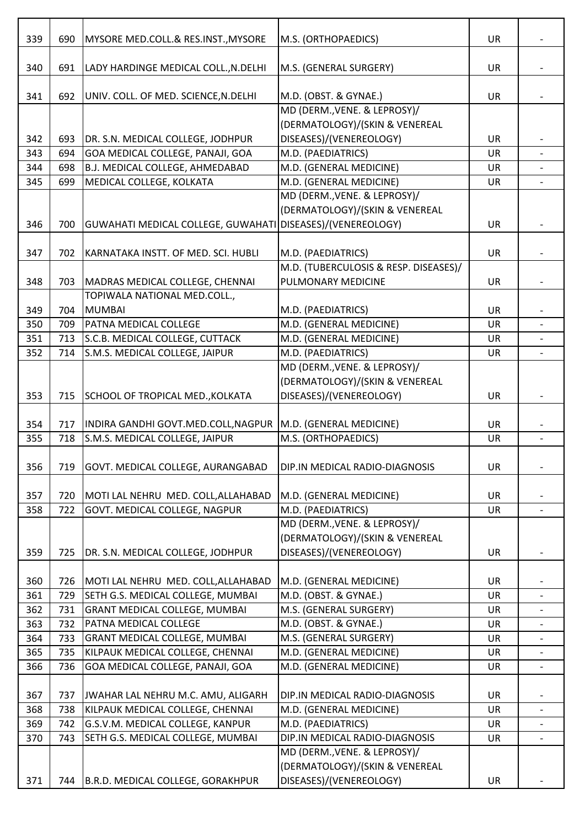| 339        | 690        | MYSORE MED.COLL.& RES.INST., MYSORE                                      | M.S. (ORTHOPAEDICS)                              | UR                     |                          |
|------------|------------|--------------------------------------------------------------------------|--------------------------------------------------|------------------------|--------------------------|
|            |            |                                                                          |                                                  |                        |                          |
| 340        | 691        | LADY HARDINGE MEDICAL COLL., N.DELHI                                     | M.S. (GENERAL SURGERY)                           | <b>UR</b>              |                          |
|            |            |                                                                          |                                                  |                        |                          |
| 341        | 692        | UNIV. COLL. OF MED. SCIENCE, N. DELHI                                    | M.D. (OBST. & GYNAE.)                            | <b>UR</b>              |                          |
|            |            |                                                                          | MD (DERM., VENE. & LEPROSY)/                     |                        |                          |
|            |            |                                                                          | (DERMATOLOGY)/(SKIN & VENEREAL                   |                        |                          |
| 342        | 693        | DR. S.N. MEDICAL COLLEGE, JODHPUR                                        | DISEASES)/(VENEREOLOGY)                          | <b>UR</b>              |                          |
| 343        | 694        | GOA MEDICAL COLLEGE, PANAJI, GOA<br>B.J. MEDICAL COLLEGE, AHMEDABAD      | M.D. (PAEDIATRICS)<br>M.D. (GENERAL MEDICINE)    | UR                     |                          |
| 344<br>345 | 698<br>699 | MEDICAL COLLEGE, KOLKATA                                                 | M.D. (GENERAL MEDICINE)                          | <b>UR</b><br><b>UR</b> |                          |
|            |            |                                                                          | MD (DERM., VENE. & LEPROSY)/                     |                        |                          |
|            |            |                                                                          | (DERMATOLOGY)/(SKIN & VENEREAL                   |                        |                          |
| 346        | 700        | GUWAHATI MEDICAL COLLEGE, GUWAHATI DISEASES)/(VENEREOLOGY)               |                                                  | <b>UR</b>              |                          |
|            |            |                                                                          |                                                  |                        |                          |
| 347        | 702        | KARNATAKA INSTT. OF MED. SCI. HUBLI                                      | M.D. (PAEDIATRICS)                               | <b>UR</b>              |                          |
|            |            |                                                                          | M.D. (TUBERCULOSIS & RESP. DISEASES)/            |                        |                          |
| 348        | 703        | MADRAS MEDICAL COLLEGE, CHENNAI                                          | PULMONARY MEDICINE                               | <b>UR</b>              |                          |
|            |            | TOPIWALA NATIONAL MED.COLL.,                                             |                                                  |                        |                          |
| 349        | 704        | <b>MUMBAI</b>                                                            | M.D. (PAEDIATRICS)                               | <b>UR</b>              |                          |
| 350        | 709        | <b>PATNA MEDICAL COLLEGE</b>                                             | M.D. (GENERAL MEDICINE)                          | <b>UR</b>              |                          |
| 351        | 713        | S.C.B. MEDICAL COLLEGE, CUTTACK                                          | M.D. (GENERAL MEDICINE)                          | UR                     |                          |
| 352        | 714        | S.M.S. MEDICAL COLLEGE, JAIPUR                                           | M.D. (PAEDIATRICS)                               | UR                     |                          |
|            |            |                                                                          | MD (DERM., VENE. & LEPROSY)/                     |                        |                          |
|            |            |                                                                          | (DERMATOLOGY)/(SKIN & VENEREAL                   |                        |                          |
| 353        | 715        | SCHOOL OF TROPICAL MED., KOLKATA                                         | DISEASES)/(VENEREOLOGY)                          | <b>UR</b>              |                          |
|            |            |                                                                          |                                                  |                        |                          |
| 354        | 717        | INDIRA GANDHI GOVT.MED.COLL, NAGPUR   M.D. (GENERAL MEDICINE)            |                                                  | <b>UR</b>              |                          |
| 355        | 718        | S.M.S. MEDICAL COLLEGE, JAIPUR                                           | M.S. (ORTHOPAEDICS)                              | <b>UR</b>              |                          |
|            |            |                                                                          |                                                  |                        |                          |
| 356        | 719        | GOVT. MEDICAL COLLEGE, AURANGABAD                                        | DIP.IN MEDICAL RADIO-DIAGNOSIS                   | UR                     |                          |
|            |            |                                                                          |                                                  |                        |                          |
| 357        | 720        | MOTI LAL NEHRU MED. COLL, ALLAHABAD                                      | M.D. (GENERAL MEDICINE)                          | UR                     |                          |
| 358        | 722        | GOVT. MEDICAL COLLEGE, NAGPUR                                            | M.D. (PAEDIATRICS)                               | <b>UR</b>              | $\blacksquare$           |
|            |            |                                                                          | MD (DERM., VENE. & LEPROSY)/                     |                        |                          |
|            |            |                                                                          | (DERMATOLOGY)/(SKIN & VENEREAL                   |                        |                          |
| 359        | 725        | DR. S.N. MEDICAL COLLEGE, JODHPUR                                        | DISEASES)/(VENEREOLOGY)                          | <b>UR</b>              |                          |
|            |            |                                                                          |                                                  |                        |                          |
| 360        | 726        | MOTI LAL NEHRU MED. COLL, ALLAHABAD<br>SETH G.S. MEDICAL COLLEGE, MUMBAI | M.D. (GENERAL MEDICINE)<br>M.D. (OBST. & GYNAE.) | <b>UR</b>              |                          |
| 361        | 729<br>731 | <b>GRANT MEDICAL COLLEGE, MUMBAI</b>                                     | M.S. (GENERAL SURGERY)                           | UR                     |                          |
| 362<br>363 | 732        | <b>PATNA MEDICAL COLLEGE</b>                                             | M.D. (OBST. & GYNAE.)                            | UR<br><b>UR</b>        |                          |
| 364        | 733        | <b>GRANT MEDICAL COLLEGE, MUMBAI</b>                                     | M.S. (GENERAL SURGERY)                           | UR                     | $\overline{\phantom{a}}$ |
| 365        | 735        | KILPAUK MEDICAL COLLEGE, CHENNAI                                         | M.D. (GENERAL MEDICINE)                          | <b>UR</b>              |                          |
| 366        | 736        | GOA MEDICAL COLLEGE, PANAJI, GOA                                         | M.D. (GENERAL MEDICINE)                          | UR                     |                          |
|            |            |                                                                          |                                                  |                        |                          |
| 367        | 737        | JWAHAR LAL NEHRU M.C. AMU, ALIGARH                                       | DIP.IN MEDICAL RADIO-DIAGNOSIS                   | <b>UR</b>              |                          |
| 368        | 738        | KILPAUK MEDICAL COLLEGE, CHENNAI                                         | M.D. (GENERAL MEDICINE)                          | UR                     | $\overline{\phantom{a}}$ |
| 369        | 742        | G.S.V.M. MEDICAL COLLEGE, KANPUR                                         | M.D. (PAEDIATRICS)                               | <b>UR</b>              |                          |
| 370        | 743        | SETH G.S. MEDICAL COLLEGE, MUMBAI                                        | DIP.IN MEDICAL RADIO-DIAGNOSIS                   | UR                     |                          |
|            |            |                                                                          | MD (DERM., VENE. & LEPROSY)/                     |                        |                          |
|            |            |                                                                          | (DERMATOLOGY)/(SKIN & VENEREAL                   |                        |                          |
| 371        | 744        | B.R.D. MEDICAL COLLEGE, GORAKHPUR                                        | DISEASES)/(VENEREOLOGY)                          | UR                     |                          |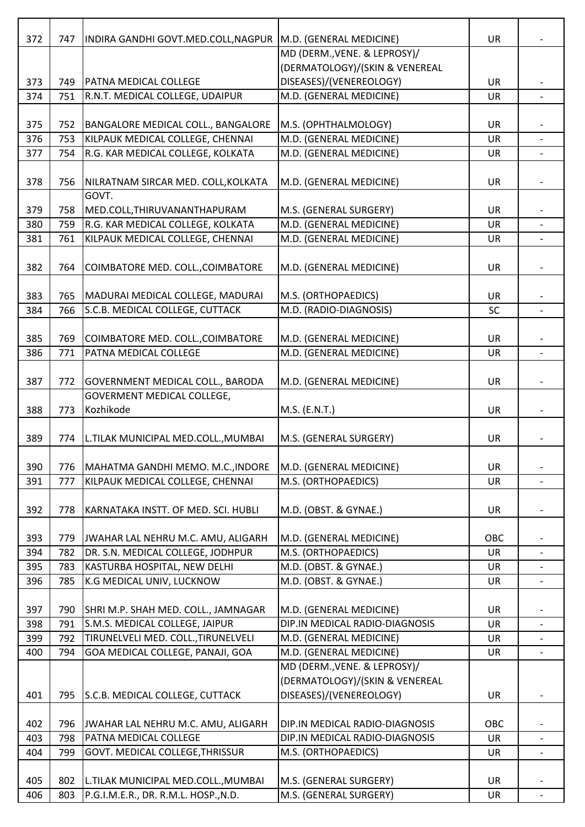| 372 | 747 | INDIRA GANDHI GOVT.MED.COLL, NAGPUR  | M.D. (GENERAL MEDICINE)        | <b>UR</b> |                          |
|-----|-----|--------------------------------------|--------------------------------|-----------|--------------------------|
|     |     |                                      | MD (DERM., VENE. & LEPROSY)/   |           |                          |
|     |     |                                      | (DERMATOLOGY)/(SKIN & VENEREAL |           |                          |
| 373 | 749 | <b>PATNA MEDICAL COLLEGE</b>         | DISEASES)/(VENEREOLOGY)        | <b>UR</b> |                          |
| 374 | 751 | R.N.T. MEDICAL COLLEGE, UDAIPUR      | M.D. (GENERAL MEDICINE)        | <b>UR</b> |                          |
| 375 | 752 | BANGALORE MEDICAL COLL., BANGALORE   | M.S. (OPHTHALMOLOGY)           | <b>UR</b> |                          |
| 376 | 753 | KILPAUK MEDICAL COLLEGE, CHENNAI     | M.D. (GENERAL MEDICINE)        | <b>UR</b> | $\blacksquare$           |
| 377 | 754 | R.G. KAR MEDICAL COLLEGE, KOLKATA    | M.D. (GENERAL MEDICINE)        | UR        |                          |
|     |     |                                      |                                |           |                          |
| 378 | 756 | NILRATNAM SIRCAR MED. COLL, KOLKATA  | M.D. (GENERAL MEDICINE)        | <b>UR</b> |                          |
|     |     | GOVT.                                |                                |           |                          |
| 379 | 758 | MED.COLL, THIRUVANANTHAPURAM         | M.S. (GENERAL SURGERY)         | <b>UR</b> |                          |
| 380 | 759 | R.G. KAR MEDICAL COLLEGE, KOLKATA    | M.D. (GENERAL MEDICINE)        | UR        |                          |
| 381 | 761 | KILPAUK MEDICAL COLLEGE, CHENNAI     | M.D. (GENERAL MEDICINE)        | <b>UR</b> |                          |
|     |     |                                      |                                |           |                          |
| 382 | 764 | COIMBATORE MED. COLL., COIMBATORE    | M.D. (GENERAL MEDICINE)        | <b>UR</b> |                          |
| 383 | 765 | MADURAI MEDICAL COLLEGE, MADURAI     | M.S. (ORTHOPAEDICS)            | <b>UR</b> |                          |
| 384 | 766 | S.C.B. MEDICAL COLLEGE, CUTTACK      | M.D. (RADIO-DIAGNOSIS)         | SC        |                          |
|     |     |                                      |                                |           |                          |
| 385 | 769 | COIMBATORE MED. COLL., COIMBATORE    | M.D. (GENERAL MEDICINE)        | <b>UR</b> |                          |
| 386 | 771 | PATNA MEDICAL COLLEGE                | M.D. (GENERAL MEDICINE)        | UR        |                          |
|     |     |                                      |                                |           |                          |
| 387 | 772 | GOVERNMENT MEDICAL COLL., BARODA     | M.D. (GENERAL MEDICINE)        | <b>UR</b> |                          |
|     |     | GOVERMENT MEDICAL COLLEGE,           |                                |           |                          |
| 388 | 773 | Kozhikode                            | M.S. (E.N.T.)                  | UR        |                          |
|     |     |                                      |                                |           |                          |
| 389 | 774 | L.TILAK MUNICIPAL MED.COLL., MUMBAI  | M.S. (GENERAL SURGERY)         | <b>UR</b> |                          |
|     |     |                                      |                                |           |                          |
| 390 | 776 | MAHATMA GANDHI MEMO. M.C., INDORE    | M.D. (GENERAL MEDICINE)        | <b>UR</b> |                          |
| 391 | 777 | KILPAUK MEDICAL COLLEGE, CHENNAI     | M.S. (ORTHOPAEDICS)            | <b>UR</b> |                          |
|     |     |                                      |                                |           |                          |
| 392 | 778 | KARNATAKA INSTT. OF MED. SCI. HUBLI  | M.D. (OBST. & GYNAE.)          | UR        |                          |
| 393 | 779 | JWAHAR LAL NEHRU M.C. AMU, ALIGARH   | M.D. (GENERAL MEDICINE)        | OBC       |                          |
| 394 | 782 | DR. S.N. MEDICAL COLLEGE, JODHPUR    | M.S. (ORTHOPAEDICS)            | <b>UR</b> |                          |
| 395 | 783 | KASTURBA HOSPITAL, NEW DELHI         | M.D. (OBST. & GYNAE.)          | UR        |                          |
| 396 | 785 | K.G MEDICAL UNIV, LUCKNOW            | M.D. (OBST. & GYNAE.)          | <b>UR</b> |                          |
|     |     |                                      |                                |           |                          |
| 397 | 790 | SHRI M.P. SHAH MED. COLL., JAMNAGAR  | M.D. (GENERAL MEDICINE)        | <b>UR</b> |                          |
| 398 | 791 | S.M.S. MEDICAL COLLEGE, JAIPUR       | DIP.IN MEDICAL RADIO-DIAGNOSIS | <b>UR</b> |                          |
| 399 | 792 | TIRUNELVELI MED. COLL., TIRUNELVELI  | M.D. (GENERAL MEDICINE)        | UR        | $\overline{\phantom{a}}$ |
| 400 | 794 | GOA MEDICAL COLLEGE, PANAJI, GOA     | M.D. (GENERAL MEDICINE)        | <b>UR</b> |                          |
|     |     |                                      | MD (DERM., VENE. & LEPROSY)/   |           |                          |
|     |     |                                      | (DERMATOLOGY)/(SKIN & VENEREAL |           |                          |
| 401 | 795 | S.C.B. MEDICAL COLLEGE, CUTTACK      | DISEASES)/(VENEREOLOGY)        | <b>UR</b> |                          |
|     |     |                                      |                                |           |                          |
| 402 | 796 | JWAHAR LAL NEHRU M.C. AMU, ALIGARH   | DIP.IN MEDICAL RADIO-DIAGNOSIS | OBC       |                          |
| 403 | 798 | PATNA MEDICAL COLLEGE                | DIP.IN MEDICAL RADIO-DIAGNOSIS | <b>UR</b> |                          |
| 404 | 799 | GOVT. MEDICAL COLLEGE, THRISSUR      | M.S. (ORTHOPAEDICS)            | <b>UR</b> | $\overline{a}$           |
| 405 | 802 | L.TILAK MUNICIPAL MED.COLL., MUMBAI  | M.S. (GENERAL SURGERY)         | UR        |                          |
| 406 | 803 | P.G.I.M.E.R., DR. R.M.L. HOSP., N.D. | M.S. (GENERAL SURGERY)         | UR        |                          |
|     |     |                                      |                                |           |                          |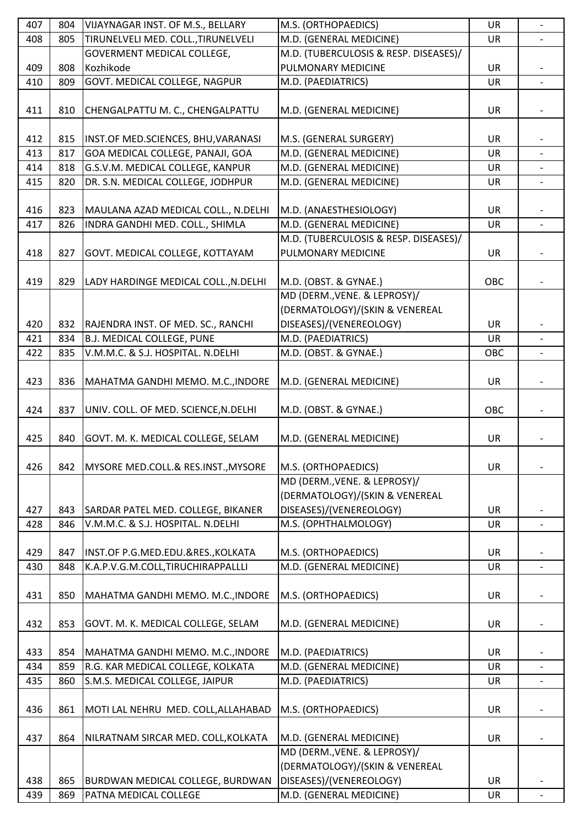| 407 | 804 | VIJAYNAGAR INST. OF M.S., BELLARY     | M.S. (ORTHOPAEDICS)                   | <b>UR</b> | $\overline{a}$ |
|-----|-----|---------------------------------------|---------------------------------------|-----------|----------------|
| 408 | 805 | TIRUNELVELI MED. COLL., TIRUNELVELI   | M.D. (GENERAL MEDICINE)               | <b>UR</b> |                |
|     |     | <b>GOVERMENT MEDICAL COLLEGE,</b>     | M.D. (TUBERCULOSIS & RESP. DISEASES)/ |           |                |
| 409 | 808 | Kozhikode                             | PULMONARY MEDICINE                    | UR        |                |
| 410 | 809 | GOVT. MEDICAL COLLEGE, NAGPUR         | M.D. (PAEDIATRICS)                    | UR        |                |
|     |     |                                       |                                       |           |                |
| 411 | 810 | CHENGALPATTU M. C., CHENGALPATTU      | M.D. (GENERAL MEDICINE)               | <b>UR</b> |                |
|     |     |                                       |                                       |           |                |
| 412 | 815 | INST.OF MED.SCIENCES, BHU, VARANASI   | M.S. (GENERAL SURGERY)                | UR        |                |
| 413 | 817 | GOA MEDICAL COLLEGE, PANAJI, GOA      | M.D. (GENERAL MEDICINE)               | <b>UR</b> |                |
| 414 | 818 | G.S.V.M. MEDICAL COLLEGE, KANPUR      | M.D. (GENERAL MEDICINE)               | <b>UR</b> |                |
| 415 | 820 | DR. S.N. MEDICAL COLLEGE, JODHPUR     | M.D. (GENERAL MEDICINE)               | UR        |                |
|     |     |                                       |                                       |           |                |
| 416 | 823 | MAULANA AZAD MEDICAL COLL., N.DELHI   | M.D. (ANAESTHESIOLOGY)                | <b>UR</b> |                |
| 417 | 826 | INDRA GANDHI MED. COLL., SHIMLA       | M.D. (GENERAL MEDICINE)               | UR        |                |
|     |     |                                       | M.D. (TUBERCULOSIS & RESP. DISEASES)/ |           |                |
| 418 | 827 | GOVT. MEDICAL COLLEGE, KOTTAYAM       | PULMONARY MEDICINE                    | <b>UR</b> |                |
|     |     |                                       |                                       |           |                |
| 419 | 829 | LADY HARDINGE MEDICAL COLL., N.DELHI  | M.D. (OBST. & GYNAE.)                 | OBC       |                |
|     |     |                                       | MD (DERM., VENE. & LEPROSY)/          |           |                |
|     |     |                                       | (DERMATOLOGY)/(SKIN & VENEREAL        |           |                |
| 420 | 832 | RAJENDRA INST. OF MED. SC., RANCHI    | DISEASES)/(VENEREOLOGY)               | UR        |                |
| 421 | 834 | <b>B.J. MEDICAL COLLEGE, PUNE</b>     | M.D. (PAEDIATRICS)                    | <b>UR</b> |                |
| 422 | 835 | V.M.M.C. & S.J. HOSPITAL. N.DELHI     | M.D. (OBST. & GYNAE.)                 | OBC       |                |
|     |     |                                       |                                       |           |                |
| 423 | 836 | MAHATMA GANDHI MEMO. M.C., INDORE     | M.D. (GENERAL MEDICINE)               | <b>UR</b> |                |
|     |     |                                       |                                       |           |                |
| 424 |     |                                       | M.D. (OBST. & GYNAE.)                 | OBC       |                |
|     | 837 | UNIV. COLL. OF MED. SCIENCE, N. DELHI |                                       |           |                |
|     |     | GOVT. M. K. MEDICAL COLLEGE, SELAM    |                                       |           |                |
| 425 | 840 |                                       | M.D. (GENERAL MEDICINE)               | UR        |                |
| 426 | 842 | MYSORE MED.COLL.& RES.INST., MYSORE   | M.S. (ORTHOPAEDICS)                   | UR        |                |
|     |     |                                       | MD (DERM., VENE. & LEPROSY)/          |           |                |
|     |     |                                       | (DERMATOLOGY)/(SKIN & VENEREAL        |           |                |
|     |     |                                       | DISEASES)/(VENEREOLOGY)               |           |                |
| 427 | 843 | SARDAR PATEL MED. COLLEGE, BIKANER    |                                       | UR        |                |
| 428 | 846 | V.M.M.C. & S.J. HOSPITAL. N.DELHI     | M.S. (OPHTHALMOLOGY)                  | UR        |                |
|     |     |                                       | M.S. (ORTHOPAEDICS)                   |           |                |
| 429 | 847 | INST.OF P.G.MED.EDU.&RES., KOLKATA    |                                       | <b>UR</b> |                |
| 430 | 848 | K.A.P.V.G.M.COLL,TIRUCHIRAPPALLLI     | M.D. (GENERAL MEDICINE)               | UR        |                |
|     |     |                                       |                                       |           |                |
| 431 | 850 | MAHATMA GANDHI MEMO. M.C., INDORE     | M.S. (ORTHOPAEDICS)                   | UR        |                |
|     |     |                                       |                                       |           |                |
| 432 | 853 | GOVT. M. K. MEDICAL COLLEGE, SELAM    | M.D. (GENERAL MEDICINE)               | <b>UR</b> |                |
|     |     |                                       |                                       |           |                |
| 433 | 854 | MAHATMA GANDHI MEMO. M.C., INDORE     | M.D. (PAEDIATRICS)                    | <b>UR</b> |                |
| 434 | 859 | R.G. KAR MEDICAL COLLEGE, KOLKATA     | M.D. (GENERAL MEDICINE)               | UR        |                |
| 435 | 860 | S.M.S. MEDICAL COLLEGE, JAIPUR        | M.D. (PAEDIATRICS)                    | UR        |                |
|     |     |                                       |                                       |           |                |
| 436 | 861 | MOTI LAL NEHRU MED. COLL, ALLAHABAD   | M.S. (ORTHOPAEDICS)                   | <b>UR</b> |                |
|     |     |                                       |                                       |           |                |
| 437 | 864 | NILRATNAM SIRCAR MED. COLL, KOLKATA   | M.D. (GENERAL MEDICINE)               | <b>UR</b> |                |
|     |     |                                       | MD (DERM., VENE. & LEPROSY)/          |           |                |
|     |     |                                       | (DERMATOLOGY)/(SKIN & VENEREAL        |           |                |
| 438 | 865 | BURDWAN MEDICAL COLLEGE, BURDWAN      | DISEASES)/(VENEREOLOGY)               | UR        |                |
| 439 | 869 | PATNA MEDICAL COLLEGE                 | M.D. (GENERAL MEDICINE)               | UR        |                |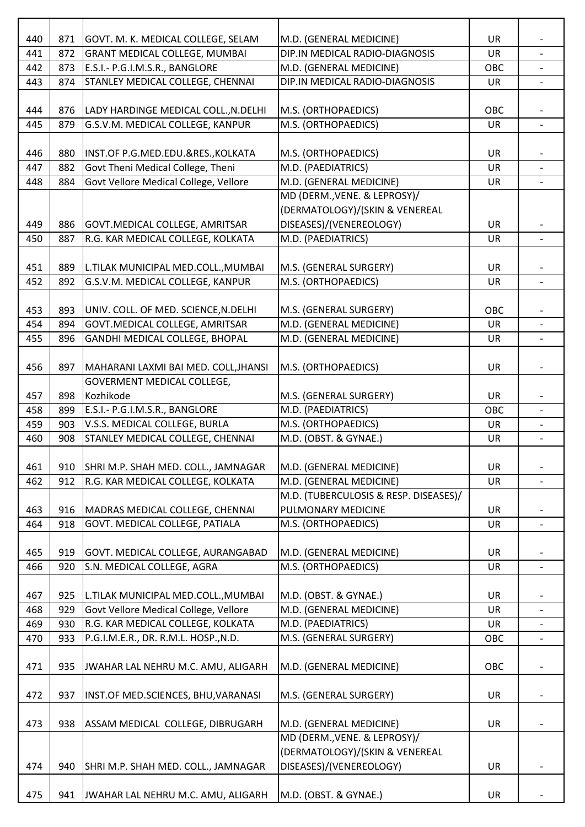| 440 | 871 | GOVT. M. K. MEDICAL COLLEGE, SELAM       | M.D. (GENERAL MEDICINE)                                        | UR        |                          |
|-----|-----|------------------------------------------|----------------------------------------------------------------|-----------|--------------------------|
| 441 | 872 | <b>GRANT MEDICAL COLLEGE, MUMBAI</b>     | DIP.IN MEDICAL RADIO-DIAGNOSIS                                 | UR        |                          |
| 442 | 873 | E.S.I.- P.G.I.M.S.R., BANGLORE           | M.D. (GENERAL MEDICINE)                                        | OBC       |                          |
| 443 | 874 | STANLEY MEDICAL COLLEGE, CHENNAI         | DIP.IN MEDICAL RADIO-DIAGNOSIS                                 | UR        |                          |
|     |     |                                          |                                                                |           |                          |
| 444 | 876 | LADY HARDINGE MEDICAL COLL., N.DELHI     | M.S. (ORTHOPAEDICS)                                            | OBC       |                          |
| 445 | 879 | G.S.V.M. MEDICAL COLLEGE, KANPUR         | M.S. (ORTHOPAEDICS)                                            | <b>UR</b> | $\blacksquare$           |
|     |     |                                          |                                                                |           |                          |
| 446 | 880 | INST.OF P.G.MED.EDU.&RES., KOLKATA       | M.S. (ORTHOPAEDICS)                                            | UR        |                          |
| 447 | 882 | Govt Theni Medical College, Theni        | M.D. (PAEDIATRICS)                                             | <b>UR</b> |                          |
| 448 | 884 | Govt Vellore Medical College, Vellore    | M.D. (GENERAL MEDICINE)                                        | <b>UR</b> |                          |
|     |     |                                          | MD (DERM., VENE. & LEPROSY)/<br>(DERMATOLOGY)/(SKIN & VENEREAL |           |                          |
| 449 | 886 | <b>GOVT.MEDICAL COLLEGE, AMRITSAR</b>    | DISEASES)/(VENEREOLOGY)                                        | UR        |                          |
| 450 | 887 | R.G. KAR MEDICAL COLLEGE, KOLKATA        | M.D. (PAEDIATRICS)                                             | UR        |                          |
|     |     |                                          |                                                                |           |                          |
| 451 | 889 | L.TILAK MUNICIPAL MED.COLL., MUMBAI      | M.S. (GENERAL SURGERY)                                         | <b>UR</b> |                          |
| 452 | 892 | G.S.V.M. MEDICAL COLLEGE, KANPUR         | M.S. (ORTHOPAEDICS)                                            | UR        |                          |
|     |     |                                          |                                                                |           |                          |
| 453 | 893 | UNIV. COLL. OF MED. SCIENCE, N. DELHI    | M.S. (GENERAL SURGERY)                                         | OBC       |                          |
| 454 | 894 | GOVT.MEDICAL COLLEGE, AMRITSAR           | M.D. (GENERAL MEDICINE)                                        | <b>UR</b> |                          |
| 455 | 896 | GANDHI MEDICAL COLLEGE, BHOPAL           | M.D. (GENERAL MEDICINE)                                        | <b>UR</b> |                          |
|     |     |                                          |                                                                |           |                          |
| 456 | 897 | MAHARANI LAXMI BAI MED. COLL, JHANSI     | M.S. (ORTHOPAEDICS)                                            | <b>UR</b> | $\overline{\phantom{0}}$ |
|     |     | GOVERMENT MEDICAL COLLEGE,               |                                                                |           |                          |
| 457 | 898 | Kozhikode                                | M.S. (GENERAL SURGERY)                                         | <b>UR</b> |                          |
| 458 | 899 | E.S.I.- P.G.I.M.S.R., BANGLORE           | M.D. (PAEDIATRICS)                                             | OBC       |                          |
| 459 | 903 | V.S.S. MEDICAL COLLEGE, BURLA            | M.S. (ORTHOPAEDICS)                                            | UR        |                          |
| 460 | 908 | STANLEY MEDICAL COLLEGE, CHENNAI         | M.D. (OBST. & GYNAE.)                                          | <b>UR</b> | $\overline{a}$           |
| 461 | 910 | SHRI M.P. SHAH MED. COLL., JAMNAGAR      | M.D. (GENERAL MEDICINE)                                        | UR        |                          |
| 462 | 912 | R.G. KAR MEDICAL COLLEGE, KOLKATA        | M.D. (GENERAL MEDICINE)                                        | <b>UR</b> |                          |
|     |     |                                          | M.D. (TUBERCULOSIS & RESP. DISEASES)/                          |           |                          |
| 463 | 916 | MADRAS MEDICAL COLLEGE, CHENNAI          | PULMONARY MEDICINE                                             | <b>UR</b> |                          |
| 464 | 918 | GOVT. MEDICAL COLLEGE, PATIALA           | M.S. (ORTHOPAEDICS)                                            | <b>UR</b> |                          |
|     |     |                                          |                                                                |           |                          |
| 465 | 919 | <b>GOVT. MEDICAL COLLEGE, AURANGABAD</b> | M.D. (GENERAL MEDICINE)                                        | UR        |                          |
| 466 | 920 | S.N. MEDICAL COLLEGE, AGRA               | M.S. (ORTHOPAEDICS)                                            | UR        | $\overline{\phantom{a}}$ |
|     |     |                                          |                                                                |           |                          |
| 467 | 925 | L.TILAK MUNICIPAL MED.COLL., MUMBAI      | M.D. (OBST. & GYNAE.)                                          | UR        |                          |
| 468 | 929 | Govt Vellore Medical College, Vellore    | M.D. (GENERAL MEDICINE)                                        | <b>UR</b> |                          |
| 469 | 930 | R.G. KAR MEDICAL COLLEGE, KOLKATA        | M.D. (PAEDIATRICS)                                             | UR        |                          |
| 470 | 933 | P.G.I.M.E.R., DR. R.M.L. HOSP., N.D.     | M.S. (GENERAL SURGERY)                                         | OBC       |                          |
| 471 | 935 | JWAHAR LAL NEHRU M.C. AMU, ALIGARH       | M.D. (GENERAL MEDICINE)                                        | OBC       |                          |
| 472 | 937 | INST.OF MED.SCIENCES, BHU, VARANASI      | M.S. (GENERAL SURGERY)                                         | UR        |                          |
| 473 | 938 | ASSAM MEDICAL COLLEGE, DIBRUGARH         | M.D. (GENERAL MEDICINE)                                        | UR        |                          |
|     |     |                                          | MD (DERM., VENE. & LEPROSY)/                                   |           |                          |
|     |     |                                          | (DERMATOLOGY)/(SKIN & VENEREAL                                 |           |                          |
| 474 | 940 | SHRI M.P. SHAH MED. COLL., JAMNAGAR      | DISEASES)/(VENEREOLOGY)                                        | UR        |                          |
| 475 | 941 | JWAHAR LAL NEHRU M.C. AMU, ALIGARH       | M.D. (OBST. & GYNAE.)                                          | <b>UR</b> |                          |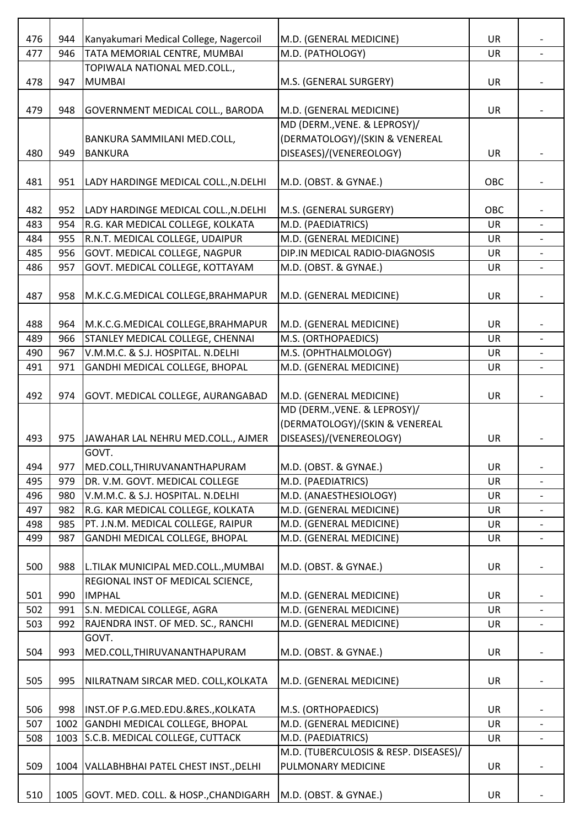| 476 | 944  | Kanyakumari Medical College, Nagercoil      | M.D. (GENERAL MEDICINE)               | <b>UR</b> |                          |
|-----|------|---------------------------------------------|---------------------------------------|-----------|--------------------------|
| 477 | 946  | TATA MEMORIAL CENTRE, MUMBAI                | M.D. (PATHOLOGY)                      | UR        |                          |
|     |      | TOPIWALA NATIONAL MED.COLL.,                |                                       |           |                          |
| 478 | 947  | <b>MUMBAI</b>                               | M.S. (GENERAL SURGERY)                | UR        |                          |
|     |      |                                             |                                       |           |                          |
| 479 | 948  | <b>GOVERNMENT MEDICAL COLL., BARODA</b>     | M.D. (GENERAL MEDICINE)               | <b>UR</b> |                          |
|     |      |                                             | MD (DERM., VENE. & LEPROSY)/          |           |                          |
|     |      | BANKURA SAMMILANI MED.COLL,                 | (DERMATOLOGY)/(SKIN & VENEREAL        |           |                          |
| 480 | 949  | <b>BANKURA</b>                              | DISEASES)/(VENEREOLOGY)               | <b>UR</b> |                          |
|     |      |                                             |                                       |           |                          |
| 481 | 951  | LADY HARDINGE MEDICAL COLL., N.DELHI        | M.D. (OBST. & GYNAE.)                 | OBC       |                          |
|     |      |                                             |                                       |           |                          |
| 482 | 952  | LADY HARDINGE MEDICAL COLL., N.DELHI        | M.S. (GENERAL SURGERY)                | OBC       |                          |
| 483 | 954  | R.G. KAR MEDICAL COLLEGE, KOLKATA           | $\overline{M}$ .D. (PAEDIATRICS)      | <b>UR</b> |                          |
| 484 | 955  | R.N.T. MEDICAL COLLEGE, UDAIPUR             | M.D. (GENERAL MEDICINE)               | UR        |                          |
| 485 | 956  | GOVT. MEDICAL COLLEGE, NAGPUR               | DIP.IN MEDICAL RADIO-DIAGNOSIS        | UR        |                          |
| 486 | 957  | GOVT. MEDICAL COLLEGE, KOTTAYAM             | M.D. (OBST. & GYNAE.)                 | UR        | $\blacksquare$           |
|     |      |                                             |                                       |           |                          |
| 487 | 958  | M.K.C.G.MEDICAL COLLEGE, BRAHMAPUR          | M.D. (GENERAL MEDICINE)               | UR        |                          |
|     |      |                                             |                                       |           |                          |
| 488 | 964  | M.K.C.G.MEDICAL COLLEGE, BRAHMAPUR          | M.D. (GENERAL MEDICINE)               | UR        |                          |
| 489 | 966  | STANLEY MEDICAL COLLEGE, CHENNAI            | M.S. (ORTHOPAEDICS)                   | UR        | $\overline{\phantom{a}}$ |
| 490 | 967  | V.M.M.C. & S.J. HOSPITAL. N.DELHI           | M.S. (OPHTHALMOLOGY)                  | UR        |                          |
| 491 | 971  | GANDHI MEDICAL COLLEGE, BHOPAL              | M.D. (GENERAL MEDICINE)               | UR        |                          |
|     |      |                                             |                                       |           |                          |
| 492 | 974  | GOVT. MEDICAL COLLEGE, AURANGABAD           | M.D. (GENERAL MEDICINE)               | <b>UR</b> |                          |
|     |      |                                             | MD (DERM., VENE. & LEPROSY)/          |           |                          |
|     |      |                                             | (DERMATOLOGY)/(SKIN & VENEREAL        |           |                          |
| 493 | 975  | JAWAHAR LAL NEHRU MED.COLL., AJMER          | DISEASES)/(VENEREOLOGY)               | UR        |                          |
|     |      | GOVT.                                       |                                       |           |                          |
| 494 | 977  | MED.COLL, THIRUVANANTHAPURAM                | M.D. (OBST. & GYNAE.)                 | UR        |                          |
| 495 | 979  | DR. V.M. GOVT. MEDICAL COLLEGE              | M.D. (PAEDIATRICS)                    | <b>UR</b> |                          |
| 496 | 980  | V.M.M.C. & S.J. HOSPITAL. N.DELHI           | M.D. (ANAESTHESIOLOGY)                | <b>UR</b> |                          |
| 497 | 982  | R.G. KAR MEDICAL COLLEGE, KOLKATA           | M.D. (GENERAL MEDICINE)               | UR        | $\overline{\phantom{a}}$ |
| 498 | 985  | PT. J.N.M. MEDICAL COLLEGE, RAIPUR          | M.D. (GENERAL MEDICINE)               | UR        |                          |
| 499 | 987  | GANDHI MEDICAL COLLEGE, BHOPAL              | M.D. (GENERAL MEDICINE)               | UR        | $\overline{\phantom{a}}$ |
|     |      |                                             |                                       |           |                          |
| 500 | 988  | L.TILAK MUNICIPAL MED.COLL., MUMBAI         | M.D. (OBST. & GYNAE.)                 | UR        |                          |
|     |      | REGIONAL INST OF MEDICAL SCIENCE,           |                                       |           |                          |
| 501 | 990  | <b>IMPHAL</b>                               | M.D. (GENERAL MEDICINE)               | UR        |                          |
| 502 | 991  | S.N. MEDICAL COLLEGE, AGRA                  | M.D. (GENERAL MEDICINE)               | <b>UR</b> |                          |
| 503 | 992  | RAJENDRA INST. OF MED. SC., RANCHI          | M.D. (GENERAL MEDICINE)               | UR        |                          |
|     |      | GOVT.                                       |                                       |           |                          |
| 504 | 993  | MED.COLL, THIRUVANANTHAPURAM                | M.D. (OBST. & GYNAE.)                 | <b>UR</b> |                          |
|     |      |                                             |                                       |           |                          |
| 505 | 995  | NILRATNAM SIRCAR MED. COLL, KOLKATA         | M.D. (GENERAL MEDICINE)               | UR        |                          |
|     |      |                                             |                                       |           |                          |
| 506 | 998  | INST.OF P.G.MED.EDU.&RES., KOLKATA          | M.S. (ORTHOPAEDICS)                   | UR        |                          |
| 507 | 1002 | GANDHI MEDICAL COLLEGE, BHOPAL              | M.D. (GENERAL MEDICINE)               | UR        |                          |
| 508 | 1003 | S.C.B. MEDICAL COLLEGE, CUTTACK             | M.D. (PAEDIATRICS)                    | UR        |                          |
|     |      |                                             | M.D. (TUBERCULOSIS & RESP. DISEASES)/ |           |                          |
| 509 |      | 1004   VALLABHBHAI PATEL CHEST INST., DELHI | PULMONARY MEDICINE                    | <b>UR</b> |                          |
|     |      |                                             |                                       |           |                          |
| 510 |      | 1005 GOVT. MED. COLL. & HOSP., CHANDIGARH   | M.D. (OBST. & GYNAE.)                 | UR        |                          |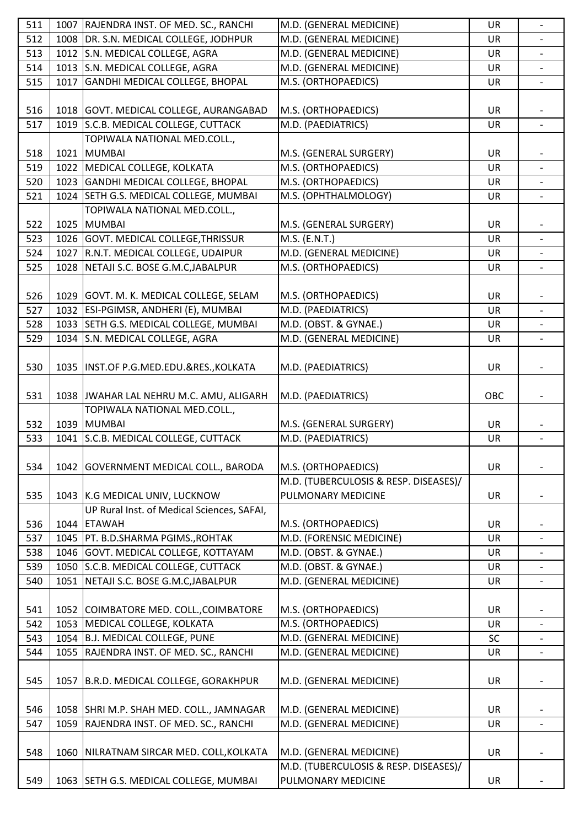| 511 |      | 1007 RAJENDRA INST. OF MED. SC., RANCHI    | M.D. (GENERAL MEDICINE)                                     | UR        |                          |
|-----|------|--------------------------------------------|-------------------------------------------------------------|-----------|--------------------------|
| 512 |      | 1008   DR. S.N. MEDICAL COLLEGE, JODHPUR   | M.D. (GENERAL MEDICINE)                                     | <b>UR</b> |                          |
| 513 |      | 1012 S.N. MEDICAL COLLEGE, AGRA            | M.D. (GENERAL MEDICINE)                                     | <b>UR</b> |                          |
| 514 |      | 1013 S.N. MEDICAL COLLEGE, AGRA            | M.D. (GENERAL MEDICINE)                                     | UR        | $\overline{\phantom{a}}$ |
| 515 | 1017 | <b>GANDHI MEDICAL COLLEGE, BHOPAL</b>      | M.S. (ORTHOPAEDICS)                                         | <b>UR</b> |                          |
|     |      |                                            |                                                             |           |                          |
| 516 |      | 1018 GOVT. MEDICAL COLLEGE, AURANGABAD     | M.S. (ORTHOPAEDICS)                                         | <b>UR</b> |                          |
| 517 |      | 1019 S.C.B. MEDICAL COLLEGE, CUTTACK       | M.D. (PAEDIATRICS)                                          | UR        |                          |
|     |      | TOPIWALA NATIONAL MED.COLL.,               |                                                             |           |                          |
| 518 |      | 1021 MUMBAI                                | M.S. (GENERAL SURGERY)                                      | <b>UR</b> |                          |
| 519 |      | 1022 MEDICAL COLLEGE, KOLKATA              | M.S. (ORTHOPAEDICS)                                         | UR        | $\overline{\phantom{0}}$ |
| 520 |      | 1023 GANDHI MEDICAL COLLEGE, BHOPAL        | M.S. (ORTHOPAEDICS)                                         | <b>UR</b> |                          |
| 521 |      | 1024 SETH G.S. MEDICAL COLLEGE, MUMBAI     | M.S. (OPHTHALMOLOGY)                                        | UR        |                          |
|     |      | TOPIWALA NATIONAL MED.COLL.,               |                                                             |           |                          |
| 522 |      | 1025 MUMBAI                                | M.S. (GENERAL SURGERY)                                      | <b>UR</b> |                          |
| 523 |      | 1026 GOVT. MEDICAL COLLEGE, THRISSUR       | M.S. (E.N.T.)                                               | UR        | $\overline{\phantom{a}}$ |
| 524 |      | 1027 R.N.T. MEDICAL COLLEGE, UDAIPUR       | M.D. (GENERAL MEDICINE)                                     | <b>UR</b> |                          |
| 525 |      | 1028 NETAJI S.C. BOSE G.M.C, JABALPUR      |                                                             |           |                          |
|     |      |                                            | M.S. (ORTHOPAEDICS)                                         | UR        | $\overline{\phantom{a}}$ |
|     |      |                                            |                                                             |           |                          |
| 526 |      | 1029 GOVT. M. K. MEDICAL COLLEGE, SELAM    | M.S. (ORTHOPAEDICS)                                         | UR        |                          |
| 527 |      | 1032   ESI-PGIMSR, ANDHERI (E), MUMBAI     | M.D. (PAEDIATRICS)                                          | UR        | $\overline{\phantom{a}}$ |
| 528 |      | 1033 SETH G.S. MEDICAL COLLEGE, MUMBAI     | M.D. (OBST. & GYNAE.)                                       | <b>UR</b> |                          |
| 529 |      | 1034 S.N. MEDICAL COLLEGE, AGRA            | M.D. (GENERAL MEDICINE)                                     | UR        | $\overline{\phantom{a}}$ |
|     |      |                                            |                                                             |           |                          |
| 530 |      | 1035  INST.OF P.G.MED.EDU.&RES., KOLKATA   | M.D. (PAEDIATRICS)                                          | <b>UR</b> |                          |
|     |      |                                            |                                                             |           |                          |
| 531 |      | 1038 JWAHAR LAL NEHRU M.C. AMU, ALIGARH    | M.D. (PAEDIATRICS)                                          | OBC       |                          |
|     |      | TOPIWALA NATIONAL MED.COLL.,               |                                                             |           |                          |
| 532 |      | 1039 MUMBAI                                | M.S. (GENERAL SURGERY)                                      | <b>UR</b> |                          |
| 533 |      | 1041 S.C.B. MEDICAL COLLEGE, CUTTACK       | M.D. (PAEDIATRICS)                                          | UR        | $\qquad \qquad -$        |
|     |      |                                            |                                                             |           |                          |
| 534 |      | 1042 GOVERNMENT MEDICAL COLL., BARODA      | M.S. (ORTHOPAEDICS)                                         | UR        |                          |
|     |      |                                            | M.D. (TUBERCULOSIS & RESP. DISEASES)/                       |           |                          |
| 535 |      | 1043 K.G MEDICAL UNIV, LUCKNOW             | PULMONARY MEDICINE                                          | <b>UR</b> |                          |
|     |      | UP Rural Inst. of Medical Sciences, SAFAI, |                                                             |           |                          |
| 536 |      | 1044 ETAWAH                                | M.S. (ORTHOPAEDICS)                                         | <b>UR</b> |                          |
| 537 |      | 1045   PT. B.D.SHARMA PGIMS., ROHTAK       | M.D. (FORENSIC MEDICINE)                                    | UR        |                          |
| 538 |      | 1046 GOVT. MEDICAL COLLEGE, KOTTAYAM       | M.D. (OBST. & GYNAE.)                                       | <b>UR</b> |                          |
| 539 |      | 1050 S.C.B. MEDICAL COLLEGE, CUTTACK       | M.D. (OBST. & GYNAE.)                                       | UR        |                          |
| 540 | 1051 | NETAJI S.C. BOSE G.M.C, JABALPUR           | M.D. (GENERAL MEDICINE)                                     | UR        |                          |
|     |      |                                            |                                                             |           |                          |
| 541 |      | 1052 COIMBATORE MED. COLL., COIMBATORE     | M.S. (ORTHOPAEDICS)                                         | <b>UR</b> |                          |
| 542 |      | 1053 MEDICAL COLLEGE, KOLKATA              | M.S. (ORTHOPAEDICS)                                         | <b>UR</b> |                          |
| 543 |      | 1054 B.J. MEDICAL COLLEGE, PUNE            | M.D. (GENERAL MEDICINE)                                     | <b>SC</b> |                          |
| 544 | 1055 | RAJENDRA INST. OF MED. SC., RANCHI         | M.D. (GENERAL MEDICINE)                                     | <b>UR</b> | $\overline{\phantom{0}}$ |
|     |      |                                            |                                                             |           |                          |
| 545 |      | 1057 B.R.D. MEDICAL COLLEGE, GORAKHPUR     | M.D. (GENERAL MEDICINE)                                     | UR        |                          |
|     |      |                                            |                                                             |           |                          |
| 546 |      | 1058 SHRI M.P. SHAH MED. COLL., JAMNAGAR   | M.D. (GENERAL MEDICINE)                                     | <b>UR</b> |                          |
| 547 |      | 1059 RAJENDRA INST. OF MED. SC., RANCHI    | M.D. (GENERAL MEDICINE)                                     | <b>UR</b> | $\overline{a}$           |
|     |      |                                            |                                                             |           |                          |
| 548 |      |                                            |                                                             |           |                          |
|     |      | 1060 NILRATNAM SIRCAR MED. COLL, KOLKATA   | M.D. (GENERAL MEDICINE)                                     | UR        |                          |
|     |      |                                            | M.D. (TUBERCULOSIS & RESP. DISEASES)/<br>PULMONARY MEDICINE | UR        |                          |
| 549 |      | 1063 SETH G.S. MEDICAL COLLEGE, MUMBAI     |                                                             |           |                          |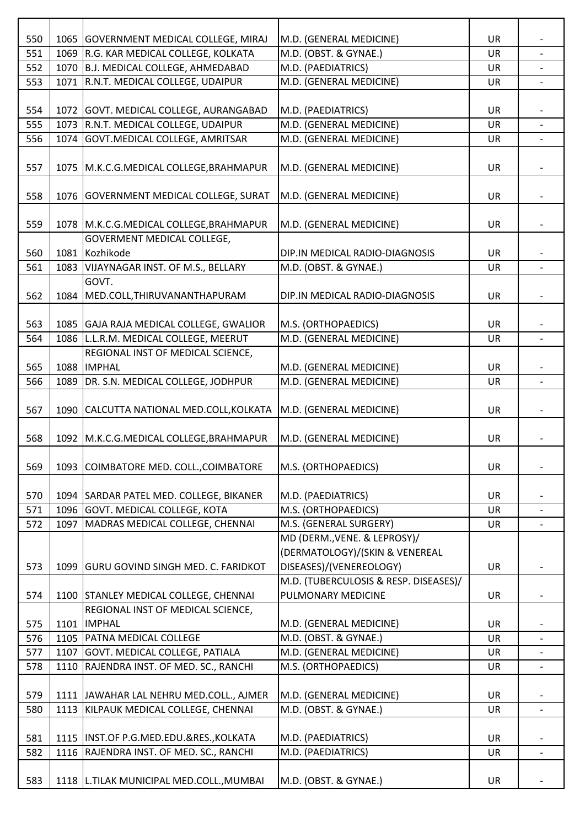| 550 | 1065   GOVERNMENT MEDICAL COLLEGE, MIRAJ   | M.D. (GENERAL MEDICINE)               | UR        |                          |
|-----|--------------------------------------------|---------------------------------------|-----------|--------------------------|
| 551 | 1069 R.G. KAR MEDICAL COLLEGE, KOLKATA     | M.D. (OBST. & GYNAE.)                 | <b>UR</b> |                          |
| 552 | 1070 B.J. MEDICAL COLLEGE, AHMEDABAD       | M.D. (PAEDIATRICS)                    | UR        |                          |
| 553 | 1071 R.N.T. MEDICAL COLLEGE, UDAIPUR       | M.D. (GENERAL MEDICINE)               | UR        |                          |
|     |                                            |                                       |           |                          |
| 554 | 1072 GOVT. MEDICAL COLLEGE, AURANGABAD     | M.D. (PAEDIATRICS)                    | <b>UR</b> |                          |
| 555 | 1073 R.N.T. MEDICAL COLLEGE, UDAIPUR       | M.D. (GENERAL MEDICINE)               | <b>UR</b> |                          |
| 556 | 1074 GOVT.MEDICAL COLLEGE, AMRITSAR        | M.D. (GENERAL MEDICINE)               | UR        | $\overline{\phantom{a}}$ |
|     |                                            |                                       |           |                          |
| 557 | 1075   M.K.C.G. MEDICAL COLLEGE, BRAHMAPUR | M.D. (GENERAL MEDICINE)               | UR        |                          |
|     |                                            |                                       |           |                          |
| 558 | 1076 GOVERNMENT MEDICAL COLLEGE, SURAT     | M.D. (GENERAL MEDICINE)               | UR        |                          |
|     |                                            |                                       |           |                          |
| 559 | 1078   M.K.C.G. MEDICAL COLLEGE, BRAHMAPUR | M.D. (GENERAL MEDICINE)               | UR        |                          |
|     | <b>GOVERMENT MEDICAL COLLEGE,</b>          |                                       |           |                          |
| 560 | 1081 Kozhikode                             | DIP.IN MEDICAL RADIO-DIAGNOSIS        | UR        |                          |
| 561 | 1083 VIJAYNAGAR INST. OF M.S., BELLARY     | M.D. (OBST. & GYNAE.)                 | UR        | $\overline{\phantom{0}}$ |
|     | GOVT.                                      |                                       |           |                          |
| 562 | 1084 MED.COLL, THIRUVANANTHAPURAM          | DIP.IN MEDICAL RADIO-DIAGNOSIS        | UR        |                          |
|     |                                            |                                       |           |                          |
| 563 | 1085 GAJA RAJA MEDICAL COLLEGE, GWALIOR    | M.S. (ORTHOPAEDICS)                   | UR        |                          |
| 564 | 1086 L.L.R.M. MEDICAL COLLEGE, MEERUT      | M.D. (GENERAL MEDICINE)               | UR        |                          |
|     | REGIONAL INST OF MEDICAL SCIENCE,          |                                       |           |                          |
| 565 | 1088 IMPHAL                                | M.D. (GENERAL MEDICINE)               | UR        |                          |
| 566 | 1089   DR. S.N. MEDICAL COLLEGE, JODHPUR   | M.D. (GENERAL MEDICINE)               | UR        |                          |
|     |                                            |                                       |           |                          |
| 567 | 1090 CALCUTTA NATIONAL MED.COLL, KOLKATA   | M.D. (GENERAL MEDICINE)               | UR        |                          |
|     |                                            |                                       |           |                          |
| 568 | 1092   M.K.C.G. MEDICAL COLLEGE, BRAHMAPUR | M.D. (GENERAL MEDICINE)               | UR        |                          |
|     |                                            |                                       |           |                          |
| 569 | 1093 COIMBATORE MED. COLL., COIMBATORE     | M.S. (ORTHOPAEDICS)                   | <b>UR</b> |                          |
|     |                                            |                                       |           |                          |
| 570 | 1094 SARDAR PATEL MED. COLLEGE, BIKANER    | M.D. (PAEDIATRICS)                    | UR        |                          |
| 571 | 1096 GOVT. MEDICAL COLLEGE, KOTA           | M.S. (ORTHOPAEDICS)                   | <b>UR</b> |                          |
| 572 | 1097   MADRAS MEDICAL COLLEGE, CHENNAI     | M.S. (GENERAL SURGERY)                | <b>UR</b> |                          |
|     |                                            | MD (DERM., VENE. & LEPROSY)/          |           |                          |
|     |                                            | (DERMATOLOGY)/(SKIN & VENEREAL        |           |                          |
| 573 | 1099 GURU GOVIND SINGH MED. C. FARIDKOT    | DISEASES)/(VENEREOLOGY)               | <b>UR</b> |                          |
|     |                                            | M.D. (TUBERCULOSIS & RESP. DISEASES)/ |           |                          |
| 574 | 1100 STANLEY MEDICAL COLLEGE, CHENNAI      | PULMONARY MEDICINE                    | UR        |                          |
|     | REGIONAL INST OF MEDICAL SCIENCE,          |                                       |           |                          |
| 575 | 1101  IMPHAL                               | M.D. (GENERAL MEDICINE)               | UR        |                          |
| 576 | 1105 PATNA MEDICAL COLLEGE                 | M.D. (OBST. & GYNAE.)                 | UR        | $\overline{\phantom{a}}$ |
| 577 | 1107 GOVT. MEDICAL COLLEGE, PATIALA        | M.D. (GENERAL MEDICINE)               | <b>UR</b> |                          |
| 578 | 1110 RAJENDRA INST. OF MED. SC., RANCHI    | M.S. (ORTHOPAEDICS)                   | UR        |                          |
|     |                                            |                                       |           |                          |
| 579 | 1111 JAWAHAR LAL NEHRU MED.COLL., AJMER    | M.D. (GENERAL MEDICINE)               | <b>UR</b> |                          |
| 580 | 1113 KILPAUK MEDICAL COLLEGE, CHENNAI      | M.D. (OBST. & GYNAE.)                 | UR        | $\overline{\phantom{a}}$ |
|     |                                            |                                       |           |                          |
| 581 | 1115  INST.OF P.G.MED.EDU.&RES., KOLKATA   | M.D. (PAEDIATRICS)                    | UR        |                          |
| 582 | 1116 RAJENDRA INST. OF MED. SC., RANCHI    | M.D. (PAEDIATRICS)                    | <b>UR</b> | $\overline{\phantom{0}}$ |
|     |                                            |                                       |           |                          |
|     |                                            |                                       |           |                          |
| 583 | 1118   L.TILAK MUNICIPAL MED.COLL., MUMBAI | M.D. (OBST. & GYNAE.)                 | <b>UR</b> |                          |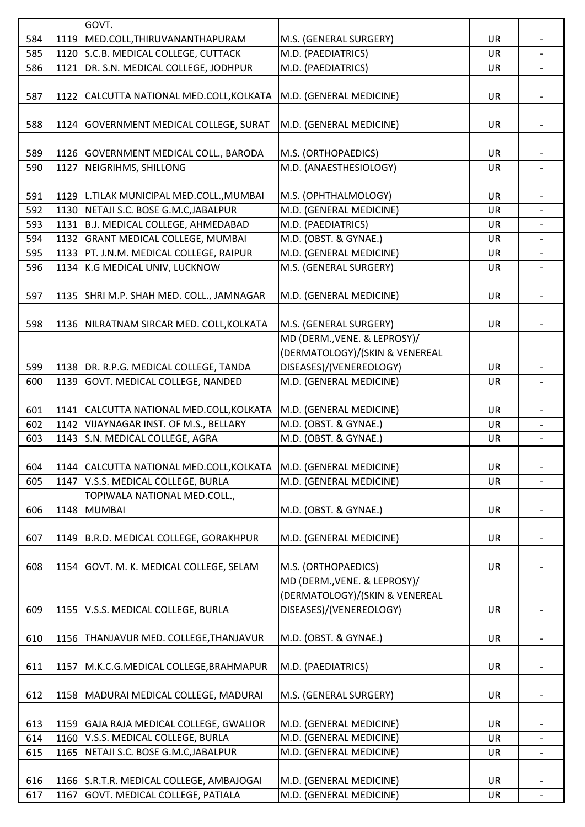|     |      | GOVT.                                      |                                |           |                          |
|-----|------|--------------------------------------------|--------------------------------|-----------|--------------------------|
| 584 | 1119 | MED.COLL, THIRUVANANTHAPURAM               | M.S. (GENERAL SURGERY)         | UR        |                          |
| 585 | 1120 | S.C.B. MEDICAL COLLEGE, CUTTACK            | M.D. (PAEDIATRICS)             | UR        |                          |
| 586 | 1121 | DR. S.N. MEDICAL COLLEGE, JODHPUR          | M.D. (PAEDIATRICS)             | <b>UR</b> |                          |
|     |      |                                            |                                |           |                          |
| 587 |      | 1122 CALCUTTA NATIONAL MED.COLL, KOLKATA   | M.D. (GENERAL MEDICINE)        | UR        |                          |
|     |      |                                            |                                |           |                          |
| 588 |      | 1124 GOVERNMENT MEDICAL COLLEGE, SURAT     | M.D. (GENERAL MEDICINE)        | UR        |                          |
|     |      |                                            |                                |           |                          |
| 589 |      | 1126 GOVERNMENT MEDICAL COLL., BARODA      | M.S. (ORTHOPAEDICS)            | UR        |                          |
| 590 | 1127 | NEIGRIHMS, SHILLONG                        | M.D. (ANAESTHESIOLOGY)         | UR        | $\blacksquare$           |
|     |      |                                            |                                |           |                          |
| 591 |      | 1129   L.TILAK MUNICIPAL MED.COLL., MUMBAI | M.S. (OPHTHALMOLOGY)           | UR        |                          |
| 592 | 1130 | NETAJI S.C. BOSE G.M.C, JABALPUR           | M.D. (GENERAL MEDICINE)        | UR        |                          |
| 593 | 1131 | B.J. MEDICAL COLLEGE, AHMEDABAD            | M.D. (PAEDIATRICS)             | UR        |                          |
| 594 |      | 1132 GRANT MEDICAL COLLEGE, MUMBAI         | M.D. (OBST. & GYNAE.)          | <b>UR</b> |                          |
| 595 | 1133 | PT. J.N.M. MEDICAL COLLEGE, RAIPUR         | M.D. (GENERAL MEDICINE)        | UR        |                          |
| 596 |      | 1134 K.G MEDICAL UNIV, LUCKNOW             | M.S. (GENERAL SURGERY)         | UR        | $\overline{\phantom{a}}$ |
|     |      |                                            |                                |           |                          |
| 597 |      | 1135 SHRI M.P. SHAH MED. COLL., JAMNAGAR   | M.D. (GENERAL MEDICINE)        | UR        |                          |
|     |      |                                            |                                |           |                          |
|     |      |                                            |                                |           |                          |
| 598 |      | 1136 NILRATNAM SIRCAR MED. COLL, KOLKATA   | M.S. (GENERAL SURGERY)         | <b>UR</b> |                          |
|     |      |                                            | MD (DERM., VENE. & LEPROSY)/   |           |                          |
|     |      |                                            | (DERMATOLOGY)/(SKIN & VENEREAL |           |                          |
| 599 |      | 1138 DR. R.P.G. MEDICAL COLLEGE, TANDA     | DISEASES)/(VENEREOLOGY)        | UR        |                          |
| 600 | 1139 | GOVT. MEDICAL COLLEGE, NANDED              | M.D. (GENERAL MEDICINE)        | UR        |                          |
|     |      |                                            |                                |           |                          |
| 601 |      | 1141 CALCUTTA NATIONAL MED.COLL, KOLKATA   | M.D. (GENERAL MEDICINE)        | <b>UR</b> |                          |
| 602 |      | 1142 VIJAYNAGAR INST. OF M.S., BELLARY     | M.D. (OBST. & GYNAE.)          | <b>UR</b> |                          |
| 603 | 1143 | S.N. MEDICAL COLLEGE, AGRA                 | M.D. (OBST. & GYNAE.)          | UR        |                          |
|     |      |                                            |                                |           |                          |
| 604 |      | 1144 CALCUTTA NATIONAL MED.COLL, KOLKATA   | M.D. (GENERAL MEDICINE)        | UR        |                          |
| 605 | 1147 | V.S.S. MEDICAL COLLEGE, BURLA              | M.D. (GENERAL MEDICINE)        | UR        |                          |
|     |      | TOPIWALA NATIONAL MED.COLL.,               |                                |           |                          |
| 606 |      | 1148 MUMBAI                                | M.D. (OBST. & GYNAE.)          | <b>UR</b> |                          |
|     |      |                                            |                                |           |                          |
| 607 |      | 1149   B.R.D. MEDICAL COLLEGE, GORAKHPUR   | M.D. (GENERAL MEDICINE)        | <b>UR</b> |                          |
|     |      |                                            |                                |           |                          |
| 608 |      | 1154   GOVT. M. K. MEDICAL COLLEGE, SELAM  | M.S. (ORTHOPAEDICS)            | UR        |                          |
|     |      |                                            | MD (DERM., VENE. & LEPROSY)/   |           |                          |
|     |      |                                            | (DERMATOLOGY)/(SKIN & VENEREAL |           |                          |
| 609 |      | 1155 V.S.S. MEDICAL COLLEGE, BURLA         | DISEASES)/(VENEREOLOGY)        | <b>UR</b> |                          |
|     |      |                                            |                                |           |                          |
| 610 |      | 1156   THANJAVUR MED. COLLEGE, THANJAVUR   | M.D. (OBST. & GYNAE.)          | UR        |                          |
|     |      |                                            |                                |           |                          |
| 611 | 1157 | M.K.C.G.MEDICAL COLLEGE, BRAHMAPUR         | M.D. (PAEDIATRICS)             | UR        |                          |
|     |      |                                            |                                |           |                          |
| 612 |      | 1158   MADURAI MEDICAL COLLEGE, MADURAI    | M.S. (GENERAL SURGERY)         | <b>UR</b> |                          |
|     |      |                                            |                                |           |                          |
| 613 |      | 1159 GAJA RAJA MEDICAL COLLEGE, GWALIOR    | M.D. (GENERAL MEDICINE)        | UR        |                          |
| 614 | 1160 | V.S.S. MEDICAL COLLEGE, BURLA              | M.D. (GENERAL MEDICINE)        | UR        |                          |
| 615 | 1165 | NETAJI S.C. BOSE G.M.C, JABALPUR           | M.D. (GENERAL MEDICINE)        | UR        |                          |
|     |      |                                            |                                |           |                          |
| 616 |      | 1166 S.R.T.R. MEDICAL COLLEGE, AMBAJOGAI   | M.D. (GENERAL MEDICINE)        | <b>UR</b> |                          |
|     |      |                                            |                                |           |                          |
| 617 |      | 1167 GOVT. MEDICAL COLLEGE, PATIALA        | M.D. (GENERAL MEDICINE)        | UR        |                          |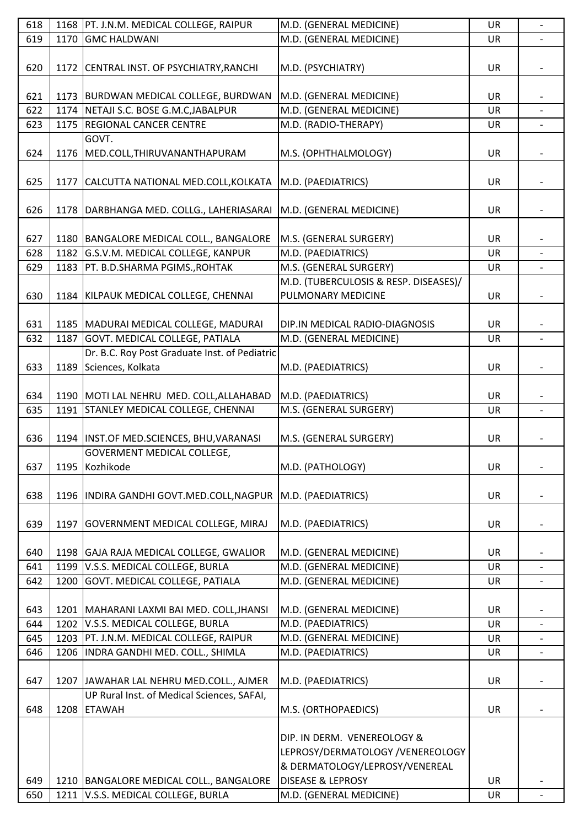| 618 |      | 1168   PT. J.N.M. MEDICAL COLLEGE, RAIPUR                            | M.D. (GENERAL MEDICINE)               | UR        | $\blacksquare$           |
|-----|------|----------------------------------------------------------------------|---------------------------------------|-----------|--------------------------|
| 619 | 1170 | <b>GMC HALDWANI</b>                                                  | M.D. (GENERAL MEDICINE)               | UR        |                          |
|     |      |                                                                      |                                       |           |                          |
| 620 |      | 1172 CENTRAL INST. OF PSYCHIATRY, RANCHI                             | M.D. (PSYCHIATRY)                     | <b>UR</b> |                          |
|     |      |                                                                      |                                       |           |                          |
| 621 |      | 1173   BURDWAN MEDICAL COLLEGE, BURDWAN                              | M.D. (GENERAL MEDICINE)               | <b>UR</b> |                          |
| 622 | 1174 | NETAJI S.C. BOSE G.M.C, JABALPUR                                     | M.D. (GENERAL MEDICINE)               | <b>UR</b> | $\overline{a}$           |
| 623 | 1175 | <b>REGIONAL CANCER CENTRE</b>                                        | M.D. (RADIO-THERAPY)                  | UR        |                          |
|     |      | GOVT.                                                                |                                       |           |                          |
| 624 | 1176 | MED.COLL, THIRUVANANTHAPURAM                                         |                                       | UR        |                          |
|     |      |                                                                      | M.S. (OPHTHALMOLOGY)                  |           |                          |
|     |      |                                                                      |                                       |           |                          |
| 625 | 1177 | CALCUTTA NATIONAL MED.COLL, KOLKATA                                  | M.D. (PAEDIATRICS)                    | <b>UR</b> |                          |
|     |      |                                                                      |                                       |           |                          |
| 626 |      | 1178   DARBHANGA MED. COLLG., LAHERIASARAI   M.D. (GENERAL MEDICINE) |                                       | UR        |                          |
|     |      |                                                                      |                                       |           |                          |
| 627 |      | 1180   BANGALORE MEDICAL COLL., BANGALORE                            | M.S. (GENERAL SURGERY)                | <b>UR</b> |                          |
| 628 | 1182 | G.S.V.M. MEDICAL COLLEGE, KANPUR                                     | M.D. (PAEDIATRICS)                    | <b>UR</b> |                          |
| 629 | 1183 | PT. B.D.SHARMA PGIMS., ROHTAK                                        | M.S. (GENERAL SURGERY)                | <b>UR</b> | $\qquad \qquad -$        |
|     |      |                                                                      | M.D. (TUBERCULOSIS & RESP. DISEASES)/ |           |                          |
| 630 |      | 1184 KILPAUK MEDICAL COLLEGE, CHENNAI                                | PULMONARY MEDICINE                    | UR        |                          |
|     |      |                                                                      |                                       |           |                          |
| 631 |      | 1185   MADURAI MEDICAL COLLEGE, MADURAI                              | DIP.IN MEDICAL RADIO-DIAGNOSIS        | UR        |                          |
| 632 | 1187 | GOVT. MEDICAL COLLEGE, PATIALA                                       | M.D. (GENERAL MEDICINE)               | <b>UR</b> | $\overline{\phantom{a}}$ |
|     |      | Dr. B.C. Roy Post Graduate Inst. of Pediatric                        |                                       |           |                          |
| 633 | 1189 | Sciences, Kolkata                                                    | M.D. (PAEDIATRICS)                    | <b>UR</b> |                          |
|     |      |                                                                      |                                       |           |                          |
| 634 |      | 1190   MOTI LAL NEHRU MED. COLL, ALLAHABAD                           | M.D. (PAEDIATRICS)                    | <b>UR</b> |                          |
| 635 | 1191 | STANLEY MEDICAL COLLEGE, CHENNAI                                     | M.S. (GENERAL SURGERY)                | <b>UR</b> |                          |
|     |      |                                                                      |                                       |           |                          |
|     |      | 1194   INST.OF MED.SCIENCES, BHU, VARANASI                           | M.S. (GENERAL SURGERY)                |           |                          |
| 636 |      |                                                                      |                                       | UR        |                          |
|     |      | GOVERMENT MEDICAL COLLEGE,                                           |                                       |           |                          |
| 637 | 1195 | Kozhikode                                                            | M.D. (PATHOLOGY)                      | UR        |                          |
|     |      |                                                                      |                                       |           |                          |
| 638 |      | 1196   INDIRA GANDHI GOVT.MED.COLL, NAGPUR                           | M.D. (PAEDIATRICS)                    | <b>UR</b> |                          |
|     |      |                                                                      |                                       |           |                          |
| 639 | 1197 | <b>GOVERNMENT MEDICAL COLLEGE, MIRAJ</b>                             | M.D. (PAEDIATRICS)                    | <b>UR</b> |                          |
|     |      |                                                                      |                                       |           |                          |
| 640 |      | 1198 GAJA RAJA MEDICAL COLLEGE, GWALIOR                              | M.D. (GENERAL MEDICINE)               | <b>UR</b> |                          |
| 641 | 1199 | V.S.S. MEDICAL COLLEGE, BURLA                                        | M.D. (GENERAL MEDICINE)               | UR        |                          |
| 642 | 1200 | GOVT. MEDICAL COLLEGE, PATIALA                                       | M.D. (GENERAL MEDICINE)               | UR        |                          |
|     |      |                                                                      |                                       |           |                          |
| 643 |      | 1201   MAHARANI LAXMI BAI MED. COLL, JHANSI                          | M.D. (GENERAL MEDICINE)               | <b>UR</b> |                          |
| 644 | 1202 | V.S.S. MEDICAL COLLEGE, BURLA                                        | M.D. (PAEDIATRICS)                    | <b>UR</b> |                          |
| 645 | 1203 | PT. J.N.M. MEDICAL COLLEGE, RAIPUR                                   | M.D. (GENERAL MEDICINE)               | UR        |                          |
| 646 | 1206 | INDRA GANDHI MED. COLL., SHIMLA                                      | M.D. (PAEDIATRICS)                    | <b>UR</b> |                          |
|     |      |                                                                      |                                       |           |                          |
| 647 | 1207 | JAWAHAR LAL NEHRU MED.COLL., AJMER                                   | M.D. (PAEDIATRICS)                    | <b>UR</b> |                          |
|     |      | UP Rural Inst. of Medical Sciences, SAFAI,                           |                                       |           |                          |
| 648 | 1208 | <b>ETAWAH</b>                                                        | M.S. (ORTHOPAEDICS)                   | <b>UR</b> |                          |
|     |      |                                                                      |                                       |           |                          |
|     |      |                                                                      | DIP. IN DERM. VENEREOLOGY &           |           |                          |
|     |      |                                                                      | LEPROSY/DERMATOLOGY /VENEREOLOGY      |           |                          |
|     |      |                                                                      | & DERMATOLOGY/LEPROSY/VENEREAL        |           |                          |
| 649 |      | 1210   BANGALORE MEDICAL COLL., BANGALORE                            | <b>DISEASE &amp; LEPROSY</b>          | <b>UR</b> |                          |
|     |      |                                                                      |                                       |           |                          |
| 650 |      | 1211 V.S.S. MEDICAL COLLEGE, BURLA                                   | M.D. (GENERAL MEDICINE)               | UR        |                          |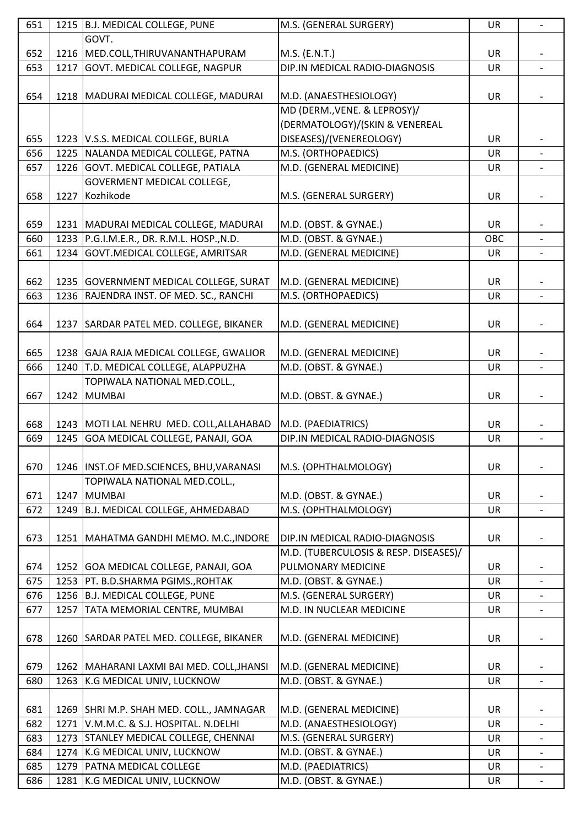| 651 |      | 1215 B.J. MEDICAL COLLEGE, PUNE             | M.S. (GENERAL SURGERY)                | UR        |                          |
|-----|------|---------------------------------------------|---------------------------------------|-----------|--------------------------|
|     |      | GOVT.                                       |                                       |           |                          |
| 652 | 1216 | MED.COLL, THIRUVANANTHAPURAM                | M.S. (E.N.T.)                         | UR        |                          |
| 653 | 1217 | GOVT. MEDICAL COLLEGE, NAGPUR               | DIP.IN MEDICAL RADIO-DIAGNOSIS        | UR        | $\overline{\phantom{a}}$ |
|     |      |                                             |                                       |           |                          |
| 654 |      | 1218   MADURAI MEDICAL COLLEGE, MADURAI     | M.D. (ANAESTHESIOLOGY)                | <b>UR</b> |                          |
|     |      |                                             | MD (DERM., VENE. & LEPROSY)/          |           |                          |
|     |      |                                             | (DERMATOLOGY)/(SKIN & VENEREAL        |           |                          |
| 655 |      | 1223 V.S.S. MEDICAL COLLEGE, BURLA          | DISEASES)/(VENEREOLOGY)               | <b>UR</b> |                          |
| 656 | 1225 | NALANDA MEDICAL COLLEGE, PATNA              | M.S. (ORTHOPAEDICS)                   | <b>UR</b> |                          |
| 657 | 1226 | GOVT. MEDICAL COLLEGE, PATIALA              | M.D. (GENERAL MEDICINE)               | <b>UR</b> |                          |
|     |      | GOVERMENT MEDICAL COLLEGE,                  |                                       |           |                          |
| 658 | 1227 | Kozhikode                                   | M.S. (GENERAL SURGERY)                | UR        |                          |
|     |      |                                             |                                       |           |                          |
| 659 |      | 1231   MADURAI MEDICAL COLLEGE, MADURAI     | M.D. (OBST. & GYNAE.)                 | UR        |                          |
|     |      |                                             | M.D. (OBST. & GYNAE.)                 |           |                          |
| 660 | 1233 | P.G.I.M.E.R., DR. R.M.L. HOSP., N.D.        |                                       | OBC       | $\overline{\phantom{a}}$ |
| 661 | 1234 | GOVT. MEDICAL COLLEGE, AMRITSAR             | M.D. (GENERAL MEDICINE)               | <b>UR</b> |                          |
|     |      |                                             |                                       |           |                          |
| 662 |      | 1235 GOVERNMENT MEDICAL COLLEGE, SURAT      | M.D. (GENERAL MEDICINE)               | <b>UR</b> |                          |
| 663 |      | 1236 RAJENDRA INST. OF MED. SC., RANCHI     | M.S. (ORTHOPAEDICS)                   | UR        |                          |
|     |      |                                             |                                       |           |                          |
| 664 | 1237 | SARDAR PATEL MED. COLLEGE, BIKANER          | M.D. (GENERAL MEDICINE)               | <b>UR</b> |                          |
|     |      |                                             |                                       |           |                          |
| 665 |      | 1238 GAJA RAJA MEDICAL COLLEGE, GWALIOR     | M.D. (GENERAL MEDICINE)               | <b>UR</b> |                          |
| 666 | 1240 | T.D. MEDICAL COLLEGE, ALAPPUZHA             | M.D. (OBST. & GYNAE.)                 | UR        |                          |
|     |      | TOPIWALA NATIONAL MED.COLL.,                |                                       |           |                          |
| 667 | 1242 | <b>MUMBAI</b>                               | M.D. (OBST. & GYNAE.)                 | <b>UR</b> |                          |
|     |      |                                             |                                       |           |                          |
| 668 |      | 1243   MOTI LAL NEHRU MED. COLL, ALLAHABAD  | M.D. (PAEDIATRICS)                    | <b>UR</b> |                          |
| 669 | 1245 | GOA MEDICAL COLLEGE, PANAJI, GOA            | DIP.IN MEDICAL RADIO-DIAGNOSIS        | UR        | $\overline{\phantom{0}}$ |
|     |      |                                             |                                       |           |                          |
| 670 |      | 1246   INST.OF MED.SCIENCES, BHU, VARANASI  | M.S. (OPHTHALMOLOGY)                  | UR        |                          |
|     |      | TOPIWALA NATIONAL MED.COLL.,                |                                       |           |                          |
| 671 | 1247 | <b>MUMBAI</b>                               | M.D. (OBST. & GYNAE.)                 | UR        |                          |
| 672 | 1249 | B.J. MEDICAL COLLEGE, AHMEDABAD             | M.S. (OPHTHALMOLOGY)                  | UR        | $\overline{\phantom{a}}$ |
|     |      |                                             |                                       |           |                          |
| 673 |      | 1251   MAHATMA GANDHI MEMO. M.C., INDORE    | DIP.IN MEDICAL RADIO-DIAGNOSIS        | <b>UR</b> |                          |
|     |      |                                             | M.D. (TUBERCULOSIS & RESP. DISEASES)/ |           |                          |
| 674 |      | 1252 GOA MEDICAL COLLEGE, PANAJI, GOA       | PULMONARY MEDICINE                    | UR        |                          |
| 675 | 1253 | PT. B.D.SHARMA PGIMS., ROHTAK               | M.D. (OBST. & GYNAE.)                 | UR        | $\overline{\phantom{0}}$ |
| 676 |      | 1256 B.J. MEDICAL COLLEGE, PUNE             | M.S. (GENERAL SURGERY)                | UR        |                          |
| 677 | 1257 | <b>TATA MEMORIAL CENTRE, MUMBAI</b>         | M.D. IN NUCLEAR MEDICINE              | UR        |                          |
|     |      |                                             |                                       |           |                          |
|     |      |                                             |                                       |           |                          |
| 678 | 1260 | SARDAR PATEL MED. COLLEGE, BIKANER          | M.D. (GENERAL MEDICINE)               | UR        |                          |
|     |      |                                             |                                       |           |                          |
| 679 |      | 1262   MAHARANI LAXMI BAI MED. COLL, JHANSI | M.D. (GENERAL MEDICINE)               | UR        |                          |
| 680 | 1263 | K.G MEDICAL UNIV, LUCKNOW                   | M.D. (OBST. & GYNAE.)                 | UR        | $\overline{\phantom{0}}$ |
|     |      |                                             |                                       |           |                          |
| 681 | 1269 | SHRI M.P. SHAH MED. COLL., JAMNAGAR         | M.D. (GENERAL MEDICINE)               | UR        |                          |
| 682 | 1271 | V.M.M.C. & S.J. HOSPITAL. N.DELHI           | M.D. (ANAESTHESIOLOGY)                | <b>UR</b> |                          |
| 683 | 1273 | <b>STANLEY MEDICAL COLLEGE, CHENNAI</b>     | M.S. (GENERAL SURGERY)                | <b>UR</b> |                          |
| 684 | 1274 | K.G MEDICAL UNIV, LUCKNOW                   | M.D. (OBST. & GYNAE.)                 | UR        | $\overline{\phantom{0}}$ |
| 685 | 1279 | <b>PATNA MEDICAL COLLEGE</b>                | M.D. (PAEDIATRICS)                    | UR        |                          |
|     | 1281 | K.G MEDICAL UNIV, LUCKNOW                   | M.D. (OBST. & GYNAE.)                 | UR        | $\overline{\phantom{0}}$ |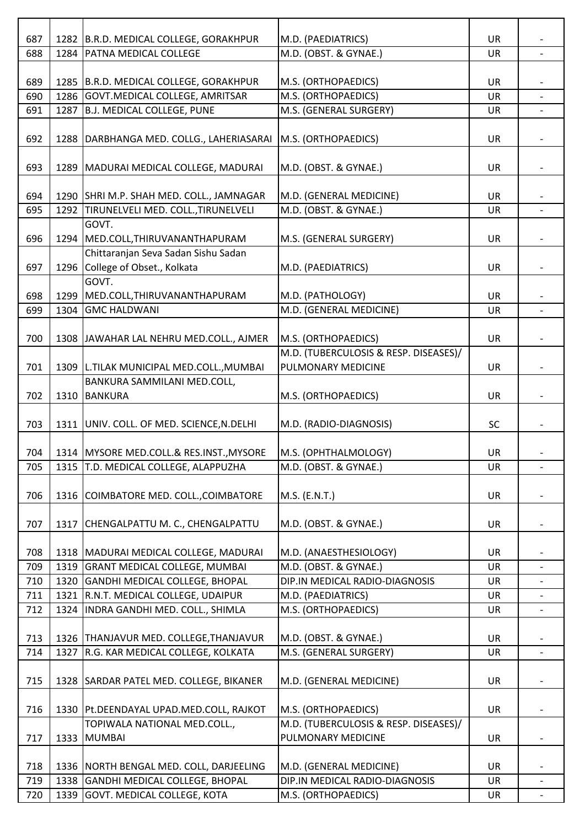| 687 |      | 1282 B.R.D. MEDICAL COLLEGE, GORAKHPUR                             | M.D. (PAEDIATRICS)                    | <b>UR</b> |                          |
|-----|------|--------------------------------------------------------------------|---------------------------------------|-----------|--------------------------|
| 688 | 1284 | <b>PATNA MEDICAL COLLEGE</b>                                       | M.D. (OBST. & GYNAE.)                 | UR        |                          |
|     |      |                                                                    |                                       |           |                          |
| 689 |      | 1285 B.R.D. MEDICAL COLLEGE, GORAKHPUR                             | M.S. (ORTHOPAEDICS)                   | UR        |                          |
| 690 | 1286 | GOVT.MEDICAL COLLEGE, AMRITSAR                                     | M.S. (ORTHOPAEDICS)                   | UR        |                          |
| 691 | 1287 | B.J. MEDICAL COLLEGE, PUNE                                         | M.S. (GENERAL SURGERY)                | UR        |                          |
|     |      |                                                                    |                                       |           |                          |
| 692 | 1288 | DARBHANGA MED. COLLG., LAHERIASARAI   M.S. (ORTHOPAEDICS)          |                                       | UR        |                          |
|     |      |                                                                    |                                       |           |                          |
| 693 |      | 1289   MADURAI MEDICAL COLLEGE, MADURAI                            | M.D. (OBST. & GYNAE.)                 | UR        |                          |
|     |      |                                                                    |                                       |           |                          |
| 694 |      | 1290 SHRI M.P. SHAH MED. COLL., JAMNAGAR                           | M.D. (GENERAL MEDICINE)               | <b>UR</b> |                          |
| 695 | 1292 | TIRUNELVELI MED. COLL., TIRUNELVELI                                | M.D. (OBST. & GYNAE.)                 | <b>UR</b> |                          |
|     |      | GOVT.                                                              |                                       |           |                          |
| 696 | 1294 | MED.COLL, THIRUVANANTHAPURAM                                       | M.S. (GENERAL SURGERY)                | UR        |                          |
|     |      | Chittaranjan Seva Sadan Sishu Sadan                                |                                       |           |                          |
| 697 |      | 1296 College of Obset., Kolkata                                    | M.D. (PAEDIATRICS)                    | UR        |                          |
|     |      | GOVT.                                                              |                                       |           |                          |
| 698 | 1299 | MED.COLL, THIRUVANANTHAPURAM                                       | M.D. (PATHOLOGY)                      | <b>UR</b> |                          |
| 699 | 1304 | <b>GMC HALDWANI</b>                                                | M.D. (GENERAL MEDICINE)               | <b>UR</b> | $\overline{a}$           |
|     |      |                                                                    |                                       |           |                          |
| 700 |      | 1308 JAWAHAR LAL NEHRU MED.COLL., AJMER                            | M.S. (ORTHOPAEDICS)                   | UR        |                          |
|     |      |                                                                    | M.D. (TUBERCULOSIS & RESP. DISEASES)/ |           |                          |
| 701 | 1309 |                                                                    | PULMONARY MEDICINE                    |           |                          |
|     |      | L.TILAK MUNICIPAL MED.COLL., MUMBAI<br>BANKURA SAMMILANI MED.COLL, |                                       | UR        |                          |
|     |      |                                                                    |                                       |           |                          |
| 702 | 1310 | <b>BANKURA</b>                                                     | M.S. (ORTHOPAEDICS)                   | UR        |                          |
|     |      |                                                                    |                                       |           |                          |
| 703 |      | 1311 UNIV. COLL. OF MED. SCIENCE, N.DELHI                          | M.D. (RADIO-DIAGNOSIS)                | <b>SC</b> |                          |
|     |      |                                                                    |                                       |           |                          |
| 704 |      | 1314   MYSORE MED.COLL.& RES.INST., MYSORE                         | M.S. (OPHTHALMOLOGY)                  | <b>UR</b> |                          |
| 705 |      | 1315 T.D. MEDICAL COLLEGE, ALAPPUZHA                               | M.D. (OBST. & GYNAE.)                 | <b>UR</b> | $\overline{\phantom{0}}$ |
|     |      |                                                                    |                                       |           |                          |
| 706 |      | 1316 COIMBATORE MED. COLL., COIMBATORE                             | M.S. (E.N.T.)                         | <b>UR</b> |                          |
|     |      |                                                                    |                                       |           |                          |
| 707 |      | 1317 CHENGALPATTU M. C., CHENGALPATTU                              | M.D. (OBST. & GYNAE.)                 | UR        |                          |
|     |      |                                                                    |                                       |           |                          |
| 708 |      | 1318   MADURAI MEDICAL COLLEGE, MADURAI                            | M.D. (ANAESTHESIOLOGY)                | <b>UR</b> |                          |
| 709 | 1319 | <b>GRANT MEDICAL COLLEGE, MUMBAI</b>                               | M.D. (OBST. & GYNAE.)                 | <b>UR</b> |                          |
| 710 | 1320 | GANDHI MEDICAL COLLEGE, BHOPAL                                     | DIP.IN MEDICAL RADIO-DIAGNOSIS        | <b>UR</b> |                          |
| 711 | 1321 | R.N.T. MEDICAL COLLEGE, UDAIPUR                                    | M.D. (PAEDIATRICS)                    | UR        |                          |
| 712 | 1324 | INDRA GANDHI MED. COLL., SHIMLA                                    | M.S. (ORTHOPAEDICS)                   | <b>UR</b> | $\overline{\phantom{0}}$ |
|     |      |                                                                    |                                       |           |                          |
| 713 |      | 1326 THANJAVUR MED. COLLEGE, THANJAVUR                             | M.D. (OBST. & GYNAE.)                 | UR        |                          |
| 714 | 1327 | R.G. KAR MEDICAL COLLEGE, KOLKATA                                  | M.S. (GENERAL SURGERY)                | UR        |                          |
|     |      |                                                                    |                                       |           |                          |
| 715 |      | 1328 SARDAR PATEL MED. COLLEGE, BIKANER                            | M.D. (GENERAL MEDICINE)               | <b>UR</b> |                          |
|     |      |                                                                    |                                       |           |                          |
| 716 |      | 1330   Pt. DEENDAYAL UPAD. MED. COLL, RAJKOT                       | M.S. (ORTHOPAEDICS)                   | UR        |                          |
|     |      | TOPIWALA NATIONAL MED.COLL.,                                       | M.D. (TUBERCULOSIS & RESP. DISEASES)/ |           |                          |
| 717 | 1333 | <b>MUMBAI</b>                                                      | PULMONARY MEDICINE                    | <b>UR</b> |                          |
|     |      |                                                                    |                                       |           |                          |
| 718 |      | 1336 NORTH BENGAL MED. COLL, DARJEELING                            | M.D. (GENERAL MEDICINE)               | <b>UR</b> |                          |
| 719 | 1338 | GANDHI MEDICAL COLLEGE, BHOPAL                                     | DIP.IN MEDICAL RADIO-DIAGNOSIS        | UR        | $\overline{\phantom{a}}$ |
| 720 | 1339 | GOVT. MEDICAL COLLEGE, KOTA                                        | M.S. (ORTHOPAEDICS)                   | UR        |                          |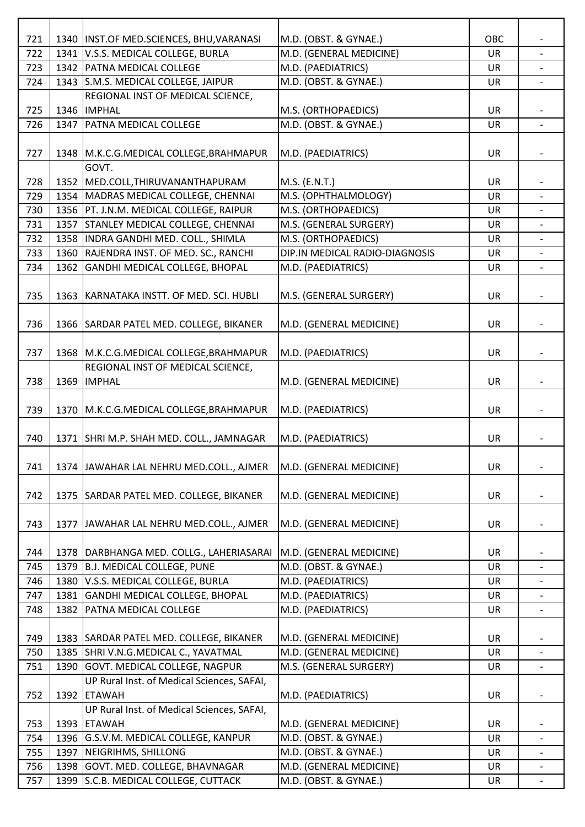| 721 |      | 1340   INST.OF MED.SCIENCES, BHU, VARANASI | M.D. (OBST. & GYNAE.)          | OBC       |                          |
|-----|------|--------------------------------------------|--------------------------------|-----------|--------------------------|
| 722 |      | 1341 V.S.S. MEDICAL COLLEGE, BURLA         | M.D. (GENERAL MEDICINE)        | UR        |                          |
| 723 |      | 1342   PATNA MEDICAL COLLEGE               | M.D. (PAEDIATRICS)             | UR        |                          |
| 724 |      | 1343 S.M.S. MEDICAL COLLEGE, JAIPUR        | M.D. (OBST. & GYNAE.)          | <b>UR</b> |                          |
|     |      | REGIONAL INST OF MEDICAL SCIENCE,          |                                |           |                          |
| 725 |      | 1346  IMPHAL                               | M.S. (ORTHOPAEDICS)            | <b>UR</b> |                          |
| 726 |      | 1347   PATNA MEDICAL COLLEGE               | M.D. (OBST. & GYNAE.)          | UR        |                          |
|     |      |                                            |                                |           |                          |
| 727 |      | 1348   M.K.C.G.MEDICAL COLLEGE, BRAHMAPUR  | M.D. (PAEDIATRICS)             | UR        |                          |
|     |      | GOVT.                                      |                                |           |                          |
| 728 |      | 1352 MED.COLL, THIRUVANANTHAPURAM          | M.S. (E.N.T.)                  | UR        |                          |
| 729 |      | 1354   MADRAS MEDICAL COLLEGE, CHENNAI     | M.S. (OPHTHALMOLOGY)           | UR        |                          |
| 730 |      | 1356   PT. J.N.M. MEDICAL COLLEGE, RAIPUR  | M.S. (ORTHOPAEDICS)            | UR        |                          |
| 731 |      | 1357 STANLEY MEDICAL COLLEGE, CHENNAI      | M.S. (GENERAL SURGERY)         | UR        |                          |
| 732 |      | 1358   INDRA GANDHI MED. COLL., SHIMLA     | M.S. (ORTHOPAEDICS)            | UR        | $\blacksquare$           |
| 733 |      | 1360 RAJENDRA INST. OF MED. SC., RANCHI    | DIP.IN MEDICAL RADIO-DIAGNOSIS | <b>UR</b> |                          |
| 734 |      | 1362 GANDHI MEDICAL COLLEGE, BHOPAL        | M.D. (PAEDIATRICS)             | UR        | $\blacksquare$           |
|     |      |                                            |                                |           |                          |
| 735 |      | 1363 KARNATAKA INSTT. OF MED. SCI. HUBLI   | M.S. (GENERAL SURGERY)         | UR        |                          |
|     |      |                                            |                                |           |                          |
| 736 |      | 1366 SARDAR PATEL MED. COLLEGE, BIKANER    | M.D. (GENERAL MEDICINE)        | UR        |                          |
|     |      |                                            |                                |           |                          |
| 737 |      | 1368   M.K.C.G.MEDICAL COLLEGE, BRAHMAPUR  | M.D. (PAEDIATRICS)             | UR        |                          |
|     |      | REGIONAL INST OF MEDICAL SCIENCE,          |                                |           |                          |
| 738 |      | 1369  IMPHAL                               | M.D. (GENERAL MEDICINE)        | <b>UR</b> |                          |
|     |      |                                            |                                |           |                          |
| 739 |      | 1370   M.K.C.G.MEDICAL COLLEGE, BRAHMAPUR  | M.D. (PAEDIATRICS)             | <b>UR</b> |                          |
|     |      |                                            |                                |           |                          |
| 740 |      | 1371   SHRI M.P. SHAH MED. COLL., JAMNAGAR | M.D. (PAEDIATRICS)             | UR        |                          |
|     |      |                                            |                                |           |                          |
| 741 |      | 1374 JAWAHAR LAL NEHRU MED.COLL., AJMER    | M.D. (GENERAL MEDICINE)        | <b>UR</b> | $\overline{\phantom{0}}$ |
| 742 |      |                                            | M.D. (GENERAL MEDICINE)        |           |                          |
|     |      | 1375   SARDAR PATEL MED. COLLEGE, BIKANER  |                                | UR        |                          |
| 743 |      | 1377 JAWAHAR LAL NEHRU MED.COLL., AJMER    |                                | <b>UR</b> |                          |
|     |      |                                            | M.D. (GENERAL MEDICINE)        |           |                          |
| 744 |      | 1378   DARBHANGA MED. COLLG., LAHERIASARAI | M.D. (GENERAL MEDICINE)        | <b>UR</b> |                          |
| 745 | 1379 | B.J. MEDICAL COLLEGE, PUNE                 | M.D. (OBST. & GYNAE.)          | <b>UR</b> |                          |
| 746 | 1380 | V.S.S. MEDICAL COLLEGE, BURLA              | M.D. (PAEDIATRICS)             | <b>UR</b> |                          |
| 747 | 1381 | GANDHI MEDICAL COLLEGE, BHOPAL             | M.D. (PAEDIATRICS)             | UR        |                          |
| 748 | 1382 | <b>PATNA MEDICAL COLLEGE</b>               | M.D. (PAEDIATRICS)             | UR        | $\overline{\phantom{0}}$ |
|     |      |                                            |                                |           |                          |
| 749 |      | 1383 SARDAR PATEL MED. COLLEGE, BIKANER    | M.D. (GENERAL MEDICINE)        | UR        |                          |
| 750 |      | 1385 SHRI V.N.G.MEDICAL C., YAVATMAL       | M.D. (GENERAL MEDICINE)        | <b>UR</b> |                          |
| 751 |      | 1390 GOVT. MEDICAL COLLEGE, NAGPUR         | M.S. (GENERAL SURGERY)         | UR        |                          |
|     |      | UP Rural Inst. of Medical Sciences, SAFAI, |                                |           |                          |
| 752 |      | 1392 ETAWAH                                | M.D. (PAEDIATRICS)             | UR        |                          |
|     |      | UP Rural Inst. of Medical Sciences, SAFAI, |                                |           |                          |
| 753 |      | 1393 ETAWAH                                | M.D. (GENERAL MEDICINE)        | <b>UR</b> |                          |
| 754 |      | 1396 G.S.V.M. MEDICAL COLLEGE, KANPUR      | M.D. (OBST. & GYNAE.)          | UR        |                          |
| 755 |      | 1397   NEIGRIHMS, SHILLONG                 | M.D. (OBST. & GYNAE.)          | <b>UR</b> |                          |
| 756 |      | 1398 GOVT. MED. COLLEGE, BHAVNAGAR         | M.D. (GENERAL MEDICINE)        | <b>UR</b> |                          |
| 757 |      | 1399 S.C.B. MEDICAL COLLEGE, CUTTACK       | M.D. (OBST. & GYNAE.)          | UR        |                          |
|     |      |                                            |                                |           |                          |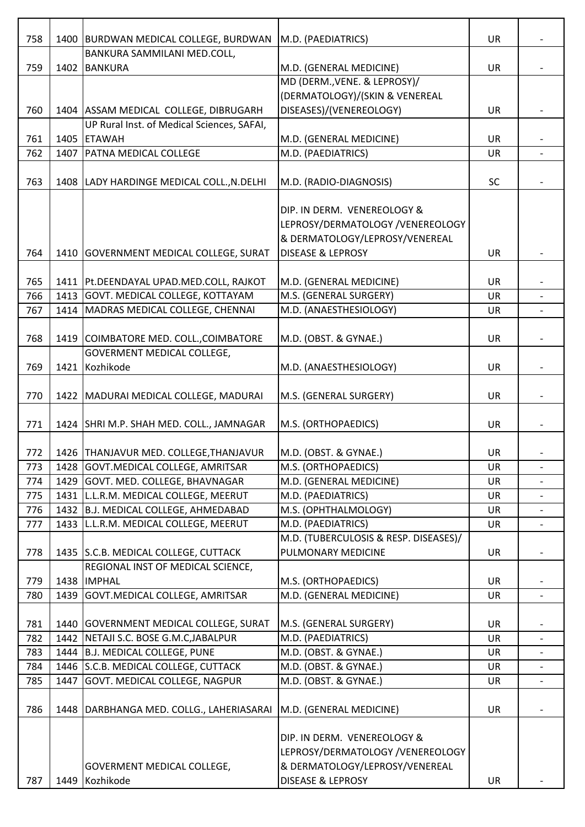| 758 | 1400 | BURDWAN MEDICAL COLLEGE, BURDWAN            | M.D. (PAEDIATRICS)                    | UR        |                          |
|-----|------|---------------------------------------------|---------------------------------------|-----------|--------------------------|
|     |      | BANKURA SAMMILANI MED.COLL,                 |                                       |           |                          |
| 759 | 1402 | <b>BANKURA</b>                              | M.D. (GENERAL MEDICINE)               | <b>UR</b> |                          |
|     |      |                                             | MD (DERM., VENE. & LEPROSY)/          |           |                          |
|     |      |                                             | (DERMATOLOGY)/(SKIN & VENEREAL        |           |                          |
| 760 |      | 1404 ASSAM MEDICAL COLLEGE, DIBRUGARH       | DISEASES)/(VENEREOLOGY)               | UR        |                          |
|     |      | UP Rural Inst. of Medical Sciences, SAFAI,  |                                       |           |                          |
| 761 | 1405 | <b>ETAWAH</b>                               | M.D. (GENERAL MEDICINE)               | <b>UR</b> |                          |
| 762 | 1407 | <b>PATNA MEDICAL COLLEGE</b>                | M.D. (PAEDIATRICS)                    | <b>UR</b> |                          |
|     |      |                                             |                                       |           |                          |
| 763 |      | 1408   LADY HARDINGE MEDICAL COLL., N.DELHI | M.D. (RADIO-DIAGNOSIS)                | <b>SC</b> |                          |
|     |      |                                             |                                       |           |                          |
|     |      |                                             | DIP. IN DERM. VENEREOLOGY &           |           |                          |
|     |      |                                             | LEPROSY/DERMATOLOGY /VENEREOLOGY      |           |                          |
|     |      |                                             | & DERMATOLOGY/LEPROSY/VENEREAL        |           |                          |
| 764 | 1410 | GOVERNMENT MEDICAL COLLEGE, SURAT           | <b>DISEASE &amp; LEPROSY</b>          | <b>UR</b> |                          |
|     |      |                                             |                                       |           |                          |
| 765 |      | 1411   Pt.DEENDAYAL UPAD.MED.COLL, RAJKOT   | M.D. (GENERAL MEDICINE)               | UR        |                          |
| 766 |      | 1413 GOVT. MEDICAL COLLEGE, KOTTAYAM        | M.S. (GENERAL SURGERY)                | <b>UR</b> |                          |
| 767 | 1414 | MADRAS MEDICAL COLLEGE, CHENNAI             | M.D. (ANAESTHESIOLOGY)                | <b>UR</b> |                          |
|     |      |                                             |                                       |           |                          |
| 768 |      | 1419 COIMBATORE MED. COLL., COIMBATORE      | M.D. (OBST. & GYNAE.)                 | <b>UR</b> |                          |
|     |      | GOVERMENT MEDICAL COLLEGE,                  |                                       |           |                          |
| 769 | 1421 | Kozhikode                                   | M.D. (ANAESTHESIOLOGY)                | <b>UR</b> |                          |
|     |      |                                             |                                       |           |                          |
| 770 | 1422 | MADURAI MEDICAL COLLEGE, MADURAI            | M.S. (GENERAL SURGERY)                | <b>UR</b> |                          |
| 771 |      | 1424 SHRI M.P. SHAH MED. COLL., JAMNAGAR    | M.S. (ORTHOPAEDICS)                   | <b>UR</b> |                          |
|     |      |                                             |                                       |           |                          |
| 772 |      | 1426   THANJAVUR MED. COLLEGE, THANJAVUR    | M.D. (OBST. & GYNAE.)                 | UR        |                          |
| 773 |      | 1428 GOVT.MEDICAL COLLEGE, AMRITSAR         | M.S. (ORTHOPAEDICS)                   | <b>UR</b> |                          |
| 774 |      | 1429 GOVT. MED. COLLEGE, BHAVNAGAR          | M.D. (GENERAL MEDICINE)               | UR        |                          |
| 775 |      | 1431 L.L.R.M. MEDICAL COLLEGE, MEERUT       | M.D. (PAEDIATRICS)                    | UR        |                          |
| 776 | 1432 | B.J. MEDICAL COLLEGE, AHMEDABAD             | M.S. (OPHTHALMOLOGY)                  | UR        | $\overline{\phantom{a}}$ |
| 777 | 1433 | L.L.R.M. MEDICAL COLLEGE, MEERUT            | M.D. (PAEDIATRICS)                    | <b>UR</b> |                          |
|     |      |                                             | M.D. (TUBERCULOSIS & RESP. DISEASES)/ |           |                          |
| 778 |      | 1435 S.C.B. MEDICAL COLLEGE, CUTTACK        | PULMONARY MEDICINE                    | <b>UR</b> |                          |
|     |      | REGIONAL INST OF MEDICAL SCIENCE,           |                                       |           |                          |
| 779 | 1438 | <b>IMPHAL</b>                               | M.S. (ORTHOPAEDICS)                   | UR        |                          |
| 780 | 1439 | GOVT. MEDICAL COLLEGE, AMRITSAR             | M.D. (GENERAL MEDICINE)               | UR        |                          |
|     |      |                                             |                                       |           |                          |
| 781 |      | 1440 GOVERNMENT MEDICAL COLLEGE, SURAT      | M.S. (GENERAL SURGERY)                | <b>UR</b> |                          |
| 782 | 1442 | NETAJI S.C. BOSE G.M.C, JABALPUR            | M.D. (PAEDIATRICS)                    | UR        |                          |
| 783 | 1444 | B.J. MEDICAL COLLEGE, PUNE                  | M.D. (OBST. & GYNAE.)                 | <b>UR</b> |                          |
| 784 | 1446 | S.C.B. MEDICAL COLLEGE, CUTTACK             | M.D. (OBST. & GYNAE.)                 | <b>UR</b> |                          |
| 785 | 1447 | <b>GOVT. MEDICAL COLLEGE, NAGPUR</b>        | M.D. (OBST. & GYNAE.)                 | UR        |                          |
|     |      |                                             |                                       |           |                          |
| 786 | 1448 | DARBHANGA MED. COLLG., LAHERIASARAI         | M.D. (GENERAL MEDICINE)               | <b>UR</b> |                          |
|     |      |                                             |                                       |           |                          |
|     |      |                                             | DIP. IN DERM. VENEREOLOGY &           |           |                          |
|     |      |                                             | LEPROSY/DERMATOLOGY /VENEREOLOGY      |           |                          |
|     |      | GOVERMENT MEDICAL COLLEGE,                  | & DERMATOLOGY/LEPROSY/VENEREAL        |           |                          |
| 787 | 1449 | Kozhikode                                   | DISEASE & LEPROSY                     | UR        |                          |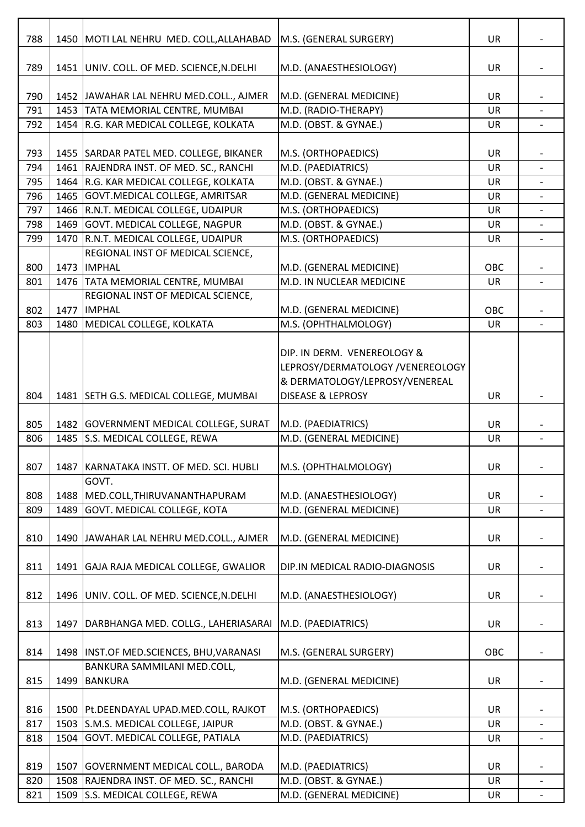| 788 | 1450 | MOTI LAL NEHRU MED. COLL, ALLAHABAD                                      | M.S. (GENERAL SURGERY)           | <b>UR</b> |                          |
|-----|------|--------------------------------------------------------------------------|----------------------------------|-----------|--------------------------|
|     |      |                                                                          |                                  |           |                          |
| 789 |      | 1451 UNIV. COLL. OF MED. SCIENCE, N.DELHI                                | M.D. (ANAESTHESIOLOGY)           | <b>UR</b> |                          |
| 790 |      | 1452 JAWAHAR LAL NEHRU MED.COLL., AJMER                                  | M.D. (GENERAL MEDICINE)          | UR        |                          |
| 791 |      | 1453 TATA MEMORIAL CENTRE, MUMBAI                                        | M.D. (RADIO-THERAPY)             | <b>UR</b> |                          |
| 792 | 1454 | R.G. KAR MEDICAL COLLEGE, KOLKATA                                        | M.D. (OBST. & GYNAE.)            | <b>UR</b> | $\overline{\phantom{0}}$ |
|     |      |                                                                          |                                  |           |                          |
| 793 |      | 1455 SARDAR PATEL MED. COLLEGE, BIKANER                                  | M.S. (ORTHOPAEDICS)              | <b>UR</b> |                          |
| 794 | 1461 | RAJENDRA INST. OF MED. SC., RANCHI                                       | M.D. (PAEDIATRICS)               | <b>UR</b> |                          |
| 795 | 1464 | R.G. KAR MEDICAL COLLEGE, KOLKATA                                        | M.D. (OBST. & GYNAE.)            | <b>UR</b> |                          |
| 796 | 1465 | GOVT. MEDICAL COLLEGE, AMRITSAR                                          | M.D. (GENERAL MEDICINE)          | UR        |                          |
| 797 | 1466 | R.N.T. MEDICAL COLLEGE, UDAIPUR                                          | M.S. (ORTHOPAEDICS)              | <b>UR</b> |                          |
| 798 | 1469 | GOVT. MEDICAL COLLEGE, NAGPUR                                            | M.D. (OBST. & GYNAE.)            | UR        |                          |
| 799 | 1470 | R.N.T. MEDICAL COLLEGE, UDAIPUR                                          | M.S. (ORTHOPAEDICS)              | <b>UR</b> |                          |
| 800 | 1473 | REGIONAL INST OF MEDICAL SCIENCE,<br><b>IMPHAL</b>                       | M.D. (GENERAL MEDICINE)          | OBC       |                          |
| 801 |      | 1476 TATA MEMORIAL CENTRE, MUMBAI                                        | M.D. IN NUCLEAR MEDICINE         | <b>UR</b> |                          |
|     |      | REGIONAL INST OF MEDICAL SCIENCE,                                        |                                  |           |                          |
| 802 | 1477 | <b>IMPHAL</b>                                                            | M.D. (GENERAL MEDICINE)          | OBC       |                          |
| 803 | 1480 | MEDICAL COLLEGE, KOLKATA                                                 | M.S. (OPHTHALMOLOGY)             | <b>UR</b> | $\overline{\phantom{0}}$ |
|     |      |                                                                          |                                  |           |                          |
|     |      |                                                                          | DIP. IN DERM. VENEREOLOGY &      |           |                          |
|     |      |                                                                          | LEPROSY/DERMATOLOGY /VENEREOLOGY |           |                          |
|     |      |                                                                          | & DERMATOLOGY/LEPROSY/VENEREAL   |           |                          |
| 804 |      | 1481 SETH G.S. MEDICAL COLLEGE, MUMBAI                                   | <b>DISEASE &amp; LEPROSY</b>     | <b>UR</b> |                          |
|     |      |                                                                          |                                  |           |                          |
| 805 |      | 1482 GOVERNMENT MEDICAL COLLEGE, SURAT                                   | M.D. (PAEDIATRICS)               | <b>UR</b> |                          |
| 806 | 1485 | S.S. MEDICAL COLLEGE, REWA                                               | M.D. (GENERAL MEDICINE)          | <b>UR</b> | $\overline{a}$           |
| 807 | 1487 | KARNATAKA INSTT. OF MED. SCI. HUBLI                                      | M.S. (OPHTHALMOLOGY)             | UR        |                          |
|     |      | GOVT.                                                                    |                                  |           |                          |
| 808 | 1488 | MED.COLL, THIRUVANANTHAPURAM                                             | M.D. (ANAESTHESIOLOGY)           | <b>UR</b> |                          |
| 809 | 1489 | GOVT. MEDICAL COLLEGE, KOTA                                              | M.D. (GENERAL MEDICINE)          | <b>UR</b> |                          |
|     |      |                                                                          |                                  |           |                          |
| 810 |      | 1490 JAWAHAR LAL NEHRU MED.COLL., AJMER                                  | M.D. (GENERAL MEDICINE)          | UR        |                          |
|     |      |                                                                          |                                  |           |                          |
| 811 |      | 1491 GAJA RAJA MEDICAL COLLEGE, GWALIOR                                  | DIP.IN MEDICAL RADIO-DIAGNOSIS   | <b>UR</b> |                          |
|     |      |                                                                          |                                  |           |                          |
| 812 |      | 1496 UNIV. COLL. OF MED. SCIENCE, N. DELHI                               | M.D. (ANAESTHESIOLOGY)           | <b>UR</b> |                          |
|     |      |                                                                          |                                  |           |                          |
| 813 | 1497 | DARBHANGA MED. COLLG., LAHERIASARAI                                      | M.D. (PAEDIATRICS)               | UR        |                          |
| 814 |      |                                                                          | M.S. (GENERAL SURGERY)           | OBC       |                          |
|     |      | 1498  INST.OF MED.SCIENCES, BHU, VARANASI<br>BANKURA SAMMILANI MED.COLL, |                                  |           |                          |
| 815 | 1499 | <b>BANKURA</b>                                                           | M.D. (GENERAL MEDICINE)          | UR        |                          |
|     |      |                                                                          |                                  |           |                          |
| 816 | 1500 | Pt.DEENDAYAL UPAD.MED.COLL, RAJKOT                                       | M.S. (ORTHOPAEDICS)              | <b>UR</b> |                          |
| 817 | 1503 | S.M.S. MEDICAL COLLEGE, JAIPUR                                           | M.D. (OBST. & GYNAE.)            | UR        |                          |
| 818 | 1504 | GOVT. MEDICAL COLLEGE, PATIALA                                           | M.D. (PAEDIATRICS)               | UR        |                          |
|     |      |                                                                          |                                  |           |                          |
| 819 | 1507 | GOVERNMENT MEDICAL COLL., BARODA                                         | M.D. (PAEDIATRICS)               | <b>UR</b> |                          |
| 820 | 1508 | RAJENDRA INST. OF MED. SC., RANCHI                                       | M.D. (OBST. & GYNAE.)            | <b>UR</b> |                          |
| 821 | 1509 | S.S. MEDICAL COLLEGE, REWA                                               | M.D. (GENERAL MEDICINE)          | UR        |                          |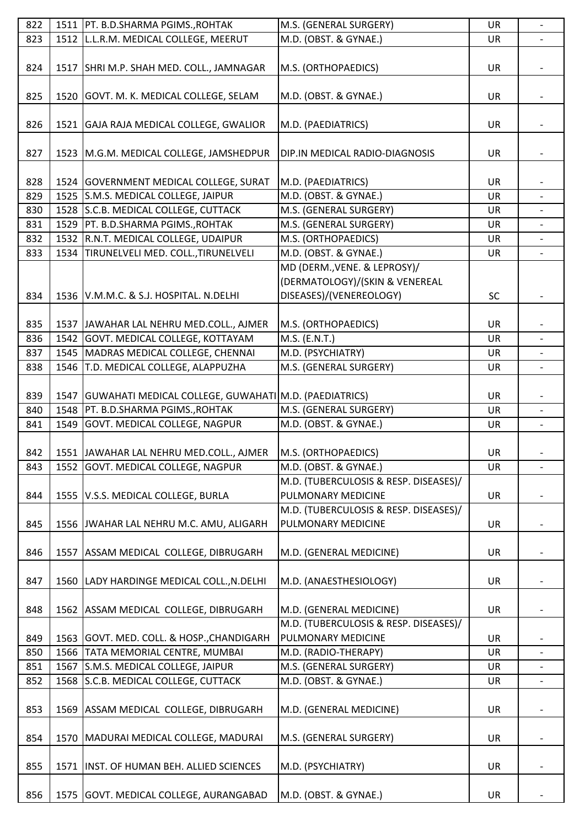| 822 |      | 1511   PT. B.D.SHARMA PGIMS., ROHTAK                           | M.S. (GENERAL SURGERY)                | UR        |                          |
|-----|------|----------------------------------------------------------------|---------------------------------------|-----------|--------------------------|
| 823 |      | 1512 L.L.R.M. MEDICAL COLLEGE, MEERUT                          | M.D. (OBST. & GYNAE.)                 | UR        |                          |
| 824 |      | 1517   SHRI M.P. SHAH MED. COLL., JAMNAGAR                     | M.S. (ORTHOPAEDICS)                   | UR        |                          |
|     |      |                                                                |                                       |           |                          |
| 825 |      | 1520 GOVT. M. K. MEDICAL COLLEGE, SELAM                        | M.D. (OBST. & GYNAE.)                 | UR        |                          |
| 826 |      | 1521 GAJA RAJA MEDICAL COLLEGE, GWALIOR                        | M.D. (PAEDIATRICS)                    | <b>UR</b> |                          |
| 827 |      | 1523 M.G.M. MEDICAL COLLEGE, JAMSHEDPUR                        | DIP.IN MEDICAL RADIO-DIAGNOSIS        | UR        |                          |
|     |      |                                                                |                                       |           |                          |
| 828 |      | 1524   GOVERNMENT MEDICAL COLLEGE, SURAT                       | M.D. (PAEDIATRICS)                    | UR        |                          |
| 829 |      | 1525 S.M.S. MEDICAL COLLEGE, JAIPUR                            | M.D. (OBST. & GYNAE.)                 | UR        |                          |
| 830 | 1528 | S.C.B. MEDICAL COLLEGE, CUTTACK                                | M.S. (GENERAL SURGERY)                | UR        |                          |
| 831 | 1529 | PT. B.D.SHARMA PGIMS., ROHTAK                                  | M.S. (GENERAL SURGERY)                | UR        |                          |
| 832 |      | 1532 R.N.T. MEDICAL COLLEGE, UDAIPUR                           | M.S. (ORTHOPAEDICS)                   | UR        | $\overline{\phantom{0}}$ |
| 833 | 1534 | TIRUNELVELI MED. COLL., TIRUNELVELI                            | M.D. (OBST. & GYNAE.)                 | <b>UR</b> |                          |
|     |      |                                                                | MD (DERM., VENE. & LEPROSY)/          |           |                          |
|     |      |                                                                | (DERMATOLOGY)/(SKIN & VENEREAL        |           |                          |
|     |      |                                                                |                                       |           |                          |
| 834 |      | 1536 V.M.M.C. & S.J. HOSPITAL. N.DELHI                         | DISEASES)/(VENEREOLOGY)               | SC        |                          |
| 835 |      | 1537 JAWAHAR LAL NEHRU MED.COLL., AJMER                        | M.S. (ORTHOPAEDICS)                   | UR        |                          |
| 836 | 1542 | GOVT. MEDICAL COLLEGE, KOTTAYAM                                | M.S. (E.N.T.)                         | <b>UR</b> | $\overline{\phantom{0}}$ |
| 837 | 1545 | MADRAS MEDICAL COLLEGE, CHENNAI                                | M.D. (PSYCHIATRY)                     | <b>UR</b> |                          |
|     |      |                                                                |                                       |           |                          |
| 838 |      | 1546 T.D. MEDICAL COLLEGE, ALAPPUZHA                           | M.S. (GENERAL SURGERY)                | UR        |                          |
|     |      |                                                                |                                       |           |                          |
| 839 |      | 1547   GUWAHATI MEDICAL COLLEGE, GUWAHATI   M.D. (PAEDIATRICS) |                                       | UR        |                          |
| 840 | 1548 | PT. B.D.SHARMA PGIMS., ROHTAK                                  | M.S. (GENERAL SURGERY)                | UR        | $\overline{\phantom{a}}$ |
| 841 | 1549 | GOVT. MEDICAL COLLEGE, NAGPUR                                  | M.D. (OBST. & GYNAE.)                 | UR        |                          |
|     |      |                                                                |                                       |           |                          |
| 842 |      | 1551 JAWAHAR LAL NEHRU MED.COLL., AJMER                        | M.S. (ORTHOPAEDICS)                   | <b>UR</b> |                          |
| 843 |      | 1552 GOVT. MEDICAL COLLEGE, NAGPUR                             | M.D. (OBST. & GYNAE.)                 | UR        |                          |
|     |      |                                                                | M.D. (TUBERCULOSIS & RESP. DISEASES)/ |           |                          |
| 844 |      | 1555 V.S.S. MEDICAL COLLEGE, BURLA                             | PULMONARY MEDICINE                    | UR        |                          |
|     |      |                                                                | M.D. (TUBERCULOSIS & RESP. DISEASES)/ |           |                          |
| 845 |      | 1556 JWAHAR LAL NEHRU M.C. AMU, ALIGARH                        | PULMONARY MEDICINE                    | UR        |                          |
|     |      |                                                                |                                       |           |                          |
| 846 | 1557 | ASSAM MEDICAL COLLEGE, DIBRUGARH                               | M.D. (GENERAL MEDICINE)               | <b>UR</b> |                          |
|     |      |                                                                |                                       |           |                          |
| 847 |      | 1560   LADY HARDINGE MEDICAL COLL., N.DELHI                    | M.D. (ANAESTHESIOLOGY)                | UR        |                          |
|     |      |                                                                |                                       |           |                          |
| 848 |      | 1562 ASSAM MEDICAL COLLEGE, DIBRUGARH                          | M.D. (GENERAL MEDICINE)               | <b>UR</b> |                          |
|     |      |                                                                | M.D. (TUBERCULOSIS & RESP. DISEASES)/ |           |                          |
| 849 |      | 1563 GOVT. MED. COLL. & HOSP., CHANDIGARH                      | PULMONARY MEDICINE                    | UR        |                          |
| 850 |      | 1566 TATA MEMORIAL CENTRE, MUMBAI                              | M.D. (RADIO-THERAPY)                  | UR        |                          |
| 851 | 1567 | S.M.S. MEDICAL COLLEGE, JAIPUR                                 | M.S. (GENERAL SURGERY)                | UR        |                          |
| 852 |      | 1568 S.C.B. MEDICAL COLLEGE, CUTTACK                           | M.D. (OBST. & GYNAE.)                 | UR        |                          |
| 853 | 1569 | ASSAM MEDICAL COLLEGE, DIBRUGARH                               | M.D. (GENERAL MEDICINE)               | <b>UR</b> |                          |
|     |      |                                                                |                                       |           |                          |
| 854 | 1570 | MADURAI MEDICAL COLLEGE, MADURAI                               | M.S. (GENERAL SURGERY)                | UR        |                          |
|     |      |                                                                |                                       |           |                          |
| 855 | 1571 | INST. OF HUMAN BEH. ALLIED SCIENCES                            | M.D. (PSYCHIATRY)                     | UR        |                          |
|     |      |                                                                |                                       |           |                          |
| 856 |      | 1575 GOVT. MEDICAL COLLEGE, AURANGABAD                         | M.D. (OBST. & GYNAE.)                 | UR        |                          |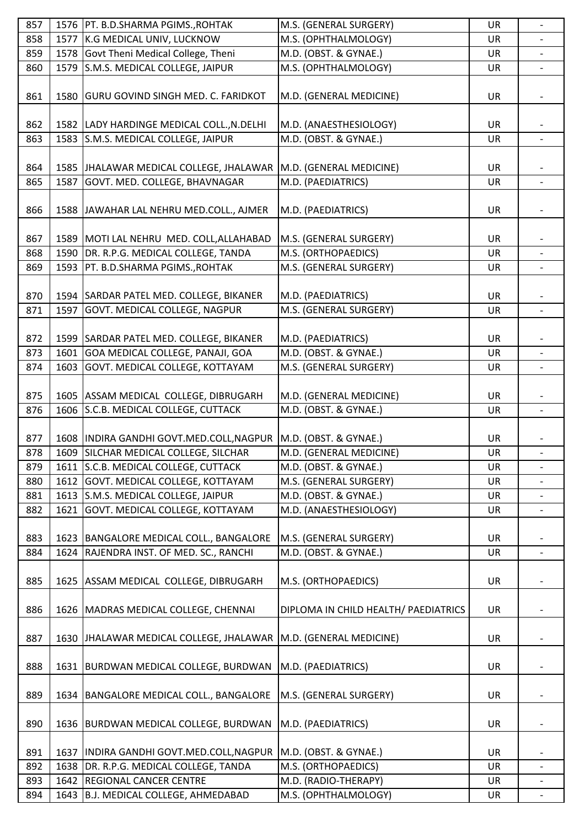| 857 |      | 1576   PT. B.D.SHARMA PGIMS., ROHTAK                               | M.S. (GENERAL SURGERY)               | UR        | $\overline{\phantom{0}}$ |
|-----|------|--------------------------------------------------------------------|--------------------------------------|-----------|--------------------------|
| 858 |      | 1577 K.G MEDICAL UNIV, LUCKNOW                                     | M.S. (OPHTHALMOLOGY)                 | UR        |                          |
| 859 |      | 1578 Govt Theni Medical College, Theni                             | M.D. (OBST. & GYNAE.)                | UR        |                          |
| 860 | 1579 | S.M.S. MEDICAL COLLEGE, JAIPUR                                     | M.S. (OPHTHALMOLOGY)                 | UR        | $\overline{\phantom{a}}$ |
|     |      |                                                                    |                                      |           |                          |
| 861 |      | 1580 GURU GOVIND SINGH MED. C. FARIDKOT                            | M.D. (GENERAL MEDICINE)              | UR        |                          |
|     |      |                                                                    |                                      |           |                          |
| 862 |      | 1582  LADY HARDINGE MEDICAL COLL., N.DELHI                         | M.D. (ANAESTHESIOLOGY)               | UR        |                          |
| 863 |      | 1583 S.M.S. MEDICAL COLLEGE, JAIPUR                                | M.D. (OBST. & GYNAE.)                | UR        |                          |
|     |      |                                                                    |                                      |           |                          |
| 864 |      | 1585 JJHALAWAR MEDICAL COLLEGE, JHALAWAR   M.D. (GENERAL MEDICINE) |                                      | UR        |                          |
| 865 | 1587 | GOVT. MED. COLLEGE, BHAVNAGAR                                      | M.D. (PAEDIATRICS)                   | <b>UR</b> |                          |
|     |      |                                                                    |                                      |           |                          |
| 866 |      | 1588 JAWAHAR LAL NEHRU MED.COLL., AJMER                            | M.D. (PAEDIATRICS)                   | UR        |                          |
|     |      |                                                                    |                                      |           |                          |
| 867 |      | 1589 MOTI LAL NEHRU MED. COLL, ALLAHABAD                           | M.S. (GENERAL SURGERY)               | UR        |                          |
| 868 |      | 1590 DR. R.P.G. MEDICAL COLLEGE, TANDA                             | M.S. (ORTHOPAEDICS)                  | UR        |                          |
| 869 | 1593 | PT. B.D.SHARMA PGIMS., ROHTAK                                      | M.S. (GENERAL SURGERY)               | UR        | $\overline{\phantom{a}}$ |
|     |      |                                                                    |                                      |           |                          |
| 870 |      | 1594 SARDAR PATEL MED. COLLEGE, BIKANER                            | M.D. (PAEDIATRICS)                   | UR        |                          |
| 871 | 1597 | GOVT. MEDICAL COLLEGE, NAGPUR                                      | M.S. (GENERAL SURGERY)               | <b>UR</b> | $\overline{\phantom{a}}$ |
|     |      |                                                                    |                                      |           |                          |
|     |      | 1599 SARDAR PATEL MED. COLLEGE, BIKANER                            |                                      |           |                          |
| 872 |      |                                                                    | M.D. (PAEDIATRICS)                   | UR        |                          |
| 873 | 1601 | GOA MEDICAL COLLEGE, PANAJI, GOA                                   | M.D. (OBST. & GYNAE.)                | <b>UR</b> |                          |
| 874 | 1603 | <b>GOVT. MEDICAL COLLEGE, KOTTAYAM</b>                             | M.S. (GENERAL SURGERY)               | UR        |                          |
|     |      |                                                                    |                                      |           |                          |
| 875 |      | 1605 ASSAM MEDICAL COLLEGE, DIBRUGARH                              | M.D. (GENERAL MEDICINE)              | UR        |                          |
| 876 |      | 1606 S.C.B. MEDICAL COLLEGE, CUTTACK                               | M.D. (OBST. & GYNAE.)                | UR        | $\blacksquare$           |
|     |      |                                                                    |                                      |           |                          |
| 877 |      | 1608   INDIRA GANDHI GOVT.MED.COLL, NAGPUR   M.D. (OBST. & GYNAE.) |                                      | UR        |                          |
| 878 |      | 1609 SILCHAR MEDICAL COLLEGE, SILCHAR                              | M.D. (GENERAL MEDICINE)              | <b>UR</b> |                          |
| 879 |      | 1611 S.C.B. MEDICAL COLLEGE, CUTTACK                               | M.D. (OBST. & GYNAE.)                | UR        | $\overline{\phantom{0}}$ |
| 880 | 1612 | GOVT. MEDICAL COLLEGE, KOTTAYAM                                    | M.S. (GENERAL SURGERY)               | UR        |                          |
| 881 |      | 1613 S.M.S. MEDICAL COLLEGE, JAIPUR                                | M.D. (OBST. & GYNAE.)                | UR        |                          |
| 882 | 1621 | GOVT. MEDICAL COLLEGE, KOTTAYAM                                    | M.D. (ANAESTHESIOLOGY)               | UR        | $\overline{a}$           |
|     |      |                                                                    |                                      |           |                          |
| 883 |      | 1623   BANGALORE MEDICAL COLL., BANGALORE                          | M.S. (GENERAL SURGERY)               | UR        |                          |
| 884 | 1624 | RAJENDRA INST. OF MED. SC., RANCHI                                 | M.D. (OBST. & GYNAE.)                | <b>UR</b> |                          |
|     |      |                                                                    |                                      |           |                          |
| 885 |      | 1625   ASSAM MEDICAL COLLEGE, DIBRUGARH                            | M.S. (ORTHOPAEDICS)                  | UR        |                          |
|     |      |                                                                    |                                      |           |                          |
| 886 |      | 1626   MADRAS MEDICAL COLLEGE, CHENNAI                             | DIPLOMA IN CHILD HEALTH/ PAEDIATRICS | UR        |                          |
|     |      |                                                                    |                                      |           |                          |
| 887 |      | 1630 JHALAWAR MEDICAL COLLEGE, JHALAWAR M.D. (GENERAL MEDICINE)    |                                      | UR        |                          |
|     |      |                                                                    |                                      |           |                          |
| 888 |      | 1631   BURDWAN MEDICAL COLLEGE, BURDWAN                            | M.D. (PAEDIATRICS)                   | UR        |                          |
|     |      |                                                                    |                                      |           |                          |
| 889 |      | 1634   BANGALORE MEDICAL COLL., BANGALORE                          | M.S. (GENERAL SURGERY)               | UR        |                          |
|     |      |                                                                    |                                      |           |                          |
| 890 |      | 1636 BURDWAN MEDICAL COLLEGE, BURDWAN                              | M.D. (PAEDIATRICS)                   | UR        |                          |
|     |      |                                                                    |                                      |           |                          |
|     |      |                                                                    |                                      |           |                          |
| 891 |      | 1637  INDIRA GANDHI GOVT.MED.COLL, NAGPUR                          | M.D. (OBST. & GYNAE.)                | UR        |                          |
| 892 |      | 1638 DR. R.P.G. MEDICAL COLLEGE, TANDA                             | M.S. (ORTHOPAEDICS)                  | UR        |                          |
| 893 |      | 1642 REGIONAL CANCER CENTRE                                        | M.D. (RADIO-THERAPY)                 | UR        | $\qquad \qquad -$        |
| 894 |      | 1643 B.J. MEDICAL COLLEGE, AHMEDABAD                               | M.S. (OPHTHALMOLOGY)                 | UR        |                          |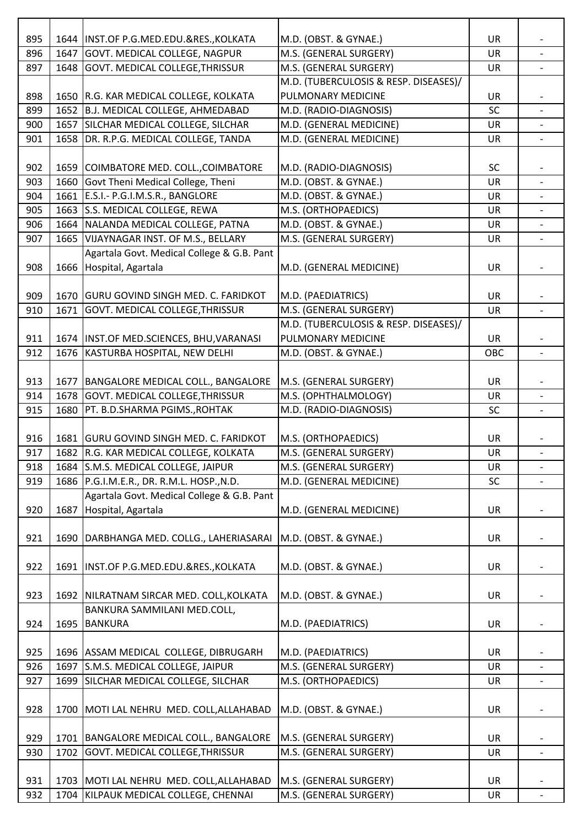| 895 |      | 1644   INST.OF P.G.MED.EDU.&RES., KOLKATA  | M.D. (OBST. & GYNAE.)                 | <b>UR</b> |                          |
|-----|------|--------------------------------------------|---------------------------------------|-----------|--------------------------|
| 896 | 1647 | GOVT. MEDICAL COLLEGE, NAGPUR              | M.S. (GENERAL SURGERY)                | <b>UR</b> |                          |
| 897 |      | 1648 GOVT. MEDICAL COLLEGE, THRISSUR       | M.S. (GENERAL SURGERY)                | UR        |                          |
|     |      |                                            | M.D. (TUBERCULOSIS & RESP. DISEASES)/ |           |                          |
| 898 |      | 1650 R.G. KAR MEDICAL COLLEGE, KOLKATA     | PULMONARY MEDICINE                    | <b>UR</b> |                          |
| 899 |      | 1652 B.J. MEDICAL COLLEGE, AHMEDABAD       | M.D. (RADIO-DIAGNOSIS)                | SC        |                          |
| 900 | 1657 | SILCHAR MEDICAL COLLEGE, SILCHAR           | M.D. (GENERAL MEDICINE)               | UR        |                          |
| 901 |      | 1658 DR. R.P.G. MEDICAL COLLEGE, TANDA     | M.D. (GENERAL MEDICINE)               | <b>UR</b> |                          |
|     |      |                                            |                                       |           |                          |
| 902 |      | 1659 COIMBATORE MED. COLL., COIMBATORE     | M.D. (RADIO-DIAGNOSIS)                | <b>SC</b> |                          |
| 903 |      | 1660 Govt Theni Medical College, Theni     | M.D. (OBST. & GYNAE.)                 | UR        |                          |
| 904 | 1661 | E.S.I.- P.G.I.M.S.R., BANGLORE             | M.D. (OBST. & GYNAE.)                 | UR        |                          |
| 905 | 1663 | S.S. MEDICAL COLLEGE, REWA                 | M.S. (ORTHOPAEDICS)                   | <b>UR</b> |                          |
| 906 | 1664 | NALANDA MEDICAL COLLEGE, PATNA             | M.D. (OBST. & GYNAE.)                 | UR        |                          |
| 907 | 1665 | VIJAYNAGAR INST. OF M.S., BELLARY          | M.S. (GENERAL SURGERY)                | <b>UR</b> |                          |
|     |      | Agartala Govt. Medical College & G.B. Pant |                                       |           |                          |
| 908 |      | 1666 Hospital, Agartala                    | M.D. (GENERAL MEDICINE)               | UR        |                          |
|     |      |                                            |                                       |           |                          |
| 909 |      | 1670 GURU GOVIND SINGH MED. C. FARIDKOT    | M.D. (PAEDIATRICS)                    | UR        |                          |
| 910 | 1671 | <b>GOVT. MEDICAL COLLEGE, THRISSUR</b>     | M.S. (GENERAL SURGERY)                | UR        |                          |
|     |      |                                            | M.D. (TUBERCULOSIS & RESP. DISEASES)/ |           |                          |
| 911 |      | 1674   INST.OF MED.SCIENCES, BHU, VARANASI | PULMONARY MEDICINE                    | <b>UR</b> |                          |
| 912 |      | 1676 KASTURBA HOSPITAL, NEW DELHI          | M.D. (OBST. & GYNAE.)                 | OBC       |                          |
|     |      |                                            |                                       |           |                          |
| 913 |      | 1677   BANGALORE MEDICAL COLL., BANGALORE  | M.S. (GENERAL SURGERY)                | <b>UR</b> |                          |
| 914 |      | 1678 GOVT. MEDICAL COLLEGE, THRISSUR       | M.S. (OPHTHALMOLOGY)                  | <b>UR</b> | $\overline{\phantom{a}}$ |
| 915 | 1680 | PT. B.D.SHARMA PGIMS., ROHTAK              | M.D. (RADIO-DIAGNOSIS)                | SC        |                          |
|     |      |                                            |                                       |           |                          |
| 916 |      | 1681 GURU GOVIND SINGH MED. C. FARIDKOT    | M.S. (ORTHOPAEDICS)                   | <b>UR</b> |                          |
| 917 |      | 1682 R.G. KAR MEDICAL COLLEGE, KOLKATA     | M.S. (GENERAL SURGERY)                | <b>UR</b> |                          |
| 918 |      | 1684 S.M.S. MEDICAL COLLEGE, JAIPUR        | M.S. (GENERAL SURGERY)                | UR        |                          |
| 919 |      | 1686 P.G.I.M.E.R., DR. R.M.L. HOSP., N.D.  | M.D. (GENERAL MEDICINE)               | <b>SC</b> |                          |
|     |      | Agartala Govt. Medical College & G.B. Pant |                                       |           |                          |
| 920 | 1687 | Hospital, Agartala                         | M.D. (GENERAL MEDICINE)               | <b>UR</b> |                          |
|     |      |                                            |                                       |           |                          |
| 921 |      | 1690   DARBHANGA MED. COLLG., LAHERIASARAI | M.D. (OBST. & GYNAE.)                 | UR        |                          |
|     |      |                                            |                                       |           |                          |
| 922 |      | 1691   INST.OF P.G.MED.EDU.&RES., KOLKATA  | M.D. (OBST. & GYNAE.)                 | UR        |                          |
| 923 |      | 1692 NILRATNAM SIRCAR MED. COLL, KOLKATA   | M.D. (OBST. & GYNAE.)                 | <b>UR</b> |                          |
|     |      | BANKURA SAMMILANI MED.COLL,                |                                       |           |                          |
| 924 |      | 1695 BANKURA                               | M.D. (PAEDIATRICS)                    | UR        |                          |
|     |      |                                            |                                       |           |                          |
| 925 |      | 1696 ASSAM MEDICAL COLLEGE, DIBRUGARH      | M.D. (PAEDIATRICS)                    | <b>UR</b> |                          |
| 926 |      | 1697 S.M.S. MEDICAL COLLEGE, JAIPUR        | M.S. (GENERAL SURGERY)                | UR        |                          |
| 927 |      | 1699 SILCHAR MEDICAL COLLEGE, SILCHAR      | M.S. (ORTHOPAEDICS)                   | UR        |                          |
|     |      |                                            |                                       |           |                          |
| 928 |      | 1700   MOTI LAL NEHRU MED. COLL, ALLAHABAD | M.D. (OBST. & GYNAE.)                 | <b>UR</b> |                          |
|     |      |                                            |                                       |           |                          |
| 929 |      | 1701   BANGALORE MEDICAL COLL., BANGALORE  | M.S. (GENERAL SURGERY)                | UR        |                          |
| 930 | 1702 | <b>GOVT. MEDICAL COLLEGE, THRISSUR</b>     | M.S. (GENERAL SURGERY)                | <b>UR</b> |                          |
|     |      |                                            |                                       |           |                          |
| 931 |      | 1703   MOTI LAL NEHRU MED. COLL, ALLAHABAD | M.S. (GENERAL SURGERY)                | <b>UR</b> |                          |
| 932 |      | 1704 KILPAUK MEDICAL COLLEGE, CHENNAI      | M.S. (GENERAL SURGERY)                | UR        |                          |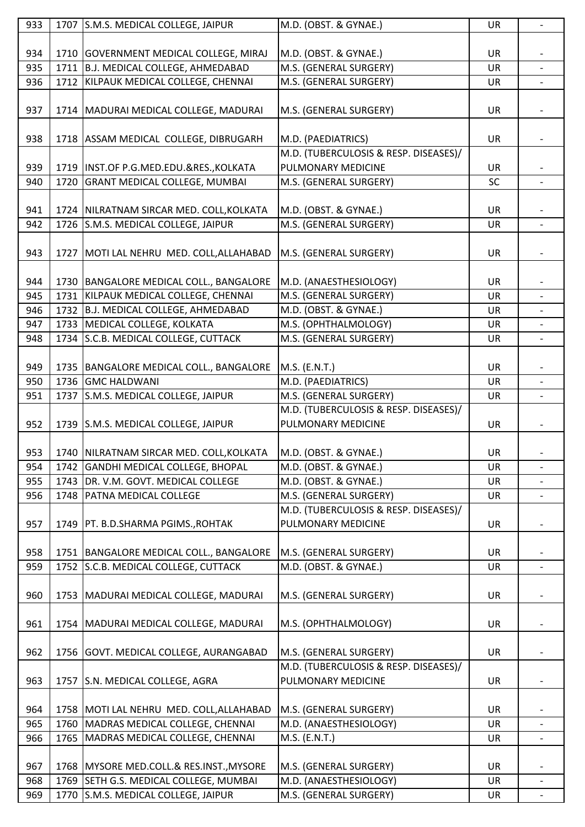| 933 |      | 1707 S.M.S. MEDICAL COLLEGE, JAIPUR        | M.D. (OBST. & GYNAE.)                 | UR        | $\overline{\phantom{0}}$ |
|-----|------|--------------------------------------------|---------------------------------------|-----------|--------------------------|
|     |      |                                            |                                       |           |                          |
| 934 |      | 1710 GOVERNMENT MEDICAL COLLEGE, MIRAJ     | M.D. (OBST. & GYNAE.)                 | UR        |                          |
| 935 |      | 1711 B.J. MEDICAL COLLEGE, AHMEDABAD       | M.S. (GENERAL SURGERY)                | UR        |                          |
| 936 |      | 1712 KILPAUK MEDICAL COLLEGE, CHENNAI      | M.S. (GENERAL SURGERY)                | UR        |                          |
|     |      |                                            |                                       |           |                          |
| 937 |      | 1714   MADURAI MEDICAL COLLEGE, MADURAI    | M.S. (GENERAL SURGERY)                | <b>UR</b> |                          |
|     |      |                                            |                                       |           |                          |
| 938 |      | 1718   ASSAM MEDICAL COLLEGE, DIBRUGARH    | M.D. (PAEDIATRICS)                    | UR        |                          |
|     |      |                                            | M.D. (TUBERCULOSIS & RESP. DISEASES)/ |           |                          |
| 939 |      | 1719   INST.OF P.G.MED.EDU.&RES., KOLKATA  | PULMONARY MEDICINE                    | UR        |                          |
| 940 | 1720 | <b>GRANT MEDICAL COLLEGE, MUMBAI</b>       | M.S. (GENERAL SURGERY)                | SC        |                          |
|     |      |                                            |                                       |           |                          |
| 941 |      | 1724 NILRATNAM SIRCAR MED. COLL, KOLKATA   | M.D. (OBST. & GYNAE.)                 | <b>UR</b> |                          |
| 942 |      | 1726 S.M.S. MEDICAL COLLEGE, JAIPUR        | M.S. (GENERAL SURGERY)                | UR        |                          |
|     |      |                                            |                                       |           |                          |
| 943 |      | 1727   MOTI LAL NEHRU MED. COLL, ALLAHABAD | M.S. (GENERAL SURGERY)                | UR        |                          |
|     |      |                                            |                                       |           |                          |
| 944 |      | 1730   BANGALORE MEDICAL COLL., BANGALORE  | M.D. (ANAESTHESIOLOGY)                | UR        |                          |
| 945 |      | 1731 KILPAUK MEDICAL COLLEGE, CHENNAI      | M.S. (GENERAL SURGERY)                | UR        |                          |
| 946 |      | 1732 B.J. MEDICAL COLLEGE, AHMEDABAD       | M.D. (OBST. & GYNAE.)                 | UR        |                          |
| 947 |      | 1733 MEDICAL COLLEGE, KOLKATA              | M.S. (OPHTHALMOLOGY)                  | <b>UR</b> |                          |
| 948 |      | 1734 S.C.B. MEDICAL COLLEGE, CUTTACK       | M.S. (GENERAL SURGERY)                | UR        |                          |
|     |      |                                            |                                       |           |                          |
| 949 |      | 1735   BANGALORE MEDICAL COLL., BANGALORE  | M.S. (E.N.T.)                         | UR        |                          |
| 950 |      | 1736 GMC HALDWANI                          | M.D. (PAEDIATRICS)                    | <b>UR</b> |                          |
|     |      | S.M.S. MEDICAL COLLEGE, JAIPUR             | M.S. (GENERAL SURGERY)                |           |                          |
| 951 | 1737 |                                            | M.D. (TUBERCULOSIS & RESP. DISEASES)/ | UR        |                          |
| 952 |      | 1739 S.M.S. MEDICAL COLLEGE, JAIPUR        | PULMONARY MEDICINE                    | UR        |                          |
|     |      |                                            |                                       |           |                          |
| 953 |      | 1740 NILRATNAM SIRCAR MED. COLL, KOLKATA   | M.D. (OBST. & GYNAE.)                 | <b>UR</b> |                          |
| 954 | 1742 | GANDHI MEDICAL COLLEGE, BHOPAL             | M.D. (OBST. & GYNAE.)                 | UR        |                          |
| 955 |      | 1743 DR. V.M. GOVT. MEDICAL COLLEGE        | M.D. (OBST. & GYNAE.)                 | <b>UR</b> |                          |
| 956 | 1748 | <b>PATNA MEDICAL COLLEGE</b>               | M.S. (GENERAL SURGERY)                | UR        |                          |
|     |      |                                            | M.D. (TUBERCULOSIS & RESP. DISEASES)/ |           |                          |
| 957 |      |                                            | PULMONARY MEDICINE                    | UR        |                          |
|     |      | 1749   PT. B.D.SHARMA PGIMS., ROHTAK       |                                       |           |                          |
| 958 |      | 1751 BANGALORE MEDICAL COLL., BANGALORE    | M.S. (GENERAL SURGERY)                | <b>UR</b> |                          |
| 959 | 1752 | S.C.B. MEDICAL COLLEGE, CUTTACK            | M.D. (OBST. & GYNAE.)                 | <b>UR</b> |                          |
|     |      |                                            |                                       |           |                          |
| 960 |      | 1753   MADURAI MEDICAL COLLEGE, MADURAI    | M.S. (GENERAL SURGERY)                | <b>UR</b> |                          |
|     |      |                                            |                                       |           |                          |
| 961 |      | 1754   MADURAI MEDICAL COLLEGE, MADURAI    | M.S. (OPHTHALMOLOGY)                  | <b>UR</b> |                          |
|     |      |                                            |                                       |           |                          |
| 962 |      | 1756 GOVT. MEDICAL COLLEGE, AURANGABAD     | M.S. (GENERAL SURGERY)                | UR        |                          |
|     |      |                                            | M.D. (TUBERCULOSIS & RESP. DISEASES)/ |           |                          |
| 963 |      | 1757 S.N. MEDICAL COLLEGE, AGRA            | PULMONARY MEDICINE                    | UR        |                          |
|     |      |                                            |                                       |           |                          |
| 964 |      | 1758 MOTI LAL NEHRU MED. COLL, ALLAHABAD   | M.S. (GENERAL SURGERY)                | UR        |                          |
| 965 | 1760 | MADRAS MEDICAL COLLEGE, CHENNAI            | M.D. (ANAESTHESIOLOGY)                | <b>UR</b> |                          |
| 966 | 1765 | MADRAS MEDICAL COLLEGE, CHENNAI            | M.S. (E.N.T.)                         | UR        |                          |
|     |      |                                            |                                       |           |                          |
| 967 |      | 1768 MYSORE MED.COLL.& RES.INST., MYSORE   | M.S. (GENERAL SURGERY)                | UR        |                          |
| 968 |      | 1769 SETH G.S. MEDICAL COLLEGE, MUMBAI     | M.D. (ANAESTHESIOLOGY)                | UR        | $\overline{\phantom{a}}$ |
| 969 | 1770 | S.M.S. MEDICAL COLLEGE, JAIPUR             | M.S. (GENERAL SURGERY)                | UR        |                          |
|     |      |                                            |                                       |           |                          |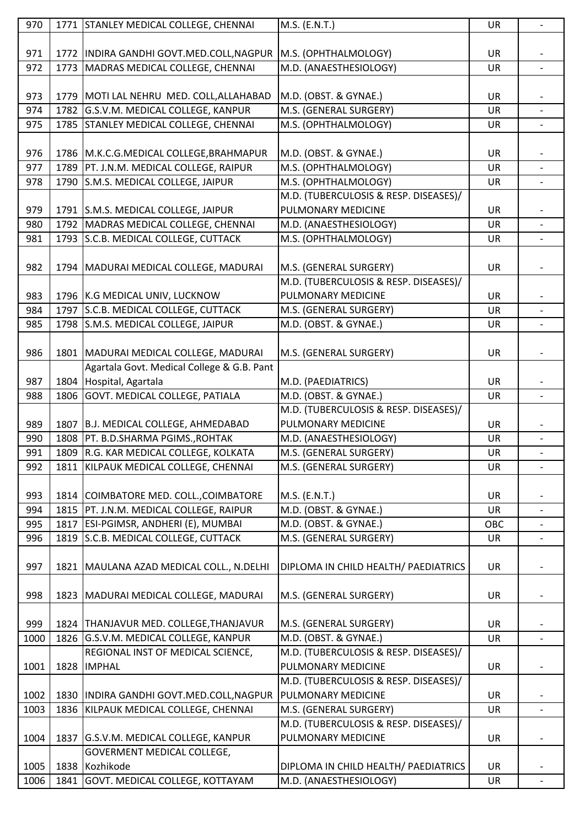| 970  |      | 1771 STANLEY MEDICAL COLLEGE, CHENNAI                             | M.S. (E.N.T.)                         | UR        | $\overline{\phantom{a}}$ |
|------|------|-------------------------------------------------------------------|---------------------------------------|-----------|--------------------------|
|      |      |                                                                   |                                       |           |                          |
| 971  |      | 1772   INDIRA GANDHI GOVT.MED.COLL, NAGPUR   M.S. (OPHTHALMOLOGY) |                                       | <b>UR</b> |                          |
| 972  | 1773 | MADRAS MEDICAL COLLEGE, CHENNAI                                   | M.D. (ANAESTHESIOLOGY)                | <b>UR</b> |                          |
|      |      |                                                                   |                                       |           |                          |
| 973  |      | 1779   MOTI LAL NEHRU MED. COLL, ALLAHABAD                        | M.D. (OBST. & GYNAE.)                 | UR        |                          |
| 974  |      | 1782 G.S.V.M. MEDICAL COLLEGE, KANPUR                             | M.S. (GENERAL SURGERY)                | UR        |                          |
| 975  |      | 1785 STANLEY MEDICAL COLLEGE, CHENNAI                             | M.S. (OPHTHALMOLOGY)                  | UR        | $\overline{\phantom{a}}$ |
|      |      |                                                                   |                                       |           |                          |
| 976  |      | 1786 M.K.C.G.MEDICAL COLLEGE, BRAHMAPUR                           | M.D. (OBST. & GYNAE.)                 | UR        |                          |
| 977  |      | 1789   PT. J.N.M. MEDICAL COLLEGE, RAIPUR                         | M.S. (OPHTHALMOLOGY)                  | <b>UR</b> | $\overline{\phantom{0}}$ |
| 978  |      | 1790 S.M.S. MEDICAL COLLEGE, JAIPUR                               | M.S. (OPHTHALMOLOGY)                  | UR        |                          |
|      |      |                                                                   | M.D. (TUBERCULOSIS & RESP. DISEASES)/ |           |                          |
| 979  |      | 1791 S.M.S. MEDICAL COLLEGE, JAIPUR                               | PULMONARY MEDICINE                    | UR        |                          |
| 980  |      | 1792 MADRAS MEDICAL COLLEGE, CHENNAI                              | M.D. (ANAESTHESIOLOGY)                | UR        |                          |
| 981  |      | 1793 S.C.B. MEDICAL COLLEGE, CUTTACK                              | M.S. (OPHTHALMOLOGY)                  | <b>UR</b> |                          |
|      |      |                                                                   |                                       |           |                          |
| 982  |      | 1794   MADURAI MEDICAL COLLEGE, MADURAI                           | M.S. (GENERAL SURGERY)                | UR        |                          |
|      |      |                                                                   | M.D. (TUBERCULOSIS & RESP. DISEASES)/ |           |                          |
| 983  |      | 1796 K.G MEDICAL UNIV, LUCKNOW                                    | PULMONARY MEDICINE                    | UR        |                          |
| 984  |      | 1797 S.C.B. MEDICAL COLLEGE, CUTTACK                              | M.S. (GENERAL SURGERY)                | <b>UR</b> |                          |
| 985  |      | 1798 S.M.S. MEDICAL COLLEGE, JAIPUR                               | M.D. (OBST. & GYNAE.)                 | UR        |                          |
|      |      |                                                                   |                                       |           |                          |
| 986  |      | 1801   MADURAI MEDICAL COLLEGE, MADURAI                           | M.S. (GENERAL SURGERY)                | UR        |                          |
|      |      | Agartala Govt. Medical College & G.B. Pant                        |                                       |           |                          |
| 987  |      | 1804 Hospital, Agartala                                           | M.D. (PAEDIATRICS)                    | <b>UR</b> |                          |
| 988  |      | 1806 GOVT. MEDICAL COLLEGE, PATIALA                               | M.D. (OBST. & GYNAE.)                 | UR        | $\overline{\phantom{a}}$ |
|      |      |                                                                   | M.D. (TUBERCULOSIS & RESP. DISEASES)/ |           |                          |
| 989  |      | 1807 B.J. MEDICAL COLLEGE, AHMEDABAD                              | PULMONARY MEDICINE                    | <b>UR</b> |                          |
| 990  |      | 1808   PT. B.D.SHARMA PGIMS., ROHTAK                              | M.D. (ANAESTHESIOLOGY)                | <b>UR</b> | $\blacksquare$           |
| 991  |      | 1809 R.G. KAR MEDICAL COLLEGE, KOLKATA                            | M.S. (GENERAL SURGERY)                | <b>UR</b> |                          |
| 992  |      | 1811   KILPAUK MEDICAL COLLEGE, CHENNAI                           | M.S. (GENERAL SURGERY)                | UR        |                          |
|      |      |                                                                   |                                       |           |                          |
| 993  |      | 1814 COIMBATORE MED. COLL., COIMBATORE                            | M.S. (E.N.T.)                         | UR        |                          |
| 994  |      | 1815   PT. J.N.M. MEDICAL COLLEGE, RAIPUR                         | M.D. (OBST. & GYNAE.)                 | <b>UR</b> |                          |
| 995  | 1817 | ESI-PGIMSR, ANDHERI (E), MUMBAI                                   | M.D. (OBST. & GYNAE.)                 | OBC       |                          |
| 996  | 1819 | S.C.B. MEDICAL COLLEGE, CUTTACK                                   | M.S. (GENERAL SURGERY)                | UR        |                          |
|      |      |                                                                   |                                       |           |                          |
| 997  |      | 1821   MAULANA AZAD MEDICAL COLL., N.DELHI                        | DIPLOMA IN CHILD HEALTH/ PAEDIATRICS  | UR        |                          |
|      |      |                                                                   |                                       |           |                          |
| 998  |      | 1823   MADURAI MEDICAL COLLEGE, MADURAI                           | M.S. (GENERAL SURGERY)                | <b>UR</b> |                          |
|      |      |                                                                   |                                       |           |                          |
| 999  |      | 1824 THANJAVUR MED. COLLEGE, THANJAVUR                            | M.S. (GENERAL SURGERY)                | UR        |                          |
| 1000 |      | 1826 G.S.V.M. MEDICAL COLLEGE, KANPUR                             | M.D. (OBST. & GYNAE.)                 | UR        | $\overline{\phantom{a}}$ |
|      |      | REGIONAL INST OF MEDICAL SCIENCE,                                 | M.D. (TUBERCULOSIS & RESP. DISEASES)/ |           |                          |
| 1001 |      | 1828  IMPHAL                                                      | PULMONARY MEDICINE                    | UR        |                          |
|      |      |                                                                   | M.D. (TUBERCULOSIS & RESP. DISEASES)/ |           |                          |
| 1002 | 1830 | INDIRA GANDHI GOVT.MED.COLL, NAGPUR                               | PULMONARY MEDICINE                    | <b>UR</b> |                          |
| 1003 | 1836 | KILPAUK MEDICAL COLLEGE, CHENNAI                                  | M.S. (GENERAL SURGERY)                | <b>UR</b> | $\overline{\phantom{a}}$ |
|      |      |                                                                   | M.D. (TUBERCULOSIS & RESP. DISEASES)/ |           |                          |
| 1004 |      | 1837 G.S.V.M. MEDICAL COLLEGE, KANPUR                             | PULMONARY MEDICINE                    | UR        |                          |
|      |      | GOVERMENT MEDICAL COLLEGE,                                        |                                       |           |                          |
| 1005 |      | 1838 Kozhikode                                                    | DIPLOMA IN CHILD HEALTH/ PAEDIATRICS  | UR        |                          |
| 1006 |      | 1841 GOVT. MEDICAL COLLEGE, KOTTAYAM                              | M.D. (ANAESTHESIOLOGY)                | <b>UR</b> |                          |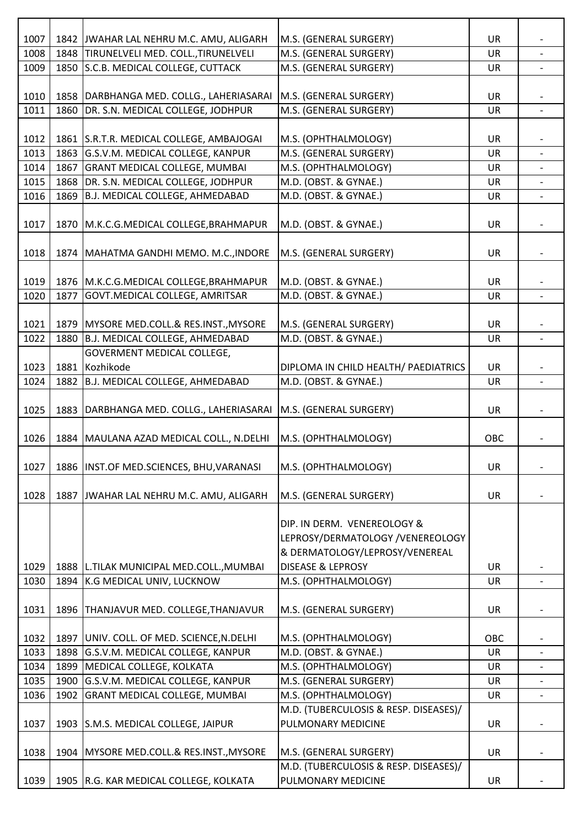| 1007         |      | 1842 JWAHAR LAL NEHRU M.C. AMU, ALIGARH                                             | M.S. (GENERAL SURGERY)                                      | <b>UR</b> |                          |
|--------------|------|-------------------------------------------------------------------------------------|-------------------------------------------------------------|-----------|--------------------------|
| 1008         |      | 1848 TIRUNELVELI MED. COLL., TIRUNELVELI                                            | M.S. (GENERAL SURGERY)                                      | UR        |                          |
| 1009         |      | 1850 S.C.B. MEDICAL COLLEGE, CUTTACK                                                | M.S. (GENERAL SURGERY)                                      | UR        |                          |
|              |      |                                                                                     |                                                             |           |                          |
| 1010         |      | 1858   DARBHANGA MED. COLLG., LAHERIASARAI                                          | M.S. (GENERAL SURGERY)                                      | UR        |                          |
| 1011         |      | 1860 DR. S.N. MEDICAL COLLEGE, JODHPUR                                              | M.S. (GENERAL SURGERY)                                      | UR        |                          |
|              |      |                                                                                     |                                                             |           |                          |
| 1012         |      | 1861 S.R.T.R. MEDICAL COLLEGE, AMBAJOGAI                                            | M.S. (OPHTHALMOLOGY)                                        | UR        |                          |
| 1013         |      | 1863 G.S.V.M. MEDICAL COLLEGE, KANPUR                                               | M.S. (GENERAL SURGERY)                                      | <b>UR</b> |                          |
| 1014         |      | 1867 GRANT MEDICAL COLLEGE, MUMBAI                                                  | M.S. (OPHTHALMOLOGY)                                        | UR        |                          |
| 1015         |      | 1868   DR. S.N. MEDICAL COLLEGE, JODHPUR                                            | M.D. (OBST. & GYNAE.)                                       | UR        |                          |
| 1016         |      | 1869 B.J. MEDICAL COLLEGE, AHMEDABAD                                                | M.D. (OBST. & GYNAE.)                                       | UR        | $\overline{\phantom{a}}$ |
|              |      |                                                                                     |                                                             |           |                          |
| 1017         |      | 1870 M.K.C.G.MEDICAL COLLEGE, BRAHMAPUR                                             | M.D. (OBST. & GYNAE.)                                       | UR        |                          |
|              |      |                                                                                     |                                                             |           |                          |
| 1018         |      | 1874   MAHATMA GANDHI MEMO. M.C., INDORE                                            | M.S. (GENERAL SURGERY)                                      | UR        |                          |
|              |      |                                                                                     |                                                             |           |                          |
| 1019         |      | 1876   M.K.C.G.MEDICAL COLLEGE, BRAHMAPUR                                           | M.D. (OBST. & GYNAE.)                                       | UR        |                          |
| 1020         | 1877 | <b>GOVT.MEDICAL COLLEGE, AMRITSAR</b>                                               | M.D. (OBST. & GYNAE.)                                       | UR        |                          |
|              |      |                                                                                     |                                                             |           |                          |
| 1021         |      | 1879 MYSORE MED.COLL.& RES.INST., MYSORE                                            | M.S. (GENERAL SURGERY)                                      | <b>UR</b> |                          |
| 1022         | 1880 | B.J. MEDICAL COLLEGE, AHMEDABAD                                                     | M.D. (OBST. & GYNAE.)                                       | UR        | $\overline{\phantom{a}}$ |
|              |      | GOVERMENT MEDICAL COLLEGE,                                                          |                                                             |           |                          |
| 1023         |      | 1881 Kozhikode                                                                      | DIPLOMA IN CHILD HEALTH/ PAEDIATRICS                        | UR        |                          |
| 1024         |      | 1882 B.J. MEDICAL COLLEGE, AHMEDABAD                                                | M.D. (OBST. & GYNAE.)                                       | UR        |                          |
|              |      |                                                                                     |                                                             |           |                          |
| 1025         | 1883 | DARBHANGA MED. COLLG., LAHERIASARAI                                                 | M.S. (GENERAL SURGERY)                                      | <b>UR</b> |                          |
|              |      |                                                                                     |                                                             |           |                          |
| 1026         |      | 1884   MAULANA AZAD MEDICAL COLL., N.DELHI                                          | M.S. (OPHTHALMOLOGY)                                        | OBC       |                          |
|              |      |                                                                                     |                                                             |           |                          |
| 1027         |      | 1886   INST.OF MED.SCIENCES, BHU, VARANASI                                          | M.S. (OPHTHALMOLOGY)                                        | UR        |                          |
|              |      |                                                                                     |                                                             |           |                          |
| 1028         |      | 1887 JWAHAR LAL NEHRU M.C. AMU, ALIGARH                                             | M.S. (GENERAL SURGERY)                                      | UR        |                          |
|              |      |                                                                                     |                                                             |           |                          |
|              |      |                                                                                     | DIP. IN DERM. VENEREOLOGY &                                 |           |                          |
|              |      |                                                                                     | LEPROSY/DERMATOLOGY /VENEREOLOGY                            |           |                          |
|              |      |                                                                                     | & DERMATOLOGY/LEPROSY/VENEREAL                              |           |                          |
| 1029         |      | 1888   L.TILAK MUNICIPAL MED.COLL., MUMBAI                                          | <b>DISEASE &amp; LEPROSY</b>                                | <b>UR</b> |                          |
| 1030         |      | 1894 K.G MEDICAL UNIV, LUCKNOW                                                      | M.S. (OPHTHALMOLOGY)                                        | <b>UR</b> |                          |
|              |      |                                                                                     |                                                             |           |                          |
| 1031         |      | 1896   THANJAVUR MED. COLLEGE, THANJAVUR                                            | M.S. (GENERAL SURGERY)                                      | UR        |                          |
|              |      |                                                                                     |                                                             |           |                          |
| 1032<br>1033 |      | 1897 UNIV. COLL. OF MED. SCIENCE, N. DELHI<br>1898 G.S.V.M. MEDICAL COLLEGE, KANPUR | M.S. (OPHTHALMOLOGY)<br>M.D. (OBST. & GYNAE.)               | OBC       |                          |
|              |      |                                                                                     |                                                             | UR        |                          |
| 1034         |      | 1899   MEDICAL COLLEGE, KOLKATA                                                     | M.S. (OPHTHALMOLOGY)                                        | <b>UR</b> |                          |
| 1035         |      | 1900 G.S.V.M. MEDICAL COLLEGE, KANPUR                                               | M.S. (GENERAL SURGERY)                                      | <b>UR</b> |                          |
| 1036         |      | 1902 GRANT MEDICAL COLLEGE, MUMBAI                                                  | M.S. (OPHTHALMOLOGY)                                        | UR        |                          |
|              |      |                                                                                     | M.D. (TUBERCULOSIS & RESP. DISEASES)/                       |           |                          |
| 1037         |      | 1903 S.M.S. MEDICAL COLLEGE, JAIPUR                                                 | PULMONARY MEDICINE                                          | UR        |                          |
|              |      |                                                                                     |                                                             |           |                          |
| 1038         |      | 1904   MYSORE MED.COLL.& RES.INST., MYSORE                                          | M.S. (GENERAL SURGERY)                                      | <b>UR</b> |                          |
| 1039         |      | 1905 R.G. KAR MEDICAL COLLEGE, KOLKATA                                              | M.D. (TUBERCULOSIS & RESP. DISEASES)/<br>PULMONARY MEDICINE | UR        |                          |
|              |      |                                                                                     |                                                             |           |                          |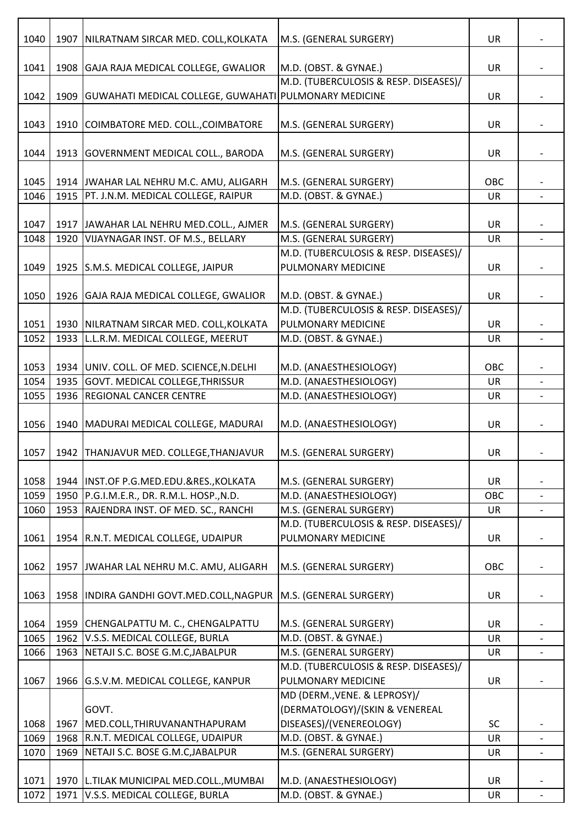| 1040 | 1907 | NILRATNAM SIRCAR MED. COLL, KOLKATA                   | M.S. (GENERAL SURGERY)                                         | UR        |                          |
|------|------|-------------------------------------------------------|----------------------------------------------------------------|-----------|--------------------------|
| 1041 |      | 1908 GAJA RAJA MEDICAL COLLEGE, GWALIOR               | M.D. (OBST. & GYNAE.)                                          | <b>UR</b> |                          |
| 1042 | 1909 | GUWAHATI MEDICAL COLLEGE, GUWAHATI PULMONARY MEDICINE | M.D. (TUBERCULOSIS & RESP. DISEASES)/                          | UR        |                          |
| 1043 | 1910 | COIMBATORE MED. COLL., COIMBATORE                     | M.S. (GENERAL SURGERY)                                         | <b>UR</b> |                          |
| 1044 |      | 1913 GOVERNMENT MEDICAL COLL., BARODA                 | M.S. (GENERAL SURGERY)                                         | UR        |                          |
| 1045 |      | 1914 JWAHAR LAL NEHRU M.C. AMU, ALIGARH               | M.S. (GENERAL SURGERY)                                         | OBC       |                          |
| 1046 |      | 1915   PT. J.N.M. MEDICAL COLLEGE, RAIPUR             | M.D. (OBST. & GYNAE.)                                          | UR        |                          |
|      |      |                                                       |                                                                |           |                          |
| 1047 |      | 1917 JAWAHAR LAL NEHRU MED.COLL., AJMER               | M.S. (GENERAL SURGERY)                                         | UR        |                          |
| 1048 | 1920 | VIJAYNAGAR INST. OF M.S., BELLARY                     | M.S. (GENERAL SURGERY)                                         | UR        |                          |
|      |      |                                                       | M.D. (TUBERCULOSIS & RESP. DISEASES)/                          |           |                          |
| 1049 |      | 1925 S.M.S. MEDICAL COLLEGE, JAIPUR                   | PULMONARY MEDICINE                                             | UR        |                          |
|      |      |                                                       |                                                                |           |                          |
| 1050 |      | 1926 GAJA RAJA MEDICAL COLLEGE, GWALIOR               | M.D. (OBST. & GYNAE.)                                          | UR        |                          |
|      |      |                                                       | M.D. (TUBERCULOSIS & RESP. DISEASES)/                          |           |                          |
| 1051 |      | 1930   NILRATNAM SIRCAR MED. COLL, KOLKATA            | PULMONARY MEDICINE                                             | UR        |                          |
| 1052 | 1933 | L.L.R.M. MEDICAL COLLEGE, MEERUT                      | M.D. (OBST. & GYNAE.)                                          | <b>UR</b> | $\overline{\phantom{a}}$ |
|      |      |                                                       |                                                                |           |                          |
| 1053 |      | 1934 UNIV. COLL. OF MED. SCIENCE, N.DELHI             | M.D. (ANAESTHESIOLOGY)                                         | OBC       |                          |
| 1054 | 1935 | GOVT. MEDICAL COLLEGE, THRISSUR                       | M.D. (ANAESTHESIOLOGY)                                         | <b>UR</b> | $\overline{a}$           |
| 1055 | 1936 | <b>REGIONAL CANCER CENTRE</b>                         | M.D. (ANAESTHESIOLOGY)                                         | UR        |                          |
| 1056 | 1940 | MADURAI MEDICAL COLLEGE, MADURAI                      | M.D. (ANAESTHESIOLOGY)                                         | UR        |                          |
| 1057 |      | 1942   THANJAVUR MED. COLLEGE, THANJAVUR              | M.S. (GENERAL SURGERY)                                         | <b>UR</b> |                          |
|      |      |                                                       |                                                                |           |                          |
| 1058 |      | 1944   INST.OF P.G.MED.EDU.&RES., KOLKATA             | M.S. (GENERAL SURGERY)                                         | UR        |                          |
| 1059 | 1950 | P.G.I.M.E.R., DR. R.M.L. HOSP., N.D.                  | M.D. (ANAESTHESIOLOGY)                                         | OBC       |                          |
| 1060 | 1953 | RAJENDRA INST. OF MED. SC., RANCHI                    | M.S. (GENERAL SURGERY)                                         | <b>UR</b> |                          |
|      |      |                                                       | M.D. (TUBERCULOSIS & RESP. DISEASES)/                          |           |                          |
| 1061 |      | 1954 R.N.T. MEDICAL COLLEGE, UDAIPUR                  | PULMONARY MEDICINE                                             | <b>UR</b> |                          |
| 1062 | 1957 | JWAHAR LAL NEHRU M.C. AMU, ALIGARH                    | M.S. (GENERAL SURGERY)                                         | OBC       |                          |
| 1063 | 1958 | INDIRA GANDHI GOVT.MED.COLL, NAGPUR                   | M.S. (GENERAL SURGERY)                                         | <b>UR</b> |                          |
|      |      |                                                       |                                                                |           |                          |
| 1064 | 1959 | CHENGALPATTU M. C., CHENGALPATTU                      | M.S. (GENERAL SURGERY)                                         | <b>UR</b> |                          |
| 1065 | 1962 | V.S.S. MEDICAL COLLEGE, BURLA                         | M.D. (OBST. & GYNAE.)                                          | <b>UR</b> |                          |
| 1066 | 1963 | NETAJI S.C. BOSE G.M.C, JABALPUR                      | M.S. (GENERAL SURGERY)                                         | <b>UR</b> |                          |
|      |      |                                                       | M.D. (TUBERCULOSIS & RESP. DISEASES)/                          |           |                          |
| 1067 |      | 1966 G.S.V.M. MEDICAL COLLEGE, KANPUR                 | PULMONARY MEDICINE                                             | <b>UR</b> |                          |
|      |      | GOVT.                                                 | MD (DERM., VENE. & LEPROSY)/<br>(DERMATOLOGY)/(SKIN & VENEREAL |           |                          |
| 1068 | 1967 | MED.COLL, THIRUVANANTHAPURAM                          | DISEASES)/(VENEREOLOGY)                                        | SC        |                          |
| 1069 | 1968 | R.N.T. MEDICAL COLLEGE, UDAIPUR                       | M.D. (OBST. & GYNAE.)                                          | <b>UR</b> |                          |
| 1070 | 1969 | NETAJI S.C. BOSE G.M.C, JABALPUR                      | M.S. (GENERAL SURGERY)                                         | UR        |                          |
|      |      |                                                       |                                                                |           |                          |
| 1071 |      | 1970 L.TILAK MUNICIPAL MED.COLL., MUMBAI              | M.D. (ANAESTHESIOLOGY)                                         | <b>UR</b> |                          |
| 1072 |      | 1971 V.S.S. MEDICAL COLLEGE, BURLA                    | M.D. (OBST. & GYNAE.)                                          | UR        |                          |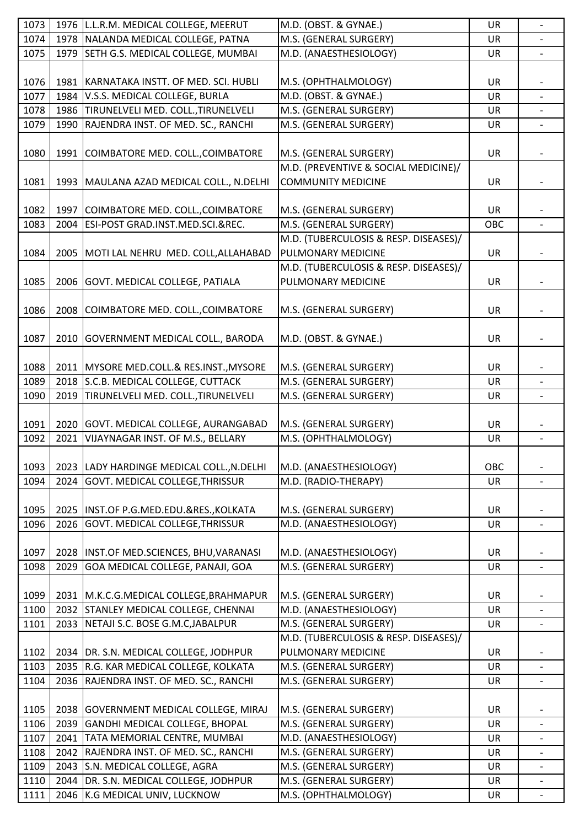| 1073         |      | 1976   L.L.R.M. MEDICAL COLLEGE, MEERUT                                  | M.D. (OBST. & GYNAE.)                          | UR              | $\overline{\phantom{a}}$ |
|--------------|------|--------------------------------------------------------------------------|------------------------------------------------|-----------------|--------------------------|
| 1074         |      | 1978 NALANDA MEDICAL COLLEGE, PATNA                                      | M.S. (GENERAL SURGERY)                         | UR              |                          |
| 1075         | 1979 | SETH G.S. MEDICAL COLLEGE, MUMBAI                                        | M.D. (ANAESTHESIOLOGY)                         | <b>UR</b>       |                          |
|              |      |                                                                          |                                                |                 |                          |
| 1076         |      | 1981 KARNATAKA INSTT. OF MED. SCI. HUBLI                                 | M.S. (OPHTHALMOLOGY)                           | UR              |                          |
| 1077         | 1984 | V.S.S. MEDICAL COLLEGE, BURLA                                            | M.D. (OBST. & GYNAE.)                          | UR              |                          |
| 1078         |      | 1986 TIRUNELVELI MED. COLL., TIRUNELVELI                                 | M.S. (GENERAL SURGERY)                         | UR              |                          |
| 1079         | 1990 | RAJENDRA INST. OF MED. SC., RANCHI                                       | M.S. (GENERAL SURGERY)                         | UR              | $\overline{\phantom{a}}$ |
|              |      |                                                                          |                                                |                 |                          |
| 1080         |      | 1991 COIMBATORE MED. COLL., COIMBATORE                                   | M.S. (GENERAL SURGERY)                         | UR              |                          |
|              |      |                                                                          | M.D. (PREVENTIVE & SOCIAL MEDICINE)/           |                 |                          |
| 1081         |      | 1993   MAULANA AZAD MEDICAL COLL., N.DELHI                               | <b>COMMUNITY MEDICINE</b>                      | UR              |                          |
|              |      |                                                                          |                                                |                 |                          |
| 1082         |      | 1997 COIMBATORE MED. COLL., COIMBATORE                                   | M.S. (GENERAL SURGERY)                         | UR              |                          |
| 1083         | 2004 | ESI-POST GRAD.INST.MED.SCI.&REC.                                         | M.S. (GENERAL SURGERY)                         | OBC             |                          |
|              |      |                                                                          | M.D. (TUBERCULOSIS & RESP. DISEASES)/          |                 |                          |
|              |      |                                                                          | PULMONARY MEDICINE                             | UR              |                          |
| 1084         |      | 2005   MOTI LAL NEHRU MED. COLL, ALLAHABAD                               | M.D. (TUBERCULOSIS & RESP. DISEASES)/          |                 |                          |
|              |      |                                                                          |                                                |                 |                          |
| 1085         |      | 2006 GOVT. MEDICAL COLLEGE, PATIALA                                      | PULMONARY MEDICINE                             | UR              |                          |
|              |      |                                                                          |                                                |                 |                          |
| 1086         |      | 2008 COIMBATORE MED. COLL., COIMBATORE                                   | M.S. (GENERAL SURGERY)                         | UR              |                          |
|              |      |                                                                          |                                                |                 |                          |
| 1087         |      | 2010 GOVERNMENT MEDICAL COLL., BARODA                                    | M.D. (OBST. & GYNAE.)                          | UR              |                          |
|              |      |                                                                          |                                                |                 |                          |
| 1088         |      | 2011   MYSORE MED.COLL.& RES.INST., MYSORE                               | M.S. (GENERAL SURGERY)                         | UR              |                          |
| 1089         |      | 2018 S.C.B. MEDICAL COLLEGE, CUTTACK                                     | M.S. (GENERAL SURGERY)                         | <b>UR</b>       |                          |
| 1090         | 2019 | TIRUNELVELI MED. COLL., TIRUNELVELI                                      | M.S. (GENERAL SURGERY)                         | UR              | $\overline{\phantom{a}}$ |
|              |      |                                                                          |                                                |                 |                          |
|              |      |                                                                          |                                                |                 |                          |
| 1091         |      | 2020 GOVT. MEDICAL COLLEGE, AURANGABAD                                   | M.S. (GENERAL SURGERY)                         | <b>UR</b>       |                          |
| 1092         | 2021 | VIJAYNAGAR INST. OF M.S., BELLARY                                        | M.S. (OPHTHALMOLOGY)                           | UR              | $\blacksquare$           |
|              |      |                                                                          |                                                |                 |                          |
| 1093         |      | 2023 LADY HARDINGE MEDICAL COLL., N.DELHI                                | M.D. (ANAESTHESIOLOGY)                         | OBC             |                          |
| 1094         |      | 2024 GOVT. MEDICAL COLLEGE, THRISSUR                                     | M.D. (RADIO-THERAPY)                           | <b>UR</b>       |                          |
|              |      |                                                                          |                                                |                 |                          |
| 1095         |      | 2025   INST.OF P.G.MED.EDU.&RES., KOLKATA                                | M.S. (GENERAL SURGERY)                         | <b>UR</b>       |                          |
| 1096         |      | 2026 GOVT. MEDICAL COLLEGE, THRISSUR                                     | M.D. (ANAESTHESIOLOGY)                         | UR              |                          |
|              |      |                                                                          |                                                |                 |                          |
| 1097         |      | 2028   INST.OF MED.SCIENCES, BHU, VARANASI                               | M.D. (ANAESTHESIOLOGY)                         | <b>UR</b>       |                          |
| 1098         | 2029 | GOA MEDICAL COLLEGE, PANAJI, GOA                                         | M.S. (GENERAL SURGERY)                         | UR              | $\overline{\phantom{a}}$ |
|              |      |                                                                          |                                                |                 |                          |
| 1099         |      | 2031   M.K.C.G.MEDICAL COLLEGE, BRAHMAPUR                                | M.S. (GENERAL SURGERY)                         | UR              |                          |
|              |      | 2032 STANLEY MEDICAL COLLEGE, CHENNAI                                    | M.D. (ANAESTHESIOLOGY)                         | <b>UR</b>       |                          |
| 1100<br>1101 |      |                                                                          |                                                |                 |                          |
|              |      | 2033 NETAJI S.C. BOSE G.M.C, JABALPUR                                    | M.S. (GENERAL SURGERY)                         | UR              |                          |
|              |      |                                                                          | M.D. (TUBERCULOSIS & RESP. DISEASES)/          |                 |                          |
| 1102         |      | 2034 DR. S.N. MEDICAL COLLEGE, JODHPUR                                   | PULMONARY MEDICINE                             | <b>UR</b>       |                          |
| 1103         |      | 2035 R.G. KAR MEDICAL COLLEGE, KOLKATA                                   | M.S. (GENERAL SURGERY)                         | UR              |                          |
| 1104         |      | 2036 RAJENDRA INST. OF MED. SC., RANCHI                                  | M.S. (GENERAL SURGERY)                         | <b>UR</b>       |                          |
|              |      |                                                                          |                                                |                 |                          |
| 1105         |      | 2038   GOVERNMENT MEDICAL COLLEGE, MIRAJ                                 | M.S. (GENERAL SURGERY)                         | UR              |                          |
| 1106         |      | 2039 GANDHI MEDICAL COLLEGE, BHOPAL                                      | M.S. (GENERAL SURGERY)                         | UR              |                          |
| 1107         |      | 2041   TATA MEMORIAL CENTRE, MUMBAI                                      | M.D. (ANAESTHESIOLOGY)                         | UR              |                          |
| 1108         |      | 2042 RAJENDRA INST. OF MED. SC., RANCHI                                  | M.S. (GENERAL SURGERY)                         | <b>UR</b>       |                          |
| 1109         | 2043 | S.N. MEDICAL COLLEGE, AGRA                                               | M.S. (GENERAL SURGERY)                         | UR              | $\overline{\phantom{a}}$ |
| 1110<br>1111 |      | 2044 DR. S.N. MEDICAL COLLEGE, JODHPUR<br>2046 K.G MEDICAL UNIV, LUCKNOW | M.S. (GENERAL SURGERY)<br>M.S. (OPHTHALMOLOGY) | <b>UR</b><br>UR |                          |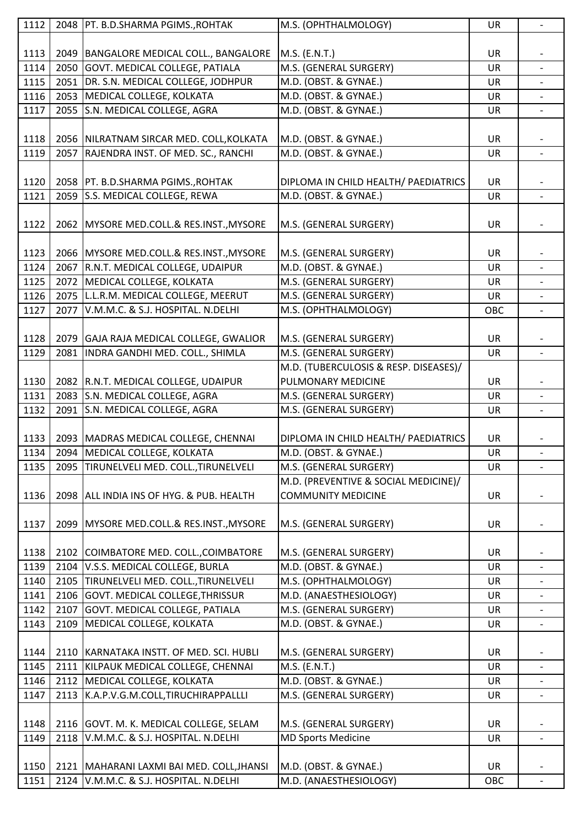| 1112 |      | 2048   PT. B.D.SHARMA PGIMS., ROHTAK        | M.S. (OPHTHALMOLOGY)                  | UR        |                          |
|------|------|---------------------------------------------|---------------------------------------|-----------|--------------------------|
|      |      |                                             |                                       |           |                          |
| 1113 |      | 2049   BANGALORE MEDICAL COLL., BANGALORE   | M.S. (E.N.T.)                         | UR        |                          |
| 1114 |      | 2050 GOVT. MEDICAL COLLEGE, PATIALA         | M.S. (GENERAL SURGERY)                | UR        | $\overline{\phantom{a}}$ |
| 1115 |      | 2051 DR. S.N. MEDICAL COLLEGE, JODHPUR      | M.D. (OBST. & GYNAE.)                 | <b>UR</b> |                          |
| 1116 |      | 2053 MEDICAL COLLEGE, KOLKATA               | M.D. (OBST. & GYNAE.)                 | UR        |                          |
| 1117 |      | 2055 S.N. MEDICAL COLLEGE, AGRA             | M.D. (OBST. & GYNAE.)                 | <b>UR</b> |                          |
|      |      |                                             |                                       |           |                          |
|      |      |                                             |                                       |           |                          |
| 1118 |      | 2056 NILRATNAM SIRCAR MED. COLL, KOLKATA    | M.D. (OBST. & GYNAE.)                 | <b>UR</b> |                          |
| 1119 |      | 2057 RAJENDRA INST. OF MED. SC., RANCHI     | M.D. (OBST. & GYNAE.)                 | UR        |                          |
|      |      |                                             |                                       |           |                          |
| 1120 |      | 2058   PT. B.D.SHARMA PGIMS., ROHTAK        | DIPLOMA IN CHILD HEALTH/ PAEDIATRICS  | UR        |                          |
| 1121 |      | 2059 S.S. MEDICAL COLLEGE, REWA             | M.D. (OBST. & GYNAE.)                 | <b>UR</b> | $\overline{\phantom{a}}$ |
|      |      |                                             |                                       |           |                          |
| 1122 |      | 2062 MYSORE MED.COLL.& RES.INST., MYSORE    | M.S. (GENERAL SURGERY)                | <b>UR</b> |                          |
|      |      |                                             |                                       |           |                          |
| 1123 |      | 2066 MYSORE MED.COLL.& RES.INST., MYSORE    | M.S. (GENERAL SURGERY)                | UR        |                          |
| 1124 |      | 2067 R.N.T. MEDICAL COLLEGE, UDAIPUR        | M.D. (OBST. & GYNAE.)                 | UR        | $\overline{\phantom{a}}$ |
| 1125 |      | 2072 MEDICAL COLLEGE, KOLKATA               | M.S. (GENERAL SURGERY)                | UR        |                          |
| 1126 |      | 2075 L.L.R.M. MEDICAL COLLEGE, MEERUT       | M.S. (GENERAL SURGERY)                | UR        |                          |
| 1127 | 2077 | V.M.M.C. & S.J. HOSPITAL. N.DELHI           | M.S. (OPHTHALMOLOGY)                  | OBC       | ÷.                       |
|      |      |                                             |                                       |           |                          |
| 1128 |      | 2079 GAJA RAJA MEDICAL COLLEGE, GWALIOR     | M.S. (GENERAL SURGERY)                | <b>UR</b> |                          |
|      |      |                                             |                                       |           |                          |
| 1129 |      | 2081 INDRA GANDHI MED. COLL., SHIMLA        | M.S. (GENERAL SURGERY)                | UR        |                          |
|      |      |                                             | M.D. (TUBERCULOSIS & RESP. DISEASES)/ |           |                          |
| 1130 |      | 2082 R.N.T. MEDICAL COLLEGE, UDAIPUR        | PULMONARY MEDICINE                    | <b>UR</b> |                          |
| 1131 |      | 2083 S.N. MEDICAL COLLEGE, AGRA             | M.S. (GENERAL SURGERY)                | <b>UR</b> |                          |
| 1132 | 2091 | S.N. MEDICAL COLLEGE, AGRA                  | M.S. (GENERAL SURGERY)                | <b>UR</b> |                          |
|      |      |                                             |                                       |           |                          |
| 1133 |      | 2093 MADRAS MEDICAL COLLEGE, CHENNAI        | DIPLOMA IN CHILD HEALTH/ PAEDIATRICS  | <b>UR</b> |                          |
| 1134 |      | 2094   MEDICAL COLLEGE, KOLKATA             | M.D. (OBST. & GYNAE.)                 | <b>UR</b> |                          |
| 1135 |      | 2095 TIRUNELVELI MED. COLL., TIRUNELVELI    | M.S. (GENERAL SURGERY)                | <b>UR</b> | $\overline{\phantom{a}}$ |
|      |      |                                             | M.D. (PREVENTIVE & SOCIAL MEDICINE)/  |           |                          |
| 1136 |      | 2098 ALL INDIA INS OF HYG. & PUB. HEALTH    | <b>COMMUNITY MEDICINE</b>             | <b>UR</b> |                          |
|      |      |                                             |                                       |           |                          |
| 1137 |      | 2099 MYSORE MED.COLL.& RES.INST., MYSORE    | M.S. (GENERAL SURGERY)                | <b>UR</b> |                          |
|      |      |                                             |                                       |           |                          |
| 1138 |      |                                             |                                       |           |                          |
| 1139 |      | 2102 COIMBATORE MED. COLL., COIMBATORE      | M.S. (GENERAL SURGERY)                | <b>UR</b> |                          |
|      |      | 2104 V.S.S. MEDICAL COLLEGE, BURLA          | M.D. (OBST. & GYNAE.)                 | UR        |                          |
| 1140 |      | 2105 TIRUNELVELI MED. COLL., TIRUNELVELI    | M.S. (OPHTHALMOLOGY)                  | <b>UR</b> |                          |
|      |      | 2106 GOVT. MEDICAL COLLEGE, THRISSUR        | M.D. (ANAESTHESIOLOGY)                | UR        |                          |
| 1141 |      |                                             |                                       |           | $\overline{\phantom{a}}$ |
| 1142 |      | 2107 GOVT. MEDICAL COLLEGE, PATIALA         | M.S. (GENERAL SURGERY)                | <b>UR</b> |                          |
| 1143 | 2109 | MEDICAL COLLEGE, KOLKATA                    | M.D. (OBST. & GYNAE.)                 | UR        |                          |
|      |      |                                             |                                       |           |                          |
| 1144 |      | 2110 KARNATAKA INSTT. OF MED. SCI. HUBLI    | M.S. (GENERAL SURGERY)                | <b>UR</b> |                          |
| 1145 |      | 2111 KILPAUK MEDICAL COLLEGE, CHENNAI       | M.S. (E.N.T.)                         | UR        |                          |
| 1146 |      | 2112 MEDICAL COLLEGE, KOLKATA               | M.D. (OBST. & GYNAE.)                 | <b>UR</b> |                          |
| 1147 |      | 2113 K.A.P.V.G.M.COLL,TIRUCHIRAPPALLLI      | M.S. (GENERAL SURGERY)                | UR        |                          |
|      |      |                                             |                                       |           |                          |
| 1148 |      | 2116 GOVT. M. K. MEDICAL COLLEGE, SELAM     | M.S. (GENERAL SURGERY)                | <b>UR</b> |                          |
| 1149 |      | 2118 V.M.M.C. & S.J. HOSPITAL. N.DELHI      | <b>MD Sports Medicine</b>             | UR        | $\overline{\phantom{0}}$ |
|      |      |                                             |                                       |           |                          |
| 1150 |      | 2121   MAHARANI LAXMI BAI MED. COLL, JHANSI | M.D. (OBST. & GYNAE.)                 | <b>UR</b> |                          |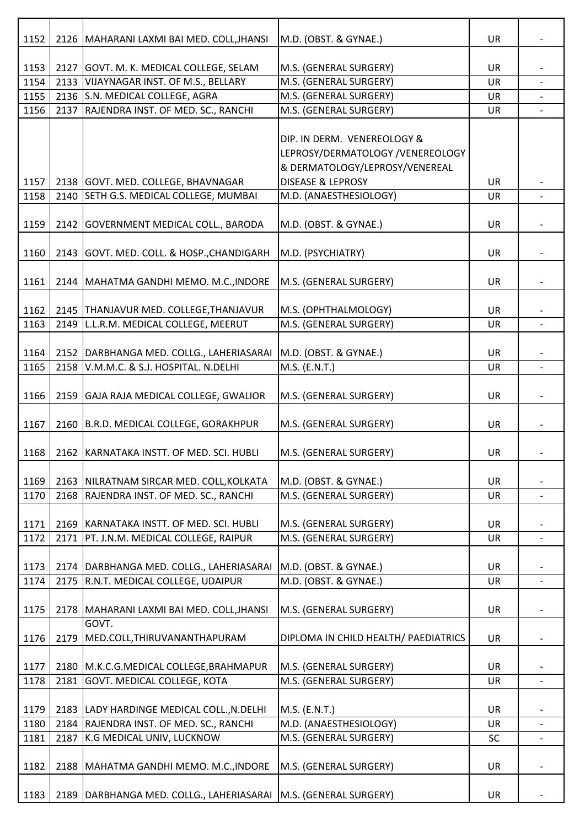| 1152         |      | 2126   MAHARANI LAXMI BAI MED. COLL, JHANSI                           | M.D. (OBST. & GYNAE.)                                           | <b>UR</b> |                          |
|--------------|------|-----------------------------------------------------------------------|-----------------------------------------------------------------|-----------|--------------------------|
|              |      |                                                                       |                                                                 |           |                          |
| 1153         |      | 2127 GOVT. M. K. MEDICAL COLLEGE, SELAM                               | M.S. (GENERAL SURGERY)                                          | UR        |                          |
| 1154         |      | 2133 VIJAYNAGAR INST. OF M.S., BELLARY                                | M.S. (GENERAL SURGERY)                                          | UR        |                          |
| 1155<br>1156 | 2137 | 2136 S.N. MEDICAL COLLEGE, AGRA<br>RAJENDRA INST. OF MED. SC., RANCHI | M.S. (GENERAL SURGERY)<br>M.S. (GENERAL SURGERY)                | UR<br>UR  |                          |
|              |      |                                                                       |                                                                 |           |                          |
|              |      |                                                                       | DIP. IN DERM. VENEREOLOGY &<br>LEPROSY/DERMATOLOGY /VENEREOLOGY |           |                          |
|              |      |                                                                       | & DERMATOLOGY/LEPROSY/VENEREAL                                  |           |                          |
| 1157         |      | 2138 GOVT. MED. COLLEGE, BHAVNAGAR                                    | <b>DISEASE &amp; LEPROSY</b>                                    | UR        |                          |
| 1158         |      | 2140 SETH G.S. MEDICAL COLLEGE, MUMBAI                                | M.D. (ANAESTHESIOLOGY)                                          | UR        |                          |
| 1159         |      | 2142 GOVERNMENT MEDICAL COLL., BARODA                                 | M.D. (OBST. & GYNAE.)                                           | UR        |                          |
| 1160         |      | 2143 GOVT. MED. COLL. & HOSP., CHANDIGARH                             | M.D. (PSYCHIATRY)                                               | UR        |                          |
|              |      |                                                                       |                                                                 |           |                          |
| 1161         |      | 2144   MAHATMA GANDHI MEMO. M.C., INDORE                              | M.S. (GENERAL SURGERY)                                          | UR        |                          |
|              |      |                                                                       |                                                                 |           |                          |
| 1162         |      | 2145   THANJAVUR MED. COLLEGE, THANJAVUR                              | M.S. (OPHTHALMOLOGY)                                            | <b>UR</b> |                          |
| 1163         | 2149 | L.L.R.M. MEDICAL COLLEGE, MEERUT                                      | M.S. (GENERAL SURGERY)                                          | UR        |                          |
|              |      |                                                                       |                                                                 |           |                          |
| 1164         |      | 2152   DARBHANGA MED. COLLG., LAHERIASARAI                            | M.D. (OBST. & GYNAE.)                                           | UR        |                          |
| 1165         |      | 2158 V.M.M.C. & S.J. HOSPITAL. N.DELHI                                | M.S. (E.N.T.)                                                   | UR        | $\overline{\phantom{0}}$ |
| 1166         |      | 2159 GAJA RAJA MEDICAL COLLEGE, GWALIOR                               | M.S. (GENERAL SURGERY)                                          | UR        |                          |
| 1167         |      | 2160 B.R.D. MEDICAL COLLEGE, GORAKHPUR                                | M.S. (GENERAL SURGERY)                                          | UR        |                          |
| 1168         |      | 2162 KARNATAKA INSTT. OF MED. SCI. HUBLI                              | M.S. (GENERAL SURGERY)                                          | <b>UR</b> |                          |
| 1169         |      | 2163 NILRATNAM SIRCAR MED. COLL, KOLKATA                              | M.D. (OBST. & GYNAE.)                                           | UR        |                          |
| 1170         |      | 2168 RAJENDRA INST. OF MED. SC., RANCHI                               | M.S. (GENERAL SURGERY)                                          | UR        |                          |
|              |      |                                                                       |                                                                 |           |                          |
| 1171         |      | 2169 KARNATAKA INSTT. OF MED. SCI. HUBLI                              | M.S. (GENERAL SURGERY)                                          | UR        |                          |
| 1172         |      | 2171   PT. J.N.M. MEDICAL COLLEGE, RAIPUR                             | M.S. (GENERAL SURGERY)                                          | UR        |                          |
|              |      |                                                                       |                                                                 |           |                          |
| 1173         |      | 2174   DARBHANGA MED. COLLG., LAHERIASARAI                            | M.D. (OBST. & GYNAE.)                                           | UR        |                          |
| 1174         |      | 2175   R.N.T. MEDICAL COLLEGE, UDAIPUR                                | M.D. (OBST. & GYNAE.)                                           | <b>UR</b> |                          |
| 1175         |      | 2178   MAHARANI LAXMI BAI MED. COLL, JHANSI                           | M.S. (GENERAL SURGERY)                                          | UR        |                          |
|              |      | GOVT.                                                                 |                                                                 |           |                          |
| 1176         | 2179 | MED.COLL, THIRUVANANTHAPURAM                                          | DIPLOMA IN CHILD HEALTH/ PAEDIATRICS                            | UR        |                          |
| 1177         |      | 2180 M.K.C.G.MEDICAL COLLEGE, BRAHMAPUR                               | M.S. (GENERAL SURGERY)                                          | UR        |                          |
| 1178         |      | 2181 GOVT. MEDICAL COLLEGE, KOTA                                      | M.S. (GENERAL SURGERY)                                          | <b>UR</b> |                          |
| 1179         |      | 2183 LADY HARDINGE MEDICAL COLL., N.DELHI                             | M.S. (E.N.T.)                                                   | UR        |                          |
| 1180         |      | 2184 RAJENDRA INST. OF MED. SC., RANCHI                               | M.D. (ANAESTHESIOLOGY)                                          | UR        |                          |
| 1181         | 2187 | K.G MEDICAL UNIV, LUCKNOW                                             | M.S. (GENERAL SURGERY)                                          | <b>SC</b> |                          |
| 1182         |      | 2188   MAHATMA GANDHI MEMO. M.C., INDORE                              | M.S. (GENERAL SURGERY)                                          | UR        |                          |
| 1183         |      | 2189   DARBHANGA MED. COLLG., LAHERIASARAI                            | M.S. (GENERAL SURGERY)                                          | UR        |                          |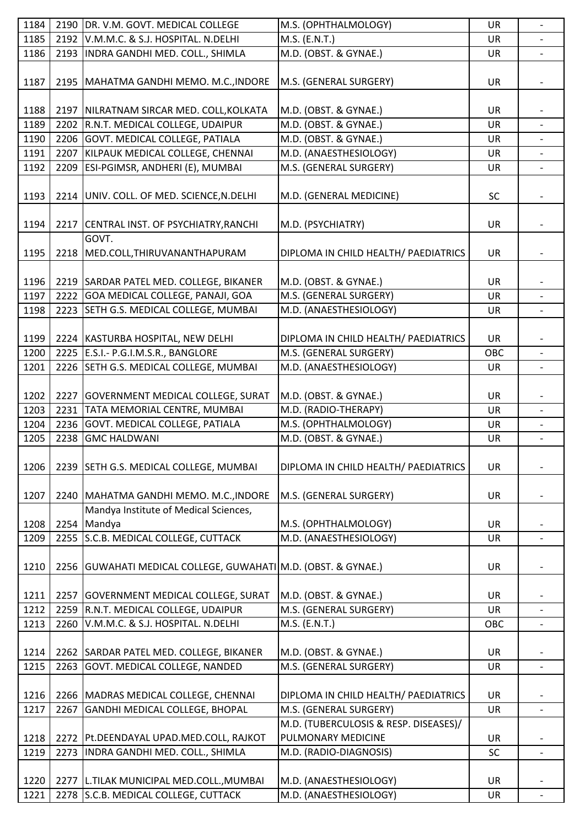| 1184 |      | 2190 DR. V.M. GOVT. MEDICAL COLLEGE                           | M.S. (OPHTHALMOLOGY)                  | UR        | $\overline{\phantom{0}}$ |
|------|------|---------------------------------------------------------------|---------------------------------------|-----------|--------------------------|
| 1185 |      | 2192 V.M.M.C. & S.J. HOSPITAL. N.DELHI                        | M.S. (E.N.T.)                         | <b>UR</b> |                          |
| 1186 |      | 2193 INDRA GANDHI MED. COLL., SHIMLA                          | M.D. (OBST. & GYNAE.)                 | UR        |                          |
|      |      |                                                               |                                       |           |                          |
| 1187 |      | 2195   MAHATMA GANDHI MEMO. M.C., INDORE                      | M.S. (GENERAL SURGERY)                | UR        |                          |
|      |      |                                                               |                                       |           |                          |
|      |      |                                                               |                                       | <b>UR</b> |                          |
| 1188 |      | 2197 NILRATNAM SIRCAR MED. COLL, KOLKATA                      | M.D. (OBST. & GYNAE.)                 |           |                          |
| 1189 |      | 2202 R.N.T. MEDICAL COLLEGE, UDAIPUR                          | M.D. (OBST. & GYNAE.)                 | UR        |                          |
| 1190 |      | 2206 GOVT. MEDICAL COLLEGE, PATIALA                           | M.D. (OBST. & GYNAE.)                 | UR        | $\overline{\phantom{a}}$ |
| 1191 |      | 2207 KILPAUK MEDICAL COLLEGE, CHENNAI                         | M.D. (ANAESTHESIOLOGY)                | UR        |                          |
| 1192 |      | 2209 ESI-PGIMSR, ANDHERI (E), MUMBAI                          | M.S. (GENERAL SURGERY)                | UR        | $\overline{\phantom{a}}$ |
|      |      |                                                               |                                       |           |                          |
| 1193 |      | 2214 UNIV. COLL. OF MED. SCIENCE, N.DELHI                     | M.D. (GENERAL MEDICINE)               | <b>SC</b> |                          |
|      |      |                                                               |                                       |           |                          |
| 1194 |      | 2217 CENTRAL INST. OF PSYCHIATRY, RANCHI                      | M.D. (PSYCHIATRY)                     | UR        |                          |
|      |      | GOVT.                                                         |                                       |           |                          |
| 1195 | 2218 | MED.COLL, THIRUVANANTHAPURAM                                  | DIPLOMA IN CHILD HEALTH/ PAEDIATRICS  | UR        |                          |
|      |      |                                                               |                                       |           |                          |
|      |      | 2219 SARDAR PATEL MED. COLLEGE, BIKANER                       |                                       | <b>UR</b> |                          |
| 1196 |      |                                                               | M.D. (OBST. & GYNAE.)                 |           |                          |
| 1197 |      | 2222 GOA MEDICAL COLLEGE, PANAJI, GOA                         | M.S. (GENERAL SURGERY)                | UR        |                          |
| 1198 |      | 2223 SETH G.S. MEDICAL COLLEGE, MUMBAI                        | M.D. (ANAESTHESIOLOGY)                | UR        | $\overline{\phantom{0}}$ |
|      |      |                                                               |                                       |           |                          |
| 1199 |      | 2224 KASTURBA HOSPITAL, NEW DELHI                             | DIPLOMA IN CHILD HEALTH/ PAEDIATRICS  | <b>UR</b> |                          |
| 1200 |      | 2225 E.S.I.- P.G.I.M.S.R., BANGLORE                           | M.S. (GENERAL SURGERY)                | OBC       |                          |
| 1201 |      | 2226 SETH G.S. MEDICAL COLLEGE, MUMBAI                        | M.D. (ANAESTHESIOLOGY)                | UR        | $\overline{\phantom{0}}$ |
|      |      |                                                               |                                       |           |                          |
| 1202 | 2227 | GOVERNMENT MEDICAL COLLEGE, SURAT                             | M.D. (OBST. & GYNAE.)                 | <b>UR</b> |                          |
| 1203 |      | 2231 TATA MEMORIAL CENTRE, MUMBAI                             | M.D. (RADIO-THERAPY)                  | UR        | $\overline{\phantom{a}}$ |
| 1204 |      | 2236 GOVT. MEDICAL COLLEGE, PATIALA                           | M.S. (OPHTHALMOLOGY)                  | UR        |                          |
| 1205 | 2238 | <b>GMC HALDWANI</b>                                           | M.D. (OBST. & GYNAE.)                 | UR        | $\overline{\phantom{a}}$ |
|      |      |                                                               |                                       |           |                          |
|      |      |                                                               |                                       |           |                          |
| 1206 |      | 2239 SETH G.S. MEDICAL COLLEGE, MUMBAI                        | DIPLOMA IN CHILD HEALTH/ PAEDIATRICS  | UR        |                          |
|      |      |                                                               |                                       |           |                          |
| 1207 |      | 2240   MAHATMA GANDHI MEMO. M.C., INDORE                      | M.S. (GENERAL SURGERY)                | UR        |                          |
|      |      | Mandya Institute of Medical Sciences,                         |                                       |           |                          |
| 1208 |      | 2254 Mandya                                                   | M.S. (OPHTHALMOLOGY)                  | UR        |                          |
| 1209 |      | 2255 S.C.B. MEDICAL COLLEGE, CUTTACK                          | M.D. (ANAESTHESIOLOGY)                | UR        | $\overline{\phantom{a}}$ |
|      |      |                                                               |                                       |           |                          |
| 1210 |      | 2256 GUWAHATI MEDICAL COLLEGE, GUWAHATI M.D. (OBST. & GYNAE.) |                                       | UR        |                          |
|      |      |                                                               |                                       |           |                          |
| 1211 |      | 2257   GOVERNMENT MEDICAL COLLEGE, SURAT                      | M.D. (OBST. & GYNAE.)                 | <b>UR</b> |                          |
| 1212 |      | 2259 R.N.T. MEDICAL COLLEGE, UDAIPUR                          | M.S. (GENERAL SURGERY)                | <b>UR</b> |                          |
| 1213 | 2260 | V.M.M.C. & S.J. HOSPITAL. N.DELHI                             | M.S. (E.N.T.)                         | OBC       |                          |
|      |      |                                                               |                                       |           |                          |
|      |      |                                                               |                                       |           |                          |
| 1214 |      | 2262 SARDAR PATEL MED. COLLEGE, BIKANER                       | M.D. (OBST. & GYNAE.)                 | <b>UR</b> |                          |
| 1215 |      | 2263 GOVT. MEDICAL COLLEGE, NANDED                            | M.S. (GENERAL SURGERY)                | UR        |                          |
|      |      |                                                               |                                       |           |                          |
| 1216 |      | 2266 MADRAS MEDICAL COLLEGE, CHENNAI                          | DIPLOMA IN CHILD HEALTH/ PAEDIATRICS  | <b>UR</b> |                          |
| 1217 | 2267 | GANDHI MEDICAL COLLEGE, BHOPAL                                | M.S. (GENERAL SURGERY)                | UR        | $\overline{\phantom{a}}$ |
|      |      |                                                               | M.D. (TUBERCULOSIS & RESP. DISEASES)/ |           |                          |
| 1218 |      | 2272 Pt.DEENDAYAL UPAD.MED.COLL, RAJKOT                       | PULMONARY MEDICINE                    | UR        |                          |
| 1219 |      | 2273 INDRA GANDHI MED. COLL., SHIMLA                          | M.D. (RADIO-DIAGNOSIS)                | SC        | $\overline{a}$           |
|      |      |                                                               |                                       |           |                          |
| 1220 |      | 2277 L.TILAK MUNICIPAL MED.COLL., MUMBAI                      | M.D. (ANAESTHESIOLOGY)                | <b>UR</b> |                          |
| 1221 |      | 2278 S.C.B. MEDICAL COLLEGE, CUTTACK                          | M.D. (ANAESTHESIOLOGY)                | UR        |                          |
|      |      |                                                               |                                       |           |                          |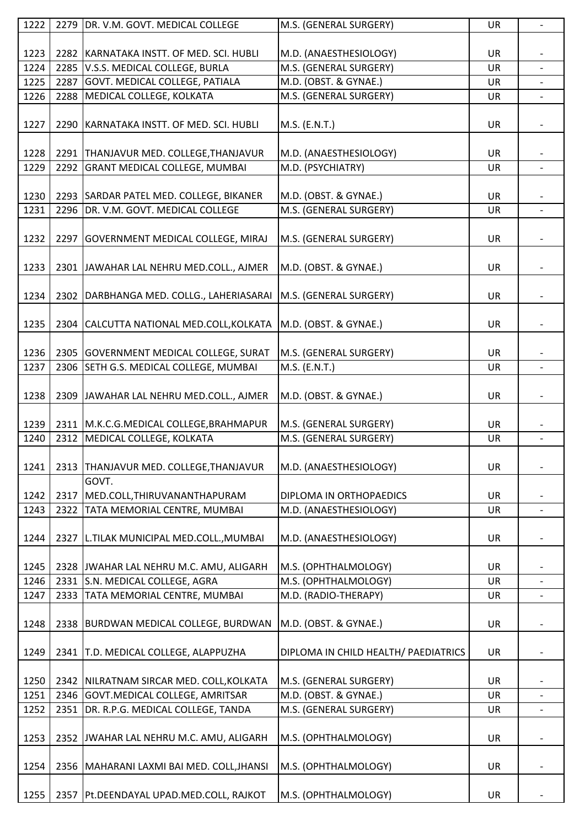| 1222 |      | 2279 DR. V.M. GOVT. MEDICAL COLLEGE         | M.S. (GENERAL SURGERY)               | UR        | $\overline{\phantom{a}}$ |
|------|------|---------------------------------------------|--------------------------------------|-----------|--------------------------|
|      |      |                                             |                                      |           |                          |
| 1223 |      | 2282 KARNATAKA INSTT. OF MED. SCI. HUBLI    | M.D. (ANAESTHESIOLOGY)               | UR        |                          |
| 1224 |      | 2285 V.S.S. MEDICAL COLLEGE, BURLA          | M.S. (GENERAL SURGERY)               | <b>UR</b> |                          |
| 1225 |      | 2287 GOVT. MEDICAL COLLEGE, PATIALA         | M.D. (OBST. & GYNAE.)                | UR        |                          |
| 1226 |      | 2288 MEDICAL COLLEGE, KOLKATA               | M.S. (GENERAL SURGERY)               | UR        |                          |
|      |      |                                             |                                      |           |                          |
| 1227 |      | 2290 KARNATAKA INSTT. OF MED. SCI. HUBLI    | M.S. (E.N.T.)                        | UR        | $\overline{\phantom{a}}$ |
|      |      |                                             |                                      |           |                          |
| 1228 |      | 2291 THANJAVUR MED. COLLEGE, THANJAVUR      | M.D. (ANAESTHESIOLOGY)               | UR        |                          |
| 1229 |      | 2292 GRANT MEDICAL COLLEGE, MUMBAI          | M.D. (PSYCHIATRY)                    | <b>UR</b> | $\overline{a}$           |
|      |      |                                             |                                      |           |                          |
| 1230 |      | 2293 SARDAR PATEL MED. COLLEGE, BIKANER     | M.D. (OBST. & GYNAE.)                | UR        |                          |
| 1231 |      | 2296 DR. V.M. GOVT. MEDICAL COLLEGE         | M.S. (GENERAL SURGERY)               | <b>UR</b> |                          |
| 1232 |      | 2297 GOVERNMENT MEDICAL COLLEGE, MIRAJ      | M.S. (GENERAL SURGERY)               | <b>UR</b> |                          |
|      |      |                                             |                                      |           |                          |
| 1233 |      | 2301 JAWAHAR LAL NEHRU MED.COLL., AJMER     | M.D. (OBST. & GYNAE.)                | UR        |                          |
|      |      |                                             |                                      |           |                          |
| 1234 |      | 2302   DARBHANGA MED. COLLG., LAHERIASARAI  | M.S. (GENERAL SURGERY)               | UR        |                          |
|      |      |                                             |                                      |           |                          |
| 1235 |      | 2304 CALCUTTA NATIONAL MED.COLL, KOLKATA    | M.D. (OBST. & GYNAE.)                | UR        |                          |
|      |      |                                             |                                      |           |                          |
| 1236 |      | 2305 GOVERNMENT MEDICAL COLLEGE, SURAT      | M.S. (GENERAL SURGERY)               | UR        |                          |
| 1237 |      | 2306 SETH G.S. MEDICAL COLLEGE, MUMBAI      | M.S. (E.N.T.)                        | UR        |                          |
|      |      |                                             |                                      |           |                          |
| 1238 |      | 2309 JAWAHAR LAL NEHRU MED.COLL., AJMER     | M.D. (OBST. & GYNAE.)                | UR        | $\overline{\phantom{a}}$ |
|      |      |                                             |                                      |           |                          |
| 1239 |      | 2311 M.K.C.G.MEDICAL COLLEGE, BRAHMAPUR     | M.S. (GENERAL SURGERY)               | UR        |                          |
| 1240 | 2312 | MEDICAL COLLEGE, KOLKATA                    | M.S. (GENERAL SURGERY)               | <b>UR</b> | $\overline{\phantom{0}}$ |
|      |      |                                             |                                      |           |                          |
| 1241 |      | 2313 THANJAVUR MED. COLLEGE, THANJAVUR      | M.D. (ANAESTHESIOLOGY)               | UR        |                          |
|      |      |                                             |                                      |           |                          |
|      |      | GOVT.                                       |                                      |           |                          |
| 1242 | 2317 | MED.COLL, THIRUVANANTHAPURAM                | DIPLOMA IN ORTHOPAEDICS              | UR        |                          |
| 1243 | 2322 | <b>TATA MEMORIAL CENTRE, MUMBAI</b>         | M.D. (ANAESTHESIOLOGY)               | UR        |                          |
|      |      |                                             |                                      |           |                          |
| 1244 |      | 2327 L.TILAK MUNICIPAL MED.COLL., MUMBAI    | M.D. (ANAESTHESIOLOGY)               | UR        |                          |
|      |      |                                             |                                      |           |                          |
| 1245 |      | 2328 JWAHAR LAL NEHRU M.C. AMU, ALIGARH     | M.S. (OPHTHALMOLOGY)                 | UR        |                          |
| 1246 |      | 2331 S.N. MEDICAL COLLEGE, AGRA             | M.S. (OPHTHALMOLOGY)                 | UR        |                          |
| 1247 | 2333 | <b>TATA MEMORIAL CENTRE, MUMBAI</b>         | M.D. (RADIO-THERAPY)                 | UR        |                          |
|      |      |                                             |                                      |           |                          |
| 1248 |      | 2338   BURDWAN MEDICAL COLLEGE, BURDWAN     | M.D. (OBST. & GYNAE.)                | UR        |                          |
|      |      |                                             |                                      |           |                          |
| 1249 |      | 2341 T.D. MEDICAL COLLEGE, ALAPPUZHA        | DIPLOMA IN CHILD HEALTH/ PAEDIATRICS | UR        |                          |
|      |      |                                             |                                      |           |                          |
| 1250 |      | 2342 NILRATNAM SIRCAR MED. COLL, KOLKATA    | M.S. (GENERAL SURGERY)               | <b>UR</b> |                          |
| 1251 |      | 2346   GOVT.MEDICAL COLLEGE, AMRITSAR       | M.D. (OBST. & GYNAE.)                | UR        |                          |
| 1252 |      | 2351 DR. R.P.G. MEDICAL COLLEGE, TANDA      | M.S. (GENERAL SURGERY)               | UR        |                          |
|      |      |                                             |                                      |           |                          |
|      |      |                                             |                                      |           |                          |
| 1253 |      | 2352 JWAHAR LAL NEHRU M.C. AMU, ALIGARH     | M.S. (OPHTHALMOLOGY)                 | UR        |                          |
|      |      |                                             |                                      |           |                          |
| 1254 |      | 2356   MAHARANI LAXMI BAI MED. COLL, JHANSI | M.S. (OPHTHALMOLOGY)                 | UR        |                          |
|      |      |                                             |                                      |           |                          |
| 1255 |      | 2357 Pt.DEENDAYAL UPAD.MED.COLL, RAJKOT     | M.S. (OPHTHALMOLOGY)                 | UR        |                          |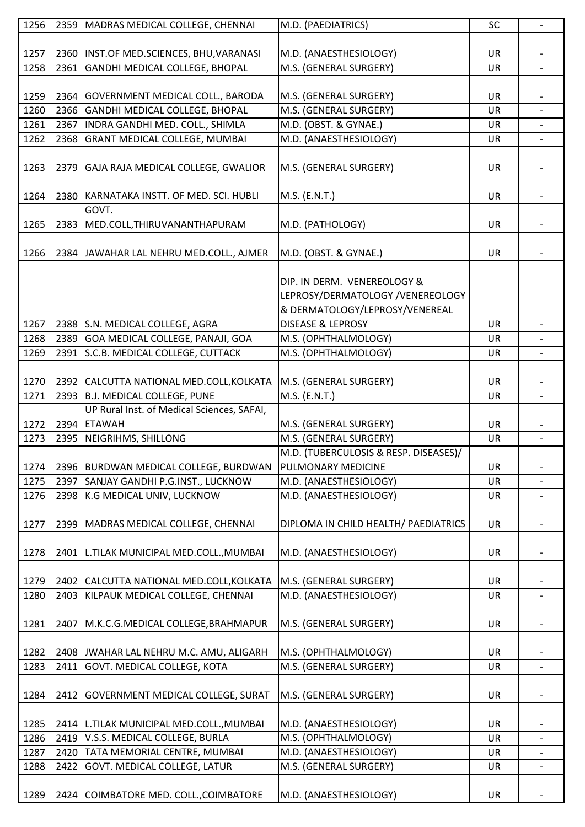| 1256 |      | 2359   MADRAS MEDICAL COLLEGE, CHENNAI     | M.D. (PAEDIATRICS)                    | SC        | $\overline{\phantom{a}}$ |
|------|------|--------------------------------------------|---------------------------------------|-----------|--------------------------|
|      |      |                                            |                                       |           |                          |
| 1257 |      | 2360   INST.OF MED.SCIENCES, BHU, VARANASI | M.D. (ANAESTHESIOLOGY)                | UR        |                          |
| 1258 |      | 2361 GANDHI MEDICAL COLLEGE, BHOPAL        | M.S. (GENERAL SURGERY)                | <b>UR</b> |                          |
|      |      |                                            |                                       |           |                          |
| 1259 |      | 2364 GOVERNMENT MEDICAL COLL., BARODA      | M.S. (GENERAL SURGERY)                | UR        |                          |
| 1260 |      | 2366 GANDHI MEDICAL COLLEGE, BHOPAL        | M.S. (GENERAL SURGERY)                | <b>UR</b> |                          |
| 1261 |      | 2367 INDRA GANDHI MED. COLL., SHIMLA       | M.D. (OBST. & GYNAE.)                 | UR        |                          |
| 1262 |      | 2368 GRANT MEDICAL COLLEGE, MUMBAI         | M.D. (ANAESTHESIOLOGY)                | <b>UR</b> |                          |
|      |      |                                            |                                       |           |                          |
| 1263 |      | 2379 GAJA RAJA MEDICAL COLLEGE, GWALIOR    | M.S. (GENERAL SURGERY)                | <b>UR</b> |                          |
|      |      |                                            |                                       |           |                          |
| 1264 |      | 2380 KARNATAKA INSTT. OF MED. SCI. HUBLI   | M.S. (E.N.T.)                         | UR        |                          |
|      |      | GOVT.                                      |                                       |           |                          |
| 1265 |      | 2383 MED.COLL, THIRUVANANTHAPURAM          | M.D. (PATHOLOGY)                      | UR        |                          |
|      |      |                                            |                                       |           |                          |
| 1266 |      | 2384 JAWAHAR LAL NEHRU MED.COLL., AJMER    | M.D. (OBST. & GYNAE.)                 | <b>UR</b> |                          |
|      |      |                                            |                                       |           |                          |
|      |      |                                            | DIP. IN DERM. VENEREOLOGY &           |           |                          |
|      |      |                                            | LEPROSY/DERMATOLOGY /VENEREOLOGY      |           |                          |
|      |      |                                            | & DERMATOLOGY/LEPROSY/VENEREAL        |           |                          |
| 1267 |      | 2388 S.N. MEDICAL COLLEGE, AGRA            | <b>DISEASE &amp; LEPROSY</b>          | UR        |                          |
| 1268 |      | 2389 GOA MEDICAL COLLEGE, PANAJI, GOA      | M.S. (OPHTHALMOLOGY)                  | <b>UR</b> |                          |
| 1269 |      | 2391 S.C.B. MEDICAL COLLEGE, CUTTACK       | M.S. (OPHTHALMOLOGY)                  | UR        |                          |
|      |      |                                            |                                       |           |                          |
| 1270 |      | 2392 CALCUTTA NATIONAL MED.COLL, KOLKATA   | M.S. (GENERAL SURGERY)                | <b>UR</b> |                          |
| 1271 |      | 2393 B.J. MEDICAL COLLEGE, PUNE            | M.S. (E.N.T.)                         | UR        | $\overline{\phantom{a}}$ |
|      |      | UP Rural Inst. of Medical Sciences, SAFAI, |                                       |           |                          |
| 1272 |      | 2394 ETAWAH                                | M.S. (GENERAL SURGERY)                | UR        |                          |
| 1273 | 2395 | NEIGRIHMS, SHILLONG                        | M.S. (GENERAL SURGERY)                | <b>UR</b> | $\overline{\phantom{0}}$ |
|      |      |                                            | M.D. (TUBERCULOSIS & RESP. DISEASES)/ |           |                          |
| 1274 |      | 2396 BURDWAN MEDICAL COLLEGE, BURDWAN      | PULMONARY MEDICINE                    | UR        |                          |
| 1275 |      | 2397 SANJAY GANDHI P.G.INST., LUCKNOW      | M.D. (ANAESTHESIOLOGY)                | UR        |                          |
| 1276 |      | 2398 K.G MEDICAL UNIV, LUCKNOW             | M.D. (ANAESTHESIOLOGY)                | UR        | $\overline{\phantom{a}}$ |
|      |      |                                            |                                       |           |                          |
| 1277 |      | 2399 MADRAS MEDICAL COLLEGE, CHENNAI       | DIPLOMA IN CHILD HEALTH/ PAEDIATRICS  | <b>UR</b> |                          |
|      |      |                                            |                                       |           |                          |
| 1278 |      | 2401 L.TILAK MUNICIPAL MED.COLL., MUMBAI   | M.D. (ANAESTHESIOLOGY)                | UR        |                          |
|      |      |                                            |                                       |           |                          |
| 1279 |      | 2402 CALCUTTA NATIONAL MED.COLL, KOLKATA   | M.S. (GENERAL SURGERY)                | UR        |                          |
| 1280 | 2403 | KILPAUK MEDICAL COLLEGE, CHENNAI           | M.D. (ANAESTHESIOLOGY)                | UR        |                          |
|      |      |                                            |                                       |           |                          |
| 1281 |      | 2407   M.K.C.G.MEDICAL COLLEGE, BRAHMAPUR  | M.S. (GENERAL SURGERY)                | UR        |                          |
|      |      |                                            |                                       |           |                          |
| 1282 |      | 2408 JWAHAR LAL NEHRU M.C. AMU, ALIGARH    | M.S. (OPHTHALMOLOGY)                  | UR        |                          |
| 1283 |      | 2411 GOVT. MEDICAL COLLEGE, KOTA           | M.S. (GENERAL SURGERY)                | UR        | $\overline{\phantom{a}}$ |
|      |      |                                            |                                       |           |                          |
| 1284 |      | 2412 GOVERNMENT MEDICAL COLLEGE, SURAT     | M.S. (GENERAL SURGERY)                | UR        |                          |
|      |      |                                            |                                       |           |                          |
|      |      |                                            |                                       |           |                          |
| 1285 |      | 2414   L.TILAK MUNICIPAL MED.COLL., MUMBAI | M.D. (ANAESTHESIOLOGY)                | UR        |                          |
| 1286 |      | 2419 V.S.S. MEDICAL COLLEGE, BURLA         | M.S. (OPHTHALMOLOGY)                  | UR        |                          |
| 1287 |      | 2420 TATA MEMORIAL CENTRE, MUMBAI          | M.D. (ANAESTHESIOLOGY)                | UR        |                          |
| 1288 | 2422 | GOVT. MEDICAL COLLEGE, LATUR               | M.S. (GENERAL SURGERY)                | UR        | $\overline{\phantom{a}}$ |
| 1289 |      | 2424 COIMBATORE MED. COLL., COIMBATORE     |                                       | <b>UR</b> |                          |
|      |      |                                            | M.D. (ANAESTHESIOLOGY)                |           |                          |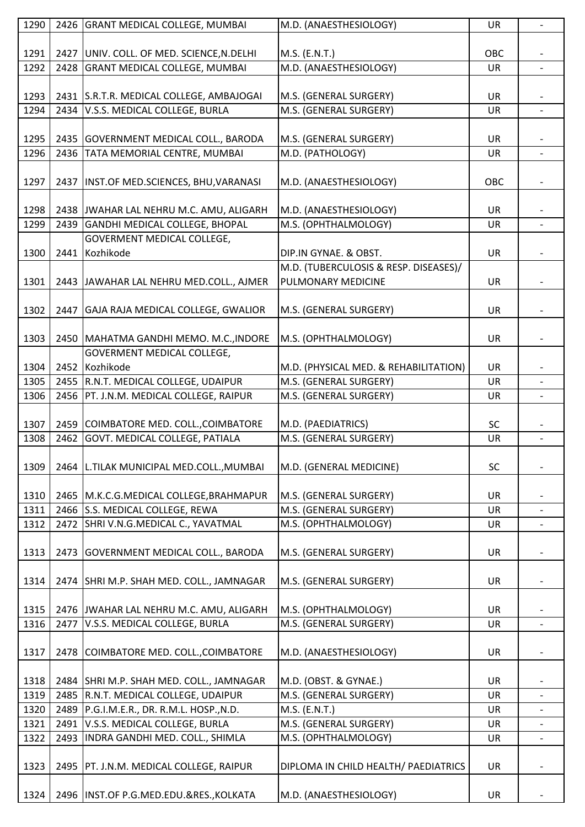| 1290 |      | 2426 GRANT MEDICAL COLLEGE, MUMBAI        | M.D. (ANAESTHESIOLOGY)                | UR        | $\overline{\phantom{0}}$ |
|------|------|-------------------------------------------|---------------------------------------|-----------|--------------------------|
|      |      |                                           |                                       |           |                          |
| 1291 |      | 2427 UNIV. COLL. OF MED. SCIENCE, N.DELHI | M.S. (E.N.T.)                         | OBC       |                          |
| 1292 | 2428 | <b>GRANT MEDICAL COLLEGE, MUMBAI</b>      | M.D. (ANAESTHESIOLOGY)                | <b>UR</b> | $\blacksquare$           |
|      |      |                                           |                                       |           |                          |
|      |      |                                           |                                       |           |                          |
| 1293 |      | 2431 S.R.T.R. MEDICAL COLLEGE, AMBAJOGAI  | M.S. (GENERAL SURGERY)                | UR        |                          |
| 1294 |      | 2434 V.S.S. MEDICAL COLLEGE, BURLA        | M.S. (GENERAL SURGERY)                | UR        |                          |
|      |      |                                           |                                       |           |                          |
| 1295 |      | 2435 GOVERNMENT MEDICAL COLL., BARODA     | M.S. (GENERAL SURGERY)                | <b>UR</b> |                          |
| 1296 |      | 2436 TATA MEMORIAL CENTRE, MUMBAI         | M.D. (PATHOLOGY)                      | UR        |                          |
|      |      |                                           |                                       |           |                          |
| 1297 | 2437 | INST.OF MED.SCIENCES, BHU, VARANASI       | M.D. (ANAESTHESIOLOGY)                | OBC       |                          |
|      |      |                                           |                                       |           |                          |
| 1298 |      | 2438 JWAHAR LAL NEHRU M.C. AMU, ALIGARH   | M.D. (ANAESTHESIOLOGY)                | <b>UR</b> |                          |
| 1299 |      | 2439 GANDHI MEDICAL COLLEGE, BHOPAL       | M.S. (OPHTHALMOLOGY)                  | UR        |                          |
|      |      | <b>GOVERMENT MEDICAL COLLEGE,</b>         |                                       |           |                          |
|      |      |                                           |                                       |           |                          |
| 1300 | 2441 | Kozhikode                                 | DIP.IN GYNAE. & OBST.                 | UR        |                          |
|      |      |                                           | M.D. (TUBERCULOSIS & RESP. DISEASES)/ |           |                          |
| 1301 |      | 2443 JAWAHAR LAL NEHRU MED.COLL., AJMER   | PULMONARY MEDICINE                    | UR        |                          |
|      |      |                                           |                                       |           |                          |
| 1302 |      | 2447 GAJA RAJA MEDICAL COLLEGE, GWALIOR   | M.S. (GENERAL SURGERY)                | <b>UR</b> |                          |
|      |      |                                           |                                       |           |                          |
| 1303 |      | 2450   MAHATMA GANDHI MEMO. M.C., INDORE  | M.S. (OPHTHALMOLOGY)                  | UR        |                          |
|      |      | GOVERMENT MEDICAL COLLEGE,                |                                       |           |                          |
| 1304 |      | 2452 Kozhikode                            | M.D. (PHYSICAL MED. & REHABILITATION) | UR        |                          |
| 1305 |      | 2455 R.N.T. MEDICAL COLLEGE, UDAIPUR      | M.S. (GENERAL SURGERY)                | <b>UR</b> |                          |
| 1306 |      | 2456   PT. J.N.M. MEDICAL COLLEGE, RAIPUR | M.S. (GENERAL SURGERY)                | UR        |                          |
|      |      |                                           |                                       |           |                          |
| 1307 |      | 2459 COIMBATORE MED. COLL., COIMBATORE    | M.D. (PAEDIATRICS)                    | <b>SC</b> |                          |
| 1308 | 2462 | <b>GOVT. MEDICAL COLLEGE, PATIALA</b>     | M.S. (GENERAL SURGERY)                | UR        | $\overline{\phantom{a}}$ |
|      |      |                                           |                                       |           |                          |
|      |      |                                           |                                       |           |                          |
| 1309 |      | 2464 L.TILAK MUNICIPAL MED.COLL., MUMBAI  | M.D. (GENERAL MEDICINE)               | SC        |                          |
|      |      |                                           |                                       |           |                          |
| 1310 |      | 2465 M.K.C.G.MEDICAL COLLEGE, BRAHMAPUR   | M.S. (GENERAL SURGERY)                | UR        |                          |
| 1311 |      | 2466 S.S. MEDICAL COLLEGE, REWA           | M.S. (GENERAL SURGERY)                | UR        | $\overline{\phantom{a}}$ |
| 1312 |      | 2472 SHRI V.N.G.MEDICAL C., YAVATMAL      | M.S. (OPHTHALMOLOGY)                  | UR        |                          |
|      |      |                                           |                                       |           |                          |
| 1313 |      | 2473 GOVERNMENT MEDICAL COLL., BARODA     | M.S. (GENERAL SURGERY)                | <b>UR</b> |                          |
|      |      |                                           |                                       |           |                          |
| 1314 |      | 2474 SHRI M.P. SHAH MED. COLL., JAMNAGAR  | M.S. (GENERAL SURGERY)                | <b>UR</b> |                          |
|      |      |                                           |                                       |           |                          |
| 1315 |      | 2476 JWAHAR LAL NEHRU M.C. AMU, ALIGARH   | M.S. (OPHTHALMOLOGY)                  | <b>UR</b> |                          |
| 1316 |      | 2477 V.S.S. MEDICAL COLLEGE, BURLA        | M.S. (GENERAL SURGERY)                | UR        |                          |
|      |      |                                           |                                       |           |                          |
| 1317 |      | 2478 COIMBATORE MED. COLL., COIMBATORE    | M.D. (ANAESTHESIOLOGY)                | UR        |                          |
|      |      |                                           |                                       |           |                          |
| 1318 |      | 2484 SHRI M.P. SHAH MED. COLL., JAMNAGAR  | M.D. (OBST. & GYNAE.)                 | <b>UR</b> |                          |
| 1319 |      | 2485 R.N.T. MEDICAL COLLEGE, UDAIPUR      | M.S. (GENERAL SURGERY)                | UR        |                          |
|      |      | 2489 P.G.I.M.E.R., DR. R.M.L. HOSP., N.D. | M.S. (E.N.T.)                         |           |                          |
| 1320 |      |                                           |                                       | UR        | $\overline{\phantom{0}}$ |
| 1321 |      | 2491 V.S.S. MEDICAL COLLEGE, BURLA        | M.S. (GENERAL SURGERY)                | UR        |                          |
| 1322 |      | 2493   INDRA GANDHI MED. COLL., SHIMLA    | M.S. (OPHTHALMOLOGY)                  | UR        |                          |
|      |      |                                           |                                       |           |                          |
| 1323 |      | 2495   PT. J.N.M. MEDICAL COLLEGE, RAIPUR | DIPLOMA IN CHILD HEALTH/ PAEDIATRICS  | <b>UR</b> |                          |
|      |      |                                           |                                       |           |                          |
| 1324 |      | 2496   INST.OF P.G.MED.EDU.&RES., KOLKATA | M.D. (ANAESTHESIOLOGY)                | UR        |                          |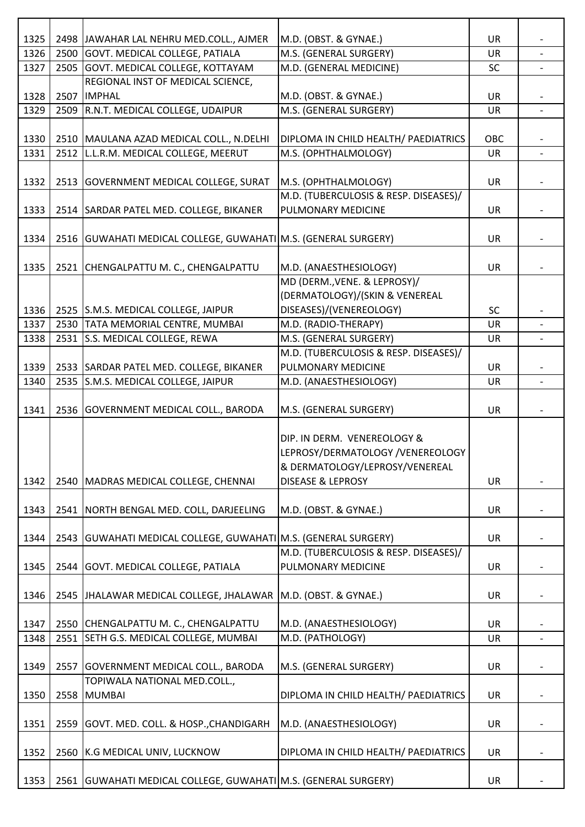| 1325 |      | 2498 JAWAHAR LAL NEHRU MED.COLL., AJMER                            | M.D. (OBST. & GYNAE.)                 | UR        |                |
|------|------|--------------------------------------------------------------------|---------------------------------------|-----------|----------------|
| 1326 |      | 2500 GOVT. MEDICAL COLLEGE, PATIALA                                | M.S. (GENERAL SURGERY)                | <b>UR</b> |                |
| 1327 |      | 2505 GOVT. MEDICAL COLLEGE, KOTTAYAM                               | M.D. (GENERAL MEDICINE)               | <b>SC</b> | $\blacksquare$ |
|      |      | REGIONAL INST OF MEDICAL SCIENCE,                                  |                                       |           |                |
| 1328 | 2507 | <b>IMPHAL</b>                                                      | M.D. (OBST. & GYNAE.)                 | UR        |                |
| 1329 | 2509 | R.N.T. MEDICAL COLLEGE, UDAIPUR                                    | M.S. (GENERAL SURGERY)                | <b>UR</b> | $\overline{a}$ |
|      |      |                                                                    |                                       |           |                |
| 1330 |      | 2510   MAULANA AZAD MEDICAL COLL., N.DELHI                         | DIPLOMA IN CHILD HEALTH/ PAEDIATRICS  | OBC       |                |
| 1331 |      | 2512 L.L.R.M. MEDICAL COLLEGE, MEERUT                              | M.S. (OPHTHALMOLOGY)                  | <b>UR</b> |                |
|      |      |                                                                    |                                       |           |                |
| 1332 |      | 2513 GOVERNMENT MEDICAL COLLEGE, SURAT                             | M.S. (OPHTHALMOLOGY)                  | <b>UR</b> |                |
|      |      |                                                                    | M.D. (TUBERCULOSIS & RESP. DISEASES)/ |           |                |
| 1333 |      | 2514 SARDAR PATEL MED. COLLEGE, BIKANER                            | PULMONARY MEDICINE                    | UR        |                |
|      |      |                                                                    |                                       |           |                |
| 1334 |      | 2516   GUWAHATI MEDICAL COLLEGE, GUWAHATI   M.S. (GENERAL SURGERY) |                                       | UR        |                |
|      |      |                                                                    |                                       |           |                |
| 1335 |      | 2521 CHENGALPATTU M. C., CHENGALPATTU                              | M.D. (ANAESTHESIOLOGY)                | UR        |                |
|      |      |                                                                    | MD (DERM., VENE. & LEPROSY)/          |           |                |
|      |      |                                                                    | (DERMATOLOGY)/(SKIN & VENEREAL        |           |                |
| 1336 |      | 2525 S.M.S. MEDICAL COLLEGE, JAIPUR                                | DISEASES)/(VENEREOLOGY)               | <b>SC</b> |                |
| 1337 |      | 2530 TATA MEMORIAL CENTRE, MUMBAI                                  | M.D. (RADIO-THERAPY)                  | UR        |                |
| 1338 |      | 2531 S.S. MEDICAL COLLEGE, REWA                                    | M.S. (GENERAL SURGERY)                | UR        | $\blacksquare$ |
|      |      |                                                                    | M.D. (TUBERCULOSIS & RESP. DISEASES)/ |           |                |
| 1339 |      | 2533 SARDAR PATEL MED. COLLEGE, BIKANER                            | PULMONARY MEDICINE                    | <b>UR</b> |                |
| 1340 |      | 2535 S.M.S. MEDICAL COLLEGE, JAIPUR                                | M.D. (ANAESTHESIOLOGY)                | <b>UR</b> | $\overline{a}$ |
|      |      |                                                                    |                                       |           |                |
| 1341 |      | 2536 GOVERNMENT MEDICAL COLL., BARODA                              | M.S. (GENERAL SURGERY)                | UR        |                |
|      |      |                                                                    |                                       |           |                |
|      |      |                                                                    | DIP. IN DERM. VENEREOLOGY &           |           |                |
|      |      |                                                                    | LEPROSY/DERMATOLOGY /VENEREOLOGY      |           |                |
|      |      |                                                                    | & DERMATOLOGY/LEPROSY/VENEREAL        |           |                |
| 1342 |      | 2540 MADRAS MEDICAL COLLEGE, CHENNAI                               | <b>DISEASE &amp; LEPROSY</b>          | UR        |                |
|      |      |                                                                    |                                       |           |                |
| 1343 |      | 2541 NORTH BENGAL MED. COLL, DARJEELING                            | M.D. (OBST. & GYNAE.)                 | UR        |                |
|      |      |                                                                    |                                       |           |                |
| 1344 |      | 2543   GUWAHATI MEDICAL COLLEGE, GUWAHATI   M.S. (GENERAL SURGERY) |                                       | UR        |                |
|      |      |                                                                    | M.D. (TUBERCULOSIS & RESP. DISEASES)/ |           |                |
| 1345 |      | 2544 GOVT. MEDICAL COLLEGE, PATIALA                                | PULMONARY MEDICINE                    | UR        |                |
|      |      |                                                                    |                                       |           |                |
| 1346 |      | 2545   JHALAWAR MEDICAL COLLEGE, JHALAWAR   M.D. (OBST. & GYNAE.)  |                                       | UR        |                |
|      |      |                                                                    |                                       |           |                |
| 1347 |      | 2550 CHENGALPATTU M. C., CHENGALPATTU                              | M.D. (ANAESTHESIOLOGY)                | <b>UR</b> |                |
| 1348 |      | 2551 SETH G.S. MEDICAL COLLEGE, MUMBAI                             | M.D. (PATHOLOGY)                      | UR        |                |
|      |      |                                                                    |                                       |           |                |
| 1349 |      | 2557 GOVERNMENT MEDICAL COLL., BARODA                              | M.S. (GENERAL SURGERY)                | UR        |                |
|      |      | TOPIWALA NATIONAL MED.COLL.,                                       |                                       |           |                |
| 1350 |      | 2558 MUMBAI                                                        | DIPLOMA IN CHILD HEALTH/ PAEDIATRICS  | UR        |                |
|      |      |                                                                    |                                       |           |                |
| 1351 |      | 2559 GOVT. MED. COLL. & HOSP., CHANDIGARH                          | M.D. (ANAESTHESIOLOGY)                | <b>UR</b> |                |
|      |      |                                                                    |                                       |           |                |
| 1352 |      | 2560 K.G MEDICAL UNIV, LUCKNOW                                     | DIPLOMA IN CHILD HEALTH/ PAEDIATRICS  | UR        |                |
|      |      |                                                                    |                                       |           |                |
| 1353 |      | 2561   GUWAHATI MEDICAL COLLEGE, GUWAHATI   M.S. (GENERAL SURGERY) |                                       | UR        |                |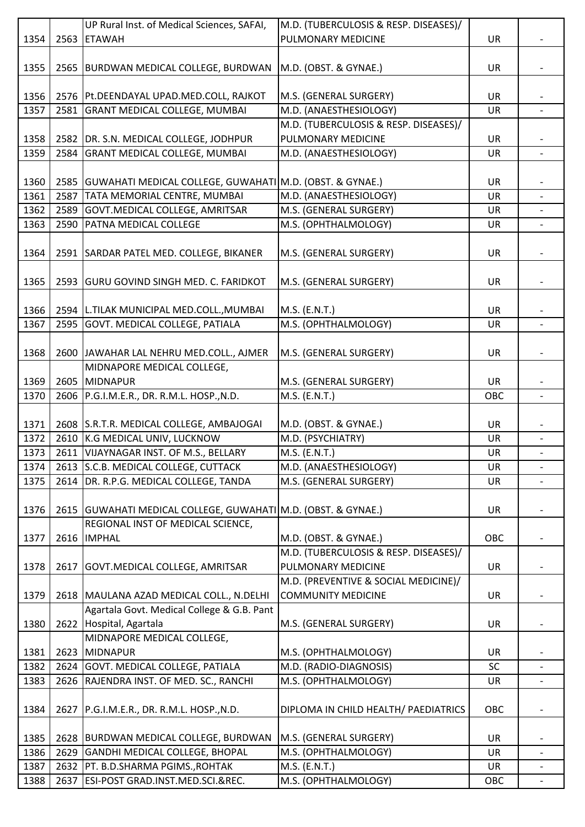|              |              | UP Rural Inst. of Medical Sciences, SAFAI,                        | M.D. (TUBERCULOSIS & RESP. DISEASES)/ |           |                          |
|--------------|--------------|-------------------------------------------------------------------|---------------------------------------|-----------|--------------------------|
| 1354         | 2563         | <b>ETAWAH</b>                                                     | PULMONARY MEDICINE                    | UR        |                          |
|              |              |                                                                   |                                       |           |                          |
| 1355         |              | 2565 BURDWAN MEDICAL COLLEGE, BURDWAN                             | M.D. (OBST. & GYNAE.)                 | <b>UR</b> |                          |
|              |              |                                                                   |                                       |           |                          |
| 1356         |              | 2576 Pt.DEENDAYAL UPAD.MED.COLL, RAJKOT                           | M.S. (GENERAL SURGERY)                | <b>UR</b> |                          |
| 1357         | 2581         | <b>GRANT MEDICAL COLLEGE, MUMBAI</b>                              | M.D. (ANAESTHESIOLOGY)                | <b>UR</b> |                          |
|              |              |                                                                   | M.D. (TUBERCULOSIS & RESP. DISEASES)/ |           |                          |
|              |              |                                                                   | PULMONARY MEDICINE                    |           |                          |
| 1358         |              | 2582 DR. S.N. MEDICAL COLLEGE, JODHPUR                            |                                       | UR        |                          |
| 1359         | 2584         | <b>GRANT MEDICAL COLLEGE, MUMBAI</b>                              | M.D. (ANAESTHESIOLOGY)                | UR        |                          |
|              |              |                                                                   |                                       |           |                          |
| 1360         |              | 2585 GUWAHATI MEDICAL COLLEGE, GUWAHATI M.D. (OBST. & GYNAE.)     |                                       | <b>UR</b> |                          |
| 1361         | 2587         | TATA MEMORIAL CENTRE, MUMBAI                                      | M.D. (ANAESTHESIOLOGY)                | <b>UR</b> |                          |
| 1362         | 2589         | GOVT. MEDICAL COLLEGE, AMRITSAR                                   | M.S. (GENERAL SURGERY)                | <b>UR</b> |                          |
| 1363         | 2590         | <b>PATNA MEDICAL COLLEGE</b>                                      | M.S. (OPHTHALMOLOGY)                  | UR        |                          |
|              |              |                                                                   |                                       |           |                          |
| 1364         |              | 2591 SARDAR PATEL MED. COLLEGE, BIKANER                           | M.S. (GENERAL SURGERY)                | UR        |                          |
|              |              |                                                                   |                                       |           |                          |
| 1365         |              | 2593 GURU GOVIND SINGH MED. C. FARIDKOT                           | M.S. (GENERAL SURGERY)                | UR        |                          |
|              |              |                                                                   |                                       |           |                          |
| 1366         |              | 2594   L.TILAK MUNICIPAL MED.COLL., MUMBAI                        | M.S. (E.N.T.)                         | UR        |                          |
| 1367         |              | 2595 GOVT. MEDICAL COLLEGE, PATIALA                               | M.S. (OPHTHALMOLOGY)                  | UR        |                          |
|              |              |                                                                   |                                       |           |                          |
| 1368         | 2600         | JAWAHAR LAL NEHRU MED.COLL., AJMER                                | M.S. (GENERAL SURGERY)                | UR        |                          |
|              |              | MIDNAPORE MEDICAL COLLEGE,                                        |                                       |           |                          |
| 1369         |              | 2605 MIDNAPUR                                                     | M.S. (GENERAL SURGERY)                | <b>UR</b> |                          |
| 1370         | 2606         | P.G.I.M.E.R., DR. R.M.L. HOSP., N.D.                              | M.S. (E.N.T.)                         | OBC       |                          |
|              |              |                                                                   |                                       |           |                          |
| 1371         |              | 2608 S.R.T.R. MEDICAL COLLEGE, AMBAJOGAI                          | M.D. (OBST. & GYNAE.)                 | <b>UR</b> |                          |
| 1372         |              | 2610 K.G MEDICAL UNIV, LUCKNOW                                    | M.D. (PSYCHIATRY)                     | UR        |                          |
| 1373         |              | 2611 VIJAYNAGAR INST. OF M.S., BELLARY                            | M.S. (E.N.T.)                         | <b>UR</b> |                          |
|              |              |                                                                   | M.D. (ANAESTHESIOLOGY)                |           |                          |
| 1374         | 2613         | S.C.B. MEDICAL COLLEGE, CUTTACK                                   |                                       | <b>UR</b> |                          |
| 1375         | 2614         | DR. R.P.G. MEDICAL COLLEGE, TANDA                                 | M.S. (GENERAL SURGERY)                | <b>UR</b> |                          |
|              |              |                                                                   |                                       |           |                          |
| 1376         |              | 2615 GUWAHATI MEDICAL COLLEGE, GUWAHATI M.D. (OBST. & GYNAE.)     |                                       | UR        |                          |
|              |              | REGIONAL INST OF MEDICAL SCIENCE,                                 |                                       |           |                          |
| 1377         | 2616         | <b>IMPHAL</b>                                                     | M.D. (OBST. & GYNAE.)                 | OBC       |                          |
|              |              |                                                                   | M.D. (TUBERCULOSIS & RESP. DISEASES)/ |           |                          |
| 1378         | 2617         | GOVT.MEDICAL COLLEGE, AMRITSAR                                    | PULMONARY MEDICINE                    | <b>UR</b> |                          |
|              |              |                                                                   | M.D. (PREVENTIVE & SOCIAL MEDICINE)/  |           |                          |
| 1379         |              | 2618   MAULANA AZAD MEDICAL COLL., N.DELHI                        | <b>COMMUNITY MEDICINE</b>             | <b>UR</b> |                          |
|              |              | Agartala Govt. Medical College & G.B. Pant                        |                                       |           |                          |
| 1380         | 2622         | Hospital, Agartala                                                | M.S. (GENERAL SURGERY)                | UR        |                          |
|              |              | MIDNAPORE MEDICAL COLLEGE,                                        |                                       |           |                          |
| 1381         | 2623         | MIDNAPUR                                                          | M.S. (OPHTHALMOLOGY)                  | <b>UR</b> |                          |
| 1382         |              | 2624 GOVT. MEDICAL COLLEGE, PATIALA                               | M.D. (RADIO-DIAGNOSIS)                | SC        |                          |
| 1383         | 2626         | RAJENDRA INST. OF MED. SC., RANCHI                                | M.S. (OPHTHALMOLOGY)                  | UR        |                          |
|              |              |                                                                   |                                       |           |                          |
| 1384         | 2627         | P.G.I.M.E.R., DR. R.M.L. HOSP., N.D.                              | DIPLOMA IN CHILD HEALTH/ PAEDIATRICS  | OBC       |                          |
|              |              |                                                                   |                                       |           |                          |
| 1385         | 2628         | BURDWAN MEDICAL COLLEGE, BURDWAN                                  | M.S. (GENERAL SURGERY)                | <b>UR</b> |                          |
| 1386         |              |                                                                   |                                       |           |                          |
|              |              |                                                                   |                                       |           |                          |
|              | 2629         | GANDHI MEDICAL COLLEGE, BHOPAL                                    | M.S. (OPHTHALMOLOGY)                  | <b>UR</b> | $\overline{a}$           |
| 1387<br>1388 | 2632<br>2637 | PT. B.D.SHARMA PGIMS., ROHTAK<br>ESI-POST GRAD.INST.MED.SCI.&REC. | M.S. (E.N.T.)<br>M.S. (OPHTHALMOLOGY) | UR<br>OBC | $\overline{\phantom{0}}$ |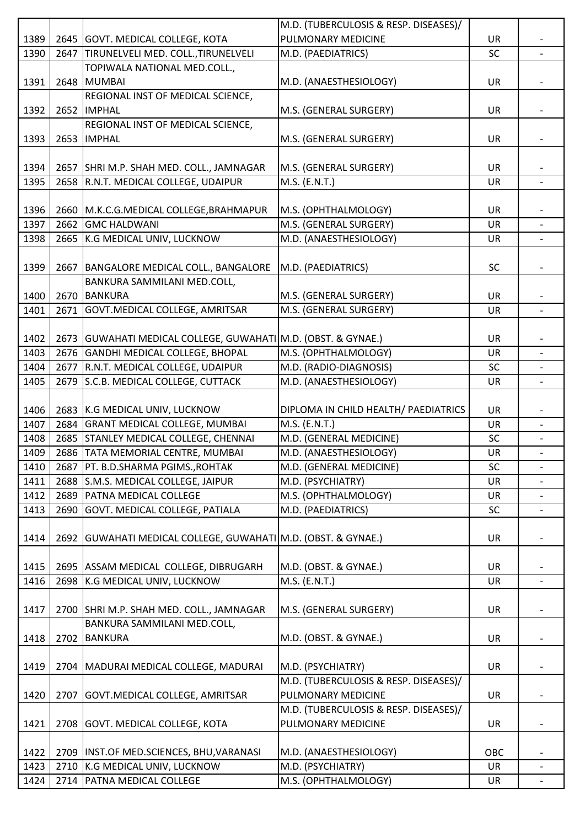|      |                                                               | M.D. (TUBERCULOSIS & RESP. DISEASES)/                      |           |                          |
|------|---------------------------------------------------------------|------------------------------------------------------------|-----------|--------------------------|
| 1389 | 2645 GOVT. MEDICAL COLLEGE, KOTA                              | PULMONARY MEDICINE                                         | UR        |                          |
| 1390 | 2647 TIRUNELVELI MED. COLL., TIRUNELVELI                      | M.D. (PAEDIATRICS)                                         | SC        |                          |
|      | TOPIWALA NATIONAL MED.COLL.,                                  |                                                            |           |                          |
| 1391 | 2648 MUMBAI                                                   | M.D. (ANAESTHESIOLOGY)                                     | <b>UR</b> |                          |
|      | REGIONAL INST OF MEDICAL SCIENCE,                             |                                                            |           |                          |
| 1392 | 2652 IMPHAL                                                   | M.S. (GENERAL SURGERY)                                     | UR        |                          |
|      | REGIONAL INST OF MEDICAL SCIENCE,                             |                                                            |           |                          |
| 1393 | 2653 IMPHAL                                                   | M.S. (GENERAL SURGERY)                                     | UR        |                          |
|      |                                                               |                                                            |           |                          |
| 1394 | 2657   SHRI M.P. SHAH MED. COLL., JAMNAGAR                    | M.S. (GENERAL SURGERY)                                     | UR        |                          |
| 1395 | 2658 R.N.T. MEDICAL COLLEGE, UDAIPUR                          | $M.S.$ (E.N.T.)                                            | <b>UR</b> | $\blacksquare$           |
|      |                                                               |                                                            |           |                          |
| 1396 | 2660 M.K.C.G.MEDICAL COLLEGE, BRAHMAPUR                       | M.S. (OPHTHALMOLOGY)                                       | <b>UR</b> |                          |
| 1397 | 2662 GMC HALDWANI                                             | M.S. (GENERAL SURGERY)                                     | UR        |                          |
| 1398 | 2665 K.G MEDICAL UNIV, LUCKNOW                                | M.D. (ANAESTHESIOLOGY)                                     | UR        | $\overline{\phantom{0}}$ |
|      |                                                               |                                                            |           |                          |
|      |                                                               |                                                            |           |                          |
| 1399 | 2667   BANGALORE MEDICAL COLL., BANGALORE                     | M.D. (PAEDIATRICS)                                         | <b>SC</b> |                          |
|      | BANKURA SAMMILANI MED.COLL,                                   |                                                            |           |                          |
| 1400 | 2670 BANKURA                                                  | M.S. (GENERAL SURGERY)                                     | UR        |                          |
| 1401 | 2671 GOVT.MEDICAL COLLEGE, AMRITSAR                           | M.S. (GENERAL SURGERY)                                     | UR        |                          |
|      |                                                               |                                                            |           |                          |
| 1402 | 2673 GUWAHATI MEDICAL COLLEGE, GUWAHATI M.D. (OBST. & GYNAE.) |                                                            | UR        |                          |
| 1403 | 2676 GANDHI MEDICAL COLLEGE, BHOPAL                           | M.S. (OPHTHALMOLOGY)                                       | <b>UR</b> |                          |
| 1404 | 2677 R.N.T. MEDICAL COLLEGE, UDAIPUR                          | M.D. (RADIO-DIAGNOSIS)                                     | <b>SC</b> |                          |
| 1405 | 2679 S.C.B. MEDICAL COLLEGE, CUTTACK                          | M.D. (ANAESTHESIOLOGY)                                     | <b>UR</b> | $\overline{\phantom{a}}$ |
|      |                                                               |                                                            |           |                          |
| 1406 | 2683 K.G MEDICAL UNIV, LUCKNOW                                | DIPLOMA IN CHILD HEALTH/ PAEDIATRICS                       | UR        |                          |
| 1407 | 2684 GRANT MEDICAL COLLEGE, MUMBAI                            | M.S. (E.N.T.)                                              | UR        |                          |
| 1408 | 2685 STANLEY MEDICAL COLLEGE, CHENNAI                         | M.D. (GENERAL MEDICINE)                                    | <b>SC</b> |                          |
| 1409 | 2686 TATA MEMORIAL CENTRE, MUMBAI                             | M.D. (ANAESTHESIOLOGY)                                     | <b>UR</b> | $\overline{\phantom{a}}$ |
| 1410 | 2687   PT. B.D.SHARMA PGIMS., ROHTAK                          | M.D. (GENERAL MEDICINE)                                    | <b>SC</b> | $\overline{\phantom{0}}$ |
| 1411 | 2688 S.M.S. MEDICAL COLLEGE, JAIPUR                           | M.D. (PSYCHIATRY)                                          | <b>UR</b> |                          |
| 1412 | 2689 PATNA MEDICAL COLLEGE                                    | M.S. (OPHTHALMOLOGY)                                       | UR        |                          |
| 1413 | 2690 GOVT. MEDICAL COLLEGE, PATIALA                           | M.D. (PAEDIATRICS)                                         | <b>SC</b> | $\overline{\phantom{a}}$ |
|      |                                                               |                                                            |           |                          |
| 1414 | 2692 GUWAHATI MEDICAL COLLEGE, GUWAHATI M.D. (OBST. & GYNAE.) |                                                            | UR        |                          |
|      |                                                               |                                                            |           |                          |
| 1415 | 2695 ASSAM MEDICAL COLLEGE, DIBRUGARH                         | M.D. (OBST. & GYNAE.)                                      | UR        |                          |
| 1416 | 2698 K.G MEDICAL UNIV, LUCKNOW                                | M.S. (E.N.T.)                                              | UR        |                          |
|      |                                                               |                                                            |           |                          |
| 1417 | 2700 SHRI M.P. SHAH MED. COLL., JAMNAGAR                      | M.S. (GENERAL SURGERY)                                     | UR        |                          |
|      | BANKURA SAMMILANI MED.COLL,                                   |                                                            |           |                          |
| 1418 | 2702 BANKURA                                                  | M.D. (OBST. & GYNAE.)                                      | UR        |                          |
|      |                                                               |                                                            |           |                          |
| 1419 |                                                               |                                                            | <b>UR</b> |                          |
|      | 2704   MADURAI MEDICAL COLLEGE, MADURAI                       | M.D. (PSYCHIATRY)<br>M.D. (TUBERCULOSIS & RESP. DISEASES)/ |           |                          |
|      |                                                               |                                                            |           |                          |
| 1420 | 2707 GOVT.MEDICAL COLLEGE, AMRITSAR                           | PULMONARY MEDICINE                                         | <b>UR</b> |                          |
|      |                                                               | M.D. (TUBERCULOSIS & RESP. DISEASES)/                      |           |                          |
| 1421 | 2708 GOVT. MEDICAL COLLEGE, KOTA                              | PULMONARY MEDICINE                                         | <b>UR</b> |                          |
|      |                                                               |                                                            |           |                          |
| 1422 | 2709   INST.OF MED.SCIENCES, BHU, VARANASI                    | M.D. (ANAESTHESIOLOGY)                                     | OBC       |                          |
| 1423 | 2710 K.G MEDICAL UNIV, LUCKNOW                                | M.D. (PSYCHIATRY)                                          | <b>UR</b> |                          |
| 1424 | 2714 PATNA MEDICAL COLLEGE                                    | M.S. (OPHTHALMOLOGY)                                       | UR        | $\overline{\phantom{a}}$ |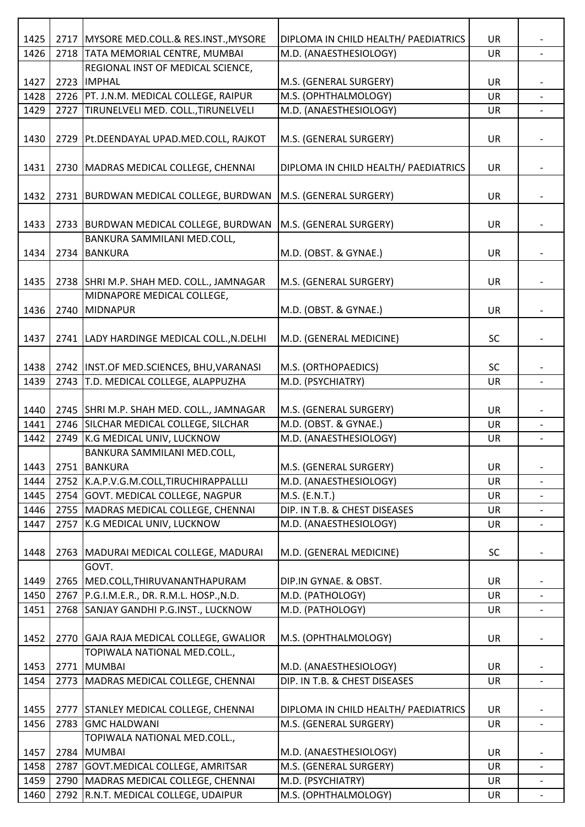| 1425 | 2717 | MYSORE MED.COLL.& RES.INST., MYSORE        | DIPLOMA IN CHILD HEALTH/ PAEDIATRICS | <b>UR</b> |                          |
|------|------|--------------------------------------------|--------------------------------------|-----------|--------------------------|
| 1426 | 2718 | <b>TATA MEMORIAL CENTRE, MUMBAI</b>        | M.D. (ANAESTHESIOLOGY)               | UR        |                          |
|      |      | REGIONAL INST OF MEDICAL SCIENCE,          |                                      |           |                          |
| 1427 | 2723 | <b>IMPHAL</b>                              | M.S. (GENERAL SURGERY)               | <b>UR</b> |                          |
| 1428 |      | 2726   PT. J.N.M. MEDICAL COLLEGE, RAIPUR  | M.S. (OPHTHALMOLOGY)                 | UR        |                          |
| 1429 | 2727 | TIRUNELVELI MED. COLL., TIRUNELVELI        | M.D. (ANAESTHESIOLOGY)               | UR        |                          |
|      |      |                                            |                                      |           |                          |
| 1430 | 2729 | Pt.DEENDAYAL UPAD.MED.COLL, RAJKOT         | M.S. (GENERAL SURGERY)               | UR        |                          |
|      |      |                                            |                                      |           |                          |
| 1431 |      | 2730   MADRAS MEDICAL COLLEGE, CHENNAI     | DIPLOMA IN CHILD HEALTH/ PAEDIATRICS | UR        |                          |
|      |      |                                            |                                      |           |                          |
| 1432 |      | 2731   BURDWAN MEDICAL COLLEGE, BURDWAN    | M.S. (GENERAL SURGERY)               | <b>UR</b> |                          |
|      |      |                                            |                                      |           |                          |
| 1433 |      | 2733 BURDWAN MEDICAL COLLEGE, BURDWAN      | M.S. (GENERAL SURGERY)               | <b>UR</b> |                          |
|      |      | BANKURA SAMMILANI MED.COLL,                |                                      |           |                          |
| 1434 | 2734 | <b>BANKURA</b>                             | M.D. (OBST. & GYNAE.)                | <b>UR</b> |                          |
|      |      |                                            |                                      |           |                          |
| 1435 |      | 2738 SHRI M.P. SHAH MED. COLL., JAMNAGAR   | M.S. (GENERAL SURGERY)               | UR        |                          |
|      |      | MIDNAPORE MEDICAL COLLEGE,                 |                                      |           |                          |
| 1436 | 2740 | MIDNAPUR                                   | M.D. (OBST. & GYNAE.)                | <b>UR</b> |                          |
|      |      |                                            |                                      |           |                          |
| 1437 |      | 2741 LADY HARDINGE MEDICAL COLL., N.DELHI  | M.D. (GENERAL MEDICINE)              | <b>SC</b> |                          |
|      |      |                                            |                                      |           |                          |
| 1438 |      | 2742   INST.OF MED.SCIENCES, BHU, VARANASI | M.S. (ORTHOPAEDICS)                  | <b>SC</b> |                          |
| 1439 | 2743 | T.D. MEDICAL COLLEGE, ALAPPUZHA            | M.D. (PSYCHIATRY)                    | <b>UR</b> |                          |
|      |      |                                            |                                      |           |                          |
| 1440 | 2745 | SHRI M.P. SHAH MED. COLL., JAMNAGAR        | M.S. (GENERAL SURGERY)               | <b>UR</b> |                          |
| 1441 | 2746 | SILCHAR MEDICAL COLLEGE, SILCHAR           | M.D. (OBST. & GYNAE.)                | <b>UR</b> |                          |
| 1442 | 2749 | K.G MEDICAL UNIV, LUCKNOW                  | M.D. (ANAESTHESIOLOGY)               | UR        |                          |
|      |      | <b>BANKURA SAMMILANI MED.COLL,</b>         |                                      |           |                          |
| 1443 |      | 2751 BANKURA                               | M.S. (GENERAL SURGERY)               | <b>UR</b> |                          |
| 1444 | 2752 | K.A.P.V.G.M.COLL,TIRUCHIRAPPALLLI          | M.D. (ANAESTHESIOLOGY)               | UR        |                          |
| 1445 | 2754 | GOVT. MEDICAL COLLEGE, NAGPUR              | M.S. (E.N.T.)                        | UR        | $\overline{\phantom{a}}$ |
| 1446 | 2755 | MADRAS MEDICAL COLLEGE, CHENNAI            | DIP. IN T.B. & CHEST DISEASES        | <b>UR</b> |                          |
| 1447 | 2757 | K.G MEDICAL UNIV, LUCKNOW                  | M.D. (ANAESTHESIOLOGY)               | UR        |                          |
|      |      |                                            |                                      |           |                          |
| 1448 |      | 2763 MADURAI MEDICAL COLLEGE, MADURAI      | M.D. (GENERAL MEDICINE)              | <b>SC</b> |                          |
|      |      | GOVT.                                      |                                      |           |                          |
| 1449 | 2765 | MED.COLL, THIRUVANANTHAPURAM               | DIP.IN GYNAE. & OBST.                | <b>UR</b> |                          |
| 1450 | 2767 | P.G.I.M.E.R., DR. R.M.L. HOSP., N.D.       | M.D. (PATHOLOGY)                     | <b>UR</b> |                          |
| 1451 | 2768 | SANJAY GANDHI P.G.INST., LUCKNOW           | M.D. (PATHOLOGY)                     | <b>UR</b> |                          |
|      |      |                                            |                                      |           |                          |
| 1452 |      | 2770 GAJA RAJA MEDICAL COLLEGE, GWALIOR    | M.S. (OPHTHALMOLOGY)                 | UR        |                          |
|      |      | TOPIWALA NATIONAL MED.COLL.,               |                                      |           |                          |
| 1453 | 2771 | <b>MUMBAI</b>                              | M.D. (ANAESTHESIOLOGY)               | UR        |                          |
| 1454 | 2773 | MADRAS MEDICAL COLLEGE, CHENNAI            | DIP. IN T.B. & CHEST DISEASES        | <b>UR</b> |                          |
|      |      |                                            |                                      |           |                          |
| 1455 | 2777 | <b>STANLEY MEDICAL COLLEGE, CHENNAI</b>    | DIPLOMA IN CHILD HEALTH/ PAEDIATRICS | <b>UR</b> |                          |
| 1456 |      | 2783 GMC HALDWANI                          | M.S. (GENERAL SURGERY)               | UR        |                          |
|      |      | TOPIWALA NATIONAL MED.COLL.,               |                                      |           |                          |
| 1457 | 2784 | <b>MUMBAI</b>                              | M.D. (ANAESTHESIOLOGY)               | <b>UR</b> |                          |
| 1458 | 2787 | GOVT. MEDICAL COLLEGE, AMRITSAR            | M.S. (GENERAL SURGERY)               | <b>UR</b> | $\overline{\phantom{a}}$ |
| 1459 | 2790 | MADRAS MEDICAL COLLEGE, CHENNAI            | M.D. (PSYCHIATRY)                    | <b>UR</b> |                          |
| 1460 |      | 2792 R.N.T. MEDICAL COLLEGE, UDAIPUR       | M.S. (OPHTHALMOLOGY)                 | UR        |                          |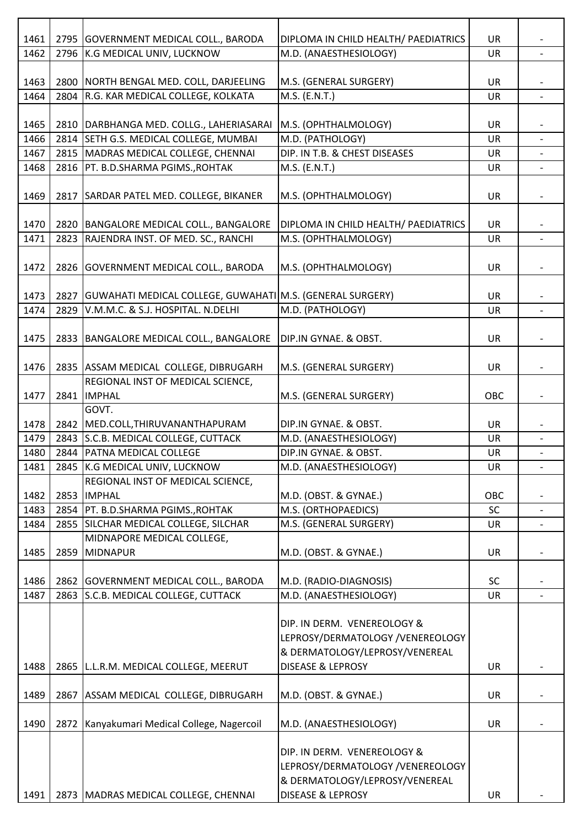| 2795 GOVERNMENT MEDICAL COLL., BARODA<br>1462<br>K.G MEDICAL UNIV, LUCKNOW<br>M.D. (ANAESTHESIOLOGY)<br>2796<br>UR<br>1463<br>2800 NORTH BENGAL MED. COLL, DARJEELING<br>M.S. (GENERAL SURGERY)<br><b>UR</b><br>1464<br>R.G. KAR MEDICAL COLLEGE, KOLKATA<br>M.S. (E.N.T.)<br>2804<br>UR<br>$\blacksquare$<br>DARBHANGA MED. COLLG., LAHERIASARAI<br>M.S. (OPHTHALMOLOGY)<br>1465<br>2810<br><b>UR</b><br>1466<br>SETH G.S. MEDICAL COLLEGE, MUMBAI<br>M.D. (PATHOLOGY)<br>2814<br><b>UR</b><br>DIP. IN T.B. & CHEST DISEASES<br>1467<br>2815<br>MADRAS MEDICAL COLLEGE, CHENNAI<br>UR<br>PT. B.D.SHARMA PGIMS., ROHTAK<br>M.S. (E.N.T.)<br>1468<br>2816<br>UR<br>1469<br>SARDAR PATEL MED. COLLEGE, BIKANER<br>2817<br>M.S. (OPHTHALMOLOGY)<br><b>UR</b><br>2820 BANGALORE MEDICAL COLL., BANGALORE<br>DIPLOMA IN CHILD HEALTH/ PAEDIATRICS<br>1470<br><b>UR</b><br>RAJENDRA INST. OF MED. SC., RANCHI<br>1471<br>M.S. (OPHTHALMOLOGY)<br>UR<br>2823<br>$\overline{\phantom{a}}$<br>1472<br>2826 GOVERNMENT MEDICAL COLL., BARODA<br>M.S. (OPHTHALMOLOGY)<br>UR<br>1473<br>2827<br>GUWAHATI MEDICAL COLLEGE, GUWAHATI M.S. (GENERAL SURGERY)<br><b>UR</b><br>1474<br>2829<br>V.M.M.C. & S.J. HOSPITAL. N.DELHI<br>M.D. (PATHOLOGY)<br><b>UR</b><br>BANGALORE MEDICAL COLL., BANGALORE<br>DIP.IN GYNAE. & OBST.<br>1475<br>2833<br>UR<br>1476<br>2835 ASSAM MEDICAL COLLEGE, DIBRUGARH<br>M.S. (GENERAL SURGERY)<br><b>UR</b><br>REGIONAL INST OF MEDICAL SCIENCE,<br><b>IMPHAL</b><br>M.S. (GENERAL SURGERY)<br>2841<br>OBC<br>1477<br>GOVT.<br>1478<br>2842<br>MED.COLL, THIRUVANANTHAPURAM<br>DIP.IN GYNAE. & OBST.<br>UR<br>S.C.B. MEDICAL COLLEGE, CUTTACK<br>M.D. (ANAESTHESIOLOGY)<br>1479<br>2843<br>UR<br>$\overline{\phantom{0}}$<br>1480<br>DIP.IN GYNAE. & OBST.<br>2844   PATNA MEDICAL COLLEGE<br>UR<br>1481<br>2845<br>K.G MEDICAL UNIV, LUCKNOW<br>M.D. (ANAESTHESIOLOGY)<br>UR<br>$\overline{\phantom{0}}$<br>REGIONAL INST OF MEDICAL SCIENCE,<br>2853<br><b>IMPHAL</b><br>M.D. (OBST. & GYNAE.)<br>1482<br>OBC<br>1483<br>M.S. (ORTHOPAEDICS)<br>PT. B.D.SHARMA PGIMS., ROHTAK<br><b>SC</b><br>2854<br>SILCHAR MEDICAL COLLEGE, SILCHAR<br>M.S. (GENERAL SURGERY)<br>1484<br>2855<br>UR<br>MIDNAPORE MEDICAL COLLEGE,<br>2859<br>MIDNAPUR<br>M.D. (OBST. & GYNAE.)<br>1485<br><b>UR</b><br>1486<br>2862 GOVERNMENT MEDICAL COLL., BARODA<br>M.D. (RADIO-DIAGNOSIS)<br><b>SC</b><br>S.C.B. MEDICAL COLLEGE, CUTTACK<br>M.D. (ANAESTHESIOLOGY)<br>1487<br>2863<br>UR<br>DIP. IN DERM. VENEREOLOGY &<br>LEPROSY/DERMATOLOGY /VENEREOLOGY<br>& DERMATOLOGY/LEPROSY/VENEREAL<br>1488<br><b>DISEASE &amp; LEPROSY</b><br>2865<br>L.L.R.M. MEDICAL COLLEGE, MEERUT<br><b>UR</b><br>1489<br>2867<br>ASSAM MEDICAL COLLEGE, DIBRUGARH<br>M.D. (OBST. & GYNAE.)<br>UR<br>1490<br>2872<br>Kanyakumari Medical College, Nagercoil<br>M.D. (ANAESTHESIOLOGY)<br>UR<br>DIP. IN DERM. VENEREOLOGY &<br>LEPROSY/DERMATOLOGY /VENEREOLOGY<br>& DERMATOLOGY/LEPROSY/VENEREAL<br><b>DISEASE &amp; LEPROSY</b><br>1491<br>2873 MADRAS MEDICAL COLLEGE, CHENNAI<br>UR |      |  |                                      |           |  |
|---------------------------------------------------------------------------------------------------------------------------------------------------------------------------------------------------------------------------------------------------------------------------------------------------------------------------------------------------------------------------------------------------------------------------------------------------------------------------------------------------------------------------------------------------------------------------------------------------------------------------------------------------------------------------------------------------------------------------------------------------------------------------------------------------------------------------------------------------------------------------------------------------------------------------------------------------------------------------------------------------------------------------------------------------------------------------------------------------------------------------------------------------------------------------------------------------------------------------------------------------------------------------------------------------------------------------------------------------------------------------------------------------------------------------------------------------------------------------------------------------------------------------------------------------------------------------------------------------------------------------------------------------------------------------------------------------------------------------------------------------------------------------------------------------------------------------------------------------------------------------------------------------------------------------------------------------------------------------------------------------------------------------------------------------------------------------------------------------------------------------------------------------------------------------------------------------------------------------------------------------------------------------------------------------------------------------------------------------------------------------------------------------------------------------------------------------------------------------------------------------------------------------------------------------------------------------------------------------------------------------------------------------------------------------------------------------------------------------------------------------------------------------------------------------------------------------------------------------------------------------------------------------------------------------------------------------------------------------------------------------------------------------------------------------------------------|------|--|--------------------------------------|-----------|--|
|                                                                                                                                                                                                                                                                                                                                                                                                                                                                                                                                                                                                                                                                                                                                                                                                                                                                                                                                                                                                                                                                                                                                                                                                                                                                                                                                                                                                                                                                                                                                                                                                                                                                                                                                                                                                                                                                                                                                                                                                                                                                                                                                                                                                                                                                                                                                                                                                                                                                                                                                                                                                                                                                                                                                                                                                                                                                                                                                                                                                                                                                     | 1461 |  | DIPLOMA IN CHILD HEALTH/ PAEDIATRICS | <b>UR</b> |  |
|                                                                                                                                                                                                                                                                                                                                                                                                                                                                                                                                                                                                                                                                                                                                                                                                                                                                                                                                                                                                                                                                                                                                                                                                                                                                                                                                                                                                                                                                                                                                                                                                                                                                                                                                                                                                                                                                                                                                                                                                                                                                                                                                                                                                                                                                                                                                                                                                                                                                                                                                                                                                                                                                                                                                                                                                                                                                                                                                                                                                                                                                     |      |  |                                      |           |  |
|                                                                                                                                                                                                                                                                                                                                                                                                                                                                                                                                                                                                                                                                                                                                                                                                                                                                                                                                                                                                                                                                                                                                                                                                                                                                                                                                                                                                                                                                                                                                                                                                                                                                                                                                                                                                                                                                                                                                                                                                                                                                                                                                                                                                                                                                                                                                                                                                                                                                                                                                                                                                                                                                                                                                                                                                                                                                                                                                                                                                                                                                     |      |  |                                      |           |  |
|                                                                                                                                                                                                                                                                                                                                                                                                                                                                                                                                                                                                                                                                                                                                                                                                                                                                                                                                                                                                                                                                                                                                                                                                                                                                                                                                                                                                                                                                                                                                                                                                                                                                                                                                                                                                                                                                                                                                                                                                                                                                                                                                                                                                                                                                                                                                                                                                                                                                                                                                                                                                                                                                                                                                                                                                                                                                                                                                                                                                                                                                     |      |  |                                      |           |  |
|                                                                                                                                                                                                                                                                                                                                                                                                                                                                                                                                                                                                                                                                                                                                                                                                                                                                                                                                                                                                                                                                                                                                                                                                                                                                                                                                                                                                                                                                                                                                                                                                                                                                                                                                                                                                                                                                                                                                                                                                                                                                                                                                                                                                                                                                                                                                                                                                                                                                                                                                                                                                                                                                                                                                                                                                                                                                                                                                                                                                                                                                     |      |  |                                      |           |  |
|                                                                                                                                                                                                                                                                                                                                                                                                                                                                                                                                                                                                                                                                                                                                                                                                                                                                                                                                                                                                                                                                                                                                                                                                                                                                                                                                                                                                                                                                                                                                                                                                                                                                                                                                                                                                                                                                                                                                                                                                                                                                                                                                                                                                                                                                                                                                                                                                                                                                                                                                                                                                                                                                                                                                                                                                                                                                                                                                                                                                                                                                     |      |  |                                      |           |  |
|                                                                                                                                                                                                                                                                                                                                                                                                                                                                                                                                                                                                                                                                                                                                                                                                                                                                                                                                                                                                                                                                                                                                                                                                                                                                                                                                                                                                                                                                                                                                                                                                                                                                                                                                                                                                                                                                                                                                                                                                                                                                                                                                                                                                                                                                                                                                                                                                                                                                                                                                                                                                                                                                                                                                                                                                                                                                                                                                                                                                                                                                     |      |  |                                      |           |  |
|                                                                                                                                                                                                                                                                                                                                                                                                                                                                                                                                                                                                                                                                                                                                                                                                                                                                                                                                                                                                                                                                                                                                                                                                                                                                                                                                                                                                                                                                                                                                                                                                                                                                                                                                                                                                                                                                                                                                                                                                                                                                                                                                                                                                                                                                                                                                                                                                                                                                                                                                                                                                                                                                                                                                                                                                                                                                                                                                                                                                                                                                     |      |  |                                      |           |  |
|                                                                                                                                                                                                                                                                                                                                                                                                                                                                                                                                                                                                                                                                                                                                                                                                                                                                                                                                                                                                                                                                                                                                                                                                                                                                                                                                                                                                                                                                                                                                                                                                                                                                                                                                                                                                                                                                                                                                                                                                                                                                                                                                                                                                                                                                                                                                                                                                                                                                                                                                                                                                                                                                                                                                                                                                                                                                                                                                                                                                                                                                     |      |  |                                      |           |  |
|                                                                                                                                                                                                                                                                                                                                                                                                                                                                                                                                                                                                                                                                                                                                                                                                                                                                                                                                                                                                                                                                                                                                                                                                                                                                                                                                                                                                                                                                                                                                                                                                                                                                                                                                                                                                                                                                                                                                                                                                                                                                                                                                                                                                                                                                                                                                                                                                                                                                                                                                                                                                                                                                                                                                                                                                                                                                                                                                                                                                                                                                     |      |  |                                      |           |  |
|                                                                                                                                                                                                                                                                                                                                                                                                                                                                                                                                                                                                                                                                                                                                                                                                                                                                                                                                                                                                                                                                                                                                                                                                                                                                                                                                                                                                                                                                                                                                                                                                                                                                                                                                                                                                                                                                                                                                                                                                                                                                                                                                                                                                                                                                                                                                                                                                                                                                                                                                                                                                                                                                                                                                                                                                                                                                                                                                                                                                                                                                     |      |  |                                      |           |  |
|                                                                                                                                                                                                                                                                                                                                                                                                                                                                                                                                                                                                                                                                                                                                                                                                                                                                                                                                                                                                                                                                                                                                                                                                                                                                                                                                                                                                                                                                                                                                                                                                                                                                                                                                                                                                                                                                                                                                                                                                                                                                                                                                                                                                                                                                                                                                                                                                                                                                                                                                                                                                                                                                                                                                                                                                                                                                                                                                                                                                                                                                     |      |  |                                      |           |  |
|                                                                                                                                                                                                                                                                                                                                                                                                                                                                                                                                                                                                                                                                                                                                                                                                                                                                                                                                                                                                                                                                                                                                                                                                                                                                                                                                                                                                                                                                                                                                                                                                                                                                                                                                                                                                                                                                                                                                                                                                                                                                                                                                                                                                                                                                                                                                                                                                                                                                                                                                                                                                                                                                                                                                                                                                                                                                                                                                                                                                                                                                     |      |  |                                      |           |  |
|                                                                                                                                                                                                                                                                                                                                                                                                                                                                                                                                                                                                                                                                                                                                                                                                                                                                                                                                                                                                                                                                                                                                                                                                                                                                                                                                                                                                                                                                                                                                                                                                                                                                                                                                                                                                                                                                                                                                                                                                                                                                                                                                                                                                                                                                                                                                                                                                                                                                                                                                                                                                                                                                                                                                                                                                                                                                                                                                                                                                                                                                     |      |  |                                      |           |  |
|                                                                                                                                                                                                                                                                                                                                                                                                                                                                                                                                                                                                                                                                                                                                                                                                                                                                                                                                                                                                                                                                                                                                                                                                                                                                                                                                                                                                                                                                                                                                                                                                                                                                                                                                                                                                                                                                                                                                                                                                                                                                                                                                                                                                                                                                                                                                                                                                                                                                                                                                                                                                                                                                                                                                                                                                                                                                                                                                                                                                                                                                     |      |  |                                      |           |  |
|                                                                                                                                                                                                                                                                                                                                                                                                                                                                                                                                                                                                                                                                                                                                                                                                                                                                                                                                                                                                                                                                                                                                                                                                                                                                                                                                                                                                                                                                                                                                                                                                                                                                                                                                                                                                                                                                                                                                                                                                                                                                                                                                                                                                                                                                                                                                                                                                                                                                                                                                                                                                                                                                                                                                                                                                                                                                                                                                                                                                                                                                     |      |  |                                      |           |  |
|                                                                                                                                                                                                                                                                                                                                                                                                                                                                                                                                                                                                                                                                                                                                                                                                                                                                                                                                                                                                                                                                                                                                                                                                                                                                                                                                                                                                                                                                                                                                                                                                                                                                                                                                                                                                                                                                                                                                                                                                                                                                                                                                                                                                                                                                                                                                                                                                                                                                                                                                                                                                                                                                                                                                                                                                                                                                                                                                                                                                                                                                     |      |  |                                      |           |  |
|                                                                                                                                                                                                                                                                                                                                                                                                                                                                                                                                                                                                                                                                                                                                                                                                                                                                                                                                                                                                                                                                                                                                                                                                                                                                                                                                                                                                                                                                                                                                                                                                                                                                                                                                                                                                                                                                                                                                                                                                                                                                                                                                                                                                                                                                                                                                                                                                                                                                                                                                                                                                                                                                                                                                                                                                                                                                                                                                                                                                                                                                     |      |  |                                      |           |  |
|                                                                                                                                                                                                                                                                                                                                                                                                                                                                                                                                                                                                                                                                                                                                                                                                                                                                                                                                                                                                                                                                                                                                                                                                                                                                                                                                                                                                                                                                                                                                                                                                                                                                                                                                                                                                                                                                                                                                                                                                                                                                                                                                                                                                                                                                                                                                                                                                                                                                                                                                                                                                                                                                                                                                                                                                                                                                                                                                                                                                                                                                     |      |  |                                      |           |  |
|                                                                                                                                                                                                                                                                                                                                                                                                                                                                                                                                                                                                                                                                                                                                                                                                                                                                                                                                                                                                                                                                                                                                                                                                                                                                                                                                                                                                                                                                                                                                                                                                                                                                                                                                                                                                                                                                                                                                                                                                                                                                                                                                                                                                                                                                                                                                                                                                                                                                                                                                                                                                                                                                                                                                                                                                                                                                                                                                                                                                                                                                     |      |  |                                      |           |  |
|                                                                                                                                                                                                                                                                                                                                                                                                                                                                                                                                                                                                                                                                                                                                                                                                                                                                                                                                                                                                                                                                                                                                                                                                                                                                                                                                                                                                                                                                                                                                                                                                                                                                                                                                                                                                                                                                                                                                                                                                                                                                                                                                                                                                                                                                                                                                                                                                                                                                                                                                                                                                                                                                                                                                                                                                                                                                                                                                                                                                                                                                     |      |  |                                      |           |  |
|                                                                                                                                                                                                                                                                                                                                                                                                                                                                                                                                                                                                                                                                                                                                                                                                                                                                                                                                                                                                                                                                                                                                                                                                                                                                                                                                                                                                                                                                                                                                                                                                                                                                                                                                                                                                                                                                                                                                                                                                                                                                                                                                                                                                                                                                                                                                                                                                                                                                                                                                                                                                                                                                                                                                                                                                                                                                                                                                                                                                                                                                     |      |  |                                      |           |  |
|                                                                                                                                                                                                                                                                                                                                                                                                                                                                                                                                                                                                                                                                                                                                                                                                                                                                                                                                                                                                                                                                                                                                                                                                                                                                                                                                                                                                                                                                                                                                                                                                                                                                                                                                                                                                                                                                                                                                                                                                                                                                                                                                                                                                                                                                                                                                                                                                                                                                                                                                                                                                                                                                                                                                                                                                                                                                                                                                                                                                                                                                     |      |  |                                      |           |  |
|                                                                                                                                                                                                                                                                                                                                                                                                                                                                                                                                                                                                                                                                                                                                                                                                                                                                                                                                                                                                                                                                                                                                                                                                                                                                                                                                                                                                                                                                                                                                                                                                                                                                                                                                                                                                                                                                                                                                                                                                                                                                                                                                                                                                                                                                                                                                                                                                                                                                                                                                                                                                                                                                                                                                                                                                                                                                                                                                                                                                                                                                     |      |  |                                      |           |  |
|                                                                                                                                                                                                                                                                                                                                                                                                                                                                                                                                                                                                                                                                                                                                                                                                                                                                                                                                                                                                                                                                                                                                                                                                                                                                                                                                                                                                                                                                                                                                                                                                                                                                                                                                                                                                                                                                                                                                                                                                                                                                                                                                                                                                                                                                                                                                                                                                                                                                                                                                                                                                                                                                                                                                                                                                                                                                                                                                                                                                                                                                     |      |  |                                      |           |  |
|                                                                                                                                                                                                                                                                                                                                                                                                                                                                                                                                                                                                                                                                                                                                                                                                                                                                                                                                                                                                                                                                                                                                                                                                                                                                                                                                                                                                                                                                                                                                                                                                                                                                                                                                                                                                                                                                                                                                                                                                                                                                                                                                                                                                                                                                                                                                                                                                                                                                                                                                                                                                                                                                                                                                                                                                                                                                                                                                                                                                                                                                     |      |  |                                      |           |  |
|                                                                                                                                                                                                                                                                                                                                                                                                                                                                                                                                                                                                                                                                                                                                                                                                                                                                                                                                                                                                                                                                                                                                                                                                                                                                                                                                                                                                                                                                                                                                                                                                                                                                                                                                                                                                                                                                                                                                                                                                                                                                                                                                                                                                                                                                                                                                                                                                                                                                                                                                                                                                                                                                                                                                                                                                                                                                                                                                                                                                                                                                     |      |  |                                      |           |  |
|                                                                                                                                                                                                                                                                                                                                                                                                                                                                                                                                                                                                                                                                                                                                                                                                                                                                                                                                                                                                                                                                                                                                                                                                                                                                                                                                                                                                                                                                                                                                                                                                                                                                                                                                                                                                                                                                                                                                                                                                                                                                                                                                                                                                                                                                                                                                                                                                                                                                                                                                                                                                                                                                                                                                                                                                                                                                                                                                                                                                                                                                     |      |  |                                      |           |  |
|                                                                                                                                                                                                                                                                                                                                                                                                                                                                                                                                                                                                                                                                                                                                                                                                                                                                                                                                                                                                                                                                                                                                                                                                                                                                                                                                                                                                                                                                                                                                                                                                                                                                                                                                                                                                                                                                                                                                                                                                                                                                                                                                                                                                                                                                                                                                                                                                                                                                                                                                                                                                                                                                                                                                                                                                                                                                                                                                                                                                                                                                     |      |  |                                      |           |  |
|                                                                                                                                                                                                                                                                                                                                                                                                                                                                                                                                                                                                                                                                                                                                                                                                                                                                                                                                                                                                                                                                                                                                                                                                                                                                                                                                                                                                                                                                                                                                                                                                                                                                                                                                                                                                                                                                                                                                                                                                                                                                                                                                                                                                                                                                                                                                                                                                                                                                                                                                                                                                                                                                                                                                                                                                                                                                                                                                                                                                                                                                     |      |  |                                      |           |  |
|                                                                                                                                                                                                                                                                                                                                                                                                                                                                                                                                                                                                                                                                                                                                                                                                                                                                                                                                                                                                                                                                                                                                                                                                                                                                                                                                                                                                                                                                                                                                                                                                                                                                                                                                                                                                                                                                                                                                                                                                                                                                                                                                                                                                                                                                                                                                                                                                                                                                                                                                                                                                                                                                                                                                                                                                                                                                                                                                                                                                                                                                     |      |  |                                      |           |  |
|                                                                                                                                                                                                                                                                                                                                                                                                                                                                                                                                                                                                                                                                                                                                                                                                                                                                                                                                                                                                                                                                                                                                                                                                                                                                                                                                                                                                                                                                                                                                                                                                                                                                                                                                                                                                                                                                                                                                                                                                                                                                                                                                                                                                                                                                                                                                                                                                                                                                                                                                                                                                                                                                                                                                                                                                                                                                                                                                                                                                                                                                     |      |  |                                      |           |  |
|                                                                                                                                                                                                                                                                                                                                                                                                                                                                                                                                                                                                                                                                                                                                                                                                                                                                                                                                                                                                                                                                                                                                                                                                                                                                                                                                                                                                                                                                                                                                                                                                                                                                                                                                                                                                                                                                                                                                                                                                                                                                                                                                                                                                                                                                                                                                                                                                                                                                                                                                                                                                                                                                                                                                                                                                                                                                                                                                                                                                                                                                     |      |  |                                      |           |  |
|                                                                                                                                                                                                                                                                                                                                                                                                                                                                                                                                                                                                                                                                                                                                                                                                                                                                                                                                                                                                                                                                                                                                                                                                                                                                                                                                                                                                                                                                                                                                                                                                                                                                                                                                                                                                                                                                                                                                                                                                                                                                                                                                                                                                                                                                                                                                                                                                                                                                                                                                                                                                                                                                                                                                                                                                                                                                                                                                                                                                                                                                     |      |  |                                      |           |  |
|                                                                                                                                                                                                                                                                                                                                                                                                                                                                                                                                                                                                                                                                                                                                                                                                                                                                                                                                                                                                                                                                                                                                                                                                                                                                                                                                                                                                                                                                                                                                                                                                                                                                                                                                                                                                                                                                                                                                                                                                                                                                                                                                                                                                                                                                                                                                                                                                                                                                                                                                                                                                                                                                                                                                                                                                                                                                                                                                                                                                                                                                     |      |  |                                      |           |  |
|                                                                                                                                                                                                                                                                                                                                                                                                                                                                                                                                                                                                                                                                                                                                                                                                                                                                                                                                                                                                                                                                                                                                                                                                                                                                                                                                                                                                                                                                                                                                                                                                                                                                                                                                                                                                                                                                                                                                                                                                                                                                                                                                                                                                                                                                                                                                                                                                                                                                                                                                                                                                                                                                                                                                                                                                                                                                                                                                                                                                                                                                     |      |  |                                      |           |  |
|                                                                                                                                                                                                                                                                                                                                                                                                                                                                                                                                                                                                                                                                                                                                                                                                                                                                                                                                                                                                                                                                                                                                                                                                                                                                                                                                                                                                                                                                                                                                                                                                                                                                                                                                                                                                                                                                                                                                                                                                                                                                                                                                                                                                                                                                                                                                                                                                                                                                                                                                                                                                                                                                                                                                                                                                                                                                                                                                                                                                                                                                     |      |  |                                      |           |  |
|                                                                                                                                                                                                                                                                                                                                                                                                                                                                                                                                                                                                                                                                                                                                                                                                                                                                                                                                                                                                                                                                                                                                                                                                                                                                                                                                                                                                                                                                                                                                                                                                                                                                                                                                                                                                                                                                                                                                                                                                                                                                                                                                                                                                                                                                                                                                                                                                                                                                                                                                                                                                                                                                                                                                                                                                                                                                                                                                                                                                                                                                     |      |  |                                      |           |  |
|                                                                                                                                                                                                                                                                                                                                                                                                                                                                                                                                                                                                                                                                                                                                                                                                                                                                                                                                                                                                                                                                                                                                                                                                                                                                                                                                                                                                                                                                                                                                                                                                                                                                                                                                                                                                                                                                                                                                                                                                                                                                                                                                                                                                                                                                                                                                                                                                                                                                                                                                                                                                                                                                                                                                                                                                                                                                                                                                                                                                                                                                     |      |  |                                      |           |  |
|                                                                                                                                                                                                                                                                                                                                                                                                                                                                                                                                                                                                                                                                                                                                                                                                                                                                                                                                                                                                                                                                                                                                                                                                                                                                                                                                                                                                                                                                                                                                                                                                                                                                                                                                                                                                                                                                                                                                                                                                                                                                                                                                                                                                                                                                                                                                                                                                                                                                                                                                                                                                                                                                                                                                                                                                                                                                                                                                                                                                                                                                     |      |  |                                      |           |  |
|                                                                                                                                                                                                                                                                                                                                                                                                                                                                                                                                                                                                                                                                                                                                                                                                                                                                                                                                                                                                                                                                                                                                                                                                                                                                                                                                                                                                                                                                                                                                                                                                                                                                                                                                                                                                                                                                                                                                                                                                                                                                                                                                                                                                                                                                                                                                                                                                                                                                                                                                                                                                                                                                                                                                                                                                                                                                                                                                                                                                                                                                     |      |  |                                      |           |  |
|                                                                                                                                                                                                                                                                                                                                                                                                                                                                                                                                                                                                                                                                                                                                                                                                                                                                                                                                                                                                                                                                                                                                                                                                                                                                                                                                                                                                                                                                                                                                                                                                                                                                                                                                                                                                                                                                                                                                                                                                                                                                                                                                                                                                                                                                                                                                                                                                                                                                                                                                                                                                                                                                                                                                                                                                                                                                                                                                                                                                                                                                     |      |  |                                      |           |  |
|                                                                                                                                                                                                                                                                                                                                                                                                                                                                                                                                                                                                                                                                                                                                                                                                                                                                                                                                                                                                                                                                                                                                                                                                                                                                                                                                                                                                                                                                                                                                                                                                                                                                                                                                                                                                                                                                                                                                                                                                                                                                                                                                                                                                                                                                                                                                                                                                                                                                                                                                                                                                                                                                                                                                                                                                                                                                                                                                                                                                                                                                     |      |  |                                      |           |  |
|                                                                                                                                                                                                                                                                                                                                                                                                                                                                                                                                                                                                                                                                                                                                                                                                                                                                                                                                                                                                                                                                                                                                                                                                                                                                                                                                                                                                                                                                                                                                                                                                                                                                                                                                                                                                                                                                                                                                                                                                                                                                                                                                                                                                                                                                                                                                                                                                                                                                                                                                                                                                                                                                                                                                                                                                                                                                                                                                                                                                                                                                     |      |  |                                      |           |  |
|                                                                                                                                                                                                                                                                                                                                                                                                                                                                                                                                                                                                                                                                                                                                                                                                                                                                                                                                                                                                                                                                                                                                                                                                                                                                                                                                                                                                                                                                                                                                                                                                                                                                                                                                                                                                                                                                                                                                                                                                                                                                                                                                                                                                                                                                                                                                                                                                                                                                                                                                                                                                                                                                                                                                                                                                                                                                                                                                                                                                                                                                     |      |  |                                      |           |  |
|                                                                                                                                                                                                                                                                                                                                                                                                                                                                                                                                                                                                                                                                                                                                                                                                                                                                                                                                                                                                                                                                                                                                                                                                                                                                                                                                                                                                                                                                                                                                                                                                                                                                                                                                                                                                                                                                                                                                                                                                                                                                                                                                                                                                                                                                                                                                                                                                                                                                                                                                                                                                                                                                                                                                                                                                                                                                                                                                                                                                                                                                     |      |  |                                      |           |  |
|                                                                                                                                                                                                                                                                                                                                                                                                                                                                                                                                                                                                                                                                                                                                                                                                                                                                                                                                                                                                                                                                                                                                                                                                                                                                                                                                                                                                                                                                                                                                                                                                                                                                                                                                                                                                                                                                                                                                                                                                                                                                                                                                                                                                                                                                                                                                                                                                                                                                                                                                                                                                                                                                                                                                                                                                                                                                                                                                                                                                                                                                     |      |  |                                      |           |  |
|                                                                                                                                                                                                                                                                                                                                                                                                                                                                                                                                                                                                                                                                                                                                                                                                                                                                                                                                                                                                                                                                                                                                                                                                                                                                                                                                                                                                                                                                                                                                                                                                                                                                                                                                                                                                                                                                                                                                                                                                                                                                                                                                                                                                                                                                                                                                                                                                                                                                                                                                                                                                                                                                                                                                                                                                                                                                                                                                                                                                                                                                     |      |  |                                      |           |  |
|                                                                                                                                                                                                                                                                                                                                                                                                                                                                                                                                                                                                                                                                                                                                                                                                                                                                                                                                                                                                                                                                                                                                                                                                                                                                                                                                                                                                                                                                                                                                                                                                                                                                                                                                                                                                                                                                                                                                                                                                                                                                                                                                                                                                                                                                                                                                                                                                                                                                                                                                                                                                                                                                                                                                                                                                                                                                                                                                                                                                                                                                     |      |  |                                      |           |  |
|                                                                                                                                                                                                                                                                                                                                                                                                                                                                                                                                                                                                                                                                                                                                                                                                                                                                                                                                                                                                                                                                                                                                                                                                                                                                                                                                                                                                                                                                                                                                                                                                                                                                                                                                                                                                                                                                                                                                                                                                                                                                                                                                                                                                                                                                                                                                                                                                                                                                                                                                                                                                                                                                                                                                                                                                                                                                                                                                                                                                                                                                     |      |  |                                      |           |  |
|                                                                                                                                                                                                                                                                                                                                                                                                                                                                                                                                                                                                                                                                                                                                                                                                                                                                                                                                                                                                                                                                                                                                                                                                                                                                                                                                                                                                                                                                                                                                                                                                                                                                                                                                                                                                                                                                                                                                                                                                                                                                                                                                                                                                                                                                                                                                                                                                                                                                                                                                                                                                                                                                                                                                                                                                                                                                                                                                                                                                                                                                     |      |  |                                      |           |  |
|                                                                                                                                                                                                                                                                                                                                                                                                                                                                                                                                                                                                                                                                                                                                                                                                                                                                                                                                                                                                                                                                                                                                                                                                                                                                                                                                                                                                                                                                                                                                                                                                                                                                                                                                                                                                                                                                                                                                                                                                                                                                                                                                                                                                                                                                                                                                                                                                                                                                                                                                                                                                                                                                                                                                                                                                                                                                                                                                                                                                                                                                     |      |  |                                      |           |  |
|                                                                                                                                                                                                                                                                                                                                                                                                                                                                                                                                                                                                                                                                                                                                                                                                                                                                                                                                                                                                                                                                                                                                                                                                                                                                                                                                                                                                                                                                                                                                                                                                                                                                                                                                                                                                                                                                                                                                                                                                                                                                                                                                                                                                                                                                                                                                                                                                                                                                                                                                                                                                                                                                                                                                                                                                                                                                                                                                                                                                                                                                     |      |  |                                      |           |  |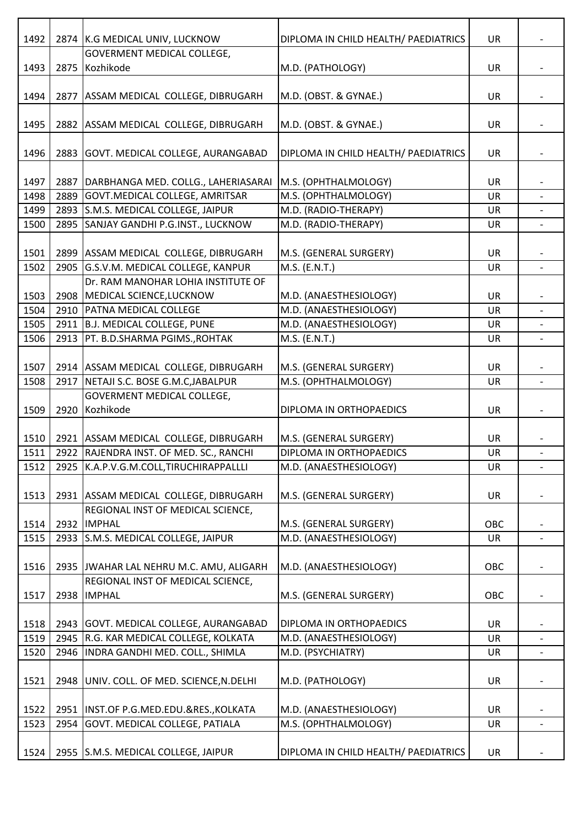| 1492 |      | 2874 K.G MEDICAL UNIV, LUCKNOW                 | DIPLOMA IN CHILD HEALTH/ PAEDIATRICS | UR        |                          |
|------|------|------------------------------------------------|--------------------------------------|-----------|--------------------------|
| 1493 | 2875 | <b>GOVERMENT MEDICAL COLLEGE,</b><br>Kozhikode | M.D. (PATHOLOGY)                     | <b>UR</b> |                          |
|      |      |                                                |                                      |           |                          |
| 1494 |      | 2877 ASSAM MEDICAL COLLEGE, DIBRUGARH          | M.D. (OBST. & GYNAE.)                | UR        |                          |
| 1495 |      | 2882 ASSAM MEDICAL COLLEGE, DIBRUGARH          | M.D. (OBST. & GYNAE.)                | UR        |                          |
| 1496 | 2883 | GOVT. MEDICAL COLLEGE, AURANGABAD              | DIPLOMA IN CHILD HEALTH/ PAEDIATRICS | <b>UR</b> |                          |
| 1497 | 2887 | DARBHANGA MED. COLLG., LAHERIASARAI            | M.S. (OPHTHALMOLOGY)                 | UR        |                          |
| 1498 | 2889 | GOVT. MEDICAL COLLEGE, AMRITSAR                | M.S. (OPHTHALMOLOGY)                 | <b>UR</b> |                          |
|      |      |                                                |                                      |           |                          |
| 1499 | 2893 | S.M.S. MEDICAL COLLEGE, JAIPUR                 | M.D. (RADIO-THERAPY)                 | <b>UR</b> |                          |
| 1500 | 2895 | SANJAY GANDHI P.G.INST., LUCKNOW               | M.D. (RADIO-THERAPY)                 | UR        |                          |
| 1501 |      | 2899 ASSAM MEDICAL COLLEGE, DIBRUGARH          | M.S. (GENERAL SURGERY)               | UR        |                          |
| 1502 |      | 2905 G.S.V.M. MEDICAL COLLEGE, KANPUR          | M.S. (E.N.T.)                        | UR        |                          |
|      |      | Dr. RAM MANOHAR LOHIA INSTITUTE OF             |                                      |           |                          |
| 1503 |      | 2908 MEDICAL SCIENCE, LUCKNOW                  | M.D. (ANAESTHESIOLOGY)               | <b>UR</b> |                          |
| 1504 | 2910 | <b>PATNA MEDICAL COLLEGE</b>                   | M.D. (ANAESTHESIOLOGY)               | <b>UR</b> |                          |
| 1505 |      |                                                |                                      | <b>UR</b> |                          |
|      |      | 2911 B.J. MEDICAL COLLEGE, PUNE                | M.D. (ANAESTHESIOLOGY)               |           |                          |
| 1506 | 2913 | PT. B.D.SHARMA PGIMS., ROHTAK                  | M.S. (E.N.T.)                        | UR        |                          |
|      |      |                                                |                                      |           |                          |
| 1507 |      | 2914 ASSAM MEDICAL COLLEGE, DIBRUGARH          | M.S. (GENERAL SURGERY)               | UR        |                          |
| 1508 | 2917 | NETAJI S.C. BOSE G.M.C, JABALPUR               | M.S. (OPHTHALMOLOGY)                 | UR        | $\overline{\phantom{a}}$ |
|      |      | GOVERMENT MEDICAL COLLEGE,                     |                                      |           |                          |
| 1509 | 2920 | Kozhikode                                      | DIPLOMA IN ORTHOPAEDICS              | UR        |                          |
|      |      |                                                |                                      |           |                          |
| 1510 |      | 2921 ASSAM MEDICAL COLLEGE, DIBRUGARH          | M.S. (GENERAL SURGERY)               | <b>UR</b> |                          |
| 1511 |      | 2922 RAJENDRA INST. OF MED. SC., RANCHI        | DIPLOMA IN ORTHOPAEDICS              | UR        | $\overline{\phantom{0}}$ |
| 1512 | 2925 | K.A.P.V.G.M.COLL,TIRUCHIRAPPALLLI              | M.D. (ANAESTHESIOLOGY)               | UR        |                          |
| 1513 | 2931 | ASSAM MEDICAL COLLEGE, DIBRUGARH               | M.S. (GENERAL SURGERY)               | <b>UR</b> |                          |
|      |      | REGIONAL INST OF MEDICAL SCIENCE,              |                                      |           |                          |
| 1514 | 2932 | <b>IMPHAL</b>                                  | M.S. (GENERAL SURGERY)               | OBC       |                          |
| 1515 |      | 2933 S.M.S. MEDICAL COLLEGE, JAIPUR            | M.D. (ANAESTHESIOLOGY)               | <b>UR</b> |                          |
|      |      |                                                |                                      |           |                          |
| 1516 |      | 2935 JWAHAR LAL NEHRU M.C. AMU, ALIGARH        | M.D. (ANAESTHESIOLOGY)               | OBC       |                          |
|      |      | REGIONAL INST OF MEDICAL SCIENCE,              |                                      |           |                          |
| 1517 | 2938 | <b>IMPHAL</b>                                  | M.S. (GENERAL SURGERY)               | OBC       |                          |
|      |      |                                                |                                      |           |                          |
| 1518 |      | 2943 GOVT. MEDICAL COLLEGE, AURANGABAD         | DIPLOMA IN ORTHOPAEDICS              | <b>UR</b> |                          |
| 1519 | 2945 | R.G. KAR MEDICAL COLLEGE, KOLKATA              | M.D. (ANAESTHESIOLOGY)               | UR        |                          |
| 1520 | 2946 | INDRA GANDHI MED. COLL., SHIMLA                | M.D. (PSYCHIATRY)                    | <b>UR</b> | $\overline{\phantom{a}}$ |
|      |      |                                                |                                      |           |                          |
| 1521 | 2948 | UNIV. COLL. OF MED. SCIENCE, N. DELHI          | M.D. (PATHOLOGY)                     | <b>UR</b> |                          |
|      |      |                                                |                                      |           |                          |
| 1522 | 2951 | INST.OF P.G.MED.EDU.&RES., KOLKATA             | M.D. (ANAESTHESIOLOGY)               | UR        |                          |
| 1523 | 2954 | GOVT. MEDICAL COLLEGE, PATIALA                 | M.S. (OPHTHALMOLOGY)                 | <b>UR</b> | $\overline{\phantom{a}}$ |
|      |      |                                                |                                      |           |                          |
| 1524 | 2955 | S.M.S. MEDICAL COLLEGE, JAIPUR                 | DIPLOMA IN CHILD HEALTH/ PAEDIATRICS | UR        |                          |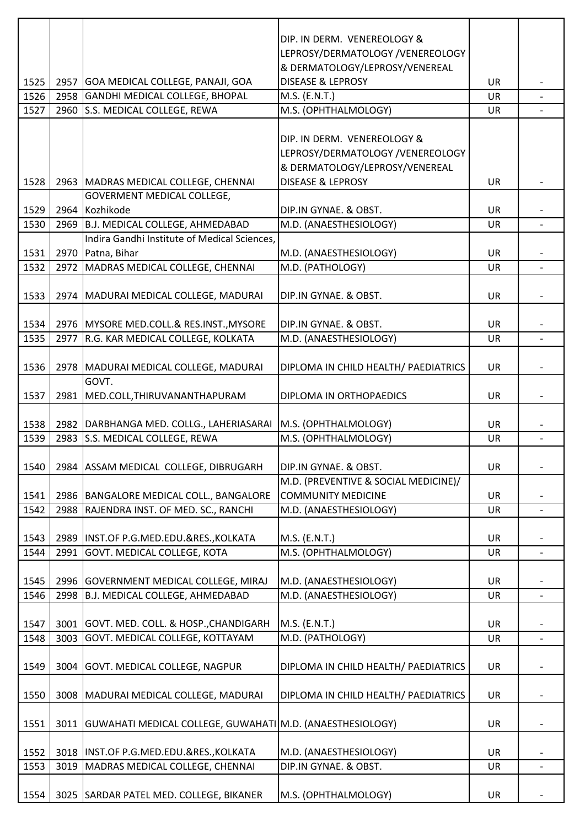|      |      |                                                                    | DIP. IN DERM. VENEREOLOGY &          |           |                          |
|------|------|--------------------------------------------------------------------|--------------------------------------|-----------|--------------------------|
|      |      |                                                                    | LEPROSY/DERMATOLOGY /VENEREOLOGY     |           |                          |
|      |      |                                                                    | & DERMATOLOGY/LEPROSY/VENEREAL       |           |                          |
|      |      |                                                                    | <b>DISEASE &amp; LEPROSY</b>         |           |                          |
| 1525 |      | 2957 GOA MEDICAL COLLEGE, PANAJI, GOA                              |                                      | UR        |                          |
| 1526 |      | 2958 GANDHI MEDICAL COLLEGE, BHOPAL                                | M.S. (E.N.T.)                        | <b>UR</b> |                          |
| 1527 |      | 2960 S.S. MEDICAL COLLEGE, REWA                                    | M.S. (OPHTHALMOLOGY)                 | UR        |                          |
|      |      |                                                                    |                                      |           |                          |
|      |      |                                                                    | DIP. IN DERM. VENEREOLOGY &          |           |                          |
|      |      |                                                                    | LEPROSY/DERMATOLOGY /VENEREOLOGY     |           |                          |
|      |      |                                                                    | & DERMATOLOGY/LEPROSY/VENEREAL       |           |                          |
| 1528 |      | 2963 MADRAS MEDICAL COLLEGE, CHENNAI                               | <b>DISEASE &amp; LEPROSY</b>         | UR        |                          |
|      |      | GOVERMENT MEDICAL COLLEGE,                                         |                                      |           |                          |
| 1529 |      | 2964 Kozhikode                                                     | DIP.IN GYNAE. & OBST.                | UR        |                          |
| 1530 |      | 2969 B.J. MEDICAL COLLEGE, AHMEDABAD                               | M.D. (ANAESTHESIOLOGY)               | UR        |                          |
|      |      | Indira Gandhi Institute of Medical Sciences,                       |                                      |           |                          |
| 1531 |      | 2970 Patna, Bihar                                                  | M.D. (ANAESTHESIOLOGY)               | UR        |                          |
| 1532 |      | 2972 MADRAS MEDICAL COLLEGE, CHENNAI                               | M.D. (PATHOLOGY)                     | <b>UR</b> |                          |
|      |      |                                                                    |                                      |           |                          |
|      |      |                                                                    |                                      |           |                          |
| 1533 |      | 2974   MADURAI MEDICAL COLLEGE, MADURAI                            | DIP.IN GYNAE. & OBST.                | UR        |                          |
|      |      |                                                                    |                                      |           |                          |
| 1534 |      | 2976   MYSORE MED.COLL.& RES.INST., MYSORE                         | DIP.IN GYNAE. & OBST.                | <b>UR</b> |                          |
| 1535 |      | 2977 R.G. KAR MEDICAL COLLEGE, KOLKATA                             | M.D. (ANAESTHESIOLOGY)               | <b>UR</b> |                          |
|      |      |                                                                    |                                      |           |                          |
| 1536 |      | 2978   MADURAI MEDICAL COLLEGE, MADURAI                            | DIPLOMA IN CHILD HEALTH/ PAEDIATRICS | <b>UR</b> |                          |
|      |      | GOVT.                                                              |                                      |           |                          |
| 1537 |      | 2981 MED.COLL, THIRUVANANTHAPURAM                                  | DIPLOMA IN ORTHOPAEDICS              | UR        |                          |
|      |      |                                                                    |                                      |           |                          |
| 1538 |      | 2982   DARBHANGA MED. COLLG., LAHERIASARAI                         | M.S. (OPHTHALMOLOGY)                 | UR        |                          |
| 1539 |      | 2983 S.S. MEDICAL COLLEGE, REWA                                    | M.S. (OPHTHALMOLOGY)                 | <b>UR</b> |                          |
|      |      |                                                                    |                                      |           |                          |
| 1540 |      | 2984 ASSAM MEDICAL COLLEGE, DIBRUGARH                              | DIP.IN GYNAE. & OBST.                | <b>UR</b> |                          |
|      |      |                                                                    | M.D. (PREVENTIVE & SOCIAL MEDICINE)/ |           |                          |
| 1541 |      | 2986   BANGALORE MEDICAL COLL., BANGALORE                          | <b>COMMUNITY MEDICINE</b>            | <b>UR</b> |                          |
| 1542 |      | 2988 RAJENDRA INST. OF MED. SC., RANCHI                            | M.D. (ANAESTHESIOLOGY)               | UR        |                          |
|      |      |                                                                    |                                      |           |                          |
| 1543 |      |                                                                    |                                      | <b>UR</b> |                          |
|      |      | 2989   INST.OF P.G.MED.EDU.&RES., KOLKATA                          | M.S. (E.N.T.)                        |           |                          |
| 1544 | 2991 | GOVT. MEDICAL COLLEGE, KOTA                                        | M.S. (OPHTHALMOLOGY)                 | UR        |                          |
|      |      |                                                                    |                                      |           |                          |
| 1545 |      | 2996 GOVERNMENT MEDICAL COLLEGE, MIRAJ                             | M.D. (ANAESTHESIOLOGY)               | UR        |                          |
| 1546 |      | 2998 B.J. MEDICAL COLLEGE, AHMEDABAD                               | M.D. (ANAESTHESIOLOGY)               | UR        |                          |
|      |      |                                                                    |                                      |           |                          |
| 1547 |      | 3001 GOVT. MED. COLL. & HOSP., CHANDIGARH                          | M.S. (E.N.T.)                        | <b>UR</b> |                          |
| 1548 |      | 3003 GOVT. MEDICAL COLLEGE, KOTTAYAM                               | M.D. (PATHOLOGY)                     | UR        |                          |
|      |      |                                                                    |                                      |           |                          |
| 1549 |      | 3004 GOVT. MEDICAL COLLEGE, NAGPUR                                 | DIPLOMA IN CHILD HEALTH/ PAEDIATRICS | <b>UR</b> |                          |
|      |      |                                                                    |                                      |           |                          |
| 1550 |      | 3008   MADURAI MEDICAL COLLEGE, MADURAI                            | DIPLOMA IN CHILD HEALTH/ PAEDIATRICS | UR        |                          |
|      |      |                                                                    |                                      |           |                          |
| 1551 |      | 3011   GUWAHATI MEDICAL COLLEGE, GUWAHATI   M.D. (ANAESTHESIOLOGY) |                                      | UR        |                          |
|      |      |                                                                    |                                      |           |                          |
| 1552 |      | 3018  INST.OF P.G.MED.EDU.&RES., KOLKATA                           | M.D. (ANAESTHESIOLOGY)               | <b>UR</b> |                          |
| 1553 |      | 3019 MADRAS MEDICAL COLLEGE, CHENNAI                               | DIP.IN GYNAE. & OBST.                | UR        | $\overline{\phantom{a}}$ |
|      |      |                                                                    |                                      |           |                          |
| 1554 |      |                                                                    |                                      |           |                          |
|      |      | 3025   SARDAR PATEL MED. COLLEGE, BIKANER                          | M.S. (OPHTHALMOLOGY)                 | UR        |                          |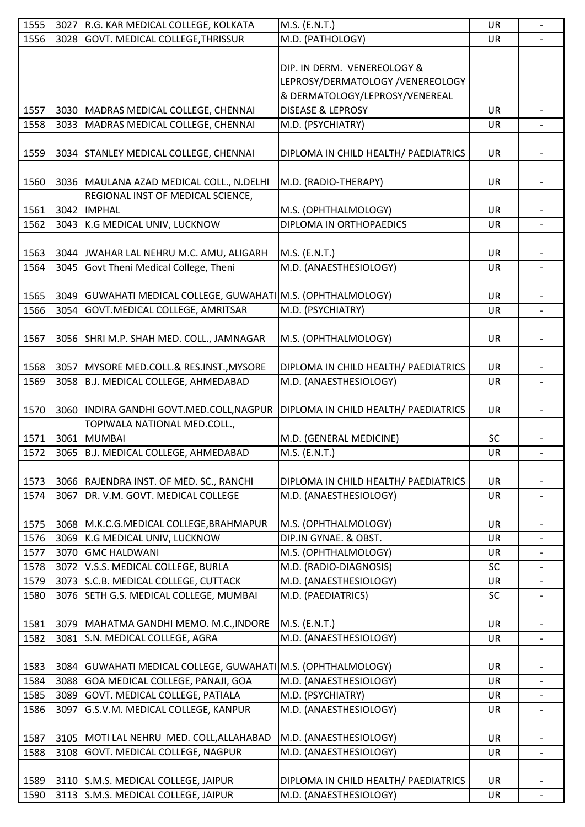| 1555 | 3027 | R.G. KAR MEDICAL COLLEGE, KOLKATA                              | M.S. (E.N.T.)                        | <b>UR</b> | $\overline{\phantom{0}}$ |
|------|------|----------------------------------------------------------------|--------------------------------------|-----------|--------------------------|
| 1556 | 3028 | <b>GOVT. MEDICAL COLLEGE, THRISSUR</b>                         | M.D. (PATHOLOGY)                     | UR        |                          |
|      |      |                                                                |                                      |           |                          |
|      |      |                                                                | DIP. IN DERM. VENEREOLOGY &          |           |                          |
|      |      |                                                                | LEPROSY/DERMATOLOGY /VENEREOLOGY     |           |                          |
|      |      |                                                                | & DERMATOLOGY/LEPROSY/VENEREAL       |           |                          |
| 1557 |      | 3030 MADRAS MEDICAL COLLEGE, CHENNAI                           | <b>DISEASE &amp; LEPROSY</b>         | <b>UR</b> |                          |
| 1558 | 3033 | MADRAS MEDICAL COLLEGE, CHENNAI                                | M.D. (PSYCHIATRY)                    | UR        |                          |
|      |      |                                                                |                                      |           |                          |
| 1559 |      | 3034 STANLEY MEDICAL COLLEGE, CHENNAI                          | DIPLOMA IN CHILD HEALTH/ PAEDIATRICS | <b>UR</b> |                          |
|      |      |                                                                |                                      |           |                          |
| 1560 |      | 3036   MAULANA AZAD MEDICAL COLL., N.DELHI                     | M.D. (RADIO-THERAPY)                 | <b>UR</b> |                          |
|      |      | REGIONAL INST OF MEDICAL SCIENCE,                              |                                      |           |                          |
| 1561 | 3042 | <b>IMPHAL</b>                                                  | M.S. (OPHTHALMOLOGY)                 | <b>UR</b> |                          |
| 1562 | 3043 | K.G MEDICAL UNIV, LUCKNOW                                      | DIPLOMA IN ORTHOPAEDICS              | UR        |                          |
|      |      |                                                                |                                      |           |                          |
| 1563 | 3044 | JWAHAR LAL NEHRU M.C. AMU, ALIGARH                             | M.S. (E.N.T.)                        | <b>UR</b> |                          |
| 1564 | 3045 | Govt Theni Medical College, Theni                              | M.D. (ANAESTHESIOLOGY)               | <b>UR</b> | $\overline{\phantom{0}}$ |
|      |      |                                                                |                                      |           |                          |
| 1565 | 3049 | GUWAHATI MEDICAL COLLEGE, GUWAHATI M.S. (OPHTHALMOLOGY)        |                                      | <b>UR</b> |                          |
| 1566 | 3054 | GOVT.MEDICAL COLLEGE, AMRITSAR                                 | M.D. (PSYCHIATRY)                    | UR        | $\overline{a}$           |
|      |      |                                                                |                                      |           |                          |
|      |      | 3056 SHRI M.P. SHAH MED. COLL., JAMNAGAR                       | M.S. (OPHTHALMOLOGY)                 | UR        |                          |
| 1567 |      |                                                                |                                      |           |                          |
|      |      |                                                                |                                      |           |                          |
| 1568 | 3057 | MYSORE MED.COLL.& RES.INST., MYSORE                            | DIPLOMA IN CHILD HEALTH/ PAEDIATRICS | <b>UR</b> |                          |
| 1569 | 3058 | B.J. MEDICAL COLLEGE, AHMEDABAD                                | M.D. (ANAESTHESIOLOGY)               | <b>UR</b> |                          |
|      |      |                                                                |                                      |           |                          |
| 1570 |      | 3060  INDIRA GANDHI GOVT.MED.COLL, NAGPUR                      | DIPLOMA IN CHILD HEALTH/ PAEDIATRICS | UR        |                          |
|      |      | TOPIWALA NATIONAL MED.COLL.,                                   |                                      |           |                          |
| 1571 |      | 3061 MUMBAI                                                    | M.D. (GENERAL MEDICINE)              | <b>SC</b> |                          |
| 1572 |      | 3065 B.J. MEDICAL COLLEGE, AHMEDABAD                           | M.S. (E.N.T.)                        | <b>UR</b> |                          |
|      |      |                                                                |                                      |           |                          |
| 1573 |      | 3066 RAJENDRA INST. OF MED. SC., RANCHI                        | DIPLOMA IN CHILD HEALTH/ PAEDIATRICS | <b>UR</b> |                          |
| 1574 | 3067 | DR. V.M. GOVT. MEDICAL COLLEGE                                 | M.D. (ANAESTHESIOLOGY)               | UR        |                          |
|      |      |                                                                |                                      |           |                          |
| 1575 |      | 3068   M.K.C.G.MEDICAL COLLEGE, BRAHMAPUR                      | M.S. (OPHTHALMOLOGY)                 | <b>UR</b> |                          |
| 1576 | 3069 | K.G MEDICAL UNIV, LUCKNOW                                      | DIP.IN GYNAE. & OBST.                | UR        |                          |
| 1577 | 3070 | <b>GMC HALDWANI</b>                                            | M.S. (OPHTHALMOLOGY)                 | <b>UR</b> |                          |
| 1578 | 3072 | V.S.S. MEDICAL COLLEGE, BURLA                                  | M.D. (RADIO-DIAGNOSIS)               | <b>SC</b> |                          |
| 1579 |      | 3073 S.C.B. MEDICAL COLLEGE, CUTTACK                           | M.D. (ANAESTHESIOLOGY)               | UR        | $\overline{\phantom{0}}$ |
| 1580 | 3076 | SETH G.S. MEDICAL COLLEGE, MUMBAI                              | M.D. (PAEDIATRICS)                   | <b>SC</b> |                          |
|      |      |                                                                |                                      |           |                          |
| 1581 | 3079 | MAHATMA GANDHI MEMO. M.C., INDORE                              | M.S. (E.N.T.)                        | <b>UR</b> |                          |
| 1582 | 3081 | S.N. MEDICAL COLLEGE, AGRA                                     | M.D. (ANAESTHESIOLOGY)               | <b>UR</b> | $\overline{\phantom{a}}$ |
|      |      |                                                                |                                      |           |                          |
| 1583 |      | 3084   GUWAHATI MEDICAL COLLEGE, GUWAHATI M.S. (OPHTHALMOLOGY) |                                      | <b>UR</b> |                          |
| 1584 | 3088 | GOA MEDICAL COLLEGE, PANAJI, GOA                               | M.D. (ANAESTHESIOLOGY)               | UR        | $\overline{\phantom{a}}$ |
| 1585 | 3089 | GOVT. MEDICAL COLLEGE, PATIALA                                 | M.D. (PSYCHIATRY)                    | UR        |                          |
| 1586 | 3097 | G.S.V.M. MEDICAL COLLEGE, KANPUR                               | M.D. (ANAESTHESIOLOGY)               | <b>UR</b> | $\overline{\phantom{0}}$ |
|      |      |                                                                |                                      |           |                          |
| 1587 |      | 3105 MOTI LAL NEHRU MED. COLL, ALLAHABAD                       | M.D. (ANAESTHESIOLOGY)               | <b>UR</b> |                          |
| 1588 | 3108 | GOVT. MEDICAL COLLEGE, NAGPUR                                  | M.D. (ANAESTHESIOLOGY)               | <b>UR</b> | $\overline{\phantom{a}}$ |
|      |      |                                                                |                                      |           |                          |
| 1589 |      | 3110 S.M.S. MEDICAL COLLEGE, JAIPUR                            | DIPLOMA IN CHILD HEALTH/ PAEDIATRICS | <b>UR</b> |                          |
| 1590 |      | 3113 S.M.S. MEDICAL COLLEGE, JAIPUR                            | M.D. (ANAESTHESIOLOGY)               | UR        |                          |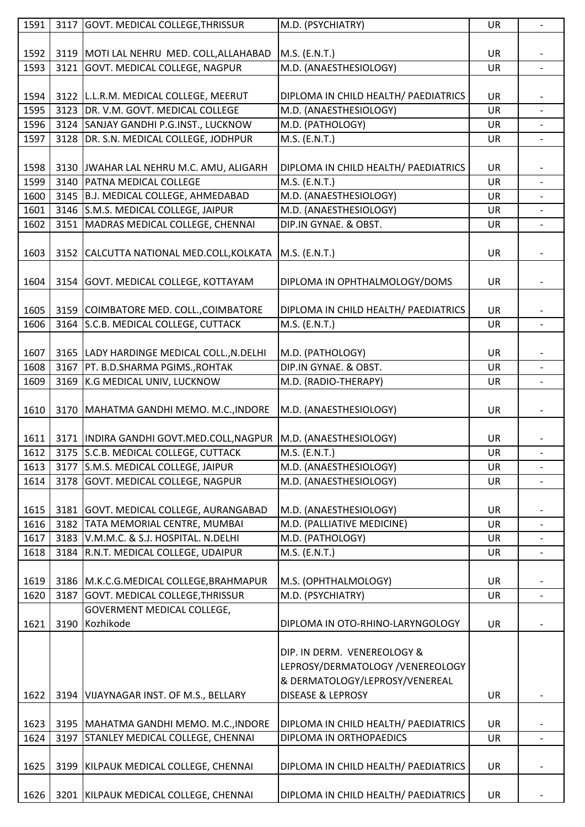| 1591 |      | 3117 GOVT. MEDICAL COLLEGE, THRISSUR       | M.D. (PSYCHIATRY)                    | UR        | $\overline{\phantom{a}}$ |
|------|------|--------------------------------------------|--------------------------------------|-----------|--------------------------|
|      |      |                                            |                                      |           |                          |
| 1592 |      | 3119   MOTI LAL NEHRU MED. COLL, ALLAHABAD | M.S. (E.N.T.)                        | UR        |                          |
| 1593 |      | 3121 GOVT. MEDICAL COLLEGE, NAGPUR         | M.D. (ANAESTHESIOLOGY)               | UR        |                          |
|      |      |                                            |                                      |           |                          |
| 1594 |      | 3122 L.L.R.M. MEDICAL COLLEGE, MEERUT      | DIPLOMA IN CHILD HEALTH/ PAEDIATRICS | UR        |                          |
| 1595 |      | 3123 DR. V.M. GOVT. MEDICAL COLLEGE        | M.D. (ANAESTHESIOLOGY)               | UR        |                          |
| 1596 |      | 3124 SANJAY GANDHI P.G.INST., LUCKNOW      | M.D. (PATHOLOGY)                     | UR        |                          |
| 1597 |      | 3128   DR. S.N. MEDICAL COLLEGE, JODHPUR   | M.S. (E.N.T.)                        | UR        |                          |
|      |      |                                            |                                      |           |                          |
| 1598 |      | 3130 JWAHAR LAL NEHRU M.C. AMU, ALIGARH    | DIPLOMA IN CHILD HEALTH/ PAEDIATRICS | UR        |                          |
| 1599 |      | 3140 PATNA MEDICAL COLLEGE                 | M.S. (E.N.T.)                        | UR        |                          |
| 1600 |      | 3145 B.J. MEDICAL COLLEGE, AHMEDABAD       | M.D. (ANAESTHESIOLOGY)               | UR        |                          |
| 1601 |      | 3146 S.M.S. MEDICAL COLLEGE, JAIPUR        | M.D. (ANAESTHESIOLOGY)               | UR        |                          |
| 1602 |      | 3151 MADRAS MEDICAL COLLEGE, CHENNAI       | DIP.IN GYNAE. & OBST.                |           |                          |
|      |      |                                            |                                      | UR        |                          |
|      |      |                                            |                                      |           |                          |
| 1603 |      | 3152 CALCUTTA NATIONAL MED.COLL, KOLKATA   | M.S. (E.N.T.)                        | UR        |                          |
|      |      |                                            |                                      |           |                          |
| 1604 |      | 3154 GOVT. MEDICAL COLLEGE, KOTTAYAM       | DIPLOMA IN OPHTHALMOLOGY/DOMS        | UR        |                          |
|      |      |                                            |                                      |           |                          |
| 1605 |      | 3159 COIMBATORE MED. COLL., COIMBATORE     | DIPLOMA IN CHILD HEALTH/ PAEDIATRICS | <b>UR</b> |                          |
| 1606 |      | 3164 S.C.B. MEDICAL COLLEGE, CUTTACK       | M.S. (E.N.T.)                        | UR        | $\blacksquare$           |
|      |      |                                            |                                      |           |                          |
| 1607 |      | 3165 LADY HARDINGE MEDICAL COLL., N.DELHI  | M.D. (PATHOLOGY)                     | UR        |                          |
| 1608 | 3167 | PT. B.D.SHARMA PGIMS., ROHTAK              | DIP.IN GYNAE. & OBST.                | <b>UR</b> | $\overline{a}$           |
| 1609 | 3169 | K.G MEDICAL UNIV, LUCKNOW                  | M.D. (RADIO-THERAPY)                 | UR        |                          |
|      |      |                                            |                                      |           |                          |
| 1610 |      | 3170   MAHATMA GANDHI MEMO. M.C., INDORE   | M.D. (ANAESTHESIOLOGY)               | UR        |                          |
|      |      |                                            |                                      |           |                          |
| 1611 |      | 3171  INDIRA GANDHI GOVT.MED.COLL, NAGPUR  | M.D. (ANAESTHESIOLOGY)               | <b>UR</b> |                          |
| 1612 |      | 3175 S.C.B. MEDICAL COLLEGE, CUTTACK       | M.S. (E.N.T.)                        | UR        |                          |
| 1613 |      | 3177 S.M.S. MEDICAL COLLEGE, JAIPUR        | M.D. (ANAESTHESIOLOGY)               | <b>UR</b> |                          |
| 1614 | 3178 | GOVT. MEDICAL COLLEGE, NAGPUR              | M.D. (ANAESTHESIOLOGY)               | <b>UR</b> |                          |
|      |      |                                            |                                      |           |                          |
| 1615 |      | 3181 GOVT. MEDICAL COLLEGE, AURANGABAD     | M.D. (ANAESTHESIOLOGY)               | UR        |                          |
| 1616 |      | 3182 TATA MEMORIAL CENTRE, MUMBAI          | M.D. (PALLIATIVE MEDICINE)           | UR        |                          |
| 1617 |      | 3183 V.M.M.C. & S.J. HOSPITAL. N.DELHI     | M.D. (PATHOLOGY)                     | <b>UR</b> |                          |
| 1618 |      | 3184 R.N.T. MEDICAL COLLEGE, UDAIPUR       | $M.S.$ (E.N.T.)                      | <b>UR</b> |                          |
|      |      |                                            |                                      |           |                          |
| 1619 |      | 3186   M.K.C.G.MEDICAL COLLEGE, BRAHMAPUR  | M.S. (OPHTHALMOLOGY)                 | UR        |                          |
| 1620 | 3187 | GOVT. MEDICAL COLLEGE, THRISSUR            | M.D. (PSYCHIATRY)                    | UR        |                          |
|      |      | GOVERMENT MEDICAL COLLEGE,                 |                                      |           |                          |
| 1621 | 3190 | Kozhikode                                  | DIPLOMA IN OTO-RHINO-LARYNGOLOGY     | <b>UR</b> |                          |
|      |      |                                            |                                      |           |                          |
|      |      |                                            | DIP. IN DERM. VENEREOLOGY &          |           |                          |
|      |      |                                            | LEPROSY/DERMATOLOGY /VENEREOLOGY     |           |                          |
|      |      |                                            | & DERMATOLOGY/LEPROSY/VENEREAL       |           |                          |
| 1622 |      | 3194 VIJAYNAGAR INST. OF M.S., BELLARY     | <b>DISEASE &amp; LEPROSY</b>         | UR        |                          |
|      |      |                                            |                                      |           |                          |
| 1623 |      | 3195   MAHATMA GANDHI MEMO. M.C., INDORE   | DIPLOMA IN CHILD HEALTH/ PAEDIATRICS | UR        |                          |
| 1624 | 3197 | STANLEY MEDICAL COLLEGE, CHENNAI           | DIPLOMA IN ORTHOPAEDICS              | UR        |                          |
|      |      |                                            |                                      |           |                          |
| 1625 |      | 3199 KILPAUK MEDICAL COLLEGE, CHENNAI      | DIPLOMA IN CHILD HEALTH/ PAEDIATRICS | UR        |                          |
|      |      |                                            |                                      |           |                          |
|      |      |                                            |                                      |           |                          |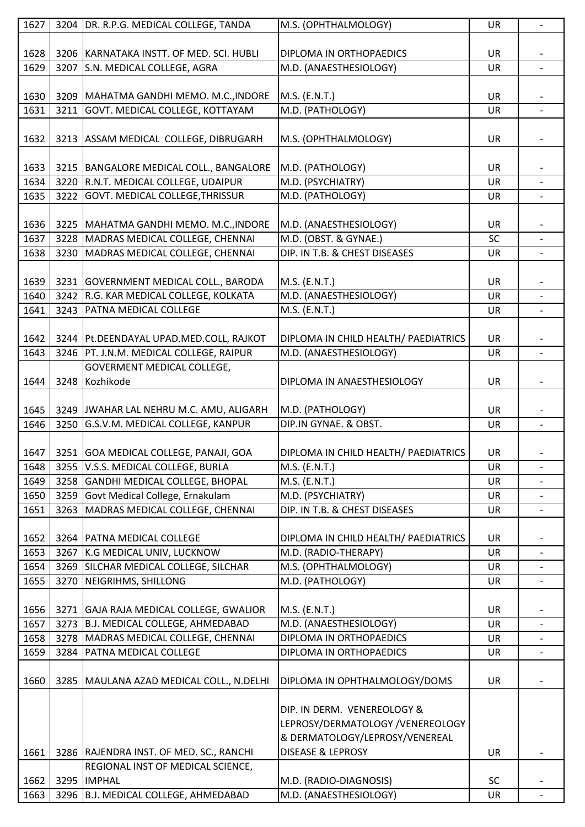| 1627 |      | 3204 DR. R.P.G. MEDICAL COLLEGE, TANDA     | M.S. (OPHTHALMOLOGY)                 | UR        |                          |
|------|------|--------------------------------------------|--------------------------------------|-----------|--------------------------|
|      |      |                                            |                                      |           |                          |
| 1628 |      | 3206 KARNATAKA INSTT. OF MED. SCI. HUBLI   | DIPLOMA IN ORTHOPAEDICS              | UR        |                          |
| 1629 |      | 3207 S.N. MEDICAL COLLEGE, AGRA            | M.D. (ANAESTHESIOLOGY)               | UR        | $\overline{\phantom{a}}$ |
|      |      |                                            |                                      |           |                          |
| 1630 |      | 3209   MAHATMA GANDHI MEMO. M.C., INDORE   | M.S. (E.N.T.)                        | UR        |                          |
| 1631 |      | 3211 GOVT. MEDICAL COLLEGE, KOTTAYAM       | M.D. (PATHOLOGY)                     | UR        |                          |
|      |      |                                            |                                      |           |                          |
|      |      |                                            |                                      |           |                          |
| 1632 |      | 3213 ASSAM MEDICAL COLLEGE, DIBRUGARH      | M.S. (OPHTHALMOLOGY)                 | UR        |                          |
|      |      |                                            |                                      |           |                          |
| 1633 |      | 3215   BANGALORE MEDICAL COLL., BANGALORE  | M.D. (PATHOLOGY)                     | UR        |                          |
| 1634 |      | 3220 R.N.T. MEDICAL COLLEGE, UDAIPUR       | M.D. (PSYCHIATRY)                    | <b>UR</b> |                          |
| 1635 |      | 3222 GOVT. MEDICAL COLLEGE, THRISSUR       | M.D. (PATHOLOGY)                     | UR        | $\overline{\phantom{0}}$ |
|      |      |                                            |                                      |           |                          |
| 1636 |      | 3225   MAHATMA GANDHI MEMO. M.C., INDORE   | M.D. (ANAESTHESIOLOGY)               | UR        |                          |
| 1637 |      | 3228 MADRAS MEDICAL COLLEGE, CHENNAI       | M.D. (OBST. & GYNAE.)                | SC        | $\overline{\phantom{a}}$ |
| 1638 |      | 3230 MADRAS MEDICAL COLLEGE, CHENNAI       | DIP. IN T.B. & CHEST DISEASES        | UR        |                          |
|      |      |                                            |                                      |           |                          |
| 1639 |      | 3231 GOVERNMENT MEDICAL COLL., BARODA      | M.S. (E.N.T.)                        | UR        |                          |
| 1640 |      | 3242 R.G. KAR MEDICAL COLLEGE, KOLKATA     | M.D. (ANAESTHESIOLOGY)               | UR        |                          |
| 1641 |      | 3243 PATNA MEDICAL COLLEGE                 | M.S. (E.N.T.)                        | <b>UR</b> | $\overline{a}$           |
|      |      |                                            |                                      |           |                          |
| 1642 |      | 3244   Pt.DEENDAYAL UPAD.MED.COLL, RAJKOT  | DIPLOMA IN CHILD HEALTH/ PAEDIATRICS | UR        |                          |
| 1643 |      | 3246   PT. J.N.M. MEDICAL COLLEGE, RAIPUR  | M.D. (ANAESTHESIOLOGY)               | UR        |                          |
|      |      |                                            |                                      |           |                          |
|      |      | GOVERMENT MEDICAL COLLEGE,                 |                                      |           |                          |
| 1644 |      | 3248 Kozhikode                             | DIPLOMA IN ANAESTHESIOLOGY           | <b>UR</b> |                          |
|      |      |                                            |                                      |           |                          |
| 1645 |      | 3249 JWAHAR LAL NEHRU M.C. AMU, ALIGARH    | M.D. (PATHOLOGY)                     | <b>UR</b> |                          |
| 1646 |      | 3250 G.S.V.M. MEDICAL COLLEGE, KANPUR      | DIP.IN GYNAE. & OBST.                | UR        |                          |
|      |      |                                            |                                      |           |                          |
| 1647 |      | 3251 GOA MEDICAL COLLEGE, PANAJI, GOA      | DIPLOMA IN CHILD HEALTH/ PAEDIATRICS | <b>UR</b> |                          |
| 1648 |      | 3255 V.S.S. MEDICAL COLLEGE, BURLA         | M.S. (E.N.T.)                        | UR        | $\overline{\phantom{a}}$ |
| 1649 |      | 3258 GANDHI MEDICAL COLLEGE, BHOPAL        | M.S. (E.N.T.)                        | <b>UR</b> |                          |
| 1650 |      | 3259 Govt Medical College, Ernakulam       | M.D. (PSYCHIATRY)                    | <b>UR</b> |                          |
| 1651 | 3263 | MADRAS MEDICAL COLLEGE, CHENNAI            | DIP. IN T.B. & CHEST DISEASES        | <b>UR</b> | $\overline{\phantom{a}}$ |
|      |      |                                            |                                      |           |                          |
| 1652 |      | 3264 PATNA MEDICAL COLLEGE                 | DIPLOMA IN CHILD HEALTH/ PAEDIATRICS | UR        |                          |
| 1653 |      | 3267 K.G MEDICAL UNIV, LUCKNOW             | M.D. (RADIO-THERAPY)                 | <b>UR</b> |                          |
| 1654 |      | 3269 SILCHAR MEDICAL COLLEGE, SILCHAR      | M.S. (OPHTHALMOLOGY)                 | UR        |                          |
| 1655 |      | 3270 NEIGRIHMS, SHILLONG                   | M.D. (PATHOLOGY)                     | <b>UR</b> | $\overline{\phantom{0}}$ |
|      |      |                                            |                                      |           |                          |
|      |      |                                            |                                      |           |                          |
| 1656 |      | 3271 GAJA RAJA MEDICAL COLLEGE, GWALIOR    | M.S. (E.N.T.)                        | UR        |                          |
| 1657 |      | 3273 B.J. MEDICAL COLLEGE, AHMEDABAD       | M.D. (ANAESTHESIOLOGY)               | UR        |                          |
| 1658 |      | 3278 MADRAS MEDICAL COLLEGE, CHENNAI       | DIPLOMA IN ORTHOPAEDICS              | UR        | $\overline{\phantom{a}}$ |
| 1659 |      | 3284 PATNA MEDICAL COLLEGE                 | DIPLOMA IN ORTHOPAEDICS              | UR        |                          |
|      |      |                                            |                                      |           |                          |
| 1660 |      | 3285   MAULANA AZAD MEDICAL COLL., N.DELHI | DIPLOMA IN OPHTHALMOLOGY/DOMS        | <b>UR</b> |                          |
|      |      |                                            |                                      |           |                          |
|      |      |                                            | DIP. IN DERM. VENEREOLOGY &          |           |                          |
|      |      |                                            | LEPROSY/DERMATOLOGY /VENEREOLOGY     |           |                          |
|      |      |                                            | & DERMATOLOGY/LEPROSY/VENEREAL       |           |                          |
| 1661 |      | 3286 RAJENDRA INST. OF MED. SC., RANCHI    | <b>DISEASE &amp; LEPROSY</b>         | <b>UR</b> |                          |
|      |      | REGIONAL INST OF MEDICAL SCIENCE,          |                                      |           |                          |
| 1662 |      | 3295  IMPHAL                               | M.D. (RADIO-DIAGNOSIS)               | <b>SC</b> |                          |
| 1663 |      | 3296 B.J. MEDICAL COLLEGE, AHMEDABAD       | M.D. (ANAESTHESIOLOGY)               | UR        |                          |
|      |      |                                            |                                      |           |                          |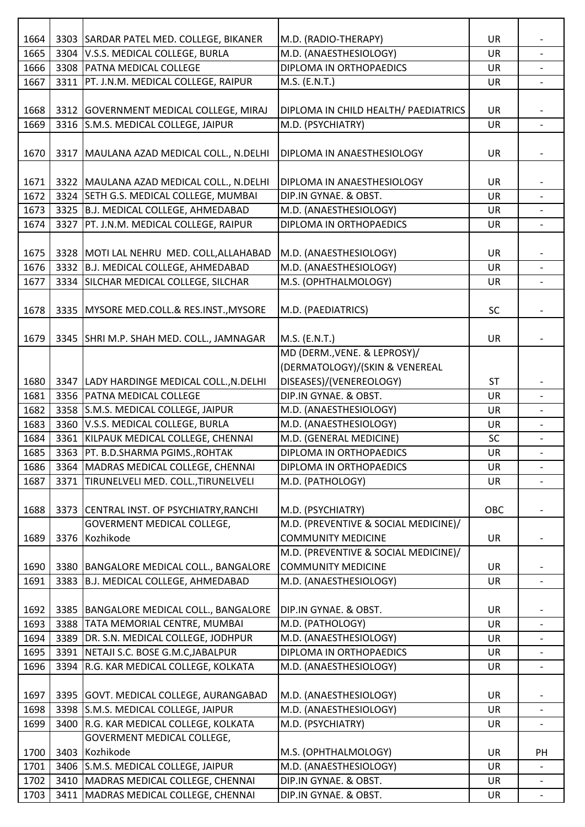| 1664 |      | 3303 SARDAR PATEL MED. COLLEGE, BIKANER                                     | M.D. (RADIO-THERAPY)                 | <b>UR</b> |                          |
|------|------|-----------------------------------------------------------------------------|--------------------------------------|-----------|--------------------------|
| 1665 |      | 3304 V.S.S. MEDICAL COLLEGE, BURLA                                          | M.D. (ANAESTHESIOLOGY)               | UR        |                          |
| 1666 |      | 3308 PATNA MEDICAL COLLEGE                                                  | DIPLOMA IN ORTHOPAEDICS              | <b>UR</b> |                          |
| 1667 |      | 3311   PT. J.N.M. MEDICAL COLLEGE, RAIPUR                                   | M.S. (E.N.T.)                        | <b>UR</b> |                          |
|      |      |                                                                             |                                      |           |                          |
| 1668 |      | 3312 GOVERNMENT MEDICAL COLLEGE, MIRAJ                                      | DIPLOMA IN CHILD HEALTH/ PAEDIATRICS | <b>UR</b> |                          |
| 1669 |      | 3316 S.M.S. MEDICAL COLLEGE, JAIPUR                                         | M.D. (PSYCHIATRY)                    | <b>UR</b> | $\overline{\phantom{a}}$ |
|      |      |                                                                             |                                      |           |                          |
| 1670 |      | 3317   MAULANA AZAD MEDICAL COLL., N.DELHI                                  | DIPLOMA IN ANAESTHESIOLOGY           | UR        |                          |
|      |      |                                                                             |                                      |           |                          |
| 1671 |      | 3322 MAULANA AZAD MEDICAL COLL., N.DELHI                                    | DIPLOMA IN ANAESTHESIOLOGY           | UR        |                          |
| 1672 |      | 3324 SETH G.S. MEDICAL COLLEGE, MUMBAI                                      | DIP.IN GYNAE. & OBST.                | <b>UR</b> | $\overline{\phantom{a}}$ |
| 1673 |      | 3325 B.J. MEDICAL COLLEGE, AHMEDABAD                                        | M.D. (ANAESTHESIOLOGY)               | UR        |                          |
| 1674 |      | 3327   PT. J.N.M. MEDICAL COLLEGE, RAIPUR                                   | DIPLOMA IN ORTHOPAEDICS              | UR        |                          |
|      |      |                                                                             |                                      |           |                          |
| 1675 |      | 3328 MOTI LAL NEHRU MED. COLL, ALLAHABAD                                    | M.D. (ANAESTHESIOLOGY)               | <b>UR</b> |                          |
| 1676 |      | 3332 B.J. MEDICAL COLLEGE, AHMEDABAD                                        | M.D. (ANAESTHESIOLOGY)               | <b>UR</b> | $\overline{\phantom{a}}$ |
| 1677 |      | 3334 SILCHAR MEDICAL COLLEGE, SILCHAR                                       | M.S. (OPHTHALMOLOGY)                 | UR        |                          |
|      |      |                                                                             |                                      |           |                          |
| 1678 |      | 3335 MYSORE MED.COLL.& RES.INST., MYSORE                                    | M.D. (PAEDIATRICS)                   | SC        |                          |
|      |      |                                                                             |                                      |           |                          |
| 1679 |      | 3345 SHRI M.P. SHAH MED. COLL., JAMNAGAR                                    | M.S. (E.N.T.)                        | <b>UR</b> |                          |
|      |      |                                                                             | MD (DERM., VENE. & LEPROSY)/         |           |                          |
|      |      |                                                                             | (DERMATOLOGY)/(SKIN & VENEREAL       |           |                          |
|      |      |                                                                             | DISEASES)/(VENEREOLOGY)              |           |                          |
| 1680 |      | 3347   LADY HARDINGE MEDICAL COLL., N.DELHI<br>3356   PATNA MEDICAL COLLEGE | DIP.IN GYNAE. & OBST.                | <b>ST</b> |                          |
| 1681 |      |                                                                             |                                      | UR        | $\overline{\phantom{0}}$ |
| 1682 |      | 3358 S.M.S. MEDICAL COLLEGE, JAIPUR                                         | M.D. (ANAESTHESIOLOGY)               | UR        |                          |
| 1683 |      | 3360 V.S.S. MEDICAL COLLEGE, BURLA                                          | M.D. (ANAESTHESIOLOGY)               | <b>UR</b> |                          |
| 1684 |      | 3361 KILPAUK MEDICAL COLLEGE, CHENNAI                                       | M.D. (GENERAL MEDICINE)              | SC        | $\overline{\phantom{0}}$ |
| 1685 |      | 3363   PT. B.D.SHARMA PGIMS., ROHTAK                                        | DIPLOMA IN ORTHOPAEDICS              | <b>UR</b> |                          |
| 1686 |      | 3364 MADRAS MEDICAL COLLEGE, CHENNAI                                        | DIPLOMA IN ORTHOPAEDICS              | <b>UR</b> |                          |
| 1687 | 3371 | TIRUNELVELI MED. COLL., TIRUNELVELI                                         | M.D. (PATHOLOGY)                     | UR        |                          |
|      |      |                                                                             |                                      |           |                          |
| 1688 |      | 3373 CENTRAL INST. OF PSYCHIATRY, RANCHI                                    | M.D. (PSYCHIATRY)                    | OBC       |                          |
|      |      | GOVERMENT MEDICAL COLLEGE,                                                  | M.D. (PREVENTIVE & SOCIAL MEDICINE)/ |           |                          |
| 1689 |      | 3376 Kozhikode                                                              | <b>COMMUNITY MEDICINE</b>            | UR        | $\overline{\phantom{a}}$ |
|      |      |                                                                             | M.D. (PREVENTIVE & SOCIAL MEDICINE)/ |           |                          |
| 1690 |      | 3380   BANGALORE MEDICAL COLL., BANGALORE                                   | <b>COMMUNITY MEDICINE</b>            | UR        |                          |
| 1691 |      | 3383 B.J. MEDICAL COLLEGE, AHMEDABAD                                        | M.D. (ANAESTHESIOLOGY)               | <b>UR</b> |                          |
|      |      |                                                                             |                                      |           |                          |
| 1692 |      | 3385   BANGALORE MEDICAL COLL., BANGALORE                                   | DIP.IN GYNAE. & OBST.                | <b>UR</b> |                          |
| 1693 |      | 3388 TATA MEMORIAL CENTRE, MUMBAI                                           | M.D. (PATHOLOGY)                     | <b>UR</b> |                          |
| 1694 | 3389 | DR. S.N. MEDICAL COLLEGE, JODHPUR                                           | M.D. (ANAESTHESIOLOGY)               | <b>UR</b> | $\overline{\phantom{a}}$ |
| 1695 |      | 3391 NETAJI S.C. BOSE G.M.C, JABALPUR                                       | DIPLOMA IN ORTHOPAEDICS              | <b>UR</b> |                          |
| 1696 |      | 3394 R.G. KAR MEDICAL COLLEGE, KOLKATA                                      | M.D. (ANAESTHESIOLOGY)               | UR        | $\overline{\phantom{a}}$ |
|      |      |                                                                             |                                      |           |                          |
| 1697 |      | 3395 GOVT. MEDICAL COLLEGE, AURANGABAD                                      | M.D. (ANAESTHESIOLOGY)               | <b>UR</b> |                          |
| 1698 |      | 3398 S.M.S. MEDICAL COLLEGE, JAIPUR                                         | M.D. (ANAESTHESIOLOGY)               | <b>UR</b> | $\overline{\phantom{0}}$ |
| 1699 |      | 3400 R.G. KAR MEDICAL COLLEGE, KOLKATA                                      | M.D. (PSYCHIATRY)                    | UR        |                          |
|      |      | GOVERMENT MEDICAL COLLEGE,                                                  |                                      |           |                          |
| 1700 |      | 3403 Kozhikode                                                              | M.S. (OPHTHALMOLOGY)                 | <b>UR</b> | PH                       |
| 1701 |      | 3406 S.M.S. MEDICAL COLLEGE, JAIPUR                                         | M.D. (ANAESTHESIOLOGY)               | UR        |                          |
| 1702 |      | 3410 MADRAS MEDICAL COLLEGE, CHENNAI                                        | DIP.IN GYNAE. & OBST.                | <b>UR</b> |                          |
| 1703 |      | 3411 MADRAS MEDICAL COLLEGE, CHENNAI                                        | DIP.IN GYNAE. & OBST.                | UR        |                          |
|      |      |                                                                             |                                      |           |                          |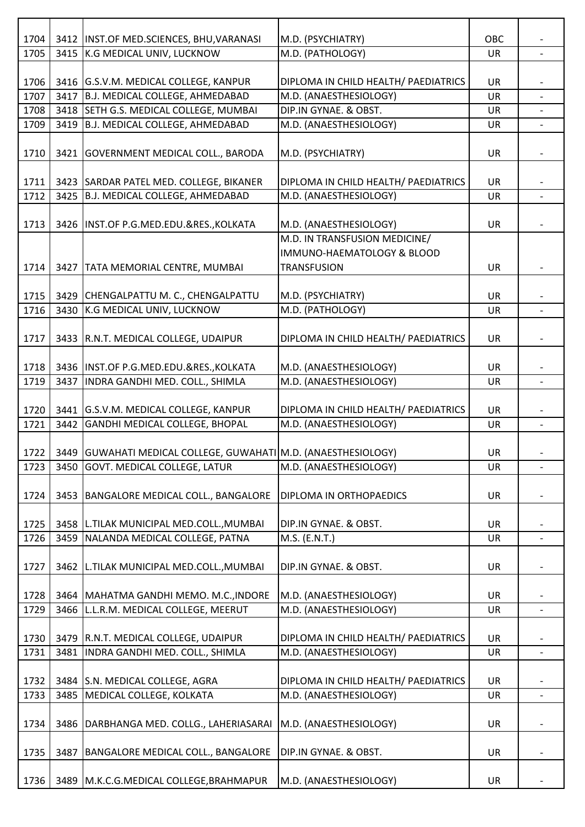| 1704<br>1705 |      | 3412   INST.OF MED.SCIENCES, BHU, VARANASI<br>3415 K.G MEDICAL UNIV, LUCKNOW | M.D. (PSYCHIATRY)<br>M.D. (PATHOLOGY)            | OBC       |                          |
|--------------|------|------------------------------------------------------------------------------|--------------------------------------------------|-----------|--------------------------|
|              |      |                                                                              |                                                  | UR        |                          |
| 1706         |      | 3416 G.S.V.M. MEDICAL COLLEGE, KANPUR                                        | DIPLOMA IN CHILD HEALTH/ PAEDIATRICS             | UR        |                          |
| 1707         | 3417 | B.J. MEDICAL COLLEGE, AHMEDABAD                                              | M.D. (ANAESTHESIOLOGY)                           | UR        |                          |
| 1708         |      | 3418 SETH G.S. MEDICAL COLLEGE, MUMBAI                                       | DIP.IN GYNAE. & OBST.                            | <b>UR</b> |                          |
| 1709         |      | 3419   B.J. MEDICAL COLLEGE, AHMEDABAD                                       | M.D. (ANAESTHESIOLOGY)                           | UR        |                          |
|              |      |                                                                              |                                                  |           |                          |
| 1710         |      | 3421 GOVERNMENT MEDICAL COLL., BARODA                                        | M.D. (PSYCHIATRY)                                | UR        |                          |
|              |      |                                                                              |                                                  |           |                          |
| 1711         |      | 3423 SARDAR PATEL MED. COLLEGE, BIKANER                                      | DIPLOMA IN CHILD HEALTH/ PAEDIATRICS             | <b>UR</b> |                          |
| 1712         |      | 3425 B.J. MEDICAL COLLEGE, AHMEDABAD                                         | M.D. (ANAESTHESIOLOGY)                           | UR        | $\overline{\phantom{0}}$ |
|              |      |                                                                              |                                                  |           |                          |
| 1713         |      | 3426 INST.OF P.G.MED.EDU.&RES., KOLKATA                                      | M.D. (ANAESTHESIOLOGY)                           | UR        |                          |
|              |      |                                                                              | M.D. IN TRANSFUSION MEDICINE/                    |           |                          |
|              |      |                                                                              | IMMUNO-HAEMATOLOGY & BLOOD                       |           |                          |
| 1714         |      | 3427 TATA MEMORIAL CENTRE, MUMBAI                                            | <b>TRANSFUSION</b>                               | UR        |                          |
|              |      |                                                                              |                                                  |           |                          |
| 1715         |      | 3429 CHENGALPATTU M. C., CHENGALPATTU                                        | M.D. (PSYCHIATRY)                                | UR        |                          |
| 1716         |      | 3430 K.G MEDICAL UNIV, LUCKNOW                                               | M.D. (PATHOLOGY)                                 | <b>UR</b> | $\overline{a}$           |
|              |      |                                                                              |                                                  |           |                          |
| 1717         |      | 3433 R.N.T. MEDICAL COLLEGE, UDAIPUR                                         | DIPLOMA IN CHILD HEALTH/ PAEDIATRICS             | UR        |                          |
|              |      |                                                                              |                                                  |           |                          |
| 1718<br>1719 | 3437 | 3436 INST.OF P.G.MED.EDU.&RES., KOLKATA<br>INDRA GANDHI MED. COLL., SHIMLA   | M.D. (ANAESTHESIOLOGY)<br>M.D. (ANAESTHESIOLOGY) | UR        |                          |
|              |      |                                                                              |                                                  | <b>UR</b> |                          |
| 1720         |      | 3441 G.S.V.M. MEDICAL COLLEGE, KANPUR                                        | DIPLOMA IN CHILD HEALTH/ PAEDIATRICS             | <b>UR</b> |                          |
| 1721         |      | 3442 GANDHI MEDICAL COLLEGE, BHOPAL                                          | M.D. (ANAESTHESIOLOGY)                           | UR        |                          |
|              |      |                                                                              |                                                  |           |                          |
| 1722         |      | 3449   GUWAHATI MEDICAL COLLEGE, GUWAHATI M.D. (ANAESTHESIOLOGY)             |                                                  | <b>UR</b> |                          |
| 1723         | 3450 | GOVT. MEDICAL COLLEGE, LATUR                                                 | M.D. (ANAESTHESIOLOGY)                           | UR        | $\overline{\phantom{0}}$ |
|              |      |                                                                              |                                                  |           |                          |
| 1724         |      | 3453 BANGALORE MEDICAL COLL., BANGALORE                                      | DIPLOMA IN ORTHOPAEDICS                          | UR        |                          |
|              |      |                                                                              |                                                  |           |                          |
| 1725         |      | 3458 L.TILAK MUNICIPAL MED.COLL., MUMBAI                                     | DIP.IN GYNAE. & OBST.                            | UR        |                          |
| 1726         |      | 3459 NALANDA MEDICAL COLLEGE, PATNA                                          | M.S. (E.N.T.)                                    | UR        | $\overline{\phantom{0}}$ |
|              |      |                                                                              |                                                  |           |                          |
| 1727         |      | 3462 L.TILAK MUNICIPAL MED.COLL., MUMBAI                                     | DIP.IN GYNAE. & OBST.                            | UR        |                          |
|              |      |                                                                              |                                                  |           |                          |
| 1728         |      | 3464   MAHATMA GANDHI MEMO. M.C., INDORE                                     | M.D. (ANAESTHESIOLOGY)                           | UR        |                          |
| 1729         |      | 3466 L.L.R.M. MEDICAL COLLEGE, MEERUT                                        | M.D. (ANAESTHESIOLOGY)                           | UR        |                          |
|              |      |                                                                              |                                                  |           |                          |
| 1730         |      | 3479   R.N.T. MEDICAL COLLEGE, UDAIPUR                                       | DIPLOMA IN CHILD HEALTH/ PAEDIATRICS             | UR        |                          |
| 1731         | 3481 | INDRA GANDHI MED. COLL., SHIMLA                                              | M.D. (ANAESTHESIOLOGY)                           | UR        |                          |
|              |      |                                                                              |                                                  |           |                          |
| 1732         |      | 3484 S.N. MEDICAL COLLEGE, AGRA                                              | DIPLOMA IN CHILD HEALTH/ PAEDIATRICS             | <b>UR</b> |                          |
| 1733         |      | 3485   MEDICAL COLLEGE, KOLKATA                                              | M.D. (ANAESTHESIOLOGY)                           | UR        |                          |
|              |      |                                                                              |                                                  |           |                          |
| 1734         |      | 3486   DARBHANGA MED. COLLG., LAHERIASARAI                                   | M.D. (ANAESTHESIOLOGY)                           | UR        |                          |
|              |      |                                                                              |                                                  |           |                          |
| 1735         | 3487 | BANGALORE MEDICAL COLL., BANGALORE                                           | DIP.IN GYNAE. & OBST.                            | <b>UR</b> |                          |
|              |      |                                                                              |                                                  |           |                          |
| 1736         |      | 3489   M.K.C.G.MEDICAL COLLEGE, BRAHMAPUR                                    | M.D. (ANAESTHESIOLOGY)                           | UR        |                          |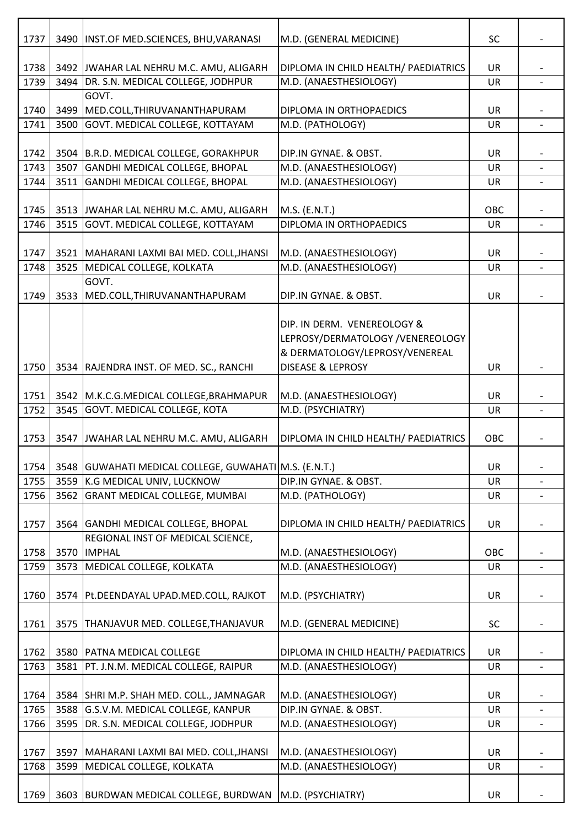| 1737 |      | 3490   INST.OF MED.SCIENCES, BHU, VARANASI            | M.D. (GENERAL MEDICINE)              | <b>SC</b> |                          |
|------|------|-------------------------------------------------------|--------------------------------------|-----------|--------------------------|
|      |      |                                                       |                                      |           |                          |
| 1738 |      | 3492 JWAHAR LAL NEHRU M.C. AMU, ALIGARH               | DIPLOMA IN CHILD HEALTH/ PAEDIATRICS | UR        |                          |
| 1739 |      | 3494 DR. S.N. MEDICAL COLLEGE, JODHPUR                | M.D. (ANAESTHESIOLOGY)               | <b>UR</b> |                          |
|      |      | GOVT.                                                 |                                      |           |                          |
| 1740 |      | 3499   MED.COLL, THIRUVANANTHAPURAM                   | DIPLOMA IN ORTHOPAEDICS              | UR        |                          |
| 1741 | 3500 | GOVT. MEDICAL COLLEGE, KOTTAYAM                       | M.D. (PATHOLOGY)                     | UR        | $\overline{\phantom{a}}$ |
|      |      |                                                       |                                      |           |                          |
| 1742 |      | 3504 B.R.D. MEDICAL COLLEGE, GORAKHPUR                | DIP.IN GYNAE. & OBST.                | UR        |                          |
| 1743 |      | 3507 GANDHI MEDICAL COLLEGE, BHOPAL                   | M.D. (ANAESTHESIOLOGY)               | UR        |                          |
| 1744 |      | 3511 GANDHI MEDICAL COLLEGE, BHOPAL                   | M.D. (ANAESTHESIOLOGY)               | UR        |                          |
|      |      |                                                       |                                      |           |                          |
| 1745 |      | 3513 JWAHAR LAL NEHRU M.C. AMU, ALIGARH               | M.S. (E.N.T.)                        | OBC       |                          |
| 1746 |      | 3515 GOVT. MEDICAL COLLEGE, KOTTAYAM                  | <b>DIPLOMA IN ORTHOPAEDICS</b>       | UR        |                          |
|      |      |                                                       |                                      |           |                          |
| 1747 |      | 3521   MAHARANI LAXMI BAI MED. COLL, JHANSI           | M.D. (ANAESTHESIOLOGY)               | UR        |                          |
| 1748 |      | 3525 MEDICAL COLLEGE, KOLKATA                         | M.D. (ANAESTHESIOLOGY)               | UR        | $\blacksquare$           |
|      |      | GOVT.                                                 |                                      |           |                          |
| 1749 |      | 3533   MED.COLL, THIRUVANANTHAPURAM                   | DIP.IN GYNAE. & OBST.                | UR        |                          |
|      |      |                                                       |                                      |           |                          |
|      |      |                                                       | DIP. IN DERM. VENEREOLOGY &          |           |                          |
|      |      |                                                       | LEPROSY/DERMATOLOGY /VENEREOLOGY     |           |                          |
|      |      |                                                       | & DERMATOLOGY/LEPROSY/VENEREAL       |           |                          |
| 1750 |      | 3534 RAJENDRA INST. OF MED. SC., RANCHI               | <b>DISEASE &amp; LEPROSY</b>         | UR        |                          |
|      |      |                                                       |                                      |           |                          |
| 1751 |      | 3542 M.K.C.G.MEDICAL COLLEGE, BRAHMAPUR               | M.D. (ANAESTHESIOLOGY)               | UR        |                          |
| 1752 |      | 3545 GOVT. MEDICAL COLLEGE, KOTA                      | M.D. (PSYCHIATRY)                    | <b>UR</b> |                          |
|      |      |                                                       |                                      |           |                          |
| 1753 |      | 3547 JWAHAR LAL NEHRU M.C. AMU, ALIGARH               | DIPLOMA IN CHILD HEALTH/ PAEDIATRICS | OBC       |                          |
|      |      |                                                       |                                      |           |                          |
| 1754 |      | 3548 GUWAHATI MEDICAL COLLEGE, GUWAHATI M.S. (E.N.T.) |                                      | UR        |                          |
| 1755 |      | 3559 K.G MEDICAL UNIV, LUCKNOW                        | DIP.IN GYNAE. & OBST.                | UR        |                          |
| 1756 |      | 3562 GRANT MEDICAL COLLEGE, MUMBAI                    | M.D. (PATHOLOGY)                     | UR        |                          |
|      |      |                                                       |                                      |           | $\overline{\phantom{0}}$ |
|      |      |                                                       |                                      |           |                          |
| 1757 |      | 3564 GANDHI MEDICAL COLLEGE, BHOPAL                   | DIPLOMA IN CHILD HEALTH/ PAEDIATRICS | UR        |                          |
|      |      | REGIONAL INST OF MEDICAL SCIENCE,                     |                                      |           |                          |
| 1758 |      | 3570  IMPHAL                                          | M.D. (ANAESTHESIOLOGY)               | OBC       |                          |
| 1759 |      | 3573 MEDICAL COLLEGE, KOLKATA                         | M.D. (ANAESTHESIOLOGY)               | UR        | $\overline{\phantom{a}}$ |
|      |      |                                                       |                                      |           |                          |
| 1760 |      | 3574 Pt.DEENDAYAL UPAD.MED.COLL, RAJKOT               | M.D. (PSYCHIATRY)                    | <b>UR</b> |                          |
|      |      |                                                       |                                      |           |                          |
| 1761 |      | 3575   THANJAVUR MED. COLLEGE, THANJAVUR              | M.D. (GENERAL MEDICINE)              | <b>SC</b> |                          |
|      |      |                                                       |                                      |           |                          |
| 1762 |      | 3580 PATNA MEDICAL COLLEGE                            | DIPLOMA IN CHILD HEALTH/ PAEDIATRICS | <b>UR</b> |                          |
| 1763 |      | 3581   PT. J.N.M. MEDICAL COLLEGE, RAIPUR             | M.D. (ANAESTHESIOLOGY)               | UR        |                          |
|      |      |                                                       |                                      |           |                          |
| 1764 |      | 3584 SHRI M.P. SHAH MED. COLL., JAMNAGAR              | M.D. (ANAESTHESIOLOGY)               | <b>UR</b> |                          |
| 1765 |      | 3588 G.S.V.M. MEDICAL COLLEGE, KANPUR                 | DIP.IN GYNAE. & OBST.                | <b>UR</b> | $\overline{\phantom{0}}$ |
| 1766 |      | 3595 DR. S.N. MEDICAL COLLEGE, JODHPUR                | M.D. (ANAESTHESIOLOGY)               | UR        |                          |
|      |      |                                                       |                                      |           |                          |
| 1767 |      | 3597   MAHARANI LAXMI BAI MED. COLL, JHANSI           | M.D. (ANAESTHESIOLOGY)               | <b>UR</b> |                          |
| 1768 | 3599 | MEDICAL COLLEGE, KOLKATA                              | M.D. (ANAESTHESIOLOGY)               | <b>UR</b> | $\overline{\phantom{a}}$ |
|      |      |                                                       |                                      |           |                          |
| 1769 |      | 3603 BURDWAN MEDICAL COLLEGE, BURDWAN                 | M.D. (PSYCHIATRY)                    | <b>UR</b> |                          |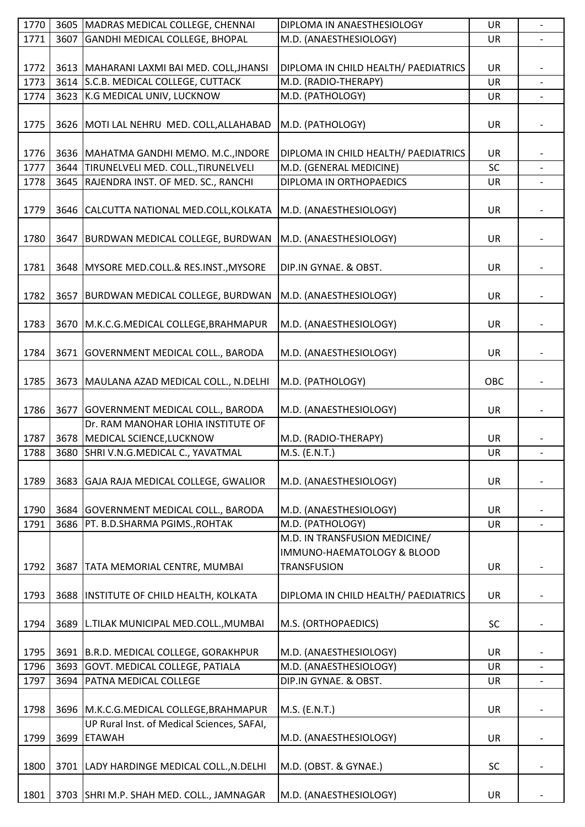| 1770 |      | 3605 MADRAS MEDICAL COLLEGE, CHENNAI        | DIPLOMA IN ANAESTHESIOLOGY           | UR        |                          |
|------|------|---------------------------------------------|--------------------------------------|-----------|--------------------------|
| 1771 | 3607 | GANDHI MEDICAL COLLEGE, BHOPAL              | M.D. (ANAESTHESIOLOGY)               | UR        |                          |
|      |      |                                             |                                      |           |                          |
| 1772 |      | 3613   MAHARANI LAXMI BAI MED. COLL, JHANSI | DIPLOMA IN CHILD HEALTH/ PAEDIATRICS | UR        |                          |
| 1773 |      | 3614 S.C.B. MEDICAL COLLEGE, CUTTACK        | M.D. (RADIO-THERAPY)                 | <b>UR</b> |                          |
| 1774 |      | 3623 K.G MEDICAL UNIV, LUCKNOW              | M.D. (PATHOLOGY)                     | UR        |                          |
|      |      |                                             |                                      |           |                          |
| 1775 |      | 3626   MOTI LAL NEHRU MED. COLL, ALLAHABAD  | M.D. (PATHOLOGY)                     | UR        |                          |
|      |      |                                             |                                      |           |                          |
| 1776 |      | 3636   MAHATMA GANDHI MEMO. M.C., INDORE    | DIPLOMA IN CHILD HEALTH/ PAEDIATRICS | UR        |                          |
| 1777 |      | 3644 TIRUNELVELI MED. COLL., TIRUNELVELI    | M.D. (GENERAL MEDICINE)              | SC        |                          |
| 1778 |      | 3645 RAJENDRA INST. OF MED. SC., RANCHI     | DIPLOMA IN ORTHOPAEDICS              | UR        |                          |
|      |      |                                             |                                      |           |                          |
| 1779 |      | 3646 CALCUTTA NATIONAL MED.COLL, KOLKATA    | M.D. (ANAESTHESIOLOGY)               | UR        |                          |
|      |      |                                             |                                      |           |                          |
| 1780 |      | 3647   BURDWAN MEDICAL COLLEGE, BURDWAN     | M.D. (ANAESTHESIOLOGY)               | UR        |                          |
|      |      |                                             |                                      |           |                          |
| 1781 |      | 3648 MYSORE MED.COLL.& RES.INST., MYSORE    | DIP.IN GYNAE. & OBST.                | UR        |                          |
|      |      |                                             |                                      |           |                          |
| 1782 |      | 3657 BURDWAN MEDICAL COLLEGE, BURDWAN       | M.D. (ANAESTHESIOLOGY)               | UR        |                          |
|      |      |                                             |                                      |           |                          |
| 1783 |      | 3670 M.K.C.G.MEDICAL COLLEGE, BRAHMAPUR     | M.D. (ANAESTHESIOLOGY)               | UR        |                          |
|      |      |                                             |                                      |           |                          |
| 1784 |      | 3671 GOVERNMENT MEDICAL COLL., BARODA       | M.D. (ANAESTHESIOLOGY)               | UR        |                          |
|      |      |                                             |                                      |           |                          |
| 1785 |      | 3673   MAULANA AZAD MEDICAL COLL., N.DELHI  | M.D. (PATHOLOGY)                     | OBC       |                          |
|      |      |                                             |                                      |           |                          |
| 1786 |      | 3677 GOVERNMENT MEDICAL COLL., BARODA       | M.D. (ANAESTHESIOLOGY)               | UR        |                          |
|      |      | Dr. RAM MANOHAR LOHIA INSTITUTE OF          |                                      |           |                          |
| 1787 |      | 3678 MEDICAL SCIENCE, LUCKNOW               | M.D. (RADIO-THERAPY)                 | UR        |                          |
| 1788 |      | 3680 SHRI V.N.G.MEDICAL C., YAVATMAL        | M.S. (E.N.T.)                        | <b>UR</b> | $\overline{\phantom{a}}$ |
|      |      |                                             |                                      |           |                          |
| 1789 |      | 3683 GAJA RAJA MEDICAL COLLEGE, GWALIOR     | M.D. (ANAESTHESIOLOGY)               | UR        |                          |
|      |      |                                             |                                      |           |                          |
| 1790 |      | 3684 GOVERNMENT MEDICAL COLL., BARODA       | M.D. (ANAESTHESIOLOGY)               | UR        |                          |
| 1791 |      | 3686   PT. B.D.SHARMA PGIMS., ROHTAK        | M.D. (PATHOLOGY)                     | <b>UR</b> |                          |
|      |      |                                             | M.D. IN TRANSFUSION MEDICINE/        |           |                          |
|      |      |                                             | IMMUNO-HAEMATOLOGY & BLOOD           |           |                          |
| 1792 |      | 3687   TATA MEMORIAL CENTRE, MUMBAI         | <b>TRANSFUSION</b>                   | UR        |                          |
|      |      |                                             |                                      |           |                          |
| 1793 |      | 3688  INSTITUTE OF CHILD HEALTH, KOLKATA    | DIPLOMA IN CHILD HEALTH/ PAEDIATRICS | <b>UR</b> |                          |
|      |      |                                             |                                      |           |                          |
| 1794 |      | 3689   L.TILAK MUNICIPAL MED.COLL., MUMBAI  | M.S. (ORTHOPAEDICS)                  | <b>SC</b> |                          |
|      |      |                                             |                                      |           |                          |
| 1795 |      | 3691 B.R.D. MEDICAL COLLEGE, GORAKHPUR      | M.D. (ANAESTHESIOLOGY)               | UR        |                          |
| 1796 |      | 3693 GOVT. MEDICAL COLLEGE, PATIALA         | M.D. (ANAESTHESIOLOGY)               | UR        |                          |
| 1797 |      | 3694   PATNA MEDICAL COLLEGE                | DIP.IN GYNAE. & OBST.                | UR        |                          |
|      |      |                                             |                                      |           |                          |
| 1798 |      | 3696 M.K.C.G.MEDICAL COLLEGE, BRAHMAPUR     | M.S. (E.N.T.)                        | UR        |                          |
|      |      | UP Rural Inst. of Medical Sciences, SAFAI,  |                                      |           |                          |
| 1799 |      | 3699 ETAWAH                                 | M.D. (ANAESTHESIOLOGY)               | UR        |                          |
|      |      |                                             |                                      |           |                          |
| 1800 |      | 3701   LADY HARDINGE MEDICAL COLL., N.DELHI | M.D. (OBST. & GYNAE.)                | <b>SC</b> |                          |
|      |      |                                             |                                      |           |                          |
| 1801 |      | 3703 SHRI M.P. SHAH MED. COLL., JAMNAGAR    | M.D. (ANAESTHESIOLOGY)               | UR        |                          |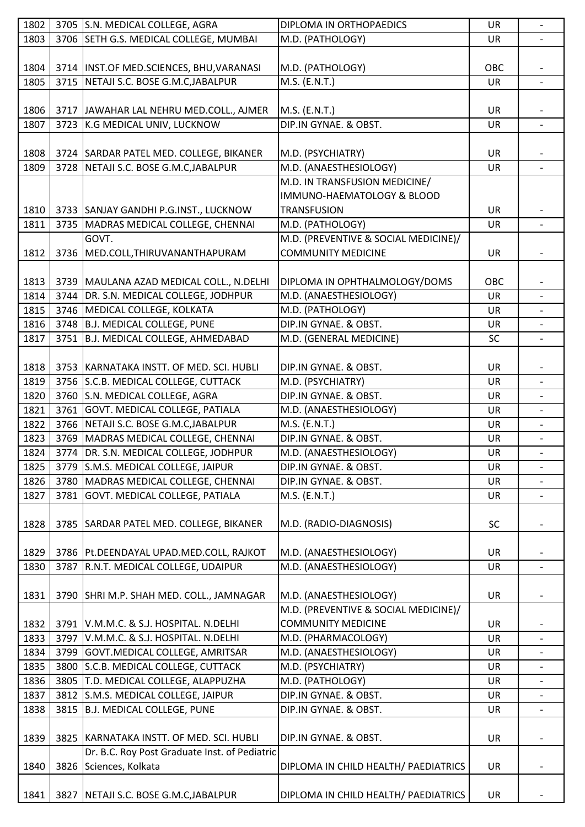| 1802 | 3705 S.N. MEDICAL COLLEGE, AGRA               | DIPLOMA IN ORTHOPAEDICS              | UR        | $\overline{\phantom{a}}$ |
|------|-----------------------------------------------|--------------------------------------|-----------|--------------------------|
| 1803 | 3706 SETH G.S. MEDICAL COLLEGE, MUMBAI        | M.D. (PATHOLOGY)                     | <b>UR</b> |                          |
|      |                                               |                                      |           |                          |
| 1804 | 3714  INST.OF MED.SCIENCES, BHU, VARANASI     | M.D. (PATHOLOGY)                     | OBC       |                          |
| 1805 | 3715 NETAJI S.C. BOSE G.M.C, JABALPUR         | M.S. (E.N.T.)                        | UR        |                          |
|      |                                               |                                      |           |                          |
| 1806 | 3717 JAWAHAR LAL NEHRU MED.COLL., AJMER       | M.S. (E.N.T.)                        | <b>UR</b> |                          |
| 1807 | 3723 K.G MEDICAL UNIV, LUCKNOW                | DIP.IN GYNAE. & OBST.                | <b>UR</b> |                          |
|      |                                               |                                      |           | $\overline{\phantom{0}}$ |
|      |                                               |                                      |           |                          |
| 1808 | 3724 SARDAR PATEL MED. COLLEGE, BIKANER       | M.D. (PSYCHIATRY)                    | UR        |                          |
| 1809 | 3728 NETAJI S.C. BOSE G.M.C, JABALPUR         | M.D. (ANAESTHESIOLOGY)               | UR        | $\overline{\phantom{a}}$ |
|      |                                               | M.D. IN TRANSFUSION MEDICINE/        |           |                          |
|      |                                               | IMMUNO-HAEMATOLOGY & BLOOD           |           |                          |
| 1810 | 3733 SANJAY GANDHI P.G.INST., LUCKNOW         | <b>TRANSFUSION</b>                   | <b>UR</b> |                          |
| 1811 | 3735 MADRAS MEDICAL COLLEGE, CHENNAI          | M.D. (PATHOLOGY)                     | UR        |                          |
|      | GOVT.                                         | M.D. (PREVENTIVE & SOCIAL MEDICINE)/ |           |                          |
| 1812 | 3736   MED.COLL, THIRUVANANTHAPURAM           | <b>COMMUNITY MEDICINE</b>            | UR        |                          |
|      |                                               |                                      |           |                          |
| 1813 | 3739   MAULANA AZAD MEDICAL COLL., N.DELHI    | <b>DIPLOMA IN OPHTHALMOLOGY/DOMS</b> | OBC       |                          |
| 1814 | 3744 DR. S.N. MEDICAL COLLEGE, JODHPUR        | M.D. (ANAESTHESIOLOGY)               | UR        |                          |
| 1815 | 3746 MEDICAL COLLEGE, KOLKATA                 | M.D. (PATHOLOGY)                     | <b>UR</b> |                          |
| 1816 | 3748 B.J. MEDICAL COLLEGE, PUNE               | DIP.IN GYNAE. & OBST.                | UR        |                          |
| 1817 | 3751 B.J. MEDICAL COLLEGE, AHMEDABAD          | M.D. (GENERAL MEDICINE)              | <b>SC</b> | $\overline{\phantom{0}}$ |
|      |                                               |                                      |           |                          |
| 1818 | 3753 KARNATAKA INSTT. OF MED. SCI. HUBLI      | DIP.IN GYNAE. & OBST.                | UR        |                          |
| 1819 | 3756 S.C.B. MEDICAL COLLEGE, CUTTACK          | M.D. (PSYCHIATRY)                    | UR        |                          |
|      |                                               |                                      |           |                          |
| 1820 | 3760 S.N. MEDICAL COLLEGE, AGRA               | DIP.IN GYNAE. & OBST.                | <b>UR</b> | $\overline{\phantom{a}}$ |
| 1821 | 3761 GOVT. MEDICAL COLLEGE, PATIALA           | M.D. (ANAESTHESIOLOGY)               | <b>UR</b> | $\overline{a}$           |
| 1822 | 3766 NETAJI S.C. BOSE G.M.C, JABALPUR         | M.S. (E.N.T.)                        | UR        |                          |
| 1823 | 3769 MADRAS MEDICAL COLLEGE, CHENNAI          | DIP.IN GYNAE. & OBST.                | UR        | $\overline{\phantom{a}}$ |
| 1824 | 3774 DR. S.N. MEDICAL COLLEGE, JODHPUR        | M.D. (ANAESTHESIOLOGY)               | UR        |                          |
| 1825 | 3779 S.M.S. MEDICAL COLLEGE, JAIPUR           | DIP.IN GYNAE. & OBST.                | UR        | $\blacksquare$           |
| 1826 | 3780 MADRAS MEDICAL COLLEGE, CHENNAI          | DIP.IN GYNAE. & OBST.                | <b>UR</b> |                          |
| 1827 | 3781 GOVT. MEDICAL COLLEGE, PATIALA           | M.S. (E.N.T.)                        | <b>UR</b> |                          |
|      |                                               |                                      |           |                          |
| 1828 | 3785 SARDAR PATEL MED. COLLEGE, BIKANER       | M.D. (RADIO-DIAGNOSIS)               | <b>SC</b> |                          |
|      |                                               |                                      |           |                          |
| 1829 | 3786 Pt.DEENDAYAL UPAD.MED.COLL, RAJKOT       | M.D. (ANAESTHESIOLOGY)               | UR        |                          |
| 1830 | 3787 R.N.T. MEDICAL COLLEGE, UDAIPUR          | M.D. (ANAESTHESIOLOGY)               | UR        | $\overline{\phantom{a}}$ |
|      |                                               |                                      |           |                          |
| 1831 | 3790 SHRI M.P. SHAH MED. COLL., JAMNAGAR      | M.D. (ANAESTHESIOLOGY)               | UR        |                          |
|      |                                               | M.D. (PREVENTIVE & SOCIAL MEDICINE)/ |           |                          |
| 1832 | 3791 V.M.M.C. & S.J. HOSPITAL. N.DELHI        | <b>COMMUNITY MEDICINE</b>            | <b>UR</b> |                          |
| 1833 | 3797 V.M.M.C. & S.J. HOSPITAL. N.DELHI        | M.D. (PHARMACOLOGY)                  | UR        | $\overline{\phantom{a}}$ |
| 1834 | 3799 GOVT.MEDICAL COLLEGE, AMRITSAR           | M.D. (ANAESTHESIOLOGY)               | UR        |                          |
| 1835 | 3800 S.C.B. MEDICAL COLLEGE, CUTTACK          | M.D. (PSYCHIATRY)                    | UR        |                          |
| 1836 | 3805 T.D. MEDICAL COLLEGE, ALAPPUZHA          | M.D. (PATHOLOGY)                     | <b>UR</b> |                          |
|      |                                               |                                      |           |                          |
| 1837 | 3812 S.M.S. MEDICAL COLLEGE, JAIPUR           | DIP.IN GYNAE. & OBST.                | UR        |                          |
| 1838 | 3815 B.J. MEDICAL COLLEGE, PUNE               | DIP.IN GYNAE. & OBST.                | UR        | $\overline{\phantom{a}}$ |
|      |                                               |                                      |           |                          |
| 1839 | 3825 KARNATAKA INSTT. OF MED. SCI. HUBLI      | DIP.IN GYNAE. & OBST.                | <b>UR</b> | $\overline{\phantom{a}}$ |
|      | Dr. B.C. Roy Post Graduate Inst. of Pediatric |                                      |           |                          |
| 1840 | 3826 Sciences, Kolkata                        | DIPLOMA IN CHILD HEALTH/ PAEDIATRICS | UR        |                          |
|      |                                               |                                      |           |                          |
| 1841 | 3827   NETAJI S.C. BOSE G.M.C, JABALPUR       | DIPLOMA IN CHILD HEALTH/ PAEDIATRICS | UR        |                          |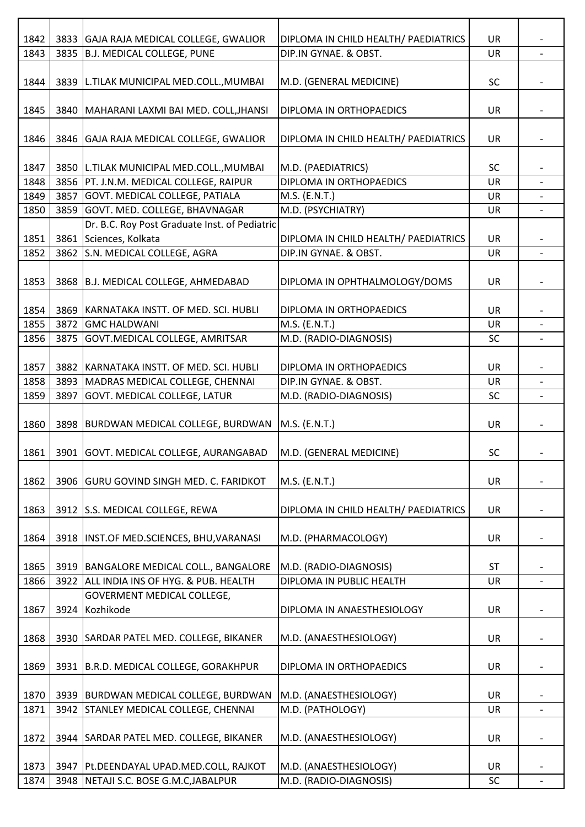|      |      |                                               |                                      | UR        |                          |
|------|------|-----------------------------------------------|--------------------------------------|-----------|--------------------------|
| 1842 |      | 3833 GAJA RAJA MEDICAL COLLEGE, GWALIOR       | DIPLOMA IN CHILD HEALTH/ PAEDIATRICS |           |                          |
| 1843 | 3835 | B.J. MEDICAL COLLEGE, PUNE                    | DIP.IN GYNAE. & OBST.                | UR        |                          |
| 1844 | 3839 | L.TILAK MUNICIPAL MED.COLL., MUMBAI           | M.D. (GENERAL MEDICINE)              | SC        |                          |
| 1845 | 3840 | MAHARANI LAXMI BAI MED. COLL, JHANSI          | DIPLOMA IN ORTHOPAEDICS              | <b>UR</b> |                          |
| 1846 |      | 3846 GAJA RAJA MEDICAL COLLEGE, GWALIOR       | DIPLOMA IN CHILD HEALTH/ PAEDIATRICS | UR        |                          |
| 1847 |      | 3850 L.TILAK MUNICIPAL MED.COLL., MUMBAI      | M.D. (PAEDIATRICS)                   | <b>SC</b> |                          |
| 1848 | 3856 | PT. J.N.M. MEDICAL COLLEGE, RAIPUR            | DIPLOMA IN ORTHOPAEDICS              | <b>UR</b> |                          |
| 1849 | 3857 | GOVT. MEDICAL COLLEGE, PATIALA                | M.S. (E.N.T.)                        | <b>UR</b> |                          |
| 1850 | 3859 | GOVT. MED. COLLEGE, BHAVNAGAR                 | M.D. (PSYCHIATRY)                    | <b>UR</b> |                          |
|      |      | Dr. B.C. Roy Post Graduate Inst. of Pediatric |                                      |           |                          |
| 1851 | 3861 | Sciences, Kolkata                             | DIPLOMA IN CHILD HEALTH/ PAEDIATRICS | <b>UR</b> |                          |
| 1852 | 3862 | S.N. MEDICAL COLLEGE, AGRA                    | DIP.IN GYNAE. & OBST.                | UR        |                          |
|      |      |                                               |                                      |           |                          |
| 1853 | 3868 | B.J. MEDICAL COLLEGE, AHMEDABAD               | DIPLOMA IN OPHTHALMOLOGY/DOMS        | <b>UR</b> |                          |
|      |      |                                               |                                      | <b>UR</b> |                          |
| 1854 | 3869 | KARNATAKA INSTT. OF MED. SCI. HUBLI           | DIPLOMA IN ORTHOPAEDICS              |           |                          |
| 1855 |      | 3872 GMC HALDWANI                             | M.S. (E.N.T.)                        | <b>UR</b> |                          |
| 1856 | 3875 | GOVT. MEDICAL COLLEGE, AMRITSAR               | M.D. (RADIO-DIAGNOSIS)               | <b>SC</b> |                          |
| 1857 | 3882 | KARNATAKA INSTT. OF MED. SCI. HUBLI           | DIPLOMA IN ORTHOPAEDICS              | <b>UR</b> |                          |
| 1858 | 3893 | MADRAS MEDICAL COLLEGE, CHENNAI               | DIP.IN GYNAE. & OBST.                | <b>UR</b> |                          |
| 1859 | 3897 | <b>GOVT. MEDICAL COLLEGE, LATUR</b>           | M.D. (RADIO-DIAGNOSIS)               | <b>SC</b> |                          |
|      |      |                                               |                                      |           |                          |
| 1860 | 3898 | BURDWAN MEDICAL COLLEGE, BURDWAN              | M.S. (E.N.T.)                        | UR        |                          |
| 1861 |      | 3901 GOVT. MEDICAL COLLEGE, AURANGABAD        | M.D. (GENERAL MEDICINE)              | SC        |                          |
| 1862 | 3906 | <b>GURU GOVIND SINGH MED. C. FARIDKOT</b>     | M.S. (E.N.T.)                        | UR        |                          |
| 1863 |      | 3912 S.S. MEDICAL COLLEGE, REWA               | DIPLOMA IN CHILD HEALTH/ PAEDIATRICS | UR        |                          |
| 1864 |      | 3918  INST.OF MED.SCIENCES, BHU, VARANASI     | M.D. (PHARMACOLOGY)                  | <b>UR</b> |                          |
| 1865 | 3919 | BANGALORE MEDICAL COLL., BANGALORE            | M.D. (RADIO-DIAGNOSIS)               | <b>ST</b> |                          |
| 1866 | 3922 | ALL INDIA INS OF HYG. & PUB. HEALTH           | DIPLOMA IN PUBLIC HEALTH             | UR        | $\overline{\phantom{0}}$ |
|      |      | GOVERMENT MEDICAL COLLEGE,                    |                                      |           |                          |
| 1867 | 3924 | Kozhikode                                     | DIPLOMA IN ANAESTHESIOLOGY           | UR        |                          |
|      |      |                                               |                                      |           |                          |
| 1868 | 3930 | SARDAR PATEL MED. COLLEGE, BIKANER            | M.D. (ANAESTHESIOLOGY)               | <b>UR</b> |                          |
| 1869 | 3931 | B.R.D. MEDICAL COLLEGE, GORAKHPUR             | DIPLOMA IN ORTHOPAEDICS              | UR        |                          |
|      |      |                                               |                                      |           |                          |
| 1870 |      | 3939   BURDWAN MEDICAL COLLEGE, BURDWAN       | M.D. (ANAESTHESIOLOGY)               | <b>UR</b> |                          |
| 1871 | 3942 | <b>STANLEY MEDICAL COLLEGE, CHENNAI</b>       | M.D. (PATHOLOGY)                     | UR        | $\overline{\phantom{0}}$ |
| 1872 | 3944 | SARDAR PATEL MED. COLLEGE, BIKANER            | M.D. (ANAESTHESIOLOGY)               | UR        |                          |
|      |      |                                               |                                      |           |                          |
| 1873 | 3947 | Pt.DEENDAYAL UPAD.MED.COLL, RAJKOT            | M.D. (ANAESTHESIOLOGY)               | <b>UR</b> |                          |
| 1874 | 3948 | NETAJI S.C. BOSE G.M.C, JABALPUR              | M.D. (RADIO-DIAGNOSIS)               | <b>SC</b> | $\overline{\phantom{0}}$ |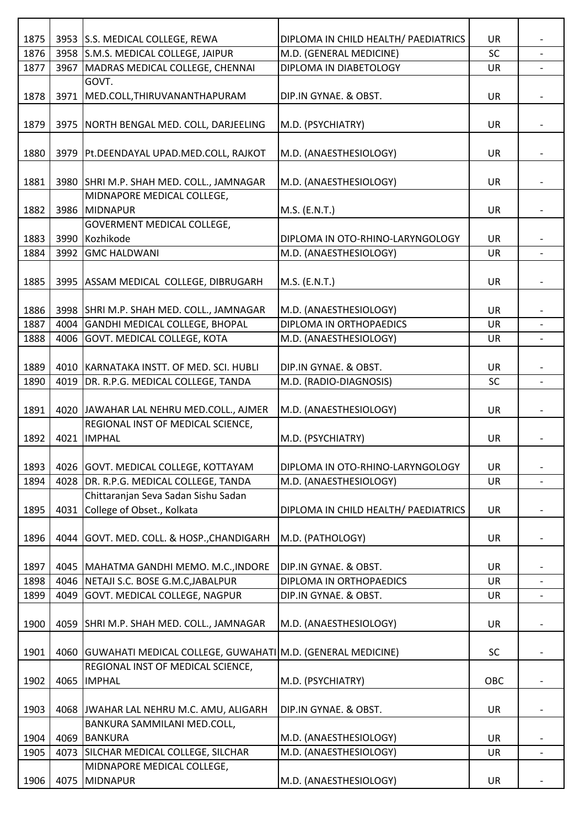| 1875         |      |                                                                        |                                                                 |                 |                          |
|--------------|------|------------------------------------------------------------------------|-----------------------------------------------------------------|-----------------|--------------------------|
| 1876         |      | 3953 S.S. MEDICAL COLLEGE, REWA<br>3958 S.M.S. MEDICAL COLLEGE, JAIPUR | DIPLOMA IN CHILD HEALTH/ PAEDIATRICS<br>M.D. (GENERAL MEDICINE) | UR<br><b>SC</b> |                          |
| 1877         | 3967 | MADRAS MEDICAL COLLEGE, CHENNAI                                        | DIPLOMA IN DIABETOLOGY                                          | UR              |                          |
|              |      | GOVT.                                                                  |                                                                 |                 |                          |
| 1878         |      | 3971   MED.COLL, THIRUVANANTHAPURAM                                    | DIP.IN GYNAE. & OBST.                                           | UR              |                          |
|              |      |                                                                        |                                                                 |                 |                          |
| 1879         |      | 3975 NORTH BENGAL MED. COLL, DARJEELING                                | M.D. (PSYCHIATRY)                                               | UR              |                          |
|              |      |                                                                        |                                                                 |                 |                          |
| 1880         |      | 3979   Pt.DEENDAYAL UPAD.MED.COLL, RAJKOT                              | M.D. (ANAESTHESIOLOGY)                                          | <b>UR</b>       |                          |
|              |      |                                                                        |                                                                 |                 |                          |
| 1881         |      | 3980 SHRI M.P. SHAH MED. COLL., JAMNAGAR                               | M.D. (ANAESTHESIOLOGY)                                          | UR              |                          |
|              |      | MIDNAPORE MEDICAL COLLEGE,                                             |                                                                 |                 |                          |
| 1882         |      | 3986 MIDNAPUR                                                          | M.S. (E.N.T.)                                                   | UR              |                          |
|              |      | GOVERMENT MEDICAL COLLEGE,                                             |                                                                 |                 |                          |
| 1883         |      | 3990 Kozhikode                                                         | DIPLOMA IN OTO-RHINO-LARYNGOLOGY                                | UR              |                          |
| 1884         | 3992 | <b>GMC HALDWANI</b>                                                    | M.D. (ANAESTHESIOLOGY)                                          | <b>UR</b>       |                          |
|              |      |                                                                        |                                                                 |                 |                          |
| 1885         |      | 3995 ASSAM MEDICAL COLLEGE, DIBRUGARH                                  | M.S. (E.N.T.)                                                   | UR              |                          |
|              |      |                                                                        |                                                                 |                 |                          |
| 1886         |      | 3998 SHRI M.P. SHAH MED. COLL., JAMNAGAR                               | M.D. (ANAESTHESIOLOGY)                                          | UR              |                          |
| 1887         |      | 4004 GANDHI MEDICAL COLLEGE, BHOPAL                                    | DIPLOMA IN ORTHOPAEDICS                                         | <b>UR</b>       |                          |
| 1888         |      | 4006 GOVT. MEDICAL COLLEGE, KOTA                                       | M.D. (ANAESTHESIOLOGY)                                          | UR              | $\overline{\phantom{a}}$ |
|              |      |                                                                        |                                                                 |                 |                          |
| 1889<br>1890 | 4019 | 4010 KARNATAKA INSTT. OF MED. SCI. HUBLI                               | DIP.IN GYNAE. & OBST.                                           | UR<br><b>SC</b> | $\blacksquare$           |
|              |      | DR. R.P.G. MEDICAL COLLEGE, TANDA                                      | M.D. (RADIO-DIAGNOSIS)                                          |                 |                          |
| 1891         |      | 4020 JAWAHAR LAL NEHRU MED.COLL., AJMER                                | M.D. (ANAESTHESIOLOGY)                                          | UR              |                          |
|              |      | REGIONAL INST OF MEDICAL SCIENCE,                                      |                                                                 |                 |                          |
| 1892         | 4021 | <b>IMPHAL</b>                                                          | M.D. (PSYCHIATRY)                                               | UR              |                          |
|              |      |                                                                        |                                                                 |                 |                          |
| 1893         |      | 4026 GOVT. MEDICAL COLLEGE, KOTTAYAM                                   | DIPLOMA IN OTO-RHINO-LARYNGOLOGY                                | UR              |                          |
| 1894         |      | 4028 DR. R.P.G. MEDICAL COLLEGE, TANDA                                 | M.D. (ANAESTHESIOLOGY)                                          | UR              |                          |
|              |      | Chittaranjan Seva Sadan Sishu Sadan                                    |                                                                 |                 |                          |
| 1895         | 4031 | College of Obset., Kolkata                                             | DIPLOMA IN CHILD HEALTH/ PAEDIATRICS                            | <b>UR</b>       |                          |
|              |      |                                                                        |                                                                 |                 |                          |
| 1896         |      | 4044 GOVT. MED. COLL. & HOSP., CHANDIGARH                              | M.D. (PATHOLOGY)                                                | UR              |                          |
|              |      |                                                                        |                                                                 |                 |                          |
| 1897         |      | 4045   MAHATMA GANDHI MEMO. M.C., INDORE                               | DIP.IN GYNAE. & OBST.                                           | UR              |                          |
| 1898         |      | 4046 NETAJI S.C. BOSE G.M.C, JABALPUR                                  | DIPLOMA IN ORTHOPAEDICS                                         | UR              | $\overline{\phantom{a}}$ |
| 1899         |      | 4049 GOVT. MEDICAL COLLEGE, NAGPUR                                     | DIP.IN GYNAE. & OBST.                                           | UR              |                          |
|              |      |                                                                        |                                                                 |                 |                          |
| 1900         |      | 4059 SHRI M.P. SHAH MED. COLL., JAMNAGAR                               | M.D. (ANAESTHESIOLOGY)                                          | <b>UR</b>       |                          |
|              |      |                                                                        |                                                                 |                 |                          |
| 1901         |      | 4060 GUWAHATI MEDICAL COLLEGE, GUWAHATI M.D. (GENERAL MEDICINE)        |                                                                 | SC              |                          |
|              |      | REGIONAL INST OF MEDICAL SCIENCE,                                      |                                                                 |                 |                          |
| 1902         |      | 4065  IMPHAL                                                           | M.D. (PSYCHIATRY)                                               | OBC             |                          |
|              |      |                                                                        |                                                                 |                 |                          |
| 1903         |      | 4068 JWAHAR LAL NEHRU M.C. AMU, ALIGARH                                | DIP.IN GYNAE. & OBST.                                           | <b>UR</b>       |                          |
| 1904         |      | BANKURA SAMMILANI MED.COLL,<br>4069 BANKURA                            | M.D. (ANAESTHESIOLOGY)                                          | <b>UR</b>       |                          |
| 1905         |      | 4073 SILCHAR MEDICAL COLLEGE, SILCHAR                                  | M.D. (ANAESTHESIOLOGY)                                          | UR              | $\overline{\phantom{a}}$ |
|              |      | MIDNAPORE MEDICAL COLLEGE,                                             |                                                                 |                 |                          |
| 1906         | 4075 | MIDNAPUR                                                               | M.D. (ANAESTHESIOLOGY)                                          | UR              |                          |
|              |      |                                                                        |                                                                 |                 |                          |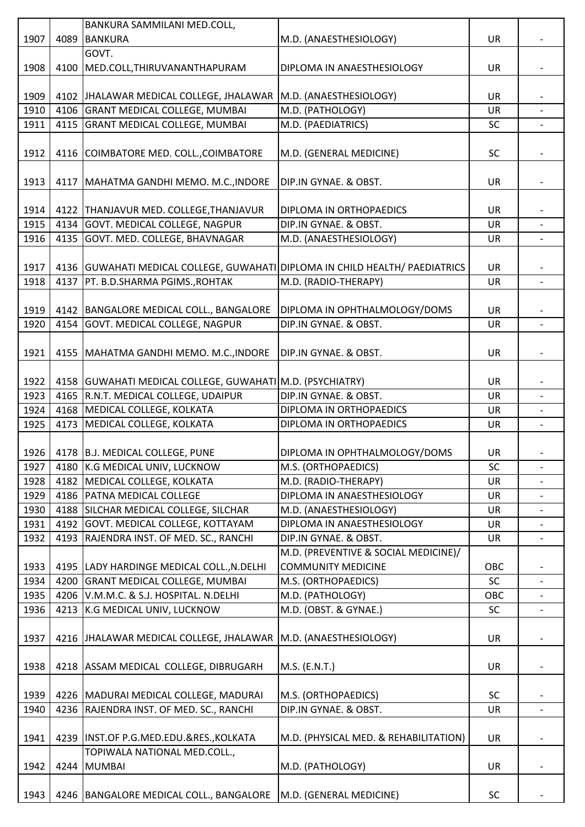| 1907<br>4089 BANKURA<br>M.D. (ANAESTHESIOLOGY)<br><b>UR</b><br>GOVT.<br>4100 MED.COLL, THIRUVANANTHAPURAM<br>1908<br>DIPLOMA IN ANAESTHESIOLOGY<br><b>UR</b><br>1909<br>4102 JHALAWAR MEDICAL COLLEGE, JHALAWAR M.D. (ANAESTHESIOLOGY)<br>UR<br>4106 GRANT MEDICAL COLLEGE, MUMBAI<br>M.D. (PATHOLOGY)<br>1910<br><b>UR</b><br>4115 GRANT MEDICAL COLLEGE, MUMBAI<br>M.D. (PAEDIATRICS)<br>1911<br><b>SC</b><br>$\overline{\phantom{a}}$<br>1912<br>4116 COIMBATORE MED. COLL., COIMBATORE<br>M.D. (GENERAL MEDICINE)<br><b>SC</b><br>1913<br>4117 MAHATMA GANDHI MEMO. M.C., INDORE<br>UR<br>DIP.IN GYNAE. & OBST.<br>1914<br>4122 THANJAVUR MED. COLLEGE, THANJAVUR<br><b>UR</b><br>DIPLOMA IN ORTHOPAEDICS<br>4134 GOVT. MEDICAL COLLEGE, NAGPUR<br>1915<br>DIP.IN GYNAE. & OBST.<br>UR<br>4135 GOVT. MED. COLLEGE, BHAVNAGAR<br>1916<br>M.D. (ANAESTHESIOLOGY)<br><b>UR</b><br>1917<br>4136 GUWAHATI MEDICAL COLLEGE, GUWAHATI DIPLOMA IN CHILD HEALTH/ PAEDIATRICS<br>UR<br>M.D. (RADIO-THERAPY)<br>4137   PT. B.D.SHARMA PGIMS., ROHTAK<br>1918<br>UR<br>1919<br>4142 BANGALORE MEDICAL COLL., BANGALORE<br><b>UR</b><br>DIPLOMA IN OPHTHALMOLOGY/DOMS<br>4154 GOVT. MEDICAL COLLEGE, NAGPUR<br>DIP.IN GYNAE. & OBST.<br>1920<br>UR<br>1921<br>4155   MAHATMA GANDHI MEMO. M.C., INDORE<br>DIP.IN GYNAE. & OBST.<br>UR<br>4158 GUWAHATI MEDICAL COLLEGE, GUWAHATI M.D. (PSYCHIATRY)<br>1922<br>UR<br>4165   R.N.T. MEDICAL COLLEGE, UDAIPUR<br>DIP.IN GYNAE. & OBST.<br>1923<br>UR<br>$\overline{\phantom{a}}$<br>1924<br>4168 MEDICAL COLLEGE, KOLKATA<br>DIPLOMA IN ORTHOPAEDICS<br><b>UR</b><br>MEDICAL COLLEGE, KOLKATA<br>1925<br>4173<br>DIPLOMA IN ORTHOPAEDICS<br>UR<br>1926   4178   B.J. MEDICAL COLLEGE, PUNE<br><b>UR</b><br>DIPLOMA IN OPHTHALMOLOGY/DOMS<br>1927<br>4180 K.G MEDICAL UNIV, LUCKNOW<br>M.S. (ORTHOPAEDICS)<br><b>SC</b><br>$\overline{\phantom{a}}$<br>4182 MEDICAL COLLEGE, KOLKATA<br>M.D. (RADIO-THERAPY)<br>1928<br>UR<br>4186   PATNA MEDICAL COLLEGE<br>DIPLOMA IN ANAESTHESIOLOGY<br>1929<br>UR<br>$\overline{\phantom{0}}$<br>1930<br>4188 SILCHAR MEDICAL COLLEGE, SILCHAR<br>M.D. (ANAESTHESIOLOGY)<br><b>UR</b><br>4192 GOVT. MEDICAL COLLEGE, KOTTAYAM<br>DIPLOMA IN ANAESTHESIOLOGY<br>1931<br>UR<br>4193 RAJENDRA INST. OF MED. SC., RANCHI<br>1932<br>DIP.IN GYNAE. & OBST.<br><b>UR</b><br>$\blacksquare$<br>M.D. (PREVENTIVE & SOCIAL MEDICINE)/<br><b>COMMUNITY MEDICINE</b><br>1933<br>4195 LADY HARDINGE MEDICAL COLL., N.DELHI<br>OBC<br>4200 GRANT MEDICAL COLLEGE, MUMBAI<br>SC<br>1934<br>M.S. (ORTHOPAEDICS)<br>4206 V.M.M.C. & S.J. HOSPITAL. N.DELHI<br>M.D. (PATHOLOGY)<br>1935<br>OBC<br>M.D. (OBST. & GYNAE.)<br>4213 K.G MEDICAL UNIV, LUCKNOW<br>1936<br>SC<br>$\overline{\phantom{0}}$<br>1937<br>4216 JHALAWAR MEDICAL COLLEGE, JHALAWAR M.D. (ANAESTHESIOLOGY)<br><b>UR</b><br>1938<br>4218 ASSAM MEDICAL COLLEGE, DIBRUGARH<br>M.S. (E.N.T.)<br><b>UR</b><br>1939<br>4226   MADURAI MEDICAL COLLEGE, MADURAI<br>M.S. (ORTHOPAEDICS)<br><b>SC</b><br>4236 RAJENDRA INST. OF MED. SC., RANCHI<br>DIP.IN GYNAE. & OBST.<br>1940<br><b>UR</b><br>$\overline{\phantom{a}}$<br>4239 INST.OF P.G.MED.EDU.&RES., KOLKATA<br>1941<br>M.D. (PHYSICAL MED. & REHABILITATION)<br><b>UR</b><br>TOPIWALA NATIONAL MED.COLL.,<br>4244 MUMBAI<br>M.D. (PATHOLOGY)<br>1942<br><b>UR</b><br>1943<br>4246   BANGALORE MEDICAL COLL., BANGALORE<br>M.D. (GENERAL MEDICINE)<br><b>SC</b> |  | BANKURA SAMMILANI MED.COLL, |  |  |
|--------------------------------------------------------------------------------------------------------------------------------------------------------------------------------------------------------------------------------------------------------------------------------------------------------------------------------------------------------------------------------------------------------------------------------------------------------------------------------------------------------------------------------------------------------------------------------------------------------------------------------------------------------------------------------------------------------------------------------------------------------------------------------------------------------------------------------------------------------------------------------------------------------------------------------------------------------------------------------------------------------------------------------------------------------------------------------------------------------------------------------------------------------------------------------------------------------------------------------------------------------------------------------------------------------------------------------------------------------------------------------------------------------------------------------------------------------------------------------------------------------------------------------------------------------------------------------------------------------------------------------------------------------------------------------------------------------------------------------------------------------------------------------------------------------------------------------------------------------------------------------------------------------------------------------------------------------------------------------------------------------------------------------------------------------------------------------------------------------------------------------------------------------------------------------------------------------------------------------------------------------------------------------------------------------------------------------------------------------------------------------------------------------------------------------------------------------------------------------------------------------------------------------------------------------------------------------------------------------------------------------------------------------------------------------------------------------------------------------------------------------------------------------------------------------------------------------------------------------------------------------------------------------------------------------------------------------------------------------------------------------------------------------------------------------------------------------------------------------------------------------------------------------------------------------------------------------------------------------------------------------------------------------------------------------------------------------------------------------------------------------------------------------------------------------------------|--|-----------------------------|--|--|
|                                                                                                                                                                                                                                                                                                                                                                                                                                                                                                                                                                                                                                                                                                                                                                                                                                                                                                                                                                                                                                                                                                                                                                                                                                                                                                                                                                                                                                                                                                                                                                                                                                                                                                                                                                                                                                                                                                                                                                                                                                                                                                                                                                                                                                                                                                                                                                                                                                                                                                                                                                                                                                                                                                                                                                                                                                                                                                                                                                                                                                                                                                                                                                                                                                                                                                                                                                                                                                            |  |                             |  |  |
|                                                                                                                                                                                                                                                                                                                                                                                                                                                                                                                                                                                                                                                                                                                                                                                                                                                                                                                                                                                                                                                                                                                                                                                                                                                                                                                                                                                                                                                                                                                                                                                                                                                                                                                                                                                                                                                                                                                                                                                                                                                                                                                                                                                                                                                                                                                                                                                                                                                                                                                                                                                                                                                                                                                                                                                                                                                                                                                                                                                                                                                                                                                                                                                                                                                                                                                                                                                                                                            |  |                             |  |  |
|                                                                                                                                                                                                                                                                                                                                                                                                                                                                                                                                                                                                                                                                                                                                                                                                                                                                                                                                                                                                                                                                                                                                                                                                                                                                                                                                                                                                                                                                                                                                                                                                                                                                                                                                                                                                                                                                                                                                                                                                                                                                                                                                                                                                                                                                                                                                                                                                                                                                                                                                                                                                                                                                                                                                                                                                                                                                                                                                                                                                                                                                                                                                                                                                                                                                                                                                                                                                                                            |  |                             |  |  |
|                                                                                                                                                                                                                                                                                                                                                                                                                                                                                                                                                                                                                                                                                                                                                                                                                                                                                                                                                                                                                                                                                                                                                                                                                                                                                                                                                                                                                                                                                                                                                                                                                                                                                                                                                                                                                                                                                                                                                                                                                                                                                                                                                                                                                                                                                                                                                                                                                                                                                                                                                                                                                                                                                                                                                                                                                                                                                                                                                                                                                                                                                                                                                                                                                                                                                                                                                                                                                                            |  |                             |  |  |
|                                                                                                                                                                                                                                                                                                                                                                                                                                                                                                                                                                                                                                                                                                                                                                                                                                                                                                                                                                                                                                                                                                                                                                                                                                                                                                                                                                                                                                                                                                                                                                                                                                                                                                                                                                                                                                                                                                                                                                                                                                                                                                                                                                                                                                                                                                                                                                                                                                                                                                                                                                                                                                                                                                                                                                                                                                                                                                                                                                                                                                                                                                                                                                                                                                                                                                                                                                                                                                            |  |                             |  |  |
|                                                                                                                                                                                                                                                                                                                                                                                                                                                                                                                                                                                                                                                                                                                                                                                                                                                                                                                                                                                                                                                                                                                                                                                                                                                                                                                                                                                                                                                                                                                                                                                                                                                                                                                                                                                                                                                                                                                                                                                                                                                                                                                                                                                                                                                                                                                                                                                                                                                                                                                                                                                                                                                                                                                                                                                                                                                                                                                                                                                                                                                                                                                                                                                                                                                                                                                                                                                                                                            |  |                             |  |  |
|                                                                                                                                                                                                                                                                                                                                                                                                                                                                                                                                                                                                                                                                                                                                                                                                                                                                                                                                                                                                                                                                                                                                                                                                                                                                                                                                                                                                                                                                                                                                                                                                                                                                                                                                                                                                                                                                                                                                                                                                                                                                                                                                                                                                                                                                                                                                                                                                                                                                                                                                                                                                                                                                                                                                                                                                                                                                                                                                                                                                                                                                                                                                                                                                                                                                                                                                                                                                                                            |  |                             |  |  |
|                                                                                                                                                                                                                                                                                                                                                                                                                                                                                                                                                                                                                                                                                                                                                                                                                                                                                                                                                                                                                                                                                                                                                                                                                                                                                                                                                                                                                                                                                                                                                                                                                                                                                                                                                                                                                                                                                                                                                                                                                                                                                                                                                                                                                                                                                                                                                                                                                                                                                                                                                                                                                                                                                                                                                                                                                                                                                                                                                                                                                                                                                                                                                                                                                                                                                                                                                                                                                                            |  |                             |  |  |
|                                                                                                                                                                                                                                                                                                                                                                                                                                                                                                                                                                                                                                                                                                                                                                                                                                                                                                                                                                                                                                                                                                                                                                                                                                                                                                                                                                                                                                                                                                                                                                                                                                                                                                                                                                                                                                                                                                                                                                                                                                                                                                                                                                                                                                                                                                                                                                                                                                                                                                                                                                                                                                                                                                                                                                                                                                                                                                                                                                                                                                                                                                                                                                                                                                                                                                                                                                                                                                            |  |                             |  |  |
|                                                                                                                                                                                                                                                                                                                                                                                                                                                                                                                                                                                                                                                                                                                                                                                                                                                                                                                                                                                                                                                                                                                                                                                                                                                                                                                                                                                                                                                                                                                                                                                                                                                                                                                                                                                                                                                                                                                                                                                                                                                                                                                                                                                                                                                                                                                                                                                                                                                                                                                                                                                                                                                                                                                                                                                                                                                                                                                                                                                                                                                                                                                                                                                                                                                                                                                                                                                                                                            |  |                             |  |  |
|                                                                                                                                                                                                                                                                                                                                                                                                                                                                                                                                                                                                                                                                                                                                                                                                                                                                                                                                                                                                                                                                                                                                                                                                                                                                                                                                                                                                                                                                                                                                                                                                                                                                                                                                                                                                                                                                                                                                                                                                                                                                                                                                                                                                                                                                                                                                                                                                                                                                                                                                                                                                                                                                                                                                                                                                                                                                                                                                                                                                                                                                                                                                                                                                                                                                                                                                                                                                                                            |  |                             |  |  |
|                                                                                                                                                                                                                                                                                                                                                                                                                                                                                                                                                                                                                                                                                                                                                                                                                                                                                                                                                                                                                                                                                                                                                                                                                                                                                                                                                                                                                                                                                                                                                                                                                                                                                                                                                                                                                                                                                                                                                                                                                                                                                                                                                                                                                                                                                                                                                                                                                                                                                                                                                                                                                                                                                                                                                                                                                                                                                                                                                                                                                                                                                                                                                                                                                                                                                                                                                                                                                                            |  |                             |  |  |
|                                                                                                                                                                                                                                                                                                                                                                                                                                                                                                                                                                                                                                                                                                                                                                                                                                                                                                                                                                                                                                                                                                                                                                                                                                                                                                                                                                                                                                                                                                                                                                                                                                                                                                                                                                                                                                                                                                                                                                                                                                                                                                                                                                                                                                                                                                                                                                                                                                                                                                                                                                                                                                                                                                                                                                                                                                                                                                                                                                                                                                                                                                                                                                                                                                                                                                                                                                                                                                            |  |                             |  |  |
|                                                                                                                                                                                                                                                                                                                                                                                                                                                                                                                                                                                                                                                                                                                                                                                                                                                                                                                                                                                                                                                                                                                                                                                                                                                                                                                                                                                                                                                                                                                                                                                                                                                                                                                                                                                                                                                                                                                                                                                                                                                                                                                                                                                                                                                                                                                                                                                                                                                                                                                                                                                                                                                                                                                                                                                                                                                                                                                                                                                                                                                                                                                                                                                                                                                                                                                                                                                                                                            |  |                             |  |  |
|                                                                                                                                                                                                                                                                                                                                                                                                                                                                                                                                                                                                                                                                                                                                                                                                                                                                                                                                                                                                                                                                                                                                                                                                                                                                                                                                                                                                                                                                                                                                                                                                                                                                                                                                                                                                                                                                                                                                                                                                                                                                                                                                                                                                                                                                                                                                                                                                                                                                                                                                                                                                                                                                                                                                                                                                                                                                                                                                                                                                                                                                                                                                                                                                                                                                                                                                                                                                                                            |  |                             |  |  |
|                                                                                                                                                                                                                                                                                                                                                                                                                                                                                                                                                                                                                                                                                                                                                                                                                                                                                                                                                                                                                                                                                                                                                                                                                                                                                                                                                                                                                                                                                                                                                                                                                                                                                                                                                                                                                                                                                                                                                                                                                                                                                                                                                                                                                                                                                                                                                                                                                                                                                                                                                                                                                                                                                                                                                                                                                                                                                                                                                                                                                                                                                                                                                                                                                                                                                                                                                                                                                                            |  |                             |  |  |
|                                                                                                                                                                                                                                                                                                                                                                                                                                                                                                                                                                                                                                                                                                                                                                                                                                                                                                                                                                                                                                                                                                                                                                                                                                                                                                                                                                                                                                                                                                                                                                                                                                                                                                                                                                                                                                                                                                                                                                                                                                                                                                                                                                                                                                                                                                                                                                                                                                                                                                                                                                                                                                                                                                                                                                                                                                                                                                                                                                                                                                                                                                                                                                                                                                                                                                                                                                                                                                            |  |                             |  |  |
|                                                                                                                                                                                                                                                                                                                                                                                                                                                                                                                                                                                                                                                                                                                                                                                                                                                                                                                                                                                                                                                                                                                                                                                                                                                                                                                                                                                                                                                                                                                                                                                                                                                                                                                                                                                                                                                                                                                                                                                                                                                                                                                                                                                                                                                                                                                                                                                                                                                                                                                                                                                                                                                                                                                                                                                                                                                                                                                                                                                                                                                                                                                                                                                                                                                                                                                                                                                                                                            |  |                             |  |  |
|                                                                                                                                                                                                                                                                                                                                                                                                                                                                                                                                                                                                                                                                                                                                                                                                                                                                                                                                                                                                                                                                                                                                                                                                                                                                                                                                                                                                                                                                                                                                                                                                                                                                                                                                                                                                                                                                                                                                                                                                                                                                                                                                                                                                                                                                                                                                                                                                                                                                                                                                                                                                                                                                                                                                                                                                                                                                                                                                                                                                                                                                                                                                                                                                                                                                                                                                                                                                                                            |  |                             |  |  |
|                                                                                                                                                                                                                                                                                                                                                                                                                                                                                                                                                                                                                                                                                                                                                                                                                                                                                                                                                                                                                                                                                                                                                                                                                                                                                                                                                                                                                                                                                                                                                                                                                                                                                                                                                                                                                                                                                                                                                                                                                                                                                                                                                                                                                                                                                                                                                                                                                                                                                                                                                                                                                                                                                                                                                                                                                                                                                                                                                                                                                                                                                                                                                                                                                                                                                                                                                                                                                                            |  |                             |  |  |
|                                                                                                                                                                                                                                                                                                                                                                                                                                                                                                                                                                                                                                                                                                                                                                                                                                                                                                                                                                                                                                                                                                                                                                                                                                                                                                                                                                                                                                                                                                                                                                                                                                                                                                                                                                                                                                                                                                                                                                                                                                                                                                                                                                                                                                                                                                                                                                                                                                                                                                                                                                                                                                                                                                                                                                                                                                                                                                                                                                                                                                                                                                                                                                                                                                                                                                                                                                                                                                            |  |                             |  |  |
|                                                                                                                                                                                                                                                                                                                                                                                                                                                                                                                                                                                                                                                                                                                                                                                                                                                                                                                                                                                                                                                                                                                                                                                                                                                                                                                                                                                                                                                                                                                                                                                                                                                                                                                                                                                                                                                                                                                                                                                                                                                                                                                                                                                                                                                                                                                                                                                                                                                                                                                                                                                                                                                                                                                                                                                                                                                                                                                                                                                                                                                                                                                                                                                                                                                                                                                                                                                                                                            |  |                             |  |  |
|                                                                                                                                                                                                                                                                                                                                                                                                                                                                                                                                                                                                                                                                                                                                                                                                                                                                                                                                                                                                                                                                                                                                                                                                                                                                                                                                                                                                                                                                                                                                                                                                                                                                                                                                                                                                                                                                                                                                                                                                                                                                                                                                                                                                                                                                                                                                                                                                                                                                                                                                                                                                                                                                                                                                                                                                                                                                                                                                                                                                                                                                                                                                                                                                                                                                                                                                                                                                                                            |  |                             |  |  |
|                                                                                                                                                                                                                                                                                                                                                                                                                                                                                                                                                                                                                                                                                                                                                                                                                                                                                                                                                                                                                                                                                                                                                                                                                                                                                                                                                                                                                                                                                                                                                                                                                                                                                                                                                                                                                                                                                                                                                                                                                                                                                                                                                                                                                                                                                                                                                                                                                                                                                                                                                                                                                                                                                                                                                                                                                                                                                                                                                                                                                                                                                                                                                                                                                                                                                                                                                                                                                                            |  |                             |  |  |
|                                                                                                                                                                                                                                                                                                                                                                                                                                                                                                                                                                                                                                                                                                                                                                                                                                                                                                                                                                                                                                                                                                                                                                                                                                                                                                                                                                                                                                                                                                                                                                                                                                                                                                                                                                                                                                                                                                                                                                                                                                                                                                                                                                                                                                                                                                                                                                                                                                                                                                                                                                                                                                                                                                                                                                                                                                                                                                                                                                                                                                                                                                                                                                                                                                                                                                                                                                                                                                            |  |                             |  |  |
|                                                                                                                                                                                                                                                                                                                                                                                                                                                                                                                                                                                                                                                                                                                                                                                                                                                                                                                                                                                                                                                                                                                                                                                                                                                                                                                                                                                                                                                                                                                                                                                                                                                                                                                                                                                                                                                                                                                                                                                                                                                                                                                                                                                                                                                                                                                                                                                                                                                                                                                                                                                                                                                                                                                                                                                                                                                                                                                                                                                                                                                                                                                                                                                                                                                                                                                                                                                                                                            |  |                             |  |  |
|                                                                                                                                                                                                                                                                                                                                                                                                                                                                                                                                                                                                                                                                                                                                                                                                                                                                                                                                                                                                                                                                                                                                                                                                                                                                                                                                                                                                                                                                                                                                                                                                                                                                                                                                                                                                                                                                                                                                                                                                                                                                                                                                                                                                                                                                                                                                                                                                                                                                                                                                                                                                                                                                                                                                                                                                                                                                                                                                                                                                                                                                                                                                                                                                                                                                                                                                                                                                                                            |  |                             |  |  |
|                                                                                                                                                                                                                                                                                                                                                                                                                                                                                                                                                                                                                                                                                                                                                                                                                                                                                                                                                                                                                                                                                                                                                                                                                                                                                                                                                                                                                                                                                                                                                                                                                                                                                                                                                                                                                                                                                                                                                                                                                                                                                                                                                                                                                                                                                                                                                                                                                                                                                                                                                                                                                                                                                                                                                                                                                                                                                                                                                                                                                                                                                                                                                                                                                                                                                                                                                                                                                                            |  |                             |  |  |
|                                                                                                                                                                                                                                                                                                                                                                                                                                                                                                                                                                                                                                                                                                                                                                                                                                                                                                                                                                                                                                                                                                                                                                                                                                                                                                                                                                                                                                                                                                                                                                                                                                                                                                                                                                                                                                                                                                                                                                                                                                                                                                                                                                                                                                                                                                                                                                                                                                                                                                                                                                                                                                                                                                                                                                                                                                                                                                                                                                                                                                                                                                                                                                                                                                                                                                                                                                                                                                            |  |                             |  |  |
|                                                                                                                                                                                                                                                                                                                                                                                                                                                                                                                                                                                                                                                                                                                                                                                                                                                                                                                                                                                                                                                                                                                                                                                                                                                                                                                                                                                                                                                                                                                                                                                                                                                                                                                                                                                                                                                                                                                                                                                                                                                                                                                                                                                                                                                                                                                                                                                                                                                                                                                                                                                                                                                                                                                                                                                                                                                                                                                                                                                                                                                                                                                                                                                                                                                                                                                                                                                                                                            |  |                             |  |  |
|                                                                                                                                                                                                                                                                                                                                                                                                                                                                                                                                                                                                                                                                                                                                                                                                                                                                                                                                                                                                                                                                                                                                                                                                                                                                                                                                                                                                                                                                                                                                                                                                                                                                                                                                                                                                                                                                                                                                                                                                                                                                                                                                                                                                                                                                                                                                                                                                                                                                                                                                                                                                                                                                                                                                                                                                                                                                                                                                                                                                                                                                                                                                                                                                                                                                                                                                                                                                                                            |  |                             |  |  |
|                                                                                                                                                                                                                                                                                                                                                                                                                                                                                                                                                                                                                                                                                                                                                                                                                                                                                                                                                                                                                                                                                                                                                                                                                                                                                                                                                                                                                                                                                                                                                                                                                                                                                                                                                                                                                                                                                                                                                                                                                                                                                                                                                                                                                                                                                                                                                                                                                                                                                                                                                                                                                                                                                                                                                                                                                                                                                                                                                                                                                                                                                                                                                                                                                                                                                                                                                                                                                                            |  |                             |  |  |
|                                                                                                                                                                                                                                                                                                                                                                                                                                                                                                                                                                                                                                                                                                                                                                                                                                                                                                                                                                                                                                                                                                                                                                                                                                                                                                                                                                                                                                                                                                                                                                                                                                                                                                                                                                                                                                                                                                                                                                                                                                                                                                                                                                                                                                                                                                                                                                                                                                                                                                                                                                                                                                                                                                                                                                                                                                                                                                                                                                                                                                                                                                                                                                                                                                                                                                                                                                                                                                            |  |                             |  |  |
|                                                                                                                                                                                                                                                                                                                                                                                                                                                                                                                                                                                                                                                                                                                                                                                                                                                                                                                                                                                                                                                                                                                                                                                                                                                                                                                                                                                                                                                                                                                                                                                                                                                                                                                                                                                                                                                                                                                                                                                                                                                                                                                                                                                                                                                                                                                                                                                                                                                                                                                                                                                                                                                                                                                                                                                                                                                                                                                                                                                                                                                                                                                                                                                                                                                                                                                                                                                                                                            |  |                             |  |  |
|                                                                                                                                                                                                                                                                                                                                                                                                                                                                                                                                                                                                                                                                                                                                                                                                                                                                                                                                                                                                                                                                                                                                                                                                                                                                                                                                                                                                                                                                                                                                                                                                                                                                                                                                                                                                                                                                                                                                                                                                                                                                                                                                                                                                                                                                                                                                                                                                                                                                                                                                                                                                                                                                                                                                                                                                                                                                                                                                                                                                                                                                                                                                                                                                                                                                                                                                                                                                                                            |  |                             |  |  |
|                                                                                                                                                                                                                                                                                                                                                                                                                                                                                                                                                                                                                                                                                                                                                                                                                                                                                                                                                                                                                                                                                                                                                                                                                                                                                                                                                                                                                                                                                                                                                                                                                                                                                                                                                                                                                                                                                                                                                                                                                                                                                                                                                                                                                                                                                                                                                                                                                                                                                                                                                                                                                                                                                                                                                                                                                                                                                                                                                                                                                                                                                                                                                                                                                                                                                                                                                                                                                                            |  |                             |  |  |
|                                                                                                                                                                                                                                                                                                                                                                                                                                                                                                                                                                                                                                                                                                                                                                                                                                                                                                                                                                                                                                                                                                                                                                                                                                                                                                                                                                                                                                                                                                                                                                                                                                                                                                                                                                                                                                                                                                                                                                                                                                                                                                                                                                                                                                                                                                                                                                                                                                                                                                                                                                                                                                                                                                                                                                                                                                                                                                                                                                                                                                                                                                                                                                                                                                                                                                                                                                                                                                            |  |                             |  |  |
|                                                                                                                                                                                                                                                                                                                                                                                                                                                                                                                                                                                                                                                                                                                                                                                                                                                                                                                                                                                                                                                                                                                                                                                                                                                                                                                                                                                                                                                                                                                                                                                                                                                                                                                                                                                                                                                                                                                                                                                                                                                                                                                                                                                                                                                                                                                                                                                                                                                                                                                                                                                                                                                                                                                                                                                                                                                                                                                                                                                                                                                                                                                                                                                                                                                                                                                                                                                                                                            |  |                             |  |  |
|                                                                                                                                                                                                                                                                                                                                                                                                                                                                                                                                                                                                                                                                                                                                                                                                                                                                                                                                                                                                                                                                                                                                                                                                                                                                                                                                                                                                                                                                                                                                                                                                                                                                                                                                                                                                                                                                                                                                                                                                                                                                                                                                                                                                                                                                                                                                                                                                                                                                                                                                                                                                                                                                                                                                                                                                                                                                                                                                                                                                                                                                                                                                                                                                                                                                                                                                                                                                                                            |  |                             |  |  |
|                                                                                                                                                                                                                                                                                                                                                                                                                                                                                                                                                                                                                                                                                                                                                                                                                                                                                                                                                                                                                                                                                                                                                                                                                                                                                                                                                                                                                                                                                                                                                                                                                                                                                                                                                                                                                                                                                                                                                                                                                                                                                                                                                                                                                                                                                                                                                                                                                                                                                                                                                                                                                                                                                                                                                                                                                                                                                                                                                                                                                                                                                                                                                                                                                                                                                                                                                                                                                                            |  |                             |  |  |
|                                                                                                                                                                                                                                                                                                                                                                                                                                                                                                                                                                                                                                                                                                                                                                                                                                                                                                                                                                                                                                                                                                                                                                                                                                                                                                                                                                                                                                                                                                                                                                                                                                                                                                                                                                                                                                                                                                                                                                                                                                                                                                                                                                                                                                                                                                                                                                                                                                                                                                                                                                                                                                                                                                                                                                                                                                                                                                                                                                                                                                                                                                                                                                                                                                                                                                                                                                                                                                            |  |                             |  |  |
|                                                                                                                                                                                                                                                                                                                                                                                                                                                                                                                                                                                                                                                                                                                                                                                                                                                                                                                                                                                                                                                                                                                                                                                                                                                                                                                                                                                                                                                                                                                                                                                                                                                                                                                                                                                                                                                                                                                                                                                                                                                                                                                                                                                                                                                                                                                                                                                                                                                                                                                                                                                                                                                                                                                                                                                                                                                                                                                                                                                                                                                                                                                                                                                                                                                                                                                                                                                                                                            |  |                             |  |  |
|                                                                                                                                                                                                                                                                                                                                                                                                                                                                                                                                                                                                                                                                                                                                                                                                                                                                                                                                                                                                                                                                                                                                                                                                                                                                                                                                                                                                                                                                                                                                                                                                                                                                                                                                                                                                                                                                                                                                                                                                                                                                                                                                                                                                                                                                                                                                                                                                                                                                                                                                                                                                                                                                                                                                                                                                                                                                                                                                                                                                                                                                                                                                                                                                                                                                                                                                                                                                                                            |  |                             |  |  |
|                                                                                                                                                                                                                                                                                                                                                                                                                                                                                                                                                                                                                                                                                                                                                                                                                                                                                                                                                                                                                                                                                                                                                                                                                                                                                                                                                                                                                                                                                                                                                                                                                                                                                                                                                                                                                                                                                                                                                                                                                                                                                                                                                                                                                                                                                                                                                                                                                                                                                                                                                                                                                                                                                                                                                                                                                                                                                                                                                                                                                                                                                                                                                                                                                                                                                                                                                                                                                                            |  |                             |  |  |
|                                                                                                                                                                                                                                                                                                                                                                                                                                                                                                                                                                                                                                                                                                                                                                                                                                                                                                                                                                                                                                                                                                                                                                                                                                                                                                                                                                                                                                                                                                                                                                                                                                                                                                                                                                                                                                                                                                                                                                                                                                                                                                                                                                                                                                                                                                                                                                                                                                                                                                                                                                                                                                                                                                                                                                                                                                                                                                                                                                                                                                                                                                                                                                                                                                                                                                                                                                                                                                            |  |                             |  |  |
|                                                                                                                                                                                                                                                                                                                                                                                                                                                                                                                                                                                                                                                                                                                                                                                                                                                                                                                                                                                                                                                                                                                                                                                                                                                                                                                                                                                                                                                                                                                                                                                                                                                                                                                                                                                                                                                                                                                                                                                                                                                                                                                                                                                                                                                                                                                                                                                                                                                                                                                                                                                                                                                                                                                                                                                                                                                                                                                                                                                                                                                                                                                                                                                                                                                                                                                                                                                                                                            |  |                             |  |  |
|                                                                                                                                                                                                                                                                                                                                                                                                                                                                                                                                                                                                                                                                                                                                                                                                                                                                                                                                                                                                                                                                                                                                                                                                                                                                                                                                                                                                                                                                                                                                                                                                                                                                                                                                                                                                                                                                                                                                                                                                                                                                                                                                                                                                                                                                                                                                                                                                                                                                                                                                                                                                                                                                                                                                                                                                                                                                                                                                                                                                                                                                                                                                                                                                                                                                                                                                                                                                                                            |  |                             |  |  |
|                                                                                                                                                                                                                                                                                                                                                                                                                                                                                                                                                                                                                                                                                                                                                                                                                                                                                                                                                                                                                                                                                                                                                                                                                                                                                                                                                                                                                                                                                                                                                                                                                                                                                                                                                                                                                                                                                                                                                                                                                                                                                                                                                                                                                                                                                                                                                                                                                                                                                                                                                                                                                                                                                                                                                                                                                                                                                                                                                                                                                                                                                                                                                                                                                                                                                                                                                                                                                                            |  |                             |  |  |
|                                                                                                                                                                                                                                                                                                                                                                                                                                                                                                                                                                                                                                                                                                                                                                                                                                                                                                                                                                                                                                                                                                                                                                                                                                                                                                                                                                                                                                                                                                                                                                                                                                                                                                                                                                                                                                                                                                                                                                                                                                                                                                                                                                                                                                                                                                                                                                                                                                                                                                                                                                                                                                                                                                                                                                                                                                                                                                                                                                                                                                                                                                                                                                                                                                                                                                                                                                                                                                            |  |                             |  |  |
|                                                                                                                                                                                                                                                                                                                                                                                                                                                                                                                                                                                                                                                                                                                                                                                                                                                                                                                                                                                                                                                                                                                                                                                                                                                                                                                                                                                                                                                                                                                                                                                                                                                                                                                                                                                                                                                                                                                                                                                                                                                                                                                                                                                                                                                                                                                                                                                                                                                                                                                                                                                                                                                                                                                                                                                                                                                                                                                                                                                                                                                                                                                                                                                                                                                                                                                                                                                                                                            |  |                             |  |  |
|                                                                                                                                                                                                                                                                                                                                                                                                                                                                                                                                                                                                                                                                                                                                                                                                                                                                                                                                                                                                                                                                                                                                                                                                                                                                                                                                                                                                                                                                                                                                                                                                                                                                                                                                                                                                                                                                                                                                                                                                                                                                                                                                                                                                                                                                                                                                                                                                                                                                                                                                                                                                                                                                                                                                                                                                                                                                                                                                                                                                                                                                                                                                                                                                                                                                                                                                                                                                                                            |  |                             |  |  |
|                                                                                                                                                                                                                                                                                                                                                                                                                                                                                                                                                                                                                                                                                                                                                                                                                                                                                                                                                                                                                                                                                                                                                                                                                                                                                                                                                                                                                                                                                                                                                                                                                                                                                                                                                                                                                                                                                                                                                                                                                                                                                                                                                                                                                                                                                                                                                                                                                                                                                                                                                                                                                                                                                                                                                                                                                                                                                                                                                                                                                                                                                                                                                                                                                                                                                                                                                                                                                                            |  |                             |  |  |
|                                                                                                                                                                                                                                                                                                                                                                                                                                                                                                                                                                                                                                                                                                                                                                                                                                                                                                                                                                                                                                                                                                                                                                                                                                                                                                                                                                                                                                                                                                                                                                                                                                                                                                                                                                                                                                                                                                                                                                                                                                                                                                                                                                                                                                                                                                                                                                                                                                                                                                                                                                                                                                                                                                                                                                                                                                                                                                                                                                                                                                                                                                                                                                                                                                                                                                                                                                                                                                            |  |                             |  |  |
|                                                                                                                                                                                                                                                                                                                                                                                                                                                                                                                                                                                                                                                                                                                                                                                                                                                                                                                                                                                                                                                                                                                                                                                                                                                                                                                                                                                                                                                                                                                                                                                                                                                                                                                                                                                                                                                                                                                                                                                                                                                                                                                                                                                                                                                                                                                                                                                                                                                                                                                                                                                                                                                                                                                                                                                                                                                                                                                                                                                                                                                                                                                                                                                                                                                                                                                                                                                                                                            |  |                             |  |  |
|                                                                                                                                                                                                                                                                                                                                                                                                                                                                                                                                                                                                                                                                                                                                                                                                                                                                                                                                                                                                                                                                                                                                                                                                                                                                                                                                                                                                                                                                                                                                                                                                                                                                                                                                                                                                                                                                                                                                                                                                                                                                                                                                                                                                                                                                                                                                                                                                                                                                                                                                                                                                                                                                                                                                                                                                                                                                                                                                                                                                                                                                                                                                                                                                                                                                                                                                                                                                                                            |  |                             |  |  |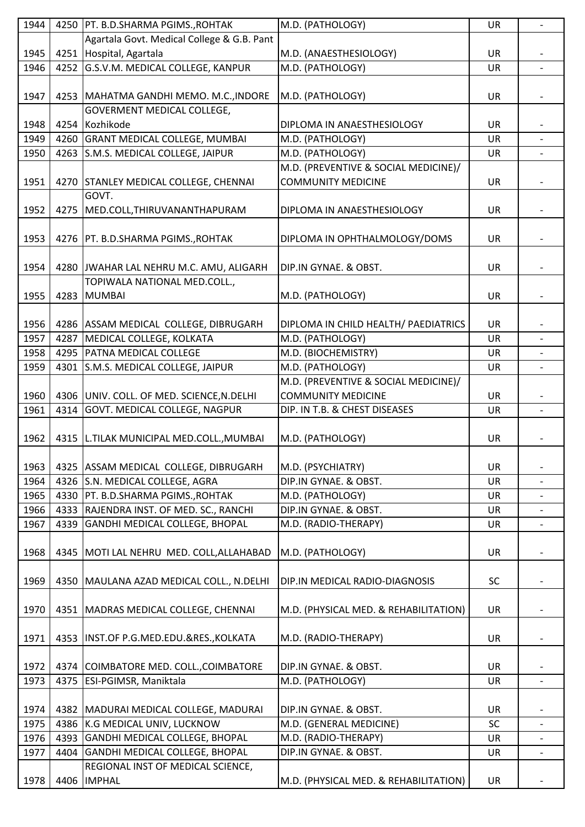| 1944 | 4250 | PT. B.D.SHARMA PGIMS., ROHTAK              | M.D. (PATHOLOGY)                      | UR        | $\overline{a}$           |
|------|------|--------------------------------------------|---------------------------------------|-----------|--------------------------|
|      |      | Agartala Govt. Medical College & G.B. Pant |                                       |           |                          |
| 1945 | 4251 | Hospital, Agartala                         | M.D. (ANAESTHESIOLOGY)                | <b>UR</b> |                          |
| 1946 | 4252 | G.S.V.M. MEDICAL COLLEGE, KANPUR           | M.D. (PATHOLOGY)                      | <b>UR</b> | $\blacksquare$           |
|      |      |                                            |                                       |           |                          |
| 1947 |      | 4253   MAHATMA GANDHI MEMO. M.C., INDORE   | M.D. (PATHOLOGY)                      | <b>UR</b> |                          |
|      |      | <b>GOVERMENT MEDICAL COLLEGE,</b>          |                                       |           |                          |
|      |      |                                            |                                       |           |                          |
| 1948 | 4254 | Kozhikode                                  | DIPLOMA IN ANAESTHESIOLOGY            | <b>UR</b> |                          |
| 1949 | 4260 | <b>GRANT MEDICAL COLLEGE, MUMBAI</b>       | M.D. (PATHOLOGY)                      | UR        |                          |
| 1950 | 4263 | S.M.S. MEDICAL COLLEGE, JAIPUR             | M.D. (PATHOLOGY)                      | <b>UR</b> |                          |
|      |      |                                            | M.D. (PREVENTIVE & SOCIAL MEDICINE)/  |           |                          |
| 1951 | 4270 | STANLEY MEDICAL COLLEGE, CHENNAI           | <b>COMMUNITY MEDICINE</b>             | <b>UR</b> |                          |
|      |      | GOVT.                                      |                                       |           |                          |
| 1952 | 4275 | MED.COLL, THIRUVANANTHAPURAM               | DIPLOMA IN ANAESTHESIOLOGY            | UR        |                          |
|      |      |                                            |                                       |           |                          |
| 1953 |      | 4276   PT. B.D.SHARMA PGIMS., ROHTAK       | DIPLOMA IN OPHTHALMOLOGY/DOMS         | <b>UR</b> |                          |
|      |      |                                            |                                       |           |                          |
| 1954 |      | 4280 JWAHAR LAL NEHRU M.C. AMU, ALIGARH    | DIP.IN GYNAE. & OBST.                 | <b>UR</b> |                          |
|      |      | TOPIWALA NATIONAL MED.COLL.,               |                                       |           |                          |
| 1955 | 4283 | <b>MUMBAI</b>                              | M.D. (PATHOLOGY)                      | <b>UR</b> |                          |
|      |      |                                            |                                       |           |                          |
|      |      |                                            |                                       |           |                          |
| 1956 |      | 4286 ASSAM MEDICAL COLLEGE, DIBRUGARH      | DIPLOMA IN CHILD HEALTH/ PAEDIATRICS  | <b>UR</b> |                          |
| 1957 | 4287 | MEDICAL COLLEGE, KOLKATA                   | M.D. (PATHOLOGY)                      | UR        | $\blacksquare$           |
| 1958 | 4295 | <b>PATNA MEDICAL COLLEGE</b>               | M.D. (BIOCHEMISTRY)                   | <b>UR</b> |                          |
| 1959 | 4301 | S.M.S. MEDICAL COLLEGE, JAIPUR             | M.D. (PATHOLOGY)                      | <b>UR</b> |                          |
|      |      |                                            | M.D. (PREVENTIVE & SOCIAL MEDICINE)/  |           |                          |
| 1960 |      | 4306 UNIV. COLL. OF MED. SCIENCE, N.DELHI  | <b>COMMUNITY MEDICINE</b>             | UR        |                          |
| 1961 | 4314 | GOVT. MEDICAL COLLEGE, NAGPUR              | DIP. IN T.B. & CHEST DISEASES         | UR        | $\overline{\phantom{0}}$ |
|      |      |                                            |                                       |           |                          |
| 1962 | 4315 | L.TILAK MUNICIPAL MED.COLL., MUMBAI        | M.D. (PATHOLOGY)                      | <b>UR</b> |                          |
|      |      |                                            |                                       |           |                          |
| 1963 | 4325 | ASSAM MEDICAL COLLEGE, DIBRUGARH           | M.D. (PSYCHIATRY)                     | UR        |                          |
| 1964 | 4326 | S.N. MEDICAL COLLEGE, AGRA                 | DIP.IN GYNAE. & OBST.                 | <b>UR</b> |                          |
| 1965 | 4330 | PT. B.D.SHARMA PGIMS., ROHTAK              | M.D. (PATHOLOGY)                      | UR        |                          |
| 1966 | 4333 | RAJENDRA INST. OF MED. SC., RANCHI         | DIP.IN GYNAE. & OBST.                 | <b>UR</b> |                          |
| 1967 | 4339 | GANDHI MEDICAL COLLEGE, BHOPAL             | M.D. (RADIO-THERAPY)                  | <b>UR</b> |                          |
|      |      |                                            |                                       |           |                          |
|      |      |                                            |                                       |           |                          |
| 1968 | 4345 | MOTI LAL NEHRU MED. COLL, ALLAHABAD        | M.D. (PATHOLOGY)                      | <b>UR</b> |                          |
|      |      |                                            |                                       |           |                          |
| 1969 | 4350 | MAULANA AZAD MEDICAL COLL., N.DELHI        | DIP.IN MEDICAL RADIO-DIAGNOSIS        | <b>SC</b> |                          |
|      |      |                                            |                                       |           |                          |
| 1970 |      | 4351   MADRAS MEDICAL COLLEGE, CHENNAI     | M.D. (PHYSICAL MED. & REHABILITATION) | <b>UR</b> |                          |
|      |      |                                            |                                       |           |                          |
| 1971 | 4353 | INST.OF P.G.MED.EDU.&RES., KOLKATA         | M.D. (RADIO-THERAPY)                  | <b>UR</b> |                          |
|      |      |                                            |                                       |           |                          |
| 1972 |      | 4374 COIMBATORE MED. COLL., COIMBATORE     | DIP.IN GYNAE. & OBST.                 | <b>UR</b> |                          |
| 1973 | 4375 | <b>ESI-PGIMSR, Maniktala</b>               | M.D. (PATHOLOGY)                      | UR        |                          |
|      |      |                                            |                                       |           |                          |
| 1974 | 4382 | MADURAI MEDICAL COLLEGE, MADURAI           | DIP.IN GYNAE. & OBST.                 | <b>UR</b> |                          |
| 1975 | 4386 | K.G MEDICAL UNIV, LUCKNOW                  | M.D. (GENERAL MEDICINE)               | SC        |                          |
| 1976 | 4393 | GANDHI MEDICAL COLLEGE, BHOPAL             | M.D. (RADIO-THERAPY)                  | UR        |                          |
| 1977 | 4404 | GANDHI MEDICAL COLLEGE, BHOPAL             | DIP.IN GYNAE. & OBST.                 | UR        |                          |
|      |      |                                            |                                       |           |                          |
|      |      | REGIONAL INST OF MEDICAL SCIENCE,          |                                       |           |                          |
| 1978 | 4406 | <b>IMPHAL</b>                              | M.D. (PHYSICAL MED. & REHABILITATION) | UR        |                          |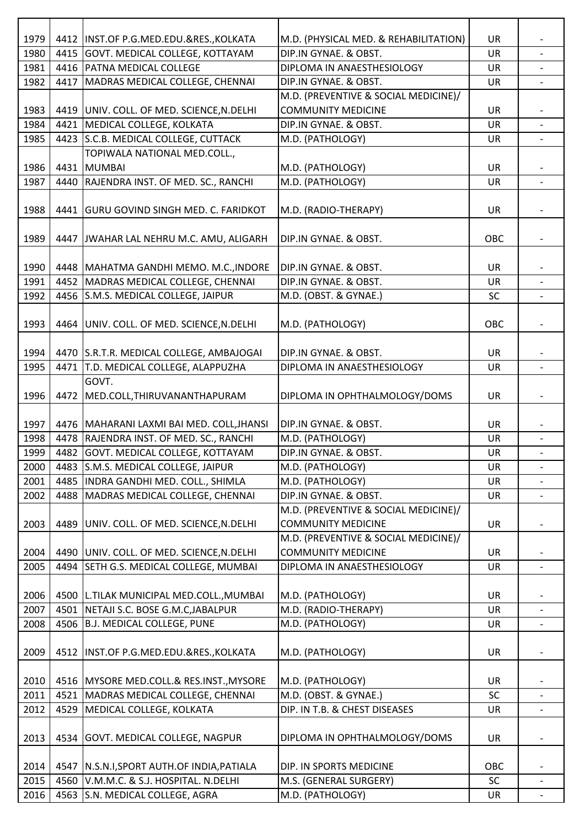| 1979 |      | 4412   INST.OF P.G.MED.EDU.&RES., KOLKATA   | M.D. (PHYSICAL MED. & REHABILITATION) | UR        |                          |
|------|------|---------------------------------------------|---------------------------------------|-----------|--------------------------|
| 1980 |      | 4415 GOVT. MEDICAL COLLEGE, KOTTAYAM        | DIP.IN GYNAE. & OBST.                 | UR        |                          |
| 1981 |      | 4416 PATNA MEDICAL COLLEGE                  | DIPLOMA IN ANAESTHESIOLOGY            | <b>UR</b> | $\overline{a}$           |
| 1982 |      | 4417 MADRAS MEDICAL COLLEGE, CHENNAI        | DIP.IN GYNAE. & OBST.                 | UR        |                          |
|      |      |                                             | M.D. (PREVENTIVE & SOCIAL MEDICINE)/  |           |                          |
| 1983 |      | 4419 UNIV. COLL. OF MED. SCIENCE, N. DELHI  | <b>COMMUNITY MEDICINE</b>             | UR        |                          |
| 1984 |      | 4421 MEDICAL COLLEGE, KOLKATA               | DIP.IN GYNAE. & OBST.                 | UR        |                          |
| 1985 |      | 4423 S.C.B. MEDICAL COLLEGE, CUTTACK        | M.D. (PATHOLOGY)                      | <b>UR</b> |                          |
|      |      | TOPIWALA NATIONAL MED.COLL.,                |                                       |           |                          |
| 1986 |      | 4431 MUMBAI                                 | M.D. (PATHOLOGY)                      | <b>UR</b> |                          |
| 1987 |      | 4440 RAJENDRA INST. OF MED. SC., RANCHI     | M.D. (PATHOLOGY)                      | UR        |                          |
|      |      |                                             |                                       |           |                          |
| 1988 |      | 4441 GURU GOVIND SINGH MED. C. FARIDKOT     | M.D. (RADIO-THERAPY)                  | <b>UR</b> |                          |
|      |      |                                             |                                       |           |                          |
| 1989 |      | 4447 JWAHAR LAL NEHRU M.C. AMU, ALIGARH     | DIP.IN GYNAE. & OBST.                 | OBC       |                          |
|      |      |                                             |                                       |           |                          |
| 1990 |      | 4448 MAHATMA GANDHI MEMO. M.C., INDORE      | DIP.IN GYNAE. & OBST.                 | UR        |                          |
| 1991 |      | 4452 MADRAS MEDICAL COLLEGE, CHENNAI        | DIP.IN GYNAE. & OBST.                 | <b>UR</b> |                          |
| 1992 |      | 4456 S.M.S. MEDICAL COLLEGE, JAIPUR         | M.D. (OBST. & GYNAE.)                 | <b>SC</b> | $\overline{\phantom{a}}$ |
|      |      |                                             |                                       |           |                          |
| 1993 |      | 4464 UNIV. COLL. OF MED. SCIENCE, N.DELHI   | M.D. (PATHOLOGY)                      | OBC       |                          |
|      |      |                                             |                                       |           |                          |
|      |      |                                             |                                       |           |                          |
| 1994 |      | 4470 S.R.T.R. MEDICAL COLLEGE, AMBAJOGAI    | DIP.IN GYNAE. & OBST.                 | UR        |                          |
| 1995 |      | 4471 T.D. MEDICAL COLLEGE, ALAPPUZHA        | DIPLOMA IN ANAESTHESIOLOGY            | UR        |                          |
|      |      | GOVT.                                       |                                       |           |                          |
| 1996 |      | 4472   MED.COLL, THIRUVANANTHAPURAM         | DIPLOMA IN OPHTHALMOLOGY/DOMS         | UR        | $\overline{\phantom{a}}$ |
|      |      |                                             |                                       |           |                          |
| 1997 |      | 4476   MAHARANI LAXMI BAI MED. COLL, JHANSI | DIP.IN GYNAE. & OBST.                 | UR        |                          |
| 1998 |      | 4478 RAJENDRA INST. OF MED. SC., RANCHI     | M.D. (PATHOLOGY)                      | <b>UR</b> | $\overline{\phantom{a}}$ |
| 1999 |      | 4482 GOVT. MEDICAL COLLEGE, KOTTAYAM        | DIP.IN GYNAE. & OBST.                 | UR        |                          |
| 2000 |      | 4483 S.M.S. MEDICAL COLLEGE, JAIPUR         | M.D. (PATHOLOGY)                      | UR        | $\overline{\phantom{a}}$ |
| 2001 |      | 4485 INDRA GANDHI MED. COLL., SHIMLA        | M.D. (PATHOLOGY)                      | UR        |                          |
| 2002 | 4488 | MADRAS MEDICAL COLLEGE, CHENNAI             | DIP.IN GYNAE. & OBST.                 | <b>UR</b> | $\overline{\phantom{0}}$ |
|      |      |                                             | M.D. (PREVENTIVE & SOCIAL MEDICINE)/  |           |                          |
| 2003 |      | 4489 UNIV. COLL. OF MED. SCIENCE, N. DELHI  | <b>COMMUNITY MEDICINE</b>             | UR        |                          |
|      |      |                                             | M.D. (PREVENTIVE & SOCIAL MEDICINE)/  |           |                          |
| 2004 |      | 4490 UNIV. COLL. OF MED. SCIENCE, N.DELHI   | <b>COMMUNITY MEDICINE</b>             | UR        |                          |
| 2005 | 4494 | SETH G.S. MEDICAL COLLEGE, MUMBAI           | DIPLOMA IN ANAESTHESIOLOGY            | UR        | $\overline{\phantom{a}}$ |
|      |      |                                             |                                       |           |                          |
| 2006 |      | 4500 L.TILAK MUNICIPAL MED.COLL., MUMBAI    | M.D. (PATHOLOGY)                      | UR        |                          |
| 2007 |      | 4501 NETAJI S.C. BOSE G.M.C, JABALPUR       | M.D. (RADIO-THERAPY)                  | <b>UR</b> |                          |
| 2008 |      | 4506 B.J. MEDICAL COLLEGE, PUNE             | M.D. (PATHOLOGY)                      | UR        |                          |
|      |      |                                             |                                       |           |                          |
| 2009 |      | 4512  INST.OF P.G.MED.EDU.&RES., KOLKATA    | M.D. (PATHOLOGY)                      | <b>UR</b> |                          |
|      |      |                                             |                                       |           |                          |
| 2010 |      | 4516 MYSORE MED.COLL.& RES.INST., MYSORE    | M.D. (PATHOLOGY)                      | <b>UR</b> |                          |
| 2011 |      | 4521 MADRAS MEDICAL COLLEGE, CHENNAI        | M.D. (OBST. & GYNAE.)                 | SC        |                          |
| 2012 |      | 4529 MEDICAL COLLEGE, KOLKATA               | DIP. IN T.B. & CHEST DISEASES         | <b>UR</b> |                          |
|      |      |                                             |                                       |           |                          |
| 2013 |      | 4534 GOVT. MEDICAL COLLEGE, NAGPUR          | DIPLOMA IN OPHTHALMOLOGY/DOMS         | UR        |                          |
|      |      |                                             |                                       |           |                          |
| 2014 |      | 4547 N.S.N.I, SPORT AUTH.OF INDIA, PATIALA  | DIP. IN SPORTS MEDICINE               | OBC       |                          |
| 2015 |      | 4560 V.M.M.C. & S.J. HOSPITAL. N.DELHI      | M.S. (GENERAL SURGERY)                | SC        |                          |
| 2016 |      | 4563 S.N. MEDICAL COLLEGE, AGRA             | M.D. (PATHOLOGY)                      | UR        |                          |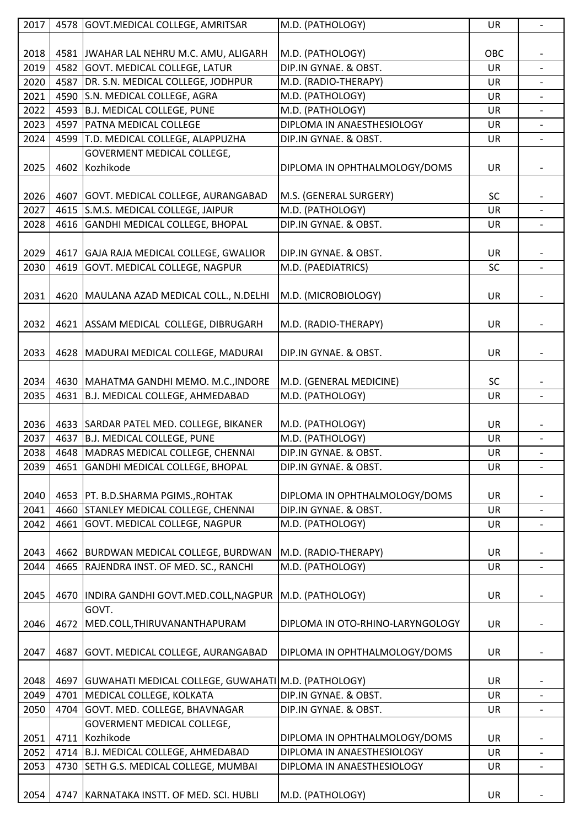| 2017 |      | 4578 GOVT.MEDICAL COLLEGE, AMRITSAR                          | M.D. (PATHOLOGY)                 | UR        | $\overline{\phantom{a}}$ |
|------|------|--------------------------------------------------------------|----------------------------------|-----------|--------------------------|
|      |      |                                                              |                                  |           |                          |
| 2018 |      | 4581 JWAHAR LAL NEHRU M.C. AMU, ALIGARH                      | M.D. (PATHOLOGY)                 | OBC       |                          |
| 2019 |      | 4582 GOVT. MEDICAL COLLEGE, LATUR                            | DIP.IN GYNAE. & OBST.            | <b>UR</b> | $\overline{a}$           |
| 2020 |      | 4587 DR. S.N. MEDICAL COLLEGE, JODHPUR                       | M.D. (RADIO-THERAPY)             | UR        |                          |
| 2021 |      | 4590 S.N. MEDICAL COLLEGE, AGRA                              | M.D. (PATHOLOGY)                 | UR        |                          |
| 2022 |      | 4593 B.J. MEDICAL COLLEGE, PUNE                              | M.D. (PATHOLOGY)                 | UR        |                          |
| 2023 | 4597 | <b>PATNA MEDICAL COLLEGE</b>                                 | DIPLOMA IN ANAESTHESIOLOGY       | UR        |                          |
| 2024 |      | 4599 T.D. MEDICAL COLLEGE, ALAPPUZHA                         | DIP.IN GYNAE. & OBST.            | <b>UR</b> |                          |
|      |      | GOVERMENT MEDICAL COLLEGE,                                   |                                  |           |                          |
| 2025 |      | 4602 Kozhikode                                               | DIPLOMA IN OPHTHALMOLOGY/DOMS    | UR        |                          |
|      |      |                                                              |                                  |           |                          |
| 2026 |      | 4607 GOVT. MEDICAL COLLEGE, AURANGABAD                       | M.S. (GENERAL SURGERY)           | <b>SC</b> |                          |
| 2027 |      | 4615 S.M.S. MEDICAL COLLEGE, JAIPUR                          | M.D. (PATHOLOGY)                 | <b>UR</b> |                          |
| 2028 |      | 4616 GANDHI MEDICAL COLLEGE, BHOPAL                          | DIP.IN GYNAE. & OBST.            | UR        |                          |
|      |      |                                                              |                                  |           |                          |
| 2029 |      | 4617 GAJA RAJA MEDICAL COLLEGE, GWALIOR                      | DIP.IN GYNAE. & OBST.            | UR        |                          |
| 2030 |      | 4619 GOVT. MEDICAL COLLEGE, NAGPUR                           | M.D. (PAEDIATRICS)               | SC        | $\overline{\phantom{a}}$ |
|      |      |                                                              |                                  |           |                          |
| 2031 |      |                                                              | M.D. (MICROBIOLOGY)              | UR        |                          |
|      |      | 4620   MAULANA AZAD MEDICAL COLL., N.DELHI                   |                                  |           |                          |
|      |      |                                                              |                                  |           |                          |
| 2032 |      | 4621 ASSAM MEDICAL COLLEGE, DIBRUGARH                        | M.D. (RADIO-THERAPY)             | UR        |                          |
|      |      |                                                              |                                  |           |                          |
| 2033 |      | 4628   MADURAI MEDICAL COLLEGE, MADURAI                      | DIP.IN GYNAE. & OBST.            | UR        |                          |
|      |      |                                                              |                                  |           |                          |
| 2034 |      | 4630   MAHATMA GANDHI MEMO. M.C., INDORE                     | M.D. (GENERAL MEDICINE)          | SC        |                          |
| 2035 |      | 4631 B.J. MEDICAL COLLEGE, AHMEDABAD                         | M.D. (PATHOLOGY)                 | UR        | $\overline{\phantom{a}}$ |
|      |      |                                                              |                                  |           |                          |
| 2036 |      | 4633 SARDAR PATEL MED. COLLEGE, BIKANER                      | M.D. (PATHOLOGY)                 | UR        |                          |
| 2037 |      | 4637 B.J. MEDICAL COLLEGE, PUNE                              | M.D. (PATHOLOGY)                 | <b>UR</b> | $\blacksquare$           |
| 2038 |      | 4648 MADRAS MEDICAL COLLEGE, CHENNAI                         | DIP.IN GYNAE. & OBST.            | UR        |                          |
| 2039 |      | 4651 GANDHI MEDICAL COLLEGE, BHOPAL                          | DIP.IN GYNAE. & OBST.            | UR        | $\overline{\phantom{a}}$ |
|      |      |                                                              |                                  |           |                          |
| 2040 |      | 4653   PT. B.D.SHARMA PGIMS., ROHTAK                         | DIPLOMA IN OPHTHALMOLOGY/DOMS    | UR        |                          |
| 2041 |      | 4660 STANLEY MEDICAL COLLEGE, CHENNAI                        | DIP.IN GYNAE. & OBST.            | <b>UR</b> |                          |
| 2042 |      | 4661 GOVT. MEDICAL COLLEGE, NAGPUR                           | M.D. (PATHOLOGY)                 | UR        |                          |
|      |      |                                                              |                                  |           |                          |
| 2043 |      | 4662 BURDWAN MEDICAL COLLEGE, BURDWAN                        | M.D. (RADIO-THERAPY)             | UR        |                          |
| 2044 | 4665 | RAJENDRA INST. OF MED. SC., RANCHI                           | M.D. (PATHOLOGY)                 | UR        | $\overline{\phantom{a}}$ |
|      |      |                                                              |                                  |           |                          |
| 2045 |      | 4670 INDIRA GANDHI GOVT.MED.COLL, NAGPUR                     | M.D. (PATHOLOGY)                 | UR        |                          |
|      |      | GOVT.                                                        |                                  |           |                          |
| 2046 | 4672 | MED.COLL, THIRUVANANTHAPURAM                                 | DIPLOMA IN OTO-RHINO-LARYNGOLOGY | UR        |                          |
|      |      |                                                              |                                  |           |                          |
| 2047 |      | 4687 GOVT. MEDICAL COLLEGE, AURANGABAD                       | DIPLOMA IN OPHTHALMOLOGY/DOMS    | UR        |                          |
|      |      |                                                              |                                  |           |                          |
| 2048 |      | 4697   GUWAHATI MEDICAL COLLEGE, GUWAHATI   M.D. (PATHOLOGY) |                                  | UR        |                          |
| 2049 |      | 4701 MEDICAL COLLEGE, KOLKATA                                | DIP.IN GYNAE. & OBST.            | <b>UR</b> |                          |
| 2050 |      | 4704 GOVT. MED. COLLEGE, BHAVNAGAR                           | DIP.IN GYNAE. & OBST.            | UR        |                          |
|      |      | GOVERMENT MEDICAL COLLEGE,                                   |                                  |           |                          |
| 2051 |      | 4711 Kozhikode                                               | DIPLOMA IN OPHTHALMOLOGY/DOMS    | UR        |                          |
| 2052 |      | 4714 B.J. MEDICAL COLLEGE, AHMEDABAD                         | DIPLOMA IN ANAESTHESIOLOGY       | UR        |                          |
| 2053 | 4730 | SETH G.S. MEDICAL COLLEGE, MUMBAI                            | DIPLOMA IN ANAESTHESIOLOGY       | UR        | $\overline{\phantom{a}}$ |
|      |      |                                                              |                                  |           |                          |
| 2054 |      | 4747 KARNATAKA INSTT. OF MED. SCI. HUBLI                     | M.D. (PATHOLOGY)                 | UR        |                          |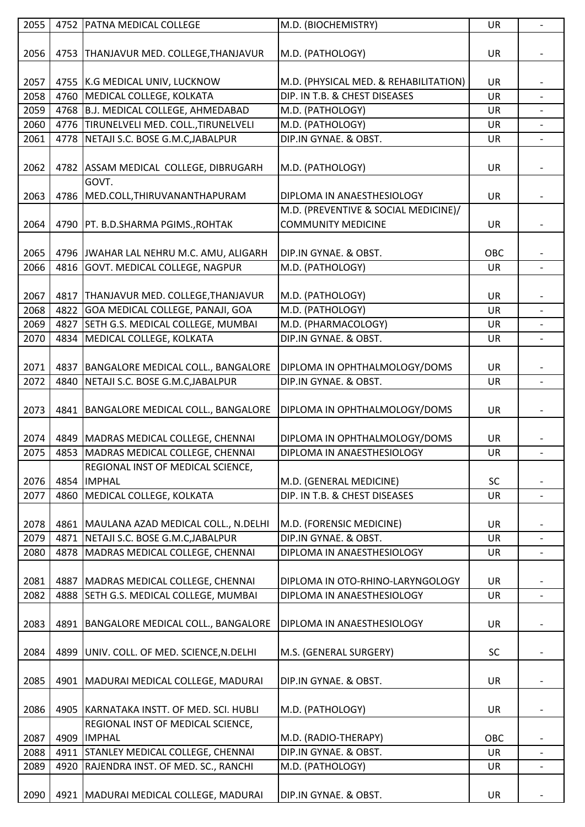| 2055 |      | 4752 PATNA MEDICAL COLLEGE                 | M.D. (BIOCHEMISTRY)                   | UR        | $\overline{a}$           |
|------|------|--------------------------------------------|---------------------------------------|-----------|--------------------------|
|      |      |                                            |                                       |           |                          |
| 2056 |      | 4753   THANJAVUR MED. COLLEGE, THANJAVUR   | M.D. (PATHOLOGY)                      | <b>UR</b> |                          |
|      |      |                                            |                                       |           |                          |
| 2057 |      |                                            | M.D. (PHYSICAL MED. & REHABILITATION) | <b>UR</b> |                          |
|      |      | 4755 K.G MEDICAL UNIV, LUCKNOW             |                                       |           |                          |
| 2058 | 4760 | MEDICAL COLLEGE, KOLKATA                   | DIP. IN T.B. & CHEST DISEASES         | <b>UR</b> | $\overline{a}$           |
| 2059 | 4768 | B.J. MEDICAL COLLEGE, AHMEDABAD            | M.D. (PATHOLOGY)                      | UR        |                          |
| 2060 |      | 4776 TIRUNELVELI MED. COLL., TIRUNELVELI   | M.D. (PATHOLOGY)                      | UR        | $\overline{\phantom{0}}$ |
| 2061 | 4778 | NETAJI S.C. BOSE G.M.C, JABALPUR           | DIP.IN GYNAE. & OBST.                 | UR        |                          |
|      |      |                                            |                                       |           |                          |
| 2062 | 4782 | ASSAM MEDICAL COLLEGE, DIBRUGARH           | M.D. (PATHOLOGY)                      | <b>UR</b> |                          |
|      |      | GOVT.                                      |                                       |           |                          |
| 2063 | 4786 | MED.COLL, THIRUVANANTHAPURAM               | DIPLOMA IN ANAESTHESIOLOGY            | UR        |                          |
|      |      |                                            | M.D. (PREVENTIVE & SOCIAL MEDICINE)/  |           |                          |
| 2064 |      | 4790   PT. B.D.SHARMA PGIMS., ROHTAK       | <b>COMMUNITY MEDICINE</b>             | UR        |                          |
|      |      |                                            |                                       |           |                          |
|      |      |                                            | DIP.IN GYNAE. & OBST.                 | OBC       |                          |
| 2065 |      | 4796 JWAHAR LAL NEHRU M.C. AMU, ALIGARH    |                                       |           |                          |
| 2066 | 4816 | GOVT. MEDICAL COLLEGE, NAGPUR              | M.D. (PATHOLOGY)                      | <b>UR</b> |                          |
|      |      |                                            |                                       |           |                          |
| 2067 |      | 4817   THANJAVUR MED. COLLEGE, THANJAVUR   | M.D. (PATHOLOGY)                      | UR        |                          |
| 2068 | 4822 | GOA MEDICAL COLLEGE, PANAJI, GOA           | M.D. (PATHOLOGY)                      | <b>UR</b> |                          |
| 2069 | 4827 | SETH G.S. MEDICAL COLLEGE, MUMBAI          | M.D. (PHARMACOLOGY)                   | UR        |                          |
| 2070 | 4834 | MEDICAL COLLEGE, KOLKATA                   | DIP.IN GYNAE. & OBST.                 | UR        |                          |
|      |      |                                            |                                       |           |                          |
| 2071 | 4837 | BANGALORE MEDICAL COLL., BANGALORE         | DIPLOMA IN OPHTHALMOLOGY/DOMS         | <b>UR</b> |                          |
| 2072 | 4840 | NETAJI S.C. BOSE G.M.C, JABALPUR           | DIP.IN GYNAE. & OBST.                 | UR        |                          |
|      |      |                                            |                                       |           |                          |
|      |      |                                            |                                       |           |                          |
| 2073 | 4841 | BANGALORE MEDICAL COLL., BANGALORE         | DIPLOMA IN OPHTHALMOLOGY/DOMS         | UR        |                          |
|      |      |                                            |                                       |           |                          |
| 2074 |      | 4849   MADRAS MEDICAL COLLEGE, CHENNAI     | DIPLOMA IN OPHTHALMOLOGY/DOMS         | <b>UR</b> |                          |
| 2075 |      | 4853 MADRAS MEDICAL COLLEGE, CHENNAI       | DIPLOMA IN ANAESTHESIOLOGY            | UR        |                          |
|      |      | REGIONAL INST OF MEDICAL SCIENCE,          |                                       |           |                          |
| 2076 | 4854 | <b>IMPHAL</b>                              | M.D. (GENERAL MEDICINE)               | <b>SC</b> |                          |
| 2077 | 4860 | MEDICAL COLLEGE, KOLKATA                   | DIP. IN T.B. & CHEST DISEASES         | UR        |                          |
|      |      |                                            |                                       |           |                          |
| 2078 |      | 4861   MAULANA AZAD MEDICAL COLL., N.DELHI | M.D. (FORENSIC MEDICINE)              | <b>UR</b> |                          |
| 2079 | 4871 | NETAJI S.C. BOSE G.M.C, JABALPUR           | DIP.IN GYNAE. & OBST.                 | <b>UR</b> |                          |
| 2080 | 4878 | MADRAS MEDICAL COLLEGE, CHENNAI            | DIPLOMA IN ANAESTHESIOLOGY            | UR        |                          |
|      |      |                                            |                                       |           |                          |
| 2081 | 4887 | MADRAS MEDICAL COLLEGE, CHENNAI            | DIPLOMA IN OTO-RHINO-LARYNGOLOGY      | <b>UR</b> |                          |
|      |      |                                            |                                       |           |                          |
| 2082 | 4888 | SETH G.S. MEDICAL COLLEGE, MUMBAI          | DIPLOMA IN ANAESTHESIOLOGY            | UR        |                          |
|      |      |                                            |                                       |           |                          |
| 2083 | 4891 | BANGALORE MEDICAL COLL., BANGALORE         | DIPLOMA IN ANAESTHESIOLOGY            | <b>UR</b> |                          |
|      |      |                                            |                                       |           |                          |
| 2084 | 4899 | UNIV. COLL. OF MED. SCIENCE, N. DELHI      | M.S. (GENERAL SURGERY)                | <b>SC</b> |                          |
|      |      |                                            |                                       |           |                          |
| 2085 | 4901 | MADURAI MEDICAL COLLEGE, MADURAI           | DIP.IN GYNAE. & OBST.                 | <b>UR</b> |                          |
|      |      |                                            |                                       |           |                          |
| 2086 | 4905 | KARNATAKA INSTT. OF MED. SCI. HUBLI        | M.D. (PATHOLOGY)                      | UR        |                          |
|      |      | REGIONAL INST OF MEDICAL SCIENCE,          |                                       |           |                          |
| 2087 | 4909 | <b>IMPHAL</b>                              | M.D. (RADIO-THERAPY)                  | OBC       |                          |
|      |      |                                            |                                       |           |                          |
| 2088 | 4911 | STANLEY MEDICAL COLLEGE, CHENNAI           | DIP.IN GYNAE. & OBST.                 | UR        |                          |
| 2089 | 4920 | RAJENDRA INST. OF MED. SC., RANCHI         | M.D. (PATHOLOGY)                      | <b>UR</b> |                          |
|      |      |                                            |                                       |           |                          |
| 2090 |      | 4921   MADURAI MEDICAL COLLEGE, MADURAI    | DIP.IN GYNAE. & OBST.                 | <b>UR</b> |                          |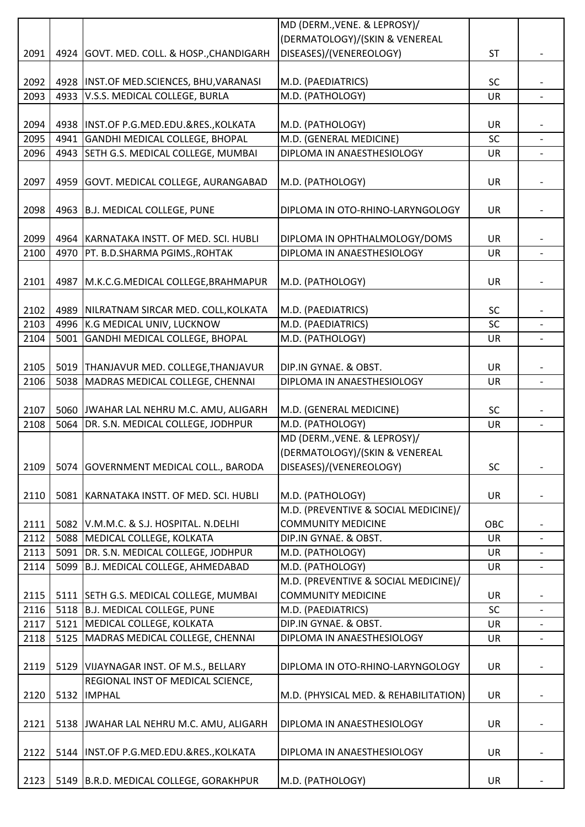|      |      |                                            | MD (DERM., VENE. & LEPROSY)/                     |           |                          |
|------|------|--------------------------------------------|--------------------------------------------------|-----------|--------------------------|
|      |      |                                            | (DERMATOLOGY)/(SKIN & VENEREAL                   |           |                          |
| 2091 |      | 4924 GOVT. MED. COLL. & HOSP., CHANDIGARH  | DISEASES)/(VENEREOLOGY)                          | <b>ST</b> |                          |
|      |      |                                            |                                                  |           |                          |
| 2092 |      | 4928   INST.OF MED.SCIENCES, BHU, VARANASI | M.D. (PAEDIATRICS)                               | <b>SC</b> |                          |
| 2093 |      | 4933 V.S.S. MEDICAL COLLEGE, BURLA         | M.D. (PATHOLOGY)                                 | <b>UR</b> | $\overline{a}$           |
|      |      |                                            |                                                  |           |                          |
| 2094 |      | 4938   INST.OF P.G.MED.EDU.&RES., KOLKATA  | M.D. (PATHOLOGY)                                 | UR        |                          |
| 2095 |      | 4941 GANDHI MEDICAL COLLEGE, BHOPAL        | M.D. (GENERAL MEDICINE)                          | <b>SC</b> |                          |
| 2096 |      | 4943 SETH G.S. MEDICAL COLLEGE, MUMBAI     | DIPLOMA IN ANAESTHESIOLOGY                       | UR        |                          |
|      |      |                                            |                                                  |           |                          |
| 2097 |      | 4959 GOVT. MEDICAL COLLEGE, AURANGABAD     | M.D. (PATHOLOGY)                                 | <b>UR</b> |                          |
|      |      |                                            |                                                  |           |                          |
| 2098 |      | 4963 B.J. MEDICAL COLLEGE, PUNE            | DIPLOMA IN OTO-RHINO-LARYNGOLOGY                 | UR        |                          |
|      |      |                                            |                                                  |           |                          |
| 2099 |      | 4964 KARNATAKA INSTT. OF MED. SCI. HUBLI   | DIPLOMA IN OPHTHALMOLOGY/DOMS                    | UR        |                          |
| 2100 | 4970 | PT. B.D.SHARMA PGIMS., ROHTAK              | DIPLOMA IN ANAESTHESIOLOGY                       | UR        | $\overline{\phantom{0}}$ |
|      |      |                                            |                                                  |           |                          |
| 2101 |      | 4987   M.K.C.G.MEDICAL COLLEGE, BRAHMAPUR  | M.D. (PATHOLOGY)                                 | UR        |                          |
|      |      |                                            |                                                  |           |                          |
| 2102 |      | 4989 NILRATNAM SIRCAR MED. COLL, KOLKATA   | M.D. (PAEDIATRICS)                               | <b>SC</b> |                          |
| 2103 |      | 4996 K.G MEDICAL UNIV, LUCKNOW             | M.D. (PAEDIATRICS)                               | SC        |                          |
| 2104 |      | 5001 GANDHI MEDICAL COLLEGE, BHOPAL        | M.D. (PATHOLOGY)                                 | UR        |                          |
|      |      |                                            |                                                  |           |                          |
| 2105 |      | 5019 THANJAVUR MED. COLLEGE, THANJAVUR     | DIP.IN GYNAE. & OBST.                            | <b>UR</b> |                          |
| 2106 |      | 5038 MADRAS MEDICAL COLLEGE, CHENNAI       | DIPLOMA IN ANAESTHESIOLOGY                       | UR        |                          |
|      |      |                                            |                                                  |           |                          |
| 2107 |      | 5060 JWAHAR LAL NEHRU M.C. AMU, ALIGARH    | M.D. (GENERAL MEDICINE)                          | <b>SC</b> |                          |
| 2108 |      | 5064 DR. S.N. MEDICAL COLLEGE, JODHPUR     | M.D. (PATHOLOGY)<br>MD (DERM., VENE. & LEPROSY)/ | UR        | $\overline{\phantom{0}}$ |
|      |      |                                            | (DERMATOLOGY)/(SKIN & VENEREAL                   |           |                          |
| 2109 |      |                                            |                                                  | <b>SC</b> |                          |
|      |      | 5074 GOVERNMENT MEDICAL COLL., BARODA      | DISEASES)/(VENEREOLOGY)                          |           |                          |
| 2110 |      | 5081 KARNATAKA INSTT. OF MED. SCI. HUBLI   | M.D. (PATHOLOGY)                                 | UR        |                          |
|      |      |                                            | M.D. (PREVENTIVE & SOCIAL MEDICINE)/             |           |                          |
| 2111 |      | 5082 V.M.M.C. & S.J. HOSPITAL. N.DELHI     | <b>COMMUNITY MEDICINE</b>                        | OBC       |                          |
| 2112 |      | 5088 MEDICAL COLLEGE, KOLKATA              | DIP.IN GYNAE. & OBST.                            | <b>UR</b> |                          |
| 2113 |      | 5091 DR. S.N. MEDICAL COLLEGE, JODHPUR     | M.D. (PATHOLOGY)                                 | <b>UR</b> |                          |
| 2114 |      | 5099 B.J. MEDICAL COLLEGE, AHMEDABAD       | M.D. (PATHOLOGY)                                 | <b>UR</b> |                          |
|      |      |                                            | M.D. (PREVENTIVE & SOCIAL MEDICINE)/             |           |                          |
| 2115 |      | 5111 SETH G.S. MEDICAL COLLEGE, MUMBAI     | <b>COMMUNITY MEDICINE</b>                        | UR        |                          |
| 2116 |      | 5118 B.J. MEDICAL COLLEGE, PUNE            | M.D. (PAEDIATRICS)                               | SC        |                          |
| 2117 |      | 5121 MEDICAL COLLEGE, KOLKATA              | DIP.IN GYNAE. & OBST.                            | <b>UR</b> |                          |
| 2118 |      | 5125 MADRAS MEDICAL COLLEGE, CHENNAI       | DIPLOMA IN ANAESTHESIOLOGY                       | <b>UR</b> |                          |
|      |      |                                            |                                                  |           |                          |
| 2119 |      | 5129 VIJAYNAGAR INST. OF M.S., BELLARY     | DIPLOMA IN OTO-RHINO-LARYNGOLOGY                 | UR        |                          |
|      |      | REGIONAL INST OF MEDICAL SCIENCE,          |                                                  |           |                          |
| 2120 |      | 5132  IMPHAL                               | M.D. (PHYSICAL MED. & REHABILITATION)            | UR        |                          |
|      |      |                                            |                                                  |           |                          |
| 2121 |      | 5138 JWAHAR LAL NEHRU M.C. AMU, ALIGARH    | DIPLOMA IN ANAESTHESIOLOGY                       | UR        |                          |
|      |      |                                            |                                                  |           |                          |
| 2122 |      | 5144  INST.OF P.G.MED.EDU.&RES., KOLKATA   | DIPLOMA IN ANAESTHESIOLOGY                       | UR        |                          |
|      |      |                                            |                                                  |           |                          |
| 2123 |      | 5149 B.R.D. MEDICAL COLLEGE, GORAKHPUR     | M.D. (PATHOLOGY)                                 | UR        |                          |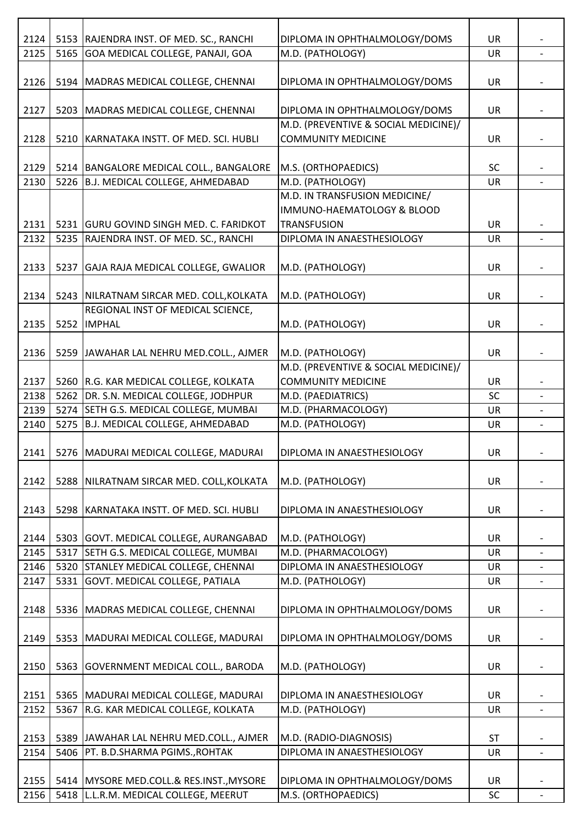| 2124 |      | 5153 RAJENDRA INST. OF MED. SC., RANCHI    | DIPLOMA IN OPHTHALMOLOGY/DOMS        | <b>UR</b> |                          |
|------|------|--------------------------------------------|--------------------------------------|-----------|--------------------------|
|      |      |                                            |                                      |           |                          |
| 2125 | 5165 | GOA MEDICAL COLLEGE, PANAJI, GOA           | M.D. (PATHOLOGY)                     | <b>UR</b> |                          |
|      |      |                                            |                                      |           |                          |
| 2126 |      | 5194 MADRAS MEDICAL COLLEGE, CHENNAI       | DIPLOMA IN OPHTHALMOLOGY/DOMS        | <b>UR</b> |                          |
|      |      |                                            |                                      |           |                          |
| 2127 | 5203 | MADRAS MEDICAL COLLEGE, CHENNAI            | DIPLOMA IN OPHTHALMOLOGY/DOMS        | UR        |                          |
|      |      |                                            | M.D. (PREVENTIVE & SOCIAL MEDICINE)/ |           |                          |
| 2128 | 5210 | KARNATAKA INSTT. OF MED. SCI. HUBLI        | <b>COMMUNITY MEDICINE</b>            | <b>UR</b> |                          |
|      |      |                                            |                                      |           |                          |
| 2129 |      | 5214   BANGALORE MEDICAL COLL., BANGALORE  | M.S. (ORTHOPAEDICS)                  | SC        |                          |
| 2130 |      | 5226 B.J. MEDICAL COLLEGE, AHMEDABAD       | M.D. (PATHOLOGY)                     | UR        |                          |
|      |      |                                            | M.D. IN TRANSFUSION MEDICINE/        |           |                          |
|      |      |                                            | IMMUNO-HAEMATOLOGY & BLOOD           |           |                          |
| 2131 |      | 5231 GURU GOVIND SINGH MED. C. FARIDKOT    | <b>TRANSFUSION</b>                   | <b>UR</b> |                          |
| 2132 | 5235 | RAJENDRA INST. OF MED. SC., RANCHI         | DIPLOMA IN ANAESTHESIOLOGY           | <b>UR</b> |                          |
|      |      |                                            |                                      |           |                          |
|      |      |                                            |                                      |           |                          |
| 2133 | 5237 | GAJA RAJA MEDICAL COLLEGE, GWALIOR         | M.D. (PATHOLOGY)                     | UR        |                          |
|      |      |                                            |                                      |           |                          |
| 2134 |      | 5243 NILRATNAM SIRCAR MED. COLL, KOLKATA   | M.D. (PATHOLOGY)                     | <b>UR</b> |                          |
|      |      | REGIONAL INST OF MEDICAL SCIENCE,          |                                      |           |                          |
| 2135 | 5252 | <b>IMPHAL</b>                              | M.D. (PATHOLOGY)                     | <b>UR</b> |                          |
|      |      |                                            |                                      |           |                          |
| 2136 |      | 5259 JAWAHAR LAL NEHRU MED.COLL., AJMER    | M.D. (PATHOLOGY)                     | UR        |                          |
|      |      |                                            | M.D. (PREVENTIVE & SOCIAL MEDICINE)/ |           |                          |
| 2137 |      | 5260 R.G. KAR MEDICAL COLLEGE, KOLKATA     | <b>COMMUNITY MEDICINE</b>            | UR        |                          |
| 2138 |      | 5262 DR. S.N. MEDICAL COLLEGE, JODHPUR     | M.D. (PAEDIATRICS)                   | SC        |                          |
| 2139 |      | 5274 SETH G.S. MEDICAL COLLEGE, MUMBAI     | M.D. (PHARMACOLOGY)                  | <b>UR</b> |                          |
| 2140 | 5275 | B.J. MEDICAL COLLEGE, AHMEDABAD            | M.D. (PATHOLOGY)                     | UR        |                          |
|      |      |                                            |                                      |           |                          |
| 2141 |      | 5276 MADURAI MEDICAL COLLEGE, MADURAI      | DIPLOMA IN ANAESTHESIOLOGY           | UR        |                          |
|      |      |                                            |                                      |           |                          |
|      |      |                                            |                                      |           |                          |
| 2142 | 5288 | <b>NILRATNAM SIRCAR MED. COLL, KOLKATA</b> | M.D. (PATHOLOGY)                     | UR        |                          |
|      |      |                                            |                                      |           |                          |
| 2143 | 5298 | KARNATAKA INSTT. OF MED. SCI. HUBLI        | DIPLOMA IN ANAESTHESIOLOGY           | <b>UR</b> |                          |
|      |      |                                            |                                      |           |                          |
| 2144 |      | 5303 GOVT. MEDICAL COLLEGE, AURANGABAD     | M.D. (PATHOLOGY)                     | UR        |                          |
| 2145 | 5317 | SETH G.S. MEDICAL COLLEGE, MUMBAI          | M.D. (PHARMACOLOGY)                  | <b>UR</b> |                          |
| 2146 | 5320 | <b>STANLEY MEDICAL COLLEGE, CHENNAI</b>    | DIPLOMA IN ANAESTHESIOLOGY           | <b>UR</b> | $\overline{\phantom{0}}$ |
| 2147 | 5331 | GOVT. MEDICAL COLLEGE, PATIALA             | M.D. (PATHOLOGY)                     | <b>UR</b> |                          |
|      |      |                                            |                                      |           |                          |
| 2148 | 5336 | MADRAS MEDICAL COLLEGE, CHENNAI            | DIPLOMA IN OPHTHALMOLOGY/DOMS        | <b>UR</b> |                          |
|      |      |                                            |                                      |           |                          |
| 2149 | 5353 | MADURAI MEDICAL COLLEGE, MADURAI           | DIPLOMA IN OPHTHALMOLOGY/DOMS        | UR        |                          |
|      |      |                                            |                                      |           |                          |
| 2150 | 5363 | GOVERNMENT MEDICAL COLL., BARODA           | M.D. (PATHOLOGY)                     | <b>UR</b> |                          |
|      |      |                                            |                                      |           |                          |
|      |      |                                            |                                      |           |                          |
| 2151 | 5365 | MADURAI MEDICAL COLLEGE, MADURAI           | DIPLOMA IN ANAESTHESIOLOGY           | <b>UR</b> |                          |
| 2152 | 5367 | R.G. KAR MEDICAL COLLEGE, KOLKATA          | M.D. (PATHOLOGY)                     | UR        | $\overline{\phantom{0}}$ |
|      |      |                                            |                                      |           |                          |
| 2153 |      | 5389 JAWAHAR LAL NEHRU MED.COLL., AJMER    | M.D. (RADIO-DIAGNOSIS)               | <b>ST</b> |                          |
| 2154 | 5406 | PT. B.D.SHARMA PGIMS., ROHTAK              | DIPLOMA IN ANAESTHESIOLOGY           | <b>UR</b> |                          |
|      |      |                                            |                                      |           |                          |
| 2155 |      | 5414 MYSORE MED.COLL.& RES.INST., MYSORE   | DIPLOMA IN OPHTHALMOLOGY/DOMS        | <b>UR</b> |                          |
| 2156 |      | 5418 L.L.R.M. MEDICAL COLLEGE, MEERUT      | M.S. (ORTHOPAEDICS)                  | SC        |                          |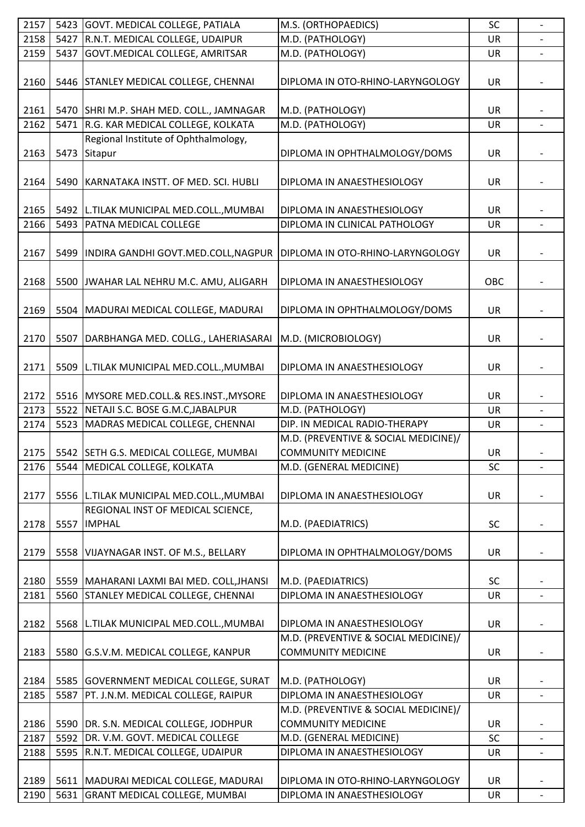| 2157 |      | 5423 GOVT. MEDICAL COLLEGE, PATIALA         | M.S. (ORTHOPAEDICS)                  | SC        |                          |
|------|------|---------------------------------------------|--------------------------------------|-----------|--------------------------|
| 2158 | 5427 | R.N.T. MEDICAL COLLEGE, UDAIPUR             | M.D. (PATHOLOGY)                     | UR        |                          |
| 2159 | 5437 | GOVT.MEDICAL COLLEGE, AMRITSAR              | M.D. (PATHOLOGY)                     | UR        |                          |
|      |      |                                             |                                      |           |                          |
| 2160 | 5446 | STANLEY MEDICAL COLLEGE, CHENNAI            | DIPLOMA IN OTO-RHINO-LARYNGOLOGY     | UR        |                          |
|      |      |                                             |                                      |           |                          |
| 2161 |      | 5470 SHRI M.P. SHAH MED. COLL., JAMNAGAR    | M.D. (PATHOLOGY)                     | <b>UR</b> |                          |
| 2162 | 5471 | R.G. KAR MEDICAL COLLEGE, KOLKATA           | M.D. (PATHOLOGY)                     | UR        |                          |
|      |      | Regional Institute of Ophthalmology,        |                                      |           |                          |
| 2163 | 5473 | Sitapur                                     | DIPLOMA IN OPHTHALMOLOGY/DOMS        | UR        |                          |
|      |      |                                             |                                      |           |                          |
| 2164 | 5490 | KARNATAKA INSTT. OF MED. SCI. HUBLI         | DIPLOMA IN ANAESTHESIOLOGY           | <b>UR</b> |                          |
|      |      |                                             |                                      |           |                          |
| 2165 |      | 5492   L.TILAK MUNICIPAL MED.COLL., MUMBAI  | DIPLOMA IN ANAESTHESIOLOGY           | UR        |                          |
| 2166 | 5493 | <b>PATNA MEDICAL COLLEGE</b>                | DIPLOMA IN CLINICAL PATHOLOGY        | UR        |                          |
|      |      |                                             |                                      |           |                          |
| 2167 | 5499 | INDIRA GANDHI GOVT.MED.COLL, NAGPUR         | DIPLOMA IN OTO-RHINO-LARYNGOLOGY     | UR        |                          |
|      |      |                                             |                                      |           |                          |
| 2168 | 5500 | JWAHAR LAL NEHRU M.C. AMU, ALIGARH          | DIPLOMA IN ANAESTHESIOLOGY           | OBC       |                          |
|      |      |                                             |                                      |           |                          |
| 2169 |      | 5504   MADURAI MEDICAL COLLEGE, MADURAI     | DIPLOMA IN OPHTHALMOLOGY/DOMS        | UR        |                          |
|      |      |                                             |                                      |           |                          |
| 2170 | 5507 | DARBHANGA MED. COLLG., LAHERIASARAI         | M.D. (MICROBIOLOGY)                  | <b>UR</b> |                          |
|      |      |                                             |                                      |           |                          |
| 2171 | 5509 |                                             |                                      |           |                          |
|      |      | L.TILAK MUNICIPAL MED.COLL., MUMBAI         | DIPLOMA IN ANAESTHESIOLOGY           | UR        |                          |
|      |      |                                             |                                      |           |                          |
| 2172 |      | 5516 MYSORE MED.COLL.& RES.INST., MYSORE    | DIPLOMA IN ANAESTHESIOLOGY           | <b>UR</b> |                          |
| 2173 | 5522 | NETAJI S.C. BOSE G.M.C, JABALPUR            | M.D. (PATHOLOGY)                     | UR        | $\overline{\phantom{0}}$ |
| 2174 | 5523 | MADRAS MEDICAL COLLEGE, CHENNAI             | DIP. IN MEDICAL RADIO-THERAPY        | UR        |                          |
|      |      |                                             | M.D. (PREVENTIVE & SOCIAL MEDICINE)/ |           |                          |
| 2175 |      | 5542 SETH G.S. MEDICAL COLLEGE, MUMBAI      | <b>COMMUNITY MEDICINE</b>            | UR        |                          |
| 2176 | 5544 | MEDICAL COLLEGE, KOLKATA                    | M.D. (GENERAL MEDICINE)              | SC        | $\overline{a}$           |
|      |      |                                             |                                      |           |                          |
| 2177 |      | 5556 L.TILAK MUNICIPAL MED.COLL., MUMBAI    | DIPLOMA IN ANAESTHESIOLOGY           | UR        |                          |
|      |      | REGIONAL INST OF MEDICAL SCIENCE,           |                                      |           |                          |
| 2178 | 5557 | <b>IMPHAL</b>                               | M.D. (PAEDIATRICS)                   | SC        |                          |
|      |      |                                             |                                      |           |                          |
| 2179 | 5558 | VIJAYNAGAR INST. OF M.S., BELLARY           | DIPLOMA IN OPHTHALMOLOGY/DOMS        | <b>UR</b> |                          |
|      |      |                                             |                                      |           |                          |
| 2180 |      | 5559   MAHARANI LAXMI BAI MED. COLL, JHANSI | M.D. (PAEDIATRICS)                   | <b>SC</b> |                          |
| 2181 | 5560 | STANLEY MEDICAL COLLEGE, CHENNAI            | DIPLOMA IN ANAESTHESIOLOGY           | UR        |                          |
|      |      |                                             |                                      |           |                          |
| 2182 | 5568 | L.TILAK MUNICIPAL MED.COLL., MUMBAI         | DIPLOMA IN ANAESTHESIOLOGY           | <b>UR</b> |                          |
|      |      |                                             | M.D. (PREVENTIVE & SOCIAL MEDICINE)/ |           |                          |
| 2183 | 5580 | G.S.V.M. MEDICAL COLLEGE, KANPUR            | <b>COMMUNITY MEDICINE</b>            | <b>UR</b> |                          |
|      |      |                                             |                                      |           |                          |
| 2184 |      | 5585 GOVERNMENT MEDICAL COLLEGE, SURAT      | M.D. (PATHOLOGY)                     | UR        |                          |
| 2185 | 5587 | PT. J.N.M. MEDICAL COLLEGE, RAIPUR          | DIPLOMA IN ANAESTHESIOLOGY           | UR        |                          |
|      |      |                                             | M.D. (PREVENTIVE & SOCIAL MEDICINE)/ |           |                          |
| 2186 |      | 5590 DR. S.N. MEDICAL COLLEGE, JODHPUR      | <b>COMMUNITY MEDICINE</b>            | <b>UR</b> |                          |
| 2187 | 5592 | DR. V.M. GOVT. MEDICAL COLLEGE              | M.D. (GENERAL MEDICINE)              | SC        |                          |
| 2188 | 5595 | R.N.T. MEDICAL COLLEGE, UDAIPUR             | DIPLOMA IN ANAESTHESIOLOGY           | <b>UR</b> |                          |
|      |      |                                             |                                      |           |                          |
| 2189 |      | 5611 MADURAI MEDICAL COLLEGE, MADURAI       | DIPLOMA IN OTO-RHINO-LARYNGOLOGY     | UR        |                          |
| 2190 |      | 5631 GRANT MEDICAL COLLEGE, MUMBAI          | DIPLOMA IN ANAESTHESIOLOGY           | UR        |                          |
|      |      |                                             |                                      |           |                          |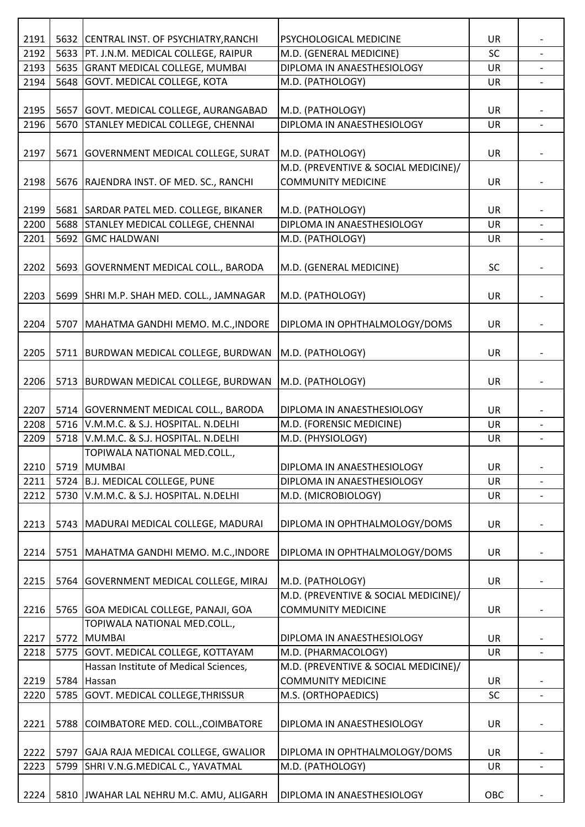| 2191 |      | 5632 CENTRAL INST. OF PSYCHIATRY, RANCHI             | PSYCHOLOGICAL MEDICINE                                            | UR        |                          |
|------|------|------------------------------------------------------|-------------------------------------------------------------------|-----------|--------------------------|
| 2192 |      | 5633   PT. J.N.M. MEDICAL COLLEGE, RAIPUR            | M.D. (GENERAL MEDICINE)                                           | <b>SC</b> |                          |
| 2193 |      | 5635 GRANT MEDICAL COLLEGE, MUMBAI                   | DIPLOMA IN ANAESTHESIOLOGY                                        | <b>UR</b> |                          |
| 2194 |      | 5648 GOVT. MEDICAL COLLEGE, KOTA                     | M.D. (PATHOLOGY)                                                  | UR        |                          |
|      |      |                                                      |                                                                   |           |                          |
| 2195 |      | 5657 GOVT. MEDICAL COLLEGE, AURANGABAD               | M.D. (PATHOLOGY)                                                  | UR        |                          |
| 2196 |      | 5670 STANLEY MEDICAL COLLEGE, CHENNAI                | DIPLOMA IN ANAESTHESIOLOGY                                        | UR        | $\overline{\phantom{0}}$ |
|      |      |                                                      |                                                                   |           |                          |
| 2197 |      | 5671   GOVERNMENT MEDICAL COLLEGE, SURAT             | M.D. (PATHOLOGY)                                                  | UR        |                          |
|      |      |                                                      | M.D. (PREVENTIVE & SOCIAL MEDICINE)/                              |           |                          |
| 2198 |      | 5676 RAJENDRA INST. OF MED. SC., RANCHI              | <b>COMMUNITY MEDICINE</b>                                         | UR        |                          |
|      |      |                                                      |                                                                   |           |                          |
| 2199 |      | 5681 SARDAR PATEL MED. COLLEGE, BIKANER              | M.D. (PATHOLOGY)                                                  | UR        |                          |
| 2200 |      | 5688 STANLEY MEDICAL COLLEGE, CHENNAI                | DIPLOMA IN ANAESTHESIOLOGY                                        | UR        |                          |
| 2201 | 5692 | <b>GMC HALDWANI</b>                                  | M.D. (PATHOLOGY)                                                  | <b>UR</b> |                          |
|      |      |                                                      |                                                                   |           |                          |
| 2202 |      | 5693 GOVERNMENT MEDICAL COLL., BARODA                | M.D. (GENERAL MEDICINE)                                           | <b>SC</b> |                          |
|      |      |                                                      |                                                                   |           |                          |
| 2203 |      | 5699 SHRI M.P. SHAH MED. COLL., JAMNAGAR             | M.D. (PATHOLOGY)                                                  | UR        |                          |
|      |      |                                                      |                                                                   |           |                          |
| 2204 |      | 5707   MAHATMA GANDHI MEMO. M.C., INDORE             | DIPLOMA IN OPHTHALMOLOGY/DOMS                                     | <b>UR</b> |                          |
|      |      |                                                      |                                                                   |           |                          |
| 2205 |      | 5711   BURDWAN MEDICAL COLLEGE, BURDWAN              | M.D. (PATHOLOGY)                                                  | UR        |                          |
|      |      |                                                      |                                                                   |           |                          |
| 2206 |      | 5713 BURDWAN MEDICAL COLLEGE, BURDWAN                | M.D. (PATHOLOGY)                                                  | UR        |                          |
| 2207 |      | 5714 GOVERNMENT MEDICAL COLL., BARODA                | DIPLOMA IN ANAESTHESIOLOGY                                        | <b>UR</b> |                          |
| 2208 |      | 5716 V.M.M.C. & S.J. HOSPITAL. N.DELHI               | M.D. (FORENSIC MEDICINE)                                          | <b>UR</b> |                          |
| 2209 |      | 5718 V.M.M.C. & S.J. HOSPITAL. N.DELHI               | M.D. (PHYSIOLOGY)                                                 | UR        | $\overline{\phantom{0}}$ |
|      |      | TOPIWALA NATIONAL MED.COLL.,                         |                                                                   |           |                          |
| 2210 |      | 5719 MUMBAI                                          | DIPLOMA IN ANAESTHESIOLOGY                                        | UR        |                          |
| 2211 |      | 5724 B.J. MEDICAL COLLEGE, PUNE                      | DIPLOMA IN ANAESTHESIOLOGY                                        | UR        |                          |
| 2212 |      | 5730 V.M.M.C. & S.J. HOSPITAL. N.DELHI               | M.D. (MICROBIOLOGY)                                               | UR        |                          |
|      |      |                                                      |                                                                   |           |                          |
| 2213 |      | 5743   MADURAI MEDICAL COLLEGE, MADURAI              | DIPLOMA IN OPHTHALMOLOGY/DOMS                                     | UR        |                          |
|      |      |                                                      |                                                                   |           |                          |
| 2214 |      | 5751   MAHATMA GANDHI MEMO. M.C., INDORE             | DIPLOMA IN OPHTHALMOLOGY/DOMS                                     | UR        |                          |
|      |      |                                                      |                                                                   |           |                          |
| 2215 |      | 5764 GOVERNMENT MEDICAL COLLEGE, MIRAJ               | M.D. (PATHOLOGY)                                                  | <b>UR</b> |                          |
|      |      |                                                      | M.D. (PREVENTIVE & SOCIAL MEDICINE)/                              |           |                          |
| 2216 |      | 5765 GOA MEDICAL COLLEGE, PANAJI, GOA                | <b>COMMUNITY MEDICINE</b>                                         | <b>UR</b> |                          |
|      |      | TOPIWALA NATIONAL MED.COLL.,                         |                                                                   |           |                          |
| 2217 |      | 5772 MUMBAI                                          | DIPLOMA IN ANAESTHESIOLOGY                                        | UR        |                          |
| 2218 |      | 5775 GOVT. MEDICAL COLLEGE, KOTTAYAM                 | M.D. (PHARMACOLOGY)                                               | UR        |                          |
| 2219 |      | Hassan Institute of Medical Sciences,<br>5784 Hassan | M.D. (PREVENTIVE & SOCIAL MEDICINE)/<br><b>COMMUNITY MEDICINE</b> | <b>UR</b> |                          |
| 2220 | 5785 | <b>GOVT. MEDICAL COLLEGE, THRISSUR</b>               | M.S. (ORTHOPAEDICS)                                               | SC        |                          |
|      |      |                                                      |                                                                   |           |                          |
| 2221 |      | 5788 COIMBATORE MED. COLL., COIMBATORE               | DIPLOMA IN ANAESTHESIOLOGY                                        | UR        |                          |
|      |      |                                                      |                                                                   |           |                          |
| 2222 |      | 5797 GAJA RAJA MEDICAL COLLEGE, GWALIOR              | DIPLOMA IN OPHTHALMOLOGY/DOMS                                     | UR        |                          |
| 2223 | 5799 | SHRI V.N.G.MEDICAL C., YAVATMAL                      | M.D. (PATHOLOGY)                                                  | UR        | $\overline{\phantom{a}}$ |
|      |      |                                                      |                                                                   |           |                          |
| 2224 |      | 5810 JWAHAR LAL NEHRU M.C. AMU, ALIGARH              | DIPLOMA IN ANAESTHESIOLOGY                                        | OBC       |                          |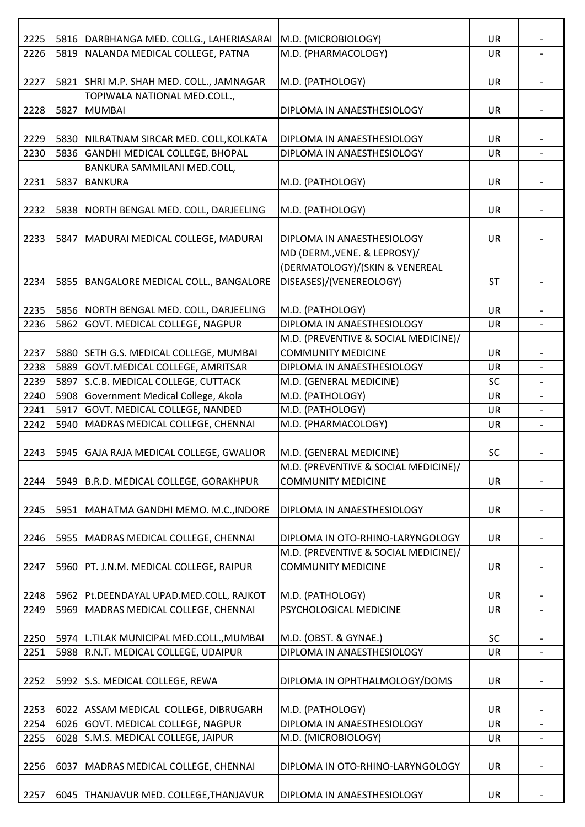| 2225 |      | 5816   DARBHANGA MED. COLLG., LAHERIASARAI | M.D. (MICROBIOLOGY)                  | <b>UR</b> |                |
|------|------|--------------------------------------------|--------------------------------------|-----------|----------------|
| 2226 | 5819 | NALANDA MEDICAL COLLEGE, PATNA             | M.D. (PHARMACOLOGY)                  | UR        |                |
|      |      |                                            |                                      |           |                |
| 2227 |      | 5821 SHRI M.P. SHAH MED. COLL., JAMNAGAR   | M.D. (PATHOLOGY)                     | UR        |                |
|      |      | TOPIWALA NATIONAL MED.COLL.,               |                                      |           |                |
| 2228 | 5827 | MUMBAI                                     | DIPLOMA IN ANAESTHESIOLOGY           | <b>UR</b> |                |
|      |      |                                            |                                      |           |                |
| 2229 | 5830 | NILRATNAM SIRCAR MED. COLL, KOLKATA        | DIPLOMA IN ANAESTHESIOLOGY           | <b>UR</b> |                |
| 2230 |      | 5836 GANDHI MEDICAL COLLEGE, BHOPAL        | DIPLOMA IN ANAESTHESIOLOGY           | UR        |                |
|      |      | BANKURA SAMMILANI MED.COLL,                |                                      |           |                |
| 2231 | 5837 | <b>BANKURA</b>                             | M.D. (PATHOLOGY)                     | UR        |                |
|      |      |                                            |                                      |           |                |
| 2232 |      | 5838 NORTH BENGAL MED. COLL, DARJEELING    | M.D. (PATHOLOGY)                     | <b>UR</b> |                |
|      |      |                                            |                                      |           |                |
| 2233 | 5847 | MADURAI MEDICAL COLLEGE, MADURAI           | DIPLOMA IN ANAESTHESIOLOGY           | UR        |                |
|      |      |                                            | MD (DERM., VENE. & LEPROSY)/         |           |                |
|      |      |                                            | (DERMATOLOGY)/(SKIN & VENEREAL       |           |                |
| 2234 |      | 5855 BANGALORE MEDICAL COLL., BANGALORE    | DISEASES)/(VENEREOLOGY)              | <b>ST</b> |                |
|      |      |                                            |                                      |           |                |
| 2235 |      | 5856 NORTH BENGAL MED. COLL, DARJEELING    | M.D. (PATHOLOGY)                     | <b>UR</b> |                |
| 2236 | 5862 | GOVT. MEDICAL COLLEGE, NAGPUR              | DIPLOMA IN ANAESTHESIOLOGY           | UR        |                |
|      |      |                                            | M.D. (PREVENTIVE & SOCIAL MEDICINE)/ |           |                |
| 2237 |      | 5880 SETH G.S. MEDICAL COLLEGE, MUMBAI     | <b>COMMUNITY MEDICINE</b>            | UR        |                |
| 2238 | 5889 | GOVT.MEDICAL COLLEGE, AMRITSAR             | DIPLOMA IN ANAESTHESIOLOGY           | UR        |                |
| 2239 | 5897 | S.C.B. MEDICAL COLLEGE, CUTTACK            | M.D. (GENERAL MEDICINE)              | SC        |                |
| 2240 | 5908 | Government Medical College, Akola          | M.D. (PATHOLOGY)                     | <b>UR</b> |                |
| 2241 | 5917 | GOVT. MEDICAL COLLEGE, NANDED              | M.D. (PATHOLOGY)                     | <b>UR</b> | $\overline{a}$ |
| 2242 | 5940 | MADRAS MEDICAL COLLEGE, CHENNAI            | M.D. (PHARMACOLOGY)                  | UR        |                |
|      |      |                                            |                                      |           |                |
| 2243 |      | 5945 GAJA RAJA MEDICAL COLLEGE, GWALIOR    | M.D. (GENERAL MEDICINE)              | SC        |                |
|      |      |                                            | M.D. (PREVENTIVE & SOCIAL MEDICINE)/ |           |                |
| 2244 | 5949 | B.R.D. MEDICAL COLLEGE, GORAKHPUR          | <b>COMMUNITY MEDICINE</b>            | UR        |                |
|      |      |                                            |                                      |           |                |
| 2245 | 5951 | MAHATMA GANDHI MEMO. M.C., INDORE          | DIPLOMA IN ANAESTHESIOLOGY           | UR        |                |
|      |      |                                            |                                      |           |                |
| 2246 |      | 5955   MADRAS MEDICAL COLLEGE, CHENNAI     | DIPLOMA IN OTO-RHINO-LARYNGOLOGY     | UR        |                |
|      |      |                                            | M.D. (PREVENTIVE & SOCIAL MEDICINE)/ |           |                |
| 2247 | 5960 | PT. J.N.M. MEDICAL COLLEGE, RAIPUR         | <b>COMMUNITY MEDICINE</b>            | <b>UR</b> |                |
|      |      |                                            |                                      |           |                |
| 2248 |      | 5962 Pt.DEENDAYAL UPAD.MED.COLL, RAJKOT    | M.D. (PATHOLOGY)                     | <b>UR</b> |                |
| 2249 | 5969 | MADRAS MEDICAL COLLEGE, CHENNAI            | PSYCHOLOGICAL MEDICINE               | UR        | $\overline{a}$ |
|      |      |                                            |                                      |           |                |
| 2250 |      | 5974 L.TILAK MUNICIPAL MED.COLL., MUMBAI   | M.D. (OBST. & GYNAE.)                | <b>SC</b> |                |
| 2251 | 5988 | R.N.T. MEDICAL COLLEGE, UDAIPUR            | DIPLOMA IN ANAESTHESIOLOGY           | UR        |                |
|      |      |                                            |                                      |           |                |
| 2252 |      | 5992 S.S. MEDICAL COLLEGE, REWA            | DIPLOMA IN OPHTHALMOLOGY/DOMS        | UR        |                |
|      |      |                                            |                                      |           |                |
| 2253 |      | 6022 ASSAM MEDICAL COLLEGE, DIBRUGARH      | M.D. (PATHOLOGY)                     | UR        |                |
| 2254 |      | 6026 GOVT. MEDICAL COLLEGE, NAGPUR         | DIPLOMA IN ANAESTHESIOLOGY           | <b>UR</b> |                |
| 2255 | 6028 | S.M.S. MEDICAL COLLEGE, JAIPUR             | M.D. (MICROBIOLOGY)                  | UR        |                |
|      |      |                                            |                                      |           |                |
| 2256 | 6037 | MADRAS MEDICAL COLLEGE, CHENNAI            | DIPLOMA IN OTO-RHINO-LARYNGOLOGY     | UR        |                |
|      |      |                                            |                                      |           |                |
| 2257 |      | 6045   THANJAVUR MED. COLLEGE, THANJAVUR   | DIPLOMA IN ANAESTHESIOLOGY           | <b>UR</b> |                |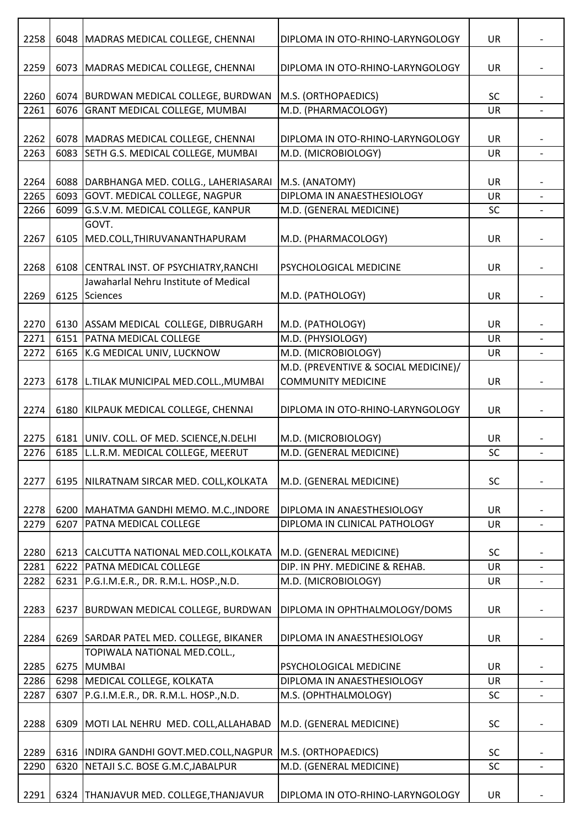| 2258 |      | 6048   MADRAS MEDICAL COLLEGE, CHENNAI     | DIPLOMA IN OTO-RHINO-LARYNGOLOGY     | UR        |                          |
|------|------|--------------------------------------------|--------------------------------------|-----------|--------------------------|
| 2259 |      | 6073 MADRAS MEDICAL COLLEGE, CHENNAI       | DIPLOMA IN OTO-RHINO-LARYNGOLOGY     | UR        |                          |
| 2260 |      | 6074 BURDWAN MEDICAL COLLEGE, BURDWAN      | M.S. (ORTHOPAEDICS)                  | SC        |                          |
| 2261 | 6076 | <b>GRANT MEDICAL COLLEGE, MUMBAI</b>       | M.D. (PHARMACOLOGY)                  | <b>UR</b> |                          |
|      |      |                                            |                                      |           |                          |
| 2262 |      | 6078 MADRAS MEDICAL COLLEGE, CHENNAI       | DIPLOMA IN OTO-RHINO-LARYNGOLOGY     | UR        |                          |
| 2263 | 6083 | SETH G.S. MEDICAL COLLEGE, MUMBAI          | M.D. (MICROBIOLOGY)                  | UR        |                          |
|      |      |                                            |                                      |           |                          |
| 2264 | 6088 | DARBHANGA MED. COLLG., LAHERIASARAI        | M.S. (ANATOMY)                       | UR        |                          |
| 2265 | 6093 | GOVT. MEDICAL COLLEGE, NAGPUR              | DIPLOMA IN ANAESTHESIOLOGY           | UR        |                          |
| 2266 | 6099 | G.S.V.M. MEDICAL COLLEGE, KANPUR           | M.D. (GENERAL MEDICINE)              | SC        |                          |
|      |      | GOVT.                                      |                                      |           |                          |
| 2267 | 6105 | MED.COLL, THIRUVANANTHAPURAM               | M.D. (PHARMACOLOGY)                  | UR        |                          |
| 2268 |      | 6108 CENTRAL INST. OF PSYCHIATRY, RANCHI   | PSYCHOLOGICAL MEDICINE               | UR        |                          |
|      |      | Jawaharlal Nehru Institute of Medical      |                                      |           |                          |
| 2269 | 6125 | <b>Sciences</b>                            | M.D. (PATHOLOGY)                     | UR        |                          |
|      |      |                                            |                                      |           |                          |
| 2270 |      | 6130 ASSAM MEDICAL COLLEGE, DIBRUGARH      | M.D. (PATHOLOGY)                     | <b>UR</b> |                          |
| 2271 | 6151 | <b>PATNA MEDICAL COLLEGE</b>               | M.D. (PHYSIOLOGY)                    | UR        | $\overline{\phantom{0}}$ |
| 2272 |      | 6165 K.G MEDICAL UNIV, LUCKNOW             | M.D. (MICROBIOLOGY)                  | UR        |                          |
|      |      |                                            | M.D. (PREVENTIVE & SOCIAL MEDICINE)/ |           |                          |
| 2273 |      | 6178   L.TILAK MUNICIPAL MED.COLL., MUMBAI | <b>COMMUNITY MEDICINE</b>            | <b>UR</b> |                          |
| 2274 | 6180 | KILPAUK MEDICAL COLLEGE, CHENNAI           | DIPLOMA IN OTO-RHINO-LARYNGOLOGY     | UR        |                          |
| 2275 |      | 6181 UNIV. COLL. OF MED. SCIENCE, N. DELHI | M.D. (MICROBIOLOGY)                  | UR        |                          |
| 2276 |      | 6185 L.L.R.M. MEDICAL COLLEGE, MEERUT      | M.D. (GENERAL MEDICINE)              | SC        |                          |
|      |      |                                            |                                      |           |                          |
| 2277 |      | 6195   NILRATNAM SIRCAR MED. COLL, KOLKATA | M.D. (GENERAL MEDICINE)              | <b>SC</b> |                          |
| 2278 |      | 6200   MAHATMA GANDHI MEMO. M.C., INDORE   | DIPLOMA IN ANAESTHESIOLOGY           | <b>UR</b> |                          |
| 2279 | 6207 | <b>PATNA MEDICAL COLLEGE</b>               | DIPLOMA IN CLINICAL PATHOLOGY        | <b>UR</b> |                          |
|      |      |                                            |                                      |           |                          |
| 2280 |      | 6213 CALCUTTA NATIONAL MED.COLL, KOLKATA   | M.D. (GENERAL MEDICINE)              | <b>SC</b> |                          |
| 2281 | 6222 | <b>PATNA MEDICAL COLLEGE</b>               | DIP. IN PHY. MEDICINE & REHAB.       | <b>UR</b> |                          |
| 2282 | 6231 | P.G.I.M.E.R., DR. R.M.L. HOSP., N.D.       | M.D. (MICROBIOLOGY)                  | <b>UR</b> | $\overline{a}$           |
|      |      |                                            |                                      |           |                          |
| 2283 | 6237 | BURDWAN MEDICAL COLLEGE, BURDWAN           | DIPLOMA IN OPHTHALMOLOGY/DOMS        | UR        | $\overline{a}$           |
|      |      |                                            |                                      |           |                          |
| 2284 |      | 6269 SARDAR PATEL MED. COLLEGE, BIKANER    | DIPLOMA IN ANAESTHESIOLOGY           | <b>UR</b> |                          |
|      |      | TOPIWALA NATIONAL MED.COLL.,               |                                      |           |                          |
| 2285 |      | 6275 MUMBAI                                | PSYCHOLOGICAL MEDICINE               | <b>UR</b> |                          |
| 2286 |      | 6298 MEDICAL COLLEGE, KOLKATA              | DIPLOMA IN ANAESTHESIOLOGY           | UR        | $\overline{\phantom{a}}$ |
| 2287 | 6307 | P.G.I.M.E.R., DR. R.M.L. HOSP., N.D.       | M.S. (OPHTHALMOLOGY)                 | <b>SC</b> |                          |
|      |      |                                            |                                      |           |                          |
| 2288 | 6309 | MOTI LAL NEHRU MED. COLL, ALLAHABAD        | M.D. (GENERAL MEDICINE)              | <b>SC</b> |                          |
|      |      |                                            |                                      |           |                          |
| 2289 |      | 6316  INDIRA GANDHI GOVT.MED.COLL, NAGPUR  | M.S. (ORTHOPAEDICS)                  | <b>SC</b> |                          |
| 2290 | 6320 | NETAJI S.C. BOSE G.M.C, JABALPUR           | M.D. (GENERAL MEDICINE)              | SC        |                          |
|      |      |                                            |                                      |           |                          |
| 2291 |      | 6324 THANJAVUR MED. COLLEGE, THANJAVUR     | DIPLOMA IN OTO-RHINO-LARYNGOLOGY     | UR        |                          |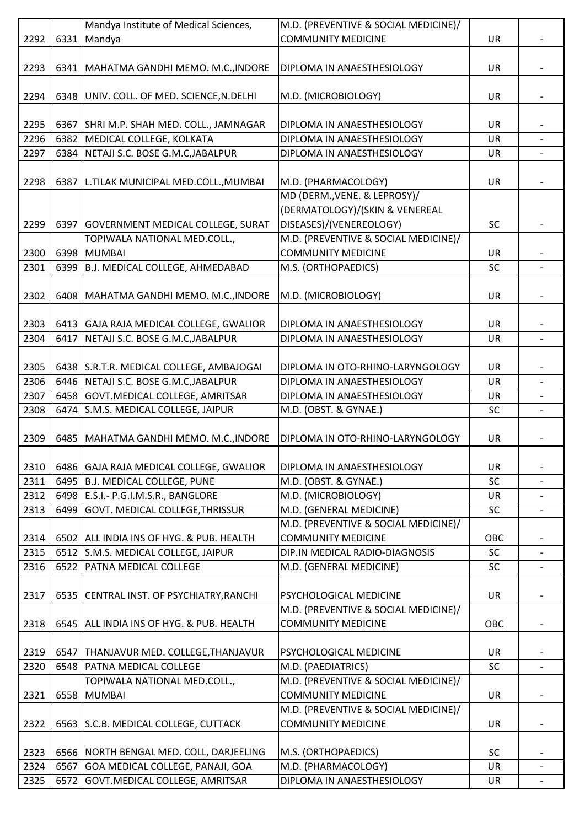|      |      | Mandya Institute of Medical Sciences,     | M.D. (PREVENTIVE & SOCIAL MEDICINE)/ |           |  |
|------|------|-------------------------------------------|--------------------------------------|-----------|--|
| 2292 | 6331 | Mandya                                    | <b>COMMUNITY MEDICINE</b>            | <b>UR</b> |  |
|      |      |                                           |                                      |           |  |
| 2293 | 6341 | MAHATMA GANDHI MEMO. M.C., INDORE         | DIPLOMA IN ANAESTHESIOLOGY           | <b>UR</b> |  |
|      |      |                                           |                                      |           |  |
|      |      |                                           |                                      |           |  |
| 2294 |      | 6348 UNIV. COLL. OF MED. SCIENCE, N.DELHI | M.D. (MICROBIOLOGY)                  | UR        |  |
|      |      |                                           |                                      |           |  |
| 2295 | 6367 | SHRI M.P. SHAH MED. COLL., JAMNAGAR       | DIPLOMA IN ANAESTHESIOLOGY           | <b>UR</b> |  |
| 2296 | 6382 | MEDICAL COLLEGE, KOLKATA                  | DIPLOMA IN ANAESTHESIOLOGY           | <b>UR</b> |  |
| 2297 | 6384 | NETAJI S.C. BOSE G.M.C.JABALPUR           | DIPLOMA IN ANAESTHESIOLOGY           | <b>UR</b> |  |
|      |      |                                           |                                      |           |  |
|      |      |                                           |                                      |           |  |
| 2298 |      | 6387 L.TILAK MUNICIPAL MED.COLL., MUMBAI  | M.D. (PHARMACOLOGY)                  | <b>UR</b> |  |
|      |      |                                           | MD (DERM., VENE. & LEPROSY)/         |           |  |
|      |      |                                           | (DERMATOLOGY)/(SKIN & VENEREAL       |           |  |
| 2299 | 6397 | <b>GOVERNMENT MEDICAL COLLEGE, SURAT</b>  | DISEASES)/(VENEREOLOGY)              | SC        |  |
|      |      | TOPIWALA NATIONAL MED.COLL.,              | M.D. (PREVENTIVE & SOCIAL MEDICINE)/ |           |  |
| 2300 |      | 6398 MUMBAI                               | <b>COMMUNITY MEDICINE</b>            | UR        |  |
| 2301 | 6399 | B.J. MEDICAL COLLEGE, AHMEDABAD           | M.S. (ORTHOPAEDICS)                  | SC        |  |
|      |      |                                           |                                      |           |  |
|      |      |                                           |                                      |           |  |
| 2302 | 6408 | MAHATMA GANDHI MEMO. M.C., INDORE         | M.D. (MICROBIOLOGY)                  | UR        |  |
|      |      |                                           |                                      |           |  |
| 2303 |      | 6413 GAJA RAJA MEDICAL COLLEGE, GWALIOR   | DIPLOMA IN ANAESTHESIOLOGY           | <b>UR</b> |  |
| 2304 | 6417 | NETAJI S.C. BOSE G.M.C, JABALPUR          | DIPLOMA IN ANAESTHESIOLOGY           | UR        |  |
|      |      |                                           |                                      |           |  |
| 2305 |      | 6438 S.R.T.R. MEDICAL COLLEGE, AMBAJOGAI  | DIPLOMA IN OTO-RHINO-LARYNGOLOGY     | <b>UR</b> |  |
|      |      |                                           |                                      |           |  |
| 2306 | 6446 | NETAJI S.C. BOSE G.M.C, JABALPUR          | DIPLOMA IN ANAESTHESIOLOGY           | <b>UR</b> |  |
| 2307 |      | 6458 GOVT.MEDICAL COLLEGE, AMRITSAR       | DIPLOMA IN ANAESTHESIOLOGY           | UR        |  |
| 2308 | 6474 | S.M.S. MEDICAL COLLEGE, JAIPUR            | M.D. (OBST. & GYNAE.)                | <b>SC</b> |  |
|      |      |                                           |                                      |           |  |
| 2309 | 6485 | MAHATMA GANDHI MEMO. M.C., INDORE         | DIPLOMA IN OTO-RHINO-LARYNGOLOGY     | UR        |  |
|      |      |                                           |                                      |           |  |
| 2310 |      | 6486 GAJA RAJA MEDICAL COLLEGE, GWALIOR   | DIPLOMA IN ANAESTHESIOLOGY           | <b>UR</b> |  |
| 2311 | 6495 | B.J. MEDICAL COLLEGE, PUNE                | M.D. (OBST. & GYNAE.)                | <b>SC</b> |  |
|      |      |                                           |                                      |           |  |
| 2312 |      | 6498 E.S.I.- P.G.I.M.S.R., BANGLORE       | M.D. (MICROBIOLOGY)                  | <b>UR</b> |  |
| 2313 | 6499 | GOVT. MEDICAL COLLEGE, THRISSUR           | M.D. (GENERAL MEDICINE)              | <b>SC</b> |  |
|      |      |                                           | M.D. (PREVENTIVE & SOCIAL MEDICINE)/ |           |  |
| 2314 |      | 6502 ALL INDIA INS OF HYG. & PUB. HEALTH  | <b>COMMUNITY MEDICINE</b>            | OBC       |  |
| 2315 |      | 6512 S.M.S. MEDICAL COLLEGE, JAIPUR       | DIP.IN MEDICAL RADIO-DIAGNOSIS       | <b>SC</b> |  |
| 2316 | 6522 | <b>PATNA MEDICAL COLLEGE</b>              | M.D. (GENERAL MEDICINE)              | <b>SC</b> |  |
|      |      |                                           |                                      |           |  |
|      |      |                                           | PSYCHOLOGICAL MEDICINE               |           |  |
| 2317 | 6535 | CENTRAL INST. OF PSYCHIATRY, RANCHI       |                                      | <b>UR</b> |  |
|      |      |                                           | M.D. (PREVENTIVE & SOCIAL MEDICINE)/ |           |  |
| 2318 |      | 6545 ALL INDIA INS OF HYG. & PUB. HEALTH  | <b>COMMUNITY MEDICINE</b>            | OBC       |  |
|      |      |                                           |                                      |           |  |
| 2319 | 6547 | THANJAVUR MED. COLLEGE, THANJAVUR         | PSYCHOLOGICAL MEDICINE               | UR        |  |
| 2320 | 6548 | <b>PATNA MEDICAL COLLEGE</b>              | M.D. (PAEDIATRICS)                   | SC        |  |
|      |      | TOPIWALA NATIONAL MED.COLL.,              | M.D. (PREVENTIVE & SOCIAL MEDICINE)/ |           |  |
| 2321 | 6558 | <b>MUMBAI</b>                             | <b>COMMUNITY MEDICINE</b>            | <b>UR</b> |  |
|      |      |                                           |                                      |           |  |
|      |      |                                           | M.D. (PREVENTIVE & SOCIAL MEDICINE)/ |           |  |
| 2322 |      | 6563 S.C.B. MEDICAL COLLEGE, CUTTACK      | <b>COMMUNITY MEDICINE</b>            | <b>UR</b> |  |
|      |      |                                           |                                      |           |  |
| 2323 |      | 6566 NORTH BENGAL MED. COLL, DARJEELING   | M.S. (ORTHOPAEDICS)                  | <b>SC</b> |  |
| 2324 | 6567 | GOA MEDICAL COLLEGE, PANAJI, GOA          | M.D. (PHARMACOLOGY)                  | UR        |  |
| 2325 | 6572 | GOVT. MEDICAL COLLEGE, AMRITSAR           | DIPLOMA IN ANAESTHESIOLOGY           | UR        |  |
|      |      |                                           |                                      |           |  |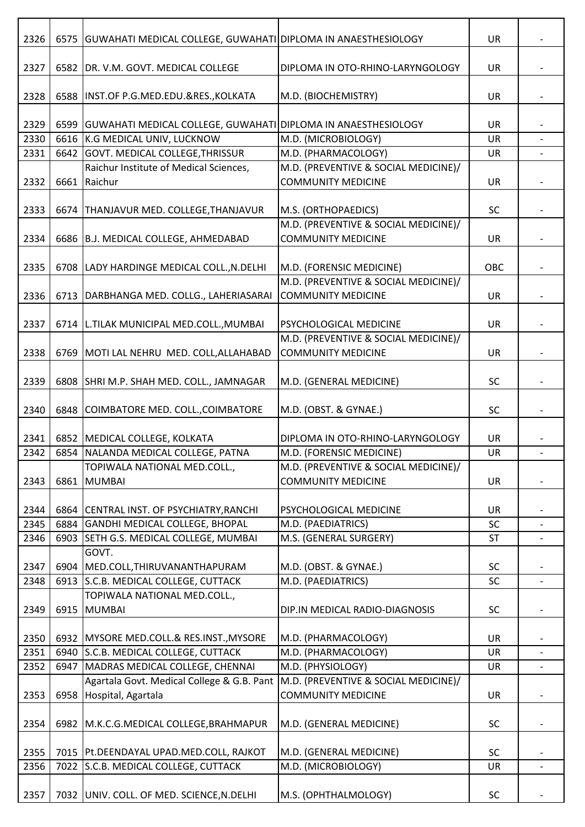| 2326 |      | 6575 GUWAHATI MEDICAL COLLEGE, GUWAHATI DIPLOMA IN ANAESTHESIOLOGY |                                                                   | UR        |                          |
|------|------|--------------------------------------------------------------------|-------------------------------------------------------------------|-----------|--------------------------|
| 2327 | 6582 | DR. V.M. GOVT. MEDICAL COLLEGE                                     | DIPLOMA IN OTO-RHINO-LARYNGOLOGY                                  | UR        |                          |
| 2328 |      | 6588   INST.OF P.G.MED.EDU.&RES., KOLKATA                          | M.D. (BIOCHEMISTRY)                                               | UR        |                          |
| 2329 |      | 6599 GUWAHATI MEDICAL COLLEGE, GUWAHATI DIPLOMA IN ANAESTHESIOLOGY |                                                                   | UR        |                          |
| 2330 | 6616 | <b>K.G MEDICAL UNIV, LUCKNOW</b>                                   | M.D. (MICROBIOLOGY)                                               | <b>UR</b> | $\overline{a}$           |
| 2331 | 6642 | GOVT. MEDICAL COLLEGE, THRISSUR                                    | M.D. (PHARMACOLOGY)                                               | UR        |                          |
| 2332 | 6661 | Raichur Institute of Medical Sciences,<br>Raichur                  | M.D. (PREVENTIVE & SOCIAL MEDICINE)/<br><b>COMMUNITY MEDICINE</b> | UR        |                          |
| 2333 | 6674 | THANJAVUR MED. COLLEGE, THANJAVUR                                  | M.S. (ORTHOPAEDICS)                                               | SC        |                          |
| 2334 |      | 6686 B.J. MEDICAL COLLEGE, AHMEDABAD                               | M.D. (PREVENTIVE & SOCIAL MEDICINE)/<br><b>COMMUNITY MEDICINE</b> | UR        |                          |
| 2335 |      | 6708   LADY HARDINGE MEDICAL COLL., N.DELHI                        | M.D. (FORENSIC MEDICINE)                                          | OBC       |                          |
| 2336 | 6713 | DARBHANGA MED. COLLG., LAHERIASARAI                                | M.D. (PREVENTIVE & SOCIAL MEDICINE)/<br><b>COMMUNITY MEDICINE</b> | <b>UR</b> |                          |
| 2337 |      | 6714   L.TILAK MUNICIPAL MED.COLL., MUMBAI                         | PSYCHOLOGICAL MEDICINE                                            | UR        |                          |
|      |      |                                                                    | M.D. (PREVENTIVE & SOCIAL MEDICINE)/                              |           |                          |
| 2338 |      | 6769 MOTI LAL NEHRU MED. COLL, ALLAHABAD                           | <b>COMMUNITY MEDICINE</b>                                         | UR        |                          |
| 2339 |      | 6808 SHRI M.P. SHAH MED. COLL., JAMNAGAR                           | M.D. (GENERAL MEDICINE)                                           | SC        |                          |
| 2340 |      | 6848 COIMBATORE MED. COLL., COIMBATORE                             | M.D. (OBST. & GYNAE.)                                             | SC        |                          |
| 2341 |      | 6852 MEDICAL COLLEGE, KOLKATA                                      | DIPLOMA IN OTO-RHINO-LARYNGOLOGY                                  | UR        |                          |
| 2342 |      | 6854   NALANDA MEDICAL COLLEGE, PATNA                              | M.D. (FORENSIC MEDICINE)                                          | UR        |                          |
|      |      | TOPIWALA NATIONAL MED.COLL.,                                       | M.D. (PREVENTIVE & SOCIAL MEDICINE)/                              |           |                          |
| 2343 | 6861 | <b>MUMBAI</b>                                                      | <b>COMMUNITY MEDICINE</b>                                         | UR        |                          |
| 2344 |      | 6864 CENTRAL INST. OF PSYCHIATRY, RANCHI                           | PSYCHOLOGICAL MEDICINE                                            | <b>UR</b> |                          |
| 2345 | 6884 | GANDHI MEDICAL COLLEGE, BHOPAL                                     | M.D. (PAEDIATRICS)                                                | SC        |                          |
| 2346 | 6903 | SETH G.S. MEDICAL COLLEGE, MUMBAI                                  | M.S. (GENERAL SURGERY)                                            | <b>ST</b> |                          |
| 2347 | 6904 | GOVT.<br>MED.COLL, THIRUVANANTHAPURAM                              | M.D. (OBST. & GYNAE.)                                             | <b>SC</b> |                          |
| 2348 |      | 6913 S.C.B. MEDICAL COLLEGE, CUTTACK                               | M.D. (PAEDIATRICS)                                                | SC        | $\overline{\phantom{a}}$ |
| 2349 |      | TOPIWALA NATIONAL MED.COLL.,<br>6915 MUMBAI                        | DIP.IN MEDICAL RADIO-DIAGNOSIS                                    | <b>SC</b> |                          |
| 2350 |      | 6932 MYSORE MED.COLL.& RES.INST., MYSORE                           | M.D. (PHARMACOLOGY)                                               | <b>UR</b> |                          |
| 2351 | 6940 | S.C.B. MEDICAL COLLEGE, CUTTACK                                    | M.D. (PHARMACOLOGY)                                               | <b>UR</b> |                          |
| 2352 | 6947 | MADRAS MEDICAL COLLEGE, CHENNAI                                    | M.D. (PHYSIOLOGY)                                                 | <b>UR</b> |                          |
|      |      | Agartala Govt. Medical College & G.B. Pant                         | M.D. (PREVENTIVE & SOCIAL MEDICINE)/                              |           |                          |
| 2353 | 6958 | Hospital, Agartala                                                 | <b>COMMUNITY MEDICINE</b>                                         | UR        |                          |
| 2354 |      | 6982 M.K.C.G.MEDICAL COLLEGE, BRAHMAPUR                            | M.D. (GENERAL MEDICINE)                                           | SC        |                          |
| 2355 |      | 7015   Pt.DEENDAYAL UPAD.MED.COLL, RAJKOT                          | M.D. (GENERAL MEDICINE)                                           | <b>SC</b> |                          |
| 2356 |      | 7022 S.C.B. MEDICAL COLLEGE, CUTTACK                               | M.D. (MICROBIOLOGY)                                               | UR        |                          |
|      |      |                                                                    |                                                                   |           |                          |
| 2357 |      | 7032 UNIV. COLL. OF MED. SCIENCE, N. DELHI                         | M.S. (OPHTHALMOLOGY)                                              | SC        |                          |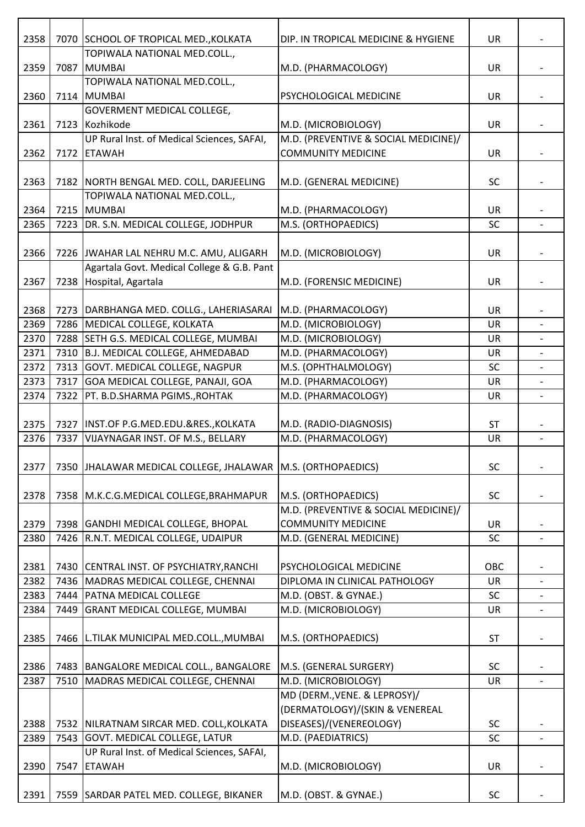| 2358 |      | 7070 SCHOOL OF TROPICAL MED., KOLKATA                        | DIP. IN TROPICAL MEDICINE & HYGIENE  | UR        |                          |
|------|------|--------------------------------------------------------------|--------------------------------------|-----------|--------------------------|
| 2359 | 7087 | TOPIWALA NATIONAL MED.COLL.,<br><b>MUMBAI</b>                | M.D. (PHARMACOLOGY)                  | UR        |                          |
|      |      | TOPIWALA NATIONAL MED.COLL.,                                 |                                      |           |                          |
| 2360 |      | 7114 MUMBAI                                                  | PSYCHOLOGICAL MEDICINE               | UR        |                          |
|      |      | <b>GOVERMENT MEDICAL COLLEGE,</b>                            |                                      |           |                          |
| 2361 |      | 7123 Kozhikode                                               | M.D. (MICROBIOLOGY)                  | UR        |                          |
|      |      | UP Rural Inst. of Medical Sciences, SAFAI,                   | M.D. (PREVENTIVE & SOCIAL MEDICINE)/ |           |                          |
| 2362 |      | 7172 ETAWAH                                                  | <b>COMMUNITY MEDICINE</b>            | UR        |                          |
| 2363 |      | 7182 NORTH BENGAL MED. COLL, DARJEELING                      | M.D. (GENERAL MEDICINE)              | <b>SC</b> |                          |
|      |      | TOPIWALA NATIONAL MED.COLL.,                                 |                                      |           |                          |
| 2364 |      | 7215 MUMBAI                                                  | M.D. (PHARMACOLOGY)                  | UR        |                          |
| 2365 |      | 7223 DR. S.N. MEDICAL COLLEGE, JODHPUR                       | M.S. (ORTHOPAEDICS)                  | <b>SC</b> |                          |
|      |      |                                                              |                                      |           |                          |
| 2366 |      | 7226 JWAHAR LAL NEHRU M.C. AMU, ALIGARH                      | M.D. (MICROBIOLOGY)                  | UR        |                          |
|      |      | Agartala Govt. Medical College & G.B. Pant                   |                                      |           |                          |
| 2367 |      | 7238 Hospital, Agartala                                      | M.D. (FORENSIC MEDICINE)             | UR        |                          |
|      |      |                                                              |                                      |           |                          |
| 2368 |      | 7273   DARBHANGA MED. COLLG., LAHERIASARAI                   | M.D. (PHARMACOLOGY)                  | UR        |                          |
| 2369 |      | 7286   MEDICAL COLLEGE, KOLKATA                              | M.D. (MICROBIOLOGY)                  | UR        |                          |
| 2370 |      | 7288 SETH G.S. MEDICAL COLLEGE, MUMBAI                       | M.D. (MICROBIOLOGY)                  | UR        |                          |
| 2371 |      | 7310 B.J. MEDICAL COLLEGE, AHMEDABAD                         | M.D. (PHARMACOLOGY)                  | UR        |                          |
| 2372 |      | 7313 GOVT. MEDICAL COLLEGE, NAGPUR                           | M.S. (OPHTHALMOLOGY)                 | <b>SC</b> |                          |
| 2373 |      | 7317 GOA MEDICAL COLLEGE, PANAJI, GOA                        | M.D. (PHARMACOLOGY)                  | <b>UR</b> |                          |
| 2374 | 7322 | PT. B.D.SHARMA PGIMS., ROHTAK                                | M.D. (PHARMACOLOGY)                  | UR        |                          |
|      |      |                                                              |                                      |           |                          |
| 2375 |      | 7327   INST.OF P.G.MED.EDU.&RES., KOLKATA                    | M.D. (RADIO-DIAGNOSIS)               | <b>ST</b> |                          |
| 2376 | 7337 | VIJAYNAGAR INST. OF M.S., BELLARY                            | M.D. (PHARMACOLOGY)                  | UR        | $\overline{\phantom{0}}$ |
|      |      |                                                              |                                      |           |                          |
| 2377 |      | 7350 JJHALAWAR MEDICAL COLLEGE, JHALAWAR M.S. (ORTHOPAEDICS) |                                      | <b>SC</b> |                          |
|      |      |                                                              |                                      |           |                          |
| 2378 |      | 7358 M.K.C.G.MEDICAL COLLEGE, BRAHMAPUR                      | M.S. (ORTHOPAEDICS)                  | <b>SC</b> |                          |
|      |      |                                                              | M.D. (PREVENTIVE & SOCIAL MEDICINE)/ |           |                          |
| 2379 |      | 7398 GANDHI MEDICAL COLLEGE, BHOPAL                          | <b>COMMUNITY MEDICINE</b>            | <b>UR</b> |                          |
| 2380 |      | 7426 R.N.T. MEDICAL COLLEGE, UDAIPUR                         | M.D. (GENERAL MEDICINE)              | <b>SC</b> |                          |
|      |      |                                                              |                                      |           |                          |
| 2381 |      | 7430 CENTRAL INST. OF PSYCHIATRY, RANCHI                     | PSYCHOLOGICAL MEDICINE               | OBC       |                          |
| 2382 |      | 7436 MADRAS MEDICAL COLLEGE, CHENNAI                         | DIPLOMA IN CLINICAL PATHOLOGY        | <b>UR</b> | $\blacksquare$           |
| 2383 |      | 7444   PATNA MEDICAL COLLEGE                                 | M.D. (OBST. & GYNAE.)                | <b>SC</b> |                          |
| 2384 |      | 7449 GRANT MEDICAL COLLEGE, MUMBAI                           | M.D. (MICROBIOLOGY)                  | UR        | $\overline{\phantom{a}}$ |
|      |      |                                                              |                                      |           |                          |
| 2385 |      | 7466 L.TILAK MUNICIPAL MED.COLL., MUMBAI                     | M.S. (ORTHOPAEDICS)                  | <b>ST</b> |                          |
|      |      |                                                              |                                      |           |                          |
| 2386 |      | 7483 BANGALORE MEDICAL COLL., BANGALORE                      | M.S. (GENERAL SURGERY)               | <b>SC</b> |                          |
| 2387 |      | 7510 MADRAS MEDICAL COLLEGE, CHENNAI                         | M.D. (MICROBIOLOGY)                  | <b>UR</b> |                          |
|      |      |                                                              | MD (DERM., VENE. & LEPROSY)/         |           |                          |
|      |      |                                                              | (DERMATOLOGY)/(SKIN & VENEREAL       |           |                          |
| 2388 |      | 7532 NILRATNAM SIRCAR MED. COLL, KOLKATA                     | DISEASES)/(VENEREOLOGY)              | SC        |                          |
| 2389 |      | 7543 GOVT. MEDICAL COLLEGE, LATUR                            | M.D. (PAEDIATRICS)                   | SC        |                          |
|      |      | UP Rural Inst. of Medical Sciences, SAFAI,                   |                                      |           |                          |
| 2390 | 7547 | ETAWAH                                                       | M.D. (MICROBIOLOGY)                  | <b>UR</b> |                          |
|      |      |                                                              |                                      |           |                          |
| 2391 |      | 7559 SARDAR PATEL MED. COLLEGE, BIKANER                      | M.D. (OBST. & GYNAE.)                | SC        |                          |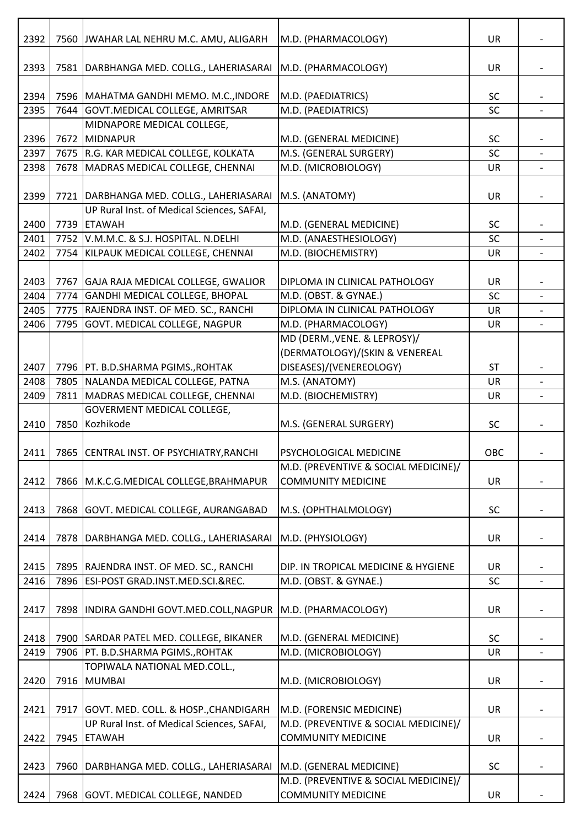| 2392 | 7560 | JWAHAR LAL NEHRU M.C. AMU, ALIGARH                                     | M.D. (PHARMACOLOGY)                                               | <b>UR</b> |                   |
|------|------|------------------------------------------------------------------------|-------------------------------------------------------------------|-----------|-------------------|
| 2393 | 7581 | DARBHANGA MED. COLLG., LAHERIASARAI                                    | M.D. (PHARMACOLOGY)                                               | UR        |                   |
| 2394 |      | 7596   MAHATMA GANDHI MEMO. M.C., INDORE                               | M.D. (PAEDIATRICS)                                                | <b>SC</b> |                   |
| 2395 | 7644 | GOVT.MEDICAL COLLEGE, AMRITSAR                                         | M.D. (PAEDIATRICS)                                                | SC        |                   |
|      |      | MIDNAPORE MEDICAL COLLEGE,                                             |                                                                   |           |                   |
| 2396 | 7672 | MIDNAPUR                                                               | M.D. (GENERAL MEDICINE)                                           | <b>SC</b> |                   |
| 2397 |      | 7675 R.G. KAR MEDICAL COLLEGE, KOLKATA                                 | M.S. (GENERAL SURGERY)                                            | SC        |                   |
| 2398 | 7678 | MADRAS MEDICAL COLLEGE, CHENNAI                                        | M.D. (MICROBIOLOGY)                                               | UR        |                   |
|      |      |                                                                        |                                                                   |           |                   |
| 2399 |      | 7721   DARBHANGA MED. COLLG., LAHERIASARAI                             | M.S. (ANATOMY)                                                    | UR        |                   |
|      |      | UP Rural Inst. of Medical Sciences, SAFAI,                             |                                                                   |           |                   |
| 2400 | 7739 | <b>ETAWAH</b>                                                          | M.D. (GENERAL MEDICINE)                                           | SC        |                   |
| 2401 | 7752 | V.M.M.C. & S.J. HOSPITAL. N.DELHI                                      | M.D. (ANAESTHESIOLOGY)                                            | SC        |                   |
| 2402 | 7754 | KILPAUK MEDICAL COLLEGE, CHENNAI                                       | M.D. (BIOCHEMISTRY)                                               | UR        |                   |
|      |      |                                                                        |                                                                   |           |                   |
| 2403 |      | 7767 GAJA RAJA MEDICAL COLLEGE, GWALIOR                                | DIPLOMA IN CLINICAL PATHOLOGY                                     | UR        |                   |
| 2404 | 7774 | GANDHI MEDICAL COLLEGE, BHOPAL                                         | M.D. (OBST. & GYNAE.)                                             | <b>SC</b> | $\blacksquare$    |
| 2405 | 7775 | RAJENDRA INST. OF MED. SC., RANCHI                                     | DIPLOMA IN CLINICAL PATHOLOGY                                     | <b>UR</b> |                   |
| 2406 | 7795 | GOVT. MEDICAL COLLEGE, NAGPUR                                          | M.D. (PHARMACOLOGY)                                               | <b>UR</b> |                   |
|      |      |                                                                        | MD (DERM., VENE. & LEPROSY)/                                      |           |                   |
|      |      |                                                                        | (DERMATOLOGY)/(SKIN & VENEREAL                                    |           |                   |
|      |      |                                                                        |                                                                   | <b>ST</b> |                   |
| 2407 |      | 7796   PT. B.D.SHARMA PGIMS., ROHTAK<br>NALANDA MEDICAL COLLEGE, PATNA | DISEASES)/(VENEREOLOGY)<br>M.S. (ANATOMY)                         |           |                   |
| 2408 | 7805 |                                                                        |                                                                   | UR        |                   |
| 2409 | 7811 | MADRAS MEDICAL COLLEGE, CHENNAI                                        | M.D. (BIOCHEMISTRY)                                               | <b>UR</b> | $\qquad \qquad -$ |
|      | 7850 | GOVERMENT MEDICAL COLLEGE,<br>Kozhikode                                |                                                                   |           |                   |
| 2410 |      |                                                                        | M.S. (GENERAL SURGERY)                                            | <b>SC</b> |                   |
|      |      |                                                                        |                                                                   |           |                   |
| 2411 |      | 7865 CENTRAL INST. OF PSYCHIATRY, RANCHI                               | <b>PSYCHOLOGICAL MEDICINE</b>                                     | OBC       |                   |
|      |      |                                                                        | M.D. (PREVENTIVE & SOCIAL MEDICINE)/                              |           |                   |
| 2412 | 7866 | M.K.C.G.MEDICAL COLLEGE, BRAHMAPUR                                     | <b>COMMUNITY MEDICINE</b>                                         | UR        |                   |
|      |      |                                                                        |                                                                   |           |                   |
| 2413 | 7868 | GOVT. MEDICAL COLLEGE, AURANGABAD                                      | M.S. (OPHTHALMOLOGY)                                              | <b>SC</b> |                   |
|      |      |                                                                        |                                                                   |           |                   |
| 2414 | 7878 | DARBHANGA MED. COLLG., LAHERIASARAI                                    | M.D. (PHYSIOLOGY)                                                 | UR        |                   |
|      |      |                                                                        |                                                                   |           |                   |
| 2415 |      | 7895   RAJENDRA INST. OF MED. SC., RANCHI                              | DIP. IN TROPICAL MEDICINE & HYGIENE                               | <b>UR</b> |                   |
| 2416 | 7896 | ESI-POST GRAD.INST.MED.SCI.&REC.                                       | M.D. (OBST. & GYNAE.)                                             | SC        |                   |
|      |      |                                                                        |                                                                   |           |                   |
| 2417 | 7898 | INDIRA GANDHI GOVT.MED.COLL, NAGPUR                                    | M.D. (PHARMACOLOGY)                                               | UR        |                   |
|      |      |                                                                        |                                                                   |           |                   |
| 2418 |      | 7900 SARDAR PATEL MED. COLLEGE, BIKANER                                | M.D. (GENERAL MEDICINE)                                           | <b>SC</b> |                   |
| 2419 |      | 7906   PT. B.D.SHARMA PGIMS., ROHTAK                                   | M.D. (MICROBIOLOGY)                                               | UR        |                   |
|      |      | TOPIWALA NATIONAL MED.COLL.,                                           |                                                                   |           |                   |
| 2420 | 7916 | <b>MUMBAI</b>                                                          | M.D. (MICROBIOLOGY)                                               | UR        |                   |
|      |      |                                                                        |                                                                   |           |                   |
| 2421 | 7917 | GOVT. MED. COLL. & HOSP., CHANDIGARH                                   | M.D. (FORENSIC MEDICINE)                                          | UR        |                   |
|      |      | UP Rural Inst. of Medical Sciences, SAFAI,                             | M.D. (PREVENTIVE & SOCIAL MEDICINE)/                              |           |                   |
| 2422 | 7945 | <b>ETAWAH</b>                                                          | <b>COMMUNITY MEDICINE</b>                                         | UR        |                   |
|      |      |                                                                        |                                                                   |           |                   |
| 2423 |      |                                                                        |                                                                   |           |                   |
|      | 7960 | DARBHANGA MED. COLLG., LAHERIASARAI                                    | M.D. (GENERAL MEDICINE)                                           | <b>SC</b> |                   |
| 2424 |      | 7968 GOVT. MEDICAL COLLEGE, NANDED                                     | M.D. (PREVENTIVE & SOCIAL MEDICINE)/<br><b>COMMUNITY MEDICINE</b> | UR        |                   |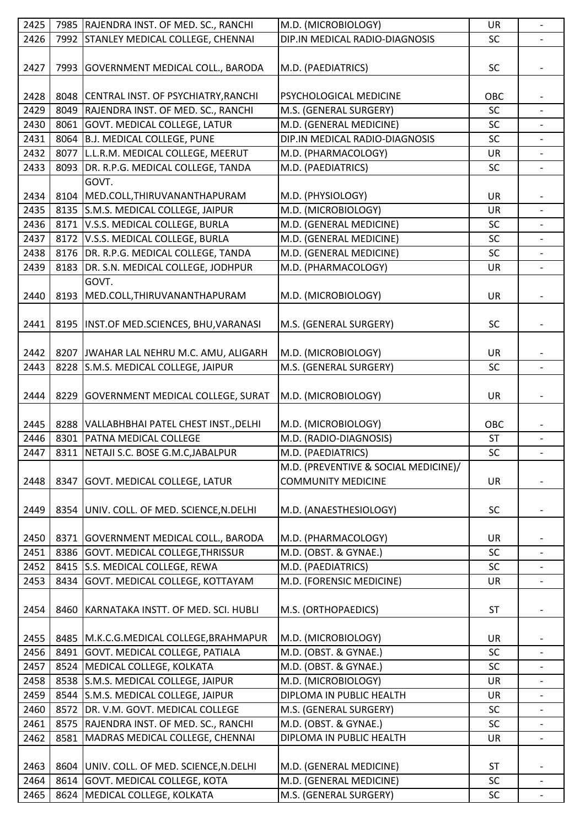| 2425 |      | 7985 RAJENDRA INST. OF MED. SC., RANCHI    | M.D. (MICROBIOLOGY)                  | <b>UR</b> | $\qquad \qquad \blacksquare$ |
|------|------|--------------------------------------------|--------------------------------------|-----------|------------------------------|
| 2426 | 7992 | STANLEY MEDICAL COLLEGE, CHENNAI           | DIP.IN MEDICAL RADIO-DIAGNOSIS       | SC        |                              |
|      |      |                                            |                                      |           |                              |
| 2427 |      | 7993 GOVERNMENT MEDICAL COLL., BARODA      | M.D. (PAEDIATRICS)                   | <b>SC</b> |                              |
|      |      |                                            |                                      |           |                              |
| 2428 |      | 8048 CENTRAL INST. OF PSYCHIATRY, RANCHI   | PSYCHOLOGICAL MEDICINE               | OBC       |                              |
|      |      |                                            |                                      |           |                              |
| 2429 | 8049 | RAJENDRA INST. OF MED. SC., RANCHI         | M.S. (GENERAL SURGERY)               | SC        |                              |
| 2430 | 8061 | GOVT. MEDICAL COLLEGE, LATUR               | M.D. (GENERAL MEDICINE)              | SC        |                              |
| 2431 | 8064 | <b>B.J. MEDICAL COLLEGE, PUNE</b>          | DIP.IN MEDICAL RADIO-DIAGNOSIS       | SC        |                              |
| 2432 | 8077 | L.L.R.M. MEDICAL COLLEGE, MEERUT           | M.D. (PHARMACOLOGY)                  | UR        |                              |
| 2433 | 8093 | DR. R.P.G. MEDICAL COLLEGE, TANDA          | M.D. (PAEDIATRICS)                   | SC        |                              |
|      |      | GOVT.                                      |                                      |           |                              |
| 2434 | 8104 | MED.COLL, THIRUVANANTHAPURAM               | M.D. (PHYSIOLOGY)                    | UR        |                              |
| 2435 |      | 8135 S.M.S. MEDICAL COLLEGE, JAIPUR        | M.D. (MICROBIOLOGY)                  | UR        |                              |
| 2436 |      | 8171 V.S.S. MEDICAL COLLEGE, BURLA         | M.D. (GENERAL MEDICINE)              | <b>SC</b> |                              |
| 2437 | 8172 | V.S.S. MEDICAL COLLEGE, BURLA              | M.D. (GENERAL MEDICINE)              | SC        |                              |
| 2438 | 8176 | DR. R.P.G. MEDICAL COLLEGE, TANDA          | M.D. (GENERAL MEDICINE)              | SC        |                              |
| 2439 | 8183 | DR. S.N. MEDICAL COLLEGE, JODHPUR          | M.D. (PHARMACOLOGY)                  | UR        | $\overline{a}$               |
|      |      | GOVT.                                      |                                      |           |                              |
|      |      |                                            |                                      |           |                              |
| 2440 | 8193 | MED.COLL, THIRUVANANTHAPURAM               | M.D. (MICROBIOLOGY)                  | <b>UR</b> |                              |
|      |      |                                            |                                      |           |                              |
| 2441 |      | 8195   INST.OF MED.SCIENCES, BHU, VARANASI | M.S. (GENERAL SURGERY)               | <b>SC</b> |                              |
|      |      |                                            |                                      |           |                              |
| 2442 |      | 8207 JWAHAR LAL NEHRU M.C. AMU, ALIGARH    | M.D. (MICROBIOLOGY)                  | <b>UR</b> |                              |
| 2443 | 8228 | S.M.S. MEDICAL COLLEGE, JAIPUR             | M.S. (GENERAL SURGERY)               | <b>SC</b> |                              |
|      |      |                                            |                                      |           |                              |
| 2444 | 8229 | GOVERNMENT MEDICAL COLLEGE, SURAT          | M.D. (MICROBIOLOGY)                  | <b>UR</b> |                              |
|      |      |                                            |                                      |           |                              |
|      |      |                                            |                                      |           |                              |
|      |      |                                            |                                      |           |                              |
| 2445 |      | 8288 VALLABHBHAI PATEL CHEST INST., DELHI  | M.D. (MICROBIOLOGY)                  | OBC       |                              |
| 2446 | 8301 | <b>PATNA MEDICAL COLLEGE</b>               | M.D. (RADIO-DIAGNOSIS)               | <b>ST</b> | $\overline{\phantom{0}}$     |
| 2447 |      | 8311 NETAJI S.C. BOSE G.M.C, JABALPUR      | M.D. (PAEDIATRICS)                   | SC        |                              |
|      |      |                                            | M.D. (PREVENTIVE & SOCIAL MEDICINE)/ |           |                              |
| 2448 | 8347 | GOVT. MEDICAL COLLEGE, LATUR               | <b>COMMUNITY MEDICINE</b>            | <b>UR</b> |                              |
|      |      |                                            |                                      |           |                              |
| 2449 | 8354 | UNIV. COLL. OF MED. SCIENCE, N. DELHI      | M.D. (ANAESTHESIOLOGY)               | <b>SC</b> |                              |
|      |      |                                            |                                      |           |                              |
| 2450 |      | 8371 GOVERNMENT MEDICAL COLL., BARODA      | M.D. (PHARMACOLOGY)                  | UR        |                              |
| 2451 |      | 8386 GOVT. MEDICAL COLLEGE, THRISSUR       | M.D. (OBST. & GYNAE.)                | SC        |                              |
| 2452 | 8415 | S.S. MEDICAL COLLEGE, REWA                 | M.D. (PAEDIATRICS)                   | SC        | $\overline{\phantom{0}}$     |
| 2453 | 8434 | GOVT. MEDICAL COLLEGE, KOTTAYAM            | M.D. (FORENSIC MEDICINE)             | UR        |                              |
|      |      |                                            |                                      |           |                              |
|      |      |                                            |                                      |           |                              |
| 2454 | 8460 | KARNATAKA INSTT. OF MED. SCI. HUBLI        | M.S. (ORTHOPAEDICS)                  | <b>ST</b> |                              |
|      |      |                                            |                                      |           |                              |
| 2455 |      | 8485   M.K.C.G.MEDICAL COLLEGE, BRAHMAPUR  | M.D. (MICROBIOLOGY)                  | <b>UR</b> |                              |
| 2456 | 8491 | GOVT. MEDICAL COLLEGE, PATIALA             | M.D. (OBST. & GYNAE.)                | <b>SC</b> |                              |
| 2457 |      | 8524 MEDICAL COLLEGE, KOLKATA              | M.D. (OBST. & GYNAE.)                | SC        |                              |
| 2458 | 8538 | S.M.S. MEDICAL COLLEGE, JAIPUR             | M.D. (MICROBIOLOGY)                  | <b>UR</b> |                              |
| 2459 | 8544 | S.M.S. MEDICAL COLLEGE, JAIPUR             | DIPLOMA IN PUBLIC HEALTH             | UR        |                              |
| 2460 | 8572 | DR. V.M. GOVT. MEDICAL COLLEGE             | M.S. (GENERAL SURGERY)               | SC        | $\overline{a}$               |
| 2461 | 8575 | RAJENDRA INST. OF MED. SC., RANCHI         | M.D. (OBST. & GYNAE.)                | SC        |                              |
| 2462 | 8581 | MADRAS MEDICAL COLLEGE, CHENNAI            | DIPLOMA IN PUBLIC HEALTH             | UR        | $\overline{\phantom{0}}$     |
|      |      |                                            |                                      |           |                              |
| 2463 | 8604 | UNIV. COLL. OF MED. SCIENCE, N. DELHI      | M.D. (GENERAL MEDICINE)              | <b>ST</b> |                              |
| 2464 |      | 8614 GOVT. MEDICAL COLLEGE, KOTA           | M.D. (GENERAL MEDICINE)              | SC        | $\blacksquare$               |
| 2465 | 8624 | MEDICAL COLLEGE, KOLKATA                   | M.S. (GENERAL SURGERY)               | SC        |                              |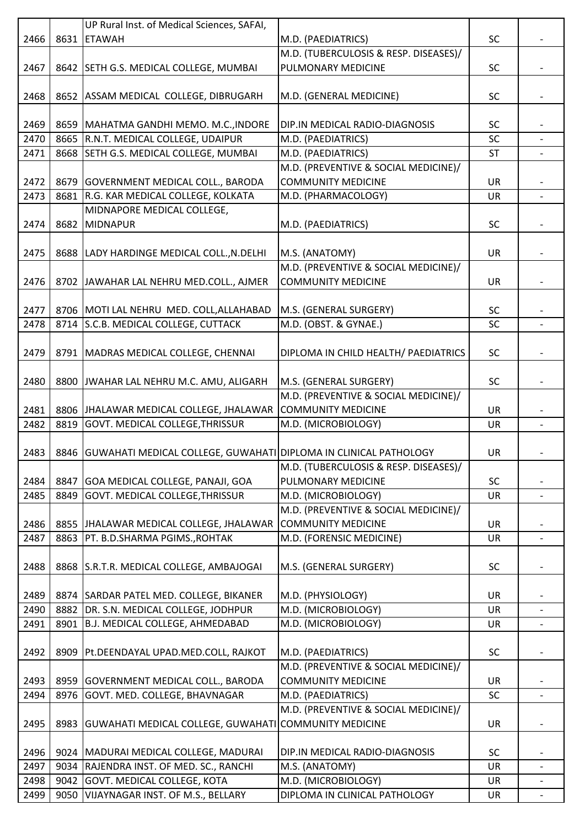|      |      | UP Rural Inst. of Medical Sciences, SAFAI,                                |                                       |           |                          |
|------|------|---------------------------------------------------------------------------|---------------------------------------|-----------|--------------------------|
| 2466 | 8631 | <b>ETAWAH</b>                                                             | M.D. (PAEDIATRICS)                    | SC        |                          |
|      |      |                                                                           | M.D. (TUBERCULOSIS & RESP. DISEASES)/ |           |                          |
| 2467 |      | 8642 SETH G.S. MEDICAL COLLEGE, MUMBAI                                    | PULMONARY MEDICINE                    | <b>SC</b> |                          |
|      |      |                                                                           |                                       |           |                          |
| 2468 |      | 8652 ASSAM MEDICAL COLLEGE, DIBRUGARH                                     | M.D. (GENERAL MEDICINE)               | <b>SC</b> |                          |
|      |      |                                                                           |                                       |           |                          |
| 2469 | 8659 | MAHATMA GANDHI MEMO. M.C., INDORE                                         | DIP.IN MEDICAL RADIO-DIAGNOSIS        | <b>SC</b> |                          |
| 2470 | 8665 | R.N.T. MEDICAL COLLEGE, UDAIPUR                                           | M.D. (PAEDIATRICS)                    | SC        |                          |
| 2471 | 8668 | SETH G.S. MEDICAL COLLEGE, MUMBAI                                         | M.D. (PAEDIATRICS)                    | <b>ST</b> |                          |
|      |      |                                                                           | M.D. (PREVENTIVE & SOCIAL MEDICINE)/  |           |                          |
| 2472 | 8679 | GOVERNMENT MEDICAL COLL., BARODA                                          | <b>COMMUNITY MEDICINE</b>             | UR        |                          |
| 2473 | 8681 | R.G. KAR MEDICAL COLLEGE, KOLKATA                                         | M.D. (PHARMACOLOGY)                   | <b>UR</b> | $\overline{\phantom{a}}$ |
|      |      | MIDNAPORE MEDICAL COLLEGE,                                                |                                       |           |                          |
| 2474 | 8682 | MIDNAPUR                                                                  | M.D. (PAEDIATRICS)                    | <b>SC</b> |                          |
|      |      |                                                                           |                                       |           |                          |
| 2475 | 8688 | LADY HARDINGE MEDICAL COLL., N. DELHI                                     | M.S. (ANATOMY)                        | <b>UR</b> |                          |
|      |      |                                                                           | M.D. (PREVENTIVE & SOCIAL MEDICINE)/  |           |                          |
| 2476 |      | 8702 JAWAHAR LAL NEHRU MED.COLL., AJMER                                   | <b>COMMUNITY MEDICINE</b>             | UR        |                          |
|      |      |                                                                           |                                       |           |                          |
| 2477 |      | 8706 MOTI LAL NEHRU MED. COLL, ALLAHABAD                                  | M.S. (GENERAL SURGERY)                | SC        |                          |
| 2478 | 8714 | S.C.B. MEDICAL COLLEGE, CUTTACK                                           | M.D. (OBST. & GYNAE.)                 | <b>SC</b> |                          |
|      |      |                                                                           |                                       |           |                          |
|      |      |                                                                           |                                       |           |                          |
| 2479 |      | 8791   MADRAS MEDICAL COLLEGE, CHENNAI                                    | DIPLOMA IN CHILD HEALTH/ PAEDIATRICS  | <b>SC</b> |                          |
|      |      |                                                                           |                                       |           |                          |
| 2480 |      | 8800 JWAHAR LAL NEHRU M.C. AMU, ALIGARH                                   | M.S. (GENERAL SURGERY)                | <b>SC</b> |                          |
|      |      |                                                                           | M.D. (PREVENTIVE & SOCIAL MEDICINE)/  |           |                          |
| 2481 |      | 8806 JHALAWAR MEDICAL COLLEGE, JHALAWAR                                   | <b>COMMUNITY MEDICINE</b>             | <b>UR</b> |                          |
| 2482 | 8819 | GOVT. MEDICAL COLLEGE, THRISSUR                                           | M.D. (MICROBIOLOGY)                   | UR        |                          |
|      |      |                                                                           |                                       |           |                          |
| 2483 |      | 8846   GUWAHATI MEDICAL COLLEGE, GUWAHATI   DIPLOMA IN CLINICAL PATHOLOGY |                                       | UR        |                          |
|      |      |                                                                           | M.D. (TUBERCULOSIS & RESP. DISEASES)/ |           |                          |
| 2484 | 8847 | GOA MEDICAL COLLEGE, PANAJI, GOA                                          | PULMONARY MEDICINE                    | SC        |                          |
| 2485 | 8849 | GOVT. MEDICAL COLLEGE, THRISSUR                                           | M.D. (MICROBIOLOGY)                   | <b>UR</b> |                          |
|      |      |                                                                           | M.D. (PREVENTIVE & SOCIAL MEDICINE)/  |           |                          |
| 2486 | 8855 | JHALAWAR MEDICAL COLLEGE, JHALAWAR                                        | <b>COMMUNITY MEDICINE</b>             | <b>UR</b> |                          |
| 2487 | 8863 | PT. B.D.SHARMA PGIMS., ROHTAK                                             | M.D. (FORENSIC MEDICINE)              | <b>UR</b> | $\overline{\phantom{0}}$ |
|      |      |                                                                           |                                       |           |                          |
| 2488 |      | 8868 S.R.T.R. MEDICAL COLLEGE, AMBAJOGAI                                  | M.S. (GENERAL SURGERY)                | <b>SC</b> |                          |
|      |      |                                                                           |                                       |           |                          |
| 2489 |      | 8874 SARDAR PATEL MED. COLLEGE, BIKANER                                   | M.D. (PHYSIOLOGY)                     | <b>UR</b> |                          |
| 2490 | 8882 | DR. S.N. MEDICAL COLLEGE, JODHPUR                                         | M.D. (MICROBIOLOGY)                   | <b>UR</b> |                          |
| 2491 | 8901 | B.J. MEDICAL COLLEGE, AHMEDABAD                                           | M.D. (MICROBIOLOGY)                   | UR        |                          |
|      |      |                                                                           |                                       |           |                          |
| 2492 | 8909 | Pt.DEENDAYAL UPAD.MED.COLL, RAJKOT                                        | M.D. (PAEDIATRICS)                    | SC        |                          |
|      |      |                                                                           | M.D. (PREVENTIVE & SOCIAL MEDICINE)/  |           |                          |
| 2493 | 8959 | GOVERNMENT MEDICAL COLL., BARODA                                          | <b>COMMUNITY MEDICINE</b>             | <b>UR</b> |                          |
| 2494 | 8976 | GOVT. MED. COLLEGE, BHAVNAGAR                                             | M.D. (PAEDIATRICS)                    | SC        |                          |
|      |      |                                                                           | M.D. (PREVENTIVE & SOCIAL MEDICINE)/  |           |                          |
| 2495 |      | 8983 GUWAHATI MEDICAL COLLEGE, GUWAHATI COMMUNITY MEDICINE                |                                       | UR        |                          |
|      |      |                                                                           |                                       |           |                          |
| 2496 |      | 9024   MADURAI MEDICAL COLLEGE, MADURAI                                   | DIP.IN MEDICAL RADIO-DIAGNOSIS        | SC        |                          |
| 2497 | 9034 | RAJENDRA INST. OF MED. SC., RANCHI                                        | M.S. (ANATOMY)                        | <b>UR</b> | $\overline{\phantom{a}}$ |
| 2498 |      | 9042 GOVT. MEDICAL COLLEGE, KOTA                                          | M.D. (MICROBIOLOGY)                   | <b>UR</b> |                          |
| 2499 |      | 9050 VIJAYNAGAR INST. OF M.S., BELLARY                                    | DIPLOMA IN CLINICAL PATHOLOGY         | UR        |                          |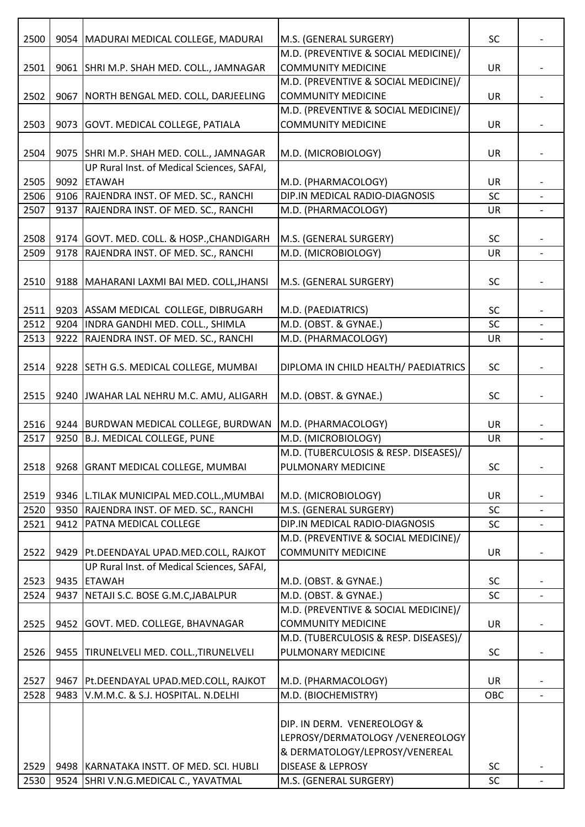| 2500 |      | 9054   MADURAI MEDICAL COLLEGE, MADURAI                                                  | M.S. (GENERAL SURGERY)                         | <b>SC</b> |                          |
|------|------|------------------------------------------------------------------------------------------|------------------------------------------------|-----------|--------------------------|
|      |      |                                                                                          | M.D. (PREVENTIVE & SOCIAL MEDICINE)/           |           |                          |
| 2501 |      | 9061 SHRI M.P. SHAH MED. COLL., JAMNAGAR                                                 | <b>COMMUNITY MEDICINE</b>                      | UR        |                          |
|      |      |                                                                                          | M.D. (PREVENTIVE & SOCIAL MEDICINE)/           |           |                          |
| 2502 | 9067 | NORTH BENGAL MED. COLL, DARJEELING                                                       | <b>COMMUNITY MEDICINE</b>                      | UR        |                          |
|      |      |                                                                                          | M.D. (PREVENTIVE & SOCIAL MEDICINE)/           |           |                          |
| 2503 | 9073 | GOVT. MEDICAL COLLEGE, PATIALA                                                           | <b>COMMUNITY MEDICINE</b>                      | <b>UR</b> |                          |
|      |      |                                                                                          |                                                |           |                          |
| 2504 |      | 9075   SHRI M.P. SHAH MED. COLL., JAMNAGAR<br>UP Rural Inst. of Medical Sciences, SAFAI, | M.D. (MICROBIOLOGY)                            | UR        |                          |
| 2505 | 9092 | <b>ETAWAH</b>                                                                            | M.D. (PHARMACOLOGY)                            | <b>UR</b> |                          |
| 2506 |      | 9106 RAJENDRA INST. OF MED. SC., RANCHI                                                  | DIP.IN MEDICAL RADIO-DIAGNOSIS                 | SC        |                          |
| 2507 | 9137 | RAJENDRA INST. OF MED. SC., RANCHI                                                       | M.D. (PHARMACOLOGY)                            | UR        |                          |
|      |      |                                                                                          |                                                |           |                          |
| 2508 |      | 9174 GOVT. MED. COLL. & HOSP., CHANDIGARH                                                | M.S. (GENERAL SURGERY)                         | SC        |                          |
| 2509 | 9178 | RAJENDRA INST. OF MED. SC., RANCHI                                                       | M.D. (MICROBIOLOGY)                            | <b>UR</b> |                          |
|      |      |                                                                                          |                                                |           |                          |
| 2510 | 9188 | MAHARANI LAXMI BAI MED. COLL, JHANSI                                                     | M.S. (GENERAL SURGERY)                         | SC        |                          |
|      |      |                                                                                          |                                                |           |                          |
| 2511 |      | 9203 ASSAM MEDICAL COLLEGE, DIBRUGARH                                                    | M.D. (PAEDIATRICS)                             | <b>SC</b> |                          |
| 2512 | 9204 | INDRA GANDHI MED. COLL., SHIMLA                                                          | M.D. (OBST. & GYNAE.)                          | SC        |                          |
| 2513 | 9222 | RAJENDRA INST. OF MED. SC., RANCHI                                                       | M.D. (PHARMACOLOGY)                            | <b>UR</b> | $\blacksquare$           |
|      |      |                                                                                          |                                                |           |                          |
| 2514 |      | 9228 SETH G.S. MEDICAL COLLEGE, MUMBAI                                                   | DIPLOMA IN CHILD HEALTH/ PAEDIATRICS           | <b>SC</b> |                          |
|      |      |                                                                                          |                                                |           |                          |
| 2515 |      | 9240 JWAHAR LAL NEHRU M.C. AMU, ALIGARH                                                  | M.D. (OBST. & GYNAE.)                          | <b>SC</b> |                          |
|      |      |                                                                                          |                                                |           |                          |
| 2516 |      | 9244 BURDWAN MEDICAL COLLEGE, BURDWAN                                                    | M.D. (PHARMACOLOGY)                            | <b>UR</b> |                          |
| 2517 | 9250 | <b>B.J. MEDICAL COLLEGE, PUNE</b>                                                        | M.D. (MICROBIOLOGY)                            | UR        | $\overline{\phantom{0}}$ |
|      |      |                                                                                          | M.D. (TUBERCULOSIS & RESP. DISEASES)/          |           |                          |
| 2518 |      | 9268 GRANT MEDICAL COLLEGE, MUMBAI                                                       | PULMONARY MEDICINE                             | <b>SC</b> |                          |
|      |      |                                                                                          |                                                |           |                          |
| 2519 |      | 9346 L.TILAK MUNICIPAL MED.COLL., MUMBAI                                                 | M.D. (MICROBIOLOGY)                            | UR        |                          |
| 2520 | 9350 | RAJENDRA INST. OF MED. SC., RANCHI                                                       | M.S. (GENERAL SURGERY)                         | <b>SC</b> |                          |
| 2521 | 9412 | <b>PATNA MEDICAL COLLEGE</b>                                                             | DIP.IN MEDICAL RADIO-DIAGNOSIS                 | SC        |                          |
|      |      |                                                                                          | M.D. (PREVENTIVE & SOCIAL MEDICINE)/           |           |                          |
| 2522 | 9429 | Pt.DEENDAYAL UPAD.MED.COLL, RAJKOT                                                       | <b>COMMUNITY MEDICINE</b>                      | <b>UR</b> |                          |
|      |      | UP Rural Inst. of Medical Sciences, SAFAI,                                               |                                                |           |                          |
| 2523 |      | 9435 ETAWAH<br>NETAJI S.C. BOSE G.M.C, JABALPUR                                          | M.D. (OBST. & GYNAE.)<br>M.D. (OBST. & GYNAE.) | <b>SC</b> |                          |
| 2524 | 9437 |                                                                                          | M.D. (PREVENTIVE & SOCIAL MEDICINE)/           | SC        |                          |
| 2525 | 9452 | GOVT. MED. COLLEGE, BHAVNAGAR                                                            | <b>COMMUNITY MEDICINE</b>                      | <b>UR</b> |                          |
|      |      |                                                                                          | M.D. (TUBERCULOSIS & RESP. DISEASES)/          |           |                          |
| 2526 | 9455 | TIRUNELVELI MED. COLL., TIRUNELVELI                                                      | PULMONARY MEDICINE                             | <b>SC</b> |                          |
|      |      |                                                                                          |                                                |           |                          |
| 2527 |      | 9467   Pt.DEENDAYAL UPAD.MED.COLL, RAJKOT                                                | M.D. (PHARMACOLOGY)                            | UR        |                          |
| 2528 | 9483 | V.M.M.C. & S.J. HOSPITAL. N.DELHI                                                        | M.D. (BIOCHEMISTRY)                            | OBC       |                          |
|      |      |                                                                                          |                                                |           |                          |
|      |      |                                                                                          | DIP. IN DERM. VENEREOLOGY &                    |           |                          |
|      |      |                                                                                          | LEPROSY/DERMATOLOGY /VENEREOLOGY               |           |                          |
|      |      |                                                                                          | & DERMATOLOGY/LEPROSY/VENEREAL                 |           |                          |
| 2529 |      | 9498   KARNATAKA INSTT. OF MED. SCI. HUBLI                                               | <b>DISEASE &amp; LEPROSY</b>                   | <b>SC</b> |                          |
| 2530 |      | 9524 SHRI V.N.G.MEDICAL C., YAVATMAL                                                     | M.S. (GENERAL SURGERY)                         | SC        |                          |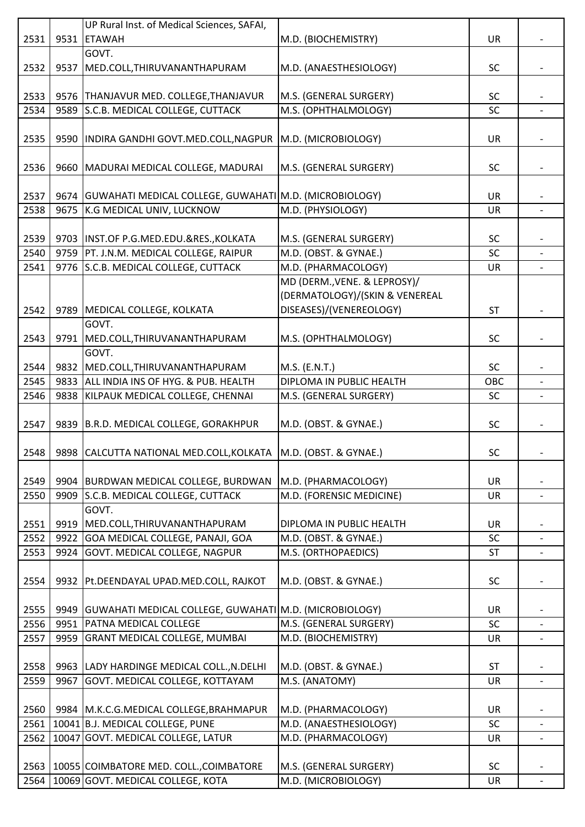|      |      | UP Rural Inst. of Medical Sciences, SAFAI,                       |                                |           |                          |
|------|------|------------------------------------------------------------------|--------------------------------|-----------|--------------------------|
| 2531 | 9531 | <b>ETAWAH</b>                                                    | M.D. (BIOCHEMISTRY)            | UR        |                          |
|      |      | GOVT.                                                            |                                |           |                          |
| 2532 | 9537 | MED.COLL, THIRUVANANTHAPURAM                                     | M.D. (ANAESTHESIOLOGY)         | <b>SC</b> |                          |
|      |      |                                                                  |                                |           |                          |
| 2533 |      | 9576 THANJAVUR MED. COLLEGE, THANJAVUR                           | M.S. (GENERAL SURGERY)         | <b>SC</b> |                          |
| 2534 |      | 9589 S.C.B. MEDICAL COLLEGE, CUTTACK                             | M.S. (OPHTHALMOLOGY)           | SC        |                          |
|      |      |                                                                  |                                |           |                          |
| 2535 |      | 9590  INDIRA GANDHI GOVT.MED.COLL, NAGPUR   M.D. (MICROBIOLOGY)  |                                | UR        |                          |
|      |      |                                                                  |                                |           |                          |
| 2536 |      | 9660   MADURAI MEDICAL COLLEGE, MADURAI                          | M.S. (GENERAL SURGERY)         | <b>SC</b> |                          |
|      |      |                                                                  |                                |           |                          |
|      |      |                                                                  |                                |           |                          |
| 2537 |      | 9674   GUWAHATI MEDICAL COLLEGE, GUWAHATI M.D. (MICROBIOLOGY)    |                                | UR        |                          |
| 2538 |      | 9675 K.G MEDICAL UNIV, LUCKNOW                                   | M.D. (PHYSIOLOGY)              | <b>UR</b> |                          |
|      |      |                                                                  |                                |           |                          |
| 2539 |      | 9703  INST.OF P.G.MED.EDU.&RES., KOLKATA                         | M.S. (GENERAL SURGERY)         | <b>SC</b> |                          |
| 2540 |      | 9759 PT. J.N.M. MEDICAL COLLEGE, RAIPUR                          | M.D. (OBST. & GYNAE.)          | SC        |                          |
| 2541 |      | 9776 S.C.B. MEDICAL COLLEGE, CUTTACK                             | M.D. (PHARMACOLOGY)            | UR        | $\overline{\phantom{0}}$ |
|      |      |                                                                  | MD (DERM., VENE. & LEPROSY)/   |           |                          |
|      |      |                                                                  | (DERMATOLOGY)/(SKIN & VENEREAL |           |                          |
| 2542 |      | 9789   MEDICAL COLLEGE, KOLKATA                                  | DISEASES)/(VENEREOLOGY)        | <b>ST</b> |                          |
|      |      | GOVT.                                                            |                                |           |                          |
| 2543 |      | 9791 MED.COLL, THIRUVANANTHAPURAM                                | M.S. (OPHTHALMOLOGY)           | <b>SC</b> |                          |
|      |      | GOVT.                                                            |                                |           |                          |
| 2544 | 9832 | MED.COLL, THIRUVANANTHAPURAM                                     | M.S. (E.N.T.)                  | <b>SC</b> |                          |
| 2545 |      | 9833 ALL INDIA INS OF HYG. & PUB. HEALTH                         | DIPLOMA IN PUBLIC HEALTH       | OBC       |                          |
| 2546 |      | 9838 KILPAUK MEDICAL COLLEGE, CHENNAI                            | M.S. (GENERAL SURGERY)         | SC        |                          |
|      |      |                                                                  |                                |           |                          |
| 2547 |      | 9839 B.R.D. MEDICAL COLLEGE, GORAKHPUR                           | M.D. (OBST. & GYNAE.)          | <b>SC</b> |                          |
|      |      |                                                                  |                                |           |                          |
| 2548 |      | 9898 CALCUTTA NATIONAL MED.COLL, KOLKATA   M.D. (OBST. & GYNAE.) |                                | <b>SC</b> |                          |
|      |      |                                                                  |                                |           |                          |
| 2549 |      | 9904 BURDWAN MEDICAL COLLEGE, BURDWAN                            | M.D. (PHARMACOLOGY)            | <b>UR</b> |                          |
| 2550 | 9909 | S.C.B. MEDICAL COLLEGE, CUTTACK                                  | M.D. (FORENSIC MEDICINE)       | UR        |                          |
|      |      | GOVT.                                                            |                                |           |                          |
|      |      |                                                                  |                                |           |                          |
| 2551 | 9919 | MED.COLL, THIRUVANANTHAPURAM                                     | DIPLOMA IN PUBLIC HEALTH       | UR        |                          |
| 2552 |      | 9922 GOA MEDICAL COLLEGE, PANAJI, GOA                            | M.D. (OBST. & GYNAE.)          | <b>SC</b> |                          |
| 2553 | 9924 | GOVT. MEDICAL COLLEGE, NAGPUR                                    | M.S. (ORTHOPAEDICS)            | <b>ST</b> |                          |
|      |      |                                                                  |                                |           |                          |
| 2554 |      | 9932   Pt.DEENDAYAL UPAD.MED.COLL, RAJKOT                        | M.D. (OBST. & GYNAE.)          | <b>SC</b> |                          |
|      |      |                                                                  |                                |           |                          |
| 2555 |      | 9949   GUWAHATI MEDICAL COLLEGE, GUWAHATI   M.D. (MICROBIOLOGY)  |                                | UR        |                          |
| 2556 | 9951 | <b>PATNA MEDICAL COLLEGE</b>                                     | M.S. (GENERAL SURGERY)         | SC        |                          |
| 2557 | 9959 | <b>GRANT MEDICAL COLLEGE, MUMBAI</b>                             | M.D. (BIOCHEMISTRY)            | UR        | $\overline{\phantom{a}}$ |
|      |      |                                                                  |                                |           |                          |
| 2558 |      | 9963   LADY HARDINGE MEDICAL COLL., N.DELHI                      | M.D. (OBST. & GYNAE.)          | <b>ST</b> |                          |
| 2559 | 9967 | GOVT. MEDICAL COLLEGE, KOTTAYAM                                  | M.S. (ANATOMY)                 | UR        | $\overline{\phantom{a}}$ |
|      |      |                                                                  |                                |           |                          |
| 2560 |      | 9984 M.K.C.G.MEDICAL COLLEGE, BRAHMAPUR                          | M.D. (PHARMACOLOGY)            | UR        |                          |
| 2561 |      | 10041 B.J. MEDICAL COLLEGE, PUNE                                 | M.D. (ANAESTHESIOLOGY)         | SC        |                          |
| 2562 |      | 10047 GOVT. MEDICAL COLLEGE, LATUR                               | M.D. (PHARMACOLOGY)            | UR        |                          |
|      |      |                                                                  |                                |           |                          |
| 2563 |      | 10055 COIMBATORE MED. COLL., COIMBATORE                          | M.S. (GENERAL SURGERY)         | <b>SC</b> |                          |
| 2564 |      | 10069 GOVT. MEDICAL COLLEGE, KOTA                                | M.D. (MICROBIOLOGY)            | UR        |                          |
|      |      |                                                                  |                                |           |                          |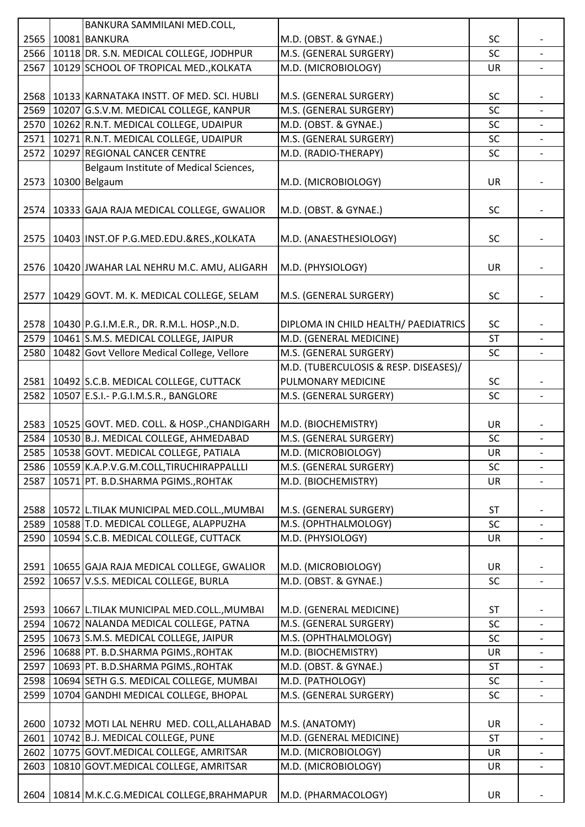|      | BANKURA SAMMILANI MED.COLL,                         |                                       |           |                          |
|------|-----------------------------------------------------|---------------------------------------|-----------|--------------------------|
|      | 2565   10081   BANKURA                              | M.D. (OBST. & GYNAE.)                 | SC        |                          |
|      | 2566   10118 DR. S.N. MEDICAL COLLEGE, JODHPUR      | M.S. (GENERAL SURGERY)                | SC        |                          |
| 2567 | 10129 SCHOOL OF TROPICAL MED., KOLKATA              | M.D. (MICROBIOLOGY)                   | <b>UR</b> |                          |
|      |                                                     |                                       |           |                          |
|      | 2568   10133 KARNATAKA INSTT. OF MED. SCI. HUBLI    | M.S. (GENERAL SURGERY)                | <b>SC</b> |                          |
|      | 2569   10207 G.S.V.M. MEDICAL COLLEGE, KANPUR       | M.S. (GENERAL SURGERY)                | SC        |                          |
| 2570 | 10262 R.N.T. MEDICAL COLLEGE, UDAIPUR               | M.D. (OBST. & GYNAE.)                 | SC        |                          |
|      | 2571   10271   R.N.T. MEDICAL COLLEGE, UDAIPUR      | M.S. (GENERAL SURGERY)                | SC        |                          |
|      | 2572 10297 REGIONAL CANCER CENTRE                   | M.D. (RADIO-THERAPY)                  | <b>SC</b> |                          |
|      | Belgaum Institute of Medical Sciences,              |                                       |           |                          |
| 2573 | 10300 Belgaum                                       | M.D. (MICROBIOLOGY)                   | <b>UR</b> |                          |
|      |                                                     |                                       |           |                          |
| 2574 | 10333 GAJA RAJA MEDICAL COLLEGE, GWALIOR            | M.D. (OBST. & GYNAE.)                 | <b>SC</b> |                          |
|      |                                                     |                                       |           |                          |
| 2575 | 10403 INST.OF P.G.MED.EDU.&RES., KOLKATA            | M.D. (ANAESTHESIOLOGY)                | SC        |                          |
|      |                                                     |                                       |           |                          |
| 2576 | 10420 JWAHAR LAL NEHRU M.C. AMU, ALIGARH            | M.D. (PHYSIOLOGY)                     | UR        |                          |
|      |                                                     |                                       |           |                          |
|      |                                                     |                                       | <b>SC</b> |                          |
|      | 2577   10429 GOVT. M. K. MEDICAL COLLEGE, SELAM     | M.S. (GENERAL SURGERY)                |           |                          |
|      |                                                     |                                       |           |                          |
|      | 2578   10430   P.G.I.M.E.R., DR. R.M.L. HOSP., N.D. | DIPLOMA IN CHILD HEALTH/ PAEDIATRICS  | <b>SC</b> |                          |
|      | 2579   10461 S.M.S. MEDICAL COLLEGE, JAIPUR         | M.D. (GENERAL MEDICINE)               | <b>ST</b> |                          |
| 2580 | 10482 Govt Vellore Medical College, Vellore         | M.S. (GENERAL SURGERY)                | SC        |                          |
|      |                                                     | M.D. (TUBERCULOSIS & RESP. DISEASES)/ |           |                          |
|      | 2581   10492 S.C.B. MEDICAL COLLEGE, CUTTACK        | PULMONARY MEDICINE                    | <b>SC</b> |                          |
| 2582 | 10507 E.S.I.- P.G.I.M.S.R., BANGLORE                | M.S. (GENERAL SURGERY)                | <b>SC</b> | $\overline{\phantom{a}}$ |
|      |                                                     |                                       |           |                          |
|      | 2583   10525 GOVT. MED. COLL. & HOSP., CHANDIGARH   | M.D. (BIOCHEMISTRY)                   | UR        |                          |
|      | 2584 10530 B.J. MEDICAL COLLEGE, AHMEDABAD          | M.S. (GENERAL SURGERY)                | <b>SC</b> | $\blacksquare$           |
|      |                                                     |                                       |           |                          |
|      | 2585   10538 GOVT. MEDICAL COLLEGE, PATIALA         | M.D. (MICROBIOLOGY)                   | <b>UR</b> |                          |
|      | 2586   10559 K.A.P.V.G.M.COLL, TIRUCHIRAPPALLLI     | M.S. (GENERAL SURGERY)                | SC        |                          |
| 2587 | 10571 PT. B.D.SHARMA PGIMS., ROHTAK                 | M.D. (BIOCHEMISTRY)                   | UR        |                          |
|      |                                                     |                                       |           |                          |
|      | 2588   10572 L.TILAK MUNICIPAL MED.COLL., MUMBAI    | M.S. (GENERAL SURGERY)                | <b>ST</b> |                          |
|      | 2589   10588 T.D. MEDICAL COLLEGE, ALAPPUZHA        | M.S. (OPHTHALMOLOGY)                  | SC        |                          |
| 2590 | 10594 S.C.B. MEDICAL COLLEGE, CUTTACK               | M.D. (PHYSIOLOGY)                     | <b>UR</b> |                          |
|      |                                                     |                                       |           |                          |
|      | 2591   10655 GAJA RAJA MEDICAL COLLEGE, GWALIOR     | M.D. (MICROBIOLOGY)                   | UR        |                          |
| 2592 | 10657 V.S.S. MEDICAL COLLEGE, BURLA                 | M.D. (OBST. & GYNAE.)                 | SC        |                          |
|      |                                                     |                                       |           |                          |
|      | 2593   10667 L.TILAK MUNICIPAL MED.COLL., MUMBAI    | M.D. (GENERAL MEDICINE)               | <b>ST</b> |                          |
|      | 2594   10672 NALANDA MEDICAL COLLEGE, PATNA         | M.S. (GENERAL SURGERY)                | SC        |                          |
| 2595 | 10673 S.M.S. MEDICAL COLLEGE, JAIPUR                | M.S. (OPHTHALMOLOGY)                  | SC        | $\overline{\phantom{a}}$ |
|      | 2596   10688 PT. B.D.SHARMA PGIMS., ROHTAK          | M.D. (BIOCHEMISTRY)                   | UR        |                          |
| 2597 | 10693 PT. B.D.SHARMA PGIMS., ROHTAK                 | M.D. (OBST. & GYNAE.)                 | <b>ST</b> | $\overline{\phantom{a}}$ |
|      | 2598   10694 SETH G.S. MEDICAL COLLEGE, MUMBAI      | M.D. (PATHOLOGY)                      | SC        |                          |
| 2599 | 10704 GANDHI MEDICAL COLLEGE, BHOPAL                | M.S. (GENERAL SURGERY)                | <b>SC</b> |                          |
|      |                                                     |                                       |           |                          |
|      | 2600   10732 MOTI LAL NEHRU MED. COLL, ALLAHABAD    | M.S. (ANATOMY)                        | UR        |                          |
| 2601 | 10742 B.J. MEDICAL COLLEGE, PUNE                    | M.D. (GENERAL MEDICINE)               | <b>ST</b> |                          |
|      | 2602   10775 GOVT.MEDICAL COLLEGE, AMRITSAR         | M.D. (MICROBIOLOGY)                   | <b>UR</b> |                          |
| 2603 | 10810 GOVT.MEDICAL COLLEGE, AMRITSAR                | M.D. (MICROBIOLOGY)                   | UR        | $\overline{\phantom{a}}$ |
|      |                                                     |                                       |           |                          |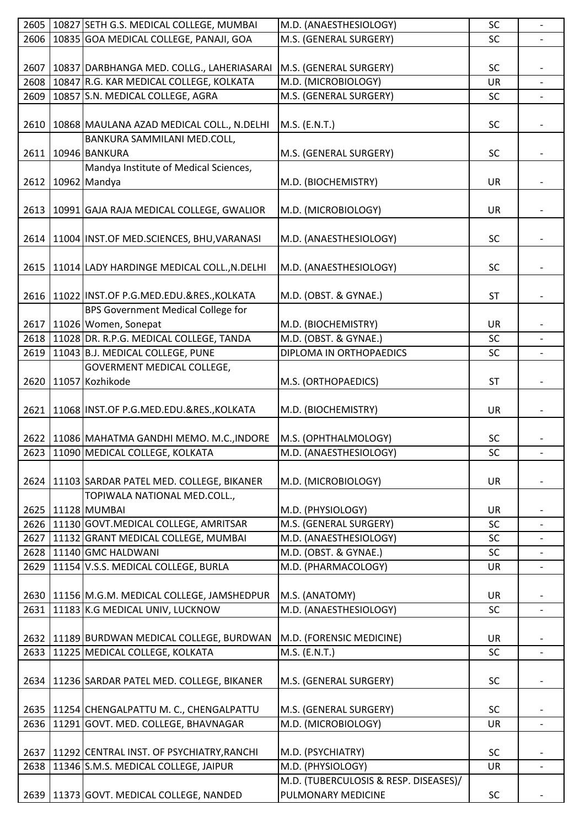|      | 2605   10827 SETH G.S. MEDICAL COLLEGE, MUMBAI     | M.D. (ANAESTHESIOLOGY)                | SC        |                |
|------|----------------------------------------------------|---------------------------------------|-----------|----------------|
| 2606 | 10835 GOA MEDICAL COLLEGE, PANAJI, GOA             | M.S. (GENERAL SURGERY)                | SC        |                |
|      |                                                    |                                       |           |                |
| 2607 | 10837 DARBHANGA MED. COLLG., LAHERIASARAI          | M.S. (GENERAL SURGERY)                | <b>SC</b> |                |
| 2608 | 10847 R.G. KAR MEDICAL COLLEGE, KOLKATA            | M.D. (MICROBIOLOGY)                   | UR        |                |
| 2609 | 10857 S.N. MEDICAL COLLEGE, AGRA                   | M.S. (GENERAL SURGERY)                | <b>SC</b> |                |
|      |                                                    |                                       |           |                |
| 2610 | 10868 MAULANA AZAD MEDICAL COLL., N.DELHI          | M.S. (E.N.T.)                         | <b>SC</b> |                |
|      | BANKURA SAMMILANI MED.COLL,                        |                                       |           |                |
| 2611 | 10946 BANKURA                                      | M.S. (GENERAL SURGERY)                | <b>SC</b> |                |
|      | Mandya Institute of Medical Sciences,              |                                       |           |                |
| 2612 | 10962 Mandya                                       | M.D. (BIOCHEMISTRY)                   | <b>UR</b> |                |
|      |                                                    |                                       |           |                |
| 2613 | 10991 GAJA RAJA MEDICAL COLLEGE, GWALIOR           | M.D. (MICROBIOLOGY)                   | UR        |                |
|      |                                                    |                                       |           |                |
|      | 2614   11004 INST.OF MED.SCIENCES, BHU, VARANASI   | M.D. (ANAESTHESIOLOGY)                | <b>SC</b> |                |
|      |                                                    |                                       |           |                |
| 2615 | 11014 LADY HARDINGE MEDICAL COLL., N.DELHI         | M.D. (ANAESTHESIOLOGY)                | <b>SC</b> |                |
|      |                                                    |                                       |           |                |
|      | 2616   11022   INST.OF P.G.MED.EDU.&RES., KOLKATA  | M.D. (OBST. & GYNAE.)                 | <b>ST</b> |                |
|      | <b>BPS Government Medical College for</b>          |                                       |           |                |
|      | 2617   11026   Women, Sonepat                      | M.D. (BIOCHEMISTRY)                   | UR        |                |
|      | 11028 DR. R.P.G. MEDICAL COLLEGE, TANDA            | M.D. (OBST. & GYNAE.)                 |           |                |
| 2618 |                                                    |                                       | <b>SC</b> |                |
| 2619 | 11043 B.J. MEDICAL COLLEGE, PUNE                   | DIPLOMA IN ORTHOPAEDICS               | SC        |                |
|      | <b>GOVERMENT MEDICAL COLLEGE,</b>                  |                                       |           |                |
|      | 2620 11057 Kozhikode                               | M.S. (ORTHOPAEDICS)                   | <b>ST</b> |                |
|      |                                                    |                                       |           |                |
| 2621 | 11068 INST.OF P.G.MED.EDU.&RES., KOLKATA           | M.D. (BIOCHEMISTRY)                   | UR        |                |
|      |                                                    |                                       |           |                |
|      | 2622   11086 MAHATMA GANDHI MEMO. M.C., INDORE     | M.S. (OPHTHALMOLOGY)                  | <b>SC</b> |                |
|      | 2623 11090 MEDICAL COLLEGE, KOLKATA                | M.D. (ANAESTHESIOLOGY)                | SC        |                |
|      |                                                    |                                       |           |                |
|      | 2624   11103 SARDAR PATEL MED. COLLEGE, BIKANER    | M.D. (MICROBIOLOGY)                   | <b>UR</b> |                |
|      | TOPIWALA NATIONAL MED.COLL.,                       |                                       |           |                |
|      | 2625   11128 MUMBAI                                | M.D. (PHYSIOLOGY)                     | UR        |                |
|      | 2626   11130 GOVT. MEDICAL COLLEGE, AMRITSAR       | M.S. (GENERAL SURGERY)                | <b>SC</b> |                |
| 2627 | 11132 GRANT MEDICAL COLLEGE, MUMBAI                | M.D. (ANAESTHESIOLOGY)                | <b>SC</b> |                |
|      | 2628   11140 GMC HALDWANI                          | M.D. (OBST. & GYNAE.)                 | <b>SC</b> |                |
| 2629 | 11154 V.S.S. MEDICAL COLLEGE, BURLA                | M.D. (PHARMACOLOGY)                   | <b>UR</b> |                |
|      |                                                    |                                       |           |                |
|      | 2630   11156 M.G.M. MEDICAL COLLEGE, JAMSHEDPUR    | M.S. (ANATOMY)                        | UR        |                |
| 2631 | 11183 K.G MEDICAL UNIV, LUCKNOW                    | M.D. (ANAESTHESIOLOGY)                | <b>SC</b> | $\blacksquare$ |
|      |                                                    |                                       |           |                |
| 2632 | 11189 BURDWAN MEDICAL COLLEGE, BURDWAN             | M.D. (FORENSIC MEDICINE)              | UR        |                |
| 2633 | 11225 MEDICAL COLLEGE, KOLKATA                     | M.S. (E.N.T.)                         | <b>SC</b> | $\overline{a}$ |
|      |                                                    |                                       |           |                |
|      | 2634   11236 SARDAR PATEL MED. COLLEGE, BIKANER    | M.S. (GENERAL SURGERY)                | <b>SC</b> |                |
|      |                                                    |                                       |           |                |
| 2635 | 11254 CHENGALPATTU M. C., CHENGALPATTU             | M.S. (GENERAL SURGERY)                | <b>SC</b> |                |
| 2636 | 11291 GOVT. MED. COLLEGE, BHAVNAGAR                | M.D. (MICROBIOLOGY)                   | <b>UR</b> |                |
|      |                                                    |                                       |           |                |
|      | 2637   11292   CENTRAL INST. OF PSYCHIATRY, RANCHI | M.D. (PSYCHIATRY)                     | <b>SC</b> |                |
| 2638 | 11346 S.M.S. MEDICAL COLLEGE, JAIPUR               | M.D. (PHYSIOLOGY)                     | UR        |                |
|      |                                                    | M.D. (TUBERCULOSIS & RESP. DISEASES)/ |           |                |
|      | 2639   11373   GOVT. MEDICAL COLLEGE, NANDED       | PULMONARY MEDICINE                    | SC        |                |
|      |                                                    |                                       |           |                |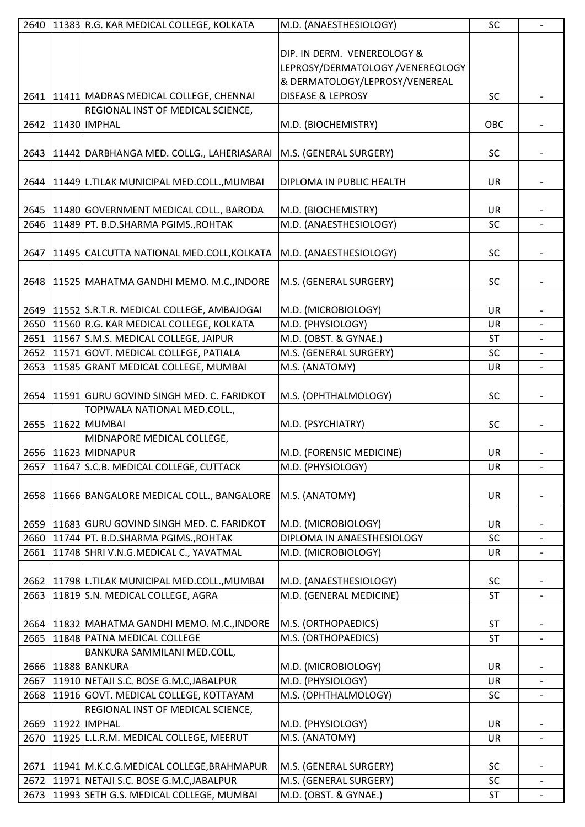|      | 2640   11383 R.G. KAR MEDICAL COLLEGE, KOLKATA                            | M.D. (ANAESTHESIOLOGY)           | SC        |                          |
|------|---------------------------------------------------------------------------|----------------------------------|-----------|--------------------------|
|      |                                                                           |                                  |           |                          |
|      |                                                                           | DIP. IN DERM. VENEREOLOGY &      |           |                          |
|      |                                                                           | LEPROSY/DERMATOLOGY /VENEREOLOGY |           |                          |
|      |                                                                           | & DERMATOLOGY/LEPROSY/VENEREAL   |           |                          |
|      | 2641   11411   MADRAS MEDICAL COLLEGE, CHENNAI                            | <b>DISEASE &amp; LEPROSY</b>     | <b>SC</b> |                          |
|      | REGIONAL INST OF MEDICAL SCIENCE,                                         |                                  |           |                          |
| 2642 | 11430 IMPHAL                                                              | M.D. (BIOCHEMISTRY)              | OBC       |                          |
|      |                                                                           |                                  |           |                          |
|      | 2643   11442 DARBHANGA MED. COLLG., LAHERIASARAI   M.S. (GENERAL SURGERY) |                                  | <b>SC</b> |                          |
|      |                                                                           |                                  |           |                          |
|      | 2644   11449 L.TILAK MUNICIPAL MED.COLL., MUMBAI                          | DIPLOMA IN PUBLIC HEALTH         | <b>UR</b> |                          |
|      |                                                                           |                                  |           |                          |
|      | 2645   11480 GOVERNMENT MEDICAL COLL., BARODA                             | M.D. (BIOCHEMISTRY)              | <b>UR</b> |                          |
| 2646 | 11489 PT. B.D.SHARMA PGIMS., ROHTAK                                       | M.D. (ANAESTHESIOLOGY)           | SC        |                          |
|      |                                                                           |                                  |           |                          |
| 2647 | 11495 CALCUTTA NATIONAL MED.COLL, KOLKATA                                 | M.D. (ANAESTHESIOLOGY)           | <b>SC</b> |                          |
|      |                                                                           |                                  |           |                          |
|      | 2648   11525   MAHATMA GANDHI MEMO. M.C., INDORE                          | M.S. (GENERAL SURGERY)           | SC        |                          |
|      |                                                                           |                                  |           |                          |
|      | 2649   11552 S.R.T.R. MEDICAL COLLEGE, AMBAJOGAI                          | M.D. (MICROBIOLOGY)              | <b>UR</b> |                          |
|      | 2650   11560 R.G. KAR MEDICAL COLLEGE, KOLKATA                            | M.D. (PHYSIOLOGY)                | UR        |                          |
| 2651 | 11567 S.M.S. MEDICAL COLLEGE, JAIPUR                                      | M.D. (OBST. & GYNAE.)            | <b>ST</b> |                          |
|      | 2652   11571 GOVT. MEDICAL COLLEGE, PATIALA                               | M.S. (GENERAL SURGERY)           | SC        |                          |
|      | 2653   11585 GRANT MEDICAL COLLEGE, MUMBAI                                | M.S. (ANATOMY)                   | <b>UR</b> |                          |
|      |                                                                           |                                  |           |                          |
| 2654 | 11591 GURU GOVIND SINGH MED. C. FARIDKOT                                  | M.S. (OPHTHALMOLOGY)             | <b>SC</b> |                          |
|      | TOPIWALA NATIONAL MED.COLL.,                                              |                                  |           |                          |
|      | 2655   11622 MUMBAI                                                       | M.D. (PSYCHIATRY)                | <b>SC</b> |                          |
|      | MIDNAPORE MEDICAL COLLEGE,                                                |                                  |           |                          |
|      | 2656 11623 MIDNAPUR                                                       | M.D. (FORENSIC MEDICINE)         | <b>UR</b> |                          |
| 2657 | 11647 S.C.B. MEDICAL COLLEGE, CUTTACK                                     | M.D. (PHYSIOLOGY)                | UR        | $\overline{a}$           |
|      |                                                                           |                                  |           |                          |
| 2658 | 11666 BANGALORE MEDICAL COLL., BANGALORE                                  | M.S. (ANATOMY)                   | UR        |                          |
|      |                                                                           |                                  |           |                          |
|      | 2659   11683 GURU GOVIND SINGH MED. C. FARIDKOT                           | M.D. (MICROBIOLOGY)              | <b>UR</b> |                          |
| 2660 | 11744 PT. B.D.SHARMA PGIMS., ROHTAK                                       | DIPLOMA IN ANAESTHESIOLOGY       | SC        |                          |
| 2661 | 11748 SHRI V.N.G.MEDICAL C., YAVATMAL                                     | M.D. (MICROBIOLOGY)              | UR        |                          |
|      |                                                                           |                                  |           |                          |
| 2662 | 11798 L.TILAK MUNICIPAL MED.COLL., MUMBAI                                 | M.D. (ANAESTHESIOLOGY)           | SC        |                          |
| 2663 | 11819 S.N. MEDICAL COLLEGE, AGRA                                          | M.D. (GENERAL MEDICINE)          | <b>ST</b> |                          |
|      |                                                                           |                                  |           |                          |
|      | 2664   11832 MAHATMA GANDHI MEMO. M.C., INDORE                            | M.S. (ORTHOPAEDICS)              | <b>ST</b> |                          |
| 2665 | 11848 PATNA MEDICAL COLLEGE                                               | M.S. (ORTHOPAEDICS)              | <b>ST</b> | $\overline{\phantom{a}}$ |
|      | BANKURA SAMMILANI MED.COLL,                                               |                                  |           |                          |
|      | 2666   11888   BANKURA                                                    | M.D. (MICROBIOLOGY)              | <b>UR</b> |                          |
| 2667 | 11910 NETAJI S.C. BOSE G.M.C, JABALPUR                                    | M.D. (PHYSIOLOGY)                | UR        | $\overline{\phantom{0}}$ |
| 2668 | 11916 GOVT. MEDICAL COLLEGE, KOTTAYAM                                     | M.S. (OPHTHALMOLOGY)             | SC        |                          |
|      | REGIONAL INST OF MEDICAL SCIENCE,                                         |                                  |           |                          |
|      | 2669   11922   IMPHAL                                                     | M.D. (PHYSIOLOGY)                | <b>UR</b> |                          |
| 2670 | 11925 L.L.R.M. MEDICAL COLLEGE, MEERUT                                    | M.S. (ANATOMY)                   | <b>UR</b> |                          |
|      |                                                                           |                                  |           |                          |
|      | 2671   11941   M.K.C.G.MEDICAL COLLEGE, BRAHMAPUR                         | M.S. (GENERAL SURGERY)           | <b>SC</b> |                          |
| 2672 | 11971 NETAJI S.C. BOSE G.M.C.JABALPUR                                     | M.S. (GENERAL SURGERY)           | SC        | $\overline{\phantom{a}}$ |
|      | 2673   11993 SETH G.S. MEDICAL COLLEGE, MUMBAI                            | M.D. (OBST. & GYNAE.)            | <b>ST</b> |                          |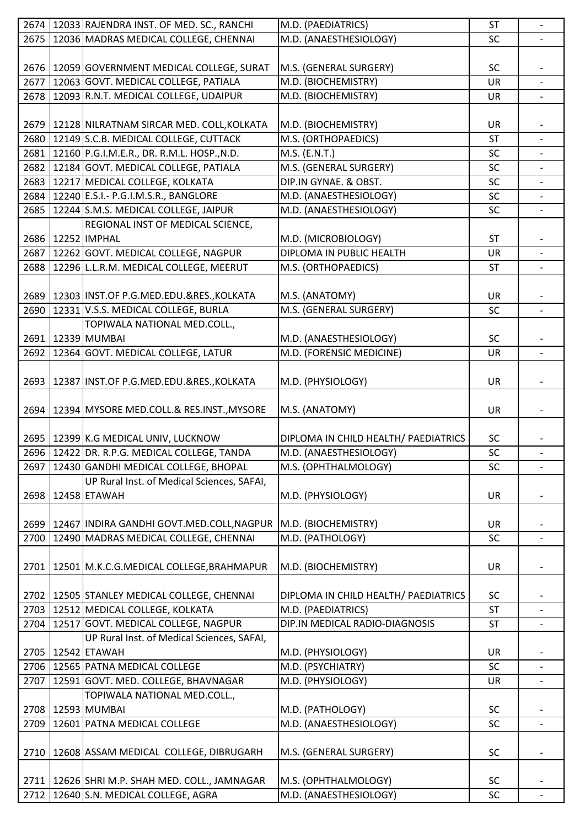|      | 2674   12033 RAJENDRA INST. OF MED. SC., RANCHI   | M.D. (PAEDIATRICS)                   | <b>ST</b> | $\blacksquare$           |
|------|---------------------------------------------------|--------------------------------------|-----------|--------------------------|
| 2675 | 12036 MADRAS MEDICAL COLLEGE, CHENNAI             | M.D. (ANAESTHESIOLOGY)               | SC        |                          |
|      |                                                   |                                      |           |                          |
|      | 2676   12059 GOVERNMENT MEDICAL COLLEGE, SURAT    | M.S. (GENERAL SURGERY)               | <b>SC</b> |                          |
|      | 2677 12063 GOVT. MEDICAL COLLEGE, PATIALA         | M.D. (BIOCHEMISTRY)                  | UR        |                          |
|      | 2678   12093 R.N.T. MEDICAL COLLEGE, UDAIPUR      | M.D. (BIOCHEMISTRY)                  | <b>UR</b> |                          |
|      |                                                   |                                      |           |                          |
|      | 2679   12128 NILRATNAM SIRCAR MED. COLL, KOLKATA  | M.D. (BIOCHEMISTRY)                  | UR        |                          |
|      | 2680 12149 S.C.B. MEDICAL COLLEGE, CUTTACK        | M.S. (ORTHOPAEDICS)                  | <b>ST</b> | $\overline{\phantom{a}}$ |
|      |                                                   |                                      |           |                          |
|      | 2681 12160 P.G.I.M.E.R., DR. R.M.L. HOSP., N.D.   | M.S. (E.N.T.)                        | SC        |                          |
|      | 2682   12184 GOVT. MEDICAL COLLEGE, PATIALA       | M.S. (GENERAL SURGERY)               | SC        |                          |
|      | 2683   12217   MEDICAL COLLEGE, KOLKATA           | DIP.IN GYNAE. & OBST.                | SC        |                          |
|      | 2684   12240 E.S.I. - P.G.I.M.S.R., BANGLORE      | M.D. (ANAESTHESIOLOGY)               | SC        |                          |
|      | 2685   12244 S.M.S. MEDICAL COLLEGE, JAIPUR       | M.D. (ANAESTHESIOLOGY)               | SC        |                          |
|      | REGIONAL INST OF MEDICAL SCIENCE,                 |                                      |           |                          |
|      | 2686   12252   IMPHAL                             | M.D. (MICROBIOLOGY)                  | <b>ST</b> |                          |
|      | 2687   12262 GOVT. MEDICAL COLLEGE, NAGPUR        | DIPLOMA IN PUBLIC HEALTH             | UR        |                          |
| 2688 | 12296 L.L.R.M. MEDICAL COLLEGE, MEERUT            | M.S. (ORTHOPAEDICS)                  | ST        | $\overline{\phantom{a}}$ |
|      |                                                   |                                      |           |                          |
|      | 2689   12303   INST.OF P.G.MED.EDU.&RES., KOLKATA | M.S. (ANATOMY)                       | <b>UR</b> |                          |
| 2690 | 12331 V.S.S. MEDICAL COLLEGE, BURLA               | M.S. (GENERAL SURGERY)               | SC        | $\overline{\phantom{a}}$ |
|      | TOPIWALA NATIONAL MED.COLL.,                      |                                      |           |                          |
|      | 2691   12339   MUMBAI                             | M.D. (ANAESTHESIOLOGY)               | <b>SC</b> |                          |
| 2692 | 12364 GOVT. MEDICAL COLLEGE, LATUR                | M.D. (FORENSIC MEDICINE)             | UR        |                          |
|      |                                                   |                                      |           |                          |
|      |                                                   |                                      | <b>UR</b> |                          |
|      | 2693   12387 INST.OF P.G.MED.EDU.&RES., KOLKATA   | M.D. (PHYSIOLOGY)                    |           |                          |
|      |                                                   |                                      |           |                          |
| 2694 | 12394 MYSORE MED.COLL.& RES.INST., MYSORE         | M.S. (ANATOMY)                       | UR        |                          |
|      |                                                   |                                      |           |                          |
|      | 2695   12399 K.G MEDICAL UNIV, LUCKNOW            | DIPLOMA IN CHILD HEALTH/ PAEDIATRICS | <b>SC</b> |                          |
|      | 2696   12422 DR. R.P.G. MEDICAL COLLEGE, TANDA    | M.D. (ANAESTHESIOLOGY)               | SC        |                          |
| 2697 | 12430 GANDHI MEDICAL COLLEGE, BHOPAL              | M.S. (OPHTHALMOLOGY)                 | <b>SC</b> |                          |
|      | UP Rural Inst. of Medical Sciences, SAFAI,        |                                      |           |                          |
| 2698 | 12458 ETAWAH                                      | M.D. (PHYSIOLOGY)                    | UR        |                          |
|      |                                                   |                                      |           |                          |
|      | 2699   12467 INDIRA GANDHI GOVT.MED.COLL, NAGPUR  | M.D. (BIOCHEMISTRY)                  | UR        |                          |
| 2700 | 12490 MADRAS MEDICAL COLLEGE, CHENNAI             | M.D. (PATHOLOGY)                     | SC        | $\overline{\phantom{0}}$ |
|      |                                                   |                                      |           |                          |
| 2701 | 12501 M.K.C.G.MEDICAL COLLEGE, BRAHMAPUR          | M.D. (BIOCHEMISTRY)                  | <b>UR</b> |                          |
|      |                                                   |                                      |           |                          |
|      | 2702   12505   STANLEY MEDICAL COLLEGE, CHENNAI   | DIPLOMA IN CHILD HEALTH/ PAEDIATRICS | <b>SC</b> |                          |
|      | 2703   12512   MEDICAL COLLEGE, KOLKATA           | M.D. (PAEDIATRICS)                   | <b>ST</b> |                          |
| 2704 | 12517 GOVT. MEDICAL COLLEGE, NAGPUR               | DIP.IN MEDICAL RADIO-DIAGNOSIS       | <b>ST</b> |                          |
|      | UP Rural Inst. of Medical Sciences, SAFAI,        |                                      |           |                          |
|      | 2705 22542 ETAWAH                                 | M.D. (PHYSIOLOGY)                    | <b>UR</b> |                          |
|      | 2706   12565   PATNA MEDICAL COLLEGE              | M.D. (PSYCHIATRY)                    | SC        |                          |
|      |                                                   |                                      |           |                          |
| 2707 | 12591 GOVT. MED. COLLEGE, BHAVNAGAR               | M.D. (PHYSIOLOGY)                    | <b>UR</b> |                          |
|      | TOPIWALA NATIONAL MED.COLL.,                      |                                      |           |                          |
|      | 2708   12593   MUMBAI                             | M.D. (PATHOLOGY)                     | <b>SC</b> |                          |
| 2709 | 12601 PATNA MEDICAL COLLEGE                       | M.D. (ANAESTHESIOLOGY)               | SC        |                          |
|      |                                                   |                                      |           |                          |
| 2710 | 12608 ASSAM MEDICAL COLLEGE, DIBRUGARH            | M.S. (GENERAL SURGERY)               | <b>SC</b> |                          |
|      |                                                   |                                      |           |                          |
|      | 2711   12626 SHRI M.P. SHAH MED. COLL., JAMNAGAR  | M.S. (OPHTHALMOLOGY)                 | <b>SC</b> |                          |
|      | 2712 12640 S.N. MEDICAL COLLEGE, AGRA             | M.D. (ANAESTHESIOLOGY)               | SC        |                          |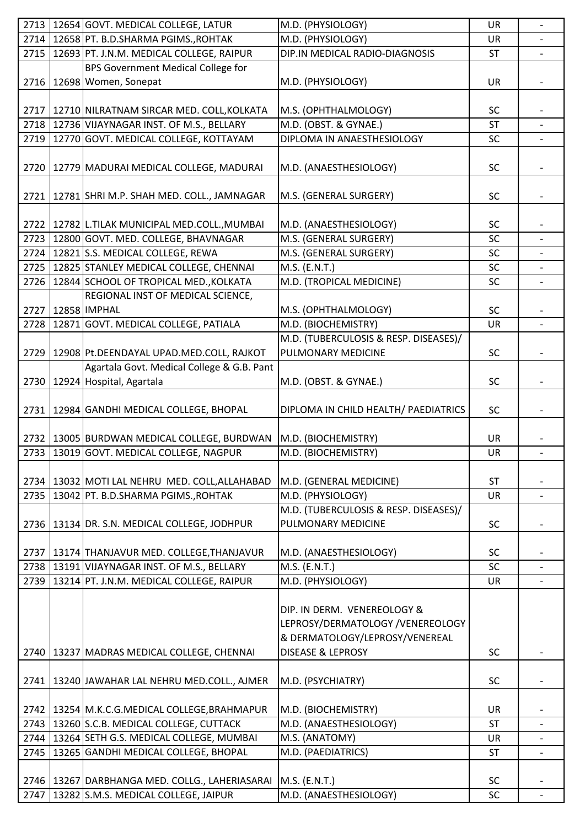|      | 2713   12654 GOVT. MEDICAL COLLEGE, LATUR          | M.D. (PHYSIOLOGY)                            | UR              | $\overline{\phantom{a}}$ |
|------|----------------------------------------------------|----------------------------------------------|-----------------|--------------------------|
|      | 2714 12658 PT. B.D.SHARMA PGIMS., ROHTAK           | M.D. (PHYSIOLOGY)                            | UR              |                          |
|      | 2715   12693   PT. J.N.M. MEDICAL COLLEGE, RAIPUR  | DIP.IN MEDICAL RADIO-DIAGNOSIS               | <b>ST</b>       |                          |
|      | BPS Government Medical College for                 |                                              |                 |                          |
|      | 2716   12698   Women, Sonepat                      | M.D. (PHYSIOLOGY)                            | UR              |                          |
|      |                                                    |                                              |                 |                          |
|      | 2717   12710 NILRATNAM SIRCAR MED. COLL, KOLKATA   | M.S. (OPHTHALMOLOGY)                         | <b>SC</b>       |                          |
|      | 2718   12736 VIJAYNAGAR INST. OF M.S., BELLARY     | M.D. (OBST. & GYNAE.)                        |                 |                          |
| 2719 | 12770 GOVT. MEDICAL COLLEGE, KOTTAYAM              | DIPLOMA IN ANAESTHESIOLOGY                   | <b>ST</b><br>SC |                          |
|      |                                                    |                                              |                 |                          |
|      |                                                    |                                              |                 |                          |
|      | 2720   12779   MADURAI MEDICAL COLLEGE, MADURAI    | M.D. (ANAESTHESIOLOGY)                       | <b>SC</b>       |                          |
|      |                                                    |                                              |                 |                          |
|      | 2721   12781 SHRI M.P. SHAH MED. COLL., JAMNAGAR   | M.S. (GENERAL SURGERY)                       | <b>SC</b>       |                          |
|      |                                                    |                                              |                 |                          |
|      | 2722   12782 L.TILAK MUNICIPAL MED.COLL., MUMBAI   | M.D. (ANAESTHESIOLOGY)                       | <b>SC</b>       |                          |
|      | 2723 12800 GOVT. MED. COLLEGE, BHAVNAGAR           | M.S. (GENERAL SURGERY)                       | SC              |                          |
|      | 2724 12821 S.S. MEDICAL COLLEGE, REWA              | M.S. (GENERAL SURGERY)                       | SC              |                          |
|      | 2725 12825 STANLEY MEDICAL COLLEGE, CHENNAI        | M.S. (E.N.T.)                                | SC              | $\blacksquare$           |
|      | 2726 12844 SCHOOL OF TROPICAL MED., KOLKATA        | M.D. (TROPICAL MEDICINE)                     | SC              |                          |
|      | REGIONAL INST OF MEDICAL SCIENCE,                  |                                              |                 |                          |
|      | 2727 12858 IMPHAL                                  | M.S. (OPHTHALMOLOGY)                         | SC              |                          |
| 2728 | 12871 GOVT. MEDICAL COLLEGE, PATIALA               | M.D. (BIOCHEMISTRY)                          | UR              |                          |
|      |                                                    | M.D. (TUBERCULOSIS & RESP. DISEASES)/        |                 |                          |
|      | 2729   12908 Pt.DEENDAYAL UPAD.MED.COLL, RAJKOT    | PULMONARY MEDICINE                           | SC              |                          |
|      | Agartala Govt. Medical College & G.B. Pant         |                                              |                 |                          |
|      | 2730   12924 Hospital, Agartala                    | M.D. (OBST. & GYNAE.)                        | <b>SC</b>       |                          |
|      |                                                    |                                              |                 |                          |
| 2731 | 12984 GANDHI MEDICAL COLLEGE, BHOPAL               | DIPLOMA IN CHILD HEALTH/ PAEDIATRICS         | SC              |                          |
|      |                                                    |                                              |                 |                          |
|      | 2732   13005 BURDWAN MEDICAL COLLEGE, BURDWAN      | M.D. (BIOCHEMISTRY)                          | <b>UR</b>       |                          |
|      | 2733   13019 GOVT. MEDICAL COLLEGE, NAGPUR         | M.D. (BIOCHEMISTRY)                          | <b>UR</b>       |                          |
|      |                                                    |                                              |                 |                          |
|      | 2734   13032   MOTI LAL NEHRU MED. COLL, ALLAHABAD |                                              | <b>ST</b>       |                          |
|      | 13042 PT. B.D.SHARMA PGIMS., ROHTAK                | M.D. (GENERAL MEDICINE)<br>M.D. (PHYSIOLOGY) |                 |                          |
| 2735 |                                                    |                                              | UR              |                          |
|      |                                                    | M.D. (TUBERCULOSIS & RESP. DISEASES)/        |                 |                          |
|      | 2736   13134   DR. S.N. MEDICAL COLLEGE, JODHPUR   | PULMONARY MEDICINE                           | <b>SC</b>       |                          |
|      |                                                    |                                              |                 |                          |
|      | 2737   13174   THANJAVUR MED. COLLEGE, THANJAVUR   | M.D. (ANAESTHESIOLOGY)                       | <b>SC</b>       |                          |
|      | 2738   13191 VIJAYNAGAR INST. OF M.S., BELLARY     | M.S. (E.N.T.)                                | SC              |                          |
| 2739 | 13214 PT. J.N.M. MEDICAL COLLEGE, RAIPUR           | M.D. (PHYSIOLOGY)                            | UR              |                          |
|      |                                                    |                                              |                 |                          |
|      |                                                    | DIP. IN DERM. VENEREOLOGY &                  |                 |                          |
|      |                                                    | LEPROSY/DERMATOLOGY /VENEREOLOGY             |                 |                          |
|      |                                                    | & DERMATOLOGY/LEPROSY/VENEREAL               |                 |                          |
|      | 2740   13237 MADRAS MEDICAL COLLEGE, CHENNAI       | <b>DISEASE &amp; LEPROSY</b>                 | <b>SC</b>       |                          |
|      |                                                    |                                              |                 |                          |
|      | 2741   13240 JAWAHAR LAL NEHRU MED.COLL., AJMER    | M.D. (PSYCHIATRY)                            | <b>SC</b>       |                          |
|      |                                                    |                                              |                 |                          |
|      | 2742   13254   M.K.C.G.MEDICAL COLLEGE, BRAHMAPUR  | M.D. (BIOCHEMISTRY)                          | <b>UR</b>       |                          |
|      | 2743   13260 S.C.B. MEDICAL COLLEGE, CUTTACK       | M.D. (ANAESTHESIOLOGY)                       | <b>ST</b>       |                          |
|      | 2744   13264 SETH G.S. MEDICAL COLLEGE, MUMBAI     | M.S. (ANATOMY)                               | UR              |                          |
| 2745 | 13265 GANDHI MEDICAL COLLEGE, BHOPAL               | M.D. (PAEDIATRICS)                           | <b>ST</b>       |                          |
|      |                                                    |                                              |                 |                          |
|      | 2746   13267 DARBHANGA MED. COLLG., LAHERIASARAI   | M.S. (E.N.T.)                                | <b>SC</b>       |                          |
| 2747 | 13282 S.M.S. MEDICAL COLLEGE, JAIPUR               | M.D. (ANAESTHESIOLOGY)                       | SC              |                          |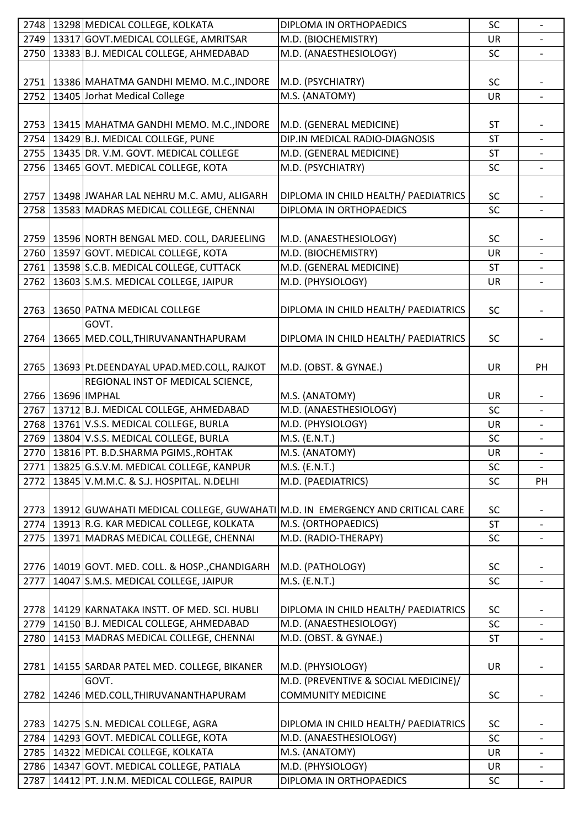|      | 2748 3298 MEDICAL COLLEGE, KOLKATA                                                  | DIPLOMA IN ORTHOPAEDICS              | SC        |                              |
|------|-------------------------------------------------------------------------------------|--------------------------------------|-----------|------------------------------|
|      | 2749   13317 GOVT. MEDICAL COLLEGE, AMRITSAR                                        | M.D. (BIOCHEMISTRY)                  | <b>UR</b> | $\overline{\phantom{a}}$     |
|      | 2750 13383 B.J. MEDICAL COLLEGE, AHMEDABAD                                          | M.D. (ANAESTHESIOLOGY)               | SC        |                              |
|      |                                                                                     |                                      |           |                              |
|      | 2751   13386   MAHATMA GANDHI MEMO. M.C., INDORE                                    | M.D. (PSYCHIATRY)                    | SC        |                              |
|      | 2752 13405 Jorhat Medical College                                                   | M.S. (ANATOMY)                       | UR        |                              |
|      |                                                                                     |                                      |           |                              |
|      | 2753   13415   MAHATMA GANDHI MEMO. M.C., INDORE                                    | M.D. (GENERAL MEDICINE)              | <b>ST</b> |                              |
|      | 2754 13429 B.J. MEDICAL COLLEGE, PUNE                                               | DIP.IN MEDICAL RADIO-DIAGNOSIS       | <b>ST</b> | $\overline{\phantom{a}}$     |
|      | 2755   13435 DR. V.M. GOVT. MEDICAL COLLEGE                                         | M.D. (GENERAL MEDICINE)              | <b>ST</b> |                              |
|      | 2756   13465 GOVT. MEDICAL COLLEGE, KOTA                                            | M.D. (PSYCHIATRY)                    | SC        |                              |
|      |                                                                                     |                                      |           |                              |
|      | 2757   13498 JJWAHAR LAL NEHRU M.C. AMU, ALIGARH                                    | DIPLOMA IN CHILD HEALTH/ PAEDIATRICS | <b>SC</b> |                              |
| 2758 | 13583 MADRAS MEDICAL COLLEGE, CHENNAI                                               | DIPLOMA IN ORTHOPAEDICS              | SC        | $\overline{\phantom{a}}$     |
|      |                                                                                     |                                      |           |                              |
|      |                                                                                     |                                      | SC        |                              |
|      | 2759   13596 NORTH BENGAL MED. COLL, DARJEELING                                     | M.D. (ANAESTHESIOLOGY)               |           |                              |
|      | 2760 13597 GOVT. MEDICAL COLLEGE, KOTA                                              | M.D. (BIOCHEMISTRY)                  | UR        |                              |
|      | 2761   13598 S.C.B. MEDICAL COLLEGE, CUTTACK                                        | M.D. (GENERAL MEDICINE)              | <b>ST</b> |                              |
| 2762 | 13603 S.M.S. MEDICAL COLLEGE, JAIPUR                                                | M.D. (PHYSIOLOGY)                    | <b>UR</b> |                              |
|      |                                                                                     |                                      |           |                              |
| 2763 | 13650 PATNA MEDICAL COLLEGE                                                         | DIPLOMA IN CHILD HEALTH/ PAEDIATRICS | <b>SC</b> | $\overline{\phantom{a}}$     |
|      | GOVT.                                                                               |                                      |           |                              |
| 2764 | 13665 MED.COLL, THIRUVANANTHAPURAM                                                  | DIPLOMA IN CHILD HEALTH/ PAEDIATRICS | <b>SC</b> |                              |
|      |                                                                                     |                                      |           |                              |
| 2765 | 13693 Pt.DEENDAYAL UPAD.MED.COLL, RAJKOT                                            | M.D. (OBST. & GYNAE.)                | UR        | PH                           |
|      | REGIONAL INST OF MEDICAL SCIENCE,                                                   |                                      |           |                              |
|      | 2766   13696   IMPHAL                                                               | M.S. (ANATOMY)                       | <b>UR</b> |                              |
|      | 2767   13712 B.J. MEDICAL COLLEGE, AHMEDABAD                                        | M.D. (ANAESTHESIOLOGY)               | SC        | $\overline{\phantom{a}}$     |
|      | 2768 13761 V.S.S. MEDICAL COLLEGE, BURLA                                            | M.D. (PHYSIOLOGY)                    | UR        |                              |
|      | 2769   13804 V.S.S. MEDICAL COLLEGE, BURLA                                          | M.S. (E.N.T.)                        | SC        | $\overline{\phantom{a}}$     |
|      | 2770 13816 PT. B.D.SHARMA PGIMS., ROHTAK                                            | M.S. (ANATOMY)                       | <b>UR</b> | $\overline{\phantom{a}}$     |
|      | 2771   13825 G.S.V.M. MEDICAL COLLEGE, KANPUR                                       | M.S. (E.N.T.)                        | SC        |                              |
|      | 2772 3845 V.M.M.C. & S.J. HOSPITAL. N.DELHI                                         | M.D. (PAEDIATRICS)                   | SC        | PH                           |
|      |                                                                                     |                                      |           |                              |
|      | 2773   13912 GUWAHATI MEDICAL COLLEGE, GUWAHATI M.D. IN EMERGENCY AND CRITICAL CARE |                                      | SC        |                              |
| 2774 | 13913 R.G. KAR MEDICAL COLLEGE, KOLKATA                                             | M.S. (ORTHOPAEDICS)                  | <b>ST</b> |                              |
| 2775 | 13971 MADRAS MEDICAL COLLEGE, CHENNAI                                               | M.D. (RADIO-THERAPY)                 | SC        |                              |
|      |                                                                                     |                                      |           |                              |
| 2776 | 14019 GOVT. MED. COLL. & HOSP., CHANDIGARH                                          | M.D. (PATHOLOGY)                     | SC        |                              |
| 2777 | 14047 S.M.S. MEDICAL COLLEGE, JAIPUR                                                | M.S. (E.N.T.)                        | SC        | $\overline{\phantom{a}}$     |
|      |                                                                                     |                                      |           |                              |
|      |                                                                                     |                                      |           |                              |
|      | 2778   14129 KARNATAKA INSTT. OF MED. SCI. HUBLI                                    | DIPLOMA IN CHILD HEALTH/ PAEDIATRICS | <b>SC</b> |                              |
| 2779 | 14150 B.J. MEDICAL COLLEGE, AHMEDABAD                                               | M.D. (ANAESTHESIOLOGY)               | SC        |                              |
| 2780 | 14153 MADRAS MEDICAL COLLEGE, CHENNAI                                               | M.D. (OBST. & GYNAE.)                | <b>ST</b> |                              |
|      |                                                                                     |                                      |           |                              |
| 2781 | 14155 SARDAR PATEL MED. COLLEGE, BIKANER                                            | M.D. (PHYSIOLOGY)                    | <b>UR</b> |                              |
|      | GOVT.                                                                               | M.D. (PREVENTIVE & SOCIAL MEDICINE)/ |           |                              |
| 2782 | 14246 MED.COLL, THIRUVANANTHAPURAM                                                  | <b>COMMUNITY MEDICINE</b>            | SC        | $\qquad \qquad \blacksquare$ |
|      |                                                                                     |                                      |           |                              |
| 2783 | 14275 S.N. MEDICAL COLLEGE, AGRA                                                    | DIPLOMA IN CHILD HEALTH/ PAEDIATRICS | <b>SC</b> |                              |
| 2784 | 14293 GOVT. MEDICAL COLLEGE, KOTA                                                   | M.D. (ANAESTHESIOLOGY)               | SC        |                              |
| 2785 | 14322 MEDICAL COLLEGE, KOLKATA                                                      | M.S. (ANATOMY)                       | <b>UR</b> | $\overline{\phantom{a}}$     |
| 2786 | 14347 GOVT. MEDICAL COLLEGE, PATIALA                                                | M.D. (PHYSIOLOGY)                    | UR        |                              |
| 2787 | 14412 PT. J.N.M. MEDICAL COLLEGE, RAIPUR                                            | DIPLOMA IN ORTHOPAEDICS              | SC        | $\overline{\phantom{a}}$     |
|      |                                                                                     |                                      |           |                              |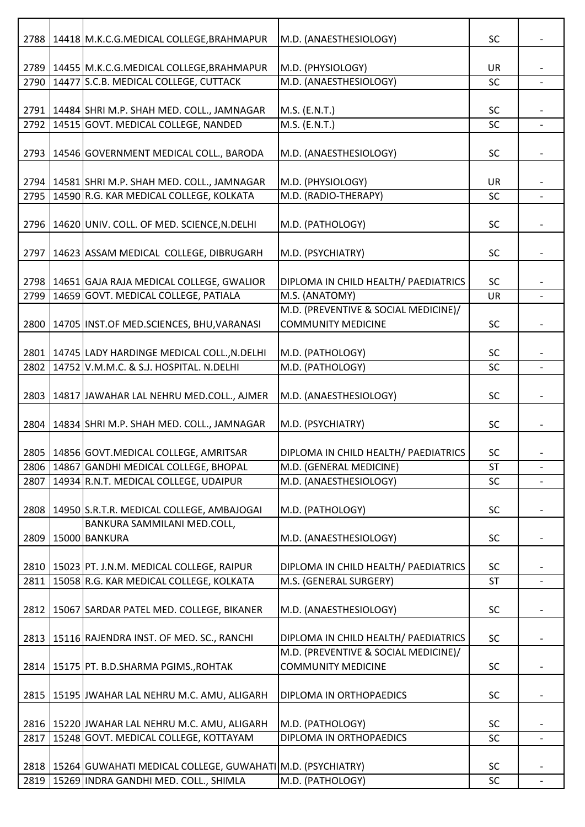| 2788 | 14418 M.K.C.G.MEDICAL COLLEGE, BRAHMAPUR                                                    | M.D. (ANAESTHESIOLOGY)                                            | <b>SC</b>              |                          |
|------|---------------------------------------------------------------------------------------------|-------------------------------------------------------------------|------------------------|--------------------------|
|      |                                                                                             |                                                                   |                        |                          |
| 2790 | 2789   14455 M.K.C.G.MEDICAL COLLEGE, BRAHMAPUR<br>14477 S.C.B. MEDICAL COLLEGE, CUTTACK    | M.D. (PHYSIOLOGY)<br>M.D. (ANAESTHESIOLOGY)                       | UR<br>SC               |                          |
|      |                                                                                             |                                                                   |                        |                          |
|      | 2791   14484 SHRI M.P. SHAH MED. COLL., JAMNAGAR                                            | M.S. (E.N.T.)                                                     | <b>SC</b>              |                          |
| 2792 | 14515 GOVT. MEDICAL COLLEGE, NANDED                                                         | M.S. (E.N.T.)                                                     | SC                     |                          |
|      |                                                                                             |                                                                   |                        |                          |
| 2793 | 14546 GOVERNMENT MEDICAL COLL., BARODA                                                      | M.D. (ANAESTHESIOLOGY)                                            | <b>SC</b>              |                          |
|      |                                                                                             |                                                                   | <b>UR</b>              |                          |
| 2795 | 2794   14581 SHRI M.P. SHAH MED. COLL., JAMNAGAR<br>14590 R.G. KAR MEDICAL COLLEGE, KOLKATA | M.D. (PHYSIOLOGY)<br>M.D. (RADIO-THERAPY)                         | SC                     |                          |
|      |                                                                                             |                                                                   |                        |                          |
| 2796 | 14620 UNIV. COLL. OF MED. SCIENCE, N.DELHI                                                  | M.D. (PATHOLOGY)                                                  | SC                     |                          |
|      |                                                                                             |                                                                   |                        |                          |
| 2797 | 14623 ASSAM MEDICAL COLLEGE, DIBRUGARH                                                      | M.D. (PSYCHIATRY)                                                 | SC                     |                          |
|      |                                                                                             |                                                                   |                        |                          |
|      | 2798 14651 GAJA RAJA MEDICAL COLLEGE, GWALIOR                                               | DIPLOMA IN CHILD HEALTH/ PAEDIATRICS                              | <b>SC</b>              |                          |
| 2799 | 14659 GOVT. MEDICAL COLLEGE, PATIALA                                                        | M.S. (ANATOMY)                                                    | UR                     |                          |
|      |                                                                                             | M.D. (PREVENTIVE & SOCIAL MEDICINE)/<br><b>COMMUNITY MEDICINE</b> | SC                     |                          |
|      | 2800   14705 INST.OF MED.SCIENCES, BHU, VARANASI                                            |                                                                   |                        |                          |
|      | 2801   14745 LADY HARDINGE MEDICAL COLL., N.DELHI                                           | M.D. (PATHOLOGY)                                                  | SC                     |                          |
| 2802 | 14752 V.M.M.C. & S.J. HOSPITAL. N.DELHI                                                     | M.D. (PATHOLOGY)                                                  | <b>SC</b>              |                          |
|      |                                                                                             |                                                                   |                        |                          |
| 2803 | 14817 JAWAHAR LAL NEHRU MED.COLL., AJMER                                                    | M.D. (ANAESTHESIOLOGY)                                            | <b>SC</b>              |                          |
|      |                                                                                             |                                                                   |                        |                          |
| 2804 | 14834 SHRI M.P. SHAH MED. COLL., JAMNAGAR                                                   | M.D. (PSYCHIATRY)                                                 | <b>SC</b>              |                          |
|      | 2805   14856 GOVT. MEDICAL COLLEGE, AMRITSAR                                                |                                                                   | SC                     |                          |
| 2806 | 14867 GANDHI MEDICAL COLLEGE, BHOPAL                                                        | DIPLOMA IN CHILD HEALTH/ PAEDIATRICS<br>M.D. (GENERAL MEDICINE)   | <b>ST</b>              | $\overline{\phantom{a}}$ |
| 2807 | 14934 R.N.T. MEDICAL COLLEGE, UDAIPUR                                                       | M.D. (ANAESTHESIOLOGY)                                            | SC                     |                          |
|      |                                                                                             |                                                                   |                        |                          |
| 2808 | 14950 S.R.T.R. MEDICAL COLLEGE, AMBAJOGAI                                                   | M.D. (PATHOLOGY)                                                  | <b>SC</b>              |                          |
|      | BANKURA SAMMILANI MED.COLL,                                                                 |                                                                   |                        |                          |
|      | 2809   15000 BANKURA                                                                        | M.D. (ANAESTHESIOLOGY)                                            | <b>SC</b>              |                          |
|      |                                                                                             |                                                                   |                        |                          |
|      | 2810   15023   PT. J.N.M. MEDICAL COLLEGE, RAIPUR                                           | DIPLOMA IN CHILD HEALTH/ PAEDIATRICS                              | <b>SC</b>              |                          |
| 2811 | 15058 R.G. KAR MEDICAL COLLEGE, KOLKATA                                                     | M.S. (GENERAL SURGERY)                                            | <b>ST</b>              | $\overline{\phantom{a}}$ |
|      | 2812   15067   SARDAR PATEL MED. COLLEGE, BIKANER                                           | M.D. (ANAESTHESIOLOGY)                                            | SC                     |                          |
|      |                                                                                             |                                                                   |                        |                          |
| 2813 | 15116 RAJENDRA INST. OF MED. SC., RANCHI                                                    | DIPLOMA IN CHILD HEALTH/ PAEDIATRICS                              | <b>SC</b>              |                          |
|      |                                                                                             | M.D. (PREVENTIVE & SOCIAL MEDICINE)/                              |                        |                          |
| 2814 | 15175 PT. B.D.SHARMA PGIMS., ROHTAK                                                         | <b>COMMUNITY MEDICINE</b>                                         | SC                     |                          |
|      |                                                                                             |                                                                   |                        |                          |
| 2815 | 15195 JWAHAR LAL NEHRU M.C. AMU, ALIGARH                                                    | DIPLOMA IN ORTHOPAEDICS                                           | <b>SC</b>              |                          |
|      |                                                                                             |                                                                   |                        |                          |
| 2817 | 2816   15220 JJWAHAR LAL NEHRU M.C. AMU, ALIGARH<br>15248 GOVT. MEDICAL COLLEGE, KOTTAYAM   | M.D. (PATHOLOGY)<br>DIPLOMA IN ORTHOPAEDICS                       | <b>SC</b><br><b>SC</b> |                          |
|      |                                                                                             |                                                                   |                        |                          |
|      | 2818   15264   GUWAHATI MEDICAL COLLEGE, GUWAHATI   M.D. (PSYCHIATRY)                       |                                                                   | <b>SC</b>              |                          |
| 2819 | 15269 INDRA GANDHI MED. COLL., SHIMLA                                                       | M.D. (PATHOLOGY)                                                  | <b>SC</b>              | $\overline{\phantom{a}}$ |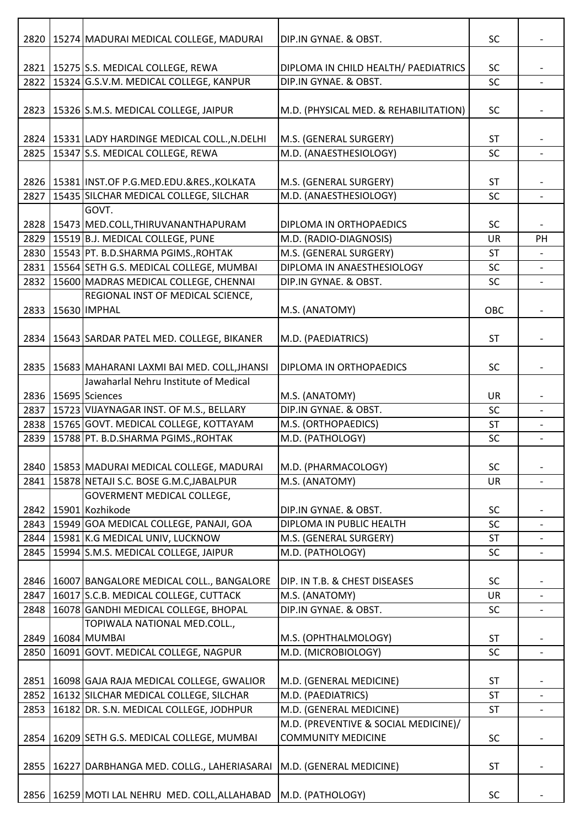| 2820 | 15274 MADURAI MEDICAL COLLEGE, MADURAI                         | DIP.IN GYNAE. & OBST.                 | SC        |                          |
|------|----------------------------------------------------------------|---------------------------------------|-----------|--------------------------|
|      | 2821   15275   S.S. MEDICAL COLLEGE, REWA                      | DIPLOMA IN CHILD HEALTH/ PAEDIATRICS  | <b>SC</b> |                          |
|      | 2822   15324 G.S.V.M. MEDICAL COLLEGE, KANPUR                  | DIP.IN GYNAE. & OBST.                 | SC        |                          |
|      |                                                                |                                       |           |                          |
| 2823 | 15326 S.M.S. MEDICAL COLLEGE, JAIPUR                           | M.D. (PHYSICAL MED. & REHABILITATION) | SC        |                          |
|      | 2824   15331 LADY HARDINGE MEDICAL COLL., N.DELHI              | M.S. (GENERAL SURGERY)                | <b>ST</b> |                          |
| 2825 | 15347 S.S. MEDICAL COLLEGE, REWA                               | M.D. (ANAESTHESIOLOGY)                | SC        |                          |
|      |                                                                |                                       |           |                          |
|      | 2826   15381   INST.OF P.G.MED.EDU.&RES., KOLKATA              | M.S. (GENERAL SURGERY)                | <b>ST</b> |                          |
| 2827 | 15435 SILCHAR MEDICAL COLLEGE, SILCHAR                         | M.D. (ANAESTHESIOLOGY)                | SC        |                          |
|      | GOVT.                                                          |                                       |           |                          |
|      | 2828   15473   MED.COLL, THIRUVANANTHAPURAM                    | DIPLOMA IN ORTHOPAEDICS               | SC        |                          |
|      | 2829   15519 B.J. MEDICAL COLLEGE, PUNE                        | M.D. (RADIO-DIAGNOSIS)                | UR        | PH                       |
|      | 2830   15543 PT. B.D.SHARMA PGIMS., ROHTAK                     | M.S. (GENERAL SURGERY)                | <b>ST</b> |                          |
|      | 2831   15564 SETH G.S. MEDICAL COLLEGE, MUMBAI                 | DIPLOMA IN ANAESTHESIOLOGY            | <b>SC</b> |                          |
|      | 2832   15600 MADRAS MEDICAL COLLEGE, CHENNAI                   | DIP.IN GYNAE. & OBST.                 | SC        |                          |
|      | REGIONAL INST OF MEDICAL SCIENCE,                              |                                       |           |                          |
|      | 2833 35630 IMPHAL                                              | M.S. (ANATOMY)                        | OBC       |                          |
|      |                                                                |                                       |           |                          |
| 2834 | 15643 SARDAR PATEL MED. COLLEGE, BIKANER                       | M.D. (PAEDIATRICS)                    | <b>ST</b> |                          |
|      |                                                                |                                       |           |                          |
|      | 2835   15683 MAHARANI LAXMI BAI MED. COLL, JHANSI              | DIPLOMA IN ORTHOPAEDICS               | SC        | $\overline{\phantom{a}}$ |
|      | Jawaharlal Nehru Institute of Medical                          |                                       |           |                          |
|      |                                                                |                                       |           |                          |
|      | 2836   15695 Sciences                                          | M.S. (ANATOMY)                        | UR        |                          |
| 2837 | 15723 VIJAYNAGAR INST. OF M.S., BELLARY                        | DIP.IN GYNAE. & OBST.                 | SC        | $\overline{\phantom{a}}$ |
|      | 2838   15765 GOVT. MEDICAL COLLEGE, KOTTAYAM                   | M.S. (ORTHOPAEDICS)                   | <b>ST</b> |                          |
| 2839 | 15788 PT. B.D.SHARMA PGIMS., ROHTAK                            | M.D. (PATHOLOGY)                      | SC        | $\overline{\phantom{a}}$ |
|      |                                                                |                                       |           |                          |
| 2840 | 15853 MADURAI MEDICAL COLLEGE, MADURAI                         | M.D. (PHARMACOLOGY)                   | SC        |                          |
| 2841 | 15878 NETAJI S.C. BOSE G.M.C, JABALPUR                         | M.S. (ANATOMY)                        | <b>UR</b> |                          |
|      | <b>GOVERMENT MEDICAL COLLEGE,</b>                              |                                       |           |                          |
|      | 2842   15901 Kozhikode                                         | DIP.IN GYNAE. & OBST.                 | <b>SC</b> |                          |
|      | 2843   15949 GOA MEDICAL COLLEGE, PANAJI, GOA                  | DIPLOMA IN PUBLIC HEALTH              | SC        |                          |
|      | 2844   15981 K.G MEDICAL UNIV, LUCKNOW                         | M.S. (GENERAL SURGERY)                | <b>ST</b> | $\overline{\phantom{0}}$ |
| 2845 | 15994 S.M.S. MEDICAL COLLEGE, JAIPUR                           | M.D. (PATHOLOGY)                      | SC        |                          |
|      |                                                                |                                       |           |                          |
| 2846 | 16007 BANGALORE MEDICAL COLL., BANGALORE                       | DIP. IN T.B. & CHEST DISEASES         | SC        |                          |
| 2847 | 16017 S.C.B. MEDICAL COLLEGE, CUTTACK                          | M.S. (ANATOMY)                        | <b>UR</b> |                          |
| 2848 | 16078 GANDHI MEDICAL COLLEGE, BHOPAL                           | DIP.IN GYNAE. & OBST.                 | <b>SC</b> | $\overline{\phantom{a}}$ |
|      | TOPIWALA NATIONAL MED.COLL.,                                   |                                       |           |                          |
| 2849 | 16084 MUMBAI                                                   | M.S. (OPHTHALMOLOGY)                  | <b>ST</b> |                          |
| 2850 | 16091 GOVT. MEDICAL COLLEGE, NAGPUR                            | M.D. (MICROBIOLOGY)                   | SC        |                          |
|      |                                                                |                                       |           |                          |
| 2851 | 16098 GAJA RAJA MEDICAL COLLEGE, GWALIOR                       | M.D. (GENERAL MEDICINE)               | <b>ST</b> | $\overline{\phantom{a}}$ |
| 2852 | 16132 SILCHAR MEDICAL COLLEGE, SILCHAR                         | M.D. (PAEDIATRICS)                    | <b>ST</b> |                          |
| 2853 | 16182 DR. S.N. MEDICAL COLLEGE, JODHPUR                        | M.D. (GENERAL MEDICINE)               | <b>ST</b> | $\overline{\phantom{a}}$ |
|      |                                                                | M.D. (PREVENTIVE & SOCIAL MEDICINE)/  |           |                          |
| 2854 | 16209 SETH G.S. MEDICAL COLLEGE, MUMBAI                        | <b>COMMUNITY MEDICINE</b>             | <b>SC</b> | $\overline{\phantom{a}}$ |
|      |                                                                |                                       |           |                          |
| 2855 | 16227 DARBHANGA MED. COLLG., LAHERIASARAI                      | M.D. (GENERAL MEDICINE)               | <b>ST</b> |                          |
|      |                                                                |                                       |           |                          |
| 2856 | 16259   MOTI LAL NEHRU MED. COLL, ALLAHABAD   M.D. (PATHOLOGY) |                                       | SC        |                          |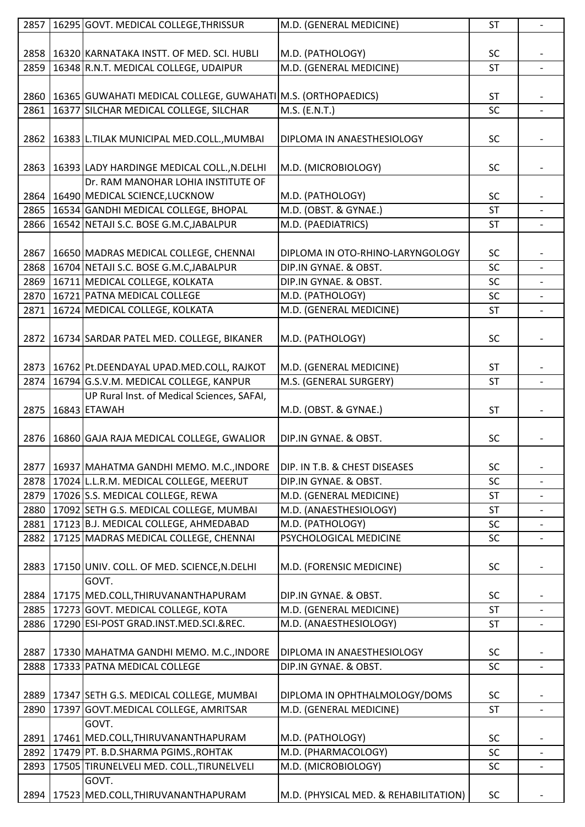|      | 2857   16295 GOVT. MEDICAL COLLEGE, THRISSUR                            | M.D. (GENERAL MEDICINE)               | ST        | $\overline{\phantom{a}}$ |
|------|-------------------------------------------------------------------------|---------------------------------------|-----------|--------------------------|
|      |                                                                         |                                       |           |                          |
|      | 2858   16320 KARNATAKA INSTT. OF MED. SCI. HUBLI                        | M.D. (PATHOLOGY)                      | <b>SC</b> |                          |
| 2859 | 16348 R.N.T. MEDICAL COLLEGE, UDAIPUR                                   | M.D. (GENERAL MEDICINE)               | <b>ST</b> |                          |
|      |                                                                         |                                       |           |                          |
|      | 2860   16365   GUWAHATI MEDICAL COLLEGE, GUWAHATI   M.S. (ORTHOPAEDICS) |                                       | <b>ST</b> |                          |
| 2861 | 16377 SILCHAR MEDICAL COLLEGE, SILCHAR                                  | M.S. (E.N.T.)                         | <b>SC</b> |                          |
|      |                                                                         |                                       |           |                          |
|      |                                                                         |                                       |           |                          |
| 2862 | 16383 L.TILAK MUNICIPAL MED.COLL., MUMBAI                               | DIPLOMA IN ANAESTHESIOLOGY            | <b>SC</b> |                          |
|      |                                                                         |                                       |           |                          |
| 2863 | 16393 LADY HARDINGE MEDICAL COLL., N.DELHI                              | M.D. (MICROBIOLOGY)                   | <b>SC</b> |                          |
|      | Dr. RAM MANOHAR LOHIA INSTITUTE OF                                      |                                       |           |                          |
|      | 2864   16490   MEDICAL SCIENCE, LUCKNOW                                 | M.D. (PATHOLOGY)                      | <b>SC</b> |                          |
|      | 2865   16534 GANDHI MEDICAL COLLEGE, BHOPAL                             | M.D. (OBST. & GYNAE.)                 | <b>ST</b> |                          |
|      | 2866 16542 NETAJI S.C. BOSE G.M.C.JABALPUR                              | M.D. (PAEDIATRICS)                    | <b>ST</b> |                          |
|      |                                                                         |                                       |           |                          |
| 2867 | 16650 MADRAS MEDICAL COLLEGE, CHENNAI                                   | DIPLOMA IN OTO-RHINO-LARYNGOLOGY      | <b>SC</b> |                          |
| 2868 | 16704 NETAJI S.C. BOSE G.M.C, JABALPUR                                  | DIP.IN GYNAE. & OBST.                 | SC        | $\blacksquare$           |
|      | 2869 16711 MEDICAL COLLEGE, KOLKATA                                     | DIP.IN GYNAE. & OBST.                 | SC        |                          |
|      | 2870 16721 PATNA MEDICAL COLLEGE                                        | M.D. (PATHOLOGY)                      | <b>SC</b> |                          |
| 2871 | 16724 MEDICAL COLLEGE, KOLKATA                                          | M.D. (GENERAL MEDICINE)               | <b>ST</b> |                          |
|      |                                                                         |                                       |           |                          |
| 2872 | 16734 SARDAR PATEL MED. COLLEGE, BIKANER                                | M.D. (PATHOLOGY)                      | <b>SC</b> |                          |
|      |                                                                         |                                       |           |                          |
|      |                                                                         | M.D. (GENERAL MEDICINE)               |           |                          |
|      | 2873   16762   Pt. DEENDAYAL UPAD. MED. COLL, RAJKOT                    |                                       | <b>ST</b> |                          |
| 2874 | 16794 G.S.V.M. MEDICAL COLLEGE, KANPUR                                  | M.S. (GENERAL SURGERY)                | <b>ST</b> |                          |
|      | UP Rural Inst. of Medical Sciences, SAFAI,                              |                                       |           |                          |
| 2875 | 16843 ETAWAH                                                            | M.D. (OBST. & GYNAE.)                 | <b>ST</b> |                          |
|      |                                                                         |                                       |           |                          |
| 2876 | 16860 GAJA RAJA MEDICAL COLLEGE, GWALIOR                                | DIP.IN GYNAE. & OBST.                 | <b>SC</b> |                          |
|      |                                                                         |                                       |           |                          |
|      | 2877   16937 MAHATMA GANDHI MEMO. M.C., INDORE                          | DIP. IN T.B. & CHEST DISEASES         | SC        |                          |
|      | 2878   17024 L.L.R.M. MEDICAL COLLEGE, MEERUT                           | DIP.IN GYNAE. & OBST.                 | SC        |                          |
| 2879 | 17026 S.S. MEDICAL COLLEGE, REWA                                        | M.D. (GENERAL MEDICINE)               | ST        |                          |
| 2880 | 17092 SETH G.S. MEDICAL COLLEGE, MUMBAI                                 | M.D. (ANAESTHESIOLOGY)                | <b>ST</b> |                          |
| 2881 | 17123 B.J. MEDICAL COLLEGE, AHMEDABAD                                   | M.D. (PATHOLOGY)                      | <b>SC</b> |                          |
| 2882 | 17125 MADRAS MEDICAL COLLEGE, CHENNAI                                   | PSYCHOLOGICAL MEDICINE                | SC        |                          |
|      |                                                                         |                                       |           |                          |
| 2883 | 17150 UNIV. COLL. OF MED. SCIENCE, N.DELHI                              | M.D. (FORENSIC MEDICINE)              | <b>SC</b> |                          |
|      | GOVT.                                                                   |                                       |           |                          |
|      | 2884   17175   MED.COLL, THIRUVANANTHAPURAM                             | DIP.IN GYNAE. & OBST.                 | <b>SC</b> |                          |
| 2885 | 17273 GOVT. MEDICAL COLLEGE, KOTA                                       | M.D. (GENERAL MEDICINE)               | <b>ST</b> |                          |
| 2886 | 17290 ESI-POST GRAD.INST.MED.SCI.&REC.                                  | M.D. (ANAESTHESIOLOGY)                | <b>ST</b> |                          |
|      |                                                                         |                                       |           |                          |
| 2887 | 17330 MAHATMA GANDHI MEMO. M.C., INDORE                                 | DIPLOMA IN ANAESTHESIOLOGY            | <b>SC</b> |                          |
|      |                                                                         |                                       |           | $\blacksquare$           |
| 2888 | 17333 PATNA MEDICAL COLLEGE                                             | DIP.IN GYNAE. & OBST.                 | <b>SC</b> |                          |
|      |                                                                         |                                       |           |                          |
| 2889 | 17347 SETH G.S. MEDICAL COLLEGE, MUMBAI                                 | DIPLOMA IN OPHTHALMOLOGY/DOMS         | <b>SC</b> |                          |
| 2890 | 17397 GOVT.MEDICAL COLLEGE, AMRITSAR                                    | M.D. (GENERAL MEDICINE)               | <b>ST</b> | $\overline{a}$           |
|      | GOVT.                                                                   |                                       |           |                          |
|      | 2891   17461   MED.COLL, THIRUVANANTHAPURAM                             | M.D. (PATHOLOGY)                      | <b>SC</b> |                          |
|      | 2892   17479 PT. B.D.SHARMA PGIMS., ROHTAK                              | M.D. (PHARMACOLOGY)                   | SC        |                          |
| 2893 | 17505 TIRUNELVELI MED. COLL., TIRUNELVELI                               | M.D. (MICROBIOLOGY)                   | SC        | $\overline{\phantom{a}}$ |
|      | GOVT.                                                                   |                                       |           |                          |
|      | 2894   17523   MED.COLL, THIRUVANANTHAPURAM                             | M.D. (PHYSICAL MED. & REHABILITATION) | <b>SC</b> |                          |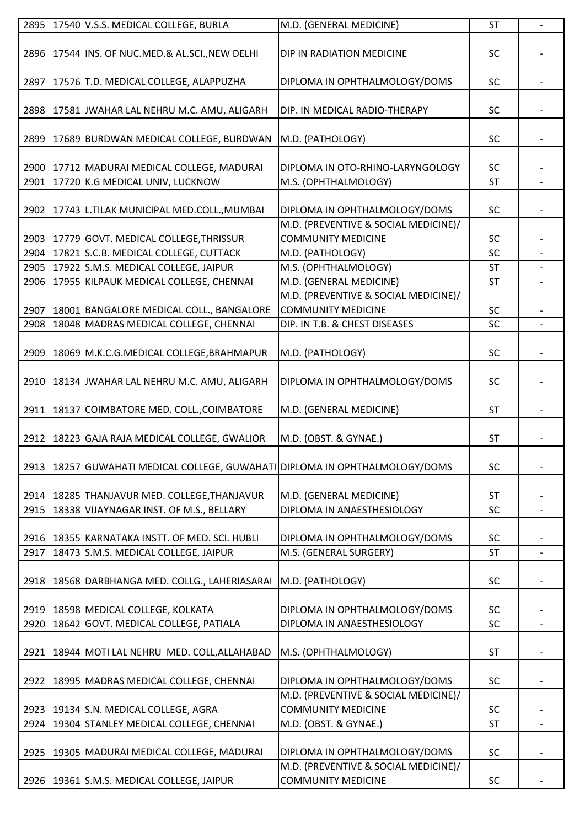| 2895 | 17540 V.S.S. MEDICAL COLLEGE, BURLA                                    | M.D. (GENERAL MEDICINE)              | <b>ST</b> |                |
|------|------------------------------------------------------------------------|--------------------------------------|-----------|----------------|
|      |                                                                        |                                      |           |                |
| 2896 | 17544 INS. OF NUC.MED.& AL.SCI., NEW DELHI                             | DIP IN RADIATION MEDICINE            | <b>SC</b> |                |
|      |                                                                        |                                      |           |                |
| 2897 | 17576 T.D. MEDICAL COLLEGE, ALAPPUZHA                                  | DIPLOMA IN OPHTHALMOLOGY/DOMS        | <b>SC</b> |                |
|      |                                                                        |                                      |           |                |
| 2898 | 17581 JWAHAR LAL NEHRU M.C. AMU, ALIGARH                               | DIP. IN MEDICAL RADIO-THERAPY        | <b>SC</b> |                |
|      |                                                                        |                                      |           |                |
|      |                                                                        |                                      |           |                |
| 2899 | 17689 BURDWAN MEDICAL COLLEGE, BURDWAN                                 | M.D. (PATHOLOGY)                     | <b>SC</b> |                |
|      |                                                                        |                                      |           |                |
|      | 2900   17712 MADURAI MEDICAL COLLEGE, MADURAI                          | DIPLOMA IN OTO-RHINO-LARYNGOLOGY     | <b>SC</b> |                |
| 2901 | 17720 K.G MEDICAL UNIV, LUCKNOW                                        | M.S. (OPHTHALMOLOGY)                 | <b>ST</b> |                |
|      |                                                                        |                                      |           |                |
| 2902 | 17743 L.TILAK MUNICIPAL MED.COLL., MUMBAI                              | DIPLOMA IN OPHTHALMOLOGY/DOMS        | <b>SC</b> |                |
|      |                                                                        | M.D. (PREVENTIVE & SOCIAL MEDICINE)/ |           |                |
| 2903 | 17779 GOVT. MEDICAL COLLEGE, THRISSUR                                  | <b>COMMUNITY MEDICINE</b>            | <b>SC</b> |                |
| 2904 | 17821 S.C.B. MEDICAL COLLEGE, CUTTACK                                  | M.D. (PATHOLOGY)                     | SC        |                |
| 2905 | 17922 S.M.S. MEDICAL COLLEGE, JAIPUR                                   | M.S. (OPHTHALMOLOGY)                 | <b>ST</b> |                |
| 2906 | 17955 KILPAUK MEDICAL COLLEGE, CHENNAI                                 | M.D. (GENERAL MEDICINE)              | <b>ST</b> |                |
|      |                                                                        | M.D. (PREVENTIVE & SOCIAL MEDICINE)/ |           |                |
| 2907 | 18001 BANGALORE MEDICAL COLL., BANGALORE                               | <b>COMMUNITY MEDICINE</b>            | <b>SC</b> |                |
| 2908 | 18048 MADRAS MEDICAL COLLEGE, CHENNAI                                  | DIP. IN T.B. & CHEST DISEASES        | SC        |                |
|      |                                                                        |                                      |           |                |
| 2909 | 18069 M.K.C.G.MEDICAL COLLEGE, BRAHMAPUR                               | M.D. (PATHOLOGY)                     | SC        |                |
|      |                                                                        |                                      |           |                |
| 2910 | 18134 JWAHAR LAL NEHRU M.C. AMU, ALIGARH                               | DIPLOMA IN OPHTHALMOLOGY/DOMS        | <b>SC</b> |                |
|      |                                                                        |                                      |           |                |
| 2911 | 18137 COIMBATORE MED. COLL., COIMBATORE                                | M.D. (GENERAL MEDICINE)              | <b>ST</b> |                |
|      |                                                                        |                                      |           |                |
| 2912 | 18223 GAJA RAJA MEDICAL COLLEGE, GWALIOR                               | M.D. (OBST. & GYNAE.)                | <b>ST</b> |                |
|      |                                                                        |                                      |           |                |
| 2913 | 18257 GUWAHATI MEDICAL COLLEGE, GUWAHATI DIPLOMA IN OPHTHALMOLOGY/DOMS |                                      | SC        |                |
|      |                                                                        |                                      |           |                |
|      |                                                                        |                                      |           |                |
| 2914 | 18285 THANJAVUR MED. COLLEGE, THANJAVUR                                | M.D. (GENERAL MEDICINE)              | <b>ST</b> |                |
| 2915 | 18338 VIJAYNAGAR INST. OF M.S., BELLARY                                | DIPLOMA IN ANAESTHESIOLOGY           | SC        | $\blacksquare$ |
|      |                                                                        |                                      |           |                |
| 2916 | 18355 KARNATAKA INSTT. OF MED. SCI. HUBLI                              | DIPLOMA IN OPHTHALMOLOGY/DOMS        | <b>SC</b> |                |
| 2917 | 18473 S.M.S. MEDICAL COLLEGE, JAIPUR                                   | M.S. (GENERAL SURGERY)               | ST        |                |
|      |                                                                        |                                      |           |                |
| 2918 | 18568 DARBHANGA MED. COLLG., LAHERIASARAI                              | M.D. (PATHOLOGY)                     | <b>SC</b> |                |
|      |                                                                        |                                      |           |                |
|      | 2919   18598   MEDICAL COLLEGE, KOLKATA                                | DIPLOMA IN OPHTHALMOLOGY/DOMS        | <b>SC</b> |                |
| 2920 | 18642 GOVT. MEDICAL COLLEGE, PATIALA                                   | DIPLOMA IN ANAESTHESIOLOGY           | SC        |                |
|      |                                                                        |                                      |           |                |
| 2921 | 18944 MOTI LAL NEHRU MED. COLL, ALLAHABAD                              | M.S. (OPHTHALMOLOGY)                 | ST        |                |
|      |                                                                        |                                      |           |                |
| 2922 | 18995 MADRAS MEDICAL COLLEGE, CHENNAI                                  | DIPLOMA IN OPHTHALMOLOGY/DOMS        | <b>SC</b> |                |
|      |                                                                        | M.D. (PREVENTIVE & SOCIAL MEDICINE)/ |           |                |
| 2923 | 19134 S.N. MEDICAL COLLEGE, AGRA                                       | <b>COMMUNITY MEDICINE</b>            | <b>SC</b> |                |
| 2924 | 19304 STANLEY MEDICAL COLLEGE, CHENNAI                                 | M.D. (OBST. & GYNAE.)                | ST        |                |
|      |                                                                        |                                      |           |                |
| 2925 | 19305   MADURAI MEDICAL COLLEGE, MADURAI                               | DIPLOMA IN OPHTHALMOLOGY/DOMS        | SC        |                |
|      |                                                                        | M.D. (PREVENTIVE & SOCIAL MEDICINE)/ |           |                |
|      | 2926 19361 S.M.S. MEDICAL COLLEGE, JAIPUR                              | <b>COMMUNITY MEDICINE</b>            | SC        |                |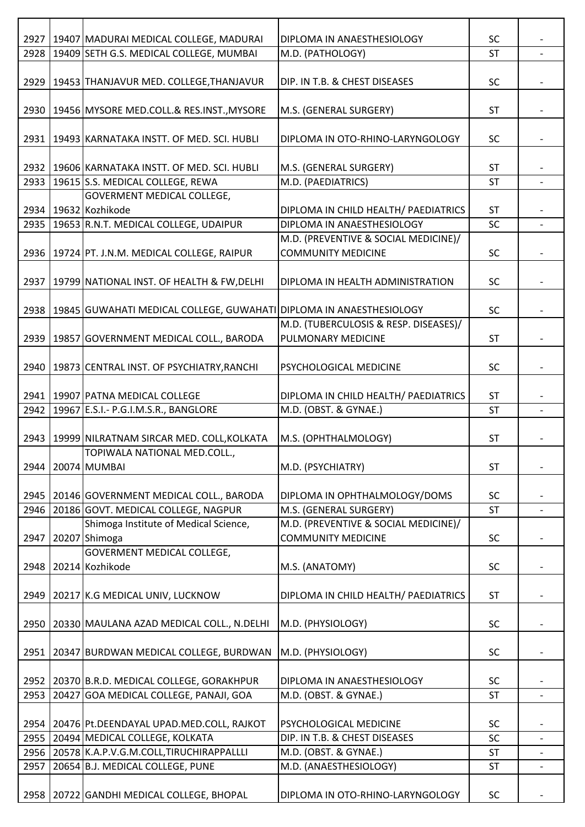| 2927 | 19407 MADURAI MEDICAL COLLEGE, MADURAI                              | DIPLOMA IN ANAESTHESIOLOGY            | <b>SC</b> |                          |
|------|---------------------------------------------------------------------|---------------------------------------|-----------|--------------------------|
| 2928 | 19409 SETH G.S. MEDICAL COLLEGE, MUMBAI                             | M.D. (PATHOLOGY)                      | <b>ST</b> |                          |
|      |                                                                     |                                       |           |                          |
| 2929 |                                                                     |                                       |           |                          |
|      | 19453 THANJAVUR MED. COLLEGE, THANJAVUR                             | DIP. IN T.B. & CHEST DISEASES         | <b>SC</b> |                          |
|      |                                                                     |                                       |           |                          |
| 2930 | 19456 MYSORE MED.COLL.& RES.INST., MYSORE                           | M.S. (GENERAL SURGERY)                | <b>ST</b> |                          |
|      |                                                                     |                                       |           |                          |
| 2931 | 19493 KARNATAKA INSTT. OF MED. SCI. HUBLI                           | DIPLOMA IN OTO-RHINO-LARYNGOLOGY      | <b>SC</b> |                          |
|      |                                                                     |                                       |           |                          |
| 2932 | 19606 KARNATAKA INSTT. OF MED. SCI. HUBLI                           | M.S. (GENERAL SURGERY)                | <b>ST</b> |                          |
| 2933 | 19615 S.S. MEDICAL COLLEGE, REWA                                    | M.D. (PAEDIATRICS)                    | <b>ST</b> |                          |
|      | <b>GOVERMENT MEDICAL COLLEGE,</b>                                   |                                       |           |                          |
|      | 2934   19632   Kozhikode                                            | DIPLOMA IN CHILD HEALTH/ PAEDIATRICS  | <b>ST</b> |                          |
| 2935 | 19653 R.N.T. MEDICAL COLLEGE, UDAIPUR                               | DIPLOMA IN ANAESTHESIOLOGY            | SC        |                          |
|      |                                                                     | M.D. (PREVENTIVE & SOCIAL MEDICINE)/  |           |                          |
| 2936 | 19724 PT. J.N.M. MEDICAL COLLEGE, RAIPUR                            | <b>COMMUNITY MEDICINE</b>             | <b>SC</b> |                          |
|      |                                                                     |                                       |           |                          |
| 2937 | 19799 NATIONAL INST. OF HEALTH & FW, DELHI                          | DIPLOMA IN HEALTH ADMINISTRATION      | <b>SC</b> |                          |
|      |                                                                     |                                       |           |                          |
|      |                                                                     |                                       |           |                          |
| 2938 | 19845 GUWAHATI MEDICAL COLLEGE, GUWAHATI DIPLOMA IN ANAESTHESIOLOGY |                                       | <b>SC</b> |                          |
|      |                                                                     | M.D. (TUBERCULOSIS & RESP. DISEASES)/ |           |                          |
| 2939 | 19857 GOVERNMENT MEDICAL COLL., BARODA                              | PULMONARY MEDICINE                    | <b>ST</b> |                          |
|      |                                                                     |                                       |           |                          |
| 2940 | 19873 CENTRAL INST. OF PSYCHIATRY, RANCHI                           | PSYCHOLOGICAL MEDICINE                | <b>SC</b> |                          |
|      |                                                                     |                                       |           |                          |
| 2941 | 19907 PATNA MEDICAL COLLEGE                                         | DIPLOMA IN CHILD HEALTH/ PAEDIATRICS  | <b>ST</b> |                          |
| 2942 | 19967 E.S.I.- P.G.I.M.S.R., BANGLORE                                | M.D. (OBST. & GYNAE.)                 | <b>ST</b> | $\blacksquare$           |
|      |                                                                     |                                       |           |                          |
| 2943 | 19999 NILRATNAM SIRCAR MED. COLL, KOLKATA                           | M.S. (OPHTHALMOLOGY)                  | <b>ST</b> |                          |
|      | TOPIWALA NATIONAL MED.COLL.,                                        |                                       |           |                          |
| 2944 | 20074 MUMBAI                                                        | M.D. (PSYCHIATRY)                     | <b>ST</b> | $\overline{a}$           |
|      |                                                                     |                                       |           |                          |
| 2945 | 20146 GOVERNMENT MEDICAL COLL., BARODA                              | DIPLOMA IN OPHTHALMOLOGY/DOMS         | <b>SC</b> |                          |
| 2946 | 20186 GOVT. MEDICAL COLLEGE, NAGPUR                                 | M.S. (GENERAL SURGERY)                | <b>ST</b> | $\overline{\phantom{0}}$ |
|      |                                                                     |                                       |           |                          |
|      | Shimoga Institute of Medical Science,                               | M.D. (PREVENTIVE & SOCIAL MEDICINE)/  |           |                          |
| 2947 | 20207 Shimoga                                                       | <b>COMMUNITY MEDICINE</b>             | <b>SC</b> |                          |
|      | GOVERMENT MEDICAL COLLEGE,                                          |                                       |           |                          |
| 2948 | 20214 Kozhikode                                                     | M.S. (ANATOMY)                        | <b>SC</b> |                          |
|      |                                                                     |                                       |           |                          |
| 2949 | 20217 K.G MEDICAL UNIV, LUCKNOW                                     | DIPLOMA IN CHILD HEALTH/ PAEDIATRICS  | <b>ST</b> |                          |
|      |                                                                     |                                       |           |                          |
| 2950 | 20330 MAULANA AZAD MEDICAL COLL., N.DELHI                           | M.D. (PHYSIOLOGY)                     | <b>SC</b> |                          |
|      |                                                                     |                                       |           |                          |
| 2951 | 20347 BURDWAN MEDICAL COLLEGE, BURDWAN                              | M.D. (PHYSIOLOGY)                     | SC        |                          |
|      |                                                                     |                                       |           |                          |
| 2952 | 20370 B.R.D. MEDICAL COLLEGE, GORAKHPUR                             | DIPLOMA IN ANAESTHESIOLOGY            | <b>SC</b> |                          |
| 2953 | 20427 GOA MEDICAL COLLEGE, PANAJI, GOA                              | M.D. (OBST. & GYNAE.)                 | <b>ST</b> |                          |
|      |                                                                     |                                       |           |                          |
| 2954 | 20476 Pt.DEENDAYAL UPAD.MED.COLL, RAJKOT                            | PSYCHOLOGICAL MEDICINE                | SC        |                          |
|      |                                                                     |                                       |           |                          |
| 2955 | 20494 MEDICAL COLLEGE, KOLKATA                                      | DIP. IN T.B. & CHEST DISEASES         | <b>SC</b> |                          |
| 2956 | 20578 K.A.P.V.G.M.COLL, TIRUCHIRAPPALLLI                            | M.D. (OBST. & GYNAE.)                 | <b>ST</b> |                          |
| 2957 | 20654 B.J. MEDICAL COLLEGE, PUNE                                    | M.D. (ANAESTHESIOLOGY)                | <b>ST</b> |                          |
|      |                                                                     |                                       |           |                          |
|      | 2958   20722 GANDHI MEDICAL COLLEGE, BHOPAL                         | DIPLOMA IN OTO-RHINO-LARYNGOLOGY      | SC        |                          |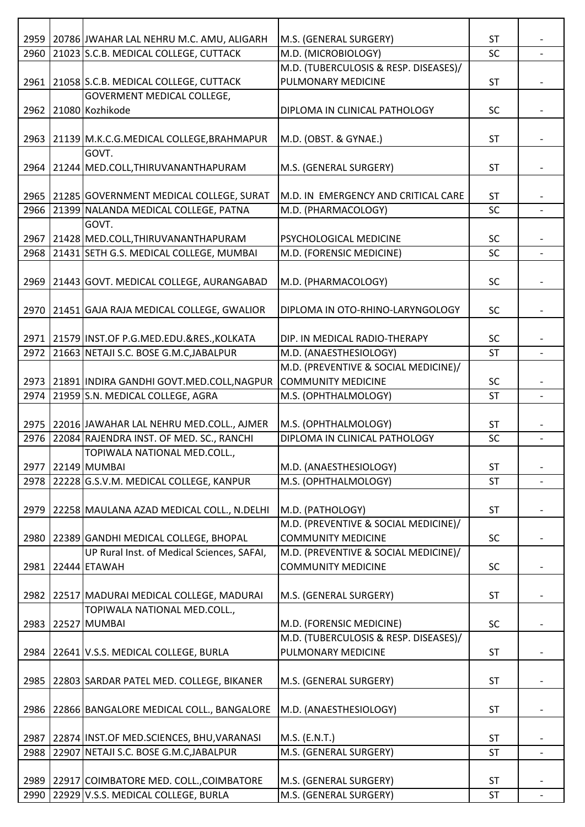|      | 2959   20786 JJWAHAR LAL NEHRU M.C. AMU, ALIGARH                                    | M.S. (GENERAL SURGERY)                           | <b>ST</b>              |                |
|------|-------------------------------------------------------------------------------------|--------------------------------------------------|------------------------|----------------|
| 2960 | 21023 S.C.B. MEDICAL COLLEGE, CUTTACK                                               | M.D. (MICROBIOLOGY)                              | SC                     |                |
|      |                                                                                     | M.D. (TUBERCULOSIS & RESP. DISEASES)/            |                        |                |
| 2961 | 21058 S.C.B. MEDICAL COLLEGE, CUTTACK                                               | PULMONARY MEDICINE                               | <b>ST</b>              |                |
|      | <b>GOVERMENT MEDICAL COLLEGE,</b>                                                   |                                                  |                        |                |
| 2962 | 21080 Kozhikode                                                                     | DIPLOMA IN CLINICAL PATHOLOGY                    | <b>SC</b>              |                |
|      |                                                                                     |                                                  |                        |                |
| 2963 | 21139 M.K.C.G.MEDICAL COLLEGE, BRAHMAPUR                                            | M.D. (OBST. & GYNAE.)                            | <b>ST</b>              |                |
|      | GOVT.                                                                               |                                                  |                        |                |
|      | 2964   21244   MED.COLL, THIRUVANANTHAPURAM                                         | M.S. (GENERAL SURGERY)                           | <b>ST</b>              |                |
|      |                                                                                     |                                                  |                        |                |
| 2965 | 21285 GOVERNMENT MEDICAL COLLEGE, SURAT                                             | M.D. IN EMERGENCY AND CRITICAL CARE              | ST                     |                |
| 2966 | 21399 NALANDA MEDICAL COLLEGE, PATNA                                                | M.D. (PHARMACOLOGY)                              | SC                     | $\overline{a}$ |
|      | GOVT.                                                                               |                                                  |                        |                |
|      | 2967 21428 MED.COLL, THIRUVANANTHAPURAM                                             | PSYCHOLOGICAL MEDICINE                           | <b>SC</b>              |                |
| 2968 | 21431 SETH G.S. MEDICAL COLLEGE, MUMBAI                                             | M.D. (FORENSIC MEDICINE)                         | <b>SC</b>              |                |
|      |                                                                                     |                                                  |                        |                |
| 2969 | 21443 GOVT. MEDICAL COLLEGE, AURANGABAD                                             | M.D. (PHARMACOLOGY)                              | SC                     |                |
|      |                                                                                     |                                                  |                        |                |
|      | 2970   21451 GAJA RAJA MEDICAL COLLEGE, GWALIOR                                     | DIPLOMA IN OTO-RHINO-LARYNGOLOGY                 | <b>SC</b>              |                |
|      |                                                                                     |                                                  |                        |                |
|      | 2971 21579 INST.OF P.G.MED.EDU.&RES., KOLKATA                                       | DIP. IN MEDICAL RADIO-THERAPY                    | <b>SC</b>              |                |
| 2972 | 21663 NETAJI S.C. BOSE G.M.C, JABALPUR                                              | M.D. (ANAESTHESIOLOGY)                           | <b>ST</b>              |                |
|      |                                                                                     | M.D. (PREVENTIVE & SOCIAL MEDICINE)/             |                        |                |
|      | 2973 21891 INDIRA GANDHI GOVT.MED.COLL, NAGPUR                                      | <b>COMMUNITY MEDICINE</b>                        | <b>SC</b>              |                |
| 2974 | 21959 S.N. MEDICAL COLLEGE, AGRA                                                    | M.S. (OPHTHALMOLOGY)                             | <b>ST</b>              |                |
|      |                                                                                     |                                                  |                        |                |
|      | 2975 22016 JAWAHAR LAL NEHRU MED.COLL., AJMER                                       | M.S. (OPHTHALMOLOGY)                             | <b>ST</b>              |                |
| 2976 | 22084 RAJENDRA INST. OF MED. SC., RANCHI                                            | DIPLOMA IN CLINICAL PATHOLOGY                    | SC                     | $\overline{a}$ |
|      | TOPIWALA NATIONAL MED.COLL.,                                                        |                                                  |                        |                |
|      | 2977 22149 MUMBAI                                                                   | M.D. (ANAESTHESIOLOGY)                           | <b>ST</b>              |                |
| 2978 | 22228 G.S.V.M. MEDICAL COLLEGE, KANPUR                                              | M.S. (OPHTHALMOLOGY)                             | <b>ST</b>              |                |
|      |                                                                                     |                                                  |                        |                |
| 2979 | 22258 MAULANA AZAD MEDICAL COLL., N.DELHI                                           | M.D. (PATHOLOGY)                                 | <b>ST</b>              |                |
|      |                                                                                     | M.D. (PREVENTIVE & SOCIAL MEDICINE)/             |                        |                |
|      | 2980   22389 GANDHI MEDICAL COLLEGE, BHOPAL                                         | <b>COMMUNITY MEDICINE</b>                        | SC                     |                |
|      | UP Rural Inst. of Medical Sciences, SAFAI,                                          | M.D. (PREVENTIVE & SOCIAL MEDICINE)/             |                        |                |
| 2981 | 22444 ETAWAH                                                                        | <b>COMMUNITY MEDICINE</b>                        | <b>SC</b>              |                |
|      |                                                                                     |                                                  |                        |                |
| 2982 | 22517 MADURAI MEDICAL COLLEGE, MADURAI                                              | M.S. (GENERAL SURGERY)                           | <b>ST</b>              |                |
|      | TOPIWALA NATIONAL MED.COLL.,                                                        |                                                  |                        |                |
| 2983 | 22527 MUMBAI                                                                        | M.D. (FORENSIC MEDICINE)                         | SC                     |                |
|      |                                                                                     | M.D. (TUBERCULOSIS & RESP. DISEASES)/            |                        |                |
| 2984 | 22641 V.S.S. MEDICAL COLLEGE, BURLA                                                 | PULMONARY MEDICINE                               | <b>ST</b>              |                |
|      |                                                                                     |                                                  |                        |                |
|      | 2985   22803 SARDAR PATEL MED. COLLEGE, BIKANER                                     | M.S. (GENERAL SURGERY)                           | <b>ST</b>              |                |
|      |                                                                                     |                                                  |                        |                |
| 2986 | 22866 BANGALORE MEDICAL COLL., BANGALORE                                            | M.D. (ANAESTHESIOLOGY)                           | <b>ST</b>              |                |
|      |                                                                                     |                                                  |                        |                |
| 2987 | 22874 INST.OF MED.SCIENCES, BHU, VARANASI                                           | M.S. (E.N.T.)                                    | <b>ST</b><br><b>ST</b> |                |
| 2988 | 22907 NETAJI S.C. BOSE G.M.C, JABALPUR                                              | M.S. (GENERAL SURGERY)                           |                        |                |
|      |                                                                                     |                                                  |                        |                |
|      |                                                                                     |                                                  |                        |                |
| 2990 | 2989 22917 COIMBATORE MED. COLL., COIMBATORE<br>22929 V.S.S. MEDICAL COLLEGE, BURLA | M.S. (GENERAL SURGERY)<br>M.S. (GENERAL SURGERY) | <b>ST</b><br><b>ST</b> |                |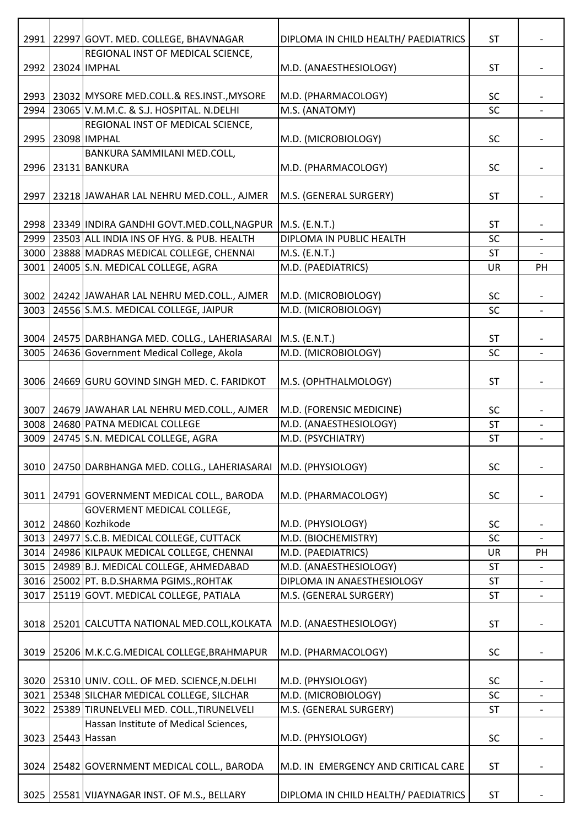| 2991 | 22997 GOVT. MED. COLLEGE, BHAVNAGAR                              | DIPLOMA IN CHILD HEALTH/ PAEDIATRICS | <b>ST</b> |                          |
|------|------------------------------------------------------------------|--------------------------------------|-----------|--------------------------|
|      | REGIONAL INST OF MEDICAL SCIENCE,                                |                                      |           |                          |
| 2992 | 23024 IMPHAL                                                     | M.D. (ANAESTHESIOLOGY)               | <b>ST</b> | $\overline{\phantom{a}}$ |
|      |                                                                  |                                      |           |                          |
|      | 2993   23032   MYSORE MED.COLL.& RES.INST., MYSORE               | M.D. (PHARMACOLOGY)                  | <b>SC</b> |                          |
| 2994 | 23065 V.M.M.C. & S.J. HOSPITAL. N.DELHI                          | M.S. (ANATOMY)                       | SC        |                          |
|      | REGIONAL INST OF MEDICAL SCIENCE,                                |                                      |           |                          |
| 2995 | 23098 IMPHAL                                                     | M.D. (MICROBIOLOGY)                  | <b>SC</b> |                          |
|      | BANKURA SAMMILANI MED.COLL,                                      |                                      |           |                          |
|      | 2996   23131   BANKURA                                           | M.D. (PHARMACOLOGY)                  | <b>SC</b> | $\overline{\phantom{a}}$ |
|      |                                                                  |                                      |           |                          |
| 2997 | 23218 JAWAHAR LAL NEHRU MED.COLL., AJMER                         | M.S. (GENERAL SURGERY)               | <b>ST</b> |                          |
|      |                                                                  |                                      |           |                          |
|      | 2998   23349 INDIRA GANDHI GOVT.MED.COLL, NAGPUR   M.S. (E.N.T.) |                                      | <b>ST</b> |                          |
|      | 2999 23503 ALL INDIA INS OF HYG. & PUB. HEALTH                   | DIPLOMA IN PUBLIC HEALTH             | SC        | $\overline{\phantom{a}}$ |
|      |                                                                  |                                      |           |                          |
| 3000 | 23888 MADRAS MEDICAL COLLEGE, CHENNAI                            | M.S. (E.N.T.)                        | <b>ST</b> |                          |
| 3001 | 24005 S.N. MEDICAL COLLEGE, AGRA                                 | M.D. (PAEDIATRICS)                   | UR        | PH                       |
|      |                                                                  |                                      |           |                          |
|      | 3002 24242 JAWAHAR LAL NEHRU MED.COLL., AJMER                    | M.D. (MICROBIOLOGY)                  | <b>SC</b> |                          |
| 3003 | 24556 S.M.S. MEDICAL COLLEGE, JAIPUR                             | M.D. (MICROBIOLOGY)                  | SC        |                          |
|      |                                                                  |                                      |           |                          |
| 3004 | 24575 DARBHANGA MED. COLLG., LAHERIASARAI                        | $M.S.$ (E.N.T.)                      | <b>ST</b> |                          |
| 3005 | 24636 Government Medical College, Akola                          | M.D. (MICROBIOLOGY)                  | SC        |                          |
|      |                                                                  |                                      |           |                          |
| 3006 | 24669 GURU GOVIND SINGH MED. C. FARIDKOT                         | M.S. (OPHTHALMOLOGY)                 | <b>ST</b> |                          |
|      |                                                                  |                                      |           |                          |
| 3007 | 24679 JAWAHAR LAL NEHRU MED.COLL., AJMER                         | M.D. (FORENSIC MEDICINE)             | <b>SC</b> |                          |
| 3008 | 24680 PATNA MEDICAL COLLEGE                                      | M.D. (ANAESTHESIOLOGY)               | <b>ST</b> |                          |
| 3009 | 24745 S.N. MEDICAL COLLEGE, AGRA                                 | M.D. (PSYCHIATRY)                    | <b>ST</b> | $\overline{\phantom{a}}$ |
|      |                                                                  |                                      |           |                          |
|      | 3010 24750 DARBHANGA MED. COLLG., LAHERIASARAI M.D. (PHYSIOLOGY) |                                      | SC        | $\overline{\phantom{a}}$ |
|      |                                                                  |                                      |           |                          |
| 3011 | 24791 GOVERNMENT MEDICAL COLL., BARODA                           | M.D. (PHARMACOLOGY)                  | SC        |                          |
|      | <b>GOVERMENT MEDICAL COLLEGE,</b>                                |                                      |           |                          |
|      | 3012 24860 Kozhikode                                             | M.D. (PHYSIOLOGY)                    | SC        |                          |
|      | 3013 24977 S.C.B. MEDICAL COLLEGE, CUTTACK                       | M.D. (BIOCHEMISTRY)                  | <b>SC</b> |                          |
| 3014 | 24986 KILPAUK MEDICAL COLLEGE, CHENNAI                           | M.D. (PAEDIATRICS)                   | UR        | PH                       |
| 3015 | 24989 B.J. MEDICAL COLLEGE, AHMEDABAD                            | M.D. (ANAESTHESIOLOGY)               | <b>ST</b> |                          |
| 3016 | 25002 PT. B.D.SHARMA PGIMS., ROHTAK                              | DIPLOMA IN ANAESTHESIOLOGY           | <b>ST</b> |                          |
| 3017 | 25119 GOVT. MEDICAL COLLEGE, PATIALA                             | M.S. (GENERAL SURGERY)               | <b>ST</b> |                          |
|      |                                                                  |                                      |           |                          |
| 3018 |                                                                  | M.D. (ANAESTHESIOLOGY)               | <b>ST</b> |                          |
|      | 25201 CALCUTTA NATIONAL MED.COLL, KOLKATA                        |                                      |           |                          |
|      |                                                                  |                                      |           |                          |
| 3019 | 25206 M.K.C.G.MEDICAL COLLEGE, BRAHMAPUR                         | M.D. (PHARMACOLOGY)                  | SC        |                          |
|      |                                                                  |                                      |           |                          |
|      | 3020   25310 UNIV. COLL. OF MED. SCIENCE, N.DELHI                | M.D. (PHYSIOLOGY)                    | SC        |                          |
| 3021 | 25348 SILCHAR MEDICAL COLLEGE, SILCHAR                           | M.D. (MICROBIOLOGY)                  | SC        |                          |
| 3022 | 25389 TIRUNELVELI MED. COLL., TIRUNELVELI                        | M.S. (GENERAL SURGERY)               | <b>ST</b> | $\overline{\phantom{a}}$ |
|      | Hassan Institute of Medical Sciences,                            |                                      |           |                          |
|      | 3023 25443 Hassan                                                | M.D. (PHYSIOLOGY)                    | SC        | $\overline{\phantom{a}}$ |
|      |                                                                  |                                      |           |                          |
| 3024 | 25482 GOVERNMENT MEDICAL COLL., BARODA                           | M.D. IN EMERGENCY AND CRITICAL CARE  | <b>ST</b> |                          |
|      |                                                                  |                                      |           |                          |
| 3025 | 25581 VIJAYNAGAR INST. OF M.S., BELLARY                          | DIPLOMA IN CHILD HEALTH/ PAEDIATRICS | ST        |                          |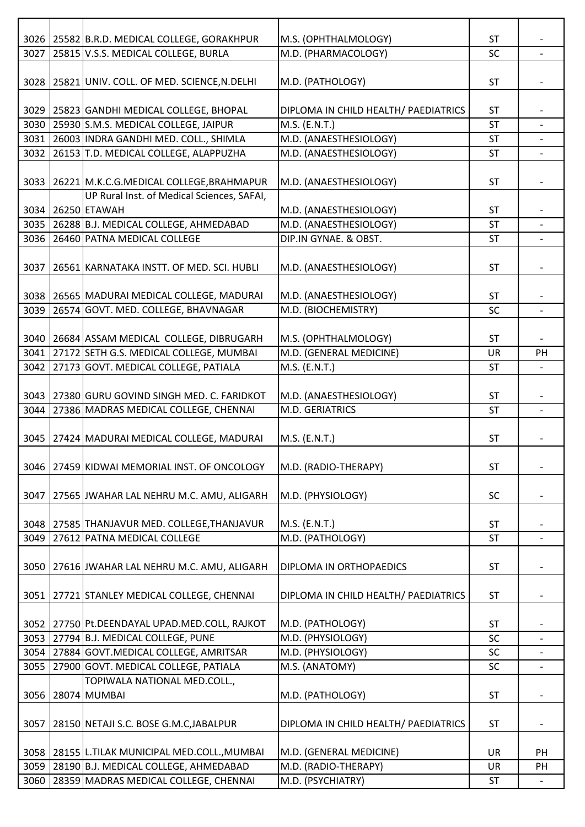|      | 3026   25582 B.R.D. MEDICAL COLLEGE, GORAKHPUR                                     | M.S. (OPHTHALMOLOGY)                 | <b>ST</b> |                          |
|------|------------------------------------------------------------------------------------|--------------------------------------|-----------|--------------------------|
| 3027 | 25815 V.S.S. MEDICAL COLLEGE, BURLA                                                | M.D. (PHARMACOLOGY)                  | SC        |                          |
|      |                                                                                    |                                      |           |                          |
| 3028 | 25821 UNIV. COLL. OF MED. SCIENCE, N.DELHI                                         | M.D. (PATHOLOGY)                     | <b>ST</b> |                          |
|      |                                                                                    |                                      |           |                          |
|      | 3029 25823 GANDHI MEDICAL COLLEGE, BHOPAL                                          | DIPLOMA IN CHILD HEALTH/ PAEDIATRICS | <b>ST</b> |                          |
|      | 3030 25930 S.M.S. MEDICAL COLLEGE, JAIPUR                                          | M.S. (E.N.T.)                        | <b>ST</b> |                          |
|      | 3031 26003 INDRA GANDHI MED. COLL., SHIMLA                                         | M.D. (ANAESTHESIOLOGY)               | ST        | $\overline{\phantom{a}}$ |
|      | 3032 26153 T.D. MEDICAL COLLEGE, ALAPPUZHA                                         | M.D. (ANAESTHESIOLOGY)               | <b>ST</b> |                          |
|      |                                                                                    |                                      |           |                          |
| 3033 | 26221 M.K.C.G.MEDICAL COLLEGE, BRAHMAPUR                                           | M.D. (ANAESTHESIOLOGY)               | <b>ST</b> |                          |
|      | UP Rural Inst. of Medical Sciences, SAFAI,                                         |                                      |           |                          |
|      | 3034 26250 ETAWAH                                                                  | M.D. (ANAESTHESIOLOGY)               | <b>ST</b> |                          |
|      | 3035 26288 B.J. MEDICAL COLLEGE, AHMEDABAD                                         | M.D. (ANAESTHESIOLOGY)               | <b>ST</b> |                          |
|      | 3036 26460 PATNA MEDICAL COLLEGE                                                   | DIP.IN GYNAE. & OBST.                | <b>ST</b> | $\overline{\phantom{a}}$ |
|      |                                                                                    |                                      |           |                          |
| 3037 | 26561 KARNATAKA INSTT. OF MED. SCI. HUBLI                                          | M.D. (ANAESTHESIOLOGY)               | <b>ST</b> | $\overline{\phantom{a}}$ |
|      |                                                                                    |                                      |           |                          |
|      | 3038   26565   MADURAI MEDICAL COLLEGE, MADURAI                                    | M.D. (ANAESTHESIOLOGY)               | <b>ST</b> |                          |
| 3039 | 26574 GOVT. MED. COLLEGE, BHAVNAGAR                                                | M.D. (BIOCHEMISTRY)                  | SC        | $\overline{\phantom{a}}$ |
|      |                                                                                    |                                      |           |                          |
|      | 3040   26684 ASSAM MEDICAL COLLEGE, DIBRUGARH                                      | M.S. (OPHTHALMOLOGY)                 | <b>ST</b> |                          |
|      | 3041 27172 SETH G.S. MEDICAL COLLEGE, MUMBAI                                       | M.D. (GENERAL MEDICINE)              | UR        | <b>PH</b>                |
|      | 3042 27173 GOVT. MEDICAL COLLEGE, PATIALA                                          | M.S. (E.N.T.)                        | <b>ST</b> |                          |
|      |                                                                                    |                                      |           |                          |
| 3043 | 27380 GURU GOVIND SINGH MED. C. FARIDKOT                                           | M.D. (ANAESTHESIOLOGY)               | <b>ST</b> |                          |
| 3044 | 27386 MADRAS MEDICAL COLLEGE, CHENNAI                                              | M.D. GERIATRICS                      | <b>ST</b> | $\overline{\phantom{a}}$ |
|      |                                                                                    |                                      |           |                          |
|      | 3045 27424 MADURAI MEDICAL COLLEGE, MADURAI                                        | M.S. (E.N.T.)                        | <b>ST</b> | $\overline{\phantom{a}}$ |
|      |                                                                                    |                                      |           |                          |
|      | 3046 27459 KIDWAI MEMORIAL INST. OF ONCOLOGY                                       | M.D. (RADIO-THERAPY)                 | <b>ST</b> |                          |
|      |                                                                                    |                                      |           |                          |
| 3047 | 27565 JWAHAR LAL NEHRU M.C. AMU, ALIGARH                                           | M.D. (PHYSIOLOGY)                    | SC        |                          |
|      |                                                                                    |                                      |           |                          |
| 3048 | 27585 THANJAVUR MED. COLLEGE, THANJAVUR                                            | M.S. (E.N.T.)                        | ST        |                          |
| 3049 | 27612 PATNA MEDICAL COLLEGE                                                        | M.D. (PATHOLOGY)                     | ST        | $\overline{\phantom{0}}$ |
|      |                                                                                    |                                      |           |                          |
| 3050 | 27616 JWAHAR LAL NEHRU M.C. AMU, ALIGARH                                           | DIPLOMA IN ORTHOPAEDICS              | <b>ST</b> |                          |
|      |                                                                                    |                                      |           |                          |
| 3051 | 27721 STANLEY MEDICAL COLLEGE, CHENNAI                                             | DIPLOMA IN CHILD HEALTH/ PAEDIATRICS | <b>ST</b> |                          |
|      |                                                                                    |                                      |           |                          |
| 3052 | 27750 Pt.DEENDAYAL UPAD.MED.COLL, RAJKOT                                           | M.D. (PATHOLOGY)                     | <b>ST</b> |                          |
| 3053 | 27794 B.J. MEDICAL COLLEGE, PUNE                                                   | M.D. (PHYSIOLOGY)                    | SC        |                          |
| 3054 | 27884 GOVT.MEDICAL COLLEGE, AMRITSAR                                               | M.D. (PHYSIOLOGY)                    | SC        |                          |
| 3055 | 27900 GOVT. MEDICAL COLLEGE, PATIALA                                               | M.S. (ANATOMY)                       | SC        |                          |
|      | TOPIWALA NATIONAL MED.COLL.,                                                       |                                      |           |                          |
| 3056 | 28074 MUMBAI                                                                       | M.D. (PATHOLOGY)                     | ST        |                          |
|      |                                                                                    |                                      |           |                          |
| 3057 | 28150 NETAJI S.C. BOSE G.M.C, JABALPUR                                             | DIPLOMA IN CHILD HEALTH/ PAEDIATRICS | ST        |                          |
|      |                                                                                    |                                      |           |                          |
|      |                                                                                    |                                      |           | PH                       |
| 3058 | 28155 L.TILAK MUNICIPAL MED.COLL., MUMBAI<br>28190 B.J. MEDICAL COLLEGE, AHMEDABAD | M.D. (GENERAL MEDICINE)              | <b>UR</b> |                          |
| 3059 |                                                                                    | M.D. (RADIO-THERAPY)                 | UR        | PH                       |
| 3060 | 28359 MADRAS MEDICAL COLLEGE, CHENNAI                                              | M.D. (PSYCHIATRY)                    | ST        | $\overline{\phantom{a}}$ |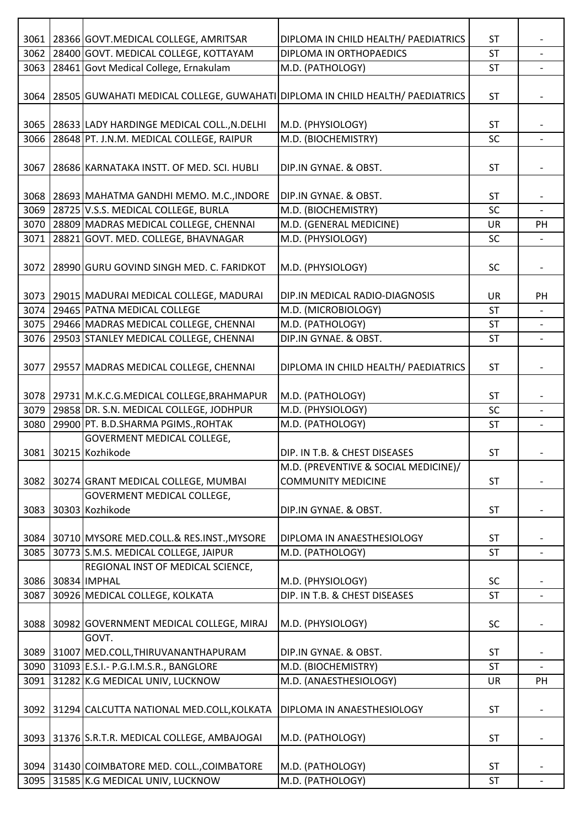| 3061 | 28366 GOVT.MEDICAL COLLEGE, AMRITSAR                                          | DIPLOMA IN CHILD HEALTH/ PAEDIATRICS | <b>ST</b> |                          |
|------|-------------------------------------------------------------------------------|--------------------------------------|-----------|--------------------------|
| 3062 | 28400 GOVT. MEDICAL COLLEGE, KOTTAYAM                                         | DIPLOMA IN ORTHOPAEDICS              | <b>ST</b> |                          |
| 3063 | 28461 Govt Medical College, Ernakulam                                         | M.D. (PATHOLOGY)                     | <b>ST</b> | $\overline{\phantom{a}}$ |
| 3064 | 28505 GUWAHATI MEDICAL COLLEGE, GUWAHATI DIPLOMA IN CHILD HEALTH/ PAEDIATRICS |                                      | <b>ST</b> |                          |
| 3065 | 28633 LADY HARDINGE MEDICAL COLL., N.DELHI                                    | M.D. (PHYSIOLOGY)                    | <b>ST</b> |                          |
| 3066 | 28648 PT. J.N.M. MEDICAL COLLEGE, RAIPUR                                      | M.D. (BIOCHEMISTRY)                  | SC        | $\overline{\phantom{a}}$ |
| 3067 | 28686 KARNATAKA INSTT. OF MED. SCI. HUBLI                                     | DIP.IN GYNAE. & OBST.                | <b>ST</b> | $\overline{\phantom{a}}$ |
| 3068 | 28693 MAHATMA GANDHI MEMO. M.C., INDORE                                       | DIP.IN GYNAE. & OBST.                | <b>ST</b> |                          |
| 3069 | 28725 V.S.S. MEDICAL COLLEGE, BURLA                                           | M.D. (BIOCHEMISTRY)                  | SC        | $\blacksquare$           |
| 3070 | 28809 MADRAS MEDICAL COLLEGE, CHENNAI                                         | M.D. (GENERAL MEDICINE)              | UR        | PH                       |
|      | 3071 28821 GOVT. MED. COLLEGE, BHAVNAGAR                                      | M.D. (PHYSIOLOGY)                    | SC        |                          |
| 3072 | 28990 GURU GOVIND SINGH MED. C. FARIDKOT                                      | M.D. (PHYSIOLOGY)                    | SC        | $\overline{\phantom{a}}$ |
|      | 3073   29015   MADURAI MEDICAL COLLEGE, MADURAI                               | DIP.IN MEDICAL RADIO-DIAGNOSIS       | UR        | PH                       |
|      | 3074   29465   PATNA MEDICAL COLLEGE                                          | M.D. (MICROBIOLOGY)                  | ST        |                          |
|      | 3075   29466 MADRAS MEDICAL COLLEGE, CHENNAI                                  | M.D. (PATHOLOGY)                     | <b>ST</b> |                          |
| 3076 | 29503 STANLEY MEDICAL COLLEGE, CHENNAI                                        | DIP.IN GYNAE. & OBST.                | <b>ST</b> | $\overline{\phantom{a}}$ |
|      | 3077   29557 MADRAS MEDICAL COLLEGE, CHENNAI                                  | DIPLOMA IN CHILD HEALTH/ PAEDIATRICS | <b>ST</b> | $\overline{\phantom{a}}$ |
|      | 3078   29731   M.K.C.G.MEDICAL COLLEGE, BRAHMAPUR                             | M.D. (PATHOLOGY)                     | <b>ST</b> |                          |
| 3079 | 29858 DR. S.N. MEDICAL COLLEGE, JODHPUR                                       | M.D. (PHYSIOLOGY)                    | SC        | $\blacksquare$           |
| 3080 | 29900 PT. B.D.SHARMA PGIMS., ROHTAK                                           | M.D. (PATHOLOGY)                     | <b>ST</b> |                          |
|      | <b>GOVERMENT MEDICAL COLLEGE,</b><br>3081 30215 Kozhikode                     | DIP. IN T.B. & CHEST DISEASES        | ST        |                          |
|      |                                                                               | M.D. (PREVENTIVE & SOCIAL MEDICINE)/ |           |                          |
| 3082 | 30274 GRANT MEDICAL COLLEGE, MUMBAI                                           | <b>COMMUNITY MEDICINE</b>            | ST        |                          |
|      | GOVERMENT MEDICAL COLLEGE,                                                    |                                      |           |                          |
| 3083 | 30303 Kozhikode                                                               | DIP.IN GYNAE. & OBST.                | <b>ST</b> |                          |
|      |                                                                               |                                      |           |                          |
| 3084 | 30710 MYSORE MED.COLL.& RES.INST., MYSORE                                     | DIPLOMA IN ANAESTHESIOLOGY           | <b>ST</b> |                          |
| 3085 | 30773 S.M.S. MEDICAL COLLEGE, JAIPUR                                          | M.D. (PATHOLOGY)                     | <b>ST</b> |                          |
|      | REGIONAL INST OF MEDICAL SCIENCE,<br>3086 30834 IMPHAL                        | M.D. (PHYSIOLOGY)                    | SC        |                          |
| 3087 | 30926 MEDICAL COLLEGE, KOLKATA                                                | DIP. IN T.B. & CHEST DISEASES        | <b>ST</b> |                          |
|      |                                                                               |                                      |           |                          |
| 3088 | 30982 GOVERNMENT MEDICAL COLLEGE, MIRAJ<br>GOVT.                              | M.D. (PHYSIOLOGY)                    | SC        |                          |
|      | 3089 31007 MED.COLL, THIRUVANANTHAPURAM                                       | DIP.IN GYNAE. & OBST.                | <b>ST</b> |                          |
| 3090 | 31093 E.S.I. - P.G.I.M.S.R., BANGLORE                                         | M.D. (BIOCHEMISTRY)                  | <b>ST</b> |                          |
| 3091 | 31282 K.G MEDICAL UNIV, LUCKNOW                                               | M.D. (ANAESTHESIOLOGY)               | UR        | PH                       |
| 3092 | 31294 CALCUTTA NATIONAL MED.COLL, KOLKATA                                     | DIPLOMA IN ANAESTHESIOLOGY           | <b>ST</b> | $\overline{\phantom{a}}$ |
| 3093 | 31376 S.R.T.R. MEDICAL COLLEGE, AMBAJOGAI                                     | M.D. (PATHOLOGY)                     | <b>ST</b> |                          |
|      | 3094   31430 COIMBATORE MED. COLL., COIMBATORE                                | M.D. (PATHOLOGY)                     | <b>ST</b> |                          |
| 3095 | 31585 K.G MEDICAL UNIV, LUCKNOW                                               | M.D. (PATHOLOGY)                     | <b>ST</b> | $\overline{\phantom{a}}$ |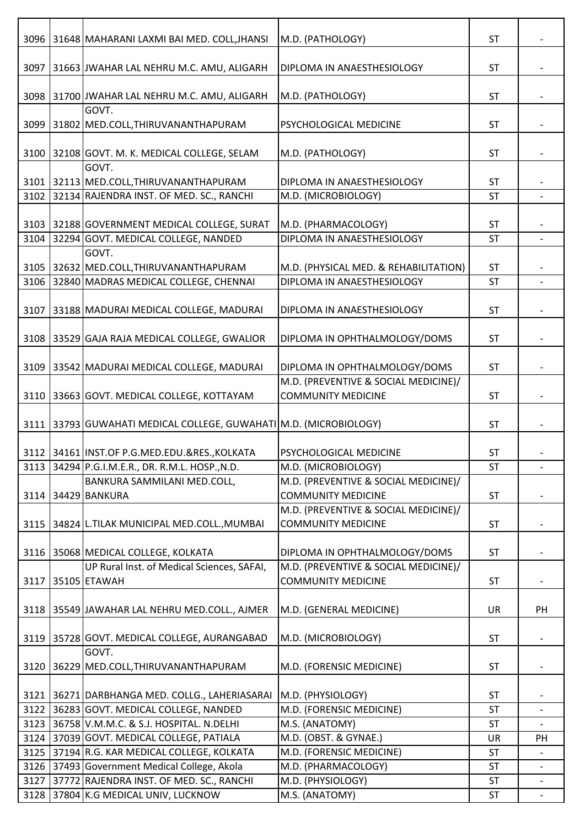| 3096 | 31648 MAHARANI LAXMI BAI MED. COLL, JHANSI                              | M.D. (PATHOLOGY)                                                  | ST        |                          |
|------|-------------------------------------------------------------------------|-------------------------------------------------------------------|-----------|--------------------------|
| 3097 | 31663 JWAHAR LAL NEHRU M.C. AMU, ALIGARH                                | DIPLOMA IN ANAESTHESIOLOGY                                        | <b>ST</b> |                          |
|      | 3098 31700 JWAHAR LAL NEHRU M.C. AMU, ALIGARH                           | M.D. (PATHOLOGY)                                                  | <b>ST</b> | $\overline{\phantom{a}}$ |
| 3099 | GOVT.<br>31802 MED.COLL, THIRUVANANTHAPURAM                             | PSYCHOLOGICAL MEDICINE                                            | <b>ST</b> |                          |
|      | 3100 32108 GOVT. M. K. MEDICAL COLLEGE, SELAM                           | M.D. (PATHOLOGY)                                                  | <b>ST</b> |                          |
|      | GOVT.<br>3101 32113 MED.COLL, THIRUVANANTHAPURAM                        | DIPLOMA IN ANAESTHESIOLOGY                                        | <b>ST</b> |                          |
| 3102 | 32134 RAJENDRA INST. OF MED. SC., RANCHI                                | M.D. (MICROBIOLOGY)                                               | <b>ST</b> |                          |
|      | 3103 32188 GOVERNMENT MEDICAL COLLEGE, SURAT                            | M.D. (PHARMACOLOGY)                                               | <b>ST</b> |                          |
| 3104 | 32294 GOVT. MEDICAL COLLEGE, NANDED                                     | DIPLOMA IN ANAESTHESIOLOGY                                        | ST        | $\overline{\phantom{a}}$ |
|      | GOVT.<br>3105 32632 MED.COLL, THIRUVANANTHAPURAM                        | M.D. (PHYSICAL MED. & REHABILITATION)                             | <b>ST</b> |                          |
| 3106 | 32840 MADRAS MEDICAL COLLEGE, CHENNAI                                   | DIPLOMA IN ANAESTHESIOLOGY                                        | <b>ST</b> |                          |
| 3107 | 33188 MADURAI MEDICAL COLLEGE, MADURAI                                  | DIPLOMA IN ANAESTHESIOLOGY                                        | <b>ST</b> |                          |
|      | 3108 33529 GAJA RAJA MEDICAL COLLEGE, GWALIOR                           | DIPLOMA IN OPHTHALMOLOGY/DOMS                                     | <b>ST</b> |                          |
|      | 3109   33542   MADURAI MEDICAL COLLEGE, MADURAI                         | DIPLOMA IN OPHTHALMOLOGY/DOMS                                     | <b>ST</b> | $\overline{\phantom{a}}$ |
| 3110 | 33663 GOVT. MEDICAL COLLEGE, KOTTAYAM                                   | M.D. (PREVENTIVE & SOCIAL MEDICINE)/<br><b>COMMUNITY MEDICINE</b> | <b>ST</b> |                          |
|      | 3111   33793   GUWAHATI MEDICAL COLLEGE, GUWAHATI   M.D. (MICROBIOLOGY) |                                                                   | <b>ST</b> |                          |
|      | 3112 34161 INST.OF P.G.MED.EDU.&RES., KOLKATA                           | <b>PSYCHOLOGICAL MEDICINE</b>                                     | <b>ST</b> |                          |
|      | 3113 34294 P.G.I.M.E.R., DR. R.M.L. HOSP., N.D.                         | M.D. (MICROBIOLOGY)                                               | <b>ST</b> |                          |
| 3114 | BANKURA SAMMILANI MED.COLL,<br>34429 BANKURA                            | M.D. (PREVENTIVE & SOCIAL MEDICINE)/<br><b>COMMUNITY MEDICINE</b> | <b>ST</b> |                          |
| 3115 | 34824 L.TILAK MUNICIPAL MED.COLL., MUMBAI                               | M.D. (PREVENTIVE & SOCIAL MEDICINE)/<br><b>COMMUNITY MEDICINE</b> | <b>ST</b> |                          |
| 3116 | 35068 MEDICAL COLLEGE, KOLKATA                                          | DIPLOMA IN OPHTHALMOLOGY/DOMS                                     | <b>ST</b> |                          |
|      | UP Rural Inst. of Medical Sciences, SAFAI,                              | M.D. (PREVENTIVE & SOCIAL MEDICINE)/                              |           |                          |
| 3117 | 35105 ETAWAH                                                            | <b>COMMUNITY MEDICINE</b>                                         | <b>ST</b> |                          |
|      | 3118 35549 JAWAHAR LAL NEHRU MED.COLL., AJMER                           | M.D. (GENERAL MEDICINE)                                           | UR        | PH                       |
| 3119 | 35728 GOVT. MEDICAL COLLEGE, AURANGABAD                                 | M.D. (MICROBIOLOGY)                                               | <b>ST</b> |                          |
|      | GOVT.<br>3120 36229 MED.COLL, THIRUVANANTHAPURAM                        | M.D. (FORENSIC MEDICINE)                                          | <b>ST</b> |                          |
|      | 3121   36271 DARBHANGA MED. COLLG., LAHERIASARAI                        | M.D. (PHYSIOLOGY)                                                 | <b>ST</b> |                          |
|      | 3122 36283 GOVT. MEDICAL COLLEGE, NANDED                                | M.D. (FORENSIC MEDICINE)                                          | <b>ST</b> | $\overline{\phantom{a}}$ |
| 3123 | 36758 V.M.M.C. & S.J. HOSPITAL. N.DELHI                                 | M.S. (ANATOMY)                                                    | <b>ST</b> |                          |
|      | 3124 37039 GOVT. MEDICAL COLLEGE, PATIALA                               | M.D. (OBST. & GYNAE.)                                             | UR        | PH                       |
|      | 3125 37194 R.G. KAR MEDICAL COLLEGE, KOLKATA                            | M.D. (FORENSIC MEDICINE)                                          | ST        |                          |
|      | 3126 37493 Government Medical College, Akola                            | M.D. (PHARMACOLOGY)                                               | ST        |                          |
|      | 3127 37772 RAJENDRA INST. OF MED. SC., RANCHI                           | M.D. (PHYSIOLOGY)                                                 | ST        | $\overline{\phantom{a}}$ |
|      | 3128 37804 K.G MEDICAL UNIV, LUCKNOW                                    | M.S. (ANATOMY)                                                    | <b>ST</b> |                          |